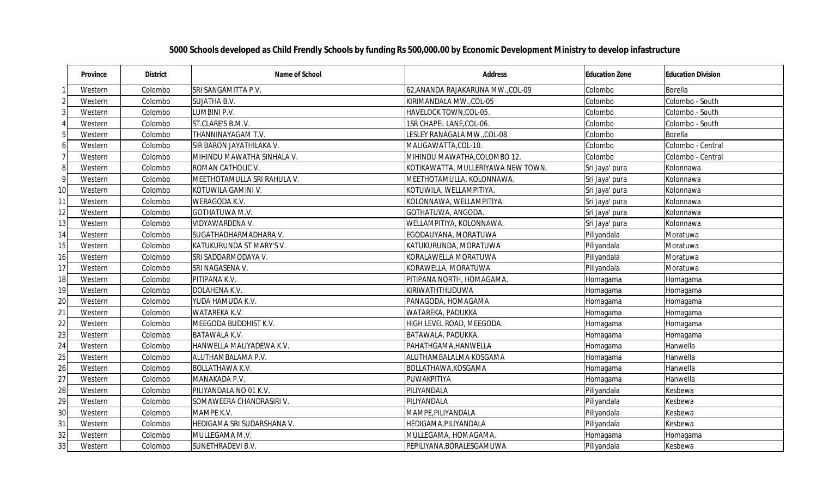|    | <b>Province</b> | <b>District</b> | <b>Name of School</b>       | <b>Address</b>                     | <b>Education Zone</b> | <b>Education Division</b> |
|----|-----------------|-----------------|-----------------------------|------------------------------------|-----------------------|---------------------------|
|    | Western         | Colombo         | SRI SANGAMITTA P.V.         | 62, ANANDA RAJAKARUNA MW., COL-09  | Colombo               | <b>Borella</b>            |
|    | Western         | Colombo         | SUJATHA B.V.                | KIRIMANDALA MW., COL-05            | Colombo               | Colombo - South           |
|    | Western         | Colombo         | LUMBINI P.V.                | HAVELOCK TOWN, COL-05.             | Colombo               | Colombo - South           |
|    | Western         | Colombo         | ST.CLARE'S B.M.V.           | 1SR CHAPEL LANE, COL-06.           | Colombo               | Colombo - South           |
| 5  | Western         | Colombo         | THANNINAYAGAM T.V.          | LESLEY RANAGALA MW.,COL-08         | Colombo               | <b>Borella</b>            |
| 6  | Western         | Colombo         | SIR BARON JAYATHILAKA V.    | MALIGAWATTA, COL-10.               | Colombo               | Colombo - Central         |
|    | Western         | Colombo         | MIHINDU MAWATHA SINHALA V.  | MIHINDU MAWATHA, COLOMBO 12.       | Colombo               | Colombo - Central         |
| 8  | Western         | Colombo         | ROMAN CATHOLIC V.           | KOTIKAWATTA, MULLERIYAWA NEW TOWN. | Sri Jaya' pura        | Kolonnawa                 |
| 9  | Western         | Colombo         | MEETHOTAMULLA SRI RAHULA V. | MEETHOTAMULLA, KOLONNAWA.          | Sri Jaya' pura        | Kolonnawa                 |
| 10 | Western         | Colombo         | KOTUWILA GAMINI V.          | KOTUWILA, WELLAMPITIYA.            | Sri Jaya' pura        | Kolonnawa                 |
| 11 | Western         | Colombo         | WERAGODA K.V.               | KOLONNAWA, WELLAMPITIYA.           | Sri Jaya' pura        | Kolonnawa                 |
| 12 | Western         | Colombo         | GOTHATUWA M.V.              | GOTHATUWA, ANGODA.                 | Sri Jaya' pura        | Kolonnawa                 |
| 13 | Western         | Colombo         | VIDYAWARDENA V.             | WELLAMPITIYA, KOLONNAWA.           | Sri Jaya' pura        | Kolonnawa                 |
| 14 | Western         | Colombo         | SUGATHADHARMADHARA V.       | EGODAUYANA, MORATUWA               | Piliyandala           | Moratuwa                  |
| 15 | Western         | Colombo         | KATUKURUNDA ST MARY'S V.    | KATUKURUNDA, MORATUWA              | Piliyandala           | Moratuwa                  |
| 16 | Western         | Colombo         | SRI SADDARMODAYA V.         | KORALAWELLA MORATUWA               | Piliyandala           | Moratuwa                  |
| 17 | Western         | Colombo         | SRI NAGASENA V.             | KORAWELLA, MORATUWA                | Piliyandala           | Moratuwa                  |
| 18 | Western         | Colombo         | PITIPANA K.V.               | PITIPANA NORTH, HOMAGAMA.          | Homagama              | Homagama                  |
| 19 | Western         | Colombo         | DOLAHENA K.V.               | KIRIWATHTHUDUWA                    | Homagama              | Homagama                  |
| 20 | Western         | Colombo         | YUDA HAMUDA K.V.            | PANAGODA, HOMAGAMA                 | Homagama              | Homagama                  |
| 21 | Western         | Colombo         | WATAREKA K.V.               | WATAREKA, PADUKKA                  | Homagama              | Homagama                  |
| 22 | Western         | Colombo         | MEEGODA BUDDHIST K.V.       | HIGH LEVEL ROAD, MEEGODA.          | Homagama              | Homagama                  |
| 23 | Western         | Colombo         | <b>BATAWALA K.V.</b>        | BATAWALA, PADUKKA.                 | Homagama              | Homagama                  |
| 24 | Western         | Colombo         | HANWELLA MALIYADEWA K.V.    | PAHATHGAMA, HANWELLA               | Homagama              | Hanwella                  |
| 25 | Western         | Colombo         | ALUTHAMBALAMA P.V.          | ALUTHAMBALALMA KOSGAMA             | Homagama              | Hanwella                  |
| 26 | Western         | Colombo         | <b>BOLLATHAWA K.V.</b>      | BOLLATHAWA, KOSGAMA                | Homagama              | Hanwella                  |
| 27 | Western         | Colombo         | MANAKADA P.V.               | PUWAKPITIYA                        | Homagama              | Hanwella                  |
| 28 | Western         | Colombo         | PILIYANDALA NO 01 K.V.      | PILIYANDALA                        | Piliyandala           | Kesbewa                   |
| 29 | Western         | Colombo         | SOMAWEERA CHANDRASIRI V.    | PILIYANDALA                        | Piliyandala           | Kesbewa                   |
| 30 | Western         | Colombo         | MAMPE K.V.                  | MAMPE, PILIYANDALA                 | Piliyandala           | Kesbewa                   |
| 31 | Western         | Colombo         | HEDIGAMA SRI SUDARSHANA V.  | HEDIGAMA, PILIYANDALA              | Piliyandala           | Kesbewa                   |
| 32 | Western         | Colombo         | MULLEGAMA M.V.              | MULLEGAMA, HOMAGAMA.               | Homagama              | Homagama                  |
| 33 | Western         | Colombo         | SUNETHRADEVI B.V.           | PEPILIYANA, BORALESGAMUWA          | Piliyandala           | Kesbewa                   |

## **5000 Schools developed as Child Frendly Schools by funding Rs 500,000.00 by Economic Development Ministry to develop infastructure**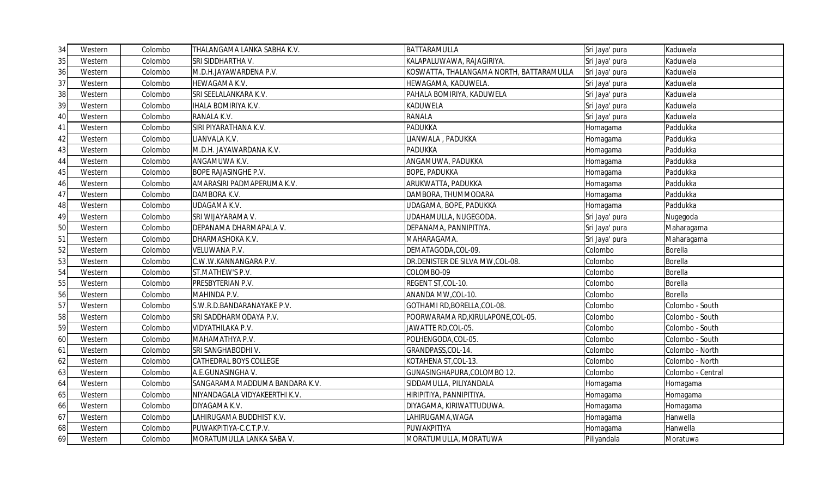| 34 | Western | Colombo | THALANGAMA LANKA SABHA K.V.    | BATTARAMULLA                             | Sri Jaya' pura | Kaduwela          |
|----|---------|---------|--------------------------------|------------------------------------------|----------------|-------------------|
| 35 | Western | Colombo | SRI SIDDHARTHA V.              | KALAPALUWAWA, RAJAGIRIYA.                | Sri Jaya' pura | Kaduwela          |
| 36 | Western | Colombo | M.D.H.JAYAWARDENA P.V.         | KOSWATTA, THALANGAMA NORTH, BATTARAMULLA | Sri Jaya' pura | Kaduwela          |
| 37 | Western | Colombo | HEWAGAMA K.V.                  | HEWAGAMA, KADUWELA.                      | Sri Jaya' pura | Kaduwela          |
| 38 | Western | Colombo | SRI SEELALANKARA K.V.          | PAHALA BOMIRIYA, KADUWELA                | Sri Jaya' pura | Kaduwela          |
| 39 | Western | Colombo | <b>IHALA BOMIRIYA K.V.</b>     | <b>KADUWELA</b>                          | Sri Jaya' pura | Kaduwela          |
| 40 | Western | Colombo | RANALA K.V.                    | <b>RANALA</b>                            | Sri Jaya' pura | Kaduwela          |
| 41 | Western | Colombo | SIRI PIYARATHANA K.V.          | <b>PADUKKA</b>                           | Homagama       | Paddukka          |
| 42 | Western | Colombo | LIANVALA K.V.                  | LIANWALA, PADUKKA                        | Homagama       | Paddukka          |
| 43 | Western | Colombo | M.D.H. JAYAWARDANA K.V.        | <b>PADUKKA</b>                           | Homagama       | Paddukka          |
| 44 | Western | Colombo | ANGAMUWA K.V.                  | ANGAMUWA, PADUKKA                        | Homagama       | Paddukka          |
| 45 | Western | Colombo | <b>BOPE RAJASINGHE P.V.</b>    | <b>BOPE, PADUKKA</b>                     | Homagama       | Paddukka          |
| 46 | Western | Colombo | AMARASIRI PADMAPERUMA K.V.     | ARUKWATTA, PADUKKA                       | Homagama       | Paddukka          |
| 47 | Western | Colombo | DAMBORA K.V.                   | DAMBORA, THUMMODARA                      | Homagama       | Paddukka          |
| 48 | Western | Colombo | UDAGAMA K.V.                   | UDAGAMA, BOPE, PADUKKA                   | Homagama       | Paddukka          |
| 49 | Western | Colombo | SRI WIJAYARAMA V.              | UDAHAMULLA, NUGEGODA.                    | Sri Jaya' pura | Nugegoda          |
| 50 | Western | Colombo | DEPANAMA DHARMAPALA V.         | DEPANAMA, PANNIPITIYA.                   | Sri Jaya' pura | Maharagama        |
| 51 | Western | Colombo | DHARMASHOKA K.V.               | MAHARAGAMA.                              | Sri Jaya' pura | Maharagama        |
| 52 | Western | Colombo | <b>VELUWANA P.V.</b>           | DEMATAGODA, COL-09.                      | Colombo        | Borella           |
| 53 | Western | Colombo | C.W.W.KANNANGARA P.V.          | DR.DENISTER DE SILVA MW, COL-08.         | Colombo        | <b>Borella</b>    |
| 54 | Western | Colombo | ST.MATHEW'S P.V.               | COLOMBO-09                               | Colombo        | <b>Borella</b>    |
| 55 | Western | Colombo | PRESBYTERIAN P.V.              | REGENT ST, COL-10.                       | Colombo        | Borella           |
| 56 | Western | Colombo | MAHINDA P.V.                   | ANANDA MW, COL-10.                       | Colombo        | <b>Borella</b>    |
| 57 | Western | Colombo | S.W.R.D.BANDARANAYAKE P.V.     | GOTHAMI RD, BORELLA, COL-08.             | Colombo        | Colombo - South   |
| 58 | Western | Colombo | SRI SADDHARMODAYA P.V.         | POORWARAMA RD, KIRULAPONE, COL-05.       | Colombo        | Colombo - South   |
| 59 | Western | Colombo | VIDYATHILAKA P.V.              | JAWATTE RD, COL-05.                      | Colombo        | Colombo - South   |
| 60 | Western | Colombo | MAHAMATHYA P.V.                | POLHENGODA, COL-05.                      | Colombo        | Colombo - South   |
| 61 | Western | Colombo | SRI SANGHABODHI V.             | GRANDPASS, COL-14.                       | Colombo        | Colombo - North   |
| 62 | Western | Colombo | CATHEDRAL BOYS COLLEGE         | KOTAHENA ST,COL-13.                      | Colombo        | Colombo - North   |
| 63 | Western | Colombo | A.E.GUNASINGHAV.               | GUNASINGHAPURA, COLOMBO 12.              | Colombo        | Colombo - Central |
| 64 | Western | Colombo | SANGARAMA MADDUMA BANDARA K.V. | SIDDAMULLA, PILIYANDALA                  | Homagama       | Homagama          |
| 65 | Western | Colombo | NIYANDAGALA VIDYAKEERTHI K.V.  | HIRIPITIYA, PANNIPITIYA.                 | Homagama       | Homagama          |
| 66 | Western | Colombo | DIYAGAMA K.V.                  | DIYAGAMA, KIRIWATTUDUWA.                 | Homagama       | Homagama          |
| 67 | Western | Colombo | LAHIRUGAMA BUDDHIST K.V.       | LAHIRUGAMA, WAGA                         | Homagama       | Hanwella          |
| 68 | Western | Colombo | PUWAKPITIYA-C.C.T.P.V.         | PUWAKPITIYA                              | Homagama       | Hanwella          |
| 69 | Western | Colombo | MORATUMULLA LANKA SABA V.      | MORATUMULLA, MORATUWA                    | Piliyandala    | Moratuwa          |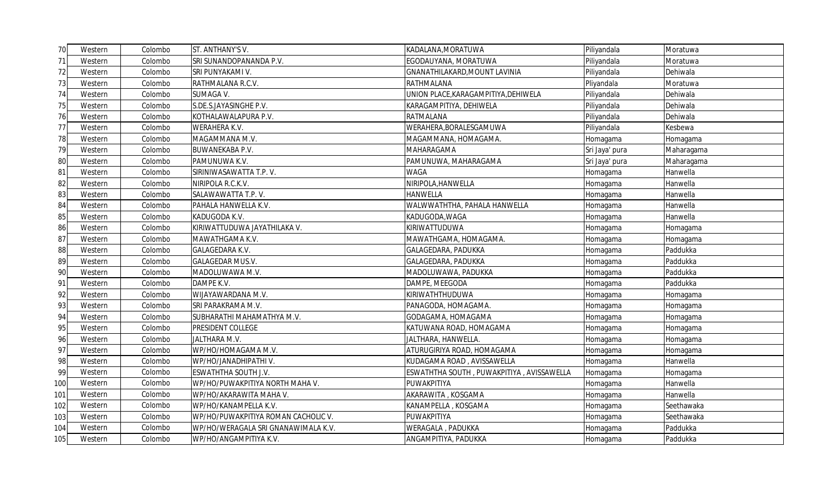| 70I | Western | Colombo | ST. ANTHANY'S V.                    | KADALANA, MORATUWA                        | Piliyandala    | Moratuwa   |
|-----|---------|---------|-------------------------------------|-------------------------------------------|----------------|------------|
| 71  | Western | Colombo | SRI SUNANDOPANANDA P.V.             | EGODAUYANA, MORATUWA                      | Piliyandala    | Moratuwa   |
| 72  | Western | Colombo | SRI PUNYAKAMI V.                    | GNANATHILAKARD, MOUNT LAVINIA             | Piliyandala    | Dehiwala   |
| 73  | Western | Colombo | RATHMALANA R.C.V.                   | RATHMALANA                                | Pliyandala     | Moratuwa   |
| 74  | Western | Colombo | SUMAGA V.                           | UNION PLACE, KARAGAMPITIYA, DEHIWELA      | Piliyandala    | Dehiwala   |
| 75  | Western | Colombo | S.DE.S.JAYASINGHE P.V.              | KARAGAMPITIYA, DEHIWELA                   | Piliyandala    | Dehiwala   |
| 76  | Western | Colombo | KOTHALAWALAPURA P.V.                | <b>RATMALANA</b>                          | Piliyandala    | Dehiwala   |
| 77  | Western | Colombo | <b>WERAHERA K.V.</b>                | WERAHERA, BORALESGAMUWA                   | Piliyandala    | Kesbewa    |
| 78  | Western | Colombo | MAGAMMANA M.V.                      | MAGAMMANA, HOMAGAMA.                      | Homagama       | Homagama   |
| 79  | Western | Colombo | <b>BUWANEKABA P.V.</b>              | MAHARAGAMA                                | Sri Jaya' pura | Maharagama |
| 80  | Western | Colombo | PAMUNUWA K.V.                       | PAMUNUWA, MAHARAGAMA                      | Sri Jaya' pura | Maharagama |
| 81  | Western | Colombo | SIRINIWASAWATTA T.P. V.             | <b>WAGA</b>                               | Homagama       | Hanwella   |
| 82  | Western | Colombo | NIRIPOLA R.C.K.V.                   | NIRIPOLA, HANWELLA                        | Homagama       | Hanwella   |
| 83  | Western | Colombo | SALAWAWATTA T.P. V.                 | <b>HANWELLA</b>                           | Homagama       | Hanwella   |
| 84  | Western | Colombo | PAHALA HANWELLA K.V.                | WALWWATHTHA, PAHALA HANWELLA              | Homagama       | Hanwella   |
| 85  | Western | Colombo | KADUGODA K.V.                       | KADUGODA, WAGA                            | Homagama       | Hanwella   |
| 86  | Western | Colombo | KIRIWATTUDUWA JAYATHILAKA V.        | KIRIWATTUDUWA                             | Homagama       | Homagama   |
| 87  | Western | Colombo | MAWATHGAMA K.V.                     | MAWATHGAMA, HOMAGAMA.                     | Homagama       | Homagama   |
| 88  | Western | Colombo | GALAGEDARA K.V.                     | GALAGEDARA, PADUKKA                       | Homagama       | Paddukka   |
| 89  | Western | Colombo | <b>GALAGEDAR MUS.V.</b>             | GALAGEDARA, PADUKKA                       | Homagama       | Paddukka   |
| 90  | Western | Colombo | MADOLUWAWA M.V.                     | MADOLUWAWA, PADUKKA                       | Homagama       | Paddukka   |
| 91  | Western | Colombo | DAMPE K.V.                          | DAMPE, MEEGODA                            | Homagama       | Paddukka   |
| 92  | Western | Colombo | WIJAYAWARDANA M.V.                  | KIRIWATHTHUDUWA                           | Homagama       | Homagama   |
| 93  | Western | Colombo | SRI PARAKRAMA M.V.                  | PANAGODA, HOMAGAMA.                       | Homagama       | Homagama   |
| 94  | Western | Colombo | SUBHARATHI MAHAMATHYA M.V.          | GODAGAMA, HOMAGAMA                        | Homagama       | Homagama   |
| 95  | Western | Colombo | PRESIDENT COLLEGE                   | KATUWANA ROAD, HOMAGAMA                   | Homagama       | Homagama   |
| 96  | Western | Colombo | JALTHARA M.V.                       | JALTHARA, HANWELLA.                       | Homagama       | Homagama   |
| 97  | Western | Colombo | WP/HO/HOMAGAMA M.V.                 | ATURUGIRIYA ROAD, HOMAGAMA                | Homagama       | Homagama   |
| 98  | Western | Colombo | WP/HO/JANADHIPATHI V.               | KUDAGAMA ROAD, AVISSAWELLA                | Homagama       | Hanwella   |
| 99  | Western | Colombo | ESWATHTHA SOUTH J.V.                | ESWATHTHA SOUTH, PUWAKPITIYA, AVISSAWELLA | Homagama       | Homagama   |
| 100 | Western | Colombo | WP/HO/PUWAKPITIYA NORTH MAHA V.     | PUWAKPITIYA                               | Homagama       | Hanwella   |
| 101 | Western | Colombo | WP/HO/AKARAWITA MAHA V.             | AKARAWITA, KOSGAMA                        | Homagama       | Hanwella   |
| 102 | Western | Colombo | WP/HO/KANAMPELLA K.V.               | KANAMPELLA, KOSGAMA                       | Homagama       | Seethawaka |
| 103 | Western | Colombo | WP/HO/PUWAKPITIYA ROMAN CACHOLIC V. | PUWAKPITIYA                               | Homagama       | Seethawaka |
| 104 | Western | Colombo | WP/HO/WERAGALA SRI GNANAWIMALA K.V. | WERAGALA, PADUKKA                         | Homagama       | Paddukka   |
| 105 | Western | Colombo | WP/HO/ANGAMPITIYA K.V.              | ANGAMPITIYA, PADUKKA                      | Homagama       | Paddukka   |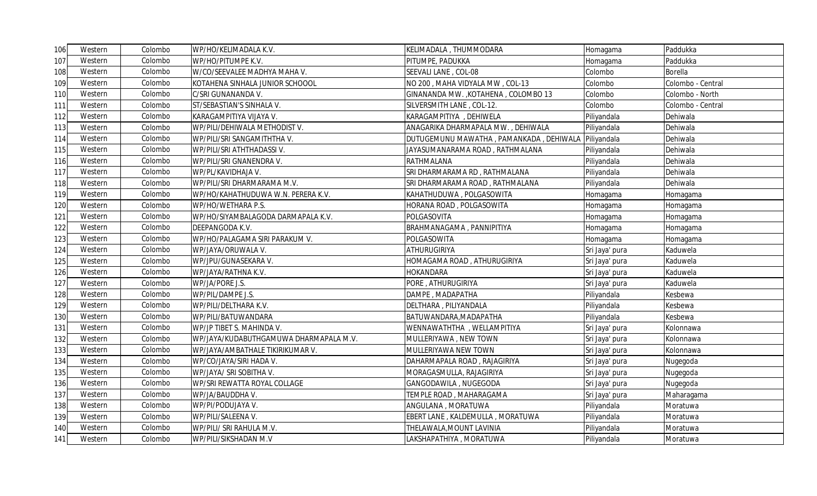| 106  | Western | Colombo | WP/HO/KELIMADALA K.V.                  | KELIMADALA, THUMMODARA                  | Homagama       | Paddukka          |
|------|---------|---------|----------------------------------------|-----------------------------------------|----------------|-------------------|
| 107  | Western | Colombo | WP/HO/PITUMPE K.V.                     | PITUMPE, PADUKKA                        | Homagama       | Paddukka          |
| 108  | Western | Colombo | W/CO/SEEVALEE MADHYA MAHA V.           | SEEVALI LANE, COL-08                    | Colombo        | Borella           |
| 109  | Western | Colombo | KOTAHENA SINHALA JUNIOR SCHOOOL        | NO 200, MAHA VIDYALA MW, COL-13         | Colombo        | Colombo - Central |
| 110  | Western | Colombo | C/SRI GUNANANDA V.                     | GINANANDA MW., KOTAHENA, COLOMBO 13     | Colombo        | Colombo - North   |
| 111  | Western | Colombo | ST/SEBASTIAN'S SINHALA V.              | SILVERSMITH LANE, COL-12.               | Colombo        | Colombo - Central |
| 112  | Western | Colombo | KARAGAMPITIYA VIJAYA V.                | KARAGAMPITIYA, DEHIWELA                 | Piliyandala    | Dehiwala          |
| 113  | Western | Colombo | WP/PILI/DEHIWALA METHODIST V.          | ANAGARIKA DHARMAPALA MW., DEHIWALA      | Piliyandala    | Dehiwala          |
| 114  | Western | Colombo | WP/PILI/SRI SANGAMITHTHA V.            | DUTUGEMUNU MAWATHA, PAMANKADA, DEHIWALA | Piliyandala    | Dehiwala          |
| 115I | Western | Colombo | WP/PILI/SRI ATHTHADASSI V.             | JAYASUMANARAMA ROAD, RATHMALANA         | Piliyandala    | Dehiwala          |
| 116  | Western | Colombo | WP/PILI/SRI GNANENDRA V.               | <b>RATHMALANA</b>                       | Piliyandala    | Dehiwala          |
| 117  | Western | Colombo | WP/PL/KAVIDHAJA V.                     | SRI DHARMARAMA RD, RATHMALANA           | Piliyandala    | Dehiwala          |
| 118  | Western | Colombo | WP/PILI/SRI DHARMARAMA M.V.            | SRI DHARMARAMA ROAD, RATHMALANA         | Piliyandala    | Dehiwala          |
| 119  | Western | Colombo | WP/HO/KAHATHUDUWA W.N. PERERA K.V.     | KAHATHUDUWA, POLGASOWITA                | Homagama       | Homagama          |
| 120  | Western | Colombo | WP/HO/WETHARA P.S.                     | HORANA ROAD, POLGASOWITA                | Homagama       | Homagama          |
| 121  | Western | Colombo | WP/HO/SIYAMBALAGODA DARMAPALA K.V.     | POLGASOVITA                             | Homagama       | Homaqama          |
| 122  | Western | Colombo | DEEPANGODA K.V.                        | BRAHMANAGAMA, PANNIPITIYA               | Homagama       | Homagama          |
| 123  | Western | Colombo | WP/HO/PALAGAMA SIRI PARAKUM V.         | POLGASOWITA                             | Homagama       | Homagama          |
| 124  | Western | Colombo | WP/JAYA/ORUWALA V.                     | <b>ATHURUGIRIYA</b>                     | Sri Jaya' pura | Kaduwela          |
| 125  | Western | Colombo | WP/JPU/GUNASEKARA V.                   | HOMAGAMA ROAD, ATHURUGIRIYA             | Sri Jaya' pura | Kaduwela          |
| 126  | Western | Colombo | WP/JAYA/RATHNA K.V.                    | <b>HOKANDARA</b>                        | Sri Jaya' pura | Kaduwela          |
| 127  | Western | Colombo | WP/JA/PORE J.S.                        | PORE, ATHURUGIRIYA                      | Sri Jaya' pura | Kaduwela          |
| 128  | Western | Colombo | WP/PIL/DAMPE J.S.                      | DAMPE, MADAPATHA                        | Piliyandala    | Kesbewa           |
| 129  | Western | Colombo | WP/PILI/DELTHARA K.V.                  | DELTHARA, PILIYANDALA                   | Piliyandala    | Kesbewa           |
| 130  | Western | Colombo | WP/PILI/BATUWANDARA                    | BATUWANDARA, MADAPATHA                  | Piliyandala    | Kesbewa           |
| 131  | Western | Colombo | WP/JP TIBET S. MAHINDA V.              | WENNAWATHTHA, WELLAMPITIYA              | Sri Jaya' pura | Kolonnawa         |
| 132  | Western | Colombo | WP/JAYA/KUDABUTHGAMUWA DHARMAPALA M.V. | MULLERIYAWA , NEW TOWN                  | Sri Jaya' pura | Kolonnawa         |
| 133  | Western | Colombo | WP/JAYA/AMBATHALE TIKIRIKUMAR V.       | MULLERIYAWA NEW TOWN                    | Sri Jaya' pura | Kolonnawa         |
| 134  | Western | Colombo | WP/CO/JAYA/SIRI HADA V.                | DAHARMAPALA ROAD, RAJAGIRIYA            | Sri Jaya' pura | Nugegoda          |
| 135  | Western | Colombo | WP/JAYA/ SRI SOBITHA V.                | MORAGASMULLA, RAJAGIRIYA                | Sri Jaya' pura | Nugegoda          |
| 136  | Western | Colombo | WP/SRI REWATTA ROYAL COLLAGE           | GANGODAWILA, NUGEGODA                   | Sri Jaya' pura | Nugegoda          |
| 137  | Western | Colombo | WP/JA/BAUDDHA V.                       | TEMPLE ROAD, MAHARAGAMA                 | Sri Jaya' pura | Maharagama        |
| 138  | Western | Colombo | WP/PI/PODUJAYA V.                      | ANGULANA, MORATUWA                      | Piliyandala    | Moratuwa          |
| 139  | Western | Colombo | WP/PILI/SALEENA V.                     | EBERT LANE, KALDEMULLA, MORATUWA        | Piliyandala    | Moratuwa          |
| 140  | Western | Colombo | WP/PILI/ SRI RAHULA M.V.               | THELAWALA, MOUNT LAVINIA                | Piliyandala    | Moratuwa          |
| 141  | Western | Colombo | WP/PILI/SIKSHADAN M.V                  | LAKSHAPATHIYA, MORATUWA                 | Piliyandala    | Moratuwa          |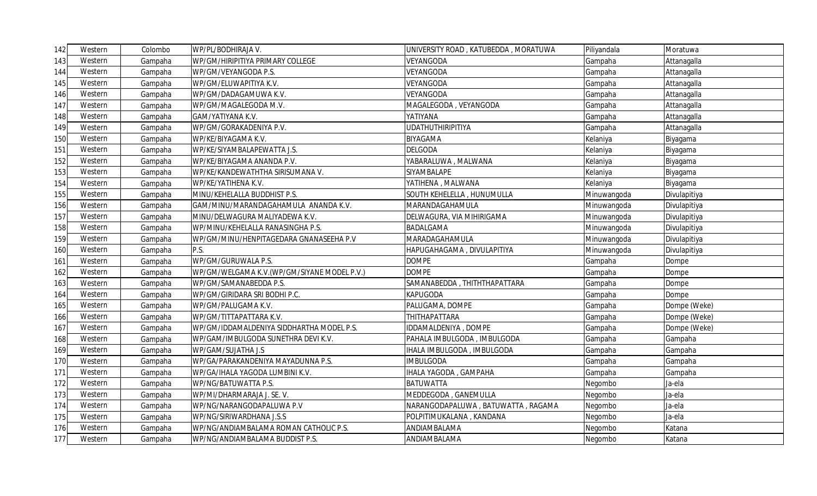| 142 | Western | Colombo | WP/PL/BODHIRAJA V.                          | UNIVERSITY ROAD, KATUBEDDA, MORATUWA | Piliyandala | Moratuwa     |
|-----|---------|---------|---------------------------------------------|--------------------------------------|-------------|--------------|
| 143 | Western | Gampaha | WP/GM/HIRIPITIYA PRIMARY COLLEGE            | VEYANGODA                            | Gampaha     | Attanagalla  |
| 144 | Western | Gampaha | WP/GM/VEYANGODA P.S.                        | VEYANGODA                            | Gampaha     | Attanagalla  |
| 145 | Western | Gampaha | WP/GM/ELUWAPITIYA K.V.                      | VEYANGODA                            | Gampaha     | Attanagalla  |
| 146 | Western | Gampaha | WP/GM/DADAGAMUWA K.V.                       | VEYANGODA                            | Gampaha     | Attanagalla  |
| 147 | Western | Gampaha | WP/GM/MAGALEGODA M.V.                       | MAGALEGODA, VEYANGODA                | Gampaha     | Attanagalla  |
| 148 | Western | Gampaha | GAM/YATIYANA K.V.                           | YATIYANA                             | Gampaha     | Attanagalla  |
| 149 | Western | Gampaha | WP/GM/GORAKADENIYA P.V.                     | <b>UDATHUTHIRIPITIYA</b>             | Gampaha     | Attanagalla  |
| 150 | Western | Gampaha | WP/KE/BIYAGAMA K.V.                         | <b>BIYAGAMA</b>                      | Kelaniya    | Biyagama     |
| 151 | Western | Gampaha | WP/KE/SIYAMBALAPEWATTA J.S.                 | <b>DELGODA</b>                       | Kelaniya    | Biyagama     |
| 152 | Western | Gampaha | WP/KE/BIYAGAMA ANANDA P.V.                  | YABARALUWA, MALWANA                  | Kelaniya    | Biyagama     |
| 153 | Western | Gampaha | WP/KE/KANDEWATHTHA SIRISUMANA V.            | SIYAMBALAPE                          | Kelaniya    | Biyagama     |
| 154 | Western | Gampaha | WP/KE/YATIHENA K.V.                         | YATIHENA, MALWANA                    | Kelaniya    | Biyagama     |
| 155 | Western | Gampaha | MINU/KEHELALLA BUDDHIST P.S.                | SOUTH KEHELELLA, HUNUMULLA           | Minuwangoda | Divulapitiya |
| 156 | Western | Gampaha | GAM/MINU/MARANDAGAHAMULA ANANDA K.V.        | MARANDAGAHAMULA                      | Minuwangoda | Divulapitiya |
| 157 | Western | Gampaha | MINU/DELWAGURA MALIYADEWA K.V.              | DELWAGURA, VIA MIHIRIGAMA            | Minuwangoda | Divulapitiya |
| 158 | Western | Gampaha | WP/MINU/KEHELALLA RANASINGHA P.S.           | BADALGAMA                            | Minuwangoda | Divulapitiya |
| 159 | Western | Gampaha | WP/GM/MINU/HENPITAGEDARA GNANASEEHA P.V     | MARADAGAHAMULA                       | Minuwangoda | Divulapitiya |
| 160 | Western | Gampaha | P.S.                                        | HAPUGAHAGAMA, DIVULAPITIYA           | Minuwangoda | Divulapitiya |
| 161 | Western | Gampaha | WP/GM/GURUWALA P.S.                         | <b>DOMPE</b>                         | Gampaha     | Dompe        |
| 162 | Western | Gampaha | WP/GM/WELGAMA K.V.(WP/GM/SIYANE MODEL P.V.) | <b>DOMPE</b>                         | Gampaha     | Dompe        |
| 163 | Western | Gampaha | WP/GM/SAMANABEDDA P.S.                      | SAMANABEDDA, THITHTHAPATTARA         | Gampaha     | Dompe        |
| 164 | Western | Gampaha | WP/GM/GIRIDARA SRI BODHI P.C.               | <b>KAPUGODA</b>                      | Gampaha     | Dompe        |
| 165 | Western | Gampaha | WP/GM/PALUGAMA K.V.                         | PALUGAMA, DOMPE                      | Gampaha     | Dompe (Weke) |
| 166 | Western | Gampaha | WP/GM/TITTAPATTARA K.V.                     | THITHAPATTARA                        | Gampaha     | Dompe (Weke) |
| 167 | Western | Gampaha | WP/GM/IDDAMALDENIYA SIDDHARTHA MODEL P.S.   | <b>IDDAMALDENIYA, DOMPE</b>          | Gampaha     | Dompe (Weke) |
| 168 | Western | Gampaha | WP/GAM/IMBULGODA SUNETHRA DEVI K.V.         | PAHALA IMBULGODA, IMBULGODA          | Gampaha     | Gampaha      |
| 169 | Western | Gampaha | WP/GAM/SUJATHA J.S                          | HALA IMBULGODA, IMBULGODA            | Gampaha     | Gampaha      |
| 170 | Western | Gampaha | WP/GA/PARAKANDENIYA MAYADUNNA P.S.          | <b>MBULGODA</b>                      | Gampaha     | Gampaha      |
| 171 | Western | Gampaha | WP/GA/IHALA YAGODA LUMBINI K.V.             | <b>IHALA YAGODA, GAMPAHA</b>         | Gampaha     | Gampaha      |
| 172 | Western | Gampaha | WP/NG/BATUWATTA P.S.                        | <b>BATUWATTA</b>                     | Negombo     | Ja-ela       |
| 173 | Western | Gampaha | WP/MI/DHARMARAJA J. SE. V.                  | MEDDEGODA, GANEMULLA                 | Negombo     | Ja-ela       |
| 174 | Western | Gampaha | WP/NG/NARANGODAPALUWA P.V                   | NARANGODAPALUWA, BATUWATTA, RAGAMA   | Negombo     | Ja-ela       |
| 175 | Western | Gampaha | WP/NG/SIRIWARDHANA J.S.S                    | POLPITIMUKALANA, KANDANA             | Negombo     | Ja-ela       |
| 176 | Western | Gampaha | WP/NG/ANDIAMBALAMA ROMAN CATHOLIC P.S.      | ANDIAMBALAMA                         | Negombo     | Katana       |
| 177 | Western | Gampaha | WP/NG/ANDIAMBALAMA BUDDIST P.S.             | ANDIAMBALAMA                         | Negombo     | Katana       |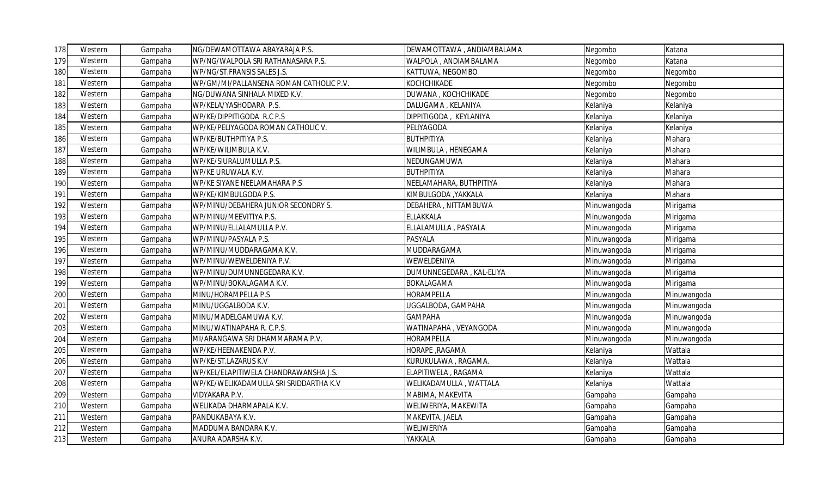| 178 | Western | Gampaha | NG/DEWAMOTTAWA ABAYARAJA P.S.           | DEWAMOTTAWA, ANDIAMBALAMA | Negombo     | Katana      |
|-----|---------|---------|-----------------------------------------|---------------------------|-------------|-------------|
| 179 | Western | Gampaha | WP/NG/WALPOLA SRI RATHANASARA P.S.      | WALPOLA, ANDIAMBALAMA     | Negombo     | Katana      |
| 180 | Western | Gampaha | WP/NG/ST.FRANSIS SALES J.S.             | KATTUWA, NEGOMBO          | Negombo     | Negombo     |
| 181 | Western | Gampaha | WP/GM/MI/PALLANSENA ROMAN CATHOLIC P.V. | KOCHCHIKADE               | Negombo     | Negombo     |
| 182 | Western | Gampaha | NG/DUWANA SINHALA MIXED K.V.            | DUWANA, KOCHCHIKADE       | Negombo     | Negombo     |
| 183 | Western | Gampaha | WP/KELA/YASHODARA P.S.                  | DALUGAMA, KELANIYA        | Kelaniya    | Kelaniya    |
| 184 | Western | Gampaha | WP/KE/DIPPITIGODA R.C P.S               | DIPPITIGODA, KEYLANIYA    | Kelaniya    | Kelaniya    |
| 185 | Western | Gampaha | WP/KE/PELIYAGODA ROMAN CATHOLIC V.      | PELIYAGODA                | Kelaniya    | Kelaniya    |
| 186 | Western | Gampaha | WP/KE/BUTHPITIYA P.S.                   | <b>BUTHPITIYA</b>         | Kelaniya    | Mahara      |
| 187 | Western | Gampaha | WP/KE/WILIMBULA K.V.                    | WILIMBULA, HENEGAMA       | Kelaniya    | Mahara      |
| 188 | Western | Gampaha | WP/KE/SIURALUMULLA P.S.                 | NEDUNGAMUWA               | Kelaniya    | Mahara      |
| 189 | Western | Gampaha | WP/KE URUWALA K.V.                      | <b>BUTHPITIYA</b>         | Kelaniya    | Mahara      |
| 190 | Western | Gampaha | WP/KE SIYANE NEELAMAHARA P.S            | NEELAMAHARA, BUTHPITIYA   | Kelaniya    | Mahara      |
| 191 | Western | Gampaha | WP/KE/KIMBULGODA P.S.                   | KIMBULGODA ,YAKKALA       | Kelaniya    | Mahara      |
| 192 | Western | Gampaha | WP/MINU/DEBAHERA JUNIOR SECONDRY S.     | DEBAHERA, NITTAMBUWA      | Minuwangoda | Mirigama    |
| 193 | Western | Gampaha | WP/MINU/MEEVITIYA P.S.                  | ELLAKKALA                 | Minuwangoda | Mirigama    |
| 194 | Western | Gampaha | WP/MINU/ELLALAMULLA P.V.                | ELLALAMULLA, PASYALA      | Minuwangoda | Mirigama    |
| 195 | Western | Gampaha | WP/MINU/PASYALA P.S.                    | <b>PASYALA</b>            | Minuwangoda | Mirigama    |
| 196 | Western | Gampaha | WP/MINU/MUDDARAGAMA K.V.                | MUDDARAGAMA               | Minuwangoda | Mirigama    |
| 197 | Western | Gampaha | WP/MINU/WEWELDENIYA P.V.                | WEWELDENIYA               | Minuwangoda | Mirigama    |
| 198 | Western | Gampaha | WP/MINU/DUMUNNEGEDARA K.V.              | DUMUNNEGEDARA, KAL-ELIYA  | Minuwangoda | Mirigama    |
| 199 | Western | Gampaha | WP/MINU/BOKALAGAMA K.V.                 | <b>BOKALAGAMA</b>         | Minuwangoda | Mirigama    |
| 200 | Western | Gampaha | MINU/HORAMPELLA P.S                     | HORAMPELLA                | Minuwangoda | Minuwangoda |
| 201 | Western | Gampaha | MINU/UGGALBODA K.V.                     | UGGALBODA, GAMPAHA        | Minuwangoda | Minuwangoda |
| 202 | Western | Gampaha | MINU/MADELGAMUWA K.V.                   | <b>GAMPAHA</b>            | Minuwangoda | Minuwangoda |
| 203 | Western | Gampaha | MINU/WATINAPAHA R. C.P.S.               | WATINAPAHA, VEYANGODA     | Minuwangoda | Minuwangoda |
| 204 | Western | Gampaha | MI/ARANGAWA SRI DHAMMARAMA P.V.         | HORAMPELLA                | Minuwangoda | Minuwangoda |
| 205 | Western | Gampaha | WP/KE/HEENAKENDA P.V.                   | HORAPE, RAGAMA            | Kelaniya    | Wattala     |
| 206 | Western | Gampaha | WP/KE/ST.LAZARUS K.V                    | KURUKULAWA, RAGAMA.       | Kelaniya    | Wattala     |
| 207 | Western | Gampaha | WP/KEL/ELAPITIWELA CHANDRAWANSHA J.S.   | ELAPITIWELA, RAGAMA       | Kelaniya    | Wattala     |
| 208 | Western | Gampaha | WP/KE/WELIKADAMULLA SRI SRIDDARTHA K.V  | WELIKADAMULLA, WATTALA    | Kelaniya    | Wattala     |
| 209 | Western | Gampaha | VIDYAKARA P.V.                          | MABIMA, MAKEVITA          | Gampaha     | Gampaha     |
| 210 | Western | Gampaha | WELIKADA DHARMAPALA K.V.                | WELIWERIYA, MAKEWITA      | Gampaha     | Gampaha     |
| 211 | Western | Gampaha | PANDUKABAYA K.V.                        | MAKEVITA, JAELA           | Gampaha     | Gampaha     |
| 212 | Western | Gampaha | MADDUMA BANDARA K.V.                    | WELIWERIYA                | Gampaha     | Gampaha     |
| 213 | Western | Gampaha | ANURA ADARSHA K.V.                      | YAKKALA                   | Gampaha     | Gampaha     |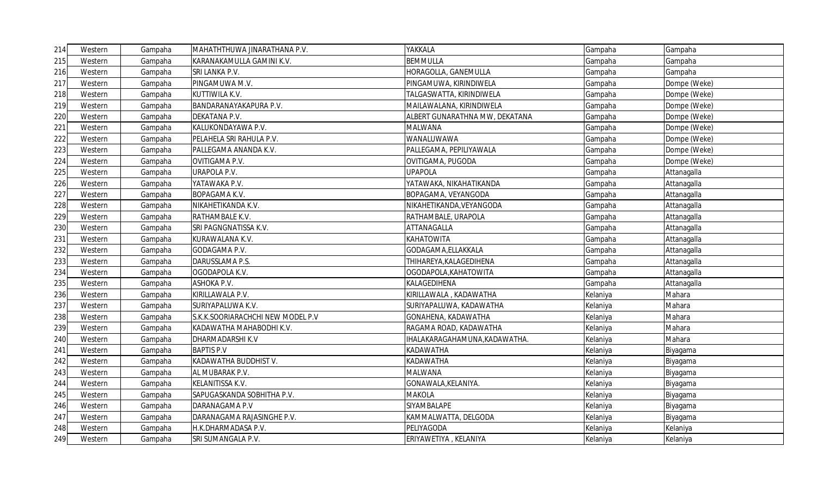| 214 | Western | Gampaha | MAHATHTHUWA JINARATHANA P.V.      | YAKKALA                        | Gampaha  | Gampaha      |
|-----|---------|---------|-----------------------------------|--------------------------------|----------|--------------|
| 215 | Western | Gampaha | KARANAKAMULLA GAMINI K.V.         | <b>BEMMULLA</b>                | Gampaha  | Gampaha      |
| 216 | Western | Gampaha | SRI LANKA P.V.                    | HORAGOLLA, GANEMULLA           | Gampaha  | Gampaha      |
| 217 | Western | Gampaha | PINGAMUWA M.V.                    | PINGAMUWA, KIRINDIWELA         | Gampaha  | Dompe (Weke) |
| 218 | Western | Gampaha | KUTTIWILA K.V.                    | TALGASWATTA, KIRINDIWELA       | Gampaha  | Dompe (Weke) |
| 219 | Western | Gampaha | BANDARANAYAKAPURA P.V.            | MAILAWALANA, KIRINDIWELA       | Gampaha  | Dompe (Weke) |
| 220 | Western | Gampaha | DEKATANA P.V.                     | ALBERT GUNARATHNA MW, DEKATANA | Gampaha  | Dompe (Weke) |
| 221 | Western | Gampaha | KALUKONDAYAWA P.V.                | MALWANA                        | Gampaha  | Dompe (Weke) |
| 222 | Western | Gampaha | PELAHELA SRI RAHULA P.V.          | WANALUWAWA                     | Gampaha  | Dompe (Weke) |
| 223 | Western | Gampaha | PALLEGAMA ANANDA K.V.             | PALLEGAMA, PEPILIYAWALA        | Gampaha  | Dompe (Weke) |
| 224 | Western | Gampaha | OVITIGAMA P.V.                    | OVITIGAMA, PUGODA              | Gampaha  | Dompe (Weke) |
| 225 | Western | Gampaha | URAPOLA P.V.                      | <b>UPAPOLA</b>                 | Gampaha  | Attanagalla  |
| 226 | Western | Gampaha | YATAWAKA P.V.                     | YATAWAKA, NIKAHATIKANDA        | Gampaha  | Attanagalla  |
| 227 | Western | Gampaha | BOPAGAMA K.V.                     | BOPAGAMA, VEYANGODA            | Gampaha  | Attanagalla  |
| 228 | Western | Gampaha | NIKAHETIKANDA K.V.                | NIKAHETIKANDA, VEYANGODA       | Gampaha  | Attanagalla  |
| 229 | Western | Gampaha | RATHAMBALE K.V.                   | RATHAMBALE, URAPOLA            | Gampaha  | Attanagalla  |
| 230 | Western | Gampaha | SRI PAGNGNATISSA K.V.             | ATTANAGALLA                    | Gampaha  | Attanagalla  |
| 231 | Western | Gampaha | KURAWALANA K.V.                   | KAHATOWITA                     | Gampaha  | Attanagalla  |
| 232 | Western | Gampaha | GODAGAMA P.V.                     | GODAGAMA, ELLAKKALA            | Gampaha  | Attanagalla  |
| 233 | Western | Gampaha | DARUSSLAMA P.S.                   | THIHAREYA, KALAGEDIHENA        | Gampaha  | Attanagalla  |
| 234 | Western | Gampaha | OGODAPOLA K.V.                    | OGODAPOLA, KAHATOWITA          | Gampaha  | Attanagalla  |
| 235 | Western | Gampaha | ASHOKA P.V.                       | KALAGEDIHENA                   | Gampaha  | Attanagalla  |
| 236 | Western | Gampaha | KIRILLAWALA P.V.                  | KIRILLAWALA, KADAWATHA         | Kelaniya | Mahara       |
| 237 | Western | Gampaha | SURIYAPALUWA K.V.                 | SURIYAPALUWA, KADAWATHA        | Kelaniya | Mahara       |
| 238 | Western | Gampaha | S.K.K.SOORIARACHCHI NEW MODEL P.V | GONAHENA, KADAWATHA            | Kelaniya | Mahara       |
| 239 | Western | Gampaha | KADAWATHA MAHABODHI K.V.          | RAGAMA ROAD, KADAWATHA         | Kelaniya | Mahara       |
| 240 | Western | Gampaha | DHARMADARSHI K.V                  | IHALAKARAGAHAMUNA,KADAWATHA.   | Kelaniya | Mahara       |
| 241 | Western | Gampaha | <b>BAPTIS P.V</b>                 | KADAWATHA                      | Kelaniya | Biyagama     |
| 242 | Western | Gampaha | KADAWATHA BUDDHIST V.             | KADAWATHA                      | Kelaniya | Biyagama     |
| 243 | Western | Gampaha | AL MUBARAK P.V.                   | MALWANA                        | Kelaniya | Biyagama     |
| 244 | Western | Gampaha | KELANITISSA K.V.                  | GONAWALA, KELANIYA.            | Kelaniya | Biyagama     |
| 245 | Western | Gampaha | SAPUGASKANDA SOBHITHA P.V.        | MAKOLA                         | Kelaniya | Biyagama     |
| 246 | Western | Gampaha | DARANAGAMA P.V                    | SIYAMBALAPE                    | Kelaniya | Biyagama     |
| 247 | Western | Gampaha | DARANAGAMA RAJASINGHE P.V.        | KAMMALWATTA, DELGODA           | Kelaniya | Biyagama     |
| 248 | Western | Gampaha | H.K.DHARMADASA P.V.               | PELIYAGODA                     | Kelaniya | Kelaniya     |
| 249 | Western | Gampaha | SRI SUMANGALA P.V.                | ERIYAWETIYA, KELANIYA          | Kelaniya | Kelaniya     |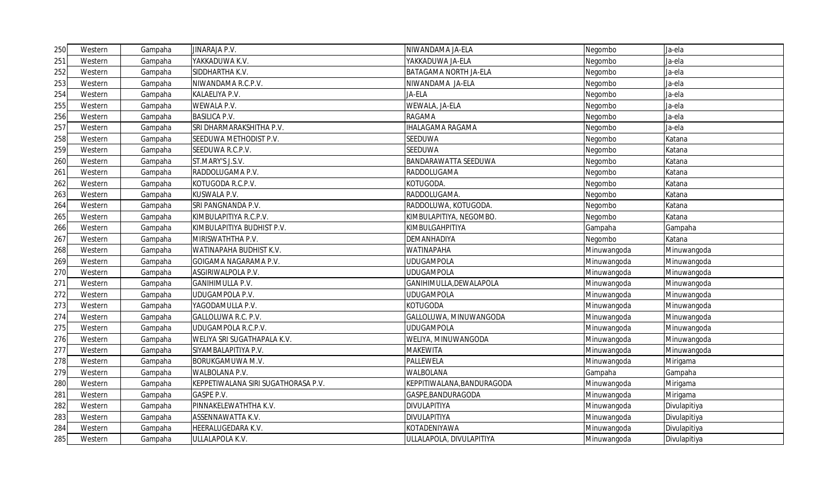| 250 | Western | Gampaha | JINARAJA P.V.                       | NIWANDAMA JA-ELA               | Negombo     | Ja-ela       |
|-----|---------|---------|-------------------------------------|--------------------------------|-------------|--------------|
| 251 | Western | Gampaha | YAKKADUWA K.V.                      | YAKKADUWA JA-ELA               | Negombo     | Ja-ela       |
| 252 | Western | Gampaha | SIDDHARTHA K.V.                     | BATAGAMA NORTH JA-ELA          | Negombo     | Ja-ela       |
| 253 | Western | Gampaha | NIWANDAMA R.C.P.V.                  | NIWANDAMA JA-ELA               | Negombo     | Ja-ela       |
| 254 | Western | Gampaha | KALAELIYA P.V.                      | JA-ELA                         | Negombo     | Ja-ela       |
| 255 | Western | Gampaha | WEWALA P.V.                         | WEWALA, JA-ELA                 | Negombo     | Ja-ela       |
| 256 | Western | Gampaha | <b>BASILICA P.V.</b>                | <b>RAGAMA</b>                  | Negombo     | Ja-ela       |
| 257 | Western | Gampaha | SRI DHARMARAKSHITHA P.V.            | <b>IHALAGAMA RAGAMA</b>        | Negombo     | Ja-ela       |
| 258 | Western | Gampaha | SEEDUWA METHODIST P.V.              | SEEDUWA                        | Negombo     | Katana       |
| 259 | Western | Gampaha | SEEDUWA R.C.P.V.                    | <b>SEEDUWA</b>                 | Negombo     | Katana       |
| 260 | Western | Gampaha | ST.MARY'S J.S.V.                    | <b>BANDARAWATTA SEEDUWA</b>    | Negombo     | Katana       |
| 261 | Western | Gampaha | RADDOLUGAMA P.V.                    | RADDOLUGAMA                    | Negombo     | Katana       |
| 262 | Western | Gampaha | KOTUGODA R.C.P.V.                   | KOTUGODA.                      | Negombo     | Katana       |
| 263 | Western | Gampaha | KUSWALA P.V.                        | RADDOLUGAMA.                   | Negombo     | Katana       |
| 264 | Western | Gampaha | SRI PANGNANDA P.V.                  | RADDOLUWA, KOTUGODA.           | Negombo     | Katana       |
| 265 | Western | Gampaha | KIMBULAPITIYA R.C.P.V.              | <b>KIMBULAPITIYA, NEGOMBO.</b> | Negombo     | Katana       |
| 266 | Western | Gampaha | KIMBULAPITIYA BUDHIST P.V.          | KIMBULGAHPITIYA                | Gampaha     | Gampaha      |
| 267 | Western | Gampaha | MIRISWATHTHA P.V.                   | DEMANHADIYA                    | Negombo     | Katana       |
| 268 | Western | Gampaha | WATINAPAHA BUDHIST K.V.             | <b>WATINAPAHA</b>              | Minuwangoda | Minuwangoda  |
| 269 | Western | Gampaha | GOIGAMA NAGARAMA P.V.               | <b>UDUGAMPOLA</b>              | Minuwangoda | Minuwangoda  |
| 270 | Western | Gampaha | ASGIRIWALPOLA P.V.                  | <b>UDUGAMPOLA</b>              | Minuwangoda | Minuwangoda  |
| 271 | Western | Gampaha | GANIHIMULLA P.V.                    | GANIHIMULLA, DEWALAPOLA        | Minuwangoda | Minuwangoda  |
| 272 | Western | Gampaha | UDUGAMPOLA P.V.                     | <b>UDUGAMPOLA</b>              | Minuwangoda | Minuwangoda  |
| 273 | Western | Gampaha | YAGODAMULLA P.V.                    | <b>KOTUGODA</b>                | Minuwangoda | Minuwangoda  |
| 274 | Western | Gampaha | GALLOLUWA R.C. P.V.                 | GALLOLUWA, MINUWANGODA         | Minuwangoda | Minuwangoda  |
| 275 | Western | Gampaha | UDUGAMPOLA R.C.P.V.                 | <b>UDUGAMPOLA</b>              | Minuwangoda | Minuwangoda  |
| 276 | Western | Gampaha | WELIYA SRI SUGATHAPALA K.V.         | WELIYA, MINUWANGODA            | Minuwangoda | Minuwangoda  |
| 277 | Western | Gampaha | SIYAMBALAPITIYA P.V.                | <b>MAKEWITA</b>                | Minuwangoda | Minuwangoda  |
| 278 | Western | Gampaha | BORUKGAMUWA M.V.                    | PALLEWELA                      | Minuwangoda | Mirigama     |
| 279 | Western | Gampaha | WALBOLANA P.V.                      | WALBOLANA                      | Gampaha     | Gampaha      |
| 280 | Western | Gampaha | KEPPETIWALANA SIRI SUGATHORASA P.V. | KEPPITIWALANA, BANDURAGODA     | Minuwangoda | Mirigama     |
| 281 | Western | Gampaha | GASPE P.V.                          | GASPE, BANDURAGODA             | Minuwangoda | Mirigama     |
| 282 | Western | Gampaha | PINNAKELEWATHTHA K.V.               | <b>DIVULAPITIYA</b>            | Minuwangoda | Divulapitiya |
| 283 | Western | Gampaha | ASSENNAWATTA K.V.                   | <b>DIVULAPITIYA</b>            | Minuwangoda | Divulapitiya |
| 284 | Western | Gampaha | HEERALUGEDARA K.V.                  | KOTADENIYAWA                   | Minuwangoda | Divulapitiya |
| 285 | Western | Gampaha | ULLALAPOLA K.V.                     | ULLALAPOLA, DIVULAPITIYA       | Minuwangoda | Divulapitiya |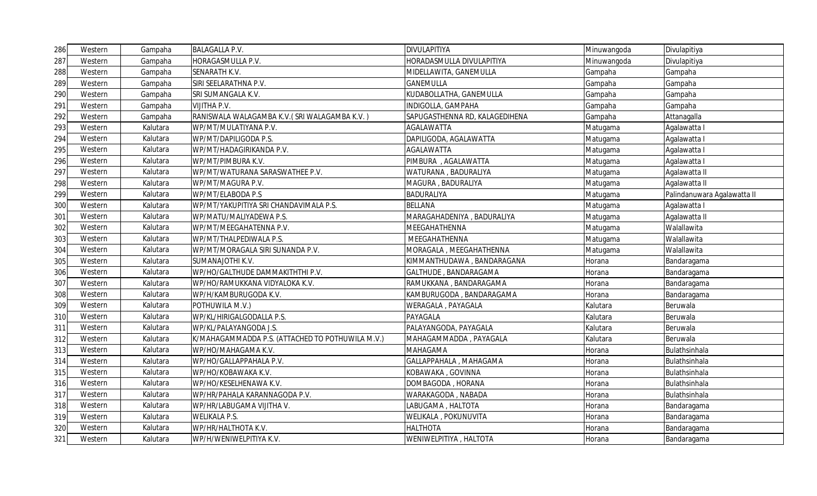| 286 | Western | Gampaha  | <b>BALAGALLA P.V.</b>                            | <b>DIVULAPITIYA</b>            | Minuwangoda | Divulapitiya                |
|-----|---------|----------|--------------------------------------------------|--------------------------------|-------------|-----------------------------|
| 287 | Western | Gampaha  | HORAGASMULLA P.V.                                | HORADASMULLA DIVULAPITIYA      | Minuwangoda | Divulapitiya                |
| 288 | Western | Gampaha  | SENARATH K.V.                                    | MIDELLAWITA, GANEMULLA         | Gampaha     | Gampaha                     |
| 289 | Western | Gampaha  | SIRI SEELARATHNA P.V.                            | GANEMULLA                      | Gampaha     | Gampaha                     |
| 290 | Western | Gampaha  | SRI SUMANGALA K.V.                               | KUDABOLLATHA, GANEMULLA        | Gampaha     | Gampaha                     |
| 291 | Western | Gampaha  | <b>VIJITHA P.V.</b>                              | INDIGOLLA, GAMPAHA             | Gampaha     | Gampaha                     |
| 292 | Western | Gampaha  | RANISWALA WALAGAMBA K.V. (SRI WALAGAMBA K.V.)    | SAPUGASTHENNA RD, KALAGEDIHENA | Gampaha     | Attanagalla                 |
| 293 | Western | Kalutara | WP/MT/MULATIYANA P.V.                            | AGALAWATTA                     | Matugama    | Agalawatta I                |
| 294 | Western | Kalutara | WP/MT/DAPILIGODA P.S.                            | DAPILIGODA, AGALAWATTA         | Matugama    | Agalawatta I                |
| 295 | Western | Kalutara | WP/MT/HADAGIRIKANDA P.V.                         | AGALAWATTA                     | Matugama    | Agalawatta I                |
| 296 | Western | Kalutara | WP/MT/PIMBURA K.V.                               | PIMBURA, AGALAWATTA            | Matugama    | Agalawatta I                |
| 297 | Western | Kalutara | WP/MT/WATURANA SARASWATHEE P.V.                  | WATURANA, BADURALIYA           | Matugama    | Agalawatta II               |
| 298 | Western | Kalutara | WP/MT/MAGURA P.V.                                | MAGURA, BADURALIYA             | Matugama    | Agalawatta II               |
| 299 | Western | Kalutara | WP/MT/ELABODA P.S                                | BADURALIYA                     | Matugama    | Palindanuwara Agalawatta II |
| 300 | Western | Kalutara | WP/MT/YAKUPITIYA SRI CHANDAVIMALA P.S.           | <b>BELLANA</b>                 | Matugama    | Agalawatta I                |
| 301 | Western | Kalutara | WP/MATU/MALIYADEWA P.S.                          | MARAGAHADENIYA , BADURALIYA    | Matugama    | Agalawatta II               |
| 302 | Western | Kalutara | WP/MT/MEEGAHATENNA P.V.                          | MEEGAHATHENNA                  | Matugama    | Walallawita                 |
| 303 | Western | Kalutara | WP/MT/THALPEDIWALA P.S.                          | MEEGAHATHENNA                  | Matugama    | Walallawita                 |
| 304 | Western | Kalutara | WP/MT/MORAGALA SIRI SUNANDA P.V.                 | MORAGALA, MEEGAHATHENNA        | Matugama    | Walallawita                 |
| 305 | Western | Kalutara | SUMANAJOTHI K.V.                                 | KIMMANTHUDAWA, BANDARAGANA     | Horana      | Bandaragama                 |
| 306 | Western | Kalutara | WP/HO/GALTHUDE DAMMAKITHTHI P.V.                 | GALTHUDE, BANDARAGAMA          | Horana      | Bandaragama                 |
| 307 | Western | Kalutara | WP/HO/RAMUKKANA VIDYALOKA K.V.                   | RAMUKKANA, BANDARAGAMA         | Horana      | Bandaragama                 |
| 308 | Western | Kalutara | WP/H/KAMBURUGODA K.V.                            | KAMBURUGODA, BANDARAGAMA       | Horana      | Bandaragama                 |
| 309 | Western | Kalutara | POTHUWILA M.V.)                                  | WERAGALA, PAYAGALA             | Kalutara    | Beruwala                    |
| 310 | Western | Kalutara | WP/KL/HIRIGALGODALLA P.S.                        | PAYAGALA                       | Kalutara    | Beruwala                    |
| 311 | Western | Kalutara | WP/KL/PALAYANGODA J.S.                           | PALAYANGODA, PAYAGALA          | Kalutara    | Beruwala                    |
| 312 | Western | Kalutara | K/MAHAGAMMADDA P.S. (ATTACHED TO POTHUWILA M.V.) | MAHAGAMMADDA, PAYAGALA         | Kalutara    | Beruwala                    |
| 313 | Western | Kalutara | WP/HO/MAHAGAMA K.V.                              | MAHAGAMA                       | Horana      | Bulathsinhala               |
| 314 | Western | Kalutara | WP/HO/GALLAPPAHALA P.V.                          | GALLAPPAHALA, MAHAGAMA         | Horana      | Bulathsinhala               |
| 315 | Western | Kalutara | WP/HO/KOBAWAKA K.V.                              | KOBAWAKA, GOVINNA              | Horana      | Bulathsinhala               |
| 316 | Western | Kalutara | WP/HO/KESELHENAWA K.V.                           | DOMBAGODA, HORANA              | Horana      | Bulathsinhala               |
| 317 | Western | Kalutara | WP/HR/PAHALA KARANNAGODA P.V.                    | WARAKAGODA, NABADA             | Horana      | Bulathsinhala               |
| 318 | Western | Kalutara | WP/HR/LABUGAMA VIJITHA V.                        | LABUGAMA, HALTOTA              | Horana      | Bandaragama                 |
| 319 | Western | Kalutara | <b>WELIKALA P.S.</b>                             | WELIKALA, POKUNUVITA           | Horana      | Bandaragama                 |
| 320 | Western | Kalutara | WP/HR/HALTHOTA K.V.                              | <b>HALTHOTA</b>                | Horana      | Bandaragama                 |
| 321 | Western | Kalutara | WP/H/WENIWELPITIYA K.V.                          | WENIWELPITIYA, HALTOTA         | Horana      | Bandaragama                 |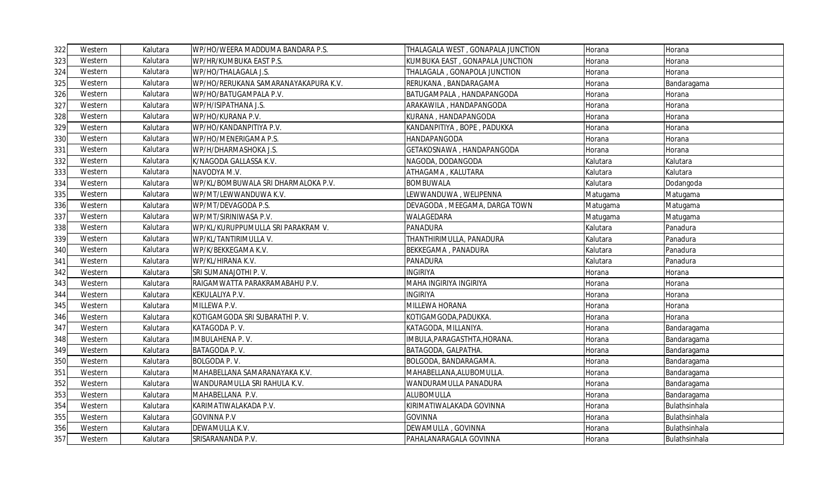| 322 | Western | Kalutara | WP/HO/WEERA MADDUMA BANDARA P.S.     | THALAGALA WEST, GONAPALA JUNCTION | Horana   | Horana        |
|-----|---------|----------|--------------------------------------|-----------------------------------|----------|---------------|
| 323 | Western | Kalutara | WP/HR/KUMBUKA EAST P.S.              | KUMBUKA EAST, GONAPALA JUNCTION   | Horana   | Horana        |
| 324 | Western | Kalutara | WP/HO/THALAGALA J.S.                 | THALAGALA, GONAPOLA JUNCTION      | Horana   | Horana        |
| 325 | Western | Kalutara | WP/HO/RERUKANA SAMARANAYAKAPURA K.V. | RERUKANA, BANDARAGAMA             | Horana   | Bandaragama   |
| 326 | Western | Kalutara | WP/HO/BATUGAMPALA P.V.               | BATUGAMPALA , HANDAPANGODA        | Horana   | Horana        |
| 327 | Western | Kalutara | WP/H/ISIPATHANA J.S.                 | ARAKAWILA, HANDAPANGODA           | Horana   | Horana        |
| 328 | Western | Kalutara | WP/HO/KURANA P.V.                    | KURANA, HANDAPANGODA              | Horana   | Horana        |
| 329 | Western | Kalutara | WP/HO/KANDANPITIYA P.V.              | KANDANPITIYA , BOPE , PADUKKA     | Horana   | Horana        |
| 330 | Western | Kalutara | WP/HO/MENERIGAMA P.S.                | HANDAPANGODA                      | Horana   | Horana        |
| 331 | Western | Kalutara | WP/H/DHARMASHOKA J.S.                | GETAKOSNAWA, HANDAPANGODA         | Horana   | Horana        |
| 332 | Western | Kalutara | K/NAGODA GALLASSA K.V.               | NAGODA, DODANGODA                 | Kalutara | Kalutara      |
| 333 | Western | Kalutara | NAVODYA M.V.                         | ATHAGAMA, KALUTARA                | Kalutara | Kalutara      |
| 334 | Western | Kalutara | WP/KL/BOMBUWALA SRI DHARMALOKA P.V.  | <b>BOMBUWALA</b>                  | Kalutara | Dodangoda     |
| 335 | Western | Kalutara | WP/MT/LEWWANDUWA K.V.                | LEWWANDUWA, WELIPENNA             | Matugama | Matugama      |
| 336 | Western | Kalutara | WP/MT/DEVAGODA P.S.                  | DEVAGODA, MEEGAMA, DARGA TOWN     | Matugama | Matugama      |
| 337 | Western | Kalutara | WP/MT/SIRINIWASA P.V.                | WALAGEDARA                        | Matugama | Matugama      |
| 338 | Western | Kalutara | WP/KL/KURUPPUMULLA SRI PARAKRAM V.   | PANADURA                          | Kalutara | Panadura      |
| 339 | Western | Kalutara | WP/KL/TANTIRIMULLA V.                | THANTHIRIMULLA, PANADURA          | Kalutara | Panadura      |
| 340 | Western | Kalutara | WP/K/BEKKEGAMA K.V.                  | BEKKEGAMA, PANADURA               | Kalutara | Panadura      |
| 341 | Western | Kalutara | WP/KL/HIRANA K.V.                    | PANADURA                          | Kalutara | Panadura      |
| 342 | Western | Kalutara | SRI SUMANAJOTHI P. V.                | <b>INGIRIYA</b>                   | Horana   | Horana        |
| 343 | Western | Kalutara | RAIGAMWATTA PARAKRAMABAHU P.V.       | MAHA INGIRIYA INGIRIYA            | Horana   | Horana        |
| 344 | Western | Kalutara | KEKULALIYA P.V.                      | <b>INGIRIYA</b>                   | Horana   | Horana        |
| 345 | Western | Kalutara | MILLEWA P.V.                         | MILLEWA HORANA                    | Horana   | Horana        |
| 346 | Western | Kalutara | KOTIGAMGODA SRI SUBARATHI P. V.      | KOTIGAMGODA,PADUKKA.              | Horana   | Horana        |
| 347 | Western | Kalutara | KATAGODA P.V.                        | KATAGODA, MILLANIYA.              | Horana   | Bandaragama   |
| 348 | Western | Kalutara | IMBULAHENA P.V.                      | IMBULA, PARAGASTHTA, HORANA.      | Horana   | Bandaragama   |
| 349 | Western | Kalutara | BATAGODA P.V.                        | BATAGODA, GALPATHA.               | Horana   | Bandaragama   |
| 350 | Western | Kalutara | BOLGODA P.V.                         | BOLGODA, BANDARAGAMA.             | Horana   | Bandaragama   |
| 351 | Western | Kalutara | MAHABELLANA SAMARANAYAKA K.V.        | MAHABELLANA,ALUBOMULLA.           | Horana   | Bandaragama   |
| 352 | Western | Kalutara | WANDURAMULLA SRI RAHULA K.V.         | WANDURAMULLA PANADURA             | Horana   | Bandaragama   |
| 353 | Western | Kalutara | MAHABELLANA P.V.                     | <b>ALUBOMULLA</b>                 | Horana   | Bandaragama   |
| 354 | Western | Kalutara | KARIMATIWALAKADA P.V.                | KIRIMATIWALAKADA GOVINNA          | Horana   | Bulathsinhala |
| 355 | Western | Kalutara | <b>GOVINNA P.V</b>                   | <b>GOVINNA</b>                    | Horana   | Bulathsinhala |
| 356 | Western | Kalutara | DEWAMULLA K.V.                       | DEWAMULLA, GOVINNA                | Horana   | Bulathsinhala |
| 357 | Western | Kalutara | SRISARANANDA P.V.                    | PAHALANARAGALA GOVINNA            | Horana   | Bulathsinhala |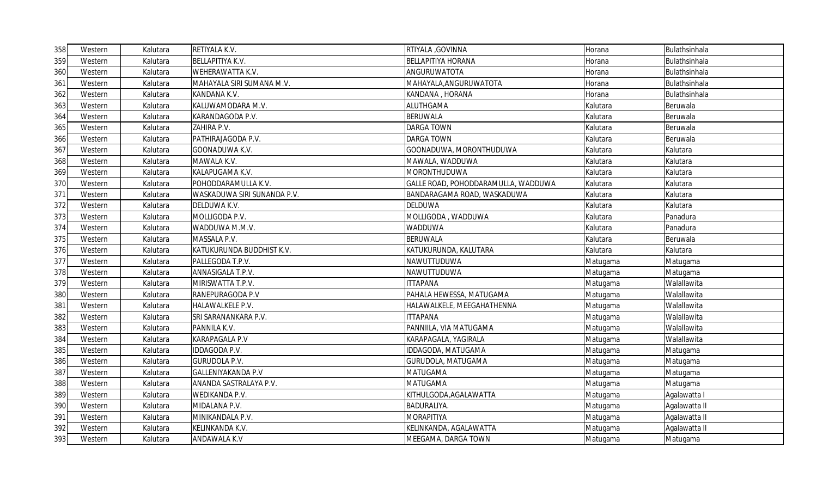| 358 | Western | Kalutara | RETIYALA K.V.               | RTIYALA, GOVINNA                    | Horana   | Bulathsinhala |
|-----|---------|----------|-----------------------------|-------------------------------------|----------|---------------|
| 359 | Western | Kalutara | BELLAPITIYA K.V.            | <b>BELLAPITIYA HORANA</b>           | Horana   | Bulathsinhala |
| 360 | Western | Kalutara | WEHERAWATTA K.V.            | ANGURUWATOTA                        | Horana   | Bulathsinhala |
| 361 | Western | Kalutara | MAHAYALA SIRI SUMANA M.V.   | MAHAYALA, ANGURUWATOTA              | Horana   | Bulathsinhala |
| 362 | Western | Kalutara | KANDANA K.V.                | KANDANA, HORANA                     | Horana   | Bulathsinhala |
| 363 | Western | Kalutara | KALUWAMODARA M.V.           | <b>ALUTHGAMA</b>                    | Kalutara | Beruwala      |
| 364 | Western | Kalutara | KARANDAGODA P.V.            | <b>BERUWALA</b>                     | Kalutara | Beruwala      |
| 365 | Western | Kalutara | ZAHIRA P.V.                 | <b>DARGA TOWN</b>                   | Kalutara | Beruwala      |
| 366 | Western | Kalutara | PATHIRAJAGODA P.V.          | <b>DARGA TOWN</b>                   | Kalutara | Beruwala      |
| 367 | Western | Kalutara | GOONADUWA K.V.              | GOONADUWA, MORONTHUDUWA             | Kalutara | Kalutara      |
| 368 | Western | Kalutara | MAWALA K.V.                 | MAWALA, WADDUWA                     | Kalutara | Kalutara      |
| 369 | Western | Kalutara | KALAPUGAMA K.V.             | MORONTHUDUWA                        | Kalutara | Kalutara      |
| 370 | Western | Kalutara | POHODDARAMULLA K.V.         | GALLE ROAD, POHODDARAMULLA, WADDUWA | Kalutara | Kalutara      |
| 371 | Western | Kalutara | WASKADUWA SIRI SUNANDA P.V. | BANDARAGAMA ROAD, WASKADUWA         | Kalutara | Kalutara      |
| 372 | Western | Kalutara | DELDUWA K.V.                | <b>DELDUWA</b>                      | Kalutara | Kalutara      |
| 373 | Western | Kalutara | MOLLIGODA P.V.              | MOLLIGODA, WADDUWA                  | Kalutara | Panadura      |
| 374 | Western | Kalutara | WADDUWA M.M.V.              | WADDUWA                             | Kalutara | Panadura      |
| 375 | Western | Kalutara | MASSALA P.V.                | <b>BERUWALA</b>                     | Kalutara | Beruwala      |
| 376 | Western | Kalutara | KATUKURUNDA BUDDHIST K.V.   | KATUKURUNDA, KALUTARA               | Kalutara | Kalutara      |
| 377 | Western | Kalutara | PALLEGODA T.P.V.            | NAWUTTUDUWA                         | Matugama | Matugama      |
| 378 | Western | Kalutara | ANNASIGALA T.P.V.           | NAWUTTUDUWA                         | Matugama | Matugama      |
| 379 | Western | Kalutara | MIRISWATTA T.P.V.           | <b>ITTAPANA</b>                     | Matugama | Walallawita   |
| 380 | Western | Kalutara | RANEPURAGODA P.V            | PAHALA HEWESSA, MATUGAMA            | Matugama | Walallawita   |
| 381 | Western | Kalutara | HALAWALKELE P.V.            | HALAWALKELE, MEEGAHATHENNA          | Matugama | Walallawita   |
| 382 | Western | Kalutara | SRI SARANANKARA P.V.        | <b>ITTAPANA</b>                     | Matugama | Walallawita   |
| 383 | Western | Kalutara | PANNILA K.V.                | PANNIILA, VIA MATUGAMA              | Matugama | Walallawita   |
| 384 | Western | Kalutara | KARAPAGALA P.V              | KARAPAGALA, YAGIRALA                | Matugama | Walallawita   |
| 385 | Western | Kalutara | <b>IDDAGODA P.V.</b>        | <b>IDDAGODA, MATUGAMA</b>           | Matugama | Matugama      |
| 386 | Western | Kalutara | <b>GURUDOLA P.V.</b>        | GURUDOLA, MATUGAMA                  | Matugama | Matugama      |
| 387 | Western | Kalutara | GALLENIYAKANDA P.V          | MATUGAMA                            | Matugama | Matugama      |
| 388 | Western | Kalutara | ANANDA SASTRALAYA P.V.      | <b>MATUGAMA</b>                     | Matugama | Matugama      |
| 389 | Western | Kalutara | WEDIKANDA P.V.              | KITHULGODA, AGALAWATTA              | Matugama | Agalawatta I  |
| 390 | Western | Kalutara | MIDALANA P.V.               | BADURALIYA.                         | Matugama | Agalawatta II |
| 391 | Western | Kalutara | MINIKANDALA P.V.            | <b>MORAPITIYA</b>                   | Matugama | Agalawatta II |
| 392 | Western | Kalutara | KELINKANDA K.V.             | KELINKANDA, AGALAWATTA              | Matugama | Agalawatta II |
| 393 | Western | Kalutara | <b>ANDAWALA K.V</b>         | MEEGAMA, DARGA TOWN                 | Matugama | Matugama      |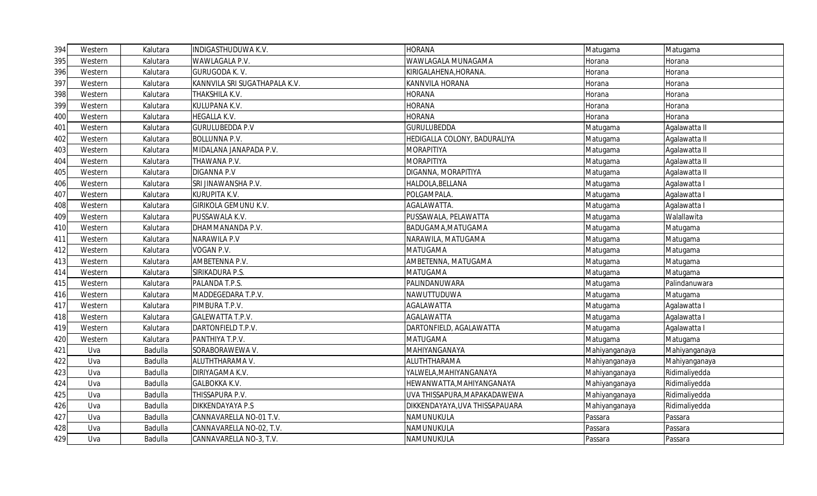| 394 | Western | Kalutara | INDIGASTHUDUWA K.V.           | <b>HORANA</b>                  | Matugama      | Matugama      |
|-----|---------|----------|-------------------------------|--------------------------------|---------------|---------------|
| 395 | Western | Kalutara | WAWLAGALA P.V.                | WAWLAGALA MUNAGAMA             | Horana        | Horana        |
| 396 | Western | Kalutara | GURUGODA K.V.                 | KIRIGALAHENA,HORANA.           | Horana        | Horana        |
| 397 | Western | Kalutara | KANNVILA SRI SUGATHAPALA K.V. | KANNVILA HORANA                | Horana        | Horana        |
| 398 | Western | Kalutara | THAKSHILA K.V.                | HORANA                         | Horana        | Horana        |
| 399 | Western | Kalutara | KULUPANA K.V.                 | HORANA                         | Horana        | Horana        |
| 400 | Western | Kalutara | HEGALLA K.V.                  | <b>HORANA</b>                  | Horana        | Horana        |
| 401 | Western | Kalutara | <b>GURULUBEDDA P.V</b>        | <b>GURULUBEDDA</b>             | Matugama      | Agalawatta II |
| 402 | Western | Kalutara | <b>BOLLUNNA P.V.</b>          | HEDIGALLA COLONY, BADURALIYA   | Matugama      | Agalawatta II |
| 403 | Western | Kalutara | MIDALANA JANAPADA P.V.        | <b>MORAPITIYA</b>              | Matugama      | Agalawatta II |
| 404 | Western | Kalutara | THAWANA P.V.                  | <b>MORAPITIYA</b>              | Matugama      | Agalawatta II |
| 405 | Western | Kalutara | <b>DIGANNA P.V</b>            | DIGANNA, MORAPITIYA            | Matugama      | Agalawatta II |
| 406 | Western | Kalutara | SRI JINAWANSHA P.V.           | HALDOLA, BELLANA               | Matugama      | Agalawatta I  |
| 407 | Western | Kalutara | KURUPITA K.V.                 | POLGAMPALA.                    | Matugama      | Agalawatta I  |
| 408 | Western | Kalutara | GIRIKOLA GEMUNU K.V.          | AGALAWATTA.                    | Matugama      | Agalawatta I  |
| 409 | Western | Kalutara | PUSSAWALA K.V.                | PUSSAWALA, PELAWATTA           | Matugama      | Walallawita   |
| 410 | Western | Kalutara | DHAMMANANDA P.V.              | BADUGAMA, MATUGAMA             | Matugama      | Matugama      |
| 411 | Western | Kalutara | NARAWILA P.V                  | NARAWILA, MATUGAMA             | Matugama      | Matugama      |
| 412 | Western | Kalutara | VOGAN P.V.                    | <b>MATUGAMA</b>                | Matugama      | Matugama      |
| 413 | Western | Kalutara | AMBETENNA P.V.                | AMBETENNA, MATUGAMA            | Matugama      | Matugama      |
| 414 | Western | Kalutara | SIRIKADURA P.S.               | <b>MATUGAMA</b>                | Matugama      | Matugama      |
| 415 | Western | Kalutara | PALANDA T.P.S.                | PALINDANUWARA                  | Matugama      | Palindanuwara |
| 416 | Western | Kalutara | MADDEGEDARA T.P.V.            | NAWUTTUDUWA                    | Matugama      | Matugama      |
| 417 | Western | Kalutara | PIMBURA T.P.V.                | AGALAWATTA                     | Matugama      | Agalawatta I  |
| 418 | Western | Kalutara | <b>GALEWATTA T.P.V.</b>       | <b>AGALAWATTA</b>              | Matugama      | Agalawatta I  |
| 419 | Western | Kalutara | DARTONFIELD T.P.V.            | DARTONFIELD, AGALAWATTA        | Matugama      | Agalawatta I  |
| 420 | Western | Kalutara | PANTHIYA T.P.V.               | MATUGAMA                       | Matugama      | Matugama      |
| 421 | Uva     | Badulla  | SORABORAWEWA V.               | MAHIYANGANAYA                  | Mahiyanganaya | Mahiyanganaya |
| 422 | Uva     | Badulla  | ALUTHTHARAMA V.               | ALUTHTHARAMA                   | Mahiyanganaya | Mahiyanganaya |
| 423 | Uva     | Badulla  | DIRIYAGAMA K.V.               | YALWELA, MAHIYANGANAYA         | Mahiyanganaya | Ridimaliyedda |
| 424 | Uva     | Badulla  | GALBOKKA K.V.                 | HEWANWATTA, MAHIYANGANAYA      | Mahiyanganaya | Ridimaliyedda |
| 425 | Uva     | Badulla  | THISSAPURA P.V.               | UVA THISSAPURA, MAPAKADAWEWA   | Mahiyanganaya | Ridimaliyedda |
| 426 | Uva     | Badulla  | DIKKENDAYAYA P.S              | DIKKENDAYAYA, UVA THISSAPAUARA | Mahiyanganaya | Ridimaliyedda |
| 427 | Uva     | Badulla  | CANNAVARELLA NO-01 T.V.       | NAMUNUKULA                     | Passara       | Passara       |
| 428 | Uva     | Badulla  | CANNAVARELLA NO-02, T.V.      | NAMUNUKULA                     | Passara       | Passara       |
| 429 | Uva     | Badulla  | CANNAVARELLA NO-3, T.V.       | NAMUNUKULA                     | Passara       | Passara       |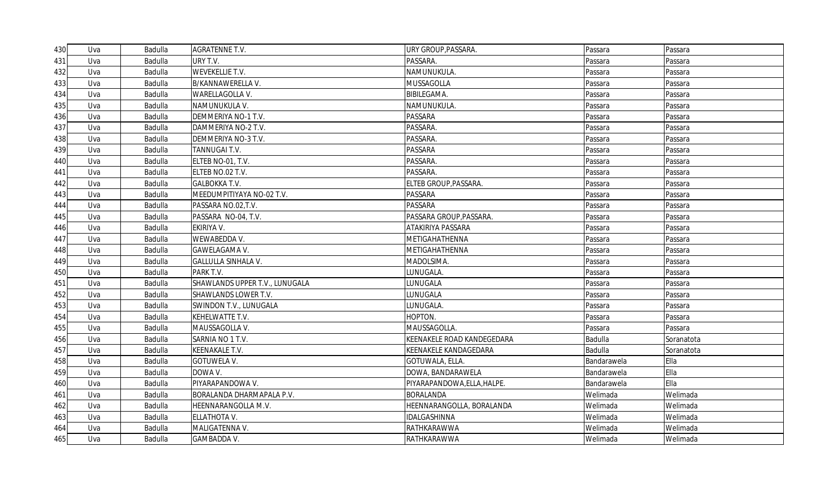| 430 | Uva | Badulla | <b>AGRATENNE T.V.</b>          | URY GROUP, PASSARA.         | Passara     | Passara    |
|-----|-----|---------|--------------------------------|-----------------------------|-------------|------------|
| 431 | Uva | Badulla | URY T.V.                       | PASSARA.                    | Passara     | Passara    |
| 432 | Uva | Badulla | <b>WEVEKELLIE T.V.</b>         | NAMUNUKULA.                 | Passara     | Passara    |
| 433 | Uva | Badulla | B/KANNAWERELLA V.              | MUSSAGOLLA                  | Passara     | Passara    |
| 434 | Uva | Badulla | WARELLAGOLLA V.                | BIBILEGAMA.                 | Passara     | Passara    |
| 435 | Uva | Badulla | NAMUNUKULA V.                  | NAMUNUKULA.                 | Passara     | Passara    |
| 436 | Uva | Badulla | DEMMERIYA NO-1 T.V.            | <b>PASSARA</b>              | Passara     | Passara    |
| 437 | Uva | Badulla | DAMMERIYA NO-2 T.V.            | PASSARA.                    | Passara     | Passara    |
| 438 | Uva | Badulla | DEMMERIYA NO-3 T.V.            | PASSARA.                    | Passara     | Passara    |
| 439 | Uva | Badulla | TANNUGAI T.V.                  | PASSARA                     | Passara     | Passara    |
| 440 | Uva | Badulla | ELTEB NO-01, T.V.              | PASSARA.                    | Passara     | Passara    |
| 441 | Uva | Badulla | ELTEB NO.02 T.V.               | PASSARA.                    | Passara     | Passara    |
| 442 | Uva | Badulla | <b>GALBOKKA T.V.</b>           | ELTEB GROUP, PASSARA.       | Passara     | Passara    |
| 443 | Uva | Badulla | MEEDUMPITIYAYA NO-02 T.V.      | PASSARA                     | Passara     | Passara    |
| 444 | Uva | Badulla | PASSARA NO.02, T.V.            | PASSARA                     | Passara     | Passara    |
| 445 | Uva | Badulla | PASSARA NO-04, T.V.            | PASSARA GROUP, PASSARA.     | Passara     | Passara    |
| 446 | Uva | Badulla | EKIRIYA V.                     | ATAKIRIYA PASSARA           | Passara     | Passara    |
| 447 | Uva | Badulla | WEWABEDDA V.                   | METIGAHATHENNA              | Passara     | Passara    |
| 448 | Uva | Badulla | GAWELAGAMA V.                  | METIGAHATHENNA              | Passara     | Passara    |
| 449 | Uva | Badulla | <b>GALLULLA SINHALA V.</b>     | MADOLSIMA.                  | Passara     | Passara    |
| 450 | Uva | Badulla | PARK T.V.                      | LUNUGALA.                   | Passara     | Passara    |
| 451 | Uva | Badulla | SHAWLANDS UPPER T.V., LUNUGALA | LUNUGALA                    | Passara     | Passara    |
| 452 | Uva | Badulla | SHAWLANDS LOWER T.V.           | LUNUGALA                    | Passara     | Passara    |
| 453 | Uva | Badulla | <b>SWINDON T.V., LUNUGALA</b>  | LUNUGALA.                   | Passara     | Passara    |
| 454 | Uva | Badulla | KEHELWATTE T.V.                | HOPTON.                     | Passara     | Passara    |
| 455 | Uva | Badulla | MAUSSAGOLLA V.                 | MAUSSAGOLLA.                | Passara     | Passara    |
| 456 | Uva | Badulla | SARNIA NO 1 T.V.               | KEENAKELE ROAD KANDEGEDARA  | Badulla     | Soranatota |
| 457 | Uva | Badulla | KEENAKALE T.V.                 | KEENAKELE KANDAGEDARA       | Badulla     | Soranatota |
| 458 | Uva | Badulla | <b>GOTUWELA V.</b>             | GOTUWALA, ELLA.             | Bandarawela | Ella       |
| 459 | Uva | Badulla | DOWA V.                        | DOWA, BANDARAWELA           | Bandarawela | Ella       |
| 460 | Uva | Badulla | PIYARAPANDOWA V.               | PIYARAPANDOWA, ELLA, HALPE. | Bandarawela | Ella       |
| 461 | Uva | Badulla | BORALANDA DHARMAPALA P.V.      | <b>BORALANDA</b>            | Welimada    | Welimada   |
| 462 | Uva | Badulla | HEENNARANGOLLA M.V.            | HEENNARANGOLLA, BORALANDA   | Welimada    | Welimada   |
| 463 | Uva | Badulla | ELLATHOTA V.                   | IDALGASHINNA                | Welimada    | Welimada   |
| 464 | Uva | Badulla | MALIGATENNA V.                 | RATHKARAWWA                 | Welimada    | Welimada   |
| 465 | Uva | Badulla | GAMBADDA V.                    | RATHKARAWWA                 | Welimada    | Welimada   |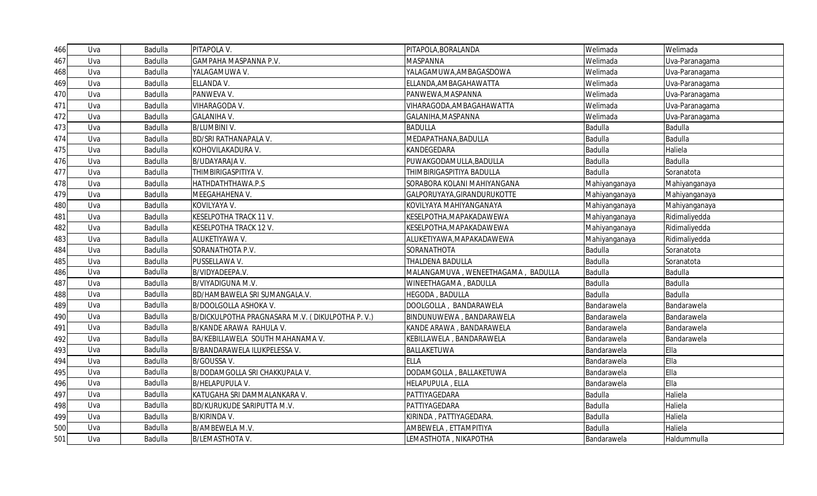| 466 | Uva | Badulla        | PITAPOLA V.                                     | PITAPOLA, BORALANDA                | Welimada       | Welimada       |
|-----|-----|----------------|-------------------------------------------------|------------------------------------|----------------|----------------|
| 467 | Uva | Badulla        | GAMPAHA MASPANNA P.V.                           | MASPANNA                           | Welimada       | Uva-Paranagama |
| 468 | Uva | Badulla        | YALAGAMUWA V.                                   | YALAGAMUWA,AMBAGASDOWA             | Welimada       | Uva-Paranagama |
| 469 | Uva | Badulla        | ELLANDA V.                                      | ELLANDA, AMBAGAHAWATTA             | Welimada       | Uva-Paranagama |
| 470 | Uva | Badulla        | PANWEVA V.                                      | PANWEWA, MASPANNA                  | Welimada       | Uva-Paranagama |
| 471 | Uva | Badulla        | VIHARAGODA V.                                   | VIHARAGODA, AMBAGAHAWATTA          | Welimada       | Uva-Paranagama |
| 472 | Uva | Badulla        | <b>GALANIHA V.</b>                              | GALANIHA, MASPANNA                 | Welimada       | Uva-Paranagama |
| 473 | Uva | Badulla        | <b>B/LUMBINI V.</b>                             | <b>BADULLA</b>                     | Badulla        | Badulla        |
| 474 | Uva | Badulla        | BD/SRI RATHANAPALA V.                           | MEDAPATHANA, BADULLA               | Badulla        | Badulla        |
| 475 | Uva | Badulla        | KOHOVILAKADURA V.                               | KANDEGEDARA                        | Badulla        | Haliela        |
| 476 | Uva | Badulla        | B/UDAYARAJA V.                                  | PUWAKGODAMULLA, BADULLA            | Badulla        | <b>Badulla</b> |
| 477 | Uva | Badulla        | THIMBIRIGASPITIYA V.                            | THIMBIRIGASPITIYA BADULLA          | <b>Badulla</b> | Soranatota     |
| 478 | Uva | Badulla        | HATHDATHTHAWA.P.S                               | SORABORA KOLANI MAHIYANGANA        | Mahiyanganaya  | Mahiyanganaya  |
| 479 | Uva | Badulla        | MEEGAHAHENA V.                                  | GALPORUYAYA, GIRANDURUKOTTE        | Mahiyanganaya  | Mahiyanganaya  |
| 480 | Uva | Badulla        | KOVILYAYA V.                                    | KOVILYAYA MAHIYANGANAYA            | Mahiyanganaya  | Mahiyanganaya  |
| 481 | Uva | Badulla        | KESELPOTHA TRACK 11 V.                          | KESELPOTHA,MAPAKADAWEWA            | Mahiyanganaya  | Ridimaliyedda  |
| 482 | Uva | Badulla        | KESELPOTHA TRACK 12 V.                          | KESELPOTHA,MAPAKADAWEWA            | Mahiyanganaya  | Ridimaliyedda  |
| 483 | Uva | Badulla        | ALUKETIYAWA V.                                  | ALUKETIYAWA, MAPAKADAWEWA          | Mahiyanganaya  | Ridimaliyedda  |
| 484 | Uva | Badulla        | SORANATHOTA P.V.                                | SORANATHOTA                        | Badulla        | Soranatota     |
| 485 | Uva | Badulla        | PUSSELLAWA V.                                   | THALDENA BADULLA                   | Badulla        | Soranatota     |
| 486 | Uva | <b>Badulla</b> | B/VIDYADEEPA.V.                                 | MALANGAMUVA, WENEETHAGAMA, BADULLA | Badulla        | Badulla        |
| 487 | Uva | Badulla        | B/VIYADIGUNA M.V.                               | WINEETHAGAMA, BADULLA              | Badulla        | Badulla        |
| 488 | Uva | Badulla        | BD/HAMBAWELA SRI SUMANGALA.V.                   | HEGODA, BADULLA                    | Badulla        | <b>Badulla</b> |
| 489 | Uva | <b>Badulla</b> | <b>B/DOOLGOLLA ASHOKA V.</b>                    | DOOLGOLLA, BANDARAWELA             | Bandarawela    | Bandarawela    |
| 490 | Uva | Badulla        | B/DICKULPOTHA PRAGNASARA M.V. (DIKULPOTHA P.V.) | BINDUNUWEWA, BANDARAWELA           | Bandarawela    | Bandarawela    |
| 491 | Uva | Badulla        | B/KANDE ARAWA RAHULA V.                         | KANDE ARAWA, BANDARAWELA           | Bandarawela    | Bandarawela    |
| 492 | Uva | <b>Badulla</b> | BA/KEBILLAWELA SOUTH MAHANAMA V.                | KEBILLAWELA, BANDARAWELA           | Bandarawela    | Bandarawela    |
| 493 | Uva | Badulla        | B/BANDARAWELA ILUKPELESSA V.                    | BALLAKETUWA                        | Bandarawela    | Ella           |
| 494 | Uva | Badulla        | B/GOUSSA V.                                     | <b>ELLA</b>                        | Bandarawela    | Ella           |
| 495 | Uva | Badulla        | B/DODAMGOLLA SRI CHAKKUPALA V.                  | DODAMGOLLA, BALLAKETUWA            | Bandarawela    | Ella           |
| 496 | Uva | Badulla        | <b>B/HELAPUPULA V.</b>                          | HELAPUPULA, ELLA                   | Bandarawela    | Ella           |
| 497 | Uva | Badulla        | KATUGAHA SRI DAMMALANKARA V.                    | PATTIYAGEDARA                      | Badulla        | Haliela        |
| 498 | Uva | <b>Badulla</b> | BD/KURUKUDE SARIPUTTA M.V.                      | PATTIYAGEDARA                      | <b>Badulla</b> | Haliela        |
| 499 | Uva | Badulla        | B/KIRINDA V.                                    | KIRINDA, PATTIYAGEDARA.            | Badulla        | Haliela        |
|     |     |                |                                                 |                                    |                |                |
| 500 | Uva | Badulla        | B/AMBEWELA M.V.                                 | AMBEWELA, ETTAMPITIYA              | Badulla        | Haliela        |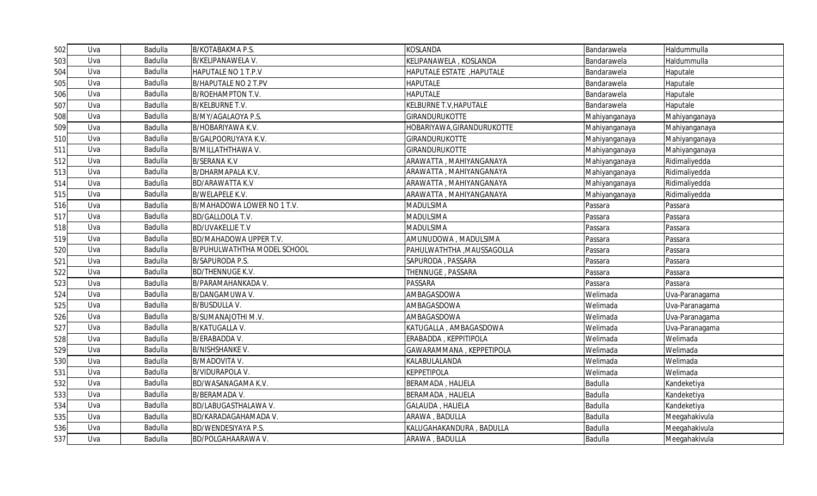| 502 | Uva | Badulla | <b>B/KOTABAKMA P.S.</b>            | <b>KOSLANDA</b>            | Bandarawela   | Haldummulla    |
|-----|-----|---------|------------------------------------|----------------------------|---------------|----------------|
| 503 | Uva | Badulla | B/KELIPANAWELA V.                  | KELIPANAWELA, KOSLANDA     | Bandarawela   | Haldummulla    |
| 504 | Uva | Badulla | HAPUTALE NO 1 T.P.V                | HAPUTALE ESTATE , HAPUTALE | Bandarawela   | Haputale       |
| 505 | Uva | Badulla | <b>B/HAPUTALE NO 2 T.PV</b>        | <b>HAPUTALE</b>            | Bandarawela   | Haputale       |
| 506 | Uva | Badulla | <b>B/ROEHAMPTON T.V.</b>           | <b>HAPUTALE</b>            | Bandarawela   | Haputale       |
| 507 | Uva | Badulla | <b>B/KELBURNE T.V.</b>             | KELBURNE T.V, HAPUTALE     | Bandarawela   | Haputale       |
| 508 | Uva | Badulla | B/MY/AGALAOYA P.S.                 | <b>GIRANDURUKOTTE</b>      | Mahiyanganaya | Mahiyanganaya  |
| 509 | Uva | Badulla | B/HOBARIYAWA K.V.                  | HOBARIYAWA, GIRANDURUKOTTE | Mahiyanganaya | Mahiyanganaya  |
| 510 | Uva | Badulla | B/GALPOORUYAYA K.V.                | <b>GIRANDURUKOTTE</b>      | Mahiyanganaya | Mahiyanganaya  |
| 511 | Uva | Badulla | <b>B/MILLATHTHAWA V.</b>           | <b>GIRANDURUKOTTE</b>      | Mahiyanganaya | Mahiyanganaya  |
| 512 | Uva | Badulla | <b>B/SERANA K.V</b>                | ARAWATTA, MAHIYANGANAYA    | Mahiyanganaya | Ridimaliyedda  |
| 513 | Uva | Badulla | B/DHARMAPALA K.V.                  | ARAWATTA, MAHIYANGANAYA    | Mahiyanganaya | Ridimaliyedda  |
| 514 | Uva | Badulla | <b>BD/ARAWATTA K.V</b>             | ARAWATTA, MAHIYANGANAYA    | Mahiyanganaya | Ridimaliyedda  |
| 515 | Uva | Badulla | <b>B/WELAPELE K.V.</b>             | ARAWATTA, MAHIYANGANAYA    | Mahiyanganaya | Ridimaliyedda  |
| 516 | Uva | Badulla | B/MAHADOWA LOWER NO 1 T.V.         | <b>MADULSIMA</b>           | Passara       | Passara        |
| 517 | Uva | Badulla | BD/GALLOOLA T.V.                   | <b>MADULSIMA</b>           | Passara       | Passara        |
| 518 | Uva | Badulla | <b>BD/UVAKELLIE T.V</b>            | <b>MADULSIMA</b>           | Passara       | Passara        |
| 519 | Uva | Badulla | BD/MAHADOWA UPPER T.V.             | AMUNUDOWA, MADULSIMA       | Passara       | Passara        |
| 520 | Uva | Badulla | <b>B/PUHULWATHTHA MODEL SCHOOL</b> | PAHULWATHTHA , MAUSSAGOLLA | Passara       | Passara        |
| 521 | Uva | Badulla | <b>B/SAPURODA P.S.</b>             | SAPURODA, PASSARA          | Passara       | Passara        |
| 522 | Uva | Badulla | <b>BD/THENNUGE K.V.</b>            | THENNUGE, PASSARA          | Passara       | Passara        |
| 523 | Uva | Badulla | B/PARAMAHANKADA V.                 | <b>PASSARA</b>             | Passara       | Passara        |
| 524 | Uva | Badulla | B/DANGAMUWA V.                     | AMBAGASDOWA                | Welimada      | Uva-Paranagama |
| 525 | Uva | Badulla | <b>B/BUSDULLA V.</b>               | AMBAGASDOWA                | Welimada      | Uva-Paranagama |
| 526 | Uva | Badulla | B/SUMANAJOTHI M.V.                 | AMBAGASDOWA                | Welimada      | Uva-Paranagama |
| 527 | Uva | Badulla | B/KATUGALLA V.                     | KATUGALLA, AMBAGASDOWA     | Welimada      | Uva-Paranagama |
| 528 | Uva | Badulla | <b>B/ERABADDA V.</b>               | ERABADDA, KEPPITIPOLA      | Welimada      | Welimada       |
| 529 | Uva | Badulla | <b>B/NISHSHANKE V.</b>             | GAWARAMMANA, KEPPETIPOLA   | Welimada      | Welimada       |
| 530 | Uva | Badulla | <b>B/MADOVITA V.</b>               | KALABULALANDA              | Welimada      | Welimada       |
| 531 | Uva | Badulla | <b>B/VIDURAPOLA V.</b>             | <b>KEPPETIPOLA</b>         | Welimada      | Welimada       |
| 532 | Uva | Badulla | BD/WASANAGAMA K.V.                 | <b>BERAMADA, HALIELA</b>   | Badulla       | Kandeketiya    |
| 533 | Uva | Badulla | <b>B/BERAMADA V.</b>               | <b>BERAMADA, HALIELA</b>   | Badulla       | Kandeketiya    |
| 534 | Uva | Badulla | BD/LABUGASTHALAWA V.               | GALAUDA, HALIELA           | Badulla       | Kandeketiya    |
| 535 | Uva | Badulla | BD/KARADAGAHAMADA V.               | ARAWA, BADULLA             | Badulla       | Meegahakivula  |
| 536 | Uva | Badulla | BD/WENDESIYAYA P.S.                | KALUGAHAKANDURA, BADULLA   | Badulla       | Meegahakivula  |
| 537 | Uva | Badulla | <b>BD/POLGAHAARAWA V.</b>          | ARAWA, BADULLA             | Badulla       | Meegahakivula  |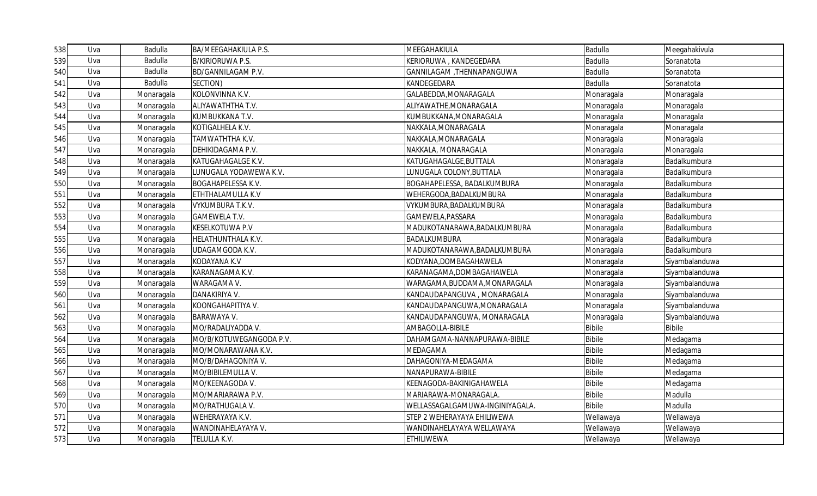| 538 | Uva | Badulla    | BA/MEEGAHAKIULA P.S.      | MEEGAHAKIULA                   | Badulla       | Meegahakivula  |
|-----|-----|------------|---------------------------|--------------------------------|---------------|----------------|
| 539 | Uva | Badulla    | <b>B/KIRIORUWA P.S.</b>   | KERIORUWA, KANDEGEDARA         | Badulla       | Soranatota     |
| 540 | Uva | Badulla    | BD/GANNILAGAM P.V.        | GANNILAGAM , THENNAPANGUWA     | Badulla       | Soranatota     |
| 541 | Uva | Badulla    | SECTION)                  | KANDEGEDARA                    | Badulla       | Soranatota     |
| 542 | Uva | Monaragala | KOLONVINNA K.V.           | GALABEDDA, MONARAGALA          | Monaragala    | Monaragala     |
| 543 | Uva | Monaragala | ALIYAWATHTHA T.V.         | ALIYAWATHE, MONARAGALA         | Monaragala    | Monaragala     |
| 544 | Uva | Monaragala | KUMBUKKANA T.V.           | KUMBUKKANA, MONARAGALA         | Monaragala    | Monaragala     |
| 545 | Uva | Monaragala | KOTIGALHELA K.V.          | NAKKALA, MONARAGALA            | Monaragala    | Monaragala     |
| 546 | Uva | Monaragala | TAMWATHTHA K.V.           | NAKKALA, MONARAGALA            | Monaragala    | Monaragala     |
| 547 | Uva | Monaragala | DEHIKIDAGAMA P.V.         | NAKKALA, MONARAGALA            | Monaragala    | Monaragala     |
| 548 | Uva | Monaragala | KATUGAHAGALGE K.V.        | KATUGAHAGALGE, BUTTALA         | Monaragala    | Badalkumbura   |
| 549 | Uva | Monaragala | LUNUGALA YODAWEWA K.V.    | LUNUGALA COLONY, BUTTALA       | Monaragala    | Badalkumbura   |
| 550 | Uva | Monaragala | <b>BOGAHAPELESSA K.V.</b> | BOGAHAPELESSA, BADALKUMBURA    | Monaragala    | Badalkumbura   |
| 551 | Uva | Monaragala | ETHTHALAMULLA K.V         | WEHERGODA, BADALKUMBURA        | Monaragala    | Badalkumbura   |
| 552 | Uva | Monaragala | VYKUMBURA T.K.V.          | VYKUMBURA, BADALKUMBURA        | Monaragala    | Badalkumbura   |
| 553 | Uva | Monaragala | <b>GAMEWELA T.V.</b>      | GAMEWELA, PASSARA              | Monaragala    | Badalkumbura   |
| 554 | Uva | Monaragala | <b>KESELKOTUWA P.V</b>    | MADUKOTANARAWA, BADALKUMBURA   | Monaragala    | Badalkumbura   |
| 555 | Uva | Monaragala | HELATHUNTHALA K.V.        | BADALKUMBURA                   | Monaragala    | Badalkumbura   |
| 556 | Uva | Monaragala | UDAGAMGODA K.V.           | MADUKOTANARAWA, BADALKUMBURA   | Monaragala    | Badalkumbura   |
| 557 | Uva | Monaragala | <b>KODAYANA K.V</b>       | KODYANA, DOMBAGAHAWELA         | Monaragala    | Siyambalanduwa |
| 558 | Uva | Monaragala | KARANAGAMA K.V.           | KARANAGAMA, DOMBAGAHAWELA      | Monaragala    | Siyambalanduwa |
| 559 | Uva | Monaragala | WARAGAMA V.               | WARAGAMA, BUDDAMA, MONARAGALA  | Monaragala    | Siyambalanduwa |
| 560 | Uva | Monaragala | DANAKIRIYA V.             | KANDAUDAPANGUVA, MONARAGALA    | Monaragala    | Siyambalanduwa |
| 561 | Uva | Monaragala | KOONGAHAPITIYA V.         | KANDAUDAPANGUWA, MONARAGALA    | Monaragala    | Siyambalanduwa |
| 562 | Uva | Monaragala | <b>BARAWAYA V.</b>        | KANDAUDAPANGUWA, MONARAGALA    | Monaragala    | Siyambalanduwa |
| 563 | Uva | Monaragala | MO/RADALIYADDA V.         | AMBAGOLLA-BIBILE               | <b>Bibile</b> | <b>Bibile</b>  |
| 564 | Uva | Monaragala | MO/B/KOTUWEGANGODA P.V.   | DAHAMGAMA-NANNAPURAWA-BIBILE   | <b>Bibile</b> | Medagama       |
| 565 | Uva | Monaragala | MO/MONARAWANA K.V.        | MEDAGAMA                       | <b>Bibile</b> | Medagama       |
| 566 | Uva | Monaragala | MO/B/DAHAGONIYA V.        | DAHAGONIYA-MEDAGAMA            | <b>Bibile</b> | Medagama       |
| 567 | Uva | Monaragala | MO/BIBILEMULLA V.         | NANAPURAWA-BIBILE              | <b>Bibile</b> | Medagama       |
| 568 | Uva | Monaragala | MO/KEENAGODA V.           | KEENAGODA-BAKINIGAHAWELA       | <b>Bibile</b> | Medagama       |
| 569 | Uva | Monaragala | MO/MARIARAWA P.V.         | MARIARAWA-MONARAGALA.          | <b>Bibile</b> | Madulla        |
| 570 | Uva | Monaragala | MO/RATHUGALA V.           | WELLASSAGALGAMUWA-INGINIYAGALA | <b>Bibile</b> | Madulla        |
| 571 | Uva | Monaragala | WEHERAYAYA K.V.           | STEP 2 WEHERAYAYA EHILIWEWA    | Wellawaya     | Wellawaya      |
| 572 | Uva | Monaragala | WANDINAHELAYAYA V.        | WANDINAHELAYAYA WELLAWAYA      | Wellawaya     | Wellawaya      |
| 573 | Uva | Monaragala | TELULLA K.V.              | <b>ETHILIWEWA</b>              | Wellawaya     | Wellawaya      |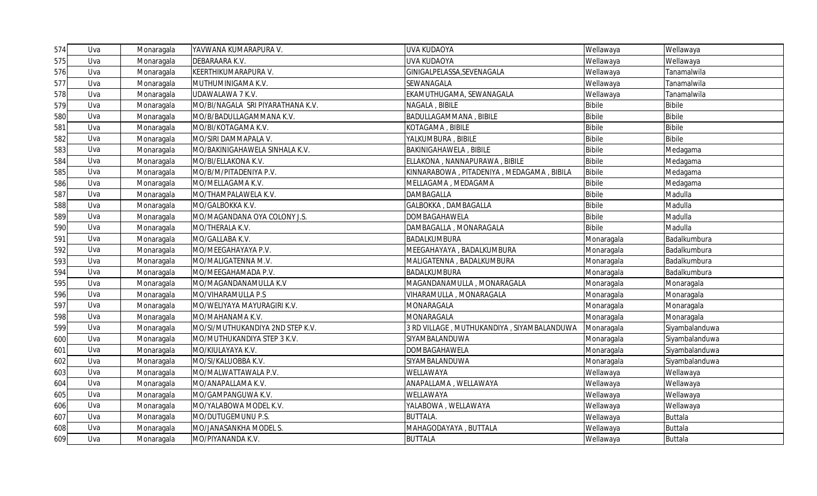| 574 | Uva | Monaragala | YAVWANA KUMARAPURA V.             | <b>UVA KUDAOYA</b>                         | Wellawaya     | Wellawaya      |
|-----|-----|------------|-----------------------------------|--------------------------------------------|---------------|----------------|
| 575 | Uva | Monaragala | DEBARAARA K.V.                    | <b>UVA KUDAOYA</b>                         | Wellawaya     | Wellawaya      |
| 576 | Uva | Monaragala | KEERTHIKUMARAPURA V.              | GINIGALPELASSA, SEVENAGALA                 | Wellawaya     | Tanamalwila    |
| 577 | Uva | Monaragala | MUTHUMINIGAMA K.V.                | SEWANAGALA                                 | Wellawaya     | Tanamalwila    |
| 578 | Uva | Monaragala | UDAWALAWA 7 K.V.                  | EKAMUTHUGAMA, SEWANAGALA                   | Wellawaya     | Tanamalwila    |
| 579 | Uva | Monaragala | MO/BI/NAGALA SRI PIYARATHANA K.V. | NAGALA, BIBILE                             | <b>Bibile</b> | <b>Bibile</b>  |
| 580 | Uva | Monaragala | MO/B/BADULLAGAMMANA K.V.          | BADULLAGAMMANA, BIBILE                     | <b>Bibile</b> | <b>Bibile</b>  |
| 581 | Uva | Monaragala | MO/BI/KOTAGAMA K.V.               | KOTAGAMA, BIBILE                           | <b>Bibile</b> | <b>Bibile</b>  |
| 582 | Uva | Monaragala | MO/SIRI DAMMAPALA V.              | YALKUMBURA, BIBILE                         | <b>Bibile</b> | <b>Bibile</b>  |
| 583 | Uva | Monaragala | MO/BAKINIGAHAWELA SINHALA K.V.    | <b>BAKINIGAHAWELA, BIBILE</b>              | <b>Bibile</b> | Medagama       |
| 584 | Uva | Monaragala | MO/BI/ELLAKONA K.V.               | ELLAKONA, NANNAPURAWA, BIBILE              | <b>Bibile</b> | Medagama       |
| 585 | Uva | Monaragala | MO/B/M/PITADENIYA P.V.            | KINNARABOWA, PITADENIYA, MEDAGAMA, BIBILA  | <b>Bibile</b> | Medagama       |
| 586 | Uva | Monaragala | MO/MELLAGAMA K.V.                 | MELLAGAMA, MEDAGAMA                        | <b>Bibile</b> | Medagama       |
| 587 | Uva | Monaragala | MO/THAMPALAWELA K.V.              | <b>DAMBAGALLA</b>                          | <b>Bibile</b> | Madulla        |
| 588 | Uva | Monaragala | MO/GALBOKKA K.V.                  | GALBOKKA, DAMBAGALLA                       | <b>Bibile</b> | Madulla        |
| 589 | Uva | Monaragala | MO/MAGANDANA OYA COLONY J.S.      | DOMBAGAHAWELA                              | <b>Bibile</b> | Madulla        |
| 590 | Uva | Monaragala | MO/THERALA K.V.                   | DAMBAGALLA, MONARAGALA                     | <b>Bibile</b> | Madulla        |
| 591 | Uva | Monaragala | MO/GALLABA K.V.                   | BADALKUMBURA                               | Monaragala    | Badalkumbura   |
| 592 | Uva | Monaragala | MO/MEEGAHAYAYA P.V.               | MEEGAHAYAYA, BADALKUMBURA                  | Monaragala    | Badalkumbura   |
| 593 | Uva | Monaragala | MO/MALIGATENNA M.V.               | MALIGATENNA, BADALKUMBURA                  | Monaragala    | Badalkumbura   |
| 594 | Uva | Monaragala | MO/MEEGAHAMADA P.V.               | BADALKUMBURA                               | Monaragala    | Badalkumbura   |
| 595 | Uva | Monaragala | MO/MAGANDANAMULLA K.V             | MAGANDANAMULLA, MONARAGALA                 | Monaragala    | Monaragala     |
| 596 | Uva | Monaragala | MO/VIHARAMULLA P.S                | VIHARAMULLA, MONARAGALA                    | Monaragala    | Monaragala     |
| 597 | Uva | Monaragala | MO/WELIYAYA MAYURAGIRI K.V.       | MONARAGALA                                 | Monaragala    | Monaragala     |
| 598 | Uva | Monaragala | MO/MAHANAMA K.V.                  | <b>MONARAGALA</b>                          | Monaragala    | Monaragala     |
| 599 | Uva | Monaragala | MO/SI/MUTHUKANDIYA 2ND STEP K.V.  | 3 RD VILLAGE, MUTHUKANDIYA, SIYAMBALANDUWA | Monaragala    | Siyambalanduwa |
| 600 | Uva | Monaragala | MO/MUTHUKANDIYA STEP 3 K.V.       | SIYAMBALANDUWA                             | Monaragala    | Siyambalanduwa |
| 601 | Uva | Monaragala | MO/KIULAYAYA K.V.                 | DOMBAGAHAWELA                              | Monaragala    | Siyambalanduwa |
| 602 | Uva | Monaragala | MO/SI/KALUOBBA K.V.               | SIYAMBALANDUWA                             | Monaragala    | Siyambalanduwa |
| 603 | Uva | Monaragala | MO/MALWATTAWALA P.V.              | WELLAWAYA                                  | Wellawaya     | Wellawaya      |
| 604 | Uva | Monaragala | MO/ANAPALLAMA K.V.                | ANAPALLAMA, WELLAWAYA                      | Wellawaya     | Wellawaya      |
| 605 | Uva | Monaragala | MO/GAMPANGUWA K.V.                | WELLAWAYA                                  | Wellawaya     | Wellawaya      |
| 606 | Uva | Monaragala | MO/YALABOWA MODEL K.V.            | YALABOWA, WELLAWAYA                        | Wellawaya     | Wellawaya      |
| 607 | Uva | Monaragala | MO/DUTUGEMUNU P.S.                | <b>BUTTALA.</b>                            | Wellawaya     | <b>Buttala</b> |
| 608 | Uva | Monaragala | MO/JANASANKHA MODEL S.            | MAHAGODAYAYA, BUTTALA                      | Wellawaya     | <b>Buttala</b> |
| 609 | Uva | Monaragala | MO/PIYANANDA K.V.                 | <b>BUTTALA</b>                             | Wellawaya     | <b>Buttala</b> |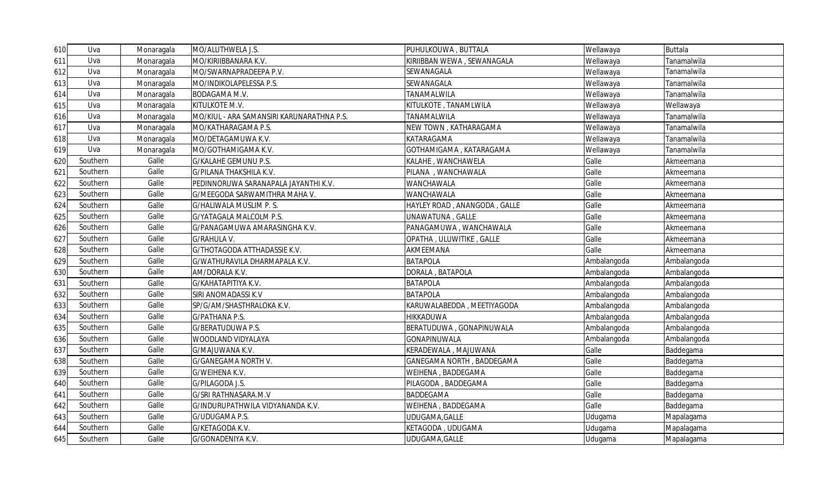| 610 | Uva      | Monaragala | MO/ALUTHWELA J.S.                         | PUHULKOUWA, BUTTALA          | Wellawaya   | <b>Buttala</b> |
|-----|----------|------------|-------------------------------------------|------------------------------|-------------|----------------|
| 611 | Uva      | Monaragala | MO/KIRIIBBANARA K.V.                      | KIRIIBBAN WEWA , SEWANAGALA  | Wellawaya   | Tanamalwila    |
| 612 | Uva      | Monaragala | MO/SWARNAPRADEEPA P.V.                    | SEWANAGALA                   | Wellawaya   | Tanamalwila    |
| 613 | Uva      | Monaragala | MO/INDIKOLAPELESSA P.S.                   | SEWANAGALA                   | Wellawaya   | Tanamalwila    |
| 614 | Uva      | Monaragala | BODAGAMA M.V.                             | TANAMALWILA                  | Wellawaya   | Tanamalwila    |
| 615 | Uva      | Monaragala | KITULKOTE M.V.                            | KITULKOTE, TANAMLWILA        | Wellawaya   | Wellawaya      |
| 616 | Uva      | Monaragala | MO/KIUL - ARA SAMANSIRI KARUNARATHNA P.S. | TANAMALWILA                  | Wellawaya   | Tanamalwila    |
| 617 | Uva      | Monaragala | MO/KATHARAGAMA P.S.                       | NEW TOWN, KATHARAGAMA        | Wellawaya   | Tanamalwila    |
| 618 | Uva      | Monaragala | MO/DETAGAMUWA K.V.                        | KATARAGAMA                   | Wellawaya   | Tanamalwila    |
| 619 | Uva      | Monaragala | MO/GOTHAMIGAMA K.V.                       | GOTHAMIGAMA, KATARAGAMA      | Wellawaya   | Tanamalwila    |
| 620 | Southern | Galle      | G/KALAHE GEMUNU P.S.                      | KALAHE, WANCHAWELA           | Galle       | Akmeemana      |
| 621 | Southern | Galle      | G/PILANA THAKSHILA K.V.                   | PILANA, WANCHAWALA           | Galle       | Akmeemana      |
| 622 | Southern | Galle      | PEDINNORUWA SARANAPALA JAYANTHI K.V.      | WANCHAWALA                   | Galle       | Akmeemana      |
| 623 | Southern | Galle      | G/MEEGODA SARWAMITHRA MAHA V.             | WANCHAWALA                   | Galle       | Akmeemana      |
| 624 | Southern | Galle      | G/HALIWALA MUSLIM P.S.                    | HAYLEY ROAD, ANANGODA, GALLE | Galle       | Akmeemana      |
| 625 | Southern | Galle      | G/YATAGALA MALCOLM P.S.                   | UNAWATUNA, GALLE             | Galle       | Akmeemana      |
| 626 | Southern | Galle      | G/PANAGAMUWA AMARASINGHA K.V.             | PANAGAMUWA, WANCHAWALA       | Galle       | Akmeemana      |
| 627 | Southern | Galle      | G/RAHULA V.                               | OPATHA, ULUWITIKE, GALLE     | Galle       | Akmeemana      |
| 628 | Southern | Galle      | G/THOTAGODA ATTHADASSIE K.V.              | AKMEEMANA                    | Galle       | Akmeemana      |
| 629 | Southern | Galle      | G/WATHURAVILA DHARMAPALA K.V.             | <b>BATAPOLA</b>              | Ambalangoda | Ambalangoda    |
| 630 | Southern | Galle      | AM/DORALA K.V.                            | DORALA, BATAPOLA             | Ambalangoda | Ambalangoda    |
| 631 | Southern | Galle      | G/KAHATAPITIYA K.V.                       | <b>BATAPOLA</b>              | Ambalangoda | Ambalangoda    |
| 632 | Southern | Galle      | SIRI ANOMADASSI K.V                       | <b>BATAPOLA</b>              | Ambalangoda | Ambalangoda    |
| 633 | Southern | Galle      | SP/G/AM/SHASTHRALOKA K.V.                 | KARUWALABEDDA, MEETIYAGODA   | Ambalangoda | Ambalangoda    |
| 634 | Southern | Galle      | G/PATHANA P.S.                            | <b>HIKKADUWA</b>             | Ambalangoda | Ambalangoda    |
| 635 | Southern | Galle      | G/BERATUDUWA P.S.                         | BERATUDUWA, GONAPINUWALA     | Ambalangoda | Ambalangoda    |
| 636 | Southern | Galle      | WOODLAND VIDYALAYA                        | GONAPINUWALA                 | Ambalangoda | Ambalangoda    |
| 637 | Southern | Galle      | G/MAJUWANA K.V.                           | KERADEWALA, MAJUWANA         | Galle       | Baddegama      |
| 638 | Southern | Galle      | G/GANEGAMA NORTH V.                       | GANEGAMA NORTH , BADDEGAMA   | Galle       | Baddegama      |
| 639 | Southern | Galle      | G/WEIHENA K.V.                            | WEIHENA, BADDEGAMA           | Galle       | Baddegama      |
| 640 | Southern | Galle      | G/PILAGODA J.S.                           | PILAGODA, BADDEGAMA          | Galle       | Baddegama      |
| 641 | Southern | Galle      | G/SRI RATHNASARA.M.V                      | <b>BADDEGAMA</b>             | Galle       | Baddegama      |
| 642 | Southern | Galle      | G/INDURUPATHWILA VIDYANANDA K.V.          | WEIHENA, BADDEGAMA           | Galle       | Baddegama      |
| 643 | Southern | Galle      | G/UDUGAMA P.S.                            | UDUGAMA, GALLE               | Udugama     | Mapalagama     |
| 644 | Southern | Galle      | G/KETAGODA K.V.                           | KETAGODA, UDUGAMA            | Udugama     | Mapalagama     |
| 645 | Southern | Galle      | G/GONADENIYA K.V.                         | UDUGAMA, GALLE               | Udugama     | Mapalagama     |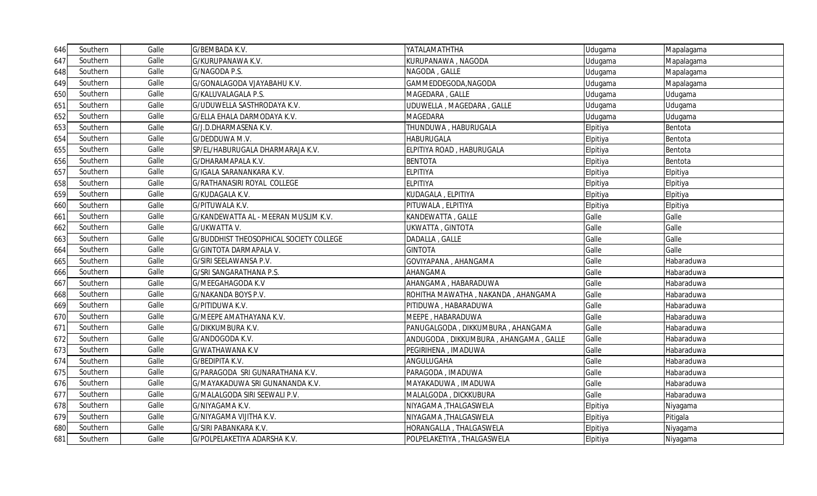| 646I | Southern | Galle | G/BEMBADA K.V.                          | YATALAMATHTHA                         | Udugama  | Mapalagama |
|------|----------|-------|-----------------------------------------|---------------------------------------|----------|------------|
| 647  | Southern | Galle | G/KURUPANAWA K.V.                       | KURUPANAWA , NAGODA                   | Udugama  | Mapalagama |
| 648  | Southern | Galle | G/NAGODA P.S.                           | NAGODA, GALLE                         | Udugama  | Mapalagama |
| 649  | Southern | Galle | G/GONALAGODA VJAYABAHU K.V.             | GAMMEDDEGODA, NAGODA                  | Udugama  | Mapalagama |
| 650  | Southern | Galle | G/KALUVALAGALA P.S.                     | MAGEDARA, GALLE                       | Udugama  | Udugama    |
| 651  | Southern | Galle | G/UDUWELLA SASTHRODAYA K.V.             | UDUWELLA, MAGEDARA, GALLE             | Udugama  | Udugama    |
| 652  | Southern | Galle | G/ELLA EHALA DARMODAYA K.V.             | <b>MAGEDARA</b>                       | Udugama  | Udugama    |
| 653  | Southern | Galle | G/J.D.DHARMASENA K.V.                   | THUNDUWA, HABURUGALA                  | Elpitiya | Bentota    |
| 654  | Southern | Galle | G/DEDDUWA M.V.                          | HABURUGALA                            | Elpitiya | Bentota    |
| 655  | Southern | Galle | SP/EL/HABURUGALA DHARMARAJA K.V.        | ELPITIYA ROAD, HABURUGALA             | Elpitiya | Bentota    |
| 656  | Southern | Galle | G/DHARAMAPALA K.V.                      | <b>BENTOTA</b>                        | Elpitiya | Bentota    |
| 657  | Southern | Galle | G/IGALA SARANANKARA K.V.                | ELPITIYA                              | Elpitiya | Elpitiya   |
| 658  | Southern | Galle | G/RATHANASIRI ROYAL COLLEGE             | <b>ELPITIYA</b>                       | Elpitiya | Elpitiya   |
| 659  | Southern | Galle | G/KUDAGALA K.V.                         | KUDAGALA, ELPITIYA                    | Elpitiya | Elpitiya   |
| 660  | Southern | Galle | G/PITUWALA K.V.                         | PITUWALA, ELPITIYA                    | Elpitiya | Elpitiya   |
| 661  | Southern | Galle | G/KANDEWATTA AL - MEERAN MUSLIM K.V.    | KANDEWATTA, GALLE                     | Galle    | Galle      |
| 662  | Southern | Galle | G/UKWATTA V.                            | UKWATTA, GINTOTA                      | Galle    | Galle      |
| 663  | Southern | Galle | G/BUDDHIST THEOSOPHICAL SOCIETY COLLEGE | DADALLA, GALLE                        | Galle    | Galle      |
| 664  | Southern | Galle | <b>G/GINTOTA DARMAPALA V.</b>           | <b>GINTOTA</b>                        | Galle    | Galle      |
| 665  | Southern | Galle | G/SIRI SEELAWANSA P.V.                  | GOVIYAPANA, AHANGAMA                  | Galle    | Habaraduwa |
| 666  | Southern | Galle | G/SRI SANGARATHANA P.S.                 | AHANGAMA                              | Galle    | Habaraduwa |
| 667  | Southern | Galle | G/MEEGAHAGODA K.V                       | AHANGAMA, HABARADUWA                  | Galle    | Habaraduwa |
| 668  | Southern | Galle | G/NAKANDA BOYS P.V.                     | ROHITHA MAWATHA, NAKANDA, AHANGAMA    | Galle    | Habaraduwa |
| 669  | Southern | Galle | G/PITIDUWA K.V.                         | PITIDUWA, HABARADUWA                  | Galle    | Habaraduwa |
| 670  | Southern | Galle | G/MEEPE AMATHAYANA K.V.                 | MEEPE, HABARADUWA                     | Galle    | Habaraduwa |
| 671  | Southern | Galle | G/DIKKUMBURA K.V.                       | PANUGALGODA, DIKKUMBURA, AHANGAMA     | Galle    | Habaraduwa |
| 672  | Southern | Galle | G/ANDOGODA K.V.                         | ANDUGODA, DIKKUMBURA, AHANGAMA, GALLE | Galle    | Habaraduwa |
| 673  | Southern | Galle | G/WATHAWANA K.V                         | PEGIRIHENA , IMADUWA                  | Galle    | Habaraduwa |
| 674  | Southern | Galle | G/BEDIPITA K.V.                         | ANGULUGAHA                            | Galle    | Habaraduwa |
| 675  | Southern | Galle | G/PARAGODA SRI GUNARATHANA K.V.         | PARAGODA, IMADUWA                     | Galle    | Habaraduwa |
| 676  | Southern | Galle | G/MAYAKADUWA SRI GUNANANDA K.V.         | MAYAKADUWA , IMADUWA                  | Galle    | Habaraduwa |
| 677  | Southern | Galle | G/MALALGODA SIRI SEEWALI P.V.           | MALALGODA, DICKKUBURA                 | Galle    | Habaraduwa |
| 678  | Southern | Galle | G/NIYAGAMA K.V.                         | NIYAGAMA, THALGASWELA                 | Elpitiya | Niyagama   |
| 679  | Southern | Galle | G/NIYAGAMA VIJITHA K.V.                 | NIYAGAMA ,THALGASWELA                 | Elpitiya | Pitigala   |
| 680  | Southern | Galle | G/SIRI PABANKARA K.V.                   | HORANGALLA, THALGASWELA               | Elpitiya | Niyagama   |
| 681  | Southern | Galle | G/POLPELAKETIYA ADARSHA K.V.            | POLPELAKETIYA, THALGASWELA            | Elpitiya | Niyagama   |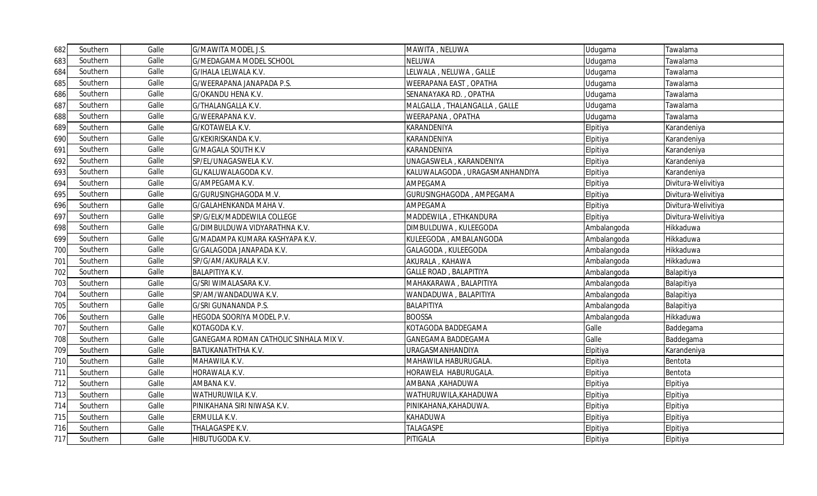| 682 | Southern | Galle | G/MAWITA MODEL J.S.                    | MAWITA, NELUWA                  | Udugama     | Tawalama            |
|-----|----------|-------|----------------------------------------|---------------------------------|-------------|---------------------|
| 683 | Southern | Galle | G/MEDAGAMA MODEL SCHOOL                | NELUWA                          | Udugama     | Tawalama            |
| 684 | Southern | Galle | G/IHALA LELWALA K.V.                   | LELWALA, NELUWA, GALLE          | Udugama     | Tawalama            |
| 685 | Southern | Galle | G/WEERAPANA JANAPADA P.S.              | WEERAPANA EAST, OPATHA          | Udugama     | Tawalama            |
| 686 | Southern | Galle | G/OKANDU HENA K.V.                     | SENANAYAKA RD., OPATHA          | Udugama     | Tawalama            |
| 687 | Southern | Galle | G/THALANGALLA K.V.                     | MALGALLA, THALANGALLA, GALLE    | Udugama     | Tawalama            |
| 688 | Southern | Galle | G/WEERAPANA K.V.                       | WEERAPANA, OPATHA               | Udugama     | Tawalama            |
| 689 | Southern | Galle | G/KOTAWELA K.V.                        | KARANDENIYA                     | Elpitiya    | Karandeniya         |
| 690 | Southern | Galle | G/KEKIRISKANDA K.V.                    | KARANDENIYA                     | Elpitiya    | Karandeniya         |
| 691 | Southern | Galle | <b>G/MAGALA SOUTH K.V</b>              | KARANDENIYA                     | Elpitiya    | Karandeniya         |
| 692 | Southern | Galle | SP/EL/UNAGASWELA K.V.                  | UNAGASWELA, KARANDENIYA         | Elpitiya    | Karandeniya         |
| 693 | Southern | Galle | GL/KALUWALAGODA K.V.                   | KALUWALAGODA , URAGASMANHANDIYA | Elpitiya    | Karandeniya         |
| 694 | Southern | Galle | G/AMPEGAMA K.V.                        | AMPEGAMA                        | Elpitiya    | Divitura-Welivitiya |
| 695 | Southern | Galle | G/GURUSINGHAGODA M.V.                  | GURUSINGHAGODA, AMPEGAMA        | Elpitiya    | Divitura-Welivitiya |
| 696 | Southern | Galle | G/GALAHENKANDA MAHA V.                 | AMPEGAMA                        | Elpitiya    | Divitura-Welivitiya |
| 697 | Southern | Galle | SP/G/ELK/MADDEWILA COLLEGE             | MADDEWILA, ETHKANDURA           | Elpitiya    | Divitura-Welivitiya |
| 698 | Southern | Galle | G/DIMBULDUWA VIDYARATHNA K.V.          | DIMBULDUWA , KULEEGODA          | Ambalangoda | Hikkaduwa           |
| 699 | Southern | Galle | G/MADAMPA KUMARA KASHYAPA K.V.         | KULEEGODA, AMBALANGODA          | Ambalangoda | Hikkaduwa           |
| 700 | Southern | Galle | G/GALAGODA JANAPADA K.V.               | GALAGODA, KULEEGODA             | Ambalangoda | Hikkaduwa           |
| 701 | Southern | Galle | SP/G/AM/AKURALA K.V.                   | AKURALA, KAHAWA                 | Ambalangoda | Hikkaduwa           |
| 702 | Southern | Galle | <b>BALAPITIYA K.V.</b>                 | <b>GALLE ROAD, BALAPITIYA</b>   | Ambalangoda | Balapitiya          |
| 703 | Southern | Galle | G/SRI WIMALASARA K.V.                  | MAHAKARAWA, BALAPITIYA          | Ambalangoda | Balapitiya          |
| 704 | Southern | Galle | SP/AM/WANDADUWA K.V.                   | WANDADUWA, BALAPITIYA           | Ambalangoda | Balapitiya          |
| 705 | Southern | Galle | G/SRI GUNANANDA P.S.                   | BALAPITIYA                      | Ambalangoda | Balapitiya          |
| 706 | Southern | Galle | HEGODA SOORIYA MODEL P.V.              | <b>BOOSSA</b>                   | Ambalangoda | Hikkaduwa           |
| 707 | Southern | Galle | KOTAGODA K.V.                          | KOTAGODA BADDEGAMA              | Galle       | Baddegama           |
| 708 | Southern | Galle | GANEGAMA ROMAN CATHOLIC SINHALA MIX V. | GANEGAMA BADDEGAMA              | Galle       | Baddegama           |
| 709 | Southern | Galle | BATUKANATHTHA K.V.                     | URAGASMANHANDIYA                | Elpitiya    | Karandeniya         |
| 710 | Southern | Galle | MAHAWILA K.V.                          | MAHAWILA HABURUGALA.            | Elpitiya    | Bentota             |
| 711 | Southern | Galle | HORAWALA K.V.                          | HORAWELA HABURUGALA.            | Elpitiya    | Bentota             |
| 712 | Southern | Galle | AMBANA K.V.                            | AMBANA , KAHADUWA               | Elpitiya    | Elpitiya            |
| 713 | Southern | Galle | WATHURUWILA K.V.                       | WATHURUWILA,KAHADUWA            | Elpitiya    | Elpitiya            |
| 714 | Southern | Galle | PINIKAHANA SIRI NIWASA K.V.            | PINIKAHANA, KAHADUWA.           | Elpitiya    | Elpitiya            |
| 715 | Southern | Galle | ERMULLA K.V.                           | KAHADUWA                        | Elpitiya    | Elpitiya            |
| 716 | Southern | Galle | THALAGASPE K.V.                        | <b>TALAGASPE</b>                | Elpitiya    | Elpitiya            |
| 717 | Southern | Galle | HIBUTUGODA K.V.                        | PITIGALA                        | Elpitiya    | Elpitiya            |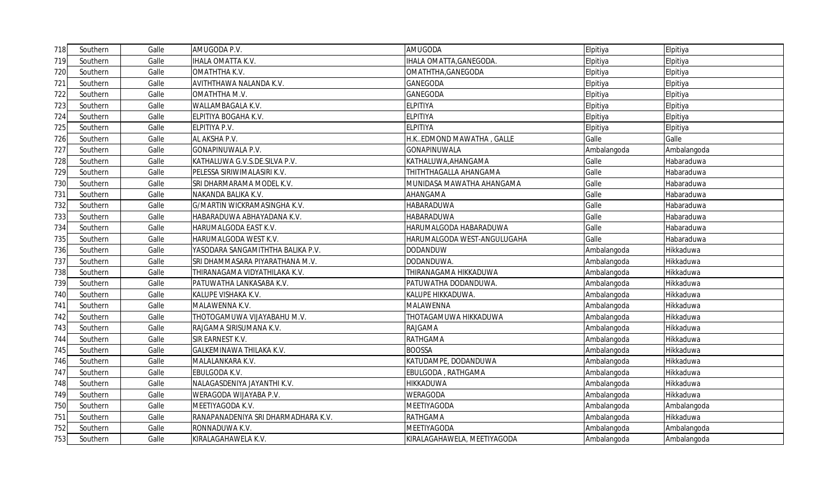| 718 | Southern | Galle | AMUGODA P.V.                        | AMUGODA                     | Elpitiya    | Elpitiya    |
|-----|----------|-------|-------------------------------------|-----------------------------|-------------|-------------|
| 719 | Southern | Galle | <b>IHALA OMATTA K.V.</b>            | IHALA OMATTA, GANEGODA.     | Elpitiya    | Elpitiya    |
| 720 | Southern | Galle | OMATHTHA K.V.                       | OMATHTHA, GANEGODA          | Elpitiya    | Elpitiya    |
| 721 | Southern | Galle | AVITHTHAWA NALANDA K.V.             | GANEGODA                    | Elpitiya    | Elpitiya    |
| 722 | Southern | Galle | OMATHTHA M.V.                       | GANEGODA                    | Elpitiya    | Elpitiya    |
| 723 | Southern | Galle | WALLAMBAGALA K.V.                   | ELPITIYA                    | Elpitiya    | Elpitiya    |
| 724 | Southern | Galle | ELPITIYA BOGAHA K.V.                | <b>ELPITIYA</b>             | Elpitiya    | Elpitiya    |
| 725 | Southern | Galle | ELPITIYA P.V.                       | <b>ELPITIYA</b>             | Elpitiya    | Elpitiya    |
| 726 | Southern | Galle | AL AKSHA P.V.                       | H.KEDMOND MAWATHA, GALLE    | Galle       | Galle       |
| 727 | Southern | Galle | <b>GONAPINUWALA P.V.</b>            | <b>GONAPINUWALA</b>         | Ambalangoda | Ambalangoda |
| 728 | Southern | Galle | KATHALUWA G.V.S.DE.SILVA P.V.       | KATHALUWA, AHANGAMA         | Galle       | Habaraduwa  |
| 729 | Southern | Galle | PELESSA SIRIWIMALASIRI K.V.         | THITHTHAGALLA AHANGAMA      | Galle       | Habaraduwa  |
| 730 | Southern | Galle | SRI DHARMARAMA MODEL K.V.           | MUNIDASA MAWATHA AHANGAMA   | Galle       | Habaraduwa  |
| 731 | Southern | Galle | NAKANDA BALIKA K.V.                 | AHANGAMA                    | Galle       | Habaraduwa  |
| 732 | Southern | Galle | G/MARTIN WICKRAMASINGHA K.V.        | HABARADUWA                  | Galle       | Habaraduwa  |
| 733 | Southern | Galle | HABARADUWA ABHAYADANA K.V.          | HABARADUWA                  | Galle       | Habaraduwa  |
| 734 | Southern | Galle | HARUMALGODA EAST K.V.               | HARUMALGODA HABARADUWA      | Galle       | Habaraduwa  |
| 735 | Southern | Galle | HARUMALGODA WEST K.V.               | HARUMALGODA WEST-ANGULUGAHA | Galle       | Habaraduwa  |
| 736 | Southern | Galle | YASODARA SANGAMITHTHA BALIKA P.V.   | <b>DODANDUW</b>             | Ambalangoda | Hikkaduwa   |
| 737 | Southern | Galle | SRI DHAMMASARA PIYARATHANA M.V.     | DODANDUWA.                  | Ambalangoda | Hikkaduwa   |
| 738 | Southern | Galle | THIRANAGAMA VIDYATHILAKA K.V.       | THIRANAGAMA HIKKADUWA       | Ambalangoda | Hikkaduwa   |
| 739 | Southern | Galle | PATUWATHA LANKASABA K.V.            | PATUWATHA DODANDUWA.        | Ambalangoda | Hikkaduwa   |
| 740 | Southern | Galle | KALUPE VISHAKA K.V.                 | KALUPE HIKKADUWA.           | Ambalangoda | Hikkaduwa   |
| 741 | Southern | Galle | MALAWENNA K.V.                      | MALAWENNA                   | Ambalangoda | Hikkaduwa   |
| 742 | Southern | Galle | THOTOGAMUWA VIJAYABAHU M.V.         | THOTAGAMUWA HIKKADUWA       | Ambalangoda | Hikkaduwa   |
| 743 | Southern | Galle | RAJGAMA SIRISUMANA K.V.             | RAJGAMA                     | Ambalangoda | Hikkaduwa   |
| 744 | Southern | Galle | SIR EARNEST K.V.                    | RATHGAMA                    | Ambalangoda | Hikkaduwa   |
| 745 | Southern | Galle | GALKEMINAWA THILAKA K.V.            | <b>BOOSSA</b>               | Ambalangoda | Hikkaduwa   |
| 746 | Southern | Galle | MALALANKARA K.V.                    | KATUDAMPE, DODANDUWA        | Ambalangoda | Hikkaduwa   |
| 747 | Southern | Galle | EBULGODA K.V.                       | EBULGODA, RATHGAMA          | Ambalangoda | Hikkaduwa   |
| 748 | Southern | Galle | NALAGASDENIYA JAYANTHI K.V.         | HIKKADUWA                   | Ambalangoda | Hikkaduwa   |
| 749 | Southern | Galle | WERAGODA WIJAYABA P.V.              | WERAGODA                    | Ambalangoda | Hikkaduwa   |
| 750 | Southern | Galle | MEETIYAGODA K.V.                    | MEETIYAGODA                 | Ambalangoda | Ambalangoda |
| 751 | Southern | Galle | RANAPANADENIYA SRI DHARMADHARA K.V. | RATHGAMA                    | Ambalangoda | Hikkaduwa   |
| 752 | Southern | Galle | RONNADUWA K.V.                      | MEETIYAGODA                 | Ambalangoda | Ambalangoda |
| 753 | Southern | Galle | KIRALAGAHAWELA K.V.                 | KIRALAGAHAWELA, MEETIYAGODA | Ambalangoda | Ambalangoda |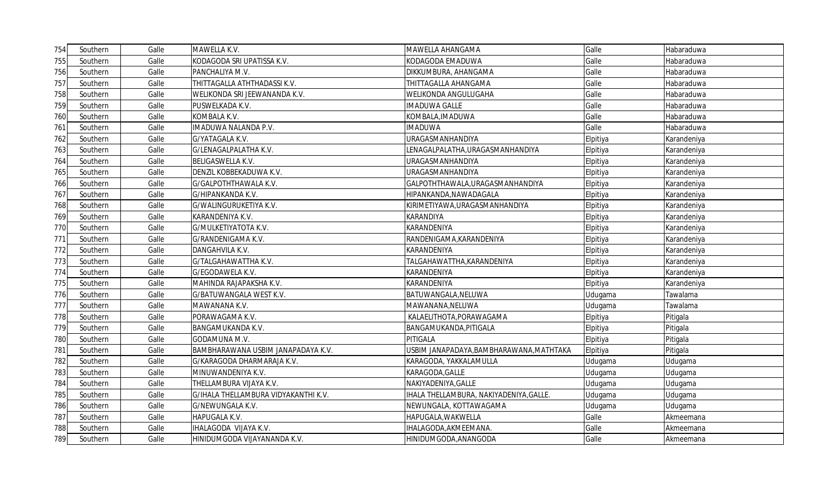| 754 | Southern | Galle | MAWELLA K.V.                         | MAWELLA AHANGAMA                        | Galle    | Habaraduwa  |
|-----|----------|-------|--------------------------------------|-----------------------------------------|----------|-------------|
| 755 | Southern | Galle | KODAGODA SRI UPATISSA K.V.           | KODAGODA EMADUWA                        | Galle    | Habaraduwa  |
| 756 | Southern | Galle | PANCHALIYA M.V.                      | DIKKUMBURA, AHANGAMA                    | Galle    | Habaraduwa  |
| 757 | Southern | Galle | THITTAGALLA ATHTHADASSI K.V.         | THITTAGALLA AHANGAMA                    | Galle    | Habaraduwa  |
| 758 | Southern | Galle | WELIKONDA SRI JEEWANANDA K.V.        | WELIKONDA ANGULUGAHA                    | Galle    | Habaraduwa  |
| 759 | Southern | Galle | PUSWELKADA K.V.                      | <b>IMADUWA GALLE</b>                    | Galle    | Habaraduwa  |
| 760 | Southern | Galle | KOMBALA K.V.                         | KOMBALA, IMADUWA                        | Galle    | Habaraduwa  |
| 761 | Southern | Galle | IMADUWA NALANDA P.V.                 | <b>IMADUWA</b>                          | Galle    | Habaraduwa  |
| 762 | Southern | Galle | G/YATAGALA K.V.                      | URAGASMANHANDIYA                        | Elpitiya | Karandeniya |
| 763 | Southern | Galle | G/LENAGALPALATHA K.V.                | LENAGALPALATHA,URAGASMANHANDIYA         | Elpitiya | Karandeniya |
| 764 | Southern | Galle | BELIGASWELLA K.V.                    | URAGASMANHANDIYA                        | Elpitiya | Karandeniya |
| 765 | Southern | Galle | DENZIL KOBBEKADUWA K.V.              | URAGASMANHANDIYA                        | Elpitiya | Karandeniya |
| 766 | Southern | Galle | G/GALPOTHTHAWALA K.V.                | GALPOTHTHAWALA, URAGASMANHANDIYA        | Elpitiya | Karandeniya |
| 767 | Southern | Galle | G/HIPANKANDA K.V.                    | HIPANKANDA, NAWADAGALA                  | Elpitiya | Karandeniya |
| 768 | Southern | Galle | G/WALINGURUKETIYA K.V.               | KIRIMETIYAWA,URAGASMANHANDIYA           | Elpitiya | Karandeniya |
| 769 | Southern | Galle | KARANDENIYA K.V.                     | KARANDIYA                               | Elpitiya | Karandeniya |
| 770 | Southern | Galle | G/MULKETIYATOTA K.V.                 | KARANDENIYA                             | Elpitiya | Karandeniya |
| 771 | Southern | Galle | G/RANDENIGAMA K.V.                   | RANDENIGAMA, KARANDENIYA                | Elpitiya | Karandeniya |
| 772 | Southern | Galle | DANGAHVILA K.V.                      | KARANDENIYA                             | Elpitiya | Karandeniya |
| 773 | Southern | Galle | G/TALGAHAWATTHA K.V.                 | TALGAHAWATTHA,KARANDENIYA               | Elpitiya | Karandeniya |
| 774 | Southern | Galle | G/EGODAWELA K.V.                     | KARANDENIYA                             | Elpitiya | Karandeniya |
| 775 | Southern | Galle | MAHINDA RAJAPAKSHA K.V.              | KARANDENIYA                             | Elpitiya | Karandeniya |
| 776 | Southern | Galle | G/BATUWANGALA WEST K.V.              | BATUWANGALA, NELUWA                     | Udugama  | Tawalama    |
| 777 | Southern | Galle | MAWANANA K.V.                        | MAWANANA, NELUWA                        | Udugama  | Tawalama    |
| 778 | Southern | Galle | PORAWAGAMA K.V.                      | KALAELITHOTA, PORAWAGAMA                | Elpitiya | Pitigala    |
| 779 | Southern | Galle | BANGAMUKANDA K.V.                    | BANGAMUKANDA, PITIGALA                  | Elpitiya | Pitigala    |
| 780 | Southern | Galle | GODAMUNA M.V.                        | PITIGALA                                | Elpitiya | Pitigala    |
| 781 | Southern | Galle | BAMBHARAWANA USBIM JANAPADAYA K.V.   | USBIM JANAPADAYA,BAMBHARAWANA,MATHTAKA  | Elpitiya | Pitigala    |
| 782 | Southern | Galle | G/KARAGODA DHARMARAJA K.V.           | KARAGODA, YAKKALAMULLA                  | Udugama  | Udugama     |
| 783 | Southern | Galle | MINUWANDENIYA K.V.                   | KARAGODA, GALLE                         | Udugama  | Udugama     |
| 784 | Southern | Galle | THELLAMBURA VIJAYA K.V.              | NAKIYADENIYA, GALLE                     | Udugama  | Udugama     |
| 785 | Southern | Galle | G/IHALA THELLAMBURA VIDYAKANTHI K.V. | IHALA THELLAMBURA, NAKIYADENIYA, GALLE. | Udugama  | Udugama     |
| 786 | Southern | Galle | G/NEWUNGALA K.V.                     | NEWUNGALA, KOTTAWAGAMA                  | Udugama  | Udugama     |
| 787 | Southern | Galle | HAPUGALA K.V.                        | HAPUGALA, WAKWELLA                      | Galle    | Akmeemana   |
| 788 | Southern | Galle | IHALAGODA VIJAYA K.V.                | IHALAGODA, AKMEEMANA.                   | Galle    | Akmeemana   |
| 789 | Southern | Galle | HINIDUMGODA VIJAYANANDA K.V.         | HINIDUMGODA, ANANGODA                   | Galle    | Akmeemana   |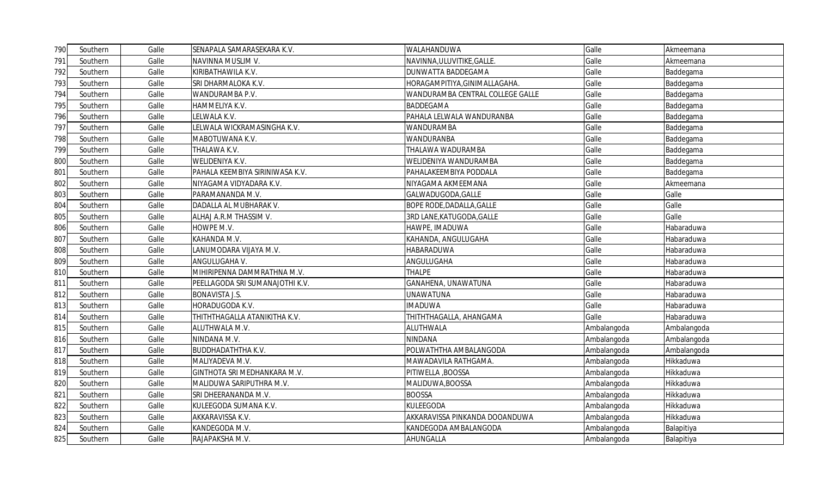| 790 | Southern | Galle | SENAPALA SAMARASEKARA K.V.      | WALAHANDUWA                      | Galle       | Akmeemana   |
|-----|----------|-------|---------------------------------|----------------------------------|-------------|-------------|
| 791 | Southern | Galle | NAVINNA MUSLIM V.               | NAVINNA, ULUVITIKE, GALLE.       | Galle       | Akmeemana   |
| 792 | Southern | Galle | KIRIBATHAWILA K.V.              | DUNWATTA BADDEGAMA               | Galle       | Baddegama   |
| 793 | Southern | Galle | SRI DHARMALOKA K.V.             | HORAGAMPITIYA, GINIMALLAGAHA.    | Galle       | Baddegama   |
| 794 | Southern | Galle | WANDURAMBA P.V.                 | WANDURAMBA CENTRAL COLLEGE GALLE | Galle       | Baddegama   |
| 795 | Southern | Galle | HAMMELIYA K.V.                  | <b>BADDEGAMA</b>                 | Galle       | Baddegama   |
| 796 | Southern | Galle | LELWALA K.V.                    | PAHALA LELWALA WANDURANBA        | Galle       | Baddegama   |
| 797 | Southern | Galle | ELWALA WICKRAMASINGHA K.V.      | <b>WANDURAMBA</b>                | Galle       | Baddegama   |
| 798 | Southern | Galle | MABOTUWANA K.V.                 | WANDURANBA                       | Galle       | Baddegama   |
| 799 | Southern | Galle | THALAWA K.V.                    | THALAWA WADURAMBA                | Galle       | Baddegama   |
| 800 | Southern | Galle | WELIDENIYA K.V.                 | WELIDENIYA WANDURAMBA            | Galle       | Baddegama   |
| 801 | Southern | Galle | PAHALA KEEMBIYA SIRINIWASA K.V. | PAHALAKEEMBIYA PODDALA           | Galle       | Baddegama   |
| 802 | Southern | Galle | NIYAGAMA VIDYADARA K.V.         | NIYAGAMA AKMEEMANA               | Galle       | Akmeemana   |
| 803 | Southern | Galle | PARAMANANDA M.V.                | GALWADUGODA, GALLE               | Galle       | Galle       |
| 804 | Southern | Galle | DADALLA AL MUBHARAK V.          | BOPE RODE, DADALLA, GALLE        | Galle       | Galle       |
| 805 | Southern | Galle | ALHAJ A.R.M THASSIM V.          | 3RD LANE, KATUGODA, GALLE        | Galle       | Galle       |
| 806 | Southern | Galle | howpe M.V.                      | HAWPE, IMADUWA                   | Galle       | Habaraduwa  |
| 807 | Southern | Galle | KAHANDA M.V.                    | KAHANDA, ANGULUGAHA              | Galle       | Habaraduwa  |
| 808 | Southern | Galle | LANUMODARA VIJAYA M.V.          | HABARADUWA                       | Galle       | Habaraduwa  |
| 809 | Southern | Galle | ANGULUGAHA V.                   | ANGULUGAHA                       | Galle       | Habaraduwa  |
| 810 | Southern | Galle | MIHIRIPENNA DAMMRATHNA M.V.     | <b>THALPE</b>                    | Galle       | Habaraduwa  |
| 811 | Southern | Galle | PEELLAGODA SRI SUMANAJOTHI K.V. | GANAHENA, UNAWATUNA              | Galle       | Habaraduwa  |
| 812 | Southern | Galle | <b>BONAVISTA J.S.</b>           | <b>UNAWATUNA</b>                 | Galle       | Habaraduwa  |
| 813 | Southern | Galle | HORADUGODA K.V.                 | <b>IMADUWA</b>                   | Galle       | Habaraduwa  |
| 814 | Southern | Galle | THITHTHAGALLA ATANIKITHA K.V.   | THITHTHAGALLA, AHANGAMA          | Galle       | Habaraduwa  |
| 815 | Southern | Galle | ALUTHWALA M.V.                  | ALUTHWALA                        | Ambalangoda | Ambalangoda |
| 816 | Southern | Galle | NINDANA M.V.                    | NINDANA                          | Ambalangoda | Ambalangoda |
| 817 | Southern | Galle | <b>BUDDHADATHTHA K.V.</b>       | POLWATHTHA AMBALANGODA           | Ambalangoda | Ambalangoda |
| 818 | Southern | Galle | MALIYADEVA M.V.                 | MAWADAVILA RATHGAMA.             | Ambalangoda | Hikkaduwa   |
| 819 | Southern | Galle | GINTHOTA SRI MEDHANKARA M.V.    | PITIWELLA, BOOSSA                | Ambalangoda | Hikkaduwa   |
| 820 | Southern | Galle | MALIDUWA SARIPUTHRA M.V.        | MALIDUWA, BOOSSA                 | Ambalangoda | Hikkaduwa   |
| 821 | Southern | Galle | SRI DHEERANANDA M.V.            | <b>BOOSSA</b>                    | Ambalangoda | Hikkaduwa   |
| 822 | Southern | Galle | KULEEGODA SUMANA K.V.           | KULEEGODA                        | Ambalangoda | Hikkaduwa   |
| 823 | Southern | Galle | AKKARAVISSA K.V.                | AKKARAVISSA PINKANDA DOOANDUWA   | Ambalangoda | Hikkaduwa   |
| 824 | Southern | Galle | KANDEGODA M.V.                  | KANDEGODA AMBALANGODA            | Ambalangoda | Balapitiya  |
| 825 | Southern | Galle | RAJAPAKSHA M.V.                 | AHUNGALLA                        | Ambalangoda | Balapitiya  |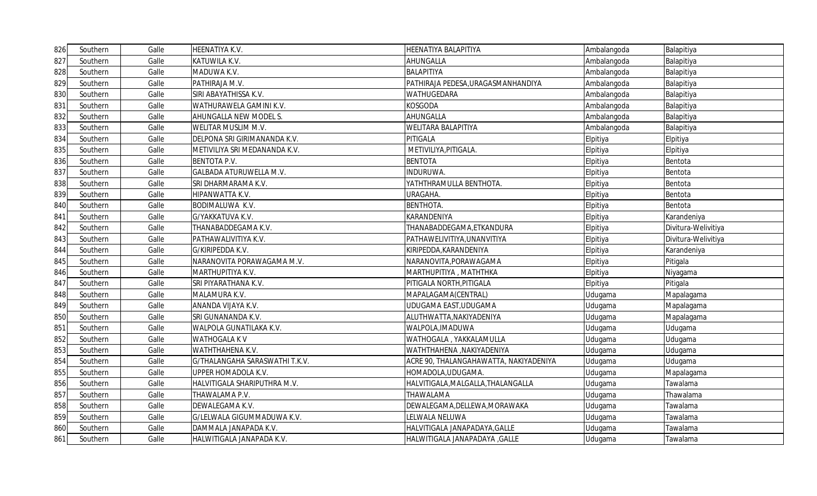| 826 | Southern | Galle | HEENATIYA K.V.                 | HEENATIYA BALAPITIYA                   | Ambalangoda | Balapitiya          |
|-----|----------|-------|--------------------------------|----------------------------------------|-------------|---------------------|
| 827 | Southern | Galle | KATUWILA K.V.                  | AHUNGALLA                              | Ambalangoda | Balapitiya          |
| 828 | Southern | Galle | MADUWA K.V.                    | BALAPITIYA                             | Ambalangoda | Balapitiya          |
| 829 | Southern | Galle | PATHIRAJA M.V.                 | PATHIRAJA PEDESA, URAGASMANHANDIYA     | Ambalangoda | Balapitiya          |
| 830 | Southern | Galle | SIRI ABAYATHISSA K.V.          | WATHUGEDARA                            | Ambalangoda | Balapitiya          |
| 831 | Southern | Galle | WATHURAWELA GAMINI K.V.        | KOSGODA                                | Ambalangoda | Balapitiya          |
| 832 | Southern | Galle | AHUNGALLA NEW MODEL S.         | AHUNGALLA                              | Ambalangoda | Balapitiya          |
| 833 | Southern | Galle | WELITAR MUSLIM M.V.            | WELITARA BALAPITIYA                    | Ambalangoda | Balapitiya          |
| 834 | Southern | Galle | DELPONA SRI GIRIMANANDA K.V.   | PITIGALA                               | Elpitiya    | Elpitiya            |
| 835 | Southern | Galle | METIVILIYA SRI MEDANANDA K.V.  | METIVILIYA, PITIGALA.                  | Elpitiya    | Elpitiya            |
| 836 | Southern | Galle | <b>BENTOTA P.V.</b>            | <b>BENTOTA</b>                         | Elpitiya    | Bentota             |
| 837 | Southern | Galle | <b>GALBADA ATURUWELLA M.V.</b> | INDURUWA.                              | Elpitiya    | Bentota             |
| 838 | Southern | Galle | SRI DHARMARAMA K.V.            | YATHTHRAMULLA BENTHOTA.                | Elpitiya    | Bentota             |
| 839 | Southern | Galle | HIPANWATTA K.V.                | URAGAHA.                               | Elpitiya    | Bentota             |
| 840 | Southern | Galle | BODIMALUWA K.V.                | <b>BENTHOTA.</b>                       | Elpitiya    | Bentota             |
| 841 | Southern | Galle | G/YAKKATUVA K.V.               | KARANDENIYA                            | Elpitiya    | Karandeniya         |
| 842 | Southern | Galle | THANABADDEGAMA K.V.            | THANABADDEGAMA,ETKANDURA               | Elpitiya    | Divitura-Welivitiya |
| 843 | Southern | Galle | PATHAWALIVITIYA K.V.           | PATHAWELIVITIYA, UNANVITIYA            | Elpitiya    | Divitura-Welivitiya |
| 844 | Southern | Galle | G/KIRIPEDDA K.V.               | KIRIPEDDA, KARANDENIYA                 | Elpitiya    | Karandeniya         |
| 845 | Southern | Galle | NARANOVITA PORAWAGAMA M.V.     | NARANOVITA, PORAWAGAMA                 | Elpitiya    | Pitigala            |
| 846 | Southern | Galle | MARTHUPITIYA K.V.              | MARTHUPITIYA, MATHTHKA                 | Elpitiya    | Niyagama            |
| 847 | Southern | Galle | SRI PIYARATHANA K.V.           | PITIGALA NORTH, PITIGALA               | Elpitiya    | Pitigala            |
| 848 | Southern | Galle | MALAMURA K.V.                  | MAPALAGAMA(CENTRAL)                    | Udugama     | Mapalagama          |
| 849 | Southern | Galle | ANANDA VIJAYA K.V.             | UDUGAMA EAST, UDUGAMA                  | Udugama     | Mapalagama          |
| 850 | Southern | Galle | SRI GUNANANDA K.V.             | ALUTHWATTA, NAKIYADENIYA               | Udugama     | Mapalagama          |
| 851 | Southern | Galle | WALPOLA GUNATILAKA K.V.        | WALPOLA, IMADUWA                       | Udugama     | Udugama             |
| 852 | Southern | Galle | <b>WATHOGALA KV</b>            | WATHOGALA, YAKKALAMULLA                | Udugama     | Udugama             |
| 853 | Southern | Galle | WATHTHAHENA K.V.               | WATHTHAHENA ,NAKIYADENIYA              | Udugama     | Udugama             |
| 854 | Southern | Galle | G/THALANGAHA SARASWATHI T.K.V. | ACRE 90, THALANGAHAWATTA, NAKIYADENIYA | Udugama     | Udugama             |
| 855 | Southern | Galle | UPPER HOMADOLA K.V.            | HOMADOLA, UDUGAMA.                     | Udugama     | Mapalagama          |
| 856 | Southern | Galle | HALVITIGALA SHARIPUTHRA M.V.   | HALVITIGALA, MALGALLA, THALANGALLA     | Udugama     | Tawalama            |
| 857 | Southern | Galle | THAWALAMA P.V.                 | THAWALAMA                              | Udugama     | Thawalama           |
| 858 | Southern | Galle | DEWALEGAMA K.V.                | DEWALEGAMA, DELLEWA, MORAWAKA          | Udugama     | Tawalama            |
| 859 | Southern | Galle | G/LELWALA GIGUMMADUWA K.V      | LELWALA NELUWA                         | Udugama     | Tawalama            |
| 860 | Southern | Galle | DAMMALA JANAPADA K.V.          | HALVITIGALA JANAPADAYA, GALLE          | Udugama     | Tawalama            |
| 861 | Southern | Galle | HALWITIGALA JANAPADA K.V.      | HALWITIGALA JANAPADAYA , GALLE         | Udugama     | Tawalama            |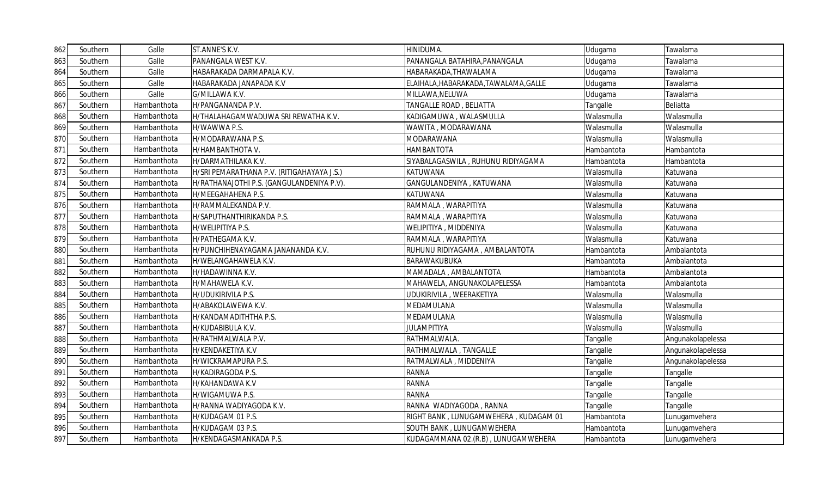| 862 | Southern | Galle       | ST.ANNE'S K.V.                             | HINIDUMA.                             | Udugama    | Tawalama          |
|-----|----------|-------------|--------------------------------------------|---------------------------------------|------------|-------------------|
| 863 | Southern | Galle       | PANANGALA WEST K.V.                        | PANANGALA BATAHIRA, PANANGALA         | Udugama    | Tawalama          |
| 864 | Southern | Galle       | HABARAKADA DARMAPALA K.V.                  | HABARAKADA,THAWALAMA                  | Udugama    | Tawalama          |
| 865 | Southern | Galle       | HABARAKADA JANAPADA K.V                    | ELAIHALA, HABARAKADA, TAWALAMA, GALLE | Udugama    | Tawalama          |
| 866 | Southern | Galle       | G/MILLAWA K.V.                             | MILLAWA, NELUWA                       | Udugama    | Tawalama          |
| 867 | Southern | Hambanthota | H/PANGANANDA P.V.                          | TANGALLE ROAD, BELIATTA               | Tangalle   | Beliatta          |
| 868 | Southern | Hambanthota | H/THALAHAGAMWADUWA SRI REWATHA K.V.        | KADIGAMUWA, WALASMULLA                | Walasmulla | Walasmulla        |
| 869 | Southern | Hambanthota | H/WAWWA P.S.                               | WAWITA, MODARAWANA                    | Walasmulla | Walasmulla        |
| 870 | Southern | Hambanthota | H/MODARAWANA P.S.                          | MODARAWANA                            | Walasmulla | Walasmulla        |
| 871 | Southern | Hambanthota | H/HAMBANTHOTA V.                           | HAMBANTOTA                            | Hambantota | Hambantota        |
| 872 | Southern | Hambanthota | H/DARMATHILAKA K.V.                        | SIYABALAGASWILA, RUHUNU RIDIYAGAMA    | Hambantota | Hambantota        |
| 873 | Southern | Hambanthota | H/SRI PEMARATHANA P.V. (RITIGAHAYAYA J.S.) | KATUWANA                              | Walasmulla | Katuwana          |
| 874 | Southern | Hambanthota | H/RATHANAJOTHI P.S. (GANGULANDENIYA P.V).  | GANGULANDENIYA, KATUWANA              | Walasmulla | Katuwana          |
| 875 | Southern | Hambanthota | H/MEEGAHAHENA P.S.                         | KATUWANA                              | Walasmulla | Katuwana          |
| 876 | Southern | Hambanthota | H/RAMMALEKANDA P.V.                        | RAMMALA, WARAPITIYA                   | Walasmulla | Katuwana          |
| 877 | Southern | Hambanthota | H/SAPUTHANTHIRIKANDA P.S.                  | RAMMALA , WARAPITIYA                  | Walasmulla | Katuwana          |
| 878 | Southern | Hambanthota | H/WELIPITIYA P.S.                          | WELIPITIYA , MIDDENIYA                | Walasmulla | Katuwana          |
| 879 | Southern | Hambanthota | H/PATHEGAMA K.V.                           | RAMMALA, WARAPITIYA                   | Walasmulla | Katuwana          |
| 880 | Southern | Hambanthota | H/PUNCHIHENAYAGAMA JANANANDA K.V.          | RUHUNU RIDIYAGAMA, AMBALANTOTA        | Hambantota | Ambalantota       |
| 881 | Southern | Hambanthota | H/WELANGAHAWELA K.V.                       | BARAWAKUBUKA                          | Hambantota | Ambalantota       |
| 882 | Southern | Hambanthota | H/HADAWINNA K.V.                           | MAMADALA, AMBALANTOTA                 | Hambantota | Ambalantota       |
| 883 | Southern | Hambanthota | H/MAHAWELA K.V.                            | MAHAWELA, ANGUNAKOLAPELESSA           | Hambantota | Ambalantota       |
| 884 | Southern | Hambanthota | H/UDUKIRIVILA P.S.                         | UDUKIRIVILA, WEERAKETIYA              | Walasmulla | Walasmulla        |
| 885 | Southern | Hambanthota | H/ABAKOLAWEWA K.V.                         | MEDAMULANA                            | Walasmulla | Walasmulla        |
| 886 | Southern | Hambanthota | H/KANDAMADITHTHA P.S.                      | MEDAMULANA                            | Walasmulla | Walasmulla        |
| 887 | Southern | Hambanthota | H/KUDABIBULA K.V.                          | <b>JULAMPITIYA</b>                    | Walasmulla | Walasmulla        |
| 888 | Southern | Hambanthota | H/RATHMALWALA P.V.                         | RATHMALWALA.                          | Tangalle   | Angunakolapelessa |
| 889 | Southern | Hambanthota | H/KENDAKETIYA K.V                          | RATHMALWALA, TANGALLE                 | Tangalle   | Angunakolapelessa |
| 890 | Southern | Hambanthota | H/WICKRAMAPURA P.S.                        | RATMALWALA , MIDDENIYA                | Tangalle   | Angunakolapelessa |
| 891 | Southern | Hambanthota | H/KADIRAGODA P.S.                          | RANNA                                 | Tangalle   | Tangalle          |
| 892 | Southern | Hambanthota | H/KAHANDAWA K.V                            | RANNA                                 | Tangalle   | Tangalle          |
| 893 | Southern | Hambanthota | H/WIGAMUWA P.S.                            | <b>RANNA</b>                          | Tangalle   | Tangalle          |
| 894 | Southern | Hambanthota | H/RANNA WADIYAGODA K.V.                    | RANNA WADIYAGODA, RANNA               | Tangalle   | Tangalle          |
| 895 | Southern | Hambanthota | H/KUDAGAM 01 P.S.                          | RIGHT BANK, LUNUGAMWEHERA, KUDAGAM 01 | Hambantota | Lunugamvehera     |
| 896 | Southern | Hambanthota | H/KUDAGAM 03 P.S.                          | SOUTH BANK, LUNUGAMWEHERA             | Hambantota | Lunugamvehera     |
| 897 | Southern | Hambanthota | H/KENDAGASMANKADA P.S.                     | KUDAGAMMANA 02.(R.B), LUNUGAMWEHERA   | Hambantota | Lunugamvehera     |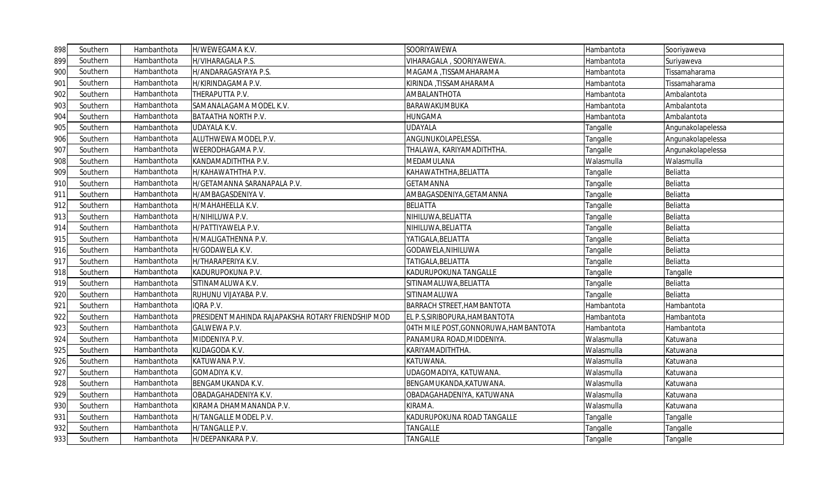| 898 | Southern | Hambanthota | H/WEWEGAMA K.V.                                    | SOORIYAWEWA                           | Hambantota | Sooriyaweva       |
|-----|----------|-------------|----------------------------------------------------|---------------------------------------|------------|-------------------|
| 899 | Southern | Hambanthota | H/VIHARAGALA P.S.                                  | VIHARAGALA, SOORIYAWEWA.              | Hambantota | Suriyaweva        |
| 900 | Southern | Hambanthota | H/ANDARAGASYAYA P.S.                               | MAGAMA ,TISSAMAHARAMA                 | Hambantota | Tissamaharama     |
| 901 | Southern | Hambanthota | H/KIRINDAGAMA P.V.                                 | KIRINDA ,TISSAMAHARAMA                | Hambantota | Tissamaharama     |
| 902 | Southern | Hambanthota | THERAPUTTA P.V.                                    | AMBALANTHOTA                          | Hambantota | Ambalantota       |
| 903 | Southern | Hambanthota | SAMANALAGAMA MODEL K.V.                            | BARAWAKUMBUKA                         | Hambantota | Ambalantota       |
| 904 | Southern | Hambanthota | BATAATHA NORTH P.V.                                | HUNGAMA                               | Hambantota | Ambalantota       |
| 905 | Southern | Hambanthota | <b>UDAYALA K.V.</b>                                | <b>UDAYALA</b>                        | Tangalle   | Angunakolapelessa |
| 906 | Southern | Hambanthota | ALUTHWEWA MODEL P.V.                               | ANGUNUKOLAPELESSA.                    | Tangalle   | Angunakolapelessa |
| 907 | Southern | Hambanthota | WEERODHAGAMA P.V.                                  | THALAWA, KARIYAMADITHTHA.             | Tangalle   | Angunakolapelessa |
| 908 | Southern | Hambanthota | KANDAMADITHTHA P.V.                                | MEDAMULANA                            | Walasmulla | Walasmulla        |
| 909 | Southern | Hambanthota | H/KAHAWATHTHA P.V.                                 | KAHAWATHTHA, BELIATTA                 | Tangalle   | Beliatta          |
| 910 | Southern | Hambanthota | H/GETAMANNA SARANAPALA P.V.                        | GETAMANNA                             | Tangalle   | Beliatta          |
| 911 | Southern | Hambanthota | H/AMBAGASDENIYA V.                                 | AMBAGASDENIYA, GETAMANNA              | Tangalle   | Beliatta          |
| 912 | Southern | Hambanthota | H/MAHAHEELLA K.V.                                  | <b>BELIATTA</b>                       | Tangalle   | Beliatta          |
| 913 | Southern | Hambanthota | H/NIHILUWA P.V.                                    | NIHILUWA, BELIATTA                    | Tangalle   | Beliatta          |
| 914 | Southern | Hambanthota | H/PATTIYAWELA P.V.                                 | NIHILUWA,BELIATTA                     | Tangalle   | Beliatta          |
| 915 | Southern | Hambanthota | H/MALIGATHENNA P.V.                                | YATIGALA, BELIATTA                    | Tangalle   | Beliatta          |
| 916 | Southern | Hambanthota | H/GODAWELA K.V.                                    | GODAWELA, NIHILUWA                    | Tangalle   | Beliatta          |
| 917 | Southern | Hambanthota | H/THARAPERIYA K.V.                                 | TATIGALA, BELIATTA                    | Tangalle   | Beliatta          |
| 918 | Southern | Hambanthota | KADURUPOKUNA P.V.                                  | KADURUPOKUNA TANGALLE                 | Tangalle   | Tangalle          |
| 919 | Southern | Hambanthota | SITINAMALUWA K.V.                                  | SITINAMALUWA, BELIATTA                | Tangalle   | Beliatta          |
| 920 | Southern | Hambanthota | RUHUNU VIJAYABA P.V.                               | SITINAMALUWA                          | Tangalle   | Beliatta          |
| 921 | Southern | Hambanthota | IQRA P.V.                                          | <b>BARRACH STREET, HAMBANTOTA</b>     | Hambantota | Hambantota        |
| 922 | Southern | Hambanthota | PRESIDENT MAHINDA RAJAPAKSHA ROTARY FRIENDSHIP MOD | EL P.S, SIRIBOPURA, HAMBANTOTA        | Hambantota | Hambantota        |
| 923 | Southern | Hambanthota | <b>GALWEWA P.V.</b>                                | 04TH MILE POST, GONNORUWA, HAMBANTOTA | Hambantota | Hambantota        |
| 924 | Southern | Hambanthota | MIDDENIYA P.V.                                     | PANAMURA ROAD, MIDDENIYA.             | Walasmulla | Katuwana          |
| 925 | Southern | Hambanthota | KUDAGODA K.V.                                      | KARIYAMADITHTHA.                      | Walasmulla | Katuwana          |
| 926 | Southern | Hambanthota | KATUWANA P.V.                                      | KATUWANA.                             | Walasmulla | Katuwana          |
| 927 | Southern | Hambanthota | GOMADIYA K.V.                                      | UDAGOMADIYA, KATUWANA.                | Walasmulla | Katuwana          |
| 928 | Southern | Hambanthota | BENGAMUKANDA K.V.                                  | BENGAMUKANDA, KATUWANA.               | Walasmulla | Katuwana          |
| 929 | Southern | Hambanthota | OBADAGAHADENIYA K.V.                               | OBADAGAHADENIYA, KATUWANA             | Walasmulla | Katuwana          |
| 930 | Southern | Hambanthota | KIRAMA DHAMMANANDA P.V.                            | KIRAMA.                               | Walasmulla | Katuwana          |
| 931 | Southern | Hambanthota | H/TANGALLE MODEL P.V.                              | KADURUPOKUNA ROAD TANGALLE            | Tangalle   | Tangalle          |
| 932 | Southern | Hambanthota | H/TANGALLE P.V.                                    | TANGALLE                              | Tangalle   | Tangalle          |
| 933 | Southern | Hambanthota | H/DEEPANKARA P.V.                                  | TANGALLE                              | Tangalle   | Tangalle          |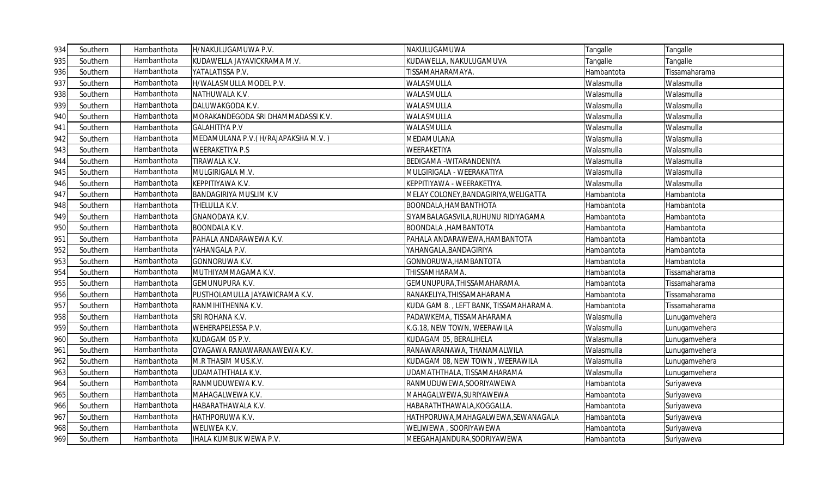| 934 | Southern | Hambanthota | H/NAKULUGAMUWA P.V.                 | NAKULUGAMUWA                           | Tangalle   | Tangalle      |
|-----|----------|-------------|-------------------------------------|----------------------------------------|------------|---------------|
| 935 | Southern | Hambanthota | KUDAWELLA JAYAVICKRAMA M.V.         | KUDAWELLA, NAKULUGAMUVA                | Tangalle   | Tangalle      |
| 936 | Southern | Hambanthota | YATALATISSA P.V.                    | TISSAMAHARAMAYA.                       | Hambantota | Tissamaharama |
| 937 | Southern | Hambanthota | H/WALASMULLA MODEL P.V.             | WALASMULLA                             | Walasmulla | Walasmulla    |
| 938 | Southern | Hambanthota | NATHUWALA K.V.                      | WALASMULLA                             | Walasmulla | Walasmulla    |
| 939 | Southern | Hambanthota | DALUWAKGODA K.V.                    | WALASMULLA                             | Walasmulla | Walasmulla    |
| 940 | Southern | Hambanthota | MORAKANDEGODA SRI DHAMMADASSI K.V.  | WALASMULLA                             | Walasmulla | Walasmulla    |
| 941 | Southern | Hambanthota | <b>GALAHITIYA P.V</b>               | WALASMULLA                             | Walasmulla | Walasmulla    |
| 942 | Southern | Hambanthota | MEDAMULANA P.V. (H/RAJAPAKSHA M.V.) | MEDAMULANA                             | Walasmulla | Walasmulla    |
| 943 | Southern | Hambanthota | <b>WEERAKETIYA P.S</b>              | WEERAKETIYA                            | Walasmulla | Walasmulla    |
| 944 | Southern | Hambanthota | TIRAWALA K.V.                       | BEDIGAMA - WITARANDENIYA               | Walasmulla | Walasmulla    |
| 945 | Southern | Hambanthota | MULGIRIGALA M.V.                    | MULGIRIGALA - WEERAKATIYA              | Walasmulla | Walasmulla    |
| 946 | Southern | Hambanthota | KEPPITIYAWA K.V.                    | KEPPITIYAWA - WEERAKETIYA.             | Walasmulla | Walasmulla    |
| 947 | Southern | Hambanthota | <b>BANDAGIRIYA MUSLIM K.V</b>       | MELAY COLONEY, BANDAGIRIYA, WELIGATTA  | Hambantota | Hambantota    |
| 948 | Southern | Hambanthota | THELULLA K.V.                       | BOONDALA, HAMBANTHOTA                  | Hambantota | Hambantota    |
| 949 | Southern | Hambanthota | <b>GNANODAYA K.V.</b>               | SIYAMBALAGASVILA,RUHUNU RIDIYAGAMA     | Hambantota | Hambantota    |
| 950 | Southern | Hambanthota | <b>BOONDALA K.V.</b>                | BOONDALA , HAMBANTOTA                  | Hambantota | Hambantota    |
| 951 | Southern | Hambanthota | PAHALA ANDARAWEWA K.V.              | PAHALA ANDARAWEWA, HAMBANTOTA          | Hambantota | Hambantota    |
| 952 | Southern | Hambanthota | YAHANGALA P.V.                      | YAHANGALA,BANDAGIRIYA                  | Hambantota | Hambantota    |
| 953 | Southern | Hambanthota | <b>GONNORUWA K.V.</b>               | GONNORUWA, HAMBANTOTA                  | Hambantota | Hambantota    |
| 954 | Southern | Hambanthota | MUTHIYAMMAGAMA K.V.                 | THISSAMHARAMA.                         | Hambantota | Tissamaharama |
| 955 | Southern | Hambanthota | <b>GEMUNUPURA K.V.</b>              | GEMUNUPURA, THISSAMAHARAMA.            | Hambantota | Tissamaharama |
| 956 | Southern | Hambanthota | PUSTHOLAMULLA JAYAWICRAMA K.V.      | RANAKELIYA, THISSAMAHARAMA             | Hambantota | Tissamaharama |
| 957 | Southern | Hambanthota | RANMIHITHENNA K.V.                  | KUDA GAM 8., LEFT BANK, TISSAMAHARAMA. | Hambantota | Tissamaharama |
| 958 | Southern | Hambanthota | SRI ROHANA K.V.                     | PADAWKEMA, TISSAMAHARAMA               | Walasmulla | Lunugamvehera |
| 959 | Southern | Hambanthota | <b>WEHERAPELESSA P.V.</b>           | K.G.18, NEW TOWN, WEERAWILA            | Walasmulla | Lunugamvehera |
| 960 | Southern | Hambanthota | KUDAGAM 05 P.V.                     | KUDAGAM 05, BERALIHELA                 | Walasmulla | Lunugamvehera |
| 961 | Southern | Hambanthota | OYAGAWA RANAWARANAWEWA K.V.         | RANAWARANAWA, THANAMALWILA             | Walasmulla | Lunugamvehera |
| 962 | Southern | Hambanthota | M.R THASIM MUS.K.V.                 | KUDAGAM 08, NEW TOWN , WEERAWILA       | Walasmulla | Lunugamvehera |
| 963 | Southern | Hambanthota | UDAMATHTHALA K.V.                   | UDAMATHTHALA, TISSAMAHARAMA            | Walasmulla | Lunugamvehera |
| 964 | Southern | Hambanthota | RANMUDUWEWA K.V.                    | RANMUDUWEWA, SOORIYAWEWA               | Hambantota | Suriyaweva    |
| 965 | Southern | Hambanthota | MAHAGALWEWA K.V.                    | MAHAGALWEWA, SURIYAWEWA                | Hambantota | Suriyaweva    |
| 966 | Southern | Hambanthota | HABARATHAWALA K.V.                  | HABARATHTHAWALA,KOGGALLA               | Hambantota | Suriyaweva    |
| 967 | Southern | Hambanthota | HATHPORUWA K.V.                     | HATHPORUWA,MAHAGALWEWA,SEWANAGALA      | Hambantota | Suriyaweva    |
| 968 | Southern | Hambanthota | WELIWEA K.V.                        | WELIWEWA, SOORIYAWEWA                  | Hambantota | Suriyaweva    |
| 969 | Southern | Hambanthota | <b>IHALA KUMBUK WEWA P.V.</b>       | MEEGAHAJANDURA, SOORIYAWEWA            | Hambantota | Suriyaweva    |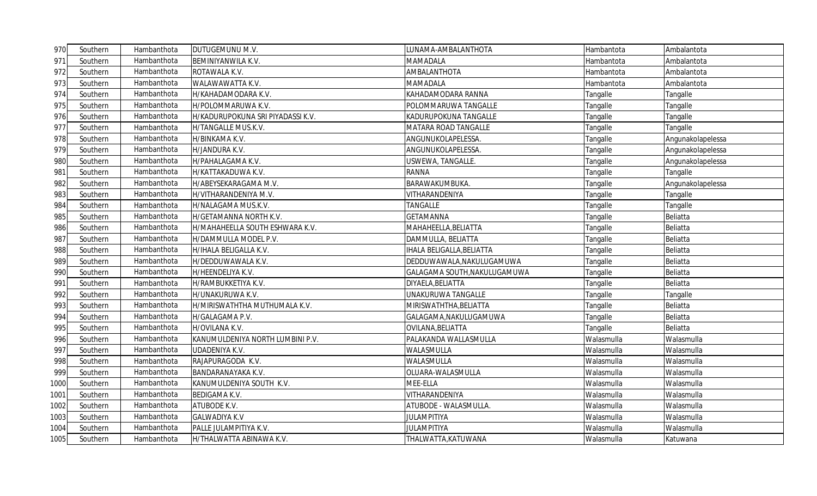| 970  | Southern | Hambanthota | DUTUGEMUNU M.V.                   | LUNAMA-AMBALANTHOTA              | Hambantota | Ambalantota       |
|------|----------|-------------|-----------------------------------|----------------------------------|------------|-------------------|
| 971  | Southern | Hambanthota | BEMINIYANWILA K.V.                | MAMADALA                         | Hambantota | Ambalantota       |
| 972  | Southern | Hambanthota | ROTAWALA K.V.                     | AMBALANTHOTA                     | Hambantota | Ambalantota       |
| 973  | Southern | Hambanthota | WALAWAWATTA K.V.                  | MAMADALA                         | Hambantota | Ambalantota       |
| 974  | Southern | Hambanthota | H/KAHADAMODARA K.V.               | KAHADAMODARA RANNA               | Tangalle   | Tangalle          |
| 975  | Southern | Hambanthota | H/POLOMMARUWA K.V.                | POLOMMARUWA TANGALLE             | Tangalle   | Tangalle          |
| 976  | Southern | Hambanthota | H/KADURUPOKUNA SRI PIYADASSI K.V. | KADURUPOKUNA TANGALLE            | Tangalle   | Tangalle          |
| 977  | Southern | Hambanthota | H/TANGALLE MUS.K.V.               | MATARA ROAD TANGALLE             | Tangalle   | Tangalle          |
| 978  | Southern | Hambanthota | H/BINKAMA K.V.                    | ANGUNUKOLAPELESSA.               | Tangalle   | Angunakolapelessa |
| 979  | Southern | Hambanthota | H/JANDURA K.V.                    | ANGUNUKOLAPELESSA.               | Tangalle   | Angunakolapelessa |
| 980  | Southern | Hambanthota | H/PAHALAGAMA K.V.                 | USWEWA, TANGALLE.                | Tangalle   | Angunakolapelessa |
| 981  | Southern | Hambanthota | H/KATTAKADUWA K.V.                | <b>RANNA</b>                     | Tangalle   | Tangalle          |
| 982  | Southern | Hambanthota | H/ABEYSEKARAGAMA M.V.             | BARAWAKUMBUKA.                   | Tangalle   | Angunakolapelessa |
| 983  | Southern | Hambanthota | H/VITHARANDENIYA M.V.             | VITHARANDENIYA                   | Tangalle   | Tangalle          |
| 984  | Southern | Hambanthota | H/NALAGAMA MUS.K.V.               | TANGALLE                         | Tangalle   | Tangalle          |
| 985  | Southern | Hambanthota | H/GETAMANNA NORTH K.V.            | GETAMANNA                        | Tangalle   | Beliatta          |
| 986  | Southern | Hambanthota | H/MAHAHEELLA SOUTH ESHWARA K.V.   | MAHAHEELLA, BELIATTA             | Tangalle   | Beliatta          |
| 987  | Southern | Hambanthota | H/DAMMULLA MODEL P.V.             | DAMMULLA, BELIATTA               | Tangalle   | Beliatta          |
| 988  | Southern | Hambanthota | H/IHALA BELIGALLA K.V.            | <b>IHALA BELIGALLA, BELIATTA</b> | Tangalle   | Beliatta          |
| 989  | Southern | Hambanthota | H/DEDDUWAWALA K.V.                | DEDDUWAWALA, NAKULUGAMUWA        | Tangalle   | Beliatta          |
| 990  | Southern | Hambanthota | H/HEENDELIYA K.V.                 | GALAGAMA SOUTH, NAKULUGAMUWA     | Tangalle   | Beliatta          |
| 991  | Southern | Hambanthota | H/RAMBUKKETIYA K.V.               | DIYAELA, BELIATTA                | Tangalle   | Beliatta          |
| 992  | Southern | Hambanthota | H/UNAKURUWA K.V.                  | UNAKURUWA TANGALLE               | Tangalle   | Tangalle          |
| 993  | Southern | Hambanthota | H/MIRISWATHTHA MUTHUMALA K.V.     | MIRISWATHTHA, BELIATTA           | Tangalle   | Beliatta          |
| 994  | Southern | Hambanthota | H/GALAGAMA P.V.                   | GALAGAMA, NAKULUGAMUWA           | Tangalle   | Beliatta          |
| 995  | Southern | Hambanthota | H/OVILANA K.V.                    | OVILANA, BELIATTA                | Tangalle   | Beliatta          |
| 996  | Southern | Hambanthota | KANUMULDENIYA NORTH LUMBINI P.V.  | PALAKANDA WALLASMULLA            | Walasmulla | Walasmulla        |
| 997  | Southern | Hambanthota | UDADENIYA K.V.                    | WALASMULLA                       | Walasmulla | Walasmulla        |
| 998  | Southern | Hambanthota | RAJAPURAGODA K.V.                 | WALASMULLA                       | Walasmulla | Walasmulla        |
| 999  | Southern | Hambanthota | BANDARANAYAKA K.V.                | OLUARA-WALASMULLA                | Walasmulla | Walasmulla        |
| 1000 | Southern | Hambanthota | KANUMULDENIYA SOUTH K.V.          | MEE-ELLA                         | Walasmulla | Walasmulla        |
| 1001 | Southern | Hambanthota | <b>BEDIGAMA K.V.</b>              | VITHARANDENIYA                   | Walasmulla | Walasmulla        |
| 1002 | Southern | Hambanthota | ATUBODE K.V.                      | ATUBODE - WALASMULLA.            | Walasmulla | Walasmulla        |
| 1003 | Southern | Hambanthota | <b>GALWADIYA K.V</b>              | <b>JULAMPITIYA</b>               | Walasmulla | Walasmulla        |
| 1004 | Southern | Hambanthota | PALLE JULAMPITIYA K.V.            | <b>JULAMPITIYA</b>               | Walasmulla | Walasmulla        |
| 1005 | Southern | Hambanthota | H/THALWATTA ABINAWA K.V.          | THALWATTA, KATUWANA              | Walasmulla | Katuwana          |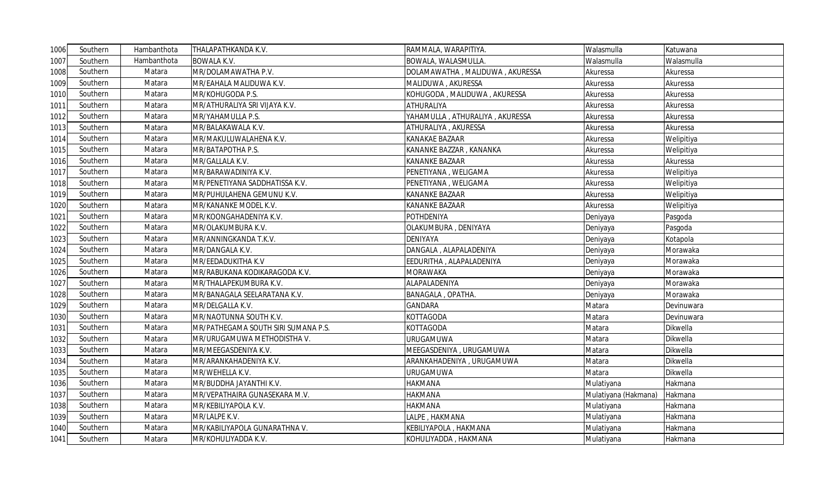| 1006 | Southern | Hambanthota | THALAPATHKANDA K.V.                 | RAMMALA, WARAPITIYA.            | Walasmulla           | Katuwana   |
|------|----------|-------------|-------------------------------------|---------------------------------|----------------------|------------|
| 1007 | Southern | Hambanthota | <b>BOWALA K.V.</b>                  | BOWALA, WALASMULLA.             | Walasmulla           | Walasmulla |
| 1008 | Southern | Matara      | MR/DOLAMAWATHA P.V.                 | DOLAMAWATHA, MALIDUWA, AKURESSA | Akuressa             | Akuressa   |
| 1009 | Southern | Matara      | MR/EAHALA MALIDUWA K.V.             | MALIDUWA, AKURESSA              | Akuressa             | Akuressa   |
| 1010 | Southern | Matara      | MR/KOHUGODA P.S.                    | KOHUGODA, MALIDUWA, AKURESSA    | Akuressa             | Akuressa   |
| 1011 | Southern | Matara      | MR/ATHURALIYA SRI VIJAYA K.V.       | ATHURALIYA                      | Akuressa             | Akuressa   |
| 1012 | Southern | Matara      | MR/YAHAMULLA P.S.                   | YAHAMULLA, ATHURALIYA, AKURESSA | Akuressa             | Akuressa   |
| 1013 | Southern | Matara      | MR/BALAKAWALA K.V.                  | ATHURALIYA, AKURESSA            | Akuressa             | Akuressa   |
| 1014 | Southern | Matara      | MR/MAKULUWALAHENA K.V.              | KANAKAE BAZAAR                  | Akuressa             | Welipitiya |
| 1015 | Southern | Matara      | MR/BATAPOTHA P.S.                   | KANANKE BAZZAR, KANANKA         | Akuressa             | Welipitiya |
| 1016 | Southern | Matara      | MR/GALLALA K.V.                     | <b>KANANKE BAZAAR</b>           | Akuressa             | Akuressa   |
| 1017 | Southern | Matara      | MR/BARAWADINIYA K.V.                | PENETIYANA, WELIGAMA            | Akuressa             | Welipitiya |
| 1018 | Southern | Matara      | MR/PENETIYANA SADDHATISSA K.V.      | PENETIYANA, WELIGAMA            | Akuressa             | Welipitiya |
| 1019 | Southern | Matara      | MR/PUHULAHENA GEMUNU K.V.           | <b>KANANKE BAZAAR</b>           | Akuressa             | Welipitiya |
| 1020 | Southern | Matara      | MR/KANANKE MODEL K.V.               | <b>KANANKE BAZAAR</b>           | Akuressa             | Welipitiya |
| 1021 | Southern | Matara      | MR/KOONGAHADENIYA K.V.              | <b>POTHDENIYA</b>               | Deniyaya             | Pasgoda    |
| 1022 | Southern | Matara      | MR/OLAKUMBURA K.V.                  | OLAKUMBURA, DENIYAYA            | Deniyaya             | Pasgoda    |
| 1023 | Southern | Matara      | MR/ANNINGKANDA T.K.V.               | <b>DENIYAYA</b>                 | Deniyaya             | Kotapola   |
| 1024 | Southern | Matara      | MR/DANGALA K.V.                     | DANGALA, ALAPALADENIYA          | Deniyaya             | Morawaka   |
| 1025 | Southern | Matara      | MR/EEDADUKITHA K.V                  | EEDURITHA, ALAPALADENIYA        | Deniyaya             | Morawaka   |
| 1026 | Southern | Matara      | MR/RABUKANA KODIKARAGODA K.V.       | <b>MORAWAKA</b>                 | Deniyaya             | Morawaka   |
| 1027 | Southern | Matara      | MR/THALAPEKUMBURA K.V.              | ALAPALADENIYA                   | Deniyaya             | Morawaka   |
| 1028 | Southern | Matara      | MR/BANAGALA SEELARATANA K.V.        | BANAGALA, OPATHA.               | Deniyaya             | Morawaka   |
| 1029 | Southern | Matara      | MR/DELGALLA K.V.                    | <b>GANDARA</b>                  | Matara               | Devinuwara |
| 1030 | Southern | Matara      | MR/NAOTUNNA SOUTH K.V.              | <b>KOTTAGODA</b>                | Matara               | Devinuwara |
| 1031 | Southern | Matara      | MR/PATHEGAMA SOUTH SIRI SUMANA P.S. | <b>KOTTAGODA</b>                | Matara               | Dikwella   |
| 1032 | Southern | Matara      | MR/URUGAMUWA METHODISTHA V.         | <b>URUGAMUWA</b>                | Matara               | Dikwella   |
| 1033 | Southern | Matara      | MR/MEEGASDENIYA K.V.                | MEEGASDENIYA, URUGAMUWA         | Matara               | Dikwella   |
| 1034 | Southern | Matara      | MR/ARANKAHADENIYA K.V.              | ARANKAHADENIYA, URUGAMUWA       | Matara               | Dikwella   |
| 1035 | Southern | Matara      | MR/WEHELLA K.V.                     | URUGAMUWA                       | Matara               | Dikwella   |
| 1036 | Southern | Matara      | MR/BUDDHA JAYANTHI K.V.             | <b>HAKMANA</b>                  | Mulatiyana           | Hakmana    |
| 1037 | Southern | Matara      | MR/VEPATHAIRA GUNASEKARA M.V.       | <b>HAKMANA</b>                  | Mulatiyana (Hakmana) | Hakmana    |
| 1038 | Southern | Matara      | MR/KEBILIYAPOLA K.V.                | <b>HAKMANA</b>                  | Mulatiyana           | Hakmana    |
| 1039 | Southern | Matara      | MR/LALPE K.V.                       | LALPE, HAKMANA                  | Mulatiyana           | Hakmana    |
| 1040 | Southern | Matara      | MR/KABILIYAPOLA GUNARATHNA V.       | KEBILIYAPOLA, HAKMANA           | Mulatiyana           | Hakmana    |
| 1041 | Southern | Matara      | MR/KOHULIYADDA K.V.                 | KOHULIYADDA, HAKMANA            | Mulatiyana           | Hakmana    |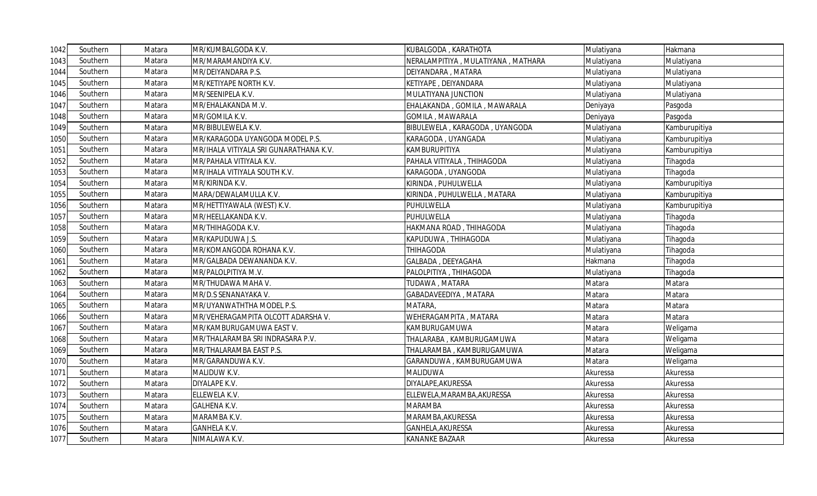| 1042 | Southern | Matara | MR/KUMBALGODA K.V.                     | KUBALGODA, KARATHOTA                 | Mulatiyana | Hakmana       |
|------|----------|--------|----------------------------------------|--------------------------------------|------------|---------------|
| 1043 | Southern | Matara | MR/MARAMANDIYA K.V.                    | NERALAMPITIYA , MULATIYANA , MATHARA | Mulatiyana | Mulatiyana    |
| 1044 | Southern | Matara | <b>MR/DEIYANDARA P.S.</b>              | DEIYANDARA, MATARA                   | Mulatiyana | Mulatiyana    |
| 1045 | Southern | Matara | MR/KETIYAPE NORTH K.V.                 | KETIYAPE, DEIYANDARA                 | Mulatiyana | Mulatiyana    |
| 1046 | Southern | Matara | MR/SEENIPELA K.V.                      | MULATIYANA JUNCTION                  | Mulatiyana | Mulatiyana    |
| 1047 | Southern | Matara | MR/EHALAKANDA M.V.                     | EHALAKANDA, GOMILA, MAWARALA         | Deniyaya   | Pasgoda       |
| 1048 | Southern | Matara | MR/GOMILA K.V.                         | GOMILA, MAWARALA                     | Deniyaya   | Pasgoda       |
| 1049 | Southern | Matara | MR/BIBULEWELA K.V.                     | BIBULEWELA, KARAGODA, UYANGODA       | Mulatiyana | Kamburupitiya |
| 1050 | Southern | Matara | MR/KARAGODA UYANGODA MODEL P.S.        | KARAGODA, UYANGADA                   | Mulatiyana | Kamburupitiya |
| 1051 | Southern | Matara | MR/IHALA VITIYALA SRI GUNARATHANA K.V. | KAMBURUPITIYA                        | Mulatiyana | Kamburupitiya |
| 1052 | Southern | Matara | MR/PAHALA VITIYALA K.V.                | PAHALA VITIYALA, THIHAGODA           | Mulatiyana | Tihagoda      |
| 1053 | Southern | Matara | MR/IHALA VITIYALA SOUTH K.V.           | KARAGODA, UYANGODA                   | Mulatiyana | Tihagoda      |
| 1054 | Southern | Matara | MR/KIRINDA K.V.                        | KIRINDA , PUHULWELLA                 | Mulatiyana | Kamburupitiya |
| 1055 | Southern | Matara | MARA/DEWALAMULLA K.V.                  | KIRINDA, PUHULWELLA, MATARA          | Mulatiyana | Kamburupitiya |
| 1056 | Southern | Matara | MR/HETTIYAWALA (WEST) K.V.             | PUHULWELLA                           | Mulatiyana | Kamburupitiya |
| 1057 | Southern | Matara | VIR/HEELLAKANDA K.V.                   | PUHULWELLA                           | Mulatiyana | Tihagoda      |
| 1058 | Southern | Matara | MR/THIHAGODA K.V.                      | HAKMANA ROAD, THIHAGODA              | Mulatiyana | Tihagoda      |
| 1059 | Southern | Matara | MR/KAPUDUWA J.S.                       | KAPUDUWA, THIHAGODA                  | Mulatiyana | Tihagoda      |
| 1060 | Southern | Matara | MR/KOMANGODA ROHANA K.V.               | THIHAGODA                            | Mulatiyana | Tihagoda      |
| 1061 | Southern | Matara | MR/GALBADA DEWANANDA K.V.              | GALBADA, DEEYAGAHA                   | Hakmana    | Tihagoda      |
| 1062 | Southern | Matara | MR/PALOLPITIYA M.V.                    | PALOLPITIYA, THIHAGODA               | Mulatiyana | Tihagoda      |
| 1063 | Southern | Matara | MR/THUDAWA MAHA V.                     | TUDAWA, MATARA                       | Matara     | Matara        |
| 1064 | Southern | Matara | MR/D.S SENANAYAKA V.                   | GABADAVEEDIYA, MATARA                | Matara     | Matara        |
| 1065 | Southern | Matara | MR/UYANWATHTHA MODEL P.S.              | MATARA,                              | Matara     | Matara        |
| 1066 | Southern | Matara | MR/VEHERAGAMPITA OLCOTT ADARSHA V.     | WEHERAGAMPITA, MATARA                | Matara     | Matara        |
| 1067 | Southern | Matara | MR/KAMBURUGAMUWA EAST V.               | KAMBURUGAMUWA                        | Matara     | Weligama      |
| 1068 | Southern | Matara | MR/THALARAMBA SRI INDRASARA P.V.       | THALARABA, KAMBURUGAMUWA             | Matara     | Weligama      |
| 1069 | Southern | Matara | <b>VIR/THALARAMBA EAST P.S.</b>        | THALARAMBA, KAMBURUGAMUWA            | Matara     | Weligama      |
| 1070 | Southern | Matara | MR/GARANDUWA K.V.                      | GARANDUWA , KAMBURUGAMUWA            | Matara     | Weligama      |
| 1071 | Southern | Matara | MALIDUW K.V.                           | MALIDUWA                             | Akuressa   | Akuressa      |
| 1072 | Southern | Matara | DIYALAPE K.V.                          | DIYALAPE, AKURESSA                   | Akuressa   | Akuressa      |
| 1073 | Southern | Matara | ELLEWELA K.V.                          | ELLEWELA, MARAMBA, AKURESSA          | Akuressa   | Akuressa      |
| 1074 | Southern | Matara | <b>GALHENA K.V.</b>                    | <b>MARAMBA</b>                       | Akuressa   | Akuressa      |
| 1075 | Southern | Matara | MARAMBA K.V.                           | MARAMBA, AKURESSA                    | Akuressa   | Akuressa      |
| 1076 | Southern | Matara | <b>GANHELA K.V.</b>                    | GANHELA, AKURESSA                    | Akuressa   | Akuressa      |
| 1077 | Southern | Matara | NIMALAWA K.V.                          | KANANKE BAZAAR                       | Akuressa   | Akuressa      |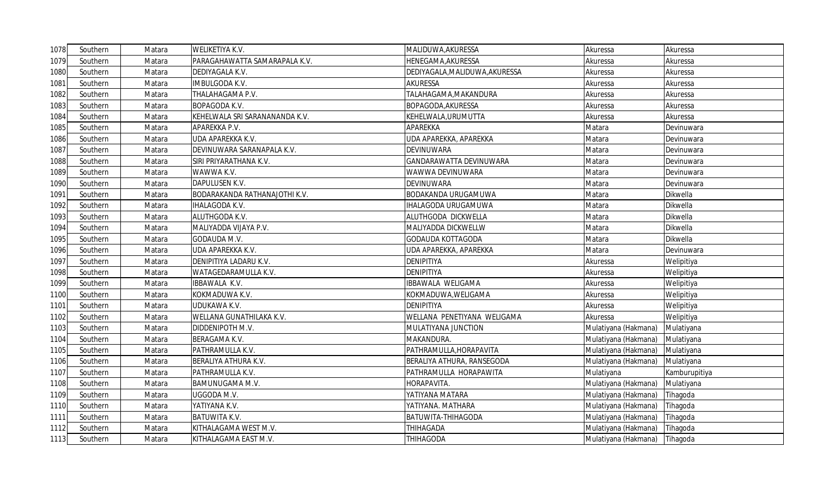| 1078 | Southern | Matara | <b>WELIKETIYA K.V.</b>         | MALIDUWA, AKURESSA             | Akuressa             | Akuressa      |
|------|----------|--------|--------------------------------|--------------------------------|----------------------|---------------|
| 1079 | Southern | Matara | PARAGAHAWATTA SAMARAPALA K.V.  | HENEGAMA, AKURESSA             | Akuressa             | Akuressa      |
| 1080 | Southern | Matara | DEDIYAGALA K.V.                | DEDIYAGALA, MALIDUWA, AKURESSA | Akuressa             | Akuressa      |
| 1081 | Southern | Matara | IMBULGODA K.V.                 | <b>AKURESSA</b>                | Akuressa             | Akuressa      |
| 1082 | Southern | Matara | THALAHAGAMA P.V.               | TALAHAGAMA, MAKANDURA          | Akuressa             | Akuressa      |
| 1083 | Southern | Matara | BOPAGODA K.V.                  | BOPAGODA, AKURESSA             | Akuressa             | Akuressa      |
| 1084 | Southern | Matara | KEHELWALA SRI SARANANANDA K.V. | KEHELWALA, URUMUTTA            | Akuressa             | Akuressa      |
| 1085 | Southern | Matara | APAREKKA P.V.                  | APAREKKA                       | Matara               | Devinuwara    |
| 1086 | Southern | Matara | UDA APAREKKA K.V.              | UDA APAREKKA, APAREKKA         | Matara               | Devinuwara    |
| 1087 | Southern | Matara | DEVINUWARA SARANAPALA K.V.     | <b>DEVINUWARA</b>              | Matara               | Devinuwara    |
| 1088 | Southern | Matara | SIRI PRIYARATHANA K.V.         | GANDARAWATTA DEVINUWARA        | Matara               | Devinuwara    |
| 1089 | Southern | Matara | WAWWA K.V.                     | WAWWA DEVINUWARA               | Matara               | Devinuwara    |
| 1090 | Southern | Matara | DAPULUSEN K.V.                 | DEVINUWARA                     | Matara               | Devinuwara    |
| 1091 | Southern | Matara | BODARAKANDA RATHANAJOTHI K.V.  | <b>BODAKANDA URUGAMUWA</b>     | Matara               | Dikwella      |
| 1092 | Southern | Matara | IHALAGODA K.V.                 | IHALAGODA URUGAMUWA            | Matara               | Dikwella      |
| 1093 | Southern | Matara | ALUTHGODA K.V.                 | ALUTHGODA DICKWELLA            | Matara               | Dikwella      |
| 1094 | Southern | Matara | MALIYADDA VIJAYA P.V.          | MALIYADDA DICKWELLW            | Matara               | Dikwella      |
| 1095 | Southern | Matara | GODAUDA M.V.                   | <b>GODAUDA KOTTAGODA</b>       | Matara               | Dikwella      |
| 1096 | Southern | Matara | UDA APAREKKA K.V.              | UDA APAREKKA, APAREKKA         | Matara               | Devinuwara    |
| 1097 | Southern | Matara | DENIPITIYA LADARU K.V.         | <b>DENIPITIYA</b>              | Akuressa             | Welipitiya    |
| 1098 | Southern | Matara | WATAGEDARAMULLA K.V.           | <b>DENIPITIYA</b>              | Akuressa             | Welipitiya    |
| 1099 | Southern | Matara | IBBAWALA K.V.                  | IBBAWALA WELIGAMA              | Akuressa             | Welipitiya    |
| 1100 | Southern | Matara | KOKMADUWA K.V.                 | KOKMADUWA, WELIGAMA            | Akuressa             | Welipitiya    |
| 1101 | Southern | Matara | UDUKAWA K.V.                   | <b>DENIPITIYA</b>              | Akuressa             | Welipitiya    |
| 1102 | Southern | Matara | WELLANA GUNATHILAKA K.V.       | WELLANA PENETIYANA WELIGAMA    | Akuressa             | Welipitiya    |
| 1103 | Southern | Matara | DIDDENIPOTH M.V.               | MULATIYANA JUNCTION            | Mulatiyana (Hakmana) | Mulatiyana    |
| 1104 | Southern | Matara | BERAGAMA K.V.                  | MAKANDURA.                     | Mulatiyana (Hakmana) | Mulatiyana    |
| 1105 | Southern | Matara | PATHRAMULLA K.V.               | PATHRAMULLA, HORAPAVITA        | Mulatiyana (Hakmana) | Mulatiyana    |
| 1106 | Southern | Matara | BERALIYA ATHURA K.V.           | BERALIYA ATHURA, RANSEGODA     | Mulatiyana (Hakmana) | Mulatiyana    |
| 1107 | Southern | Matara | PATHRAMULLA K.V.               | PATHRAMULLA HORAPAWITA         | Mulatiyana           | Kamburupitiya |
| 1108 | Southern | Matara | BAMUNUGAMA M.V.                | HORAPAVITA.                    | Mulatiyana (Hakmana) | Mulatiyana    |
| 1109 | Southern | Matara | UGGODA M.V.                    | YATIYANA MATARA                | Mulatiyana (Hakmana) | Tihagoda      |
| 1110 | Southern | Matara | YATIYANA K.V.                  | YATIYANA. MATHARA              | Mulatiyana (Hakmana) | Tihagoda      |
| 1111 | Southern | Matara | <b>BATUWITA K.V.</b>           | BATUWITA-THIHAGODA             | Mulatiyana (Hakmana) | Tihagoda      |
| 1112 | Southern | Matara | KITHALAGAMA WEST M.V.          | THIHAGADA                      | Mulatiyana (Hakmana) | Tihagoda      |
| 1113 | Southern | Matara | KITHALAGAMA EAST M.V.          | <b>THIHAGODA</b>               | Mulatiyana (Hakmana) | Tihagoda      |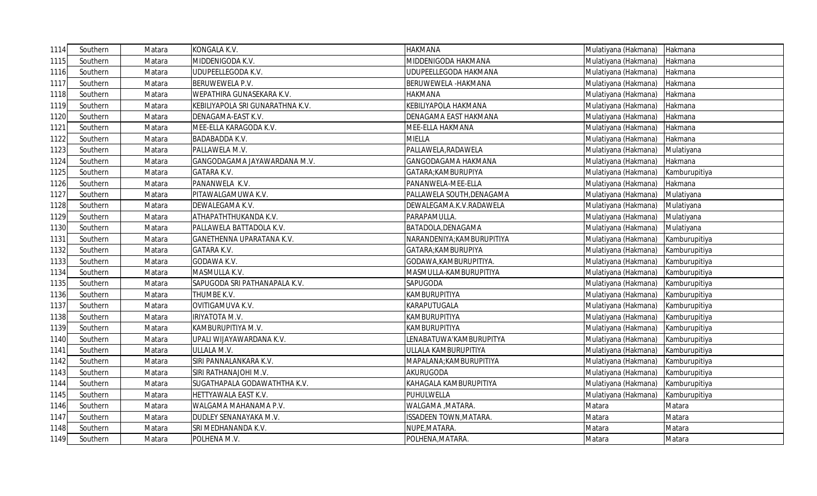| 1114 | Southern | Matara | KONGALA K.V.                     | <b>HAKMANA</b>                | Mulatiyana (Hakmana) Hakmana |               |
|------|----------|--------|----------------------------------|-------------------------------|------------------------------|---------------|
| 1115 | Southern | Matara | MIDDENIGODA K.V.                 | MIDDENIGODA HAKMANA           | Mulatiyana (Hakmana)         | Hakmana       |
| 1116 | Southern | Matara | UDUPEELLEGODA K.V.               | UDUPEELLEGODA HAKMANA         | Mulatiyana (Hakmana)         | Hakmana       |
| 1117 | Southern | Matara | BERUWEWELA P.V.                  | BERUWEWELA -HAKMANA           | Mulatiyana (Hakmana)         | Hakmana       |
| 1118 | Southern | Matara | WEPATHIRA GUNASEKARA K.V.        | HAKMANA                       | Mulatiyana (Hakmana)         | Hakmana       |
| 1119 | Southern | Matara | KEBILIYAPOLA SRI GUNARATHNA K.V. | KEBILIYAPOLA HAKMANA          | Mulatiyana (Hakmana)         | Hakmana       |
| 1120 | Southern | Matara | DENAGAMA-EAST K.V.               | DENAGAMA EAST HAKMANA         | Mulatiyana (Hakmana)         | Hakmana       |
| 1121 | Southern | Matara | MEE-ELLA KARAGODA K.V.           | MEE-ELLA HAKMANA              | Mulatiyana (Hakmana)         | Hakmana       |
| 1122 | Southern | Matara | <b>BADABADDA K.V.</b>            | MIELLA                        | Mulatiyana (Hakmana)         | Hakmana       |
| 1123 | Southern | Matara | PALLAWELA M.V.                   | PALLAWELA, RADAWELA           | Mulatiyana (Hakmana)         | Mulatiyana    |
| 1124 | Southern | Matara | GANGODAGAMA JAYAWARDANA M.V.     | GANGODAGAMA HAKMANA           | Mulatiyana (Hakmana)         | Hakmana       |
| 1125 | Southern | Matara | GATARA K.V.                      | GATARA; KAMBURUPIYA           | Mulatiyana (Hakmana)         | Kamburupitiya |
| 1126 | Southern | Matara | PANANWELA K.V.                   | PANANWELA-MEE-ELLA            | Mulatiyana (Hakmana)         | Hakmana       |
| 1127 | Southern | Matara | PITAWALGAMUWA K.V.               | PALLAWELA SOUTH, DENAGAMA     | Mulatiyana (Hakmana)         | Mulatiyana    |
| 1128 | Southern | Matara | DEWALEGAMA K.V.                  | DEWALEGAMA.K.V.RADAWELA       | Mulatiyana (Hakmana)         | Mulatiyana    |
| 1129 | Southern | Matara | ATHAPATHTHUKANDA K.V.            | PARAPAMULLA.                  | Mulatiyana (Hakmana)         | Mulatiyana    |
| 1130 | Southern | Matara | PALLAWELA BATTADOLA K.V.         | BATADOLA, DENAGAMA            | Mulatiyana (Hakmana)         | Mulatiyana    |
| 1131 | Southern | Matara | GANETHENNA UPARATANA K.V.        | NARANDENIYA;KAMBURUPITIYA     | Mulatiyana (Hakmana)         | Kamburupitiya |
| 1132 | Southern | Matara | <b>GATARA K.V.</b>               | GATARA; KAMBURUPIYA           | Mulatiyana (Hakmana)         | Kamburupitiya |
| 1133 | Southern | Matara | GODAWA K.V.                      | GODAWA, KAMBURUPITIYA.        | Mulatiyana (Hakmana)         | Kamburupitiya |
| 1134 | Southern | Matara | MASMULLA K.V.                    | MASMULLA-KAMBURUPITIYA        | Mulatiyana (Hakmana)         | Kamburupitiya |
| 1135 | Southern | Matara | SAPUGODA SRI PATHANAPALA K.V.    | SAPUGODA                      | Mulatiyana (Hakmana)         | Kamburupitiya |
| 1136 | Southern | Matara | THUMBE K.V.                      | KAMBURUPITIYA                 | Mulatiyana (Hakmana)         | Kamburupitiya |
| 1137 | Southern | Matara | OVITIGAMUVA K.V.                 | KARAPUTUGALA                  | Mulatiyana (Hakmana)         | Kamburupitiya |
| 1138 | Southern | Matara | IRIYATOTA M.V.                   | KAMBURUPITIYA                 | Mulatiyana (Hakmana)         | Kamburupitiya |
| 1139 | Southern | Matara | KAMBURUPITIYA M.V.               | KAMBURUPITIYA                 | Mulatiyana (Hakmana)         | Kamburupitiya |
| 1140 | Southern | Matara | UPALI WIJAYAWARDANA K.V.         | ENABATUWA'KAMBURUPITYA        | Mulatiyana (Hakmana)         | Kamburupitiya |
| 1141 | Southern | Matara | ULLALA M.V.                      | ULLALA KAMBURUPITIYA          | Mulatiyana (Hakmana)         | Kamburupitiya |
| 1142 | Southern | Matara | SIRI PANNALANKARA K.V.           | MAPALANA; KAMBURUPITIYA       | Mulatiyana (Hakmana)         | Kamburupitiya |
| 1143 | Southern | Matara | SIRI RATHANAJOHI M.V.            | AKURUGODA                     | Mulatiyana (Hakmana)         | Kamburupitiya |
| 1144 | Southern | Matara | SUGATHAPALA GODAWATHTHA K.V.     | KAHAGALA KAMBURUPITIYA        | Mulatiyana (Hakmana)         | Kamburupitiya |
| 1145 | Southern | Matara | HETTYAWALA EAST K.V.             | PUHULWELLA                    | Mulatiyana (Hakmana)         | Kamburupitiya |
| 1146 | Southern | Matara | WALGAMA MAHANAMA P.V.            | WALGAMA, MATARA.              | Matara                       | Matara        |
| 1147 | Southern | Matara | DUDLEY SENANAYAKA M.V.           | <b>ISSADEEN TOWN, MATARA.</b> | Matara                       | Matara        |
| 1148 | Southern | Matara | SRI MEDHANANDA K.V.              | NUPE, MATARA.                 | Matara                       | Matara        |
| 1149 | Southern | Matara | POLHENA M.V.                     | POLHENA, MATARA.              | Matara                       | Matara        |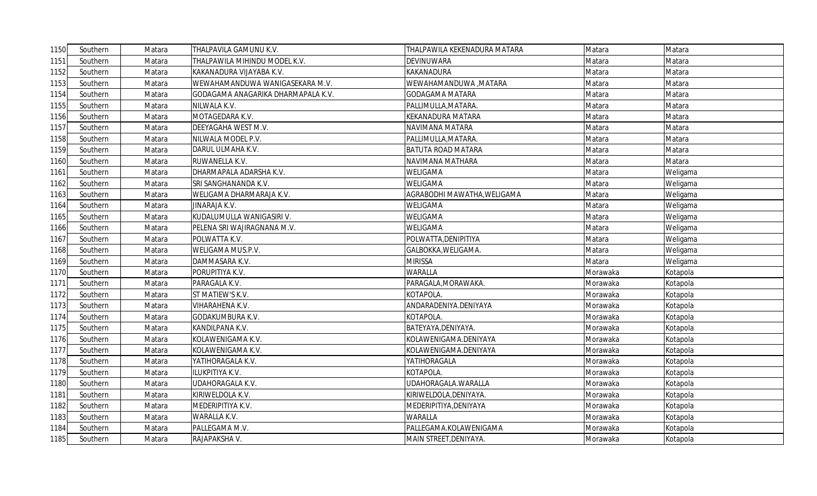| 1150 | Southern | Matara | THALPAVILA GAMUNU K.V.             | THALPAWILA KEKENADURA MATARA | Matara   | Matara   |
|------|----------|--------|------------------------------------|------------------------------|----------|----------|
| 1151 | Southern | Matara | THALPAWILA MIHINDU MODEL K.V.      | <b>DEVINUWARA</b>            | Matara   | Matara   |
| 1152 | Southern | Matara | KAKANADURA VIJAYABA K.V.           | KAKANADURA                   | Matara   | Matara   |
| 1153 | Southern | Matara | WEWAHAMANDUWA WANIGASEKARA M.V.    | WEWAHAMANDUWA , MATARA       | Matara   | Matara   |
| 1154 | Southern | Matara | GODAGAMA ANAGARIKA DHARMAPALA K.V. | <b>GODAGAMA MATARA</b>       | Matara   | Matara   |
| 1155 | Southern | Matara | NILWALA K.V.                       | PALLIMULLA, MATARA.          | Matara   | Matara   |
| 1156 | Southern | Matara | MOTAGEDARA K.V.                    | <b>KEKANADURA MATARA</b>     | Matara   | Matara   |
| 1157 | Southern | Matara | DEEYAGAHA WEST M.V.                | NAVIMANA MATARA              | Matara   | Matara   |
| 1158 | Southern | Matara | NILWALA MODEL P.V.                 | PALLIMULLA, MATARA.          | Matara   | Matara   |
| 1159 | Southern | Matara | DARUL ULMAHA K.V.                  | <b>BATUTA ROAD MATARA</b>    | Matara   | Matara   |
| 1160 | Southern | Matara | RUWANELLA K.V.                     | NAVIMANA MATHARA             | Matara   | Matara   |
| 1161 | Southern | Matara | DHARMAPALA ADARSHA K.V.            | <b>WELIGAMA</b>              | Matara   | Weligama |
| 1162 | Southern | Matara | SRI SANGHANANDA K.V.               | <b>WELIGAMA</b>              | Matara   | Weligama |
| 1163 | Southern | Matara | WELIGAMA DHARMARAJA K.V.           | AGRABODHI MAWATHA, WELIGAMA  | Matara   | Weligama |
| 1164 | Southern | Matara | JINARAJA K.V.                      | <b>WELIGAMA</b>              | Matara   | Weligama |
| 1165 | Southern | Matara | KUDALUMULLA WANIGASIRI V.          | <b>WELIGAMA</b>              | Matara   | Weligama |
| 1166 | Southern | Matara | PELENA SRI WAJIRAGNANA M.V.        | <b>WELIGAMA</b>              | Matara   | Weligama |
| 1167 | Southern | Matara | POLWATTA K.V.                      | POLWATTA, DENIPITIYA         | Matara   | Weligama |
| 1168 | Southern | Matara | WELIGAMA MUS.P.V.                  | GALBOKKA, WELIGAMA.          | Matara   | Weligama |
| 1169 | Southern | Matara | DAMMASARA K.V.                     | <b>MIRISSA</b>               | Matara   | Weligama |
| 1170 | Southern | Matara | PORUPITIYA K.V.                    | <b>WARALLA</b>               | Morawaka | Kotapola |
| 1171 | Southern | Matara | PARAGALA K.V.                      | PARAGALA, MORAWAKA.          | Morawaka | Kotapola |
| 1172 | Southern | Matara | ST MATIEW'S K.V.                   | KOTAPOLA.                    | Morawaka | Kotapola |
| 1173 | Southern | Matara | VIHARAHENA K.V.                    | ANDARADENIYA.DENIYAYA        | Morawaka | Kotapola |
| 1174 | Southern | Matara | GODAKUMBURA K.V.                   | KOTAPOLA.                    | Morawaka | Kotapola |
| 1175 | Southern | Matara | KANDILPANA K.V.                    | BATEYAYA, DENIYAYA.          | Morawaka | Kotapola |
| 1176 | Southern | Matara | KOLAWENIGAMA K.V.                  | KOLAWENIGAMA.DENIYAYA        | Morawaka | Kotapola |
| 1177 | Southern | Matara | KOLAWENIGAMA K.V.                  | KOLAWENIGAMA.DENIYAYA        | Morawaka | Kotapola |
| 1178 | Southern | Matara | YATIHORAGALA K.V.                  | YATIHORAGALA                 | Morawaka | Kotapola |
| 1179 | Southern | Matara | ILUKPITIYA K.V.                    | KOTAPOLA.                    | Morawaka | Kotapola |
| 1180 | Southern | Matara | UDAHORAGALA K.V.                   | UDAHORAGALA.WARALLA          | Morawaka | Kotapola |
| 1181 | Southern | Matara | KIRIWELDOLA K.V.                   | KIRIWELDOLA, DENIYAYA.       | Morawaka | Kotapola |
| 1182 | Southern | Matara | MEDERIPITIYA K.V.                  | MEDERIPITIYA, DENIYAYA       | Morawaka | Kotapola |
| 1183 | Southern | Matara | WARALLA K.V.                       | <b>WARALLA</b>               | Morawaka | Kotapola |
| 1184 | Southern | Matara | PALLEGAMA M.V.                     | PALLEGAMA.KOLAWENIGAMA       | Morawaka | Kotapola |
| 1185 | Southern | Matara | RAJAPAKSHA V.                      | MAIN STREET, DENIYAYA.       | Morawaka | Kotapola |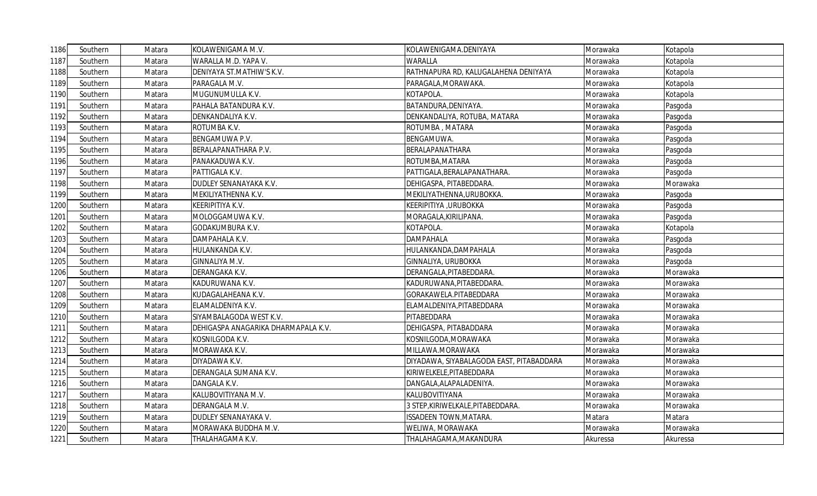| 1186 | Southern | Matara | KOLAWENIGAMA M.V.                   | KOLAWENIGAMA.DENIYAYA                    | Morawaka | Kotapola |
|------|----------|--------|-------------------------------------|------------------------------------------|----------|----------|
| 1187 | Southern | Matara | WARALLA M.D. YAPA V.                | <b>WARALLA</b>                           | Morawaka | Kotapola |
| 1188 | Southern | Matara | DENIYAYA ST.MATHIW'S K.V.           | RATHNAPURA RD, KALUGALAHENA DENIYAYA     | Morawaka | Kotapola |
| 1189 | Southern | Matara | PARAGALA M.V.                       | PARAGALA, MORAWAKA.                      | Morawaka | Kotapola |
| 1190 | Southern | Matara | MUGUNUMULLA K.V.                    | KOTAPOLA.                                | Morawaka | Kotapola |
| 1191 | Southern | Matara | PAHALA BATANDURA K.V.               | BATANDURA, DENIYAYA.                     | Morawaka | Pasgoda  |
| 1192 | Southern | Matara | DENKANDALIYA K.V.                   | DENKANDALIYA, ROTUBA, MATARA             | Morawaka | Pasgoda  |
| 1193 | Southern | Matara | ROTUMBA K.V.                        | ROTUMBA, MATARA                          | Morawaka | Pasgoda  |
| 1194 | Southern | Matara | BENGAMUWA P.V.                      | BENGAMUWA.                               | Morawaka | Pasgoda  |
| 1195 | Southern | Matara | BERALAPANATHARA P.V.                | BERALAPANATHARA                          | Morawaka | Pasgoda  |
| 1196 | Southern | Matara | PANAKADUWA K.V.                     | ROTUMBA, MATARA                          | Morawaka | Pasgoda  |
| 1197 | Southern | Matara | PATTIGALA K.V.                      | PATTIGALA, BERALAPANATHARA.              | Morawaka | Pasgoda  |
| 1198 | Southern | Matara | DUDLEY SENANAYAKA K.V.              | DEHIGASPA, PITABEDDARA.                  | Morawaka | Morawaka |
| 1199 | Southern | Matara | MEKILIYATHENNA K.V.                 | MEKILIYATHENNA,URUBOKKA.                 | Morawaka | Pasgoda  |
| 1200 | Southern | Matara | KEERIPITIYA K.V.                    | KEERIPITIYA , URUBOKKA                   | Morawaka | Pasgoda  |
| 1201 | Southern | Matara | MOLOGGAMUWA K.V.                    | MORAGALA, KIRILIPANA.                    | Morawaka | Pasgoda  |
| 1202 | Southern | Matara | GODAKUMBURA K.V.                    | KOTAPOLA.                                | Morawaka | Kotapola |
| 1203 | Southern | Matara | DAMPAHALA K.V.                      | <b>DAMPAHALA</b>                         | Morawaka | Pasgoda  |
| 1204 | Southern | Matara | HULANKANDA K.V.                     | HULANKANDA, DAMPAHALA                    | Morawaka | Pasgoda  |
| 1205 | Southern | Matara | GINNALIYA M.V.                      | GINNALIYA, URUBOKKA                      | Morawaka | Pasgoda  |
| 1206 | Southern | Matara | DERANGAKA K.V.                      | DERANGALA, PITABEDDARA.                  | Morawaka | Morawaka |
| 1207 | Southern | Matara | KADURUWANA K.V.                     | KADURUWANA, PITABEDDARA.                 | Morawaka | Morawaka |
| 1208 | Southern | Matara | KUDAGALAHEANA K.V.                  | GORAKAWELA.PITABEDDARA                   | Morawaka | Morawaka |
| 1209 | Southern | Matara | ELAMALDENIYA K.V.                   | ELAMALDENIYA, PITABEDDARA                | Morawaka | Morawaka |
| 1210 | Southern | Matara | SIYAMBALAGODA WEST K.V.             | PITABEDDARA                              | Morawaka | Morawaka |
| 1211 | Southern | Matara | DEHIGASPA ANAGARIKA DHARMAPALA K.V. | DEHIGASPA, PITABADDARA                   | Morawaka | Morawaka |
| 1212 | Southern | Matara | KOSNILGODA K.V.                     | KOSNILGODA, MORAWAKA                     | Morawaka | Morawaka |
| 1213 | Southern | Matara | MORAWAKA K.V.                       | MILLAWA.MORAWAKA                         | Morawaka | Morawaka |
| 1214 | Southern | Matara | DIYADAWA K.V.                       | DIYADAWA, SIYABALAGODA EAST, PITABADDARA | Morawaka | Morawaka |
| 1215 | Southern | Matara | DERANGALA SUMANA K.V.               | KIRIWELKELE, PITABEDDARA                 | Morawaka | Morawaka |
| 1216 | Southern | Matara | DANGALA K.V.                        | DANGALA, ALAPALADENIYA.                  | Morawaka | Morawaka |
| 1217 | Southern | Matara | KALUBOVITIYANA M.V.                 | KALUBOVITIYANA                           | Morawaka | Morawaka |
| 1218 | Southern | Matara | DERANGALA M.V.                      | 3 STEP, KIRIWELKALE, PITABEDDARA.        | Morawaka | Morawaka |
| 1219 | Southern | Matara | DUDLEY SENANAYAKA V.                | <b>ISSADEEN TOWN, MATARA.</b>            | Matara   | Matara   |
| 1220 | Southern | Matara | MORAWAKA BUDDHA M.V.                | WELIWA, MORAWAKA                         | Morawaka | Morawaka |
| 1221 | Southern | Matara | THALAHAGAMA K.V.                    | THALAHAGAMA, MAKANDURA                   | Akuressa | Akuressa |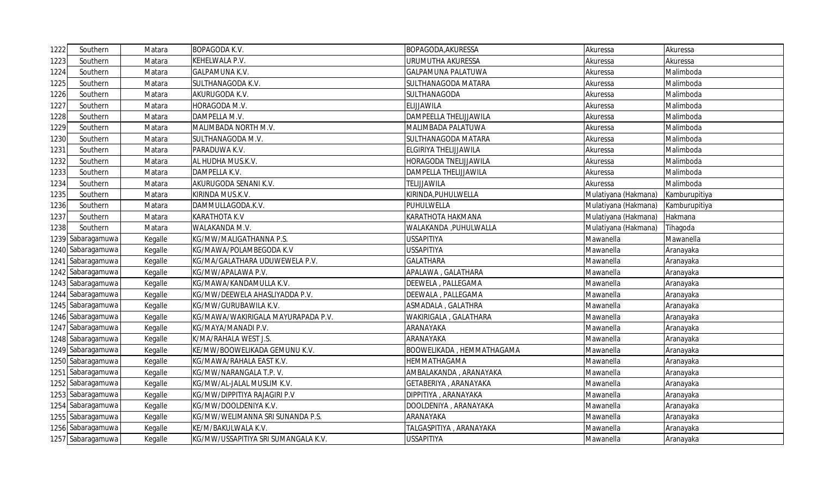| 1222 | Southern          | Matara  | <b>BOPAGODA K.V.</b>                | BOPAGODA, AKURESSA           | Akuressa             | Akuressa      |
|------|-------------------|---------|-------------------------------------|------------------------------|----------------------|---------------|
| 1223 | Southern          | Matara  | KEHELWALA P.V.                      | URUMUTHA AKURESSA            | Akuressa             | Akuressa      |
| 1224 | Southern          | Matara  | GALPAMUNA K.V.                      | <b>GALPAMUNA PALATUWA</b>    | Akuressa             | Malimboda     |
| 1225 | Southern          | Matara  | SULTHANAGODA K.V.                   | SULTHANAGODA MATARA          | Akuressa             | Malimboda     |
| 1226 | Southern          | Matara  | AKURUGODA K.V.                      | SULTHANAGODA                 | Akuressa             | Malimboda     |
| 1227 | Southern          | Matara  | HORAGODA M.V.                       | <b>ELIJJAWILA</b>            | Akuressa             | Malimboda     |
| 1228 | Southern          | Matara  | DAMPELLA M.V.                       | DAMPEELLA THELIJJAWILA       | Akuressa             | Malimboda     |
| 1229 | Southern          | Matara  | MALIMBADA NORTH M.V.                | MALIMBADA PALATUWA           | Akuressa             | Malimboda     |
| 1230 | Southern          | Matara  | SULTHANAGODA M.V.                   | SULTHANAGODA MATARA          | Akuressa             | Malimboda     |
| 1231 | Southern          | Matara  | PARADUWA K.V.                       | <b>ELGIRIYA THELIJJAWILA</b> | Akuressa             | Malimboda     |
| 1232 | Southern          | Matara  | AL HUDHA MUS.K.V.                   | <b>HORAGODA TNELIJJAWILA</b> | Akuressa             | Malimboda     |
| 1233 | Southern          | Matara  | DAMPELLA K.V.                       | <b>DAMPELLA THELIJJAWILA</b> | Akuressa             | Malimboda     |
| 1234 | Southern          | Matara  | AKURUGODA SENANI K.V.               | TELIJJAWILA                  | Akuressa             | Malimboda     |
| 1235 | Southern          | Matara  | KIRINDA MUS.K.V.                    | KIRINDA, PUHULWELLA          | Mulatiyana (Hakmana) | Kamburupitiya |
| 1236 | Southern          | Matara  | DAMMULLAGODA.K.V.                   | PUHULWELLA                   | Mulatiyana (Hakmana) | Kamburupitiya |
| 1237 | Southern          | Matara  | KARATHOTA K.V                       | KARATHOTA HAKMANA            | Mulatiyana (Hakmana) | Hakmana       |
| 1238 | Southern          | Matara  | WALAKANDA M.V.                      | WALAKANDA , PUHULWALLA       | Mulatiyana (Hakmana) | Tihagoda      |
| 1239 | Sabaragamuwa      | Kegalle | KG/MW/MALIGATHANNA P.S.             | <b>USSAPITIYA</b>            | Mawanella            | Mawanella     |
|      | 1240 Sabaragamuwa | Kegalle | KG/MAWA/POLAMBEGODA K.V             | <b>USSAPITIYA</b>            | Mawanella            | Aranayaka     |
|      | 1241 Sabaragamuwa | Kegalle | KG/MA/GALATHARA UDUWEWELA P.V.      | <b>GALATHARA</b>             | Mawanella            | Aranayaka     |
|      | 1242 Sabaragamuwa | Kegalle | KG/MW/APALAWA P.V.                  | APALAWA, GALATHARA           | Mawanella            | Aranayaka     |
|      | 1243 Sabaragamuwa | Kegalle | KG/MAWA/KANDAMULLA K.V.             | DEEWELA, PALLEGAMA           | Mawanella            | Aranayaka     |
|      | 1244 Sabaragamuwa | Kegalle | KG/MW/DEEWELA AHASLIYADDA P.V.      | DEEWALA, PALLEGAMA           | Mawanella            | Aranayaka     |
|      | 1245 Sabaragamuwa | Kegalle | KG/MW/GURUBAWILA K.V.               | ASMADALA, GALATHRA           | Mawanella            | Aranayaka     |
|      | 1246 Sabaragamuwa | Kegalle | KG/MAWA/WAKIRIGALA MAYURAPADA P.V.  | WAKIRIGALA, GALATHARA        | Mawanella            | Aranayaka     |
|      | 1247 Sabaragamuwa | Kegalle | KG/MAYA/MANADI P.V.                 | ARANAYAKA                    | Mawanella            | Aranayaka     |
|      | 1248 Sabaragamuwa | Kegalle | K/MA/RAHALA WEST J.S.               | ARANAYAKA                    | Mawanella            | Aranayaka     |
|      | 1249 Sabaragamuwa | Kegalle | KE/MW/BOOWELIKADA GEMUNU K.V.       | BOOWELIKADA, HEMMATHAGAMA    | Mawanella            | Aranayaka     |
|      | 1250 Sabaragamuwa | Kegalle | KG/MAWA/RAHALA EAST K.V.            | HEMMATHAGAMA                 | Mawanella            | Aranayaka     |
|      | 1251 Sabaragamuwa | Kegalle | KG/MW/NARANGALA T.P. V.             | AMBALAKANDA, ARANAYAKA       | Mawanella            | Aranayaka     |
|      | 1252 Sabaragamuwa | Kegalle | KG/MW/AL-JALAL MUSLIM K.V.          | GETABERIYA, ARANAYAKA        | Mawanella            | Aranayaka     |
|      | 1253 Sabaragamuwa | Kegalle | KG/MW/DIPPITIYA RAJAGIRI P.V        | DIPPITIYA, ARANAYAKA         | Mawanella            | Aranayaka     |
|      | 1254 Sabaragamuwa | Kegalle | KG/MW/DOOLDENIYA K.V.               | DOOLDENIYA, ARANAYAKA        | Mawanella            | Aranayaka     |
|      | 1255 Sabaragamuwa | Kegalle | KG/MW/WELIMANNA SRI SUNANDA P.S.    | ARANAYAKA                    | Mawanella            | Aranayaka     |
|      | 1256 Sabaragamuwa | Kegalle | KE/M/BAKULWALA K.V.                 | TALGASPITIYA, ARANAYAKA      | Mawanella            | Aranayaka     |
|      | 1257 Sabaragamuwa | Kegalle | KG/MW/USSAPITIYA SRI SUMANGALA K.V. | <b>USSAPITIYA</b>            | Mawanella            | Aranayaka     |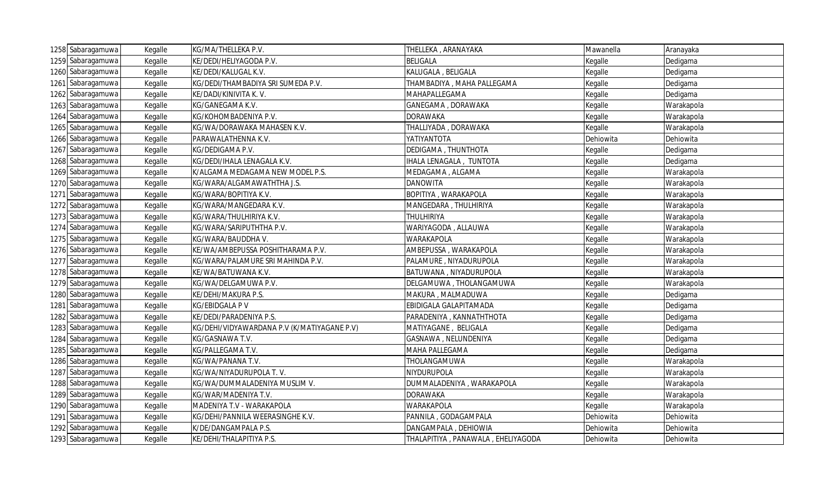| 1258 Sabaragamuwa | Kegalle | KG/MA/THELLEKA P.V.                         | THELLEKA, ARANAYAKA                | Mawanella | Aranayaka  |
|-------------------|---------|---------------------------------------------|------------------------------------|-----------|------------|
| 1259 Sabaragamuwa | Kegalle | KE/DEDI/HELIYAGODA P.V.                     | <b>BELIGALA</b>                    | Kegalle   | Dedigama   |
| 1260 Sabaragamuwa | Kegalle | KE/DEDI/KALUGAL K.V.                        | KALUGALA, BELIGALA                 | Kegalle   | Dedigama   |
| 1261 Sabaragamuwa | Kegalle | KG/DEDI/THAMBADIYA SRI SUMEDA P.V.          | THAMBADIYA, MAHA PALLEGAMA         | Kegalle   | Dedigama   |
| 1262 Sabaragamuwa | Kegalle | KE/DADI/KINIVITA K. V.                      | MAHAPALLEGAMA                      | Kegalle   | Dedigama   |
| 1263 Sabaragamuwa | Kegalle | KG/GANEGAMA K.V.                            | GANEGAMA, DORAWAKA                 | Kegalle   | Warakapola |
| 1264 Sabaragamuwa | Kegalle | KG/KOHOMBADENIYA P.V.                       | <b>DORAWAKA</b>                    | Kegalle   | Warakapola |
| 1265 Sabaragamuwa | Kegalle | KG/WA/DORAWAKA MAHASEN K.V.                 | THALLIYADA, DORAWAKA               | Kegalle   | Warakapola |
| 1266 Sabaragamuwa | Kegalle | PARAWALATHENNA K.V.                         | ΥΑΤΙΥΑΝΤΟΤΑ                        | Dehiowita | Dehiowita  |
| 1267 Sabaragamuwa | Kegalle | KG/DEDIGAMA P.V.                            | DEDIGAMA, THUNTHOTA                | Kegalle   | Dedigama   |
| 1268 Sabaragamuwa | Kegalle | KG/DEDI/IHALA LENAGALA K.V.                 | IHALA LENAGALA, TUNTOTA            | Kegalle   | Dedigama   |
| 1269 Sabaragamuwa | Kegalle | K/ALGAMA MEDAGAMA NEW MODEL P.S.            | MEDAGAMA, ALGAMA                   | Kegalle   | Warakapola |
| 1270 Sabaragamuwa | Kegalle | KG/WARA/ALGAMAWATHTHA J.S.                  | <b>DANOWITA</b>                    | Kegalle   | Warakapola |
| 1271 Sabaragamuwa | Kegalle | KG/WARA/BOPITIYA K.V.                       | BOPITIYA, WARAKAPOLA               | Kegalle   | Warakapola |
| 1272 Sabaragamuwa | Kegalle | KG/WARA/MANGEDARA K.V.                      | MANGEDARA, THULHIRIYA              | Kegalle   | Warakapola |
| 1273 Sabaragamuwa | Kegalle | KG/WARA/THULHIRIYA K.V.                     | THULHIRIYA                         | Kegalle   | Warakapola |
| 1274 Sabaragamuwa | Kegalle | KG/WARA/SARIPUTHTHA P.V.                    | WARIYAGODA, ALLAUWA                | Kegalle   | Warakapola |
| 1275 Sabaragamuwa | Kegalle | KG/WARA/BAUDDHAV.                           | <b>WARAKAPOLA</b>                  | Kegalle   | Warakapola |
| 1276 Sabaragamuwa | Kegalle | KE/WA/AMBEPUSSA POSHITHARAMA P.V.           | AMBEPUSSA, WARAKAPOLA              | Kegalle   | Warakapola |
| 1277 Sabaragamuwa | Kegalle | KG/WARA/PALAMURE SRI MAHINDA P.V.           | PALAMURE, NIYADURUPOLA             | Kegalle   | Warakapola |
| 1278 Sabaragamuwa | Kegalle | KE/WA/BATUWANA K.V.                         | BATUWANA, NIYADURUPOLA             | Kegalle   | Warakapola |
| 1279 Sabaragamuwa | Kegalle | KG/WA/DELGAMUWA P.V.                        | DELGAMUWA, THOLANGAMUWA            | Kegalle   | Warakapola |
| 1280 Sabaragamuwa | Kegalle | KE/DEHI/MAKURA P.S.                         | MAKURA, MALMADUWA                  | Kegalle   | Dedigama   |
| 1281 Sabaragamuwa | Kegalle | KG/EBIDGALA P V                             | EBIDIGALA GALAPITAMADA             | Kegalle   | Dedigama   |
| 1282 Sabaragamuwa | Kegalle | KE/DEDI/PARADENIYA P.S.                     | PARADENIYA, KANNATHTHOTA           | Kegalle   | Dedigama   |
| 1283 Sabaragamuwa | Kegalle | KG/DEHI/VIDYAWARDANA P.V (K/MATIYAGANE P.V) | MATIYAGANE, BELIGALA               | Kegalle   | Dedigama   |
| 1284 Sabaragamuwa | Kegalle | KG/GASNAWA T.V.                             | GASNAWA, NELUNDENIYA               | Kegalle   | Dedigama   |
| 1285 Sabaragamuwa | Kegalle | KG/PALLEGAMA T.V.                           | MAHA PALLEGAMA                     | Kegalle   | Dedigama   |
| 1286 Sabaragamuwa | Kegalle | KG/WA/PANANA T.V.                           | THOLANGAMUWA                       | Kegalle   | Warakapola |
| 1287 Sabaragamuwa | Kegalle | KG/WA/NIYADURUPOLA T.V.                     | NIYDURUPOLA                        | Kegalle   | Warakapola |
| 1288 Sabaragamuwa | Kegalle | KG/WA/DUMMALADENIYA MUSLIM V.               | DUMMALADENIYA, WARAKAPOLA          | Kegalle   | Warakapola |
| 1289 Sabaragamuwa | Kegalle | KG/WAR/MADENIYA T.V.                        | <b>DORAWAKA</b>                    | Kegalle   | Warakapola |
| 1290 Sabaragamuwa | Kegalle | MADENIYA T.V - WARAKAPOLA                   | <b>WARAKAPOLA</b>                  | Kegalle   | Warakapola |
| 1291 Sabaragamuwa | Kegalle | KG/DEHI/PANNILA WEERASINGHE K.V.            | PANNILA, GODAGAMPALA               | Dehiowita | Dehiowita  |
| 1292 Sabaragamuwa | Kegalle | K/DE/DANGAMPALA P.S.                        | DANGAMPALA, DEHIOWIA               | Dehiowita | Dehiowita  |
| 1293 Sabaragamuwa | Kegalle | KE/DEHI/THALAPITIYA P.S.                    | THALAPITIYA, PANAWALA, EHELIYAGODA | Dehiowita | Dehiowita  |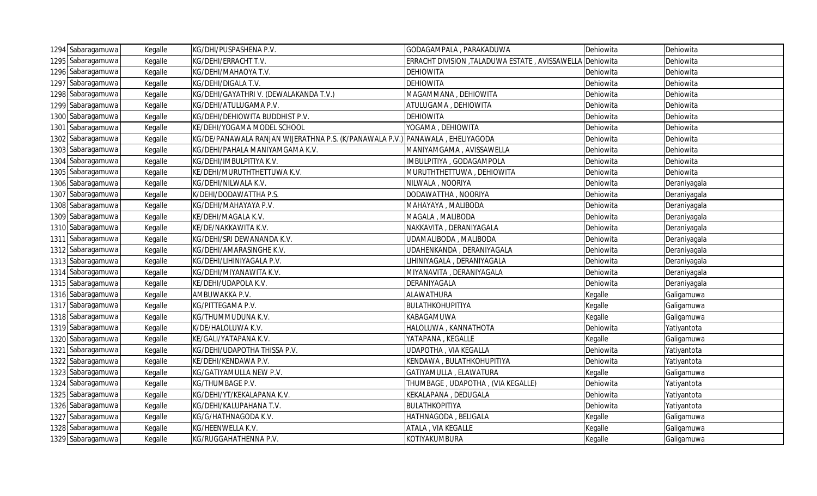| 1294 Sabaragamuwa | Kegalle | KG/DHI/PUSPASHENA P.V.                                                         | GODAGAMPALA, PARAKADUWA                         | Dehiowita | Dehiowita    |
|-------------------|---------|--------------------------------------------------------------------------------|-------------------------------------------------|-----------|--------------|
| 1295 Sabaragamuwa | Kegalle | KG/DEHI/ERRACHT T.V.                                                           | ERRACHT DIVISION , TALADUWA ESTATE, AVISSAWELLA | Dehiowita | Dehiowita    |
| 1296 Sabaragamuwa | Kegalle | KG/DEHI/MAHAOYA T.V.                                                           | <b>DEHIOWITA</b>                                | Dehiowita | Dehiowita    |
| 1297 Sabaragamuwa | Kegalle | KG/DEHI/DIGALA T.V.                                                            | <b>DEHIOWITA</b>                                | Dehiowita | Dehiowita    |
| 1298 Sabaragamuwa | Kegalle | KG/DEHI/GAYATHRI V. (DEWALAKANDA T.V.)                                         | MAGAMMANA, DEHIOWITA                            | Dehiowita | Dehiowita    |
| 1299 Sabaragamuwa | Kegalle | KG/DEHI/ATULUGAMA P.V.                                                         | ATULUGAMA, DEHIOWITA                            | Dehiowita | Dehiowita    |
| 1300 Sabaragamuwa | Kegalle | KG/DEHI/DEHIOWITA BUDDHIST P.V.                                                | <b>DEHIOWITA</b>                                | Dehiowita | Dehiowita    |
| 1301 Sabaragamuwa | Kegalle | KE/DEHI/YOGAMA MODEL SCHOOL                                                    | YOGAMA, DEHIOWITA                               | Dehiowita | Dehiowita    |
| 1302 Sabaragamuwa | Kegalle | KG/DE/PANAWALA RANJAN WIJERATHNA P.S. (K/PANAWALA P.V.) PANAWALA , EHELIYAGODA |                                                 | Dehiowita | Dehiowita    |
| 1303 Sabaragamuwa | Kegalle | KG/DEHI/PAHALA MANIYAMGAMA K.V.                                                | MANIYAMGAMA, AVISSAWELLA                        | Dehiowita | Dehiowita    |
| 1304 Sabaragamuwa | Kegalle | KG/DEHI/IMBULPITIYA K.V.                                                       | IMBULPITIYA, GODAGAMPOLA                        | Dehiowita | Dehiowita    |
| 1305 Sabaragamuwa | Kegalle | KE/DEHI/MURUTHTHETTUWA K.V.                                                    | MURUTHTHETTUWA, DEHIOWITA                       | Dehiowita | Dehiowita    |
| 1306 Sabaragamuwa | Kegalle | KG/DEHI/NILWALA K.V.                                                           | NILWALA, NOORIYA                                | Dehiowita | Deraniyagala |
| 1307 Sabaragamuwa | Kegalle | K/DEHI/DODAWATTHA P.S.                                                         | DODAWATTHA, NOORIYA                             | Dehiowita | Deraniyagala |
| 1308 Sabaragamuwa | Kegalle | KG/DEHI/MAHAYAYA P.V.                                                          | MAHAYAYA, MALIBODA                              | Dehiowita | Deraniyagala |
| 1309 Sabaragamuwa | Kegalle | KE/DEHI/MAGALA K.V.                                                            | MAGALA, MALIBODA                                | Dehiowita | Deraniyagala |
| 1310 Sabaragamuwa | Kegalle | KE/DE/NAKKAWITA K.V.                                                           | NAKKAVITA, DERANIYAGALA                         | Dehiowita | Deraniyagala |
| 1311 Sabaragamuwa | Kegalle | KG/DEHI/SRI DEWANANDA K.V.                                                     | UDAMALIBODA, MALIBODA                           | Dehiowita | Deraniyagala |
| 1312 Sabaragamuwa | Kegalle | KG/DEHI/AMARASINGHE K.V.                                                       | UDAHENKANDA, DERANIYAGALA                       | Dehiowita | Deraniyagala |
| 1313 Sabaragamuwa | Kegalle | KG/DEHI/LIHINIYAGALA P.V.                                                      | LIHINIYAGALA, DERANIYAGALA                      | Dehiowita | Deraniyagala |
| 1314 Sabaragamuwa | Kegalle | KG/DEHI/MIYANAWITA K.V.                                                        | MIYANAVITA, DERANIYAGALA                        | Dehiowita | Deraniyagala |
| 1315 Sabaragamuwa | Kegalle | KE/DEHI/UDAPOLA K.V.                                                           | DERANIYAGALA                                    | Dehiowita | Deraniyagala |
| 1316 Sabaragamuwa | Kegalle | AMBUWAKKA P.V.                                                                 | <b>ALAWATHURA</b>                               | Kegalle   | Galigamuwa   |
| 1317 Sabaragamuwa | Kegalle | KG/PITTEGAMA P.V.                                                              | BULATHKOHUPITIYA                                | Kegalle   | Galigamuwa   |
| 1318 Sabaragamuwa | Kegalle | KG/THUMMUDUNA K.V.                                                             | <b>KABAGAMUWA</b>                               | Kegalle   | Galigamuwa   |
| 1319 Sabaragamuwa | Kegalle | K/DE/HALOLUWA K.V.                                                             | HALOLUWA, KANNATHOTA                            | Dehiowita | Yatiyantota  |
| 1320 Sabaragamuwa | Kegalle | KE/GALI/YATAPANA K.V.                                                          | YATAPANA, KEGALLE                               | Kegalle   | Galigamuwa   |
| 1321 Sabaragamuwa | Kegalle | KG/DEHI/UDAPOTHA THISSA P.V.                                                   | UDAPOTHA, VIA KEGALLA                           | Dehiowita | Yatiyantota  |
| 1322 Sabaragamuwa | Kegalle | KE/DEHI/KENDAWA P.V.                                                           | KENDAWA, BULATHKOHUPITIYA                       | Dehiowita | Yatiyantota  |
| 1323 Sabaragamuwa | Kegalle | KG/GATIYAMULLA NEW P.V.                                                        | GATIYAMULLA, ELAWATURA                          | Kegalle   | Galigamuwa   |
| 1324 Sabaragamuwa | Kegalle | KG/THUMBAGE P.V.                                                               | THUMBAGE, UDAPOTHA, (VIA KEGALLE)               | Dehiowita | Yatiyantota  |
| 1325 Sabaragamuwa | Kegalle | KG/DEHI/YT/KEKALAPANA K.V.                                                     | KEKALAPANA, DEDUGALA                            | Dehiowita | Yatiyantota  |
| 1326 Sabaragamuwa | Kegalle | KG/DEHI/KALUPAHANA T.V.                                                        | BULATHKOPITIYA                                  | Dehiowita | Yatiyantota  |
| 1327 Sabaragamuwa | Kegalle | KG/G/HATHNAGODA K.V.                                                           | HATHNAGODA, BELIGALA                            | Kegalle   | Galigamuwa   |
| 1328 Sabaragamuwa | Kegalle | KG/HEENWELLA K.V.                                                              | ATALA, VIA KEGALLE                              | Kegalle   | Galigamuwa   |
| 1329 Sabaragamuwa | Kegalle | KG/RUGGAHATHENNA P.V.                                                          | KOTIYAKUMBURA                                   | Kegalle   | Galigamuwa   |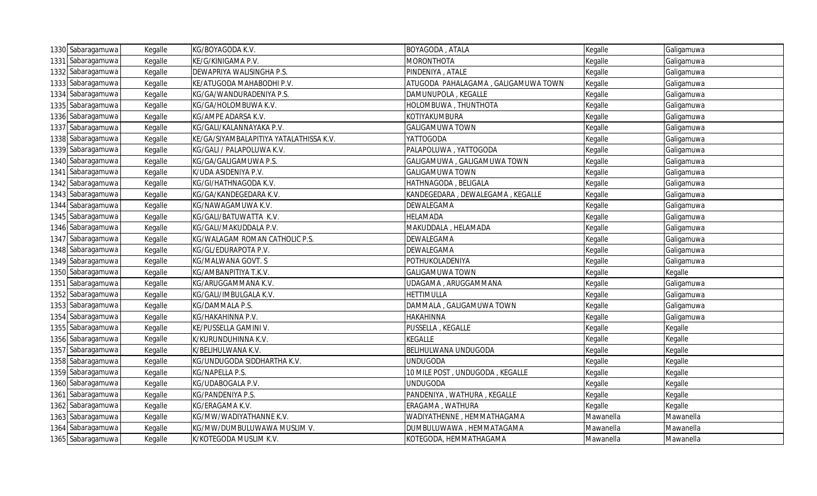| 1330 Sabaragamuwa | Kegalle | KG/BOYAGODA K.V.                        | BOYAGODA, ATALA                     | Kegalle   | Galigamuwa |
|-------------------|---------|-----------------------------------------|-------------------------------------|-----------|------------|
| 1331 Sabaragamuwa | Kegalle | KE/G/KINIGAMA P.V.                      | <b>MORONTHOTA</b>                   | Kegalle   | Galigamuwa |
| 1332 Sabaragamuwa | Kegalle | DEWAPRIYA WALISINGHA P.S.               | PINDENIYA, ATALE                    | Kegalle   | Galigamuwa |
| 1333 Sabaragamuwa | Kegalle | KE/ATUGODA MAHABODHI P.V.               | ATUGODA PAHALAGAMA, GALIGAMUWA TOWN | Kegalle   | Galigamuwa |
| 1334 Sabaragamuwa | Kegalle | KG/GA/WANDURADENIYA P.S.                | DAMUNUPOLA, KEGALLE                 | Kegalle   | Galigamuwa |
| 1335 Sabaragamuwa | Kegalle | KG/GA/HOLOMBUWA K.V.                    | HOLOMBUWA, THUNTHOTA                | Kegalle   | Galigamuwa |
| 1336 Sabaragamuwa | Kegalle | KG/AMPE ADARSA K.V.                     | KOTIYAKUMBURA                       | Kegalle   | Galigamuwa |
| 1337 Sabaragamuwa | Kegalle | KG/GALI/KALANNAYAKA P.V.                | <b>GALIGAMUWA TOWN</b>              | Kegalle   | Galigamuwa |
| 1338 Sabaragamuwa | Kegalle | KE/GA/SIYAMBALAPITIYA YATALATHISSA K.V. | <b>YATTOGODA</b>                    | Kegalle   | Galigamuwa |
| 1339 Sabaragamuwa | Kegalle | KG/GALI / PALAPOLUWA K.V.               | PALAPOLUWA, YATTOGODA               | Kegalle   | Galigamuwa |
| 1340 Sabaragamuwa | Kegalle | KG/GA/GALIGAMUWA P.S.                   | GALIGAMUWA, GALIGAMUWA TOWN         | Kegalle   | Galigamuwa |
| 1341 Sabaragamuwa | Kegalle | K/UDA ASIDENIYA P.V.                    | <b>GALIGAMUWA TOWN</b>              | Kegalle   | Galigamuwa |
| 1342 Sabaragamuwa | Kegalle | KG/GI/HATHNAGODA K.V.                   | HATHNAGODA, BELIGALA                | Kegalle   | Galigamuwa |
| 1343 Sabaragamuwa | Kegalle | KG/GA/KANDEGEDARA K.V.                  | KANDEGEDARA, DEWALEGAMA, KEGALLE    | Kegalle   | Galigamuwa |
| 1344 Sabaragamuwa | Kegalle | KG/NAWAGAMUWA K.V.                      | <b>DEWALEGAMA</b>                   | Kegalle   | Galigamuwa |
| 1345 Sabaragamuwa | Kegalle | KG/GALI/BATUWATTA K.V.                  | HELAMADA                            | Kegalle   | Galigamuwa |
| 1346 Sabaragamuwa | Kegalle | KG/GALI/MAKUDDALA P.V.                  | MAKUDDALA, HELAMADA                 | Kegalle   | Galigamuwa |
| 1347 Sabaragamuwa | Kegalle | KG/WALAGAM ROMAN CATHOLIC P.S.          | <b>DEWALEGAMA</b>                   | Kegalle   | Galigamuwa |
| 1348 Sabaragamuwa | Kegalle | KG/GL/EDURAPOTA P.V.                    | <b>DEWALEGAMA</b>                   | Kegalle   | Galigamuwa |
| 1349 Sabaragamuwa | Kegalle | KG/MALWANA GOVT. S                      | POTHUKOLADENIYA                     | Kegalle   | Galigamuwa |
| 1350 Sabaragamuwa | Kegalle | KG/AMBANPITIYA T.K.V.                   | <b>GALIGAMUWA TOWN</b>              | Kegalle   | Kegalle    |
| 1351 Sabaragamuwa | Kegalle | KG/ARUGGAMMANA K.V                      | UDAGAMA, ARUGGAMMANA                | Kegalle   | Galigamuwa |
| 1352 Sabaragamuwa | Kegalle | KG/GALI/IMBULGALA K.V.                  | <b>HETTIMULLA</b>                   | Kegalle   | Galigamuwa |
| 1353 Sabaragamuwa | Kegalle | KG/DAMMALA P.S.                         | DAMMALA, GALIGAMUWA TOWN            | Kegalle   | Galigamuwa |
| 1354 Sabaragamuwa | Kegalle | KG/HAKAHINNA P.V.                       | <b>HAKAHINNA</b>                    | Kegalle   | Galigamuwa |
| 1355 Sabaragamuwa | Kegalle | KE/PUSSELLA GAMINI V.                   | PUSSELLA, KEGALLE                   | Kegalle   | Kegalle    |
| 1356 Sabaragamuwa | Kegalle | K/KURUNDUHINNA K.V.                     | <b>KEGALLE</b>                      | Kegalle   | Kegalle    |
| 1357 Sabaragamuwa | Kegalle | K/BELIHULWANA K.V.                      | <b>BELIHULWANA UNDUGODA</b>         | Kegalle   | Kegalle    |
| 1358 Sabaragamuwa | Kegalle | KG/UNDUGODA SIDDHARTHA K.V.             | <b>UNDUGODA</b>                     | Kegalle   | Kegalle    |
| 1359 Sabaragamuwa | Kegalle | KG/NAPELLA P.S.                         | 10 MILE POST, UNDUGODA, KEGALLE     | Kegalle   | Kegalle    |
| 1360 Sabaragamuwa | Kegalle | KG/UDABOGALA P.V.                       | <b>UNDUGODA</b>                     | Kegalle   | Kegalle    |
| 1361 Sabaragamuwa | Kegalle | KG/PANDENIYA P.S.                       | PANDENIYA, WATHURA, KEGALLE         | Kegalle   | Kegalle    |
| 1362 Sabaragamuwa | Kegalle | KG/ERAGAMA K.V.                         | ERAGAMA, WATHURA                    | Kegalle   | Kegalle    |
| 1363 Sabaragamuwa | Kegalle | KG/MW/WADIYATHANNE K.V.                 | WADIYATHENNE, HEMMATHAGAMA          | Mawanella | Mawanella  |
| 1364 Sabaragamuwa | Kegalle | KG/MW/DUMBULUWAWA MUSLIM V.             | DUMBULUWAWA, HEMMATAGAMA            | Mawanella | Mawanella  |
| 1365 Sabaragamuwa | Kegalle | K/KOTEGODA MUSLIM K.V.                  | KOTEGODA, HEMMATHAGAMA              | Mawanella | Mawanella  |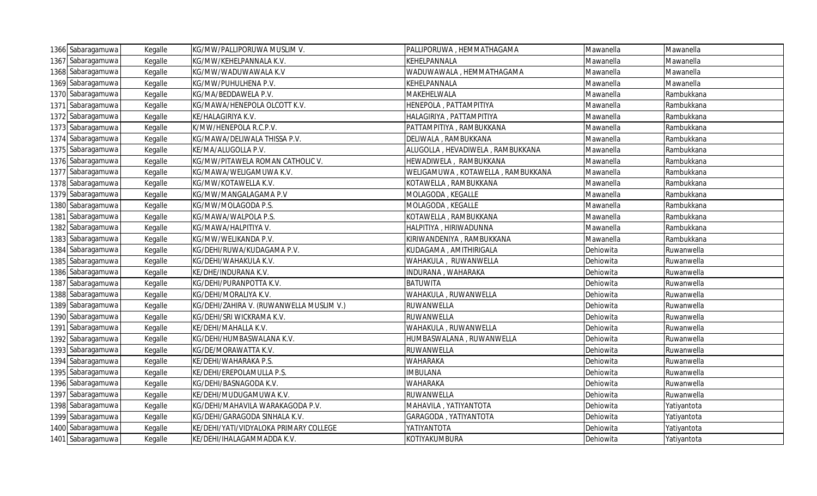| 1366 Sabaragamuwa | Kegalle | KG/MW/PALLIPORUWA MUSLIM V.              | PALLIPORUWA, HEMMATHAGAMA         | Mawanella | Mawanella   |
|-------------------|---------|------------------------------------------|-----------------------------------|-----------|-------------|
| 1367 Sabaragamuwa | Kegalle | KG/MW/KEHELPANNALA K.V.                  | KEHELPANNALA                      | Mawanella | Mawanella   |
| 1368 Sabaragamuwa | Kegalle | KG/MW/WADUWAWALA K.V                     | WADUWAWALA, HEMMATHAGAMA          | Mawanella | Mawanella   |
| 1369 Sabaragamuwa | Kegalle | KG/MW/PUHULHENA P.V.                     | KEHELPANNALA                      | Mawanella | Mawanella   |
| 1370 Sabaragamuwa | Kegalle | KG/MA/BEDDAWELA P.V.                     | MAKEHELWALA                       | Mawanella | Rambukkana  |
| 1371 Sabaragamuwa | Kegalle | KG/MAWA/HENEPOLA OLCOTT K.V.             | HENEPOLA, PATTAMPITIYA            | Mawanella | Rambukkana  |
| 1372 Sabaragamuwa | Kegalle | KE/HALAGIRIYA K.V.                       | HALAGIRIYA, PATTAMPITIYA          | Mawanella | Rambukkana  |
| 1373 Sabaragamuwa | Kegalle | K/MW/HENEPOLA R.C.P.V.                   | PATTAMPITIYA, RAMBUKKANA          | Mawanella | Rambukkana  |
| 1374 Sabaragamuwa | Kegalle | KG/MAWA/DELIWALA THISSA P.V.             | DELIWALA, RAMBUKKANA              | Mawanella | Rambukkana  |
| 1375 Sabaragamuwa | Kegalle | KE/MA/ALUGOLLA P.V.                      | ALUGOLLA, HEVADIWELA, RAMBUKKANA  | Mawanella | Rambukkana  |
| 1376 Sabaragamuwa | Kegalle | KG/MW/PITAWELA ROMAN CATHOLIC V.         | HEWADIWELA, RAMBUKKANA            | Mawanella | Rambukkana  |
| 1377 Sabaragamuwa | Kegalle | KG/MAWA/WELIGAMUWA K.V.                  | WELIGAMUWA, KOTAWELLA, RAMBUKKANA | Mawanella | Rambukkana  |
| 1378 Sabaragamuwa | Kegalle | KG/MW/KOTAWELLA K.V.                     | KOTAWELLA, RAMBUKKANA             | Mawanella | Rambukkana  |
| 1379 Sabaragamuwa | Kegalle | KG/MW/MANGALAGAMA P.V                    | MOLAGODA, KEGALLE                 | Mawanella | Rambukkana  |
| 1380 Sabaragamuwa | Kegalle | KG/MW/MOLAGODA P.S.                      | MOLAGODA, KEGALLE                 | Mawanella | Rambukkana  |
| 1381 Sabaragamuwa | Kegalle | KG/MAWA/WALPOLA P.S.                     | KOTAWELLA, RAMBUKKANA             | Mawanella | Rambukkana  |
| 1382 Sabaragamuwa | Kegalle | KG/MAWA/HALPITIYA V.                     | HALPITIYA, HIRIWADUNNA            | Mawanella | Rambukkana  |
| 1383 Sabaragamuwa | Kegalle | KG/MW/WELIKANDA P.V.                     | KIRIWANDENIYA, RAMBUKKANA         | Mawanella | Rambukkana  |
| 1384 Sabaragamuwa | Kegalle | KG/DEHI/RUWA/KUDAGAMA P.V.               | KUDAGAMA, AMITHIRIGALA            | Dehiowita | Ruwanwella  |
| 1385 Sabaragamuwa | Kegalle | KG/DEHI/WAHAKULA K.V.                    | WAHAKULA, RUWANWELLA              | Dehiowita | Ruwanwella  |
| 1386 Sabaragamuwa | Kegalle | KE/DHE/INDURANA K.V.                     | INDURANA, WAHARAKA                | Dehiowita | Ruwanwella  |
| 1387 Sabaragamuwa | Kegalle | KG/DEHI/PURANPOTTA K.V.                  | <b>BATUWITA</b>                   | Dehiowita | Ruwanwella  |
| 1388 Sabaragamuwa | Kegalle | KG/DEHI/MORALIYA K.V.                    | WAHAKULA, RUWANWELLA              | Dehiowita | Ruwanwella  |
| 1389 Sabaragamuwa | Kegalle | KG/DEHI/ZAHIRA V. (RUWANWELLA MUSLIM V.) | RUWANWELLA                        | Dehiowita | Ruwanwella  |
| 1390 Sabaragamuwa | Kegalle | KG/DEHI/SRI WICKRAMA K.V.                | RUWANWELLA                        | Dehiowita | Ruwanwella  |
| 1391 Sabaragamuwa | Kegalle | KE/DEHI/MAHALLA K.V.                     | WAHAKULA, RUWANWELLA              | Dehiowita | Ruwanwella  |
| 1392 Sabaragamuwa | Kegalle | KG/DEHI/HUMBASWALANA K.V.                | HUMBASWALANA, RUWANWELLA          | Dehiowita | Ruwanwella  |
| 1393 Sabaragamuwa | Kegalle | KG/DE/MORAWATTA K.V.                     | RUWANWELLA                        | Dehiowita | Ruwanwella  |
| 1394 Sabaragamuwa | Kegalle | KE/DEHI/WAHARAKA P.S.                    | WAHARAKA                          | Dehiowita | Ruwanwella  |
| 1395 Sabaragamuwa | Kegalle | KE/DEHI/EREPOLAMULLA P.S.                | <b>IMBULANA</b>                   | Dehiowita | Ruwanwella  |
| 1396 Sabaragamuwa | Kegalle | KG/DEHI/BASNAGODA K.V.                   | <b>WAHARAKA</b>                   | Dehiowita | Ruwanwella  |
| 1397 Sabaragamuwa | Kegalle | KE/DEHI/MUDUGAMUWA K.V.                  | RUWANWELLA                        | Dehiowita | Ruwanwella  |
| 1398 Sabaragamuwa | Kegalle | KG/DEHI/MAHAVILA WARAKAGODA P.V.         | MAHAVILA, YATIYANTOTA             | Dehiowita | Yatiyantota |
| 1399 Sabaragamuwa | Kegalle | KG/DEHI/GARAGODA SINHALA K.V.            | GARAGODA, YATIYANTOTA             | Dehiowita | Yatiyantota |
| 1400 Sabaragamuwa | Kegalle | KE/DEHI/YATI/VIDYALOKA PRIMARY COLLEGE   | YATIYANTOTA                       | Dehiowita | Yatiyantota |
| 1401 Sabaragamuwa | Kegalle | KE/DEHI/IHALAGAMMADDA K.V.               | KOTIYAKUMBURA                     | Dehiowita | Yatiyantota |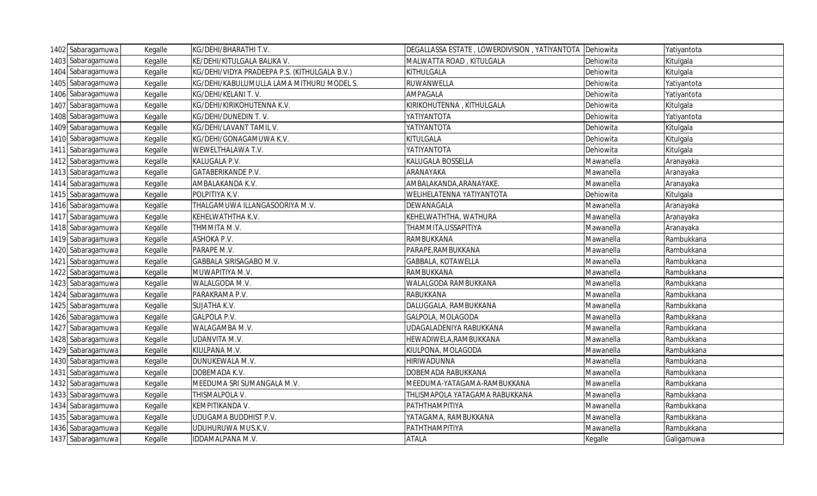| 1402 Sabaragamuwa | Kegalle | KG/DEHI/BHARATHI T.V.                         | DEGALLASSA ESTATE, LOWERDIVISION, YATIYANTOTA Dehiowita |           | Yatiyantota |
|-------------------|---------|-----------------------------------------------|---------------------------------------------------------|-----------|-------------|
| 1403 Sabaragamuwa | Kegalle | KE/DEHI/KITULGALA BALIKA V.                   | MALWATTA ROAD, KITULGALA                                | Dehiowita | Kitulgala   |
| 1404 Sabaragamuwa | Kegalle | KG/DEHI/VIDYA PRADEEPA P.S. (KITHULGALA B.V.) | KITHULGALA                                              | Dehiowita | Kitulgala   |
| 1405 Sabaragamuwa | Kegalle | KG/DEHI/KABULUMULLA LAMA MITHURU MODEL S.     | RUWANWELLA                                              | Dehiowita | Yatiyantota |
| 1406 Sabaragamuwa | Kegalle | KG/DEHI/KELANI T.V.                           | AMPAGALA                                                | Dehiowita | Yatiyantota |
| 1407 Sabaragamuwa | Kegalle | KG/DEHI/KIRIKOHUTENNA K.V.                    | KIRIKOHUTENNA, KITHULGALA                               | Dehiowita | Kitulgala   |
| 1408 Sabaragamuwa | Kegalle | KG/DEHI/DUNEDIN T.V.                          | YATIYANTOTA                                             | Dehiowita | Yatiyantota |
| 1409 Sabaragamuwa | Kegalle | KG/DEHI/LAVANT TAMIL V.                       | YATIYANTOTA                                             | Dehiowita | Kitulgala   |
| 1410 Sabaragamuwa | Kegalle | KG/DEHI/GONAGAMUWA K.V.                       | KITULGALA                                               | Dehiowita | Kitulgala   |
| 1411 Sabaragamuwa | Kegalle | WEWELTHALAWA T.V.                             | YATIYANTOTA                                             | Dehiowita | Kitulgala   |
| 1412 Sabaragamuwa | Kegalle | KALUGALA P.V.                                 | KALUGALA BOSSELLA                                       | Mawanella | Aranayaka   |
| 1413 Sabaragamuwa | Kegalle | GATABERIKANDE P.V.                            | ARANAYAKA                                               | Mawanella | Aranayaka   |
| 1414 Sabaragamuwa | Kegalle | AMBALAKANDA K.V.                              | AMBALAKANDA, ARANAYAKE.                                 | Mawanella | Aranayaka   |
| 1415 Sabaragamuwa | Kegalle | POLPITIYA K.V.                                | WELIHELATENNA YATIYANTOTA                               | Dehiowita | Kitulgala   |
| 1416 Sabaragamuwa | Kegalle | THALGAMUWA ILLANGASOORIYA M.V.                | DEWANAGALA                                              | Mawanella | Aranayaka   |
| 1417 Sabaragamuwa | Kegalle | KEHELWATHTHA K.V.                             | KEHELWATHTHA, WATHURA                                   | Mawanella | Aranayaka   |
| 1418 Sabaragamuwa | Kegalle | THMMITA M.V.                                  | THAMMITA,USSAPITIYA                                     | Mawanella | Aranayaka   |
| 1419 Sabaragamuwa | Kegalle | ASHOKA P.V.                                   | RAMBUKKANA                                              | Mawanella | Rambukkana  |
| 1420 Sabaragamuwa | Kegalle | PARAPE M.V.                                   | PARAPE, RAMBUKKANA                                      | Mawanella | Rambukkana  |
| 1421 Sabaragamuwa | Kegalle | GABBALA SIRISAGABO M.V.                       | GABBALA, KOTAWELLA                                      | Mawanella | Rambukkana  |
| 1422 Sabaragamuwa | Kegalle | MUWAPITIYA M.V.                               | RAMBUKKANA                                              | Mawanella | Rambukkana  |
| 1423 Sabaragamuwa | Kegalle | WALALGODA M.V.                                | WALALGODA RAMBUKKANA                                    | Mawanella | Rambukkana  |
| 1424 Sabaragamuwa | Kegalle | PARAKRAMA P.V.                                | <b>RABUKKANA</b>                                        | Mawanella | Rambukkana  |
| 1425 Sabaragamuwa | Kegalle | SUJATHA K.V.                                  | DALUGGALA, RAMBUKKANA                                   | Mawanella | Rambukkana  |
| 1426 Sabaragamuwa | Kegalle | <b>GALPOLA P.V.</b>                           | GALPOLA, MOLAGODA                                       | Mawanella | Rambukkana  |
| 1427 Sabaragamuwa | Kegalle | WALAGAMBA M.V.                                | UDAGALADENIYA RABUKKANA                                 | Mawanella | Rambukkana  |
| 1428 Sabaragamuwa | Kegalle | UDANVITA M.V.                                 | HEWADIWELA, RAMBUKKANA                                  | Mawanella | Rambukkana  |
| 1429 Sabaragamuwa | Kegalle | KIULPANA M.V.                                 | KIULPONA, MOLAGODA                                      | Mawanella | Rambukkana  |
| 1430 Sabaragamuwa | Kegalle | DUNUKEWALA M.V.                               | <b>HIRIWADUNNA</b>                                      | Mawanella | Rambukkana  |
| 1431 Sabaragamuwa | Kegalle | DOBEMADA K.V.                                 | DOBEMADA RABUKKANA                                      | Mawanella | Rambukkana  |
| 1432 Sabaragamuwa | Kegalle | MEEDUMA SRI SUMANGALA M.V.                    | MEEDUMA-YATAGAMA-RAMBUKKANA                             | Mawanella | Rambukkana  |
| 1433 Sabaragamuwa | Kegalle | THISMALPOLA V.                                | THLISMAPOLA YATAGAMA RABUKKANA                          | Mawanella | Rambukkana  |
| 1434 Sabaragamuwa | Kegalle | KEMPITIKANDA V.                               | <b><i>PATHTHAMPITIYA</i></b>                            | Mawanella | Rambukkana  |
| 1435 Sabaragamuwa | Kegalle | UDUGAMA BUDDHIST P.V.                         | YATAGAMA, RAMBUKKANA                                    | Mawanella | Rambukkana  |
| 1436 Sabaragamuwa | Kegalle | UDUHURUWA MUS.K.V.                            | <b><i>PATHTHAMPITIYA</i></b>                            | Mawanella | Rambukkana  |
| 1437 Sabaragamuwa | Kegalle | IDDAMALPANA M.V.                              | <b>ATALA</b>                                            | Kegalle   | Galigamuwa  |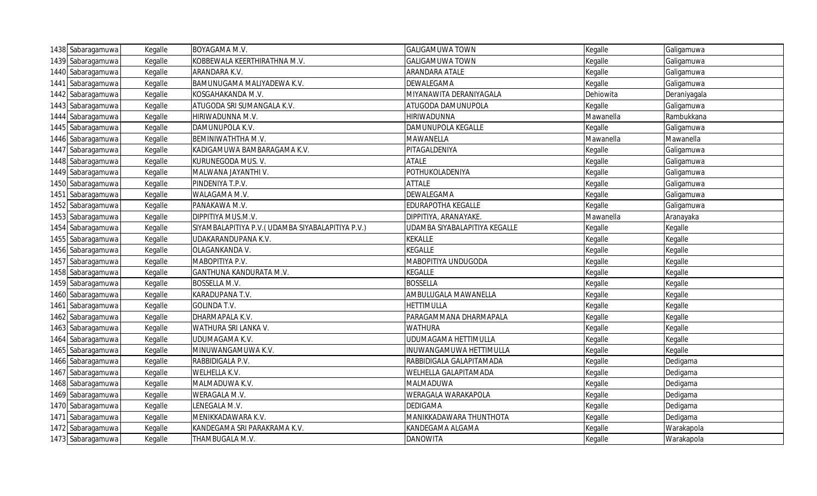| 1438 Sabaragamuwa | Kegalle | BOYAGAMA M.V.                                    | <b>GALIGAMUWA TOWN</b>        | Kegalle   | Galigamuwa   |
|-------------------|---------|--------------------------------------------------|-------------------------------|-----------|--------------|
| 1439 Sabaragamuwa | Kegalle | KOBBEWALA KEERTHIRATHNA M.V.                     | <b>GALIGAMUWA TOWN</b>        | Kegalle   | Galigamuwa   |
| 1440 Sabaragamuwa | Kegalle | ARANDARA K.V.                                    | ARANDARA ATALE                | Kegalle   | Galigamuwa   |
| 1441 Sabaragamuwa | Kegalle | BAMUNUGAMA MALIYADEWA K.V                        | DEWALEGAMA                    | Kegalle   | Galigamuwa   |
| 1442 Sabaragamuwa | Kegalle | KOSGAHAKANDA M.V.                                | MIYANAWITA DERANIYAGALA       | Dehiowita | Deraniyagala |
| 1443 Sabaragamuwa | Kegalle | ATUGODA SRI SUMANGALA K.V.                       | ATUGODA DAMUNUPOLA            | Kegalle   | Galigamuwa   |
| 1444 Sabaragamuwa | Kegalle | HIRIWADUNNA M.V.                                 | <b>HIRIWADUNNA</b>            | Mawanella | Rambukkana   |
| 1445 Sabaragamuwa | Kegalle | DAMUNUPOLA K.V.                                  | DAMUNUPOLA KEGALLE            | Kegalle   | Galigamuwa   |
| 1446 Sabaragamuwa | Kegalle | BEMINIWATHTHA M.V.                               | MAWANELLA                     | Mawanella | Mawanella    |
| 1447 Sabaragamuwa | Kegalle | KADIGAMUWA BAMBARAGAMA K.V.                      | PITAGALDENIYA                 | Kegalle   | Galigamuwa   |
| 1448 Sabaragamuwa | Kegalle | KURUNEGODA MUS. V.                               | <b>ATALE</b>                  | Kegalle   | Galigamuwa   |
| 1449 Sabaragamuwa | Kegalle | MALWANA JAYANTHI V.                              | POTHUKOLADENIYA               | Kegalle   | Galigamuwa   |
| 1450 Sabaragamuwa | Kegalle | PINDENIYA T.P.V.                                 | <b>ATTALE</b>                 | Kegalle   | Galigamuwa   |
| 1451 Sabaragamuwa | Kegalle | WALAGAMA M.V.                                    | DEWALEGAMA                    | Kegalle   | Galigamuwa   |
| 1452 Sabaragamuwa | Kegalle | PANAKAWA M.V.                                    | <b>EDURAPOTHA KEGALLE</b>     | Kegalle   | Galigamuwa   |
| 1453 Sabaragamuwa | Kegalle | DIPPITIYA MUS.M.V.                               | DIPPITIYA, ARANAYAKE.         | Mawanella | Aranayaka    |
| 1454 Sabaragamuwa | Kegalle | SIYAMBALAPITIYA P.V.(UDAMBA SIYABALAPITIYA P.V.) | JDAMBA SIYABALAPITIYA KEGALLE | Kegalle   | Kegalle      |
| 1455 Sabaragamuwa | Kegalle | UDAKARANDUPANA K.V.                              | <b>KEKALLE</b>                | Kegalle   | Kegalle      |
| 1456 Sabaragamuwa | Kegalle | OLAGANKANDA V.                                   | <b>KEGALLE</b>                | Kegalle   | Kegalle      |
| 1457 Sabaragamuwa | Kegalle | MABOPITIYA P.V.                                  | MABOPITIYA UNDUGODA           | Kegalle   | Kegalle      |
| 1458 Sabaragamuwa | Kegalle | GANTHUNA KANDURATA M.V.                          | <b>KEGALLE</b>                | Kegalle   | Kegalle      |
| 1459 Sabaragamuwa | Kegalle | BOSSELLA M.V.                                    | <b>BOSSELLA</b>               | Kegalle   | Kegalle      |
| 1460 Sabaragamuwa | Kegalle | KARADUPANA T.V.                                  | AMBULUGALA MAWANELLA          | Kegalle   | Kegalle      |
| 1461 Sabaragamuwa | Kegalle | <b>GOLINDA T.V.</b>                              | <b>HETTIMULLA</b>             | Kegalle   | Kegalle      |
| 1462 Sabaragamuwa | Kegalle | DHARMAPALA K.V.                                  | PARAGAMMANA DHARMAPALA        | Kegalle   | Kegalle      |
| 1463 Sabaragamuwa | Kegalle | WATHURA SRI LANKA V.                             | <b>WATHURA</b>                | Kegalle   | Kegalle      |
| 1464 Sabaragamuwa | Kegalle | UDUMAGAMA K.V.                                   | UDUMAGAMA HETTIMULLA          | Kegalle   | Kegalle      |
| 1465 Sabaragamuwa | Kegalle | MINUWANGAMUWA K.V.                               | INUWANGAMUWA HETTIMULLA       | Kegalle   | Kegalle      |
| 1466 Sabaragamuwa | Kegalle | RABBIDIGALA P.V.                                 | RABBIDIGALA GALAPITAMADA      | Kegalle   | Dedigama     |
| 1467 Sabaragamuwa | Kegalle | WELHELLA K.V.                                    | WELHELLA GALAPITAMADA         | Kegalle   | Dedigama     |
| 1468 Sabaragamuwa | Kegalle | MALMADUWA K.V.                                   | MALMADUWA                     | Kegalle   | Dedigama     |
| 1469 Sabaragamuwa | Kegalle | WERAGALA M.V.                                    | WERAGALA WARAKAPOLA           | Kegalle   | Dedigama     |
| 1470 Sabaragamuwa | Kegalle | LENEGALA M.V.                                    | <b>DEDIGAMA</b>               | Kegalle   | Dedigama     |
| 1471 Sabaragamuwa | Kegalle | MENIKKADAWARA K.V.                               | MANIKKADAWARA THUNTHOTA       | Kegalle   | Dedigama     |
| 1472 Sabaragamuwa | Kegalle | KANDEGAMA SRI PARAKRAMA K.V.                     | KANDEGAMA ALGAMA              | Kegalle   | Warakapola   |
| 1473 Sabaragamuwa | Kegalle | THAMBUGALA M.V.                                  | <b>DANOWITA</b>               | Kegalle   | Warakapola   |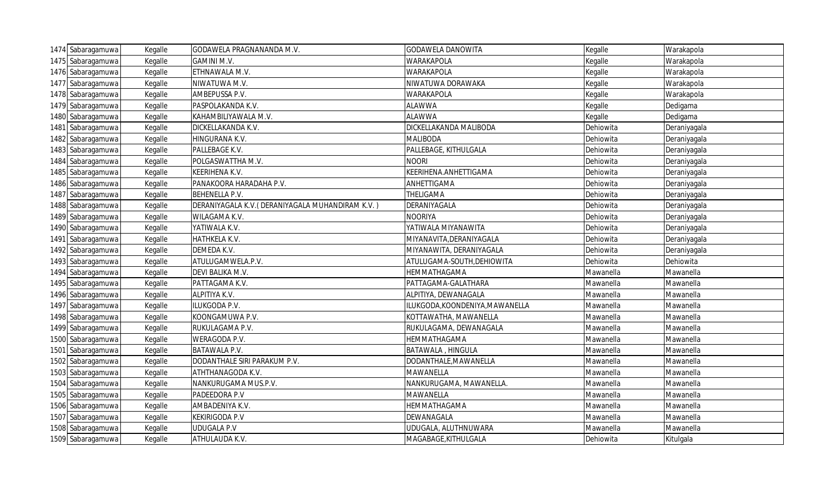| 1474 Sabaragamuwa | Kegalle | GODAWELA PRAGNANANDA M.V.                        | GODAWELA DANOWITA               | Kegalle   | Warakapola   |
|-------------------|---------|--------------------------------------------------|---------------------------------|-----------|--------------|
| 1475 Sabaragamuwa | Kegalle | <b>GAMINI M.V.</b>                               | WARAKAPOLA                      | Kegalle   | Warakapola   |
| 1476 Sabaragamuwa | Kegalle | ETHNAWALA M.V.                                   | <b>WARAKAPOLA</b>               | Kegalle   | Warakapola   |
| 1477 Sabaragamuwa | Kegalle | NIWATUWA M.V.                                    | <b>NIWATUWA DORAWAKA</b>        | Kegalle   | Warakapola   |
| 1478 Sabaragamuwa | Kegalle | AMBEPUSSA P.V.                                   | WARAKAPOLA                      | Kegalle   | Warakapola   |
| 1479 Sabaragamuwa | Kegalle | PASPOLAKANDA K.V.                                | <b>ALAWWA</b>                   | Kegalle   | Dedigama     |
| 1480 Sabaragamuwa | Kegalle | KAHAMBILIYAWALA M.V.                             | <b>ALAWWA</b>                   | Kegalle   | Dedigama     |
| 1481 Sabaragamuwa | Kegalle | DICKELLAKANDA K.V.                               | DICKELLAKANDA MALIBODA          | Dehiowita | Deraniyagala |
| 1482 Sabaragamuwa | Kegalle | HINGURANA K.V.                                   | <b>MALIBODA</b>                 | Dehiowita | Deraniyagala |
| 1483 Sabaragamuwa | Kegalle | PALLEBAGE K.V.                                   | PALLEBAGE, KITHULGALA           | Dehiowita | Deraniyagala |
| 1484 Sabaragamuwa | Kegalle | POLGASWATTHA M.V.                                | <b>NOORI</b>                    | Dehiowita | Deraniyagala |
| 1485 Sabaragamuwa | Kegalle | KEERIHENA K.V.                                   | KEERIHENA.ANHETTIGAMA           | Dehiowita | Deraniyagala |
| 1486 Sabaragamuwa | Kegalle | PANAKOORA HARADAHA P.V.                          | ANHETTIGAMA                     | Dehiowita | Deraniyagala |
| 1487 Sabaragamuwa | Kegalle | BEHENELLA P.V.                                   | THELIGAMA                       | Dehiowita | Deraniyagala |
| 1488 Sabaragamuwa | Kegalle | DERANIYAGALA K.V. (DERANIYAGALA MUHANDIRAM K.V.) | DERANIYAGALA                    | Dehiowita | Deraniyagala |
| 1489 Sabaragamuwa | Kegalle | WILAGAMA K.V.                                    | <b>NOORIYA</b>                  | Dehiowita | Deraniyagala |
| 1490 Sabaragamuwa | Kegalle | YATIWALA K.V.                                    | YATIWALA MIYANAWITA             | Dehiowita | Deraniyagala |
| 1491 Sabaragamuwa | Kegalle | HATHKELA K.V.                                    | MIYANAVITA, DERANIYAGALA        | Dehiowita | Deraniyagala |
| 1492 Sabaragamuwa | Kegalle | DEMEDA K.V.                                      | MIYANAWITA, DERANIYAGALA        | Dehiowita | Deraniyagala |
| 1493 Sabaragamuwa | Kegalle | ATULUGAMWELA.P.V.                                | ATULUGAMA-SOUTH, DEHIOWITA      | Dehiowita | Dehiowita    |
| 1494 Sabaragamuwa | Kegalle | DEVI BALIKA M.V.                                 | HEMMATHAGAMA                    | Mawanella | Mawanella    |
| 1495 Sabaragamuwa | Kegalle | PATTAGAMA K.V.                                   | PATTAGAMA-GALATHARA             | Mawanella | Mawanella    |
| 1496 Sabaragamuwa | Kegalle | ALPITIYA K.V.                                    | ALPITIYA, DEWANAGALA            | Mawanella | Mawanella    |
| 1497 Sabaragamuwa | Kegalle | ILUKGODA P.V.                                    | ILUKGODA, KOONDENIYA, MAWANELLA | Mawanella | Mawanella    |
| 1498 Sabaragamuwa | Kegalle | KOONGAMUWA P.V.                                  | KOTTAWATHA, MAWANELLA           | Mawanella | Mawanella    |
| 1499 Sabaragamuwa | Kegalle | RUKULAGAMA P.V.                                  | RUKULAGAMA, DEWANAGALA          | Mawanella | Mawanella    |
| 1500 Sabaragamuwa | Kegalle | WERAGODA P.V.                                    | HEMMATHAGAMA                    | Mawanella | Mawanella    |
| 1501 Sabaragamuwa | Kegalle | BATAWALA P.V.                                    | BATAWALA, HINGULA               | Mawanella | Mawanella    |
| 1502 Sabaragamuwa | Kegalle | DODANTHALE SIRI PARAKUM P.V.                     | DODANTHALE, MAWANELLA           | Mawanella | Mawanella    |
| 1503 Sabaragamuwa | Kegalle | ATHTHANAGODA K.V.                                | MAWANELLA                       | Mawanella | Mawanella    |
| 1504 Sabaragamuwa | Kegalle | NANKURUGAMA MUS.P.V.                             | NANKURUGAMA, MAWANELLA.         | Mawanella | Mawanella    |
| 1505 Sabaragamuwa | Kegalle | PADEEDORA P.V                                    | MAWANELLA                       | Mawanella | Mawanella    |
| 1506 Sabaragamuwa | Kegalle | AMBADENIYA K.V.                                  | HEMMATHAGAMA                    | Mawanella | Mawanella    |
| 1507 Sabaragamuwa | Kegalle | <b>KEKIRIGODA P.V</b>                            | DEWANAGALA                      | Mawanella | Mawanella    |
| 1508 Sabaragamuwa | Kegalle | <b>UDUGALA P.V</b>                               | UDUGALA, ALUTHNUWARA            | Mawanella | Mawanella    |
| 1509 Sabaragamuwa | Kegalle | ATHULAUDA K.V.                                   | MAGABAGE, KITHULGALA            | Dehiowita | Kitulgala    |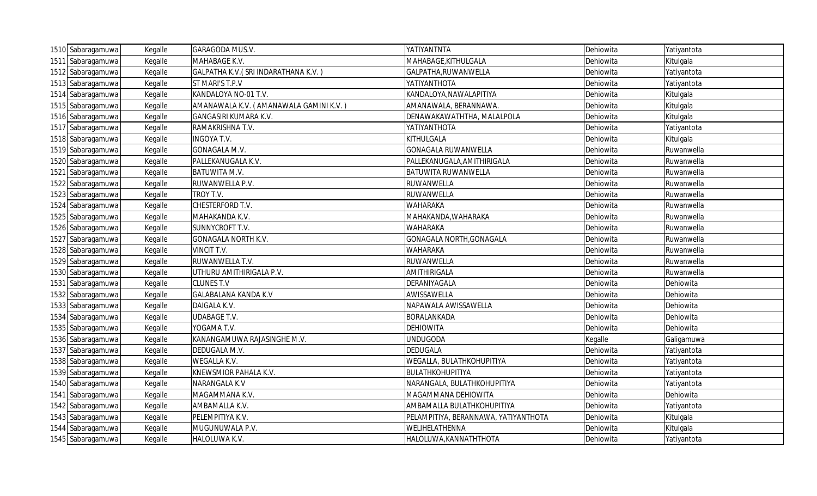| 1510 Sabaragamuwa | Kegalle | GARAGODA MUS.V.                        | YATIYANTNTA                          | Dehiowita | Yatiyantota |
|-------------------|---------|----------------------------------------|--------------------------------------|-----------|-------------|
| 1511 Sabaragamuwa | Kegalle | MAHABAGE K.V.                          | MAHABAGE, KITHULGALA                 | Dehiowita | Kitulgala   |
| 1512 Sabaragamuwa | Kegalle | GALPATHA K.V. (SRI INDARATHANA K.V.)   | GALPATHA, RUWANWELLA                 | Dehiowita | Yatiyantota |
| 1513 Sabaragamuwa | Kegalle | ST MARI'S T.P.V                        | ΥΑΤΙΥΑΝΤΗΟΤΑ                         | Dehiowita | Yatiyantota |
| 1514 Sabaragamuwa | Kegalle | KANDALOYA NO-01 T.V.                   | KANDALOYA, NAWALAPITIYA              | Dehiowita | Kitulgala   |
| 1515 Sabaragamuwa | Kegalle | AMANAWALA K.V. (AMANAWALA GAMINI K.V.) | AMANAWALA, BERANNAWA.                | Dehiowita | Kitulgala   |
| 1516 Sabaragamuwa | Kegalle | <b>GANGASIRI KUMARA K.V.</b>           | DENAWAKAWATHTHA, MALALPOLA           | Dehiowita | Kitulgala   |
| 1517 Sabaragamuwa | Kegalle | RAMAKRISHNA T.V.                       | YATIYANTHOTA                         | Dehiowita | Yatiyantota |
| 1518 Sabaragamuwa | Kegalle | <b>INGOYA T.V.</b>                     | KITHULGALA                           | Dehiowita | Kitulgala   |
| 1519 Sabaragamuwa | Kegalle | GONAGALA M.V.                          | <b>GONAGALA RUWANWELLA</b>           | Dehiowita | Ruwanwella  |
| 1520 Sabaragamuwa | Kegalle | PALLEKANUGALA K.V.                     | PALLEKANUGALA, AMITHIRIGALA          | Dehiowita | Ruwanwella  |
| 1521 Sabaragamuwa | Kegalle | BATUWITA M.V.                          | <b>BATUWITA RUWANWELLA</b>           | Dehiowita | Ruwanwella  |
| 1522 Sabaragamuwa | Kegalle | RUWANWELLA P.V.                        | RUWANWELLA                           | Dehiowita | Ruwanwella  |
| 1523 Sabaragamuwa | Kegalle | TROY T.V.                              | RUWANWELLA                           | Dehiowita | Ruwanwella  |
| 1524 Sabaragamuwa | Kegalle | CHESTERFORD T.V.                       | <b>WAHARAKA</b>                      | Dehiowita | Ruwanwella  |
| 1525 Sabaragamuwa | Kegalle | MAHAKANDA K.V.                         | MAHAKANDA, WAHARAKA                  | Dehiowita | Ruwanwella  |
| 1526 Sabaragamuwa | Kegalle | SUNNYCROFT T.V.                        | <b>WAHARAKA</b>                      | Dehiowita | Ruwanwella  |
| 1527 Sabaragamuwa | Kegalle | GONAGALA NORTH K.V.                    | GONAGALA NORTH, GONAGALA             | Dehiowita | Ruwanwella  |
| 1528 Sabaragamuwa | Kegalle | VINCIT T.V.                            | <b>WAHARAKA</b>                      | Dehiowita | Ruwanwella  |
| 1529 Sabaragamuwa | Kegalle | RUWANWELLA T.V.                        | RUWANWELLA                           | Dehiowita | Ruwanwella  |
| 1530 Sabaragamuwa | Kegalle | UTHURU AMITHIRIGALA P.V.               | AMITHIRIGALA                         | Dehiowita | Ruwanwella  |
| 1531 Sabaragamuwa | Kegalle | <b>CLUNES T.V</b>                      | DERANIYAGALA                         | Dehiowita | Dehiowita   |
| 1532 Sabaragamuwa | Kegalle | <b>GALABALANA KANDA K.V</b>            | AWISSAWELLA                          | Dehiowita | Dehiowita   |
| 1533 Sabaragamuwa | Kegalle | DAIGALA K.V.                           | NAPAWALA AWISSAWELLA                 | Dehiowita | Dehiowita   |
| 1534 Sabaragamuwa | Kegalle | <b>UDABAGE T.V.</b>                    | <b>BORALANKADA</b>                   | Dehiowita | Dehiowita   |
| 1535 Sabaragamuwa | Kegalle | YOGAMA T.V.                            | <b>DEHIOWITA</b>                     | Dehiowita | Dehiowita   |
| 1536 Sabaragamuwa | Kegalle | KANANGAMUWA RAJASINGHE M.V.            | <b>UNDUGODA</b>                      | Kegalle   | Galigamuwa  |
| 1537 Sabaragamuwa | Kegalle | DEDUGALA M.V.                          | <b>DEDUGALA</b>                      | Dehiowita | Yatiyantota |
| 1538 Sabaragamuwa | Kegalle | WEGALLA K.V.                           | WEGALLA, BULATHKOHUPITIYA            | Dehiowita | Yatiyantota |
| 1539 Sabaragamuwa | Kegalle | KNEWSMIOR PAHALA K.V.                  | BULATHKOHUPITIYA                     | Dehiowita | Yatiyantota |
| 1540 Sabaragamuwa | Kegalle | NARANGALA K.V                          | NARANGALA, BULATHKOHUPITIYA          | Dehiowita | Yatiyantota |
| 1541 Sabaragamuwa | Kegalle | MAGAMMANA K.V.                         | MAGAMMANA DEHIOWITA                  | Dehiowita | Dehiowita   |
| 1542 Sabaragamuwa | Kegalle | AMBAMALLA K.V.                         | AMBAMALLA BULATHKOHUPITIYA           | Dehiowita | Yatiyantota |
| 1543 Sabaragamuwa | Kegalle | PELEMPITIYA K.V.                       | PELAMPITIYA, BERANNAWA, YATIYANTHOTA | Dehiowita | Kitulgala   |
| 1544 Sabaragamuwa | Kegalle | MUGUNUWALA P.V.                        | WELIHELATHENNA                       | Dehiowita | Kitulgala   |
| 1545 Sabaragamuwa | Kegalle | HALOLUWA K.V.                          | HALOLUWA, KANNATHTHOTA               | Dehiowita | Yatiyantota |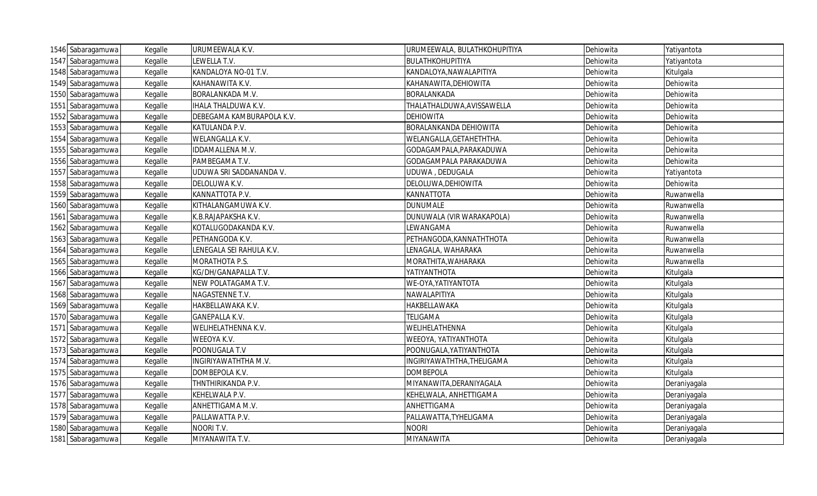| 1546 Sabaragamuwa | Kegalle | URUMEEWALA K.V.           | URUMEEWALA, BULATHKOHUPITIYA | Dehiowita | Yatiyantota  |
|-------------------|---------|---------------------------|------------------------------|-----------|--------------|
| 1547 Sabaragamuwa | Kegalle | LEWELLA T.V.              | BULATHKOHUPITIYA             | Dehiowita | Yatiyantota  |
| 1548 Sabaragamuwa | Kegalle | KANDALOYA NO-01 T.V.      | KANDALOYA, NAWALAPITIYA      | Dehiowita | Kitulgala    |
| 1549 Sabaragamuwa | Kegalle | KAHANAWITA K.V.           | KAHANAWITA, DEHIOWITA        | Dehiowita | Dehiowita    |
| 1550 Sabaragamuwa | Kegalle | BORALANKADA M.V.          | <b>BORALANKADA</b>           | Dehiowita | Dehiowita    |
| 1551 Sabaragamuwa | Kegalle | IHALA THALDUWA K.V.       | THALATHALDUWA, AVISSAWELLA   | Dehiowita | Dehiowita    |
| 1552 Sabaragamuwa | Kegalle | DEBEGAMA KAMBURAPOLA K.V. | <b>DEHIOWITA</b>             | Dehiowita | Dehiowita    |
| 1553 Sabaragamuwa | Kegalle | KATULANDA P.V.            | BORALANKANDA DEHIOWITA       | Dehiowita | Dehiowita    |
| 1554 Sabaragamuwa | Kegalle | WELANGALLA K.V.           | WELANGALLA, GETAHETHTHA.     | Dehiowita | Dehiowita    |
| 1555 Sabaragamuwa | Kegalle | IDDAMALLENA M.V.          | GODAGAMPALA, PARAKADUWA      | Dehiowita | Dehiowita    |
| 1556 Sabaragamuwa | Kegalle | PAMBEGAMA T.V.            | GODAGAMPALA PARAKADUWA       | Dehiowita | Dehiowita    |
| 1557 Sabaragamuwa | Kegalle | UDUWA SRI SADDANANDA V.   | UDUWA, DEDUGALA              | Dehiowita | Yatiyantota  |
| 1558 Sabaragamuwa | Kegalle | DELOLUWA K.V.             | DELOLUWA, DEHIOWITA          | Dehiowita | Dehiowita    |
| 1559 Sabaragamuwa | Kegalle | KANNATTOTA P.V.           | <b>KANNATTOTA</b>            | Dehiowita | Ruwanwella   |
| 1560 Sabaragamuwa | Kegalle | KITHALANGAMUWA K.V.       | <b>DUNUMALE</b>              | Dehiowita | Ruwanwella   |
| 1561 Sabaragamuwa | Kegalle | K.B.RAJAPAKSHA K.V.       | DUNUWALA (VIR WARAKAPOLA)    | Dehiowita | Ruwanwella   |
| 1562 Sabaragamuwa | Kegalle | KOTALUGODAKANDA K.V.      | LEWANGAMA                    | Dehiowita | Ruwanwella   |
| 1563 Sabaragamuwa | Kegalle | PETHANGODA K.V.           | PETHANGODA, KANNATHTHOTA     | Dehiowita | Ruwanwella   |
| 1564 Sabaragamuwa | Kegalle | LENEGALA SEI RAHULA K.V.  | LENAGALA, WAHARAKA           | Dehiowita | Ruwanwella   |
| 1565 Sabaragamuwa | Kegalle | MORATHOTA P.S.            | MORATHITA, WAHARAKA          | Dehiowita | Ruwanwella   |
| 1566 Sabaragamuwa | Kegalle | KG/DH/GANAPALLA T.V.      | YATIYANTHOTA                 | Dehiowita | Kitulgala    |
| 1567 Sabaragamuwa | Kegalle | NEW POLATAGAMA T.V.       | WE-OYA, YATIYANTOTA          | Dehiowita | Kitulgala    |
| 1568 Sabaragamuwa | Kegalle | NAGASTENNE T.V.           | NAWALAPITIYA                 | Dehiowita | Kitulgala    |
| 1569 Sabaragamuwa | Kegalle | HAKBELLAWAKA K.V.         | HAKBELLAWAKA                 | Dehiowita | Kitulgala    |
| 1570 Sabaragamuwa | Kegalle | <b>GANEPALLA K.V.</b>     | <b>TELIGAMA</b>              | Dehiowita | Kitulgala    |
| 1571 Sabaragamuwa | Kegalle | WELIHELATHENNA K.V.       | WELIHELATHENNA               | Dehiowita | Kitulgala    |
| 1572 Sabaragamuwa | Kegalle | WEEOYA K.V.               | WEEOYA, YATIYANTHOTA         | Dehiowita | Kitulgala    |
| 1573 Sabaragamuwa | Kegalle | POONUGALA T.V             | POONUGALA, YATIYANTHOTA      | Dehiowita | Kitulgala    |
| 1574 Sabaragamuwa | Kegalle | INGIRIYAWATHTHA M.V.      | INGIRIYAWATHTHA, THELIGAMA   | Dehiowita | Kitulgala    |
| 1575 Sabaragamuwa | Kegalle | DOMBEPOLA K.V.            | <b>DOMBEPOLA</b>             | Dehiowita | Kitulgala    |
| 1576 Sabaragamuwa | Kegalle | THNTHIRIKANDA P.V.        | MIYANAWITA, DERANIYAGALA     | Dehiowita | Deraniyagala |
| 1577 Sabaragamuwa | Kegalle | KEHELWALA P.V.            | KEHELWALA, ANHETTIGAMA       | Dehiowita | Deraniyagala |
| 1578 Sabaragamuwa | Kegalle | ANHETTIGAMA M.V.          | ANHETTIGAMA                  | Dehiowita | Deraniyagala |
| 1579 Sabaragamuwa | Kegalle | PALLAWATTA P.V.           | PALLAWATTA, TYHELIGAMA       | Dehiowita | Deraniyagala |
| 1580 Sabaragamuwa | Kegalle | NOORI T.V.                | <b>NOORI</b>                 | Dehiowita | Deraniyagala |
| 1581 Sabaragamuwa | Kegalle | MIYANAWITA T.V.           | MIYANAWITA                   | Dehiowita | Deraniyagala |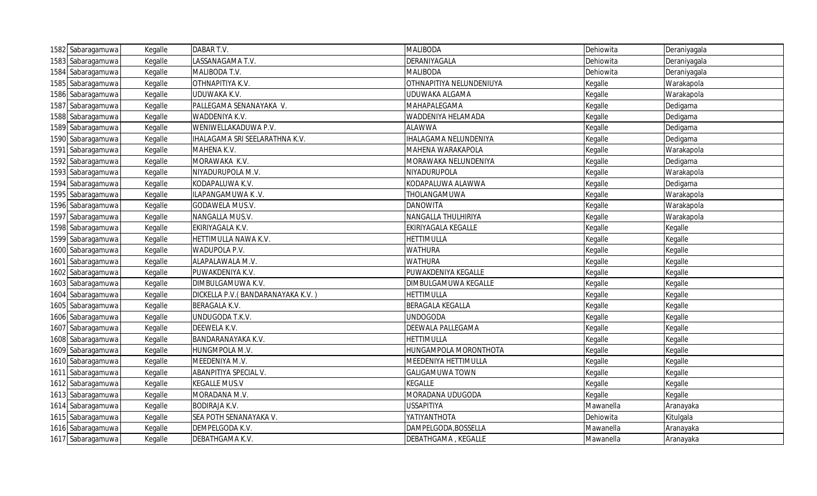| 1582 Sabaragamuwa | Kegalle | DABAR T.V.                         | <b>MALIBODA</b>            | Dehiowita | Deraniyagala |
|-------------------|---------|------------------------------------|----------------------------|-----------|--------------|
| 1583 Sabaragamuwa | Kegalle | LASSANAGAMA T.V.                   | DERANIYAGALA               | Dehiowita | Deraniyagala |
| 1584 Sabaragamuwa | Kegalle | MALIBODA T.V.                      | <b>MALIBODA</b>            | Dehiowita | Deraniyagala |
| 1585 Sabaragamuwa | Kegalle | OTHNAPITIYA K.V.                   | OTHNAPITIYA NELUNDENIUYA   | Kegalle   | Warakapola   |
| 1586 Sabaragamuwa | Kegalle | UDUWAKA K.V.                       | UDUWAKA ALGAMA             | Kegalle   | Warakapola   |
| 1587 Sabaragamuwa | Kegalle | PALLEGAMA SENANAYAKA V.            | MAHAPALEGAMA               | Kegalle   | Dedigama     |
| 1588 Sabaragamuwa | Kegalle | WADDENIYA K.V.                     | WADDENIYA HELAMADA         | Kegalle   | Dedigama     |
| 1589 Sabaragamuwa | Kegalle | WENIWELLAKADUWA P.V.               | <b>ALAWWA</b>              | Kegalle   | Dedigama     |
| 1590 Sabaragamuwa | Kegalle | IHALAGAMA SRI SEELARATHNA K.V.     | IHALAGAMA NELUNDENIYA      | Kegalle   | Dedigama     |
| 1591 Sabaragamuwa | Kegalle | MAHENA K.V.                        | MAHENA WARAKAPOLA          | Kegalle   | Warakapola   |
| 1592 Sabaragamuwa | Kegalle | MORAWAKA K.V.                      | MORAWAKA NELUNDENIYA       | Kegalle   | Dedigama     |
| 1593 Sabaragamuwa | Kegalle | NIYADURUPOLA M.V.                  | NIYADURUPOLA               | Kegalle   | Warakapola   |
| 1594 Sabaragamuwa | Kegalle | KODAPALUWA K.V.                    | KODAPALUWA ALAWWA          | Kegalle   | Dedigama     |
| 1595 Sabaragamuwa | Kegalle | ILAPANGAMUWA K.V.                  | THOLANGAMUWA               | Kegalle   | Warakapola   |
| 1596 Sabaragamuwa | Kegalle | GODAWELA MUS.V.                    | <b>DANOWITA</b>            | Kegalle   | Warakapola   |
| 1597 Sabaragamuwa | Kegalle | NANGALLA MUS.V.                    | NANGALLA THULHIRIYA        | Kegalle   | Warakapola   |
| 1598 Sabaragamuwa | Kegalle | EKIRIYAGALA K.V.                   | EKIRIYAGALA KEGALLE        | Kegalle   | Kegalle      |
| 1599 Sabaragamuwa | Kegalle | HETTIMULLA NAWA K.V.               | <b>HETTIMULLA</b>          | Kegalle   | Kegalle      |
| 1600 Sabaragamuwa | Kegalle | WADUPOLA P.V.                      | <b>WATHURA</b>             | Kegalle   | Kegalle      |
| 1601 Sabaragamuwa | Kegalle | ALAPALAWALA M.V.                   | <b>WATHURA</b>             | Kegalle   | Kegalle      |
| 1602 Sabaragamuwa | Kegalle | PUWAKDENIYA K.V.                   | PUWAKDENIYA KEGALLE        | Kegalle   | Kegalle      |
| 1603 Sabaragamuwa | Kegalle | DIMBULGAMUWA K.V.                  | DIMBULGAMUWA KEGALLE       | Kegalle   | Kegalle      |
| 1604 Sabaragamuwa | Kegalle | DICKELLA P.V. (BANDARANAYAKA K.V.) | <b>HETTIMULLA</b>          | Kegalle   | Kegalle      |
| 1605 Sabaragamuwa | Kegalle | <b>BERAGALA K.V.</b>               | <b>BERAGALA KEGALLA</b>    | Kegalle   | Kegalle      |
| 1606 Sabaragamuwa | Kegalle | UNDUGODA T.K.V.                    | <b>UNDOGODA</b>            | Kegalle   | Kegalle      |
| 1607 Sabaragamuwa | Kegalle | DEEWELA K.V.                       | <b>DEEWALA PALLEGAMA</b>   | Kegalle   | Kegalle      |
| 1608 Sabaragamuwa | Kegalle | BANDARANAYAKA K.V.                 | <b>HETTIMULLA</b>          | Kegalle   | Kegalle      |
| 1609 Sabaragamuwa | Kegalle | HUNGMPOLA M.V.                     | HUNGAMPOLA MORONTHOTA      | Kegalle   | Kegalle      |
| 1610 Sabaragamuwa | Kegalle | MEEDENIYA M.V.                     | MEEDENIYA HETTIMULLA       | Kegalle   | Kegalle      |
| 1611 Sabaragamuwa | Kegalle | ABANPITIYA SPECIAL V.              | <b>GALIGAMUWA TOWN</b>     | Kegalle   | Kegalle      |
| 1612 Sabaragamuwa | Kegalle | <b>KEGALLE MUS.V</b>               | <b>KEGALLE</b>             | Kegalle   | Kegalle      |
| 1613 Sabaragamuwa | Kegalle | MORADANA M.V.                      | MORADANA UDUGODA           | Kegalle   | Kegalle      |
| 1614 Sabaragamuwa | Kegalle | <b>BODIRAJA K.V.</b>               | <b>USSAPITIYA</b>          | Mawanella | Aranayaka    |
| 1615 Sabaragamuwa | Kegalle | SEA POTH SENANAYAKA V.             | YATIYANTHOTA               | Dehiowita | Kitulgala    |
| 1616 Sabaragamuwa | Kegalle | DEMPELGODA K.V.                    | DAMPELGODA, BOSSELLA       | Mawanella | Aranayaka    |
| 1617 Sabaragamuwa | Kegalle | DEBATHGAMA K.V.                    | <b>DEBATHGAMA, KEGALLE</b> | Mawanella | Aranayaka    |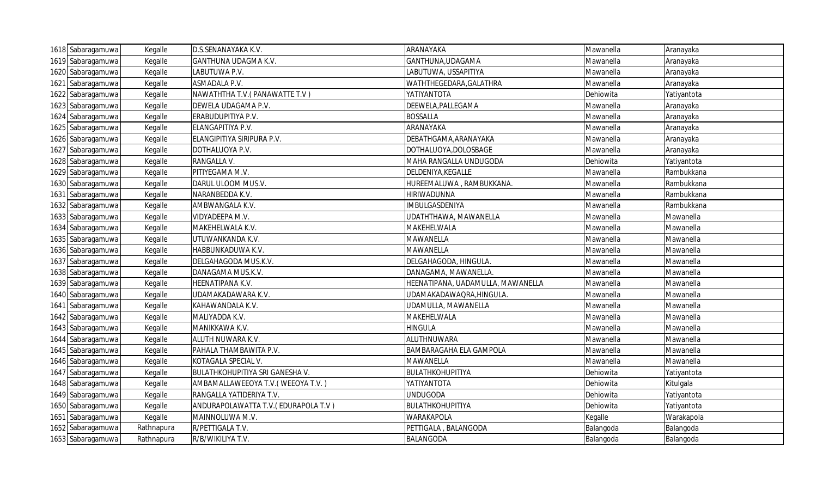| 1618 Sabaragamuwa | Kegalle    | D.S.SENANAYAKA K.V.                 | ARANAYAKA                         | Mawanella | Aranayaka   |
|-------------------|------------|-------------------------------------|-----------------------------------|-----------|-------------|
| 1619 Sabaragamuwa | Kegalle    | <b>GANTHUNA UDAGMA K.V.</b>         | GANTHUNA, UDAGAMA                 | Mawanella | Aranayaka   |
| 1620 Sabaragamuwa | Kegalle    | LABUTUWA P.V.                       | ABUTUWA, USSAPITIYA               | Mawanella | Aranayaka   |
| 1621 Sabaragamuwa | Kegalle    | ASMADALA P.V.                       | WATHTHEGEDARA, GALATHRA           | Mawanella | Aranayaka   |
| 1622 Sabaragamuwa | Kegalle    | NAWATHTHA T.V.(PANAWATTE T.V)       | ΥΑΤΙΥΑΝΤΟΤΑ                       | Dehiowita | Yatiyantota |
| 1623 Sabaragamuwa | Kegalle    | DEWELA UDAGAMA P.V.                 | DEEWELA, PALLEGAMA                | Mawanella | Aranayaka   |
| 1624 Sabaragamuwa | Kegalle    | ERABUDUPITIYA P.V.                  | <b>BOSSALLA</b>                   | Mawanella | Aranayaka   |
| 1625 Sabaragamuwa | Kegalle    | ELANGAPITIYA P.V.                   | ARANAYAKA                         | Mawanella | Aranayaka   |
| 1626 Sabaragamuwa | Kegalle    | ELANGIPITIYA SIRIPURA P.V.          | DEBATHGAMA, ARANAYAKA             | Mawanella | Aranayaka   |
| 1627 Sabaragamuwa | Kegalle    | DOTHALUOYA P.V.                     | DOTHALUOYA, DOLOSBAGE             | Mawanella | Aranayaka   |
| 1628 Sabaragamuwa | Kegalle    | RANGALLA V.                         | MAHA RANGALLA UNDUGODA            | Dehiowita | Yatiyantota |
| 1629 Sabaragamuwa | Kegalle    | PITIYEGAMA M.V.                     | DELDENIYA, KEGALLE                | Mawanella | Rambukkana  |
| 1630 Sabaragamuwa | Kegalle    | DARUL ULOOM MUS.V.                  | HUREEMALUWA, RAMBUKKANA.          | Mawanella | Rambukkana  |
| 1631 Sabaragamuwa | Kegalle    | NARANBEDDA K.V.                     | <b>HIRIWADUNNA</b>                | Mawanella | Rambukkana  |
| 1632 Sabaragamuwa | Kegalle    | AMBWANGALA K.V.                     | <b>IMBULGASDENIYA</b>             | Mawanella | Rambukkana  |
| 1633 Sabaragamuwa | Kegalle    | VIDYADEEPA M.V.                     | UDATHTHAWA, MAWANELLA             | Mawanella | Mawanella   |
| 1634 Sabaragamuwa | Kegalle    | MAKEHELWALA K.V.                    | MAKEHELWALA                       | Mawanella | Mawanella   |
| 1635 Sabaragamuwa | Kegalle    | UTUWANKANDA K.V.                    | MAWANELLA                         | Mawanella | Mawanella   |
| 1636 Sabaragamuwa | Kegalle    | HABBUNKADUWA K.V.                   | MAWANELLA                         | Mawanella | Mawanella   |
| 1637 Sabaragamuwa | Kegalle    | DELGAHAGODA MUS.K.V.                | DELGAHAGODA, HINGULA.             | Mawanella | Mawanella   |
| 1638 Sabaragamuwa | Kegalle    | DANAGAMA MUS.K.V.                   | DANAGAMA, MAWANELLA               | Mawanella | Mawanella   |
| 1639 Sabaragamuwa | Kegalle    | HEENATIPANA K.V.                    | HEENATIPANA, UADAMULLA, MAWANELLA | Mawanella | Mawanella   |
| 1640 Sabaragamuwa | Kegalle    | UDAMAKADAWARA K.V.                  | UDAMAKADAWAQRA, HINGULA.          | Mawanella | Mawanella   |
| 1641 Sabaragamuwa | Kegalle    | KAHAWANDALA K.V.                    | UDAMULLA, MAWANELLA               | Mawanella | Mawanella   |
| 1642 Sabaragamuwa | Kegalle    | MALIYADDA K.V.                      | MAKEHELWALA                       | Mawanella | Mawanella   |
| 1643 Sabaragamuwa | Kegalle    | MANIKKAWA K.V.                      | HINGULA                           | Mawanella | Mawanella   |
| 1644 Sabaragamuwa | Kegalle    | ALUTH NUWARA K.V.                   | ALUTHNUWARA                       | Mawanella | Mawanella   |
| 1645 Sabaragamuwa | Kegalle    | PAHALA THAMBAWITA P.V.              | BAMBARAGAHA ELA GAMPOLA           | Mawanella | Mawanella   |
| 1646 Sabaragamuwa | Kegalle    | KOTAGALA SPECIAL V.                 | MAWANELLA                         | Mawanella | Mawanella   |
| 1647 Sabaragamuwa | Kegalle    | BULATHKOHUPITIYA SRI GANESHA V.     | BULATHKOHUPITIYA                  | Dehiowita | Yatiyantota |
| 1648 Sabaragamuwa | Kegalle    | AMBAMALLAWEEOYA T.V. (WEEOYA T.V.)  | ΥΑΤΙΥΑΝΤΟΤΑ                       | Dehiowita | Kitulgala   |
| 1649 Sabaragamuwa | Kegalle    | RANGALLA YATIDERIYA T.V.            | <b>UNDUGODA</b>                   | Dehiowita | Yatiyantota |
| 1650 Sabaragamuwa | Kegalle    | ANDURAPOLAWATTA T.V.(EDURAPOLA T.V) | BULATHKOHUPITIYA                  | Dehiowita | Yatiyantota |
| 1651 Sabaragamuwa | Kegalle    | MAINNOLUWA M.V.                     | <b>WARAKAPOLA</b>                 | Kegalle   | Warakapola  |
| 1652 Sabaragamuwa | Rathnapura | R/PETTIGALA T.V.                    | PETTIGALA, BALANGODA              | Balangoda | Balangoda   |
| 1653 Sabaragamuwa | Rathnapura | R/B/WIKILIYA T.V.                   | <b>BALANGODA</b>                  | Balangoda | Balangoda   |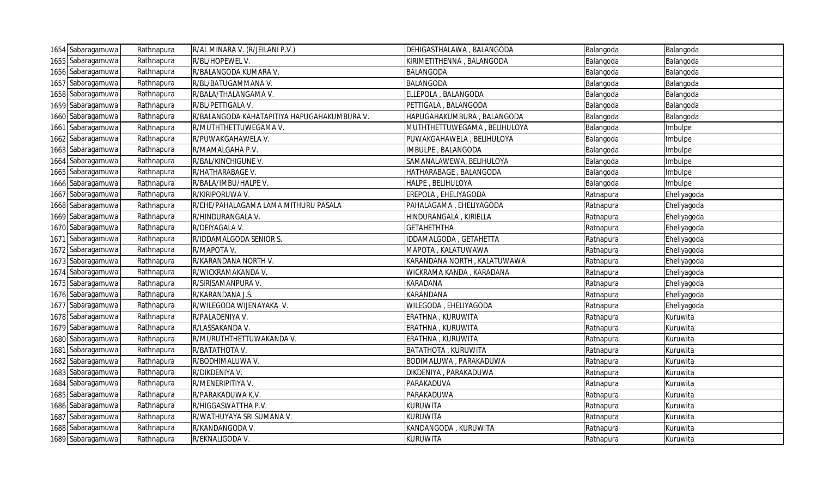| 1654 Sabaragamuwa | Rathnapura | R/AL MINARA V. (R/JEILANI P.V.)             | DEHIGASTHALAWA, BALANGODA    | Balangoda | Balangoda   |
|-------------------|------------|---------------------------------------------|------------------------------|-----------|-------------|
| 1655 Sabaragamuwa | Rathnapura | R/BL/HOPEWEL V.                             | KIRIMETITHENNA, BALANGODA    | Balangoda | Balangoda   |
| 1656 Sabaragamuwa | Rathnapura | R/BALANGODA KUMARA V.                       | <b>BALANGODA</b>             | Balangoda | Balangoda   |
| 1657 Sabaragamuwa | Rathnapura | R/BL/BATUGAMMANA V.                         | <b>BALANGODA</b>             | Balangoda | Balangoda   |
| 1658 Sabaragamuwa | Rathnapura | R/BALA/THALANGAMA V.                        | ELLEPOLA, BALANGODA          | Balangoda | Balangoda   |
| 1659 Sabaragamuwa | Rathnapura | R/BL/PETTIGALA V.                           | PETTIGALA, BALANGODA         | Balangoda | Balangoda   |
| 1660 Sabaragamuwa | Rathnapura | R/BALANGODA KAHATAPITIYA HAPUGAHAKUMBURA V. | HAPUGAHAKUMBURA, BALANGODA   | Balangoda | Balangoda   |
| 1661 Sabaragamuwa | Rathnapura | R/MUTHTHETTUWEGAMA V.                       | MUTHTHETTUWEGAMA, BELIHULOYA | Balangoda | Imbulpe     |
| 1662 Sabaragamuwa | Rathnapura | R/PUWAKGAHAWELA V.                          | PUWAKGAHAWELA, BELIHULOYA    | Balangoda | Imbulpe     |
| 1663 Sabaragamuwa | Rathnapura | R/MAMALGAHA P.V.                            | IMBULPE, BALANGODA           | Balangoda | Imbulpe     |
| 1664 Sabaragamuwa | Rathnapura | R/BAL/KINCHIGUNE V.                         | SAMANALAWEWA, BELIHULOYA     | Balangoda | Imbulpe     |
| 1665 Sabaragamuwa | Rathnapura | R/HATHARABAGE V.                            | HATHARABAGE, BALANGODA       | Balangoda | Imbulpe     |
| 1666 Sabaragamuwa | Rathnapura | R/BALA/IMBU/HALPE V.                        | HALPE, BELIHULOYA            | Balangoda | Imbulpe     |
| 1667 Sabaragamuwa | Rathnapura | R/KIRIPORUWA V.                             | EREPOLA, EHELIYAGODA         | Ratnapura | Eheliyagoda |
| 1668 Sabaragamuwa | Rathnapura | R/EHE/PAHALAGAMA LAMA MITHURU PASALA        | PAHALAGAMA, EHELIYAGODA      | Ratnapura | Eheliyagoda |
| 1669 Sabaragamuwa | Rathnapura | R/HINDURANGALA V.                           | HINDURANGALA, KIRIELLA       | Ratnapura | Eheliyagoda |
| 1670 Sabaragamuwa | Rathnapura | R/DEIYAGALA V.                              | <b>GETAHETHTHA</b>           | Ratnapura | Eheliyagoda |
| 1671 Sabaragamuwa | Rathnapura | R/IDDAMALGODA SENIOR S.                     | IDDAMALGODA, GETAHETTA       | Ratnapura | Eheliyagoda |
| 1672 Sabaragamuwa | Rathnapura | R/MAPOTA V.                                 | MAPOTA, KALATUWAWA           | Ratnapura | Eheliyagoda |
| 1673 Sabaragamuwa | Rathnapura | R/KARANDANA NORTH V.                        | KARANDANA NORTH, KALATUWAWA  | Ratnapura | Eheliyagoda |
| 1674 Sabaragamuwa | Rathnapura | R/WICKRAMAKANDA V.                          | WICKRAMA KANDA, KARADANA     | Ratnapura | Eheliyagoda |
| 1675 Sabaragamuwa | Rathnapura | R/SIRISAMANPURA V.                          | <b>KARADANA</b>              | Ratnapura | Eheliyagoda |
| 1676 Sabaragamuwa | Rathnapura | R/KARANDANA J.S.                            | <b>KARANDANA</b>             | Ratnapura | Eheliyagoda |
| 1677 Sabaragamuwa | Rathnapura | R/WILEGODA WIJENAYAKA V.                    | WILEGODA, EHELIYAGODA        | Ratnapura | Eheliyagoda |
| 1678 Sabaragamuwa | Rathnapura | R/PALADENIYA V.                             | ERATHNA, KURUWITA            | Ratnapura | Kuruwita    |
| 1679 Sabaragamuwa | Rathnapura | R/LASSAKANDA V.                             | ERATHNA, KURUWITA            | Ratnapura | Kuruwita    |
| 1680 Sabaragamuwa | Rathnapura | R/MURUTHTHETTUWAKANDA V.                    | ERATHNA, KURUWITA            | Ratnapura | Kuruwita    |
| 1681 Sabaragamuwa | Rathnapura | R/BATATHOTA V.                              | <b>BATATHOTA, KURUWITA</b>   | Ratnapura | Kuruwita    |
| 1682 Sabaragamuwa | Rathnapura | R/BODHIMALUWA V.                            | BODIMALUWA, PARAKADUWA       | Ratnapura | Kuruwita    |
| 1683 Sabaragamuwa | Rathnapura | R/DIKDENIYA V.                              | DIKDENIYA, PARAKADUWA        | Ratnapura | Kuruwita    |
| 1684 Sabaragamuwa | Rathnapura | R/MENERIPITIYA V.                           | PARAKADUVA                   | Ratnapura | Kuruwita    |
| 1685 Sabaragamuwa | Rathnapura | R/PARAKADUWA K.V.                           | PARAKADUWA                   | Ratnapura | Kuruwita    |
| 1686 Sabaragamuwa | Rathnapura | R/HIGGASWATTHA P.V.                         | <b>KURUWITA</b>              | Ratnapura | Kuruwita    |
| 1687 Sabaragamuwa | Rathnapura | R/WATHUYAYA SRI SUMANA V.                   | <b>KURUWITA</b>              | Ratnapura | Kuruwita    |
| 1688 Sabaragamuwa | Rathnapura | R/KANDANGODA V.                             | KANDANGODA, KURUWITA         | Ratnapura | Kuruwita    |
| 1689 Sabaragamuwa | Rathnapura | R/EKNALIGODA V.                             | <b>KURUWITA</b>              | Ratnapura | Kuruwita    |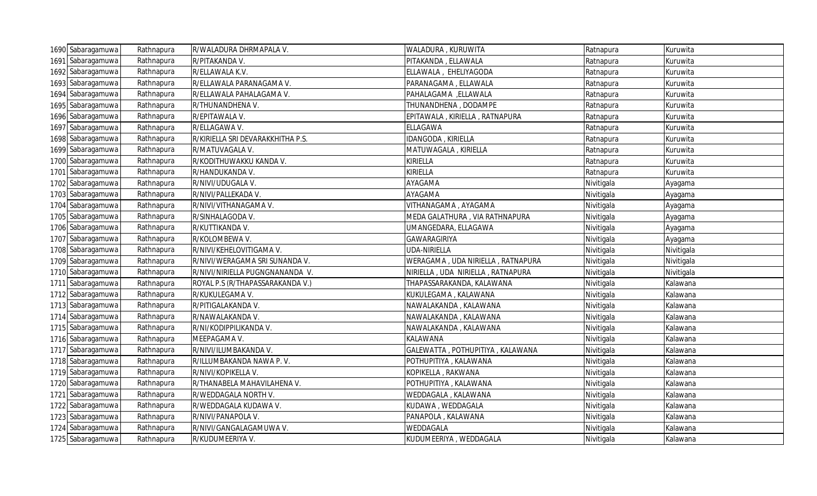|      | 1690 Sabaragamuwa | Rathnapura | R/WALADURA DHRMAPALA V.           | WALADURA, KURUWITA                | Ratnapura  | Kuruwita   |
|------|-------------------|------------|-----------------------------------|-----------------------------------|------------|------------|
|      | 1691 Sabaragamuwa | Rathnapura | R/PITAKANDA V.                    | PITAKANDA, ELLAWALA               | Ratnapura  | Kuruwita   |
|      | 1692 Sabaragamuwa | Rathnapura | R/ELLAWALA K.V.                   | ELLAWALA, EHELIYAGODA             | Ratnapura  | Kuruwita   |
| 1693 | Sabaragamuwa      | Rathnapura | R/ELLAWALA PARANAGAMA V.          | PARANAGAMA, ELLAWALA              | Ratnapura  | Kuruwita   |
|      | 1694 Sabaragamuwa | Rathnapura | R/ELLAWALA PAHALAGAMA V.          | PAHALAGAMA , ELLAWALA             | Ratnapura  | Kuruwita   |
|      | 1695 Sabaragamuwa | Rathnapura | R/THUNANDHENA V.                  | THUNANDHENA, DODAMPE              | Ratnapura  | Kuruwita   |
|      | 1696 Sabaragamuwa | Rathnapura | R/EPITAWALA V.                    | EPITAWALA, KIRIELLA, RATNAPURA    | Ratnapura  | Kuruwita   |
|      | 1697 Sabaragamuwa | Rathnapura | R/ELLAGAWA V.                     | <b>ELLAGAWA</b>                   | Ratnapura  | Kuruwita   |
|      | 1698 Sabaragamuwa | Rathnapura | R/KIRIELLA SRI DEVARAKKHITHA P.S. | IDANGODA, KIRIELLA                | Ratnapura  | Kuruwita   |
|      | 1699 Sabaragamuwa | Rathnapura | R/MATUVAGALA V.                   | MATUWAGALA, KIRIELLA              | Ratnapura  | Kuruwita   |
|      | 1700 Sabaragamuwa | Rathnapura | R/KODITHUWAKKU KANDA V.           | <b>KIRIELLA</b>                   | Ratnapura  | Kuruwita   |
|      | 1701 Sabaragamuwa | Rathnapura | R/HANDUKANDA V.                   | <b>KIRIELLA</b>                   | Ratnapura  | Kuruwita   |
|      | 1702 Sabaragamuwa | Rathnapura | R/NIVI/UDUGALA V.                 | AYAGAMA                           | Nivitigala | Ayagama    |
|      | 1703 Sabaragamuwa | Rathnapura | R/NIVI/PALLEKADA V.               | AYAGAMA                           | Nivitigala | Ayagama    |
|      | 1704 Sabaragamuwa | Rathnapura | R/NIVI/VITHANAGAMA V.             | VITHANAGAMA, AYAGAMA              | Nivitigala | Ayagama    |
|      | 1705 Sabaragamuwa | Rathnapura | R/SINHALAGODA V.                  | MEDA GALATHURA, VIA RATHNAPURA    | Nivitigala | Ayagama    |
|      | 1706 Sabaragamuwa | Rathnapura | R/KUTTIKANDA V.                   | UMANGEDARA, ELLAGAWA              | Nivitigala | Ayagama    |
|      | 1707 Sabaragamuwa | Rathnapura | R/KOLOMBEWA V.                    | GAWARAGIRIYA                      | Nivitigala | Ayagama    |
|      | 1708 Sabaragamuwa | Rathnapura | R/NIVI/KEHELOVITIGAMA V.          | UDA-NIRIELLA                      | Nivitigala | Nivitigala |
|      | 1709 Sabaragamuwa | Rathnapura | R/NIVI/WERAGAMA SRI SUNANDA V.    | WERAGAMA, UDA NIRIELLA, RATNAPURA | Nivitigala | Nivitigala |
|      | 1710 Sabaragamuwa | Rathnapura | R/NIVI/NIRIELLA PUGNGNANANDA V.   | NIRIELLA, UDA NIRIELLA, RATNAPURA | Nivitigala | Nivitigala |
|      | 1711 Sabaragamuwa | Rathnapura | ROYAL P.S (R/THAPASSARAKANDA V.)  | THAPASSARAKANDA, KALAWANA         | Nivitigala | Kalawana   |
|      | 1712 Sabaragamuwa | Rathnapura | R/KUKULEGAMA V.                   | KUKULEGAMA, KALAWANA              | Nivitigala | Kalawana   |
|      | 1713 Sabaragamuwa | Rathnapura | R/PITIGALAKANDA V.                | NAWALAKANDA, KALAWANA             | Nivitigala | Kalawana   |
|      | 1714 Sabaragamuwa | Rathnapura | R/NAWALAKANDA V.                  | NAWALAKANDA, KALAWANA             | Nivitigala | Kalawana   |
|      | 1715 Sabaragamuwa | Rathnapura | R/NI/KODIPPILIKANDA V.            | NAWALAKANDA, KALAWANA             | Nivitigala | Kalawana   |
|      | 1716 Sabaragamuwa | Rathnapura | MEEPAGAMA V.                      | <b>KALAWANA</b>                   | Nivitigala | Kalawana   |
|      | 1717 Sabaragamuwa | Rathnapura | R/NIVI/ILUMBAKANDA V.             | GALEWATTA, POTHUPITIYA, KALAWANA  | Nivitigala | Kalawana   |
|      | 1718 Sabaragamuwa | Rathnapura | R/ILLUMBAKANDA NAWA P.V.          | POTHUPITIYA, KALAWANA             | Nivitigala | Kalawana   |
|      | 1719 Sabaragamuwa | Rathnapura | R/NIVI/KOPIKELLA V.               | KOPIKELLA, RAKWANA                | Nivitigala | Kalawana   |
|      | 1720 Sabaragamuwa | Rathnapura | R/THANABELA MAHAVILAHENA V.       | POTHUPITIYA, KALAWANA             | Nivitigala | Kalawana   |
|      | 1721 Sabaragamuwa | Rathnapura | R/WEDDAGALA NORTH V.              | WEDDAGALA, KALAWANA               | Nivitigala | Kalawana   |
|      | 1722 Sabaragamuwa | Rathnapura | R/WEDDAGALA KUDAWA V.             | KUDAWA, WEDDAGALA                 | Nivitigala | Kalawana   |
|      | 1723 Sabaragamuwa | Rathnapura | R/NIVI/PANAPOLA V.                | PANAPOLA, KALAWANA                | Nivitigala | Kalawana   |
|      | 1724 Sabaragamuwa | Rathnapura | R/NIVI/GANGALAGAMUWA V.           | WEDDAGALA                         | Nivitigala | Kalawana   |
|      | 1725 Sabaragamuwa | Rathnapura | R/KUDUMEERIYA V.                  | KUDUMEERIYA, WEDDAGALA            | Nivitigala | Kalawana   |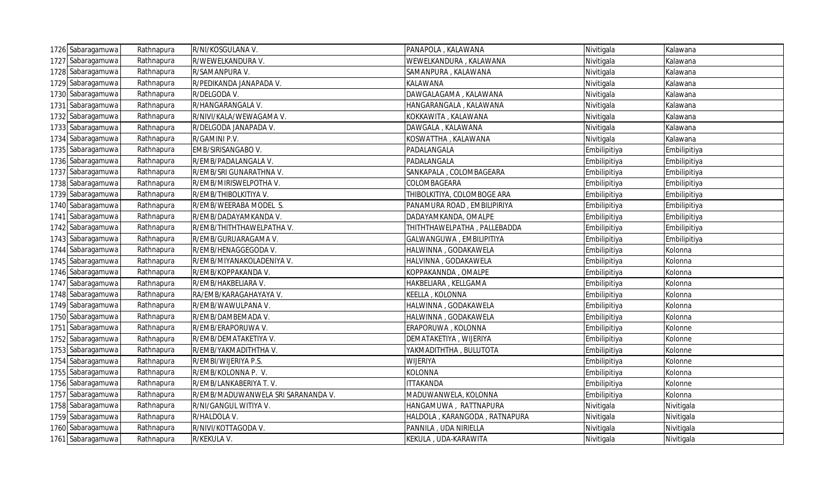| 1726 Sabaragamuwa | Rathnapura | R/NI/KOSGULANA V.                  | PANAPOLA, KALAWANA            | Nivitigala   | Kalawana     |
|-------------------|------------|------------------------------------|-------------------------------|--------------|--------------|
| 1727 Sabaragamuwa | Rathnapura | R/WEWELKANDURA V.                  | WEWELKANDURA, KALAWANA        | Nivitigala   | Kalawana     |
| 1728 Sabaragamuwa | Rathnapura | R/SAMANPURA V.                     | SAMANPURA, KALAWANA           | Nivitigala   | Kalawana     |
| 1729 Sabaragamuwa | Rathnapura | R/PEDIKANDA JANAPADA V.            | KALAWANA                      | Nivitigala   | Kalawana     |
| 1730 Sabaragamuwa | Rathnapura | R/DELGODA V.                       | DAWGALAGAMA, KALAWANA         | Nivitigala   | Kalawana     |
| 1731 Sabaragamuwa | Rathnapura | R/HANGARANGALA V.                  | HANGARANGALA, KALAWANA        | Nivitigala   | Kalawana     |
| 1732 Sabaragamuwa | Rathnapura | R/NIVI/KALA/WEWAGAMA V.            | KOKKAWITA, KALAWANA           | Nivitigala   | Kalawana     |
| 1733 Sabaragamuwa | Rathnapura | R/DELGODA JANAPADA V.              | DAWGALA, KALAWANA             | Nivitigala   | Kalawana     |
| 1734 Sabaragamuwa | Rathnapura | R/GAMINI P.V.                      | KOSWATTHA, KALAWANA           | Nivitigala   | Kalawana     |
| 1735 Sabaragamuwa | Rathnapura | EMB/SIRISANGABO V.                 | PADALANGALA                   | Embilipitiya | Embilipitiya |
| 1736 Sabaragamuwa | Rathnapura | R/EMB/PADALANGALA V.               | PADALANGALA                   | Embilipitiya | Embilipitiya |
| 1737 Sabaragamuwa | Rathnapura | R/EMB/SRI GUNARATHNA V.            | SANKAPALA, COLOMBAGEARA       | Embilipitiya | Embilipitiya |
| 1738 Sabaragamuwa | Rathnapura | R/EMB/MIRISWELPOTHAV.              | COLOMBAGEARA                  | Embilipitiya | Embilipitiya |
| 1739 Sabaragamuwa | Rathnapura | R/EMB/THIBOLKITIYA V.              | THIBOLKITIYA, COLOMBOGE ARA   | Embilipitiya | Embilipitiya |
| 1740 Sabaragamuwa | Rathnapura | R/EMB/WEERABA MODEL S.             | PANAMURA ROAD, EMBILIPIRIYA   | Embilipitiya | Embilipitiya |
| 1741 Sabaragamuwa | Rathnapura | R/EMB/DADAYAMKANDA V.              | DADAYAMKANDA, OMALPE          | Embilipitiya | Embilipitiya |
| 1742 Sabaragamuwa | Rathnapura | R/EMB/THITHTHAWELPATHA V.          | THITHTHAWELPATHA, PALLEBADDA  | Embilipitiya | Embilipitiya |
| 1743 Sabaragamuwa | Rathnapura | R/EMB/GURUARAGAMA V.               | GALWANGUWA, EMBILIPITIYA      | Embilipitiya | Embilipitiya |
| 1744 Sabaragamuwa | Rathnapura | R/EMB/HENAGGEGODA V.               | HALWINNA, GODAKAWELA          | Embilipitiya | Kolonna      |
| 1745 Sabaragamuwa | Rathnapura | R/EMB/MIYANAKOLADENIYA V.          | HALVINNA, GODAKAWELA          | Embilipitiya | Kolonna      |
| 1746 Sabaragamuwa | Rathnapura | R/EMB/KOPPAKANDA V.                | KOPPAKANNDA, OMALPE           | Embilipitiya | Kolonna      |
| 1747 Sabaragamuwa | Rathnapura | R/EMB/HAKBELIARA V.                | HAKBELIARA, KELLGAMA          | Embilipitiya | Kolonna      |
| 1748 Sabaragamuwa | Rathnapura | RA/EMB/KARAGAHAYAYA V.             | KEELLA, KOLONNA               | Embilipitiya | Kolonna      |
| 1749 Sabaragamuwa | Rathnapura | R/EMB/WAWULPANA V.                 | HALWINNA, GODAKAWELA          | Embilipitiya | Kolonna      |
| 1750 Sabaragamuwa | Rathnapura | R/EMB/DAMBEMADA V.                 | HALWINNA, GODAKAWELA          | Embilipitiya | Kolonna      |
| 1751 Sabaragamuwa | Rathnapura | R/EMB/ERAPORUWA V.                 | ERAPORUWA, KOLONNA            | Embilipitiya | Kolonne      |
| 1752 Sabaragamuwa | Rathnapura | R/EMB/DEMATAKETIYA V.              | DEMATAKETIYA, WIJERIYA        | Embilipitiya | Kolonne      |
| 1753 Sabaragamuwa | Rathnapura | R/EMB/YAKMADITHTHA V.              | YAKMADITHTHA, BULUTOTA        | Embilipitiya | Kolonne      |
| 1754 Sabaragamuwa | Rathnapura | R/EMBI/WIJERIYA P.S.               | <b>WIJERIYA</b>               | Embilipitiya | Kolonne      |
| 1755 Sabaragamuwa | Rathnapura | R/EMB/KOLONNA P. V.                | <b>KOLONNA</b>                | Embilipitiya | Kolonna      |
| 1756 Sabaragamuwa | Rathnapura | R/EMB/LANKABERIYA T.V.             | <b>ITTAKANDA</b>              | Embilipitiya | Kolonne      |
| 1757 Sabaragamuwa | Rathnapura | R/EMB/MADUWANWELA SRI SARANANDA V. | MADUWANWELA, KOLONNA          | Embilipitiya | Kolonna      |
| 1758 Sabaragamuwa | Rathnapura | R/NI/GANGUL WITIYA V.              | HANGAMUWA, RATTNAPURA         | Nivitigala   | Nivitigala   |
| 1759 Sabaragamuwa | Rathnapura | R/HALDOLA V.                       | HALDOLA, KARANGODA, RATNAPURA | Nivitigala   | Nivitigala   |
| 1760 Sabaragamuwa | Rathnapura | R/NIVI/KOTTAGODA V.                | PANNILA, UDA NIRIELLA         | Nivitigala   | Nivitigala   |
| 1761 Sabaragamuwa | Rathnapura | R/KEKULA V.                        | KEKULA, UDA-KARAWITA          | Nivitigala   | Nivitigala   |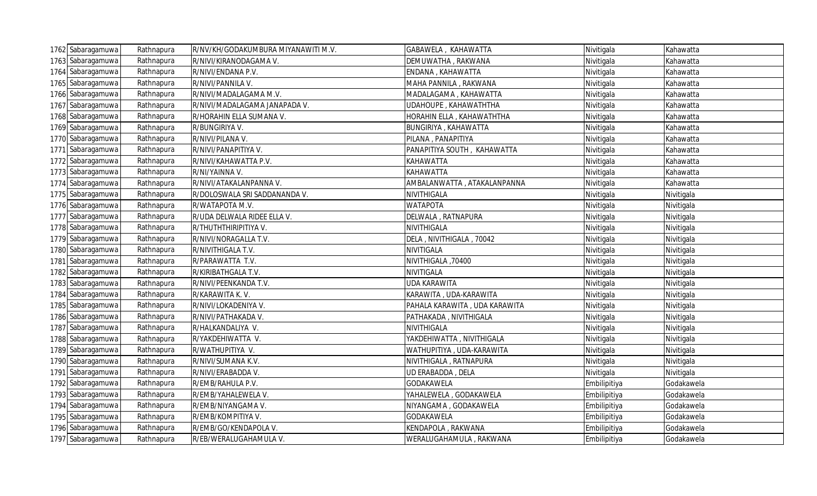| 1762 Sabaragamuwa | Rathnapura | R/NV/KH/GODAKUMBURA MIYANAWITI M.V. | GABAWELA, KAHAWATTA           | Nivitigala   | Kahawatta  |
|-------------------|------------|-------------------------------------|-------------------------------|--------------|------------|
| 1763 Sabaragamuwa | Rathnapura | R/NIVI/KIRANODAGAMA V.              | DEMUWATHA, RAKWANA            | Nivitigala   | Kahawatta  |
| 1764 Sabaragamuwa | Rathnapura | R/NIVI/ENDANA P.V.                  | ENDANA, KAHAWATTA             | Nivitigala   | Kahawatta  |
| 1765 Sabaragamuwa | Rathnapura | R/NIVI/PANNILA V.                   | MAHA PANNILA , RAKWANA        | Nivitigala   | Kahawatta  |
| 1766 Sabaragamuwa | Rathnapura | R/NIVI/MADALAGAMA M.V.              | MADALAGAMA , KAHAWATTA        | Nivitigala   | Kahawatta  |
| 1767 Sabaragamuwa | Rathnapura | R/NIVI/MADALAGAMA JANAPADA V.       | UDAHOUPE, KAHAWATHTHA         | Nivitigala   | Kahawatta  |
| 1768 Sabaragamuwa | Rathnapura | R/HORAHIN ELLA SUMANA V.            | HORAHIN ELLA, KAHAWATHTHA     | Nivitigala   | Kahawatta  |
| 1769 Sabaragamuwa | Rathnapura | R/BUNGIRIYA V.                      | BUNGIRIYA, KAHAWATTA          | Nivitigala   | Kahawatta  |
| 1770 Sabaragamuwa | Rathnapura | R/NIVI/PILANA V.                    | PILANA, PANAPITIYA            | Nivitigala   | Kahawatta  |
| 1771 Sabaragamuwa | Rathnapura | R/NIVI/PANAPITIYA V.                | PANAPITIYA SOUTH, KAHAWATTA   | Nivitigala   | Kahawatta  |
| 1772 Sabaragamuwa | Rathnapura | R/NIVI/KAHAWATTA P.V.               | <b>KAHAWATTA</b>              | Nivitigala   | Kahawatta  |
| 1773 Sabaragamuwa | Rathnapura | R/NI/YAINNA V.                      | <b>KAHAWATTA</b>              | Nivitigala   | Kahawatta  |
| 1774 Sabaragamuwa | Rathnapura | R/NIVI/ATAKALANPANNA V.             | AMBALANWATTA, ATAKALANPANNA   | Nivitigala   | Kahawatta  |
| 1775 Sabaragamuwa | Rathnapura | R/DOLOSWALA SRI SADDANANDA V.       | NIVITHIGALA                   | Nivitigala   | Nivitigala |
| 1776 Sabaragamuwa | Rathnapura | R/WATAPOTA M.V.                     | <b>WATAPOTA</b>               | Nivitigala   | Nivitigala |
| 1777 Sabaragamuwa | Rathnapura | R/UDA DELWALA RIDEE ELLA V.         | DELWALA, RATNAPURA            | Nivitigala   | Nivitigala |
| 1778 Sabaragamuwa | Rathnapura | R/THUTHTHIRIPITIYA V.               | NIVITHIGALA                   | Nivitigala   | Nivitigala |
| 1779 Sabaragamuwa | Rathnapura | R/NIVI/NORAGALLA T.V.               | DELA, NIVITHIGALA, 70042      | Nivitigala   | Nivitigala |
| 1780 Sabaragamuwa | Rathnapura | R/NIVITHIGALA T.V.                  | NIVITIGALA                    | Nivitigala   | Nivitigala |
| 1781 Sabaragamuwa | Rathnapura | R/PARAWATTA T.V.                    | NIVITHIGALA, 70400            | Nivitigala   | Nivitigala |
| 1782 Sabaragamuwa | Rathnapura | R/KIRIBATHGALA T.V.                 | NIVITIGALA                    | Nivitigala   | Nivitigala |
| 1783 Sabaragamuwa | Rathnapura | R/NIVI/PEENKANDA T.V.               | <b>UDA KARAWITA</b>           | Nivitigala   | Nivitigala |
| 1784 Sabaragamuwa | Rathnapura | R/KARAWITA K.V.                     | KARAWITA, UDA-KARAWITA        | Nivitigala   | Nivitigala |
| 1785 Sabaragamuwa | Rathnapura | R/NIVI/LOKADENIYA V.                | PAHALA KARAWITA, UDA KARAWITA | Nivitigala   | Nivitigala |
| 1786 Sabaragamuwa | Rathnapura | R/NIVI/PATHAKADA V.                 | PATHAKADA, NIVITHIGALA        | Nivitigala   | Nivitigala |
| 1787 Sabaragamuwa | Rathnapura | R/HALKANDALIYA V.                   | NIVITHIGALA                   | Nivitigala   | Nivitigala |
| 1788 Sabaragamuwa | Rathnapura | R/YAKDEHIWATTA V.                   | YAKDEHIWATTA, NIVITHIGALA     | Nivitigala   | Nivitigala |
| 1789 Sabaragamuwa | Rathnapura | R/WATHUPITIYA V.                    | WATHUPITIYA, UDA-KARAWITA     | Nivitigala   | Nivitigala |
| 1790 Sabaragamuwa | Rathnapura | R/NIVI/SUMANA K.V.                  | NIVITHIGALA , RATNAPURA       | Nivitigala   | Nivitigala |
| 1791 Sabaragamuwa | Rathnapura | R/NIVI/ERABADDA V.                  | UD ERABADDA, DELA             | Nivitigala   | Nivitigala |
| 1792 Sabaragamuwa | Rathnapura | R/EMB/RAHULA P.V.                   | GODAKAWELA                    | Embilipitiya | Godakawela |
| 1793 Sabaragamuwa | Rathnapura | R/EMB/YAHALEWELA V.                 | YAHALEWELA, GODAKAWELA        | Embilipitiya | Godakawela |
| 1794 Sabaragamuwa | Rathnapura | R/EMB/NIYANGAMA V.                  | NIYANGAMA, GODAKAWELA         | Embilipitiya | Godakawela |
| 1795 Sabaragamuwa | Rathnapura | R/EMB/KOMPITIYA V.                  | GODAKAWELA                    | Embilipitiya | Godakawela |
| 1796 Sabaragamuwa | Rathnapura | R/EMB/GO/KENDAPOLA V.               | KENDAPOLA, RAKWANA            | Embilipitiya | Godakawela |
| 1797 Sabaragamuwa | Rathnapura | R/EB/WERALUGAHAMULA V.              | WERALUGAHAMULA, RAKWANA       | Embilipitiya | Godakawela |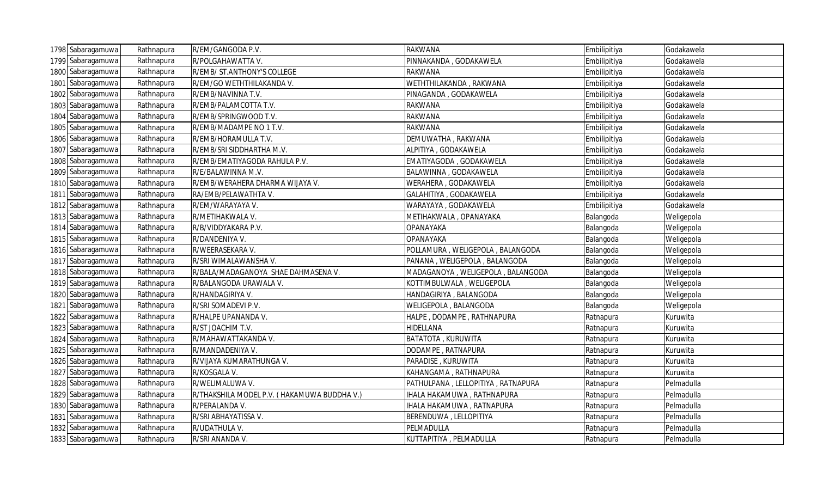|      | 1798 Sabaragamuwa | Rathnapura | R/EM/GANGODA P.V.                           | <b>RAKWANA</b>                     | Embilipitiya | Godakawela |
|------|-------------------|------------|---------------------------------------------|------------------------------------|--------------|------------|
|      | 1799 Sabaragamuwa | Rathnapura | R/POLGAHAWATTA V.                           | PINNAKANDA, GODAKAWELA             | Embilipitiya | Godakawela |
| 1800 | Sabaragamuwa      | Rathnapura | R/EMB/ ST.ANTHONY'S COLLEGE                 | <b>RAKWANA</b>                     | Embilipitiya | Godakawela |
|      | 1801 Sabaragamuwa | Rathnapura | R/EM/GO WETHTHILAKANDA V.                   | WETHTHILAKANDA, RAKWANA            | Embilipitiya | Godakawela |
|      | 1802 Sabaragamuwa | Rathnapura | R/EMB/NAVINNA T.V.                          | PINAGANDA, GODAKAWELA              | Embilipitiya | Godakawela |
|      | 1803 Sabaragamuwa | Rathnapura | R/EMB/PALAMCOTTA T.V.                       | <b>RAKWANA</b>                     | Embilipitiya | Godakawela |
|      | 1804 Sabaragamuwa | Rathnapura | R/EMB/SPRINGWOOD T.V.                       | <b>RAKWANA</b>                     | Embilipitiya | Godakawela |
|      | 1805 Sabaragamuwa | Rathnapura | R/EMB/MADAMPE NO 1 T.V.                     | <b>RAKWANA</b>                     | Embilipitiya | Godakawela |
|      | 1806 Sabaragamuwa | Rathnapura | R/EMB/HORAMULLA T.V.                        | DEMUWATHA, RAKWANA                 | Embilipitiya | Godakawela |
|      | 1807 Sabaragamuwa | Rathnapura | R/EMB/SRI SIDDHARTHA M.V.                   | ALPITIYA, GODAKAWELA               | Embilipitiya | Godakawela |
|      | 1808 Sabaragamuwa | Rathnapura | R/EMB/EMATIYAGODA RAHULA P.V.               | EMATIYAGODA, GODAKAWELA            | Embilipitiya | Godakawela |
|      | 1809 Sabaragamuwa | Rathnapura | R/E/BALAWINNA M.V.                          | BALAWINNA, GODAKAWELA              | Embilipitiya | Godakawela |
|      | 1810 Sabaragamuwa | Rathnapura | R/EMB/WERAHERA DHARMA WIJAYA V.             | WERAHERA, GODAKAWELA               | Embilipitiya | Godakawela |
|      | 1811 Sabaragamuwa | Rathnapura | RA/EMB/PELAWATHTA V.                        | GALAHITIYA, GODAKAWELA             | Embilipitiya | Godakawela |
|      | 1812 Sabaragamuwa | Rathnapura | R/EM/WARAYAYA V.                            | WARAYAYA, GODAKAWELA               | Embilipitiya | Godakawela |
|      | 1813 Sabaragamuwa | Rathnapura | R/METIHAKWALA V.                            | METIHAKWALA, OPANAYAKA             | Balangoda    | Weligepola |
|      | 1814 Sabaragamuwa | Rathnapura | R/B/VIDDYAKARA P.V.                         | OPANAYAKA                          | Balangoda    | Weligepola |
|      | 1815 Sabaragamuwa | Rathnapura | R/DANDENIYA V.                              | <b>OPANAYAKA</b>                   | Balangoda    | Weligepola |
|      | 1816 Sabaragamuwa | Rathnapura | R/WEERASEKARA V.                            | POLLAMURA, WELIGEPOLA, BALANGODA   | Balangoda    | Weligepola |
|      | 1817 Sabaragamuwa | Rathnapura | R/SRI WIMALAWANSHA V.                       | PANANA, WELIGEPOLA, BALANGODA      | Balangoda    | Weligepola |
|      | 1818 Sabaragamuwa | Rathnapura | R/BALA/MADAGANOYA SHAE DAHMASENA V.         | MADAGANOYA, WELIGEPOLA, BALANGODA  | Balangoda    | Weligepola |
|      | 1819 Sabaragamuwa | Rathnapura | R/BALANGODA URAWALA V.                      | KOTTIMBULWALA, WELIGEPOLA          | Balangoda    | Weligepola |
|      | 1820 Sabaragamuwa | Rathnapura | R/HANDAGIRIYA V.                            | HANDAGIRIYA, BALANGODA             | Balangoda    | Weligepola |
|      | 1821 Sabaragamuwa | Rathnapura | R/SRI SOMADEVI P.V.                         | WELIGEPOLA, BALANGODA              | Balangoda    | Weligepola |
|      | 1822 Sabaragamuwa | Rathnapura | R/HALPE UPANANDA V.                         | HALPE, DODAMPE, RATHNAPURA         | Ratnapura    | Kuruwita   |
|      | 1823 Sabaragamuwa | Rathnapura | R/ST JOACHIM T.V.                           | <b>HIDELLANA</b>                   | Ratnapura    | Kuruwita   |
|      | 1824 Sabaragamuwa | Rathnapura | R/MAHAWATTAKANDA V.                         | BATATOTA, KURUWITA                 | Ratnapura    | Kuruwita   |
| 1825 | Sabaragamuwa      | Rathnapura | R/MANDADENIYA V.                            | DODAMPE, RATNAPURA                 | Ratnapura    | Kuruwita   |
| 1826 | Sabaragamuwa      | Rathnapura | R/VIJAYA KUMARATHUNGA V.                    | PARADISE, KURUWITA                 | Ratnapura    | Kuruwita   |
|      | 1827 Sabaragamuwa | Rathnapura | R/KOSGALA V.                                | KAHANGAMA, RATHNAPURA              | Ratnapura    | Kuruwita   |
|      | 1828 Sabaragamuwa | Rathnapura | R/WELIMALUWA V.                             | PATHULPANA, LELLOPITIYA, RATNAPURA | Ratnapura    | Pelmadulla |
|      | 1829 Sabaragamuwa | Rathnapura | R/THAKSHILA MODEL P.V. (HAKAMUWA BUDDHA V.) | IHALA HAKAMUWA, RATHNAPURA         | Ratnapura    | Pelmadulla |
|      | 1830 Sabaragamuwa | Rathnapura | R/PERALANDA V.                              | IHALA HAKAMUWA, RATNAPURA          | Ratnapura    | Pelmadulla |
|      | 1831 Sabaragamuwa | Rathnapura | R/SRI ABHAYATISSA V.                        | BERENDUWA, LELLOPITIYA             | Ratnapura    | Pelmadulla |
|      | 1832 Sabaragamuwa | Rathnapura | R/UDATHULA V.                               | PELMADULLA                         | Ratnapura    | Pelmadulla |
|      | 1833 Sabaragamuwa | Rathnapura | R/SRI ANANDA V.                             | KUTTAPITIYA, PELMADULLA            | Ratnapura    | Pelmadulla |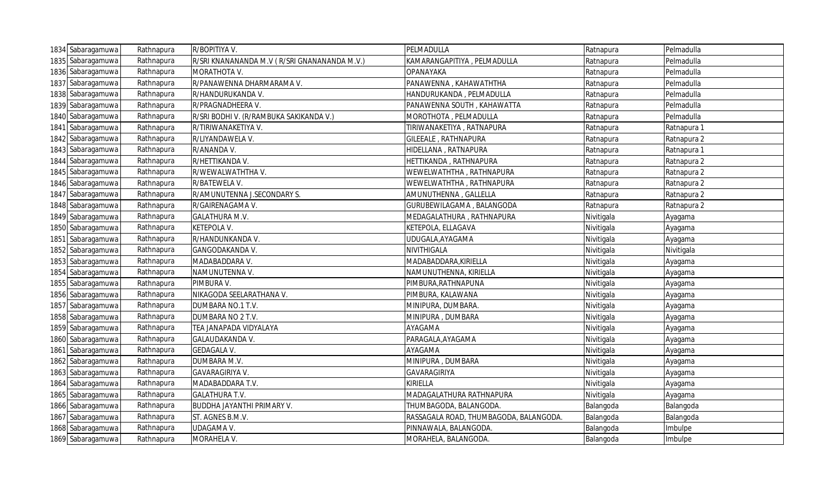|      | 1834 Sabaragamuwa | Rathnapura | R/BOPITIYA V.                                | PELMADULLA                             | Ratnapura  | Pelmadulla  |
|------|-------------------|------------|----------------------------------------------|----------------------------------------|------------|-------------|
|      | 1835 Sabaragamuwa | Rathnapura | R/SRI KNANANANDA M.V (R/SRI GNANANANDA M.V.) | KAMARANGAPITIYA, PELMADULLA            | Ratnapura  | Pelmadulla  |
| 1836 | Sabaragamuwa      | Rathnapura | MORATHOTA V.                                 | <b>OPANAYAKA</b>                       | Ratnapura  | Pelmadulla  |
|      | 1837 Sabaragamuwa | Rathnapura | R/PANAWENNA DHARMARAMA V.                    | PANAWENNA, KAHAWATHTHA                 | Ratnapura  | Pelmadulla  |
|      | 1838 Sabaragamuwa | Rathnapura | R/HANDURUKANDA V.                            | HANDURUKANDA, PELMADULLA               | Ratnapura  | Pelmadulla  |
|      | 1839 Sabaragamuwa | Rathnapura | R/PRAGNADHEERA V.                            | PANAWENNA SOUTH, KAHAWATTA             | Ratnapura  | Pelmadulla  |
|      | 1840 Sabaragamuwa | Rathnapura | R/SRI BODHI V. (R/RAMBUKA SAKIKANDA V.)      | MOROTHOTA, PELMADULLA                  | Ratnapura  | Pelmadulla  |
|      | 1841 Sabaragamuwa | Rathnapura | R/TIRIWANAKETIYA V.                          | TIRIWANAKETIYA, RATNAPURA              | Ratnapura  | Ratnapura 1 |
|      | 1842 Sabaragamuwa | Rathnapura | R/LIYANDAWELA V.                             | GILEEALE, RATHNAPURA                   | Ratnapura  | Ratnapura 2 |
|      | 1843 Sabaragamuwa | Rathnapura | R/ANANDA V.                                  | HIDELLANA, RATNAPURA                   | Ratnapura  | Ratnapura 1 |
|      | 1844 Sabaragamuwa | Rathnapura | R/HETTIKANDA V.                              | HETTIKANDA, RATHNAPURA                 | Ratnapura  | Ratnapura 2 |
|      | 1845 Sabaragamuwa | Rathnapura | R/WEWALWATHTHAV.                             | WEWELWATHTHA, RATHNAPURA               | Ratnapura  | Ratnapura 2 |
|      | 1846 Sabaragamuwa | Rathnapura | R/BATEWELA V.                                | WEWELWATHTHA, RATHNAPURA               | Ratnapura  | Ratnapura 2 |
|      | 1847 Sabaragamuwa | Rathnapura | R/AMUNUTENNA J.SECONDARY S.                  | AMUNUTHENNA, GALLELLA                  | Ratnapura  | Ratnapura 2 |
|      | 1848 Sabaragamuwa | Rathnapura | R/GAIRENAGAMA V.                             | GURUBEWILAGAMA, BALANGODA              | Ratnapura  | Ratnapura 2 |
|      | 1849 Sabaragamuwa | Rathnapura | <b>GALATHURA M.V.</b>                        | MEDAGALATHURA, RATHNAPURA              | Nivitigala | Ayagama     |
|      | 1850 Sabaragamuwa | Rathnapura | KETEPOLA V.                                  | KETEPOLA, ELLAGAVA                     | Nivitigala | Ayagama     |
|      | 1851 Sabaragamuwa | Rathnapura | R/HANDUNKANDA V.                             | UDUGALA, AYAGAMA                       | Nivitigala | Ayagama     |
|      | 1852 Sabaragamuwa | Rathnapura | GANGODAKANDA V.                              | NIVITHIGALA                            | Nivitigala | Nivitigala  |
|      | 1853 Sabaragamuwa | Rathnapura | MADABADDARA V.                               | MADABADDARA, KIRIELLA                  | Nivitigala | Ayagama     |
|      | 1854 Sabaragamuwa | Rathnapura | NAMUNUTENNA V.                               | NAMUNUTHENNA, KIRIELLA                 | Nivitigala | Ayagama     |
|      | 1855 Sabaragamuwa | Rathnapura | PIMBURA V.                                   | PIMBURA, RATHNAPUNA                    | Nivitigala | Ayagama     |
|      | 1856 Sabaragamuwa | Rathnapura | NIKAGODA SEELARATHANA V.                     | PIMBURA, KALAWANA                      | Nivitigala | Ayagama     |
|      | 1857 Sabaragamuwa | Rathnapura | DUMBARA NO.1 T.V.                            | MINIPURA, DUMBARA.                     | Nivitigala | Ayagama     |
|      | 1858 Sabaragamuwa | Rathnapura | DUMBARA NO 2 T.V.                            | MINIPURA, DUMBARA                      | Nivitigala | Ayagama     |
|      | 1859 Sabaragamuwa | Rathnapura | TEA JANAPADA VIDYALAYA                       | AYAGAMA                                | Nivitigala | Ayagama     |
|      | 1860 Sabaragamuwa | Rathnapura | GALAUDAKANDA V.                              | PARAGALA, AYAGAMA                      | Nivitigala | Ayagama     |
|      | 1861 Sabaragamuwa | Rathnapura | <b>GEDAGALA V.</b>                           | AYAGAMA                                | Nivitigala | Ayagama     |
|      | 1862 Sabaragamuwa | Rathnapura | DUMBARA M.V.                                 | MINIPURA, DUMBARA                      | Nivitigala | Ayagama     |
|      | 1863 Sabaragamuwa | Rathnapura | GAVARAGIRIYA V.                              | GAVARAGIRIYA                           | Nivitigala | Ayagama     |
|      | 1864 Sabaragamuwa | Rathnapura | MADABADDARA T.V.                             | <b>KIRIELLA</b>                        | Nivitigala | Ayagama     |
|      | 1865 Sabaragamuwa | Rathnapura | <b>GALATHURA T.V.</b>                        | MADAGALATHURA RATHNAPURA               | Nivitigala | Ayagama     |
|      | 1866 Sabaragamuwa | Rathnapura | <b>BUDDHA JAYANTHI PRIMARY V.</b>            | THUMBAGODA, BALANGODA.                 | Balangoda  | Balangoda   |
|      | 1867 Sabaragamuwa | Rathnapura | ST. AGNES B.M.V.                             | RASSAGALA ROAD, THUMBAGODA, BALANGODA. | Balangoda  | Balangoda   |
|      | 1868 Sabaragamuwa | Rathnapura | UDAGAMA V.                                   | PINNAWALA, BALANGODA.                  | Balangoda  | Imbulpe     |
|      | 1869 Sabaragamuwa | Rathnapura | MORAHELA V.                                  | MORAHELA, BALANGODA.                   | Balangoda  | Imbulpe     |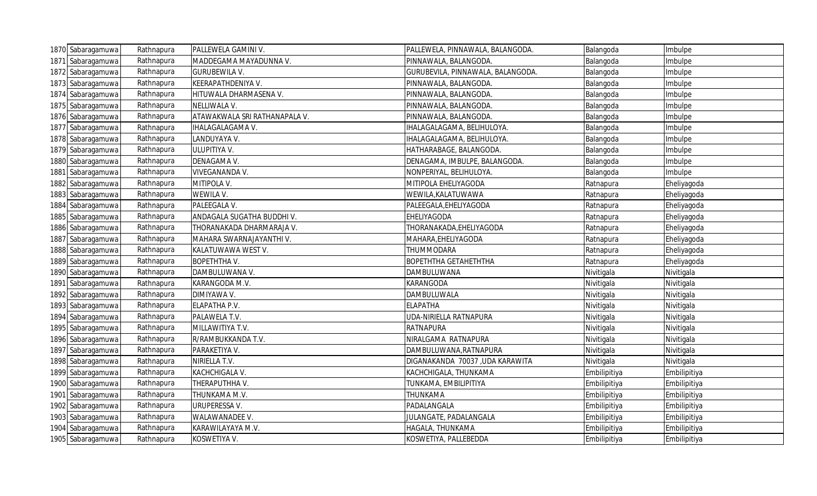| 1870 Sabaragamuwa | Rathnapura | PALLEWELA GAMINI V.           | PALLEWELA, PINNAWALA, BALANGODA.  | Balangoda    | Imbulpe      |
|-------------------|------------|-------------------------------|-----------------------------------|--------------|--------------|
| 1871 Sabaragamuwa | Rathnapura | MADDEGAMA MAYADUNNA V.        | PINNAWALA, BALANGODA.             | Balangoda    | mbulpe       |
| 1872 Sabaragamuwa | Rathnapura | <b>GURUBEWILA V.</b>          | GURUBEVILA, PINNAWALA, BALANGODA. | Balangoda    | Imbulpe      |
| 1873 Sabaragamuwa | Rathnapura | KEERAPATHDENIYA V.            | PINNAWALA, BALANGODA.             | Balangoda    | Imbulpe      |
| 1874 Sabaragamuwa | Rathnapura | HITUWALA DHARMASENA V.        | PINNAWALA, BALANGODA.             | Balangoda    | Imbulpe      |
| 1875 Sabaragamuwa | Rathnapura | NELLIWALA V.                  | PINNAWALA, BALANGODA.             | Balangoda    | Imbulpe      |
| 1876 Sabaragamuwa | Rathnapura | ATAWAKWALA SRI RATHANAPALA V. | PINNAWALA, BALANGODA.             | Balangoda    | Imbulpe      |
| 1877 Sabaragamuwa | Rathnapura | IHALAGALAGAMA V.              | IHALAGALAGAMA, BELIHULOYA.        | Balangoda    | Imbulpe      |
| 1878 Sabaragamuwa | Rathnapura | LANDUYAYA V.                  | IHALAGALAGAMA, BELIHULOYA.        | Balangoda    | Imbulpe      |
| 1879 Sabaragamuwa | Rathnapura | ULUPITIYA V.                  | HATHARABAGE, BALANGODA.           | Balangoda    | Imbulpe      |
| 1880 Sabaragamuwa | Rathnapura | DENAGAMA V.                   | DENAGAMA, IMBULPE, BALANGODA.     | Balangoda    | Imbulpe      |
| 1881 Sabaragamuwa | Rathnapura | VIVEGANANDA V.                | NONPERIYAL, BELIHULOYA.           | Balangoda    | Imbulpe      |
| 1882 Sabaragamuwa | Rathnapura | MITIPOLA V.                   | MITIPOLA EHELIYAGODA              | Ratnapura    | Eheliyagoda  |
| 1883 Sabaragamuwa | Rathnapura | WEWILA V.                     | WEWILA, KALATUWAWA                | Ratnapura    | Eheliyagoda  |
| 1884 Sabaragamuwa | Rathnapura | PALEEGALA V.                  | PALEEGALA, EHELIYAGODA            | Ratnapura    | Eheliyagoda  |
| 1885 Sabaragamuwa | Rathnapura | ANDAGALA SUGATHA BUDDHI V.    | EHELIYAGODA                       | Ratnapura    | Eheliyagoda  |
| 1886 Sabaragamuwa | Rathnapura | THORANAKADA DHARMARAJA V.     | THORANAKADA, EHELIYAGODA          | Ratnapura    | Eheliyagoda  |
| 1887 Sabaragamuwa | Rathnapura | MAHARA SWARNAJAYANTHI V.      | MAHARA, EHELIYAGODA               | Ratnapura    | Eheliyagoda  |
| 1888 Sabaragamuwa | Rathnapura | KALATUWAWA WEST V.            | THUMMODARA                        | Ratnapura    | Eheliyagoda  |
| 1889 Sabaragamuwa | Rathnapura | <b>BOPETHTHA V.</b>           | <b>BOPETHTHA GETAHETHTHA</b>      | Ratnapura    | Eheliyagoda  |
| 1890 Sabaragamuwa | Rathnapura | DAMBULUWANA V.                | DAMBULUWANA                       | Nivitigala   | Nivitigala   |
| 1891 Sabaragamuwa | Rathnapura | KARANGODA M.V.                | <b>KARANGODA</b>                  | Nivitigala   | Nivitigala   |
| 1892 Sabaragamuwa | Rathnapura | DIMIYAWA V.                   | DAMBULUWALA                       | Nivitigala   | Nivitigala   |
| 1893 Sabaragamuwa | Rathnapura | ELAPATHA P.V.                 | <b>ELAPATHA</b>                   | Nivitigala   | Nivitigala   |
| 1894 Sabaragamuwa | Rathnapura | PALAWELA T.V.                 | UDA-NIRIELLA RATNAPURA            | Nivitigala   | Nivitigala   |
| 1895 Sabaragamuwa | Rathnapura | MILLAWITIYA T.V.              | <b>RATNAPURA</b>                  | Nivitigala   | Nivitigala   |
| 1896 Sabaragamuwa | Rathnapura | R/RAMBUKKANDA T.V.            | NIRALGAMA RATNAPURA               | Nivitigala   | Nivitigala   |
| 1897 Sabaragamuwa | Rathnapura | PARAKETIYA V.                 | DAMBULUWANA, RATNAPURA            | Nivitigala   | Nivitigala   |
| 1898 Sabaragamuwa | Rathnapura | NIRIELLA T.V.                 | DIGANAKANDA 70037 ,UDA KARAWITA   | Nivitigala   | Nivitigala   |
| 1899 Sabaragamuwa | Rathnapura | KACHCHIGALA V.                | KACHCHIGALA, THUNKAMA             | Embilipitiya | Embilipitiya |
| 1900 Sabaragamuwa | Rathnapura | THERAPUTHHA V.                | TUNKAMA, EMBILIPITIYA             | Embilipitiya | Embilipitiya |
| 1901 Sabaragamuwa | Rathnapura | THUNKAMA M.V.                 | THUNKAMA                          | Embilipitiya | Embilipitiya |
| 1902 Sabaragamuwa | Rathnapura | URUPERESSA V.                 | PADALANGALA                       | Embilipitiya | Embilipitiya |
| 1903 Sabaragamuwa | Rathnapura | WALAWANADEE V.                | JULANGATE, PADALANGALA            | Embilipitiya | Embilipitiya |
| 1904 Sabaragamuwa | Rathnapura | KARAWILAYAYA M.V.             | HAGALA, THUNKAMA                  | Embilipitiya | Embilipitiya |
| 1905 Sabaragamuwa | Rathnapura | KOSWETIYA V.                  | KOSWETIYA, PALLEBEDDA             | Embilipitiya | Embilipitiya |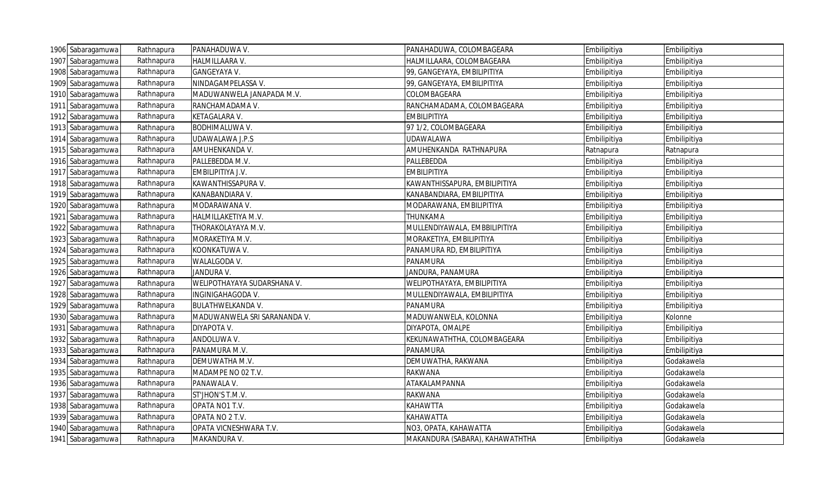| 1906 Sabaragamuwa | Rathnapura | PANAHADUWA V.                | PANAHADUWA, COLOMBAGEARA        | Embilipitiya | Embilipitiya |
|-------------------|------------|------------------------------|---------------------------------|--------------|--------------|
| 1907 Sabaragamuwa | Rathnapura | HALMILLAARA V.               | HALMILLAARA, COLOMBAGEARA       | Embilipitiya | Embilipitiya |
| 1908 Sabaragamuwa | Rathnapura | GANGEYAYA V.                 | 99, GANGEYAYA, EMBILIPITIYA     | Embilipitiya | Embilipitiya |
| 1909 Sabaragamuwa | Rathnapura | NINDAGAMPELASSA V.           | 99, GANGEYAYA, EMBILIPITIYA     | Embilipitiya | Embilipitiya |
| 1910 Sabaragamuwa | Rathnapura | MADUWANWELA JANAPADA M.V.    | COLOMBAGEARA                    | Embilipitiya | Embilipitiya |
| 1911 Sabaragamuwa | Rathnapura | RANCHAMADAMA V.              | RANCHAMADAMA, COLOMBAGEARA      | Embilipitiya | Embilipitiya |
| 1912 Sabaragamuwa | Rathnapura | KETAGALARA V.                | <b>EMBILIPITIYA</b>             | Embilipitiya | Embilipitiya |
| 1913 Sabaragamuwa | Rathnapura | <b>BODHIMALUWA V.</b>        | 97 1/2, COLOMBAGEARA            | Embilipitiya | Embilipitiya |
| 1914 Sabaragamuwa | Rathnapura | UDAWALAWA J.P.S              | <b>UDAWALAWA</b>                | Embilipitiya | Embilipitiya |
| 1915 Sabaragamuwa | Rathnapura | AMUHENKANDA V.               | AMUHENKANDA RATHNAPURA          | Ratnapura    | Ratnapura    |
| 1916 Sabaragamuwa | Rathnapura | PALLEBEDDA M.V.              | PALLEBEDDA                      | Embilipitiya | Embilipitiya |
| 1917 Sabaragamuwa | Rathnapura | EMBILIPITIYA J.V.            | <b>EMBILIPITIYA</b>             | Embilipitiya | Embilipitiya |
| 1918 Sabaragamuwa | Rathnapura | KAWANTHISSAPURA V.           | KAWANTHISSAPURA, EMBILIPITIYA   | Embilipitiya | Embilipitiya |
| 1919 Sabaragamuwa | Rathnapura | KANABANDIARA V.              | KANABANDIARA, EMBILIPITIYA      | Embilipitiya | Embilipitiya |
| 1920 Sabaragamuwa | Rathnapura | MODARAWANA V.                | MODARAWANA, EMBILIPITIYA        | Embilipitiya | Embilipitiya |
| 1921 Sabaragamuwa | Rathnapura | HALMILLAKETIYA M.V.          | THUNKAMA                        | Embilipitiya | Embilipitiya |
| 1922 Sabaragamuwa | Rathnapura | THORAKOLAYAYA M.V.           | MULLENDIYAWALA, EMBBILIPITIYA   | Embilipitiya | Embilipitiya |
| 1923 Sabaragamuwa | Rathnapura | MORAKETIYA M.V.              | MORAKETIYA, EMBILIPITIYA        | Embilipitiya | Embilipitiya |
| 1924 Sabaragamuwa | Rathnapura | KOONKATUWA V.                | PANAMURA RD, EMBILIPITIYA       | Embilipitiya | Embilipitiya |
| 1925 Sabaragamuwa | Rathnapura | WALALGODA V.                 | PANAMURA                        | Embilipitiya | Embilipitiya |
| 1926 Sabaragamuwa | Rathnapura | JANDURA V.                   | JANDURA, PANAMURA               | Embilipitiya | Embilipitiya |
| 1927 Sabaragamuwa | Rathnapura | WELIPOTHAYAYA SUDARSHANA V.  | WELIPOTHAYAYA, EMBILIPITIYA     | Embilipitiya | Embilipitiya |
| 1928 Sabaragamuwa | Rathnapura | INGINIGAHAGODA V.            | MULLENDIYAWALA, EMBILIPITIYA    | Embilipitiya | Embilipitiya |
| 1929 Sabaragamuwa | Rathnapura | <b>BULATHWELKANDA V.</b>     | PANAMURA                        | Embilipitiya | Embilipitiya |
| 1930 Sabaragamuwa | Rathnapura | MADUWANWELA SRI SARANANDA V. | MADUWANWELA, KOLONNA            | Embilipitiya | Kolonne      |
| 1931 Sabaragamuwa | Rathnapura | DIYAPOTA V.                  | DIYAPOTA, OMALPE                | Embilipitiya | Embilipitiya |
| 1932 Sabaragamuwa | Rathnapura | ANDOLUWA V.                  | KEKUNAWATHTHA, COLOMBAGEARA     | Embilipitiya | Embilipitiya |
| 1933 Sabaragamuwa | Rathnapura | PANAMURA M.V.                | PANAMURA                        | Embilipitiya | Embilipitiya |
| 1934 Sabaragamuwa | Rathnapura | DEMUWATHA M.V.               | DEMUWATHA, RAKWANA              | Embilipitiya | Godakawela   |
| 1935 Sabaragamuwa | Rathnapura | MADAMPE NO 02 T.V.           | <b>RAKWANA</b>                  | Embilipitiya | Godakawela   |
| 1936 Sabaragamuwa | Rathnapura | PANAWALA V.                  | ATAKALAMPANNA                   | Embilipitiya | Godakawela   |
| 1937 Sabaragamuwa | Rathnapura | ST'JHON'S T.M.V.             | <b>RAKWANA</b>                  | Embilipitiya | Godakawela   |
| 1938 Sabaragamuwa | Rathnapura | OPATA NO1 T.V.               | <b>KAHAWTTA</b>                 | Embilipitiya | Godakawela   |
| 1939 Sabaragamuwa | Rathnapura | OPATA NO 2 T.V.              | <b>KAHAWATTA</b>                | Embilipitiya | Godakawela   |
| 1940 Sabaragamuwa | Rathnapura | OPATA VICNESHWARA T.V.       | NO3, OPATA, KAHAWATTA           | Embilipitiya | Godakawela   |
| 1941 Sabaragamuwa | Rathnapura | MAKANDURA V.                 | MAKANDURA (SABARA), KAHAWATHTHA | Embilipitiya | Godakawela   |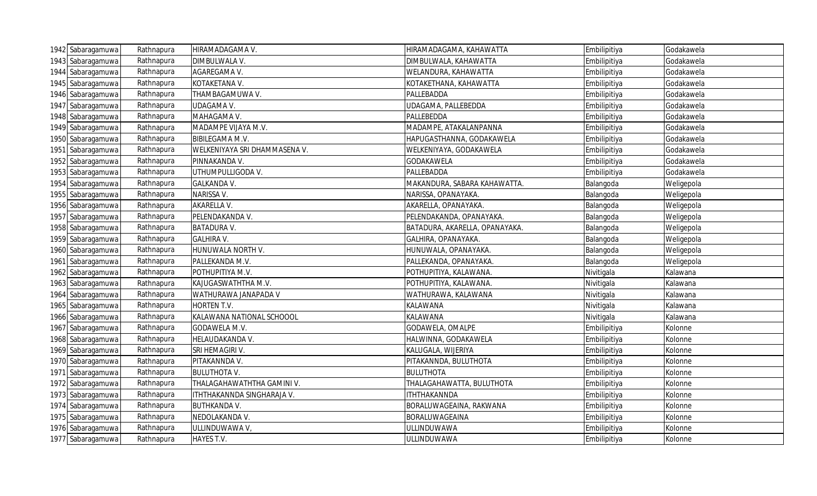| 1942 Sabaragamuwa | Rathnapura | HIRAMADAGAMA V.               | HIRAMADAGAMA, KAHAWATTA        | Embilipitiya | Godakawela |
|-------------------|------------|-------------------------------|--------------------------------|--------------|------------|
| 1943 Sabaragamuwa | Rathnapura | DIMBULWALA V.                 | DIMBULWALA, KAHAWATTA          | Embilipitiya | Godakawela |
| 1944 Sabaragamuwa | Rathnapura | AGAREGAMA V.                  | WELANDURA, KAHAWATTA           | Embilipitiya | Godakawela |
| 1945 Sabaragamuwa | Rathnapura | KOTAKETANA V.                 | KOTAKETHANA, KAHAWATTA         | Embilipitiya | Godakawela |
| 1946 Sabaragamuwa | Rathnapura | THAMBAGAMUWA V.               | PALLEBADDA                     | Embilipitiya | Godakawela |
| 1947 Sabaragamuwa | Rathnapura | <b>UDAGAMA V.</b>             | UDAGAMA, PALLEBEDDA            | Embilipitiya | Godakawela |
| 1948 Sabaragamuwa | Rathnapura | MAHAGAMA V.                   | PALLEBEDDA                     | Embilipitiya | Godakawela |
| 1949 Sabaragamuwa | Rathnapura | MADAMPE VIJAYA M.V.           | MADAMPE, ATAKALANPANNA         | Embilipitiya | Godakawela |
| 1950 Sabaragamuwa | Rathnapura | <b>BIBILEGAMA M.V.</b>        | HAPUGASTHANNA, GODAKAWELA      | Embilipitiya | Godakawela |
| 1951 Sabaragamuwa | Rathnapura | WELKENIYAYA SRI DHAMMASENA V. | WELKENIYAYA, GODAKAWELA        | Embilipitiya | Godakawela |
| 1952 Sabaragamuwa | Rathnapura | PINNAKANDA V.                 | GODAKAWELA                     | Embilipitiya | Godakawela |
| 1953 Sabaragamuwa | Rathnapura | UTHUMPULLIGODA V.             | PALLEBADDA                     | Embilipitiya | Godakawela |
| 1954 Sabaragamuwa | Rathnapura | <b>GALKANDA V.</b>            | MAKANDURA, SABARA KAHAWATTA.   | Balangoda    | Weligepola |
| 1955 Sabaragamuwa | Rathnapura | NARISSA V.                    | NARISSA, OPANAYAKA.            | Balangoda    | Weligepola |
| 1956 Sabaragamuwa | Rathnapura | AKARELLA V.                   | AKARELLA, OPANAYAKA.           | Balangoda    | Weligepola |
| 1957 Sabaragamuwa | Rathnapura | PELENDAKANDA V.               | PELENDAKANDA, OPANAYAKA.       | Balangoda    | Weligepola |
| 1958 Sabaragamuwa | Rathnapura | <b>BATADURA V.</b>            | BATADURA, AKARELLA, OPANAYAKA. | Balangoda    | Weligepola |
| 1959 Sabaragamuwa | Rathnapura | <b>GALHIRA V.</b>             | GALHIRA, OPANAYAKA.            | Balangoda    | Weligepola |
| 1960 Sabaragamuwa | Rathnapura | HUNUWALA NORTH V.             | HUNUWALA, OPANAYAKA.           | Balangoda    | Weligepola |
| 1961 Sabaragamuwa | Rathnapura | PALLEKANDA M.V.               | PALLEKANDA, OPANAYAKA.         | Balangoda    | Weligepola |
| 1962 Sabaragamuwa | Rathnapura | POTHUPITIYA M.V.              | POTHUPITIYA, KALAWANA.         | Nivitigala   | Kalawana   |
| 1963 Sabaragamuwa | Rathnapura | KAJUGASWATHTHA M.V.           | POTHUPITIYA, KALAWANA.         | Nivitigala   | Kalawana   |
| 1964 Sabaragamuwa | Rathnapura | WATHURAWA JANAPADA V          | WATHURAWA, KALAWANA            | Nivitigala   | Kalawana   |
| 1965 Sabaragamuwa | Rathnapura | HORTEN T.V.                   | KALAWANA                       | Nivitigala   | Kalawana   |
| 1966 Sabaragamuwa | Rathnapura | KALAWANA NATIONAL SCHOOOL     | KALAWANA                       | Nivitigala   | Kalawana   |
| 1967 Sabaragamuwa | Rathnapura | GODAWELA M.V.                 | GODAWELA, OMALPE               | Embilipitiya | Kolonne    |
| 1968 Sabaragamuwa | Rathnapura | HELAUDAKANDA V.               | HALWINNA, GODAKAWELA           | Embilipitiya | Kolonne    |
| 1969 Sabaragamuwa | Rathnapura | SRI HEMAGIRI V.               | KALUGALA, WIJERIYA             | Embilipitiya | Kolonne    |
| 1970 Sabaragamuwa | Rathnapura | PITAKANNDA V.                 | PITAKANNDA, BULUTHOTA          | Embilipitiya | Kolonne    |
| 1971 Sabaragamuwa | Rathnapura | <b>BULUTHOTA V.</b>           | <b>BULUTHOTA</b>               | Embilipitiya | Kolonne    |
| 1972 Sabaragamuwa | Rathnapura | THALAGAHAWATHTHA GAMINI V.    | THALAGAHAWATTA, BULUTHOTA      | Embilipitiya | Kolonne    |
| 1973 Sabaragamuwa | Rathnapura | ITHTHAKANNDA SINGHARAJA V.    | <b>ITHTHAKANNDA</b>            | Embilipitiya | Kolonne    |
| 1974 Sabaragamuwa | Rathnapura | <b>BUTHKANDA V.</b>           | BORALUWAGEAINA, RAKWANA        | Embilipitiya | Kolonne    |
| 1975 Sabaragamuwa | Rathnapura | NEDOLAKANDA V.                | BORALUWAGEAINA                 | Embilipitiya | Kolonne    |
| 1976 Sabaragamuwa | Rathnapura | ULLINDUWAWA V,                | ULLINDUWAWA                    | Embilipitiya | Kolonne    |
| 1977 Sabaragamuwa | Rathnapura | HAYES T.V.                    | ULLINDUWAWA                    | Embilipitiya | Kolonne    |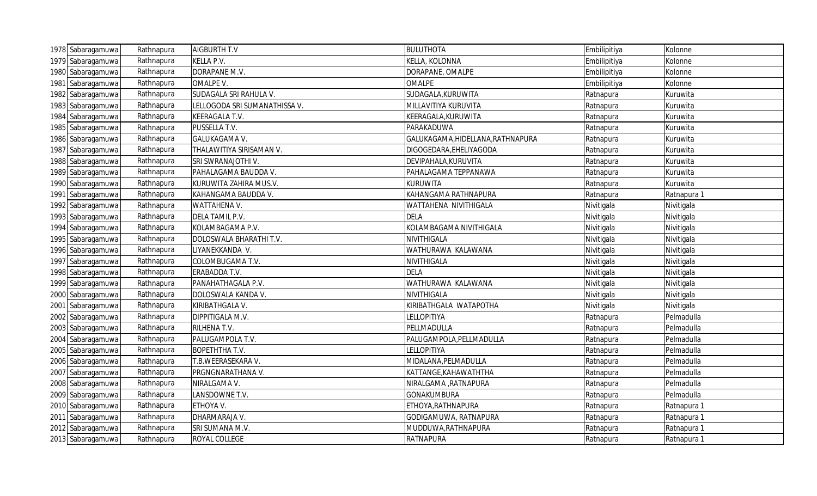| 1978 Sabaragamuwa | Rathnapura | <b>AIGBURTH T.V</b>           | <b>BULUTHOTA</b>                  | Embilipitiya | Kolonne     |
|-------------------|------------|-------------------------------|-----------------------------------|--------------|-------------|
| 1979 Sabaragamuwa | Rathnapura | KELLA P.V.                    | KELLA, KOLONNA                    | Embilipitiya | Kolonne     |
| 1980 Sabaragamuwa | Rathnapura | DORAPANE M.V.                 | DORAPANE, OMALPE                  | Embilipitiya | Kolonne     |
| 1981 Sabaragamuwa | Rathnapura | OMALPE V.                     | <b>OMALPE</b>                     | Embilipitiya | Kolonne     |
| 1982 Sabaragamuwa | Rathnapura | SUDAGALA SRI RAHULA V.        | SUDAGALA, KURUWITA                | Ratnapura    | Kuruwita    |
| 1983 Sabaragamuwa | Rathnapura | LELLOGODA SRI SUMANATHISSA V. | MILLAVITIYA KURUVITA              | Ratnapura    | Kuruwita    |
| 1984 Sabaragamuwa | Rathnapura | KEERAGALA T.V.                | KEERAGALA, KURUWITA               | Ratnapura    | Kuruwita    |
| 1985 Sabaragamuwa | Rathnapura | PUSSELLA T.V.                 | PARAKADUWA                        | Ratnapura    | Kuruwita    |
| 1986 Sabaragamuwa | Rathnapura | GALUKAGAMA V.                 | GALUKAGAMA, HIDELLANA, RATHNAPURA | Ratnapura    | Kuruwita    |
| 1987 Sabaragamuwa | Rathnapura | THALAWITIYA SIRISAMAN V.      | DIGOGEDARA, EHELIYAGODA           | Ratnapura    | Kuruwita    |
| 1988 Sabaragamuwa | Rathnapura | SRI SWRANAJOTHI V.            | DEVIPAHALA, KURUVITA              | Ratnapura    | Kuruwita    |
| 1989 Sabaragamuwa | Rathnapura | PAHALAGAMA BAUDDA V.          | PAHALAGAMA TEPPANAWA              | Ratnapura    | Kuruwita    |
| 1990 Sabaragamuwa | Rathnapura | KURUWITA ZAHIRA MUS.V.        | <b>KURUWITA</b>                   | Ratnapura    | Kuruwita    |
| 1991 Sabaragamuwa | Rathnapura | KAHANGAMA BAUDDA V.           | KAHANGAMA RATHNAPURA              | Ratnapura    | Ratnapura 1 |
| 1992 Sabaragamuwa | Rathnapura | WATTAHENA V.                  | WATTAHENA NIVITHIGALA             | Nivitigala   | Nivitigala  |
| 1993 Sabaragamuwa | Rathnapura | DELA TAMIL P.V.               | <b>DELA</b>                       | Nivitigala   | Nivitigala  |
| 1994 Sabaragamuwa | Rathnapura | KOLAMBAGAMA P.V.              | KOLAMBAGAMA NIVITHIGALA           | Nivitigala   | Nivitigala  |
| 1995 Sabaragamuwa | Rathnapura | DOLOSWALA BHARATHI T.V.       | NIVITHIGALA                       | Nivitigala   | Nivitigala  |
| 1996 Sabaragamuwa | Rathnapura | LIYANEKKANDA V.               | WATHURAWA KALAWANA                | Nivitigala   | Nivitigala  |
| 1997 Sabaragamuwa | Rathnapura | COLOMBUGAMA T.V.              | NIVITHIGALA                       | Nivitigala   | Nivitigala  |
| 1998 Sabaragamuwa | Rathnapura | ERABADDA T.V.                 | <b>DELA</b>                       | Nivitigala   | Nivitigala  |
| 1999 Sabaragamuwa | Rathnapura | PANAHATHAGALA P.V.            | WATHURAWA KALAWANA                | Nivitigala   | Nivitigala  |
| 2000 Sabaragamuwa | Rathnapura | DOLOSWALA KANDA V.            | NIVITHIGALA                       | Nivitigala   | Nivitigala  |
| 2001 Sabaragamuwa | Rathnapura | KIRIBATHGALA V.               | KIRIBATHGALA WATAPOTHA            | Nivitigala   | Nivitigala  |
| 2002 Sabaragamuwa | Rathnapura | DIPPITIGALA M.V.              | <b>LELLOPITIYA</b>                | Ratnapura    | Pelmadulla  |
| 2003 Sabaragamuwa | Rathnapura | RILHENA T.V.                  | PELLMADULLA                       | Ratnapura    | Pelmadulla  |
| 2004 Sabaragamuwa | Rathnapura | PALUGAMPOLA T.V.              | PALUGAMPOLA, PELLMADULLA          | Ratnapura    | Pelmadulla  |
| 2005 Sabaragamuwa | Rathnapura | <b>BOPETHTHA T.V.</b>         | LELLOPITIYA                       | Ratnapura    | Pelmadulla  |
| 2006 Sabaragamuwa | Rathnapura | T.B.WEERASEKARA V.            | MIDALANA, PELMADULLA              | Ratnapura    | Pelmadulla  |
| 2007 Sabaragamuwa | Rathnapura | PRGNGNARATHANA V.             | KATTANGE, KAHAWATHTHA             | Ratnapura    | Pelmadulla  |
| 2008 Sabaragamuwa | Rathnapura | NIRALGAMA V.                  | NIRALGAMA , RATNAPURA             | Ratnapura    | Pelmadulla  |
| 2009 Sabaragamuwa | Rathnapura | LANSDOWNE T.V.                | <b>GONAKUMBURA</b>                | Ratnapura    | Pelmadulla  |
| 2010 Sabaragamuwa | Rathnapura | ETHOYA V.                     | ETHOYA, RATHNAPURA                | Ratnapura    | Ratnapura 1 |
| 2011 Sabaragamuwa | Rathnapura | DHARMARAJA V.                 | GODIGAMUWA, RATNAPURA             | Ratnapura    | Ratnapura 1 |
| 2012 Sabaragamuwa | Rathnapura | SRI SUMANA M.V.               | MUDDUWA, RATHNAPURA               | Ratnapura    | Ratnapura 1 |
| 2013 Sabaragamuwa | Rathnapura | <b>ROYAL COLLEGE</b>          | <b>RATNAPURA</b>                  | Ratnapura    | Ratnapura 1 |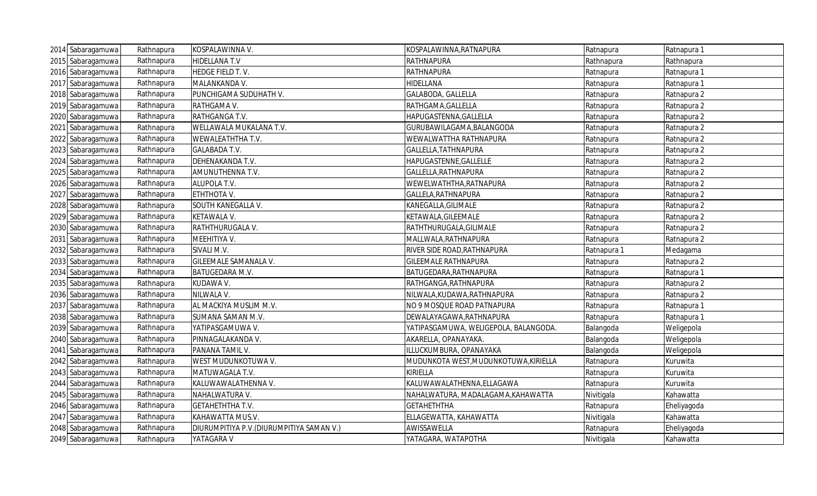| 2014 Sabaragamuwa | Rathnapura | KOSPALAWINNA V.                           | KOSPALAWINNA, RATNAPURA               | Ratnapura   | Ratnapura 1 |
|-------------------|------------|-------------------------------------------|---------------------------------------|-------------|-------------|
| 2015 Sabaragamuwa | Rathnapura | HIDELLANA T.V                             | <b>RATHNAPURA</b>                     | Rathnapura  | Rathnapura  |
| 2016 Sabaragamuwa | Rathnapura | HEDGE FIELD T.V.                          | RATHNAPURA                            | Ratnapura   | Ratnapura 1 |
| 2017 Sabaragamuwa | Rathnapura | MALANKANDA V.                             | HIDELLANA                             | Ratnapura   | Ratnapura 1 |
| 2018 Sabaragamuwa | Rathnapura | PUNCHIGAMA SUDUHATH V.                    | GALABODA, GALLELLA                    | Ratnapura   | Ratnapura 2 |
| 2019 Sabaragamuwa | Rathnapura | RATHGAMA V.                               | RATHGAMA, GALLELLA                    | Ratnapura   | Ratnapura 2 |
| 2020 Sabaragamuwa | Rathnapura | RATHGANGA T.V.                            | HAPUGASTENNA, GALLELLA                | Ratnapura   | Ratnapura 2 |
| 2021 Sabaragamuwa | Rathnapura | WELLAWALA MUKALANA T.V.                   | GURUBAWILAGAMA, BALANGODA             | Ratnapura   | Ratnapura 2 |
| 2022 Sabaragamuwa | Rathnapura | WEWALEATHTHA T.V.                         | WEWALWATTHA RATHNAPURA                | Ratnapura   | Ratnapura 2 |
| 2023 Sabaragamuwa | Rathnapura | <b>GALABADA T.V.</b>                      | GALLELLA, TATHNAPURA                  | Ratnapura   | Ratnapura 2 |
| 2024 Sabaragamuwa | Rathnapura | DEHENAKANDA T.V.                          | HAPUGASTENNE, GALLELLE                | Ratnapura   | Ratnapura 2 |
| 2025 Sabaragamuwa | Rathnapura | AMUNUTHENNA T.V.                          | GALLELLA, RATHNAPURA                  | Ratnapura   | Ratnapura 2 |
| 2026 Sabaragamuwa | Rathnapura | ALUPOLA T.V.                              | WEWELWATHTHA, RATNAPURA               | Ratnapura   | Ratnapura 2 |
| 2027 Sabaragamuwa | Rathnapura | ETHTHOTA V.                               | GALLELA, RATHNAPURA                   | Ratnapura   | Ratnapura 2 |
| 2028 Sabaragamuwa | Rathnapura | SOUTH KANEGALLA V.                        | KANEGALLA, GILIMALE                   | Ratnapura   | Ratnapura 2 |
| 2029 Sabaragamuwa | Rathnapura | KETAWALA V.                               | KETAWALA, GILEEMALE                   | Ratnapura   | Ratnapura 2 |
| 2030 Sabaragamuwa | Rathnapura | RATHTHURUGALA V.                          | RATHTHURUGALA, GILIMALE               | Ratnapura   | Ratnapura 2 |
| 2031 Sabaragamuwa | Rathnapura | MEEHITIYA V.                              | MALLWALA, RATHNAPURA                  | Ratnapura   | Ratnapura 2 |
| 2032 Sabaragamuwa | Rathnapura | SIVALI M.V.                               | RIVER SIDE ROAD, RATHNAPURA           | Ratnapura 1 | Medagama    |
| 2033 Sabaragamuwa | Rathnapura | GILEEMALE SAMANALA V.                     | <b>GILEEMALE RATHNAPURA</b>           | Ratnapura   | Ratnapura 2 |
| 2034 Sabaragamuwa | Rathnapura | BATUGEDARA M.V.                           | BATUGEDARA, RATHNAPURA                | Ratnapura   | Ratnapura 1 |
| 2035 Sabaragamuwa | Rathnapura | KUDAWA V.                                 | RATHGANGA, RATHNAPURA                 | Ratnapura   | Ratnapura 2 |
| 2036 Sabaragamuwa | Rathnapura | NILWALA V.                                | NILWALA, KUDAWA, RATHNAPURA           | Ratnapura   | Ratnapura 2 |
| 2037 Sabaragamuwa | Rathnapura | AL MACKIYA MUSLIM M.V.                    | NO 9 MOSQUE ROAD PATNAPURA            | Ratnapura   | Ratnapura 1 |
| 2038 Sabaragamuwa | Rathnapura | SUMANA SAMAN M.V.                         | DEWALAYAGAWA, RATHNAPURA              | Ratnapura   | Ratnapura 1 |
| 2039 Sabaragamuwa | Rathnapura | YATIPASGAMUWA V.                          | YATIPASGAMUWA, WELIGEPOLA, BALANGODA. | Balangoda   | Weligepola  |
| 2040 Sabaragamuwa | Rathnapura | PINNAGALAKANDA V.                         | AKARELLA, OPANAYAKA.                  | Balangoda   | Weligepola  |
| 2041 Sabaragamuwa | Rathnapura | PANANA TAMIL V.                           | ILLUCKUMBURA, OPANAYAKA               | Balangoda   | Weligepola  |
| 2042 Sabaragamuwa | Rathnapura | WEST MUDUNKOTUWA V.                       | MUDUNKOTA WEST, MUDUNKOTUWA, KIRIELLA | Ratnapura   | Kuruwita    |
| 2043 Sabaragamuwa | Rathnapura | MATUWAGALA T.V.                           | KIRIELLA                              | Ratnapura   | Kuruwita    |
| 2044 Sabaragamuwa | Rathnapura | KALUWAWALATHENNA V.                       | KALUWAWALATHENNA, ELLAGAWA            | Ratnapura   | Kuruwita    |
| 2045 Sabaragamuwa | Rathnapura | NAHALWATURA V.                            | NAHALWATURA, MADALAGAMA, KAHAWATTA    | Nivitigala  | Kahawatta   |
| 2046 Sabaragamuwa | Rathnapura | GETAHETHTHA T.V.                          | <b>GETAHETHTHA</b>                    | Ratnapura   | Eheliyagoda |
| 2047 Sabaragamuwa | Rathnapura | KAHAWATTA MUS.V.                          | ELLAGEWATTA, KAHAWATTA                | Nivitigala  | Kahawatta   |
| 2048 Sabaragamuwa | Rathnapura | DIURUMPITIYA P.V. (DIURUMPITIYA SAMAN V.) | AWISSAWELLA                           | Ratnapura   | Eheliyagoda |
| 2049 Sabaragamuwa | Rathnapura | YATAGARA V                                | YATAGARA, WATAPOTHA                   | Nivitigala  | Kahawatta   |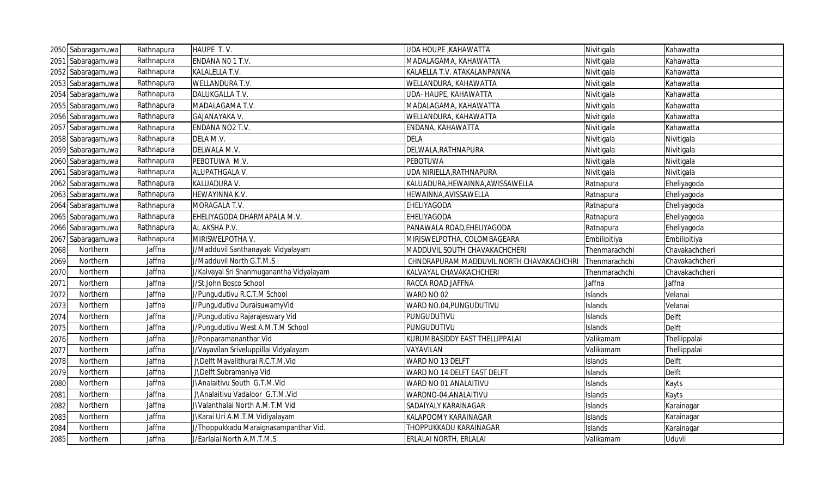|      | 2050 Sabaragamuwa | Rathnapura | HAUPE T.V.                                                          | UDA HOUPE, KAHAWATTA                     | Nivitigala    | Kahawatta      |
|------|-------------------|------------|---------------------------------------------------------------------|------------------------------------------|---------------|----------------|
|      | 2051 Sabaragamuwa | Rathnapura | ENDANA NO 1 T.V.                                                    | MADALAGAMA, KAHAWATTA                    | Nivitigala    | Kahawatta      |
|      | 2052 Sabaragamuwa | Rathnapura | KALALELLA T.V.                                                      | KALAELLA T.V. ATAKALANPANNA              | Nivitigala    | Kahawatta      |
|      | 2053 Sabaragamuwa | Rathnapura | WELLANDURA T.V.                                                     | WELLANDURA, KAHAWATTA                    | Nivitigala    | Kahawatta      |
|      | 2054 Sabaragamuwa | Rathnapura | DALUKGALLA T.V.                                                     | UDA- HAUPE, KAHAWATTA                    | Nivitigala    | Kahawatta      |
|      | 2055 Sabaragamuwa | Rathnapura | MADALAGAMA T.V.                                                     | MADALAGAMA, KAHAWATTA                    | Nivitigala    | Kahawatta      |
|      | 2056 Sabaragamuwa | Rathnapura | GAJANAYAKA V.                                                       | WELLANDURA, KAHAWATTA                    | Nivitigala    | Kahawatta      |
|      | 2057 Sabaragamuwa | Rathnapura | ENDANA NO2 T.V.                                                     | ENDANA, KAHAWATTA                        | Nivitigala    | Kahawatta      |
|      | 2058 Sabaragamuwa | Rathnapura | DELA M.V.                                                           | <b>DELA</b>                              | Nivitigala    | Nivitigala     |
|      | 2059 Sabaragamuwa | Rathnapura | DELWALA M.V.                                                        | DELWALA, RATHNAPURA                      | Nivitigala    | Nivitigala     |
|      | 2060 Sabaragamuwa | Rathnapura | PEBOTUWA M.V.                                                       | <b>PEBOTUWA</b>                          | Nivitigala    | Nivitigala     |
|      | 2061 Sabaragamuwa | Rathnapura | ALUPATHGALA V.                                                      | UDA NIRIELLA, RATHNAPURA                 | Nivitigala    | Nivitigala     |
|      | 2062 Sabaragamuwa | Rathnapura | KALUADURA V.                                                        | KALUADURA, HEWAINNA, AWISSAWELLA         | Ratnapura     | Eheliyagoda    |
|      | 2063 Sabaragamuwa | Rathnapura | HEWAYINNA K.V.                                                      | HEWAINNA, AVISSAWELLA                    | Ratnapura     | Eheliyagoda    |
|      | 2064 Sabaragamuwa | Rathnapura | MORAGALA T.V.                                                       | EHELIYAGODA                              | Ratnapura     | Eheliyagoda    |
|      | 2065 Sabaragamuwa | Rathnapura | EHELIYAGODA DHARMAPALA M.V.                                         | EHELIYAGODA                              | Ratnapura     | Eheliyagoda    |
|      | 2066 Sabaragamuwa | Rathnapura | AL AKSHA P.V.                                                       | PANAWALA ROAD, EHELIYAGODA               | Ratnapura     | Eheliyagoda    |
| 2067 | Sabaragamuwa      | Rathnapura | MIRISWELPOTHA V.                                                    | MIRISWELPOTHA, COLOMBAGEARA              | Embilipitiya  | Embilipitiya   |
| 2068 | Northern          | Jaffna     | J/Madduvil Santhanayaki Vidyalayam                                  | MADDUVIL SOUTH CHAVAKACHCHERI            | Thenmarachchi | Chavakachcheri |
| 2069 | Northern          | Jaffna     | J/Madduvil North G.T.M.S                                            | CHNDRAPURAM MADDUVIL NORTH CHAVAKACHCHRI | Thenmarachchi | Chavakachcheri |
| 2070 | Northern          | Jaffna     | J/Kalvayal Sri Shanmuganantha Vidyalayam                            | KALVAYAL CHAVAKACHCHERI                  | Thenmarachchi | Chavakachcheri |
| 2071 | Northern          | Jaffna     | J/St.John Bosco School                                              | RACCA ROAD, JAFFNA                       | Jaffna        | Jaffna         |
| 2072 | Northern          | Jaffna     | J/Pungudutivu R.C.T.M School                                        | WARD NO 02                               | Islands       | Velanai        |
| 2073 | Northern          | Jaffna     | J/Pungudutivu DuraisuwamyVid                                        | WARD NO.04, PUNGUDUTIVU                  | Islands       | Velanai        |
| 2074 | Northern          | Jaffna     | J/Pungudutivu Rajarajeswary Vid                                     | PUNGUDUTIVU                              | Islands       | <b>Delft</b>   |
| 2075 | Northern          | Jaffna     | J/Pungudutivu West A.M.T.M School                                   | PUNGUDUTIVU                              | Islands       | <b>Delft</b>   |
| 2076 | Northern          | Jaffna     | J/Ponparamananthar Vid                                              | KURUMBASIDDY EAST THELLIPPALAI           | Valikamam     | Thellippalai   |
| 2077 | Northern          | Jaffna     | J/Vayavilan Sriveluppillai Vidyalayam                               | VAYAVILAN                                | Valikamam     | Thellippalai   |
| 2078 | Northern          | Jaffna     | J\Delft Mavalithurai R.C.T.M.Vid                                    | WARD NO 13 DELFT                         | Islands       | <b>Delft</b>   |
| 2079 | Northern          | Jaffna     | J\Delft Subramaniya Vid                                             | WARD NO 14 DELFT EAST DELFT              | Islands       | <b>Delft</b>   |
| 2080 | Northern          | Jaffna     | J\Analaitivu South G.T.M.Vid                                        | WARD NO 01 ANALAITIVU                    | Islands       | Kayts          |
| 2081 | Northern          | Jaffna     | J\Analaitivu Vadaloor G.T.M.Vid                                     | WARDNO-04, ANALAITIVU                    | Islands       | Kayts          |
| 2082 | Northern          | Jaffna     | J\Valanthalai North A.M.T.M Vid                                     | SADAIYALY KARAINAGAR                     | Islands       | Karainagar     |
| 2083 | Northern          | Jaffna     | J\Karai Uri A.M.T.M Vidiyalayam                                     | KALAPOOMY KARAINAGAR                     | Islands       | Karainagar     |
|      |                   |            |                                                                     |                                          |               |                |
| 2084 | Northern          | Jaffna     | J/Thoppukkadu Maraignasampanthar Vid.<br>J/Earlalai North A.M.T.M.S | THOPPUKKADU KARAINAGAR                   | Islands       | Karainagar     |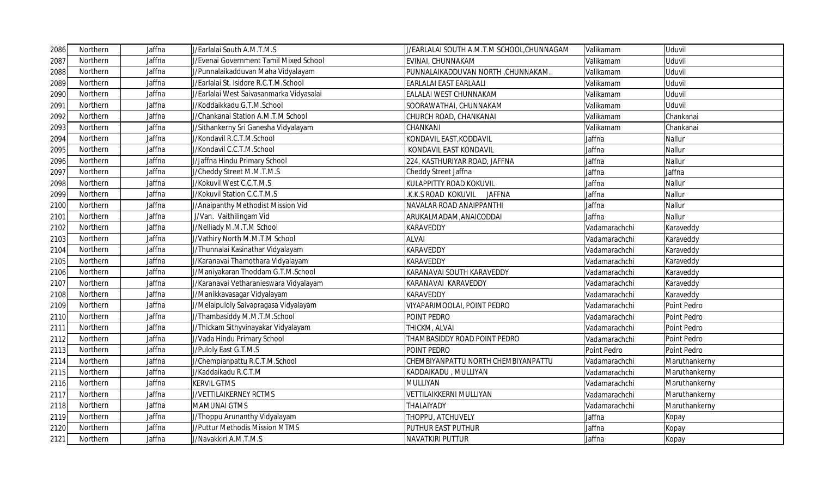| 2086 | Northern | Jaffna | J/Earlalai South A.M.T.M.S               | J/EARLALAI SOUTH A.M.T.M SCHOOL, CHUNNAGAM | Valikamam     | Uduvil        |
|------|----------|--------|------------------------------------------|--------------------------------------------|---------------|---------------|
| 2087 | Northern | Jaffna | J/Evenai Government Tamil Mixed School   | EVINAI, CHUNNAKAM                          | Valikamam     | Uduvil        |
| 2088 | Northern | Jaffna | J/Punnalaikadduvan Maha Vidyalayam       | PUNNALAIKADDUVAN NORTH, CHUNNAKAM.         | Valikamam     | Uduvil        |
| 2089 | Northern | Jaffna | J/Earlalai St. Isidore R.C.T.M.School    | EARLALAI EAST EARLAALI                     | Valikamam     | Uduvil        |
| 2090 | Northern | Jaffna | J/Earlalai West Saivasanmarka Vidyasalai | EALALAI WEST CHUNNAKAM                     | Valikamam     | Uduvil        |
| 2091 | Northern | Jaffna | J/Koddaikkadu G.T.M.School               | SOORAWATHAI, CHUNNAKAM                     | Valikamam     | Uduvil        |
| 2092 | Northern | Jaffna | J/Chankanai Station A.M.T.M School       | CHURCH ROAD, CHANKANAI                     | Valikamam     | Chankanai     |
| 2093 | Northern | Jaffna | J/Sithankerny Sri Ganesha Vidyalayam     | CHANKANI                                   | Valikamam     | Chankanai     |
| 2094 | Northern | Jaffna | J/Kondavil R.C.T.M.School                | KONDAVIL EAST, KODDAVIL                    | Jaffna        | Nallur        |
| 2095 | Northern | Jaffna | J/Kondavil C.C.T.M.School                | KONDAVIL EAST KONDAVIL                     | Jaffna        | Nallur        |
| 2096 | Northern | Jaffna | J/Jaffna Hindu Primary School            | 224, KASTHURIYAR ROAD, JAFFNA              | Jaffna        | Nallur        |
| 2097 | Northern | Jaffna | J/Cheddy Street M.M.T.M.S                | Cheddy Street Jaffna                       | Jaffna        | Jaffna        |
| 2098 | Northern | Jaffna | J/Kokuvil West C.C.T.M.S                 | KULAPPITTY ROAD KOKUVIL                    | Jaffna        | Nallur        |
| 2099 | Northern | Jaffna | J/Kokuvil Station C.C.T.M.S              | K.K.S ROAD KOKUVIL<br><b>JAFFNA</b>        | Jaffna        | Nallur        |
| 2100 | Northern | Jaffna | J/Anaipanthy Methodist Mission Vid       | NAVALAR ROAD ANAIPPANTHI                   | Jaffna        | Nallur        |
| 2101 | Northern | Jaffna | J/Van. Vaithilingam Vid                  | ARUKALMADAM, ANAICODDAI                    | Jaffna        | Nallur        |
| 2102 | Northern | Jaffna | J/Nelliady M.M.T.M School                | KARAVEDDY                                  | Vadamarachchi | Karaveddy     |
| 2103 | Northern | Jaffna | J/Vathiry North M.M.T.M School           | <b>ALVAI</b>                               | Vadamarachchi | Karaveddy     |
| 2104 | Northern | Jaffna | J/Thunnalai Kasinathar Vidyalayam        | <b>KARAVEDDY</b>                           | Vadamarachchi | Karaveddy     |
| 2105 | Northern | Jaffna | J/Karanavai Thamothara Vidyalayam        | <b>KARAVEDDY</b>                           | Vadamarachchi | Karaveddy     |
| 2106 | Northern | Jaffna | J/Maniyakaran Thoddam G.T.M.School       | KARANAVAI SOUTH KARAVEDDY                  | Vadamarachchi | Karaveddy     |
| 2107 | Northern | Jaffna | J/Karanavai Vetharanieswara Vidyalayam   | KARANAVAI KARAVEDDY                        | Vadamarachchi | Karaveddy     |
| 2108 | Northern | Jaffna | J/Manikkavasagar Vidyalayam              | <b>KARAVEDDY</b>                           | Vadamarachchi | Karaveddy     |
| 2109 | Northern | Jaffna | J/Melaipuloly Saivapragasa Vidyalayam    | <b>VIYAPARIMOOLAI, POINT PEDRO</b>         | Vadamarachchi | Point Pedro   |
| 2110 | Northern | Jaffna | J/Thambasiddy M.M.T.M.School             | POINT PEDRO                                | Vadamarachchi | Point Pedro   |
| 2111 | Northern | Jaffna | J/Thickam Sithyvinayakar Vidyalayam      | THICKM, ALVAI                              | Vadamarachchi | Point Pedro   |
| 2112 | Northern | Jaffna | J/Vada Hindu Primary School              | THAMBASIDDY ROAD POINT PEDRO               | Vadamarachchi | Point Pedro   |
| 2113 | Northern | Jaffna | J/Puloly East G.T.M.S                    | POINT PEDRO                                | Point Pedro   | Point Pedro   |
| 2114 | Northern | Jaffna | J/Chempianpattu R.C.T.M.School           | CHEMBIYANPATTU NORTH CHEMBIYANPATTU        | Vadamarachchi | Maruthankerny |
| 2115 | Northern | Jaffna | J/Kaddaikadu R.C.T.M                     | KADDAIKADU, MULLIYAN                       | Vadamarachchi | Maruthankerny |
| 2116 | Northern | Jaffna | <b>KERVIL GTMS</b>                       | MULLIYAN                                   | Vadamarachchi | Maruthankerny |
| 2117 | Northern | Jaffna | J/VETTILAIKERNEY RCTMS                   | VETTILAIKKERNI MULLIYAN                    | Vadamarachchi | Maruthankerny |
| 2118 | Northern | Jaffna | <b>MAMUNAI GTMS</b>                      | THALAIYADY                                 | Vadamarachchi | Maruthankerny |
| 2119 | Northern | Jaffna | J/Thoppu Arunanthy Vidyalayam            | THOPPU, ATCHUVELY                          | Jaffna        | Kopay         |
| 2120 | Northern | Jaffna | J/Puttur Methodis Mission MTMS           | PUTHUR EAST PUTHUR                         | Jaffna        | Kopay         |
| 2121 | Northern | Jaffna | J/Navakkiri A.M.T.M.S                    | <b>NAVATKIRI PUTTUR</b>                    | Jaffna        | Kopay         |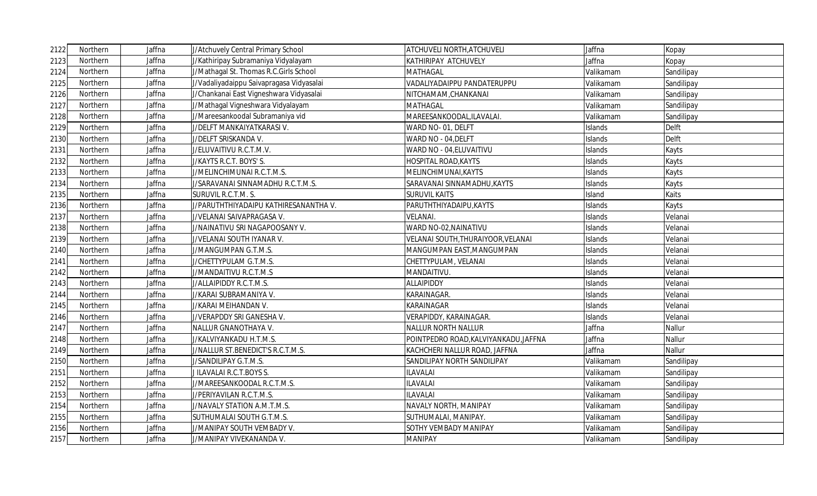| 2122 | Northern | Jaffna | J/Atchuvely Central Primary School       | <b>ATCHUVELI NORTH, ATCHUVELI</b>     | Jaffna    | Kopay      |
|------|----------|--------|------------------------------------------|---------------------------------------|-----------|------------|
| 2123 | Northern | Jaffna | J/Kathiripay Subramaniya Vidyalayam      | KATHIRIPAY ATCHUVELY                  | Jaffna    | Kopay      |
| 2124 | Northern | Jaffna | J/Mathagal St. Thomas R.C.Girls School   | <b>MATHAGAL</b>                       | Valikamam | Sandilipay |
| 2125 | Northern | Jaffna | J/Vadaliyadaippu Saivapragasa Vidyasalai | VADALIYADAIPPU PANDATERUPPU           | Valikamam | Sandilipay |
| 2126 | Northern | Jaffna | J/Chankanai East Vigneshwara Vidyasalai  | NITCHAMAM, CHANKANAI                  | Valikamam | Sandilipay |
| 2127 | Northern | Jaffna | J/Mathagal Vigneshwara Vidyalayam        | <b>MATHAGAL</b>                       | Valikamam | Sandilipay |
| 2128 | Northern | Jaffna | J/Mareesankoodal Subramaniya vid         | MAREESANKOODAL,ILAVALAI.              | Valikamam | Sandilipay |
| 2129 | Northern | Jaffna | J/DELFT MANKAIYATKARASI V.               | WARD NO- 01, DELFT                    | Islands   | Delft      |
| 2130 | Northern | Jaffna | J/DELFT SRISKANDA V.                     | WARD NO - 04, DELFT                   | Islands   | Delft      |
| 2131 | Northern | Jaffna | J/ELUVAITIVU R.C.T.M.V.                  | WARD NO - 04, ELUVAITIVU              | Islands   | Kayts      |
| 2132 | Northern | Jaffna | J/KAYTS R.C.T. BOYS' S.                  | <b>HOSPITAL ROAD, KAYTS</b>           | Islands   | Kayts      |
| 2133 | Northern | Jaffna | J/MELINCHIMUNAI R.C.T.M.S.               | MELINCHIMUNAI, KAYTS                  | Islands   | Kayts      |
| 2134 | Northern | Jaffna | J/SARAVANAI SINNAMADHU R.C.T.M.S.        | SARAVANAI SINNAMADHU, KAYTS           | Islands   | Kayts      |
| 2135 | Northern | Jaffna | SURUVIL R.C.T.M. S.                      | <b>SURUVIL KAITS</b>                  | Island    | Kaits      |
| 2136 | Northern | Jaffna | J/PARUTHTHIYADAIPU KATHIRESANANTHA V.    | PARUTHTHIYADAIPU, KAYTS               | Islands   | Kayts      |
| 2137 | Northern | Jaffna | J/VELANAI SAIVAPRAGASA V.                | <b>VELANAI</b> .                      | Islands   | Velanai    |
| 2138 | Northern | Jaffna | J/NAINATIVU SRI NAGAPOOSANY V.           | WARD NO-02, NAINATIVU                 | Islands   | Velanai    |
| 2139 | Northern | Jaffna | J/VELANAI SOUTH IYANAR V.                | VELANAI SOUTH, THURAIYOOR, VELANAI    | Islands   | Velanai    |
| 2140 | Northern | Jaffna | J/MANGUMPAN G.T.M.S.                     | MANGUMPAN EAST, MANGUMPAN             | Islands   | Velanai    |
| 2141 | Northern | Jaffna | J/CHETTYPULAM G.T.M.S.                   | CHETTYPULAM, VELANAI                  | Islands   | Velanai    |
| 2142 | Northern | Jaffna | J/MANDAITIVU R.C.T.M.S                   | MANDAITIVU.                           | Islands   | Velanai    |
| 2143 | Northern | Jaffna | J/ALLAIPIDDY R.C.T.M.S.                  | ALLAIPIDDY                            | Islands   | Velanai    |
| 2144 | Northern | Jaffna | J/KARAI SUBRAMANIYA V.                   | KARAINAGAR.                           | Islands   | Velanai    |
| 2145 | Northern | Jaffna | J/KARAI MEIHANDAN V.                     | KARAINAGAR                            | Islands   | Velanai    |
| 2146 | Northern | Jaffna | J/VERAPDDY SRI GANESHA V.                | VERAPIDDY, KARAINAGAR.                | Islands   | Velanai    |
| 2147 | Northern | Jaffna | NALLUR GNANOTHAYA V.                     | <b>NALLUR NORTH NALLUR</b>            | Jaffna    | Nallur     |
| 2148 | Northern | Jaffna | J/KALVIYANKADU H.T.M.S.                  | POINTPEDRO ROAD, KALVIYANKADU, JAFFNA | Jaffna    | Nallur     |
| 2149 | Northern | Jaffna | J/NALLUR ST.BENEDICT'S R.C.T.M.S.        | KACHCHERI NALLUR ROAD, JAFFNA         | Jaffna    | Nallur     |
| 2150 | Northern | Jaffna | J/SANDILIPAY G.T.M.S.                    | SANDILIPAY NORTH SANDILIPAY           | Valikamam | Sandilipay |
| 2151 | Northern | Jaffna | J ILAVALAI R.C.T.BOYS S.                 | <b>ILAVALAI</b>                       | Valikamam | Sandilipay |
| 2152 | Northern | Jaffna | J/MAREESANKOODAL R.C.T.M.S.              | <b>ILAVALAI</b>                       | Valikamam | Sandilipay |
| 2153 | Northern | Jaffna | J/PERIYAVILAN R.C.T.M.S.                 | ILAVALAI                              | Valikamam | Sandilipay |
| 2154 | Northern | Jaffna | J/NAVALY STATION A.M.T.M.S.              | NAVALY NORTH, MANIPAY                 | Valikamam | Sandilipay |
| 2155 | Northern | Jaffna | SUTHUMALAI SOUTH G.T.M.S.                | SUTHUMALAI, MANIPAY.                  | Valikamam | Sandilipay |
| 2156 | Northern | Jaffna | J/MANIPAY SOUTH VEMBADY V.               | SOTHY VEMBADY MANIPAY                 | Valikamam | Sandilipay |
| 2157 | Northern | Jaffna | J/MANIPAY VIVEKANANDA V.                 | <b>MANIPAY</b>                        | Valikamam | Sandilipay |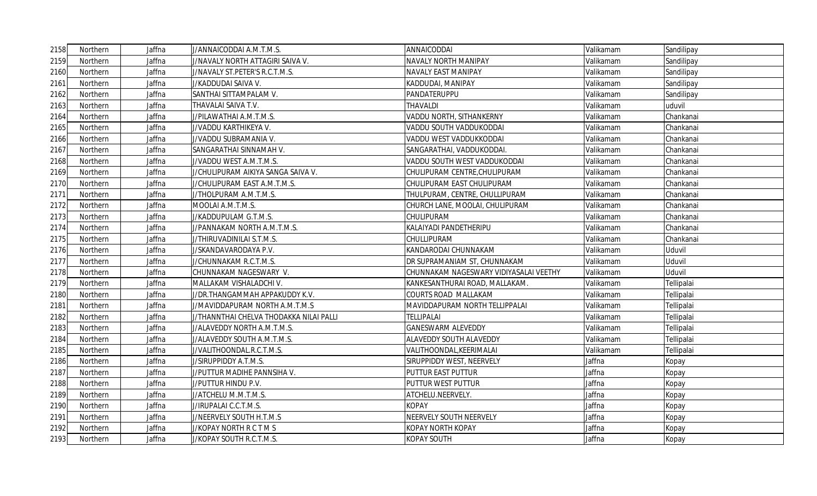| 2158 | Northern | Jaffna | J/ANNAICODDAI A.M.T.M.S.                | ANNAICODDAI                            | Valikamam | Sandilipay |
|------|----------|--------|-----------------------------------------|----------------------------------------|-----------|------------|
| 2159 | Northern | Jaffna | J/NAVALY NORTH ATTAGIRI SAIVA V.        | NAVALY NORTH MANIPAY                   | Valikamam | Sandilipay |
| 2160 | Northern | Jaffna | J/NAVALY ST.PETER'S R.C.T.M.S.          | NAVALY EAST MANIPAY                    | Valikamam | Sandilipay |
| 2161 | Northern | Jaffna | J/KADDUDAI SAIVA V.                     | KADDUDAI, MANIPAY                      | Valikamam | Sandilipay |
| 2162 | Northern | Jaffna | SANTHAI SITTAMPALAM V.                  | PANDATERUPPU                           | Valikamam | Sandilipay |
| 2163 | Northern | Jaffna | THAVALAI SAIVA T.V.                     | <b>THAVALDI</b>                        | Valikamam | uduvil     |
| 2164 | Northern | Jaffna | J/PILAWATHAI A.M.T.M.S.                 | VADDU NORTH, SITHANKERNY               | Valikamam | Chankanai  |
| 2165 | Northern | Jaffna | J/VADDU KARTHIKEYA V.                   | VADDU SOUTH VADDUKODDAI                | Valikamam | Chankanai  |
| 2166 | Northern | Jaffna | J/VADDU SUBRAMANIA V.                   | VADDU WEST VADDUKKODDAI                | Valikamam | Chankanai  |
| 2167 | Northern | Jaffna | SANGARATHAI SINNAMAH V.                 | SANGARATHAI, VADDUKODDAI.              | Valikamam | Chankanai  |
| 2168 | Northern | Jaffna | J/VADDU WEST A.M.T.M.S.                 | VADDU SOUTH WEST VADDUKODDAI           | Valikamam | Chankanai  |
| 2169 | Northern | Jaffna | J/CHULIPURAM AIKIYA SANGA SAIVA V.      | CHULIPURAM CENTRE, CHULIPURAM          | Valikamam | Chankanai  |
| 2170 | Northern | Jaffna | J/CHULIPURAM EAST A.M.T.M.S.            | CHULIPURAM EAST CHULIPURAM             | Valikamam | Chankanai  |
| 2171 | Northern | Jaffna | J/THOLPURAM A.M.T.M.S.                  | THULPURAM, CENTRE, CHULLIPURAM         | Valikamam | Chankanai  |
| 2172 | Northern | Jaffna | MOOLAI A.M.T.M.S.                       | CHURCH LANE, MOOLAI, CHULIPURAM        | Valikamam | Chankanai  |
| 2173 | Northern | Jaffna | J/KADDUPULAM G.T.M.S.                   | CHULIPURAM                             | Valikamam | Chankanai  |
| 2174 | Northern | Jaffna | J/PANNAKAM NORTH A.M.T.M.S.             | KALAIYADI PANDETHERIPU                 | Valikamam | Chankanai  |
| 2175 | Northern | Jaffna | J/THIRUVADINILAI S.T.M.S.               | CHULLIPURAM                            | Valikamam | Chankanai  |
| 2176 | Northern | Jaffna | J/SKANDAVARODAYA P.V.                   | KANDARODAI CHUNNAKAM                   | Valikamam | Uduvil     |
| 2177 | Northern | Jaffna | J/CHUNNAKAM R.C.T.M.S.                  | DR SUPRAMANIAM ST, CHUNNAKAM           | Valikamam | Uduvil     |
| 2178 | Northern | Jaffna | CHUNNAKAM NAGESWARY V.                  | CHUNNAKAM NAGESWARY VIDIYASALAI VEETHY | Valikamam | Uduvil     |
| 2179 | Northern | Jaffna | MALLAKAM VISHALADCHI V.                 | KANKESANTHURAI ROAD, MALLAKAM.         | Valikamam | Tellipalai |
| 2180 | Northern | Jaffna | J/DR.THANGAMMAH APPAKUDDY K.V.          | COURTS ROAD MALLAKAM                   | Valikamam | Tellipalai |
| 2181 | Northern | Jaffna | J/MAVIDDAPURAM NORTH A.M.T.M.S          | MAVIDDAPURAM NORTH TELLIPPALAI         | Valikamam | Tellipalai |
| 2182 | Northern | Jaffna | J/THANNTHAI CHELVA THODAKKA NILAI PALLI | <b>TELLIPALAI</b>                      | Valikamam | Tellipalai |
| 2183 | Northern | Jaffna | J/ALAVEDDY NORTH A.M.T.M.S.             | <b>GANESWARM ALEVEDDY</b>              | Valikamam | Tellipalai |
| 2184 | Northern | Jaffna | J/ALAVEDDY SOUTH A.M.T.M.S.             | ALAVEDDY SOUTH ALAVEDDY                | Valikamam | Tellipalai |
| 2185 | Northern | Jaffna | J/VALITHOONDAL.R.C.T.M.S.               | VALITHOONDAL, KEERIMALAI               | Valikamam | Tellipalai |
| 2186 | Northern | Jaffna | J/SIRUPPIDDY A.T.M.S.                   | SIRUPPIDDY WEST, NEERVELY              | Jaffna    | Kopay      |
| 2187 | Northern | Jaffna | J/PUTTUR MADIHE PANNSIHA V.             | PUTTUR EAST PUTTUR                     | Jaffna    | Kopay      |
| 2188 | Northern | Jaffna | J/PUTTUR HINDU P.V.                     | PUTTUR WEST PUTTUR                     | Jaffna    | Kopay      |
| 2189 | Northern | Jaffna | J/ATCHELU M.M.T.M.S.                    | ATCHELU.NEERVELY.                      | Jaffna    | Kopay      |
| 2190 | Northern | Jaffna | J/IRUPALAI C.C.T.M.S.                   | <b>KOPAY</b>                           | Jaffna    | Kopay      |
| 2191 | Northern | Jaffna | J/NEERVELY SOUTH H.T.M.S                | NEERVELY SOUTH NEERVELY                | Jaffna    | Kopay      |
| 2192 | Northern | Jaffna | J/KOPAY NORTH R C T M S                 | KOPAY NORTH KOPAY                      | Jaffna    | Kopay      |
| 2193 | Northern | Jaffna | J/KOPAY SOUTH R.C.T.M.S.                | <b>KOPAY SOUTH</b>                     | Jaffna    | Kopay      |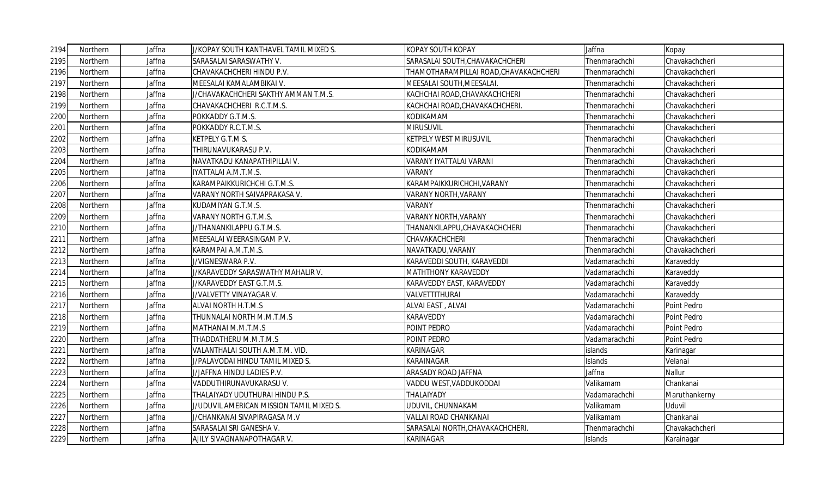| 2194 | Northern | Jaffna | J/KOPAY SOUTH KANTHAVEL TAMIL MIXED S.   | <b>KOPAY SOUTH KOPAY</b>               | Jaffna        | Kopay          |
|------|----------|--------|------------------------------------------|----------------------------------------|---------------|----------------|
| 2195 | Northern | Jaffna | SARASALAI SARASWATHY V.                  | SARASALAI SOUTH, CHAVAKACHCHERI        | Thenmarachchi | Chavakachcheri |
| 2196 | Northern | Jaffna | CHAVAKACHCHERI HINDU P.V.                | THAMOTHARAMPILLAI ROAD, CHAVAKACHCHERI | Thenmarachchi | Chavakachcheri |
| 2197 | Northern | Jaffna | MEESALAI KAMALAMBIKAI V.                 | MEESALAI SOUTH, MEESALAI.              | Thenmarachchi | Chavakachcheri |
| 2198 | Northern | Jaffna | J/CHAVAKACHCHERI SAKTHY AMMAN T.M.S.     | KACHCHAI ROAD, CHAVAKACHCHERI          | Thenmarachchi | Chavakachcheri |
| 2199 | Northern | Jaffna | CHAVAKACHCHERI R.C.T.M.S.                | KACHCHAI ROAD, CHAVAKACHCHERI.         | Thenmarachchi | Chavakachcheri |
| 2200 | Northern | Jaffna | POKKADDY G.T.M.S.                        | KODIKAMAM                              | Thenmarachchi | Chavakachcheri |
| 2201 | Northern | Jaffna | POKKADDY R.C.T.M.S.                      | <b>MIRUSUVIL</b>                       | Thenmarachchi | Chavakachcheri |
| 2202 | Northern | Jaffna | KETPELY G.T.M S.                         | <b>KETPELY WEST MIRUSUVIL</b>          | Thenmarachchi | Chavakachcheri |
| 2203 | Northern | Jaffna | THIRUNAVUKARASU P.V.                     | KODIKAMAM                              | Thenmarachchi | Chavakachcheri |
| 2204 | Northern | Jaffna | NAVATKADU KANAPATHIPILLAI V.             | VARANY IYATTALAI VARANI                | Thenmarachchi | Chavakachcheri |
| 2205 | Northern | Jaffna | IYATTALAI A.M.T.M.S.                     | <b>VARANY</b>                          | Thenmarachchi | Chavakachcheri |
| 2206 | Northern | Jaffna | KARAMPAIKKURICHCHI G.T.M.S.              | KARAMPAIKKURICHCHI, VARANY             | Thenmarachchi | Chavakachcheri |
| 2207 | Northern | Jaffna | VARANY NORTH SAIVAPRAKASA V.             | <b>VARANY NORTH, VARANY</b>            | Thenmarachchi | Chavakachcheri |
| 2208 | Northern | Jaffna | KUDAMIYAN G.T.M.S.                       | <b>VARANY</b>                          | Thenmarachchi | Chavakachcheri |
| 2209 | Northern | Jaffna | VARANY NORTH G.T.M.S.                    | <b>VARANY NORTH, VARANY</b>            | Thenmarachchi | Chavakachcheri |
| 2210 | Northern | Jaffna | J/THANANKILAPPU G.T.M.S.                 | THANANKILAPPU,CHAVAKACHCHERI           | Thenmarachchi | Chavakachcheri |
| 2211 | Northern | Jaffna | MEESALAI WEERASINGAM P.V.                | CHAVAKACHCHERI                         | Thenmarachchi | Chavakachcheri |
| 2212 | Northern | Jaffna | KARAMPAI A.M.T.M.S.                      | NAVATKADU, VARANY                      | Thenmarachchi | Chavakachcheri |
| 2213 | Northern | Jaffna | J/VIGNESWARA P.V.                        | KARAVEDDI SOUTH, KARAVEDDI             | Vadamarachchi | Karaveddy      |
| 2214 | Northern | Jaffna | J/KARAVEDDY SARASWATHY MAHALIR V.        | <b>MATHTHONY KARAVEDDY</b>             | Vadamarachchi | Karaveddy      |
| 2215 | Northern | Jaffna | J/KARAVEDDY EAST G.T.M.S.                | KARAVEDDY EAST, KARAVEDDY              | Vadamarachchi | Karaveddy      |
| 2216 | Northern | Jaffna | J/VALVETTY VINAYAGAR V.                  | VALVETTITHURAI                         | Vadamarachchi | Karaveddy      |
| 2217 | Northern | Jaffna | ALVAI NORTH H.T.M.S                      | ALVAI EAST, ALVAI                      | Vadamarachchi | Point Pedro    |
| 2218 | Northern | Jaffna | THUNNALAI NORTH M.M.T.M.S                | <b>KARAVEDDY</b>                       | Vadamarachchi | Point Pedro    |
| 2219 | Northern | Jaffna | MATHANAI M.M.T.M.S                       | POINT PEDRO                            | Vadamarachchi | Point Pedro    |
| 2220 | Northern | Jaffna | THADDATHERU M.M.T.M.S                    | POINT PEDRO                            | Vadamarachchi | Point Pedro    |
| 2221 | Northern | Jaffna | VALANTHALAI SOUTH A.M.T.M. VID.          | KARINAGAR                              | islands       | Karinagar      |
| 2222 | Northern | Jaffna | J/PALAVODAI HINDU TAMIL MIXED S.         | KARAINAGAR                             | Islands       | Velanai        |
| 2223 | Northern | Jaffna | J/JAFFNA HINDU LADIES P.V.               | <b>ARASADY ROAD JAFFNA</b>             | Jaffna        | Nallur         |
| 2224 | Northern | Jaffna | VADDUTHIRUNAVUKARASU V.                  | VADDU WEST, VADDUKODDAI                | Valikamam     | Chankanai      |
| 2225 | Northern | Jaffna | THALAIYADY UDUTHURAI HINDU P.S.          | THALAIYADY                             | Vadamarachchi | Maruthankerny  |
| 2226 | Northern | Jaffna | J/UDUVIL AMERICAN MISSION TAMIL MIXED S. | UDUVIL, CHUNNAKAM                      | Valikamam     | Uduvil         |
| 2227 | Northern | Jaffna | J/CHANKANAI SIVAPIRAGASA M.V             | VALLAI ROAD CHANKANAI                  | Valikamam     | Chankanai      |
| 2228 | Northern | Jaffna | SARASALAI SRI GANESHA V.                 | SARASALAI NORTH, CHAVAKACHCHERI        | Thenmarachchi | Chavakachcheri |
| 2229 | Northern | Jaffna | AJILY SIVAGNANAPOTHAGAR V.               | <b>KARINAGAR</b>                       | Islands       | Karainagar     |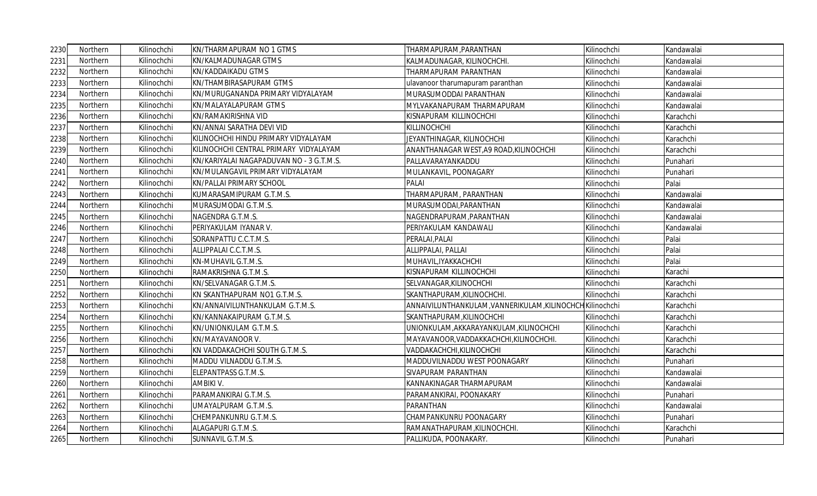| 2230 | Northern | Kilinochchi | KN/THARMAPURAM NO 1 GTMS                 | THARMAPURAM, PARANTHAN                                    | Kilinochchi | Kandawalai |
|------|----------|-------------|------------------------------------------|-----------------------------------------------------------|-------------|------------|
| 2231 | Northern | Kilinochchi | KN/KALMADUNAGAR GTMS                     | KALMADUNAGAR, KILINOCHCHI.                                | Kilinochchi | Kandawalai |
| 2232 | Northern | Kilinochchi | KN/KADDAIKADU GTMS                       | THARMAPURAM PARANTHAN                                     | Kilinochchi | Kandawalai |
| 2233 | Northern | Kilinochchi | KN/THAMBIRASAPURAM GTMS                  | ulavanoor tharumapuram paranthan                          | Kilinochchi | Kandawalai |
| 2234 | Northern | Kilinochchi | KN/MURUGANANDA PRIMARY VIDYALAYAM        | MURASUMODDAI PARANTHAN                                    | Kilinochchi | Kandawalai |
| 2235 | Northern | Kilinochchi | KN/MALAYALAPURAM GTMS                    | MYLVAKANAPURAM THARMAPURAM                                | Kilinochchi | Kandawalai |
| 2236 | Northern | Kilinochchi | KN/RAMAKIRISHNA VID                      | KISNAPURAM KILLINOCHCHI                                   | Kilinochchi | Karachchi  |
| 2237 | Northern | Kilinochchi | KN/ANNAI SARATHA DEVI VID                | KILLINOCHCHI                                              | Kilinochchi | Karachchi  |
| 2238 | Northern | Kilinochchi | KILINOCHCHI HINDU PRIMARY VIDYALAYAM     | JEYANTHINAGAR, KILINOCHCHI                                | Kilinochchi | Karachchi  |
| 2239 | Northern | Kilinochchi | KILINOCHCHI CENTRAL PRIMARY VIDYALAYAM   | ANANTHANAGAR WEST, A9 ROAD, KILINOCHCHI                   | Kilinochchi | Karachchi  |
| 2240 | Northern | Kilinochchi | KN/KARIYALAI NAGAPADUVAN NO - 3 G.T.M.S. | PALLAVARAYANKADDU                                         | Kilinochchi | Punahari   |
| 2241 | Northern | Kilinochchi | KN/MULANGAVIL PRIMARY VIDYALAYAM         | MULANKAVIL, POONAGARY                                     | Kilinochchi | Punahari   |
| 2242 | Northern | Kilinochchi | KN/PALLAI PRIMARY SCHOOL                 | <b>PALAI</b>                                              | Kilinochchi | Palai      |
| 2243 | Northern | Kilinochchi | KUMARASAMIPURAM G.T.M.S.                 | THARMAPURAM, PARANTHAN                                    | Kilinochchi | Kandawalai |
| 2244 | Northern | Kilinochchi | MURASUMODAI G.T.M.S.                     | MURASUMODAI, PARANTHAN                                    | Kilinochchi | Kandawalai |
| 2245 | Northern | Kilinochchi | NAGENDRA G.T.M.S.                        | NAGENDRAPURAM,PARANTHAN                                   | Kilinochchi | Kandawalai |
| 2246 | Northern | Kilinochchi | PERIYAKULAM IYANAR V.                    | PERIYAKULAM KANDAWALI                                     | Kilinochchi | Kandawalai |
| 2247 | Northern | Kilinochchi | SORANPATTU C.C.T.M.S.                    | PERALAI, PALAI                                            | Kilinochchi | Palai      |
| 2248 | Northern | Kilinochchi | ALLIPPALAI C.C.T.M.S.                    | ALLIPPALAI, PALLAI                                        | Kilinochchi | Palai      |
| 2249 | Northern | Kilinochchi | KN-MUHAVIL G.T.M.S.                      | MUHAVIL, IYAKKACHCHI                                      | Kilinochchi | Palai      |
| 2250 | Northern | Kilinochchi | RAMAKRISHNA G.T.M.S.                     | KISNAPURAM KILLINOCHCHI                                   | Kilinochchi | Karachi    |
| 2251 | Northern | Kilinochchi | KN/SELVANAGAR G.T.M.S.                   | SELVANAGAR, KILINOCHCHI                                   | Kilinochchi | Karachchi  |
| 2252 | Northern | Kilinochchi | KN SKANTHAPURAM NO1 G.T.M.S.             | SKANTHAPURAM, KILINOCHCHI.                                | Kilinochchi | Karachchi  |
| 2253 | Northern | Kilinochchi | KN/ANNAIVILUNTHANKULAM G.T.M.S.          | ANNAIVILUNTHANKULAM, VANNERIKULAM, KILINOCHCH Kilinochchi |             | Karachchi  |
| 2254 | Northern | Kilinochchi | KN/KANNAKAIPURAM G.T.M.S.                | SKANTHAPURAM, KILINOCHCHI                                 | Kilinochchi | Karachchi  |
| 2255 | Northern | Kilinochchi | KN/UNIONKULAM G.T.M.S.                   | UNIONKULAM, AKKARAYANKULAM, KILINOCHCHI                   | Kilinochchi | Karachchi  |
| 2256 | Northern | Kilinochchi | KN/MAYAVANOOR V.                         | MAYAVANOOR, VADDAKKACHCHI, KILINOCHCHI.                   | Kilinochchi | Karachchi  |
| 2257 | Northern | Kilinochchi | KN VADDAKACHCHI SOUTH G.T.M.S.           | VADDAKACHCHI, KILINOCHCHI                                 | Kilinochchi | Karachchi  |
| 2258 | Northern | Kilinochchi | MADDU VILNADDU G.T.M.S.                  | MADDUVILNADDU WEST POONAGARY                              | Kilinochchi | Punahari   |
| 2259 | Northern | Kilinochchi | ELEPANTPASS G.T.M.S.                     | SIVAPURAM PARANTHAN                                       | Kilinochchi | Kandawalai |
| 2260 | Northern | Kilinochchi | AMBIKI V.                                | KANNAKINAGAR THARMAPURAM                                  | Kilinochchi | Kandawalai |
| 2261 | Northern | Kilinochchi | PARAMANKIRAI G.T.M.S.                    | PARAMANKIRAI, POONAKARY                                   | Kilinochchi | Punahari   |
| 2262 | Northern | Kilinochchi | UMAYALPURAM G.T.M.S.                     | PARANTHAN                                                 | Kilinochchi | Kandawalai |
| 2263 | Northern | Kilinochchi | CHEMPANKUNRU G.T.M.S.                    | CHAMPANKUNRU POONAGARY                                    | Kilinochchi | Punahari   |
| 2264 | Northern | Kilinochchi | ALAGAPURI G.T.M.S.                       | RAMANATHAPURAM, KILINOCHCHI.                              | Kilinochchi | Karachchi  |
| 2265 | Northern | Kilinochchi | SUNNAVIL G.T.M.S.                        | PALLIKUDA, POONAKARY.                                     | Kilinochchi | Punahari   |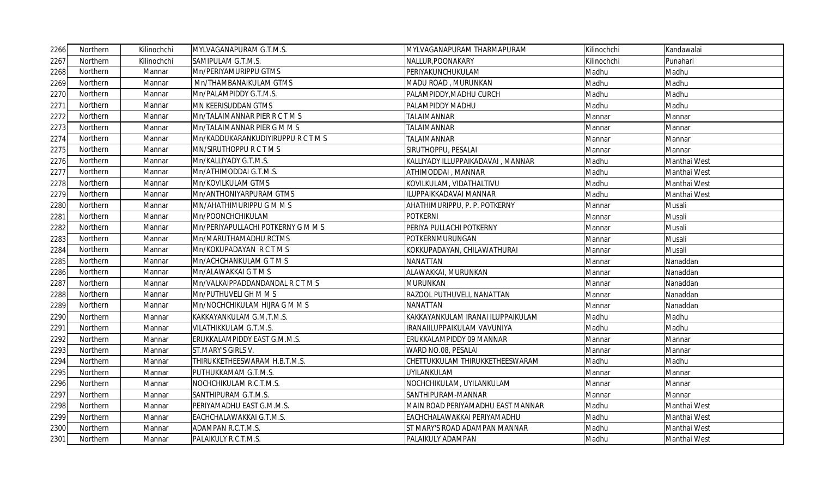| 2266 | Northern | Kilinochchi | MYLVAGANAPURAM G.T.M.S.            | MYLVAGANAPURAM THARMAPURAM        | Kilinochchi | Kandawalai   |
|------|----------|-------------|------------------------------------|-----------------------------------|-------------|--------------|
| 2267 | Northern | Kilinochchi | SAMIPULAM G.T.M.S.                 | NALLUR, POONAKARY                 | Kilinochchi | Punahari     |
| 2268 | Northern | Mannar      | Mn/PERIYAMURIPPU GTMS              | PERIYAKUNCHUKULAM                 | Madhu       | Madhu        |
| 2269 | Northern | Mannar      | Mn/THAMBANAIKULAM GTMS             | MADU ROAD, MURUNKAN               | Madhu       | Madhu        |
| 2270 | Northern | Mannar      | Mn/PALAMPIDDY G.T.M.S.             | PALAMPIDDY, MADHU CURCH           | Madhu       | Madhu        |
| 2271 | Northern | Mannar      | MN KEERISUDDAN GTMS                | PALAMPIDDY MADHU                  | Madhu       | Madhu        |
| 2272 | Northern | Mannar      | Mn/TALAIMANNAR PIER R C T M S      | <b>TALAIMANNAR</b>                | Mannar      | Mannar       |
| 2273 | Northern | Mannar      | Mn/TALAIMANNAR PIER G M M S        | <b>TALAIMANNAR</b>                | Mannar      | Mannar       |
| 2274 | Northern | Mannar      | Mn/KADDUKARANKUDIYIRUPPU R C T M S | <b>TALAIMANNAR</b>                | Mannar      | Mannar       |
| 2275 | Northern | Mannar      | MN/SIRUTHOPPURCTMS                 | SIRUTHOPPU, PESALAI               | Mannar      | Mannar       |
| 2276 | Northern | Mannar      | Mn/KALLIYADY G.T.M.S.              | KALLIYADY ILLUPPAIKADAVAI, MANNAR | Madhu       | Manthai West |
| 2277 | Northern | Mannar      | Mn/ATHIMODDAI G.T.M.S.             | ATHIMODDAI, MANNAR                | Madhu       | Manthai West |
| 2278 | Northern | Mannar      | Mn/KOVILKULAM GTMS                 | KOVILKULAM, VIDATHALTIVU          | Madhu       | Manthai West |
| 2279 | Northern | Mannar      | Mn/ANTHONIYARPURAM GTMS            | ILUPPAIKKADAVAI MANNAR            | Madhu       | Manthai West |
| 2280 | Northern | Mannar      | MN/AHATHIMURIPPU G M M S           | AHATHIMURIPPU, P. P. POTKERNY     | Mannar      | Musali       |
| 2281 | Northern | Mannar      | Mn/POONCHCHIKULAM                  | <b>POTKERNI</b>                   | Mannar      | Musali       |
| 2282 | Northern | Mannar      | Mn/PERIYAPULLACHI POTKERNY G M M S | PERIYA PULLACHI POTKERNY          | Mannar      | Musali       |
| 2283 | Northern | Mannar      | Mn/MARUTHAMADHU RCTMS              | POTKERNMURUNGAN                   | Mannar      | Musali       |
| 2284 | Northern | Mannar      | Mn/KOKUPADAYAN RCTMS               | KOKKUPADAYAN, CHILAWATHURAI       | Mannar      | Musali       |
| 2285 | Northern | Mannar      | Mn/ACHCHANKULAM G T M S            | <b>NANATTAN</b>                   | Mannar      | Nanaddan     |
| 2286 | Northern | Mannar      | Mn/ALAWAKKAI G T M S               | ALAWAKKAI, MURUNKAN               | Mannar      | Nanaddan     |
| 2287 | Northern | Mannar      | Mn/VALKAIPPADDANDANDAL R C T M S   | <b>MURUNKAN</b>                   | Mannar      | Nanaddan     |
| 2288 | Northern | Mannar      | Mn/PUTHUVELI GH M M S              | RAZOOL PUTHUVELI, NANATTAN        | Mannar      | Nanaddan     |
| 2289 | Northern | Mannar      | Mn/NOCHCHIKULAM HIJRA G M M S      | <b>NANATTAN</b>                   | Mannar      | Nanaddan     |
| 2290 | Northern | Mannar      | KAKKAYANKULAM G.M.T.M.S.           | KAKKAYANKULAM IRANAI ILUPPAIKULAM | Madhu       | Madhu        |
| 2291 | Northern | Mannar      | VILATHIKKULAM G.T.M.S.             | IRANAIILUPPAIKULAM VAVUNIYA       | Madhu       | Madhu        |
| 2292 | Northern | Mannar      | ERUKKALAMPIDDY EAST G.M.M.S.       | ERUKKALAMPIDDY 09 MANNAR          | Mannar      | Mannar       |
| 2293 | Northern | Mannar      | ST.MARY'S GIRLS V.                 | WARD NO.08, PESALAI               | Mannar      | Mannar       |
| 2294 | Northern | Mannar      | THIRUKKETHEESWARAM H.B.T.M.S.      | CHETTUKKULAM THIRUKKETHEESWARAM   | Madhu       | Madhu        |
| 2295 | Northern | Mannar      | PUTHUKKAMAM G.T.M.S.               | UYILANKULAM                       | Mannar      | Mannar       |
| 2296 | Northern | Mannar      | NOCHCHIKULAM R.C.T.M.S.            | NOCHCHIKULAM, UYILANKULAM         | Mannar      | Mannar       |
| 2297 | Northern | Mannar      | SANTHIPURAM G.T.M.S.               | SANTHIPURAM-MANNAR                | Mannar      | Mannar       |
| 2298 | Northern | Mannar      | PERIYAMADHU EAST G.M.M.S.          | MAIN ROAD PERIYAMADHU EAST MANNAR | Madhu       | Manthai West |
| 2299 | Northern | Mannar      | EACHCHALAWAKKAI G.T.M.S.           | EACHCHALAWAKKAI PERIYAMADHU       | Madhu       | Manthai West |
| 2300 | Northern | Mannar      | ADAMPAN R.C.T.M.S.                 | ST MARY'S ROAD ADAMPAN MANNAR     | Madhu       | Manthai West |
| 2301 | Northern | Mannar      | PALAIKULY R.C.T.M.S.               | PALAIKULY ADAMPAN                 | Madhu       | Manthai West |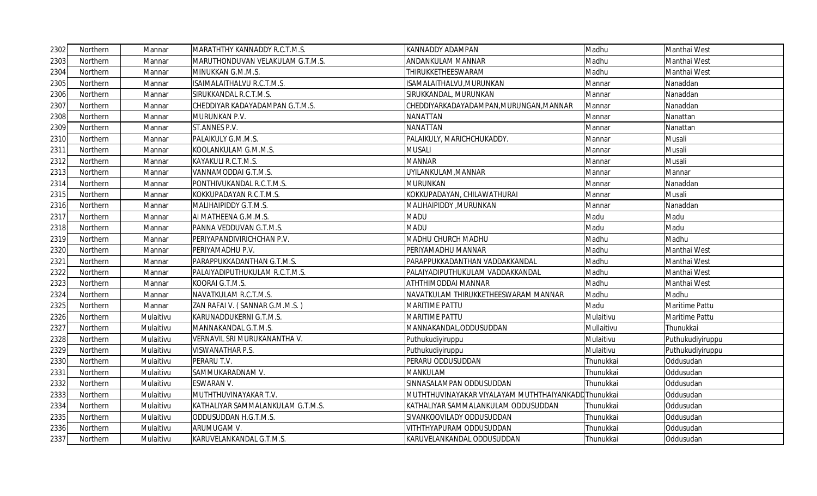| 2302 | Northern | Mannar    | MARATHTHY KANNADDY R.C.T.M.S.     | <b>KANNADDY ADAMPAN</b>                    | Madhu      | Manthai West     |
|------|----------|-----------|-----------------------------------|--------------------------------------------|------------|------------------|
| 2303 | Northern | Mannar    | MARUTHONDUVAN VELAKULAM G.T.M.S.  | ANDANKULAM MANNAR                          | Madhu      | Manthai West     |
| 2304 | Northern | Mannar    | MINUKKAN G.M.M.S.                 | THIRUKKETHEESWARAM                         | Madhu      | Manthai West     |
| 2305 | Northern | Mannar    | ISAIMALAITHALVU R.C.T.M.S.        | ISAMALAITHALVU, MURUNKAN                   | Mannar     | Nanaddan         |
| 2306 | Northern | Mannar    | SIRUKKANDAL R.C.T.M.S.            | SIRUKKANDAL, MURUNKAN                      | Mannar     | Nanaddan         |
| 2307 | Northern | Mannar    | CHEDDIYAR KADAYADAMPAN G.T.M.S.   | CHEDDIYARKADAYADAMPAN, MURUNGAN, MANNAR    | Mannar     | Nanaddan         |
| 2308 | Northern | Mannar    | MURUNKAN P.V.                     | <b>NANATTAN</b>                            | Mannar     | Nanattan         |
| 2309 | Northern | Mannar    | ST.ANNES P.V.                     | <b>NANATTAN</b>                            | Mannar     | Nanattan         |
| 2310 | Northern | Mannar    | PALAIKULY G.M.M.S.                | PALAIKULY, MARICHCHUKADDY.                 | Mannar     | Musali           |
| 2311 | Northern | Mannar    | KOOLANKULAM G.M.M.S.              | <b>MUSALI</b>                              | Mannar     | Musali           |
| 2312 | Northern | Mannar    | KAYAKULI R.C.T.M.S.               | <b>MANNAR</b>                              | Mannar     | Musali           |
| 2313 | Northern | Mannar    | VANNAMODDAI G.T.M.S.              | UYILANKULAM, MANNAR                        | Mannar     | Mannar           |
| 2314 | Northern | Mannar    | PONTHIVUKANDAL R.C.T.M.S.         | MURUNKAN                                   | Mannar     | Nanaddan         |
| 2315 | Northern | Mannar    | KOKKUPADAYAN R.C.T.M.S.           | KOKKUPADAYAN, CHILAWATHURAI                | Mannar     | Musali           |
| 2316 | Northern | Mannar    | MALIHAIPIDDY G.T.M.S.             | MALIHAIPIDDY, MURUNKAN                     | Mannar     | Nanaddan         |
| 2317 | Northern | Mannar    | AI MATHEENA G.M.M.S.              | <b>MADU</b>                                | Madu       | Madu             |
| 2318 | Northern | Mannar    | PANNA VEDDUVAN G.T.M.S.           | <b>MADU</b>                                | Madu       | Madu             |
| 2319 | Northern | Mannar    | PERIYAPANDIVIRICHCHAN P.V.        | MADHU CHURCH MADHU                         | Madhu      | Madhu            |
| 2320 | Northern | Mannar    | PERIYAMADHU P.V.                  | PERIYAMADHU MANNAR                         | Madhu      | Manthai West     |
| 2321 | Northern | Mannar    | PARAPPUKKADANTHAN G.T.M.S.        | PARAPPUKKADANTHAN VADDAKKANDAL             | Madhu      | Manthai West     |
| 2322 | Northern | Mannar    | PALAIYADIPUTHUKULAM R.C.T.M.S.    | PALAIYADIPUTHUKULAM VADDAKKANDAL           | Madhu      | Manthai West     |
| 2323 | Northern | Mannar    | KOORAI G.T.M.S.                   | ATHTHIMODDAI MANNAR                        | Madhu      | Manthai West     |
| 2324 | Northern | Mannar    | NAVATKULAM R.C.T.M.S.             | NAVATKULAM THIRUKKETHEESWARAM MANNAR       | Madhu      | Madhu            |
| 2325 | Northern | Mannar    | ZAN RAFAI V. (SANNAR G.M.M.S.)    | <b>MARITIME PATTU</b>                      | Madu       | Maritime Pattu   |
| 2326 | Northern | Mulaitivu | KARUNADDUKERNI G.T.M.S.           | <b>MARITIME PATTU</b>                      | Mulaitivu  | Maritime Pattu   |
| 2327 | Northern | Mulaitivu | MANNAKANDAL G.T.M.S.              | MANNAKANDAL,ODDUSUDDAN                     | Mullaitivu | Thunukkai        |
| 2328 | Northern | Mulaitivu | VERNAVIL SRI MURUKANANTHA V.      | Puthukudiyiruppu                           | Mulaitivu  | Puthukudiyiruppu |
| 2329 | Northern | Mulaitivu | VISWANATHAR P.S.                  | Puthukudiyiruppu                           | Mulaitivu  | Puthukudiyiruppu |
| 2330 | Northern | Mulaitivu | PERARU T.V.                       | PERARU ODDUSUDDAN                          | Thunukkai  | Oddusudan        |
| 2331 | Northern | Mulaitivu | SAMMUKARADNAM V.                  | MANKULAM                                   | Thunukkai  | Oddusudan        |
| 2332 | Northern | Mulaitivu | ESWARAN V.                        | SINNASALAMPAN ODDUSUDDAN                   | Thunukkai  | Oddusudan        |
| 2333 | Northern | Mulaitivu | MUTHTHUVINAYAKAR T.V.             | MUTHTHUVINAYAKAR VIYALAYAM MUTHTHAIYANKADD | Thunukkai  | Oddusudan        |
| 2334 | Northern | Mulaitivu | KATHALIYAR SAMMALANKULAM G.T.M.S. | KATHALIYAR SAMMALANKULAM ODDUSUDDAN        | Thunukkai  | Oddusudan        |
| 2335 | Northern | Mulaitivu | ODDUSUDDAN H.G.T.M.S.             | SIVANKOOVILADY ODDUSUDDAN                  | Thunukkai  | Oddusudan        |
| 2336 | Northern | Mulaitivu | ARUMUGAM V.                       | VITHTHYAPURAM ODDUSUDDAN                   | Thunukkai  | Oddusudan        |
| 2337 | Northern | Mulaitivu | KARUVELANKANDAL G.T.M.S.          | KARUVELANKANDAL ODDUSUDDAN                 | Thunukkai  | Oddusudan        |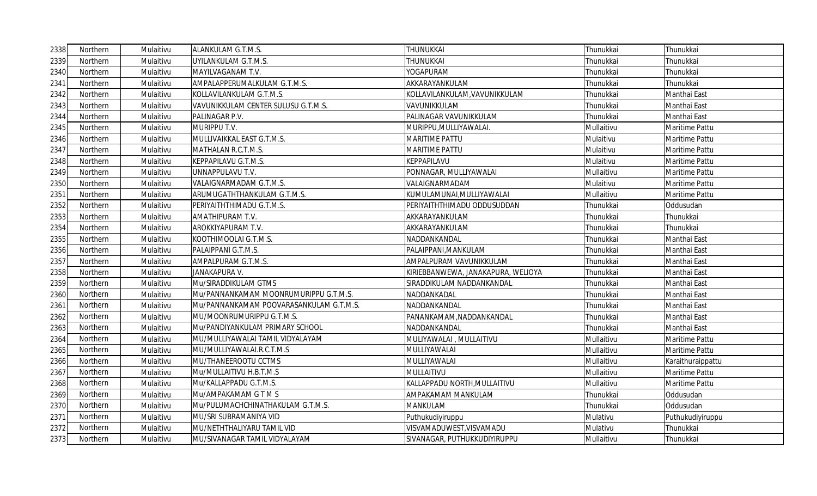| 2338 | Northern | Mulaitivu | ALANKULAM G.T.M.S.                      | THUNUKKAI                          | Thunukkai  | Thunukkai         |
|------|----------|-----------|-----------------------------------------|------------------------------------|------------|-------------------|
| 2339 | Northern | Mulaitivu | UYILANKULAM G.T.M.S.                    | THUNUKKAI                          | Thunukkai  | Thunukkai         |
| 2340 | Northern | Mulaitivu | MAYILVAGANAM T.V.                       | YOGAPURAM                          | Thunukkai  | Thunukkai         |
| 2341 | Northern | Mulaitivu | AMPALAPPERUMALKULAM G.T.M.S.            | AKKARAYANKULAM                     | Thunukkai  | Thunukkai         |
| 2342 | Northern | Mulaitivu | KOLLAVILANKULAM G.T.M.S.                | KOLLAVILANKULAM, VAVUNIKKULAM      | Thunukkai  | Manthai East      |
| 2343 | Northern | Mulaitivu | VAVUNIKKULAM CENTER SULUSU G.T.M.S.     | VAVUNIKKULAM                       | Thunukkai  | Manthai East      |
| 2344 | Northern | Mulaitivu | PALINAGAR P.V.                          | PALINAGAR VAVUNIKKULAM             | Thunukkai  | Manthai East      |
| 2345 | Northern | Mulaitivu | MURIPPU T.V.                            | MURIPPU, MULLIYAWALAI.             | Mullaitivu | Maritime Pattu    |
| 2346 | Northern | Mulaitivu | MULLIVAIKKAL EAST G.T.M.S.              | MARITIME PATTU                     | Mulaitivu  | Maritime Pattu    |
| 2347 | Northern | Mulaitivu | MATHALAN R.C.T.M.S.                     | MARITIME PATTU                     | Mulaitivu  | Maritime Pattu    |
| 2348 | Northern | Mulaitivu | KEPPAPILAVU G.T.M.S.                    | KEPPAPILAVU                        | Mulaitivu  | Maritime Pattu    |
| 2349 | Northern | Mulaitivu | UNNAPPULAVU T.V.                        | PONNAGAR, MULLIYAWALAI             | Mullaitivu | Maritime Pattu    |
| 2350 | Northern | Mulaitivu | VALAIGNARMADAM G.T.M.S.                 | VALAIGNARMADAM                     | Mulaitivu  | Maritime Pattu    |
| 2351 | Northern | Mulaitivu | ARUMUGATHTHANKULAM G.T.M.S.             | KUMULAMUNAI,MULLIYAWALAI           | Mullaitivu | Maritime Pattu    |
| 2352 | Northern | Mulaitivu | PERIYAITHTHIMADU G.T.M.S.               | PERIYAITHTHIMADU ODDUSUDDAN        | Thunukkai  | Oddusudan         |
| 2353 | Northern | Mulaitivu | AMATHIPURAM T.V.                        | AKKARAYANKULAM                     | Thunukkai  | Thunukkai         |
| 2354 | Northern | Mulaitivu | AROKKIYAPURAM T.V.                      | AKKARAYANKULAM                     | Thunukkai  | Thunukkai         |
| 2355 | Northern | Mulaitivu | KOOTHIMOOLAI G.T.M.S.                   | NADDANKANDAL                       | Thunukkai  | Manthai East      |
| 2356 | Northern | Mulaitivu | PALAIPPANI G.T.M.S.                     | PALAIPPANI, MANKULAM               | Thunukkai  | Manthai East      |
| 2357 | Northern | Mulaitivu | AMPALPURAM G.T.M.S.                     | AMPALPURAM VAVUNIKKULAM            | Thunukkai  | Manthai East      |
| 2358 | Northern | Mulaitivu | <b>JANAKAPURA V.</b>                    | KIRIEBBANWEWA, JANAKAPURA, WELIOYA | Thunukkai  | Manthai East      |
| 2359 | Northern | Mulaitivu | Mu/SIRADDIKULAM GTMS                    | SIRADDIKULAM NADDANKANDAL          | Thunukkai  | Manthai East      |
| 2360 | Northern | Mulaitivu | Mu/PANNANKAMAM MOONRUMURIPPU G.T.M.S.   | NADDANKADAL                        | Thunukkai  | Manthai East      |
| 2361 | Northern | Mulaitivu | Mu/PANNANKAMAM POOVARASANKULAM G.T.M.S. | NADDANKANDAL                       | Thunukkai  | Manthai East      |
| 2362 | Northern | Mulaitivu | MU/MOONRUMURIPPU G.T.M.S.               | PANANKAMAM, NADDANKANDAL           | Thunukkai  | Manthai East      |
| 2363 | Northern | Mulaitivu | Mu/PANDIYANKULAM PRIMARY SCHOOL         | NADDANKANDAL                       | Thunukkai  | Manthai East      |
| 2364 | Northern | Mulaitivu | MU/MULLIYAWALAI TAMIL VIDYALAYAM        | MULIYAWALAI, MULLAITIVU            | Mullaitivu | Maritime Pattu    |
| 2365 | Northern | Mulaitivu | MU/MULLIYAWALAI.R.C.T.M.S               | MULLIYAWALAI                       | Mullaitivu | Maritime Pattu    |
| 2366 | Northern | Mulaitivu | MU/THANEEROOTU CCTMS                    | MULLIYAWALAI                       | Mullaitivu | Karaithuraippattu |
| 2367 | Northern | Mulaitivu | Mu/MULLAITIVU H.B.T.M.S                 | MULLAITIVU                         | Mullaitivu | Maritime Pattu    |
| 2368 | Northern | Mulaitivu | Mu/KALLAPPADU G.T.M.S.                  | KALLAPPADU NORTH, MULLAITIVU       | Mullaitivu | Maritime Pattu    |
| 2369 | Northern | Mulaitivu | Mu/AMPAKAMAM G T M S                    | AMPAKAMAM MANKULAM                 | Thunukkai  | Oddusudan         |
| 2370 | Northern | Mulaitivu | Mu/PULUMACHCHINATHAKULAM G.T.M.S.       | MANKULAM                           | Thunukkai  | Oddusudan         |
| 2371 | Northern | Mulaitivu | MU/SRI SUBRAMANIYA VID                  | Puthukudiyiruppu                   | Mulativu   | Puthukudiyiruppu  |
| 2372 | Northern | Mulaitivu | MU/NETHTHALIYARU TAMIL VID              | VISVAMADUWEST, VISVAMADU           | Mulativu   | Thunukkai         |
| 2373 | Northern | Mulaitivu | MU/SIVANAGAR TAMIL VIDYALAYAM           | SIVANAGAR, PUTHUKKUDIYIRUPPU       | Mullaitivu | Thunukkai         |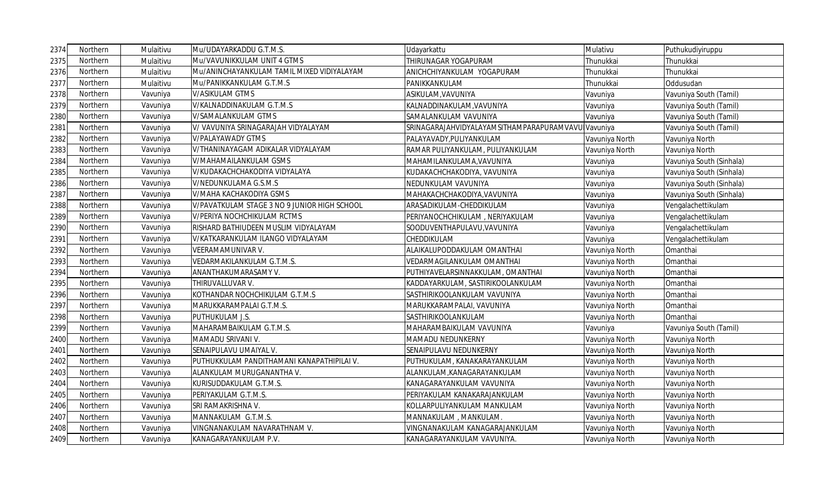| 2374 | Northern | Mulaitivu | Mu/UDAYARKADDU G.T.M.S.                      | Udayarkattu                                        | Mulativu       | Puthukudiyiruppu         |
|------|----------|-----------|----------------------------------------------|----------------------------------------------------|----------------|--------------------------|
| 2375 | Northern | Mulaitivu | Mu/VAVUNIKKULAM UNIT 4 GTMS                  | THIRUNAGAR YOGAPURAM                               | Thunukkai      | Thunukkai                |
| 2376 | Northern | Mulaitivu | Mu/ANINCHAYANKULAM TAMIL MIXED VIDIYALAYAM   | ANICHCHIYANKULAM YOGAPURAM                         | Thunukkai      | Thunukkai                |
| 2377 | Northern | Mulaitivu | Mu/PANIKKANKULAM G.T.M.S                     | PANIKKANKULAM                                      | Thunukkai      | Oddusudan                |
| 2378 | Northern | Vavuniya  | <b>V/ASIKULAM GTMS</b>                       | ASIKULAM, VAVUNIYA                                 | Vavuniya       | Vavuniya South (Tamil)   |
| 2379 | Northern | Vavuniya  | V/KALNADDINAKULAM G.T.M.S                    | KALNADDINAKULAM, VAVUNIYA                          | Vavuniya       | Vavuniya South (Tamil)   |
| 2380 | Northern | Vavuniya  | V/SAMALANKULAM GTMS                          | SAMALANKULAM VAVUNIYA                              | Vavuniya       | Vavuniya South (Tamil)   |
| 238  | Northern | Vavuniya  | V/ VAVUNIYA SRINAGARAJAH VIDYALAYAM          | SRINAGARAJAHVIDYALAYAMSITHAMPARAPURAMVAVU Vavuniya |                | Vavuniya South (Tamil)   |
| 2382 | Northern | Vavuniya  | V/PALAYAWADY GTMS                            | PALAYAVADY, PULIYANKULAM                           | Vavuniya North | Vavuniya North           |
| 2383 | Northern | Vavuniya  | V/THANINAYAGAM ADIKALAR VIDYALAYAM           | RAMAR PULIYANKULAM, PULIYANKULAM                   | Vavuniya North | Vavuniya North           |
| 2384 | Northern | Vavuniya  | V/MAHAMAILANKULAM GSMS                       | MAHAMILANKULAMA, VAVUNIYA                          | Vavuniya       | Vavuniya South (Sinhala) |
| 2385 | Northern | Vavuniya  | V/KUDAKACHCHAKODIYA VIDYALAYA                | KUDAKACHCHAKODIYA, VAVUNIYA                        | Vavuniya       | Vavuniya South (Sinhala) |
| 2386 | Northern | Vavuniya  | V/NEDUNKULAMA G.S.M.S                        | NEDUNKULAM VAVUNIYA                                | Vavuniya       | Vavuniya South (Sinhala) |
| 2387 | Northern | Vavuniya  | V/MAHA KACHAKODIYA GSMS                      | MAHAKACHCHAKODIYA, VAVUNIYA                        | Vavuniya       | Vavuniya South (Sinhala) |
| 2388 | Northern | Vavuniya  | V/PAVATKULAM STAGE 3 NO 9 JUNIOR HIGH SCHOOL | ARASADIKULAM-CHEDDIKULAM                           | Vavuniya       | Vengalachettikulam       |
| 2389 | Northern | Vavuniya  | V/PERIYA NOCHCHIKULAM RCTMS                  | PERIYANOCHCHIKULAM, NERIYAKULAM                    | Vavuniya       | Vengalachettikulam       |
| 2390 | Northern | Vavuniya  | RISHARD BATHIUDEEN MUSLIM VIDYALAYAM         | SOODUVENTHAPULAVU, VAVUNIYA                        | Vavuniya       | Vengalachettikulam       |
| 2391 | Northern | Vavuniya  | V/KATKARANKULAM ILANGO VIDYALAYAM            | CHEDDIKULAM                                        | Vavuniya       | Vengalachettikulam       |
| 2392 | Northern | Vavuniya  | <b>VEERAMAMUNIVAR V.</b>                     | ALAIKALUPODDAKULAM OMANTHAI                        | Vavuniya North | Omanthai                 |
| 2393 | Northern | Vavuniya  | VEDARMAKILANKULAM G.T.M.S.                   | VEDARMAGILANKULAM OMANTHAI                         | Vavuniya North | Omanthai                 |
| 2394 | Northern | Vavuniya  | ANANTHAKUMARASAMY V.                         | PUTHIYAVELARSINNAKKULAM, OMANTHAI                  | Vavuniya North | Omanthai                 |
| 2395 | Northern | Vavuniya  | THIRUVALLUVAR V.                             | KADDAYARKULAM, SASTIRIKOOLANKULAM                  | Vavuniya North | Omanthai                 |
| 2396 | Northern | Vavuniya  | KOTHANDAR NOCHCHIKULAM G.T.M.S               | SASTHIRIKOOLANKULAM VAVUNIYA                       | Vavuniya North | Omanthai                 |
| 2397 | Northern | Vavuniya  | MARUKKARAMPALAI G.T.M.S.                     | MARUKKARAMPALAI, VAVUNIYA                          | Vavuniya North | Omanthai                 |
| 2398 | Northern | Vavuniya  | PUTHUKULAM J.S.                              | SASTHIRIKOOLANKULAM                                | Vavuniya North | Omanthai                 |
| 2399 | Northern | Vavuniya  | MAHARAMBAIKULAM G.T.M.S.                     | MAHARAMBAIKULAM VAVUNIYA                           | Vavuniya       | Vavuniya South (Tamil)   |
| 2400 | Northern | Vavuniya  | MAMADU SRIVANI V.                            | MAMADU NEDUNKERNY                                  | Vavuniya North | Vavuniya North           |
| 2401 | Northern | Vavuniya  | SENAIPULAVU UMAIYAL V.                       | SENAIPULAVU NEDUNKERNY                             | Vavuniya North | Vavuniya North           |
| 2402 | Northern | Vavuniya  | PUTHUKKULAM PANDITHAMANI KANAPATHIPILAI V.   | PUTHUKULAM, KANAKARAYANKULAM                       | Vavuniya North | Vavuniya North           |
| 2403 | Northern | Vavuniya  | ALANKULAM MURUGANANTHA V.                    | ALANKULAM, KANAGARAYANKULAM                        | Vavuniya North | Vavuniya North           |
| 2404 | Northern | Vavuniya  | KURISUDDAKULAM G.T.M.S.                      | KANAGARAYANKULAM VAVUNIYA                          | Vavuniya North | Vavuniya North           |
| 2405 | Northern | Vavuniya  | PERIYAKULAM G.T.M.S.                         | PERIYAKULAM KANAKARAJANKULAM                       | Vavuniya North | Vavuniya North           |
| 2406 | Northern | Vavuniya  | SRI RAMAKRISHNA V.                           | KOLLARPULIYANKULAM MANKULAM                        | Vavuniya North | Vavuniya North           |
| 2407 | Northern | Vavuniya  | MANNAKULAM G.T.M.S.                          | MANNAKULAM, MANKULAM.                              | Vavuniya North | Vavuniya North           |
| 2408 | Northern | Vavuniya  | VINGNANAKULAM NAVARATHNAM V.                 | VINGNANAKULAM KANAGARAJANKULAM                     | Vavuniya North | Vavuniya North           |
| 2409 | Northern | Vavuniya  | KANAGARAYANKULAM P.V.                        | KANAGARAYANKULAM VAVUNIYA                          | Vavuniya North | Vavuniya North           |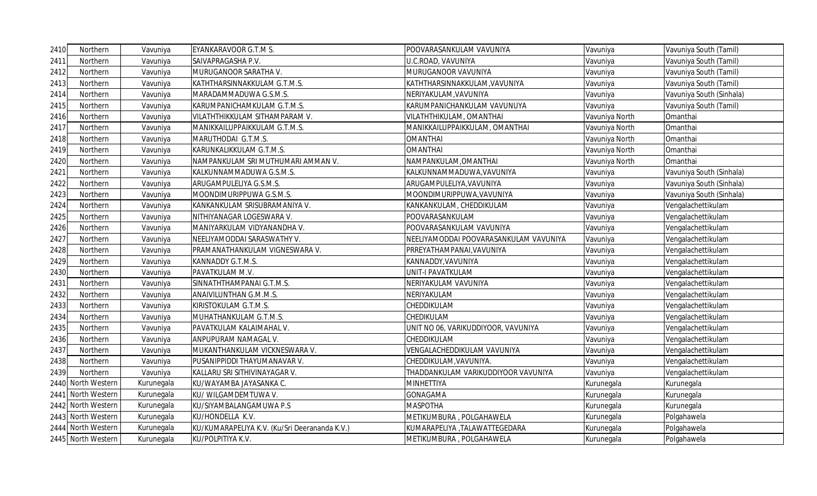| 2410 | Northern           | Vavuniya   | EYANKARAVOOR G.T.M S.                         | POOVARASANKULAM VAVUNIYA               | Vavuniya       | Vavuniya South (Tamil)   |
|------|--------------------|------------|-----------------------------------------------|----------------------------------------|----------------|--------------------------|
| 2411 | Northern           | Vavuniya   | SAIVAPRAGASHA P.V.                            | U.C.ROAD, VAVUNIYA                     | Vavuniya       | Vavuniya South (Tamil)   |
| 2412 | Northern           | Vavuniya   | MURUGANOOR SARATHA V.                         | MURUGANOOR VAVUNIYA                    | Vavuniya       | Vavuniya South (Tamil)   |
| 2413 | Northern           | Vavuniya   | KATHTHARSINNAKKULAM G.T.M.S.                  | KATHTHARSINNAKKULAM,VAVUNIYA           | Vavuniya       | Vavuniya South (Tamil)   |
| 2414 | Northern           | Vavuniya   | MARADAMMADUWA G.S.M.S.                        | NERIYAKULAM, VAVUNIYA                  | Vavuniya       | Vavuniya South (Sinhala) |
| 2415 | Northern           | Vavuniya   | KARUMPANICHAMKULAM G.T.M.S.                   | KARUMPANICHANKULAM VAVUNUYA            | Vavuniya       | Vavuniya South (Tamil)   |
| 2416 | Northern           | Vavuniya   | VILATHTHIKKULAM SITHAMPARAM V.                | VILATHTHIKULAM, OMANTHAI               | Vavuniya North | Omanthai                 |
| 2417 | Northern           | Vavuniya   | MANIKKAILUPPAIKKULAM G.T.M.S.                 | MANIKKAILUPPAIKKULAM, OMANTHAI         | Vavuniya North | Omanthai                 |
| 2418 | Northern           | Vavuniya   | MARUTHODAI G.T.M.S.                           | <b>OMANTHAI</b>                        | Vavuniya North | Omanthai                 |
| 2419 | Northern           | Vavuniya   | KARUNKALIKKULAM G.T.M.S.                      | <b>OMANTHAI</b>                        | Vavuniya North | Omanthai                 |
| 2420 | Northern           | Vavuniya   | NAMPANKULAM SRI MUTHUMARI AMMAN V.            | NAMPANKULAM, OMANTHAI                  | Vavuniya North | Omanthai                 |
| 2421 | Northern           | Vavuniya   | KALKUNNAMMADUWA G.S.M.S.                      | KALKUNNAMMADUWA, VAVUNIYA              | Vavuniya       | Vavuniya South (Sinhala) |
| 2422 | Northern           | Vavuniya   | ARUGAMPULELIYA G.S.M.S.                       | ARUGAMPULELIYA, VAVUNIYA               | Vavuniya       | Vavuniya South (Sinhala) |
| 2423 | Northern           | Vavuniya   | MOONDIMURIPPUWA G.S.M.S.                      | MOONDIMURIPPUWA, VAVUNIYA              | Vavuniya       | Vavuniya South (Sinhala) |
| 2424 | Northern           | Vavuniya   | KANKANKULAM SRISUBRAMANIYA V.                 | KANKANKULAM, CHEDDIKULAM               | Vavuniya       | Vengalachettikulam       |
| 2425 | Northern           | Vavuniya   | NITHIYANAGAR LOGESWARA V.                     | POOVARASANKULAM                        | Vavuniya       | Vengalachettikulam       |
| 2426 | Northern           | Vavuniya   | MANIYARKULAM VIDYANANDHA V.                   | POOVARASANKULAM VAVUNIYA               | Vavuniya       | Vengalachettikulam       |
| 2427 | Northern           | Vavuniya   | NEELIYAMODDAI SARASWATHY V.                   | NEELIYAMODDAI POOVARASANKULAM VAVUNIYA | Vavuniya       | Vengalachettikulam       |
| 2428 | Northern           | Vavuniya   | PRAMANATHANKULAM VIGNESWARA V.                | PRREYATHAMPANAI, VAVUNIYA              | Vavuniya       | Vengalachettikulam       |
| 2429 | Northern           | Vavuniya   | KANNADDY G.T.M.S.                             | KANNADDY, VAVUNIYA                     | Vavuniya       | Vengalachettikulam       |
| 2430 | Northern           | Vavuniya   | PAVATKULAM M.V.                               | UNIT-I PAVATKULAM                      | Vavuniya       | Vengalachettikulam       |
| 2431 | Northern           | Vavuniya   | SINNATHTHAMPANAI G.T.M.S.                     | NERIYAKULAM VAVUNIYA                   | Vavuniya       | Vengalachettikulam       |
| 2432 | Northern           | Vavuniya   | ANAIVILUNTHAN G.M.M.S.                        | NERIYAKULAM                            | Vavuniya       | Vengalachettikulam       |
| 2433 | Northern           | Vavuniya   | KIRISTOKULAM G.T.M.S.                         | CHEDDIKULAM                            | Vavuniya       | Vengalachettikulam       |
| 2434 | Northern           | Vavuniya   | MUHATHANKULAM G.T.M.S.                        | CHEDIKULAM                             | Vavuniya       | Vengalachettikulam       |
| 2435 | Northern           | Vavuniya   | PAVATKULAM KALAIMAHAL V.                      | UNIT NO 06, VARIKUDDIYOOR, VAVUNIYA    | Vavuniya       | Vengalachettikulam       |
| 2436 | Northern           | Vavuniya   | ANPUPURAM NAMAGAL V.                          | CHEDDIKULAM                            | Vavuniya       | Vengalachettikulam       |
| 2437 | Northern           | Vavuniya   | MUKANTHANKULAM VICKNESWARA V.                 | VENGALACHEDDIKULAM VAVUNIYA            | Vavuniya       | Vengalachettikulam       |
| 2438 | Northern           | Vavuniya   | PUSANIPPIDDI THAYUMANAVAR V.                  | CHEDDIKULAM,VAVUNIYA.                  | Vavuniya       | Vengalachettikulam       |
| 2439 | Northern           | Vavuniya   | KALLARU SRI SITHIVINAYAGAR V.                 | THADDANKULAM VARIKUDDIYOOR VAVUNIYA    | Vavuniya       | Vengalachettikulam       |
| 2440 | North Western      | Kurunegala | KU/WAYAMBA JAYASANKA C.                       | <b>MINHETTIYA</b>                      | Kurunegala     | Kurunegala               |
|      | 2441 North Western | Kurunegala | KU/ WILGAMDEMTUWA V.                          | <b>GONAGAMA</b>                        | Kurunegala     | Kurunegala               |
|      | 2442 North Western | Kurunegala | KU/SIYAMBALANGAMUWA P.S                       | <b>MASPOTHA</b>                        | Kurunegala     | Kurunegala               |
|      | 2443 North Western | Kurunegala | KU/HONDELLA K.V.                              | METIKUMBURA, POLGAHAWELA               | Kurunegala     | Polgahawela              |
|      | 2444 North Western | Kurunegala | KU/KUMARAPELIYA K.V. (Ku/Sri Deerananda K.V.) | KUMARAPELIYA ,TALAWATTEGEDARA          | Kurunegala     | Polgahawela              |
|      | 2445 North Western | Kurunegala | KU/POLPITIYA K.V.                             | METIKUMBURA, POLGAHAWELA               | Kurunegala     | Polgahawela              |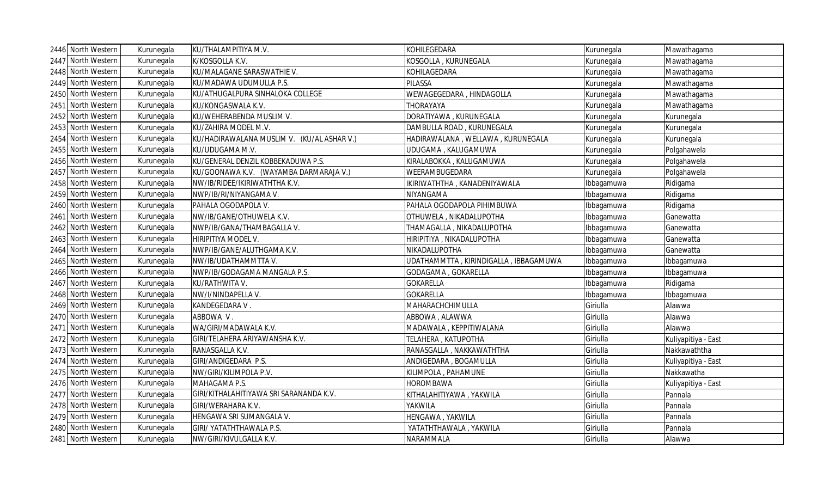| 2446 North Western | Kurunegala | KU/THALAMPITIYA M.V.                       | KOHILEGEDARA                          | Kurunegala | Mawathagama         |
|--------------------|------------|--------------------------------------------|---------------------------------------|------------|---------------------|
| 2447 North Western | Kurunegala | K/KOSGOLLA K.V.                            | KOSGOLLA, KURUNEGALA                  | Kurunegala | Mawathagama         |
| 2448 North Western | Kurunegala | KU/MALAGANE SARASWATHIE V.                 | KOHILAGEDARA                          | Kurunegala | Mawathagama         |
| 2449 North Western | Kurunegala | KU/MADAWA UDUMULLA P.S.                    | PILASSA                               | Kurunegala | Mawathagama         |
| 2450 North Western | Kurunegala | KU/ATHUGALPURA SINHALOKA COLLEGE           | WEWAGEGEDARA, HINDAGOLLA              | Kurunegala | Mawathagama         |
| 2451 North Western | Kurunegala | KU/KONGASWALA K.V.                         | <b>THORAYAYA</b>                      | Kurunegala | Mawathagama         |
| 2452 North Western | Kurunegala | KU/WEHERABENDA MUSLIM V.                   | DORATIYAWA, KURUNEGALA                | Kurunegala | Kurunegala          |
| 2453 North Western | Kurunegala | KU/ZAHIRA MODEL M.V.                       | DAMBULLA ROAD, KURUNEGALA             | Kurunegala | Kurunegala          |
| 2454 North Western | Kurunegala | KU/HADIRAWALANA MUSLIM V. (KU/AL ASHAR V.) | HADIRAWALANA, WELLAWA, KURUNEGALA     | Kurunegala | Kurunegala          |
| 2455 North Western | Kurunegala | KU/UDUGAMA M.V.                            | UDUGAMA, KALUGAMUWA                   | Kurunegala | Polgahawela         |
| 2456 North Western | Kurunegala | KU/GENERAL DENZIL KOBBEKADUWA P.S.         | KIRALABOKKA, KALUGAMUWA               | Kurunegala | Polgahawela         |
| 2457 North Western | Kurunegala | KU/GOONAWA K.V. (WAYAMBA DARMARAJA V.)     | WEERAMBUGEDARA                        | Kurunegala | Polgahawela         |
| 2458 North Western | Kurunegala | NW/IB/RIDEE/IKIRIWATHTHA K.V.              | IKIRIWATHTHA, KANADENIYAWALA          | Ibbagamuwa | Ridigama            |
| 2459 North Western | Kurunegala | NWP/IB/RI/NIYANGAMA V.                     | NIYANGAMA                             | Ibbagamuwa | Ridigama            |
| 2460 North Western | Kurunegala | PAHALA OGODAPOLA V.                        | PAHALA OGODAPOLA PIHIMBUWA            | Ibbagamuwa | Ridigama            |
| 2461 North Western | Kurunegala | NW/IB/GANE/OTHUWELA K.V.                   | OTHUWELA, NIKADALUPOTHA               | Ibbagamuwa | Ganewatta           |
| 2462 North Western | Kurunegala | NWP/IB/GANA/THAMBAGALLA V.                 | THAMAGALLA, NIKADALUPOTHA             | Ibbagamuwa | Ganewatta           |
| 2463 North Western | Kurunegala | HIRIPITIYA MODEL V.                        | HIRIPITIYA, NIKADALUPOTHA             | Ibbagamuwa | Ganewatta           |
| 2464 North Western | Kurunegala | NWP/IB/GANE/ALUTHGAMA K.V.                 | NIKADALUPOTHA                         | Ibbagamuwa | Ganewatta           |
| 2465 North Western | Kurunegala | NW/IB/UDATHAMMTTA V.                       | UDATHAMMTTA, KIRINDIGALLA, IBBAGAMUWA | Ibbagamuwa | Ibbagamuwa          |
| 2466 North Western | Kurunegala | NWP/IB/GODAGAMA MANGALA P.S.               | GODAGAMA, GOKARELLA                   | Ibbagamuwa | Ibbagamuwa          |
| 2467 North Western | Kurunegala | KU/RATHWITA V.                             | <b>GOKARELLA</b>                      | Ibbagamuwa | Ridigama            |
| 2468 North Western | Kurunegala | NW/I/NINDAPELLA V.                         | <b>GOKARELLA</b>                      | Ibbagamuwa | Ibbagamuwa          |
| 2469 North Western | Kurunegala | KANDEGEDARA V.                             | MAHARACHCHIMULLA                      | Giriulla   | Alawwa              |
| 2470 North Western | Kurunegala | ABBOWA V.                                  | ABBOWA, ALAWWA                        | Giriulla   | Alawwa              |
| 2471 North Western | Kurunegala | WA/GIRI/MADAWALA K.V.                      | MADAWALA, KEPPITIWALANA               | Giriulla   | Alawwa              |
| 2472 North Western | Kurunegala | GIRI/TELAHERA ARIYAWANSHA K.V.             | TELAHERA, KATUPOTHA                   | Giriulla   | Kuliyapitiya - East |
| 2473 North Western | Kurunegala | RANASGALLA K.V.                            | RANASGALLA, NAKKAWATHTHA              | Giriulla   | Nakkawaththa        |
| 2474 North Western | Kurunegala | GIRI/ANDIGEDARA P.S.                       | ANDIGEDARA, BOGAMULLA                 | Giriulla   | Kuliyapitiya - East |
| 2475 North Western | Kurunegala | NW/GIRI/KILIMPOLA P.V.                     | KILIMPOLA, PAHAMUNE                   | Giriulla   | Nakkawatha          |
| 2476 North Western | Kurunegala | MAHAGAMA P.S.                              | <b>HOROMBAWA</b>                      | Giriulla   | Kuliyapitiya - East |
| 2477 North Western | Kurunegala | GIRI/KITHALAHITIYAWA SRI SARANANDA K.V.    | KITHALAHITIYAWA, YAKWILA              | Giriulla   | Pannala             |
| 2478 North Western | Kurunegala | GIRI/WERAHARA K.V.                         | <b>YAKWILA</b>                        | Giriulla   | Pannala             |
| 2479 North Western | Kurunegala | HENGAWA SRI SUMANGALA V.                   | HENGAWA, YAKWILA                      | Giriulla   | Pannala             |
| 2480 North Western | Kurunegala | GIRI/ YATATHTHAWALA P.S.                   | YATATHTHAWALA, YAKWILA                | Giriulla   | Pannala             |
| 2481 North Western | Kurunegala | NW/GIRI/KIVULGALLA K.V.                    | NARAMMALA                             | Giriulla   | Alawwa              |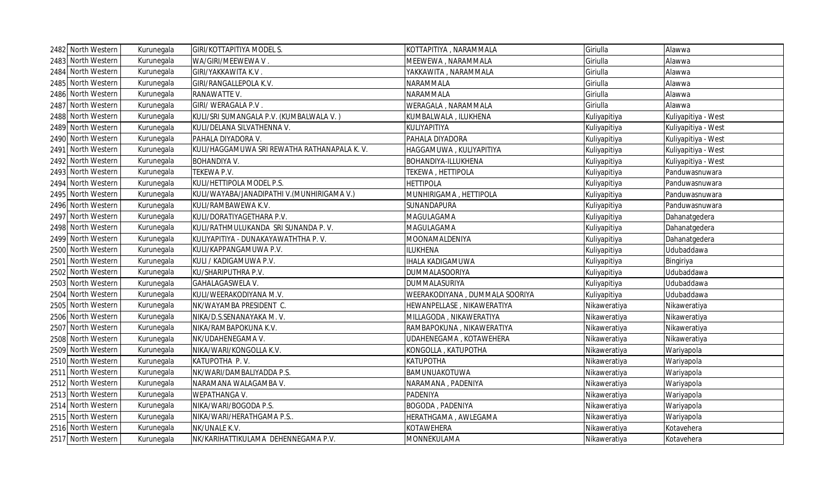| 2482 North Western | Kurunegala | <b>GIRI/KOTTAPITIYA MODEL S.</b>             | KOTTAPITIYA, NARAMMALA         | Giriulla     | Alawwa              |
|--------------------|------------|----------------------------------------------|--------------------------------|--------------|---------------------|
| 2483 North Western | Kurunegala | WA/GIRI/MEEWEWA V.                           | MEEWEWA, NARAMMALA             | Giriulla     | Alawwa              |
| 2484 North Western | Kurunegala | GIRI/YAKKAWITA K.V.                          | YAKKAWITA, NARAMMALA           | Giriulla     | Alawwa              |
| 2485 North Western | Kurunegala | GIRI/RANGALLEPOLA K.V.                       | NARAMMALA                      | Giriulla     | Alawwa              |
| 2486 North Western | Kurunegala | RANAWATTE V.                                 | NARAMMALA                      | Giriulla     | Alawwa              |
| 2487 North Western | Kurunegala | GIRI/ WERAGALA P.V.                          | WERAGALA, NARAMMALA            | Giriulla     | Alawwa              |
| 2488 North Western | Kurunegala | KULI/SRI SUMANGALA P.V. (KUMBALWALA V.)      | KUMBALWALA, ILUKHENA           | Kuliyapitiya | Kuliyapitiya - West |
| 2489 North Western | Kurunegala | KULI/DELANA SILVATHENNA V.                   | KULIYAPITIYA                   | Kuliyapitiya | Kuliyapitiya - West |
| 2490 North Western | Kurunegala | PAHALA DIYADORA V.                           | PAHALA DIYADORA                | Kuliyapitiya | Kuliyapitiya - West |
| 2491 North Western | Kurunegala | KULI/HAGGAMUWA SRI REWATHA RATHANAPALA K. V. | HAGGAMUWA, KULIYAPITIYA        | Kuliyapitiya | Kuliyapitiya - West |
| 2492 North Western | Kurunegala | <b>BOHANDIYA V.</b>                          | BOHANDIYA-ILLUKHENA            | Kuliyapitiya | Kuliyapitiya - West |
| 2493 North Western | Kurunegala | TEKEWA P.V.                                  | TEKEWA, HETTIPOLA              | Kuliyapitiya | Panduwasnuwara      |
| 2494 North Western | Kurunegala | KULI/HETTIPOLA MODEL P.S.                    | <b>HETTIPOLA</b>               | Kuliyapitiya | Panduwasnuwara      |
| 2495 North Western | Kurunegala | KULI/WAYABA/JANADIPATHI V. (MUNHIRIGAMA V.)  | MUNHIRIGAMA, HETTIPOLA         | Kuliyapitiya | Panduwasnuwara      |
| 2496 North Western | Kurunegala | KULI/RAMBAWEWA K.V.                          | SUNANDAPURA                    | Kuliyapitiya | Panduwasnuwara      |
| 2497 North Western | Kurunegala | KULI/DORATIYAGETHARA P.V.                    | MAGULAGAMA                     | Kuliyapitiya | Dahanatgedera       |
| 2498 North Western | Kurunegala | KULI/RATHMULUKANDA SRI SUNANDA P.V.          | MAGULAGAMA                     | Kuliyapitiya | Dahanatgedera       |
| 2499 North Western | Kurunegala | KULIYAPITIYA - DUNAKAYAWATHTHA P.V.          | MOONAMALDENIYA                 | Kuliyapitiya | Dahanatgedera       |
| 2500 North Western | Kurunegala | KULI/KAPPANGAMUWA P.V.                       | ILUKHENA                       | Kuliyapitiya | Udubaddawa          |
| 2501 North Western | Kurunegala | KULI / KADIGAMUWA P.V.                       | <b>IHALA KADIGAMUWA</b>        | Kuliyapitiya | Bingiriya           |
| 2502 North Western | Kurunegala | KU/SHARIPUTHRA P.V.                          | DUMMALASOORIYA                 | Kuliyapitiya | Udubaddawa          |
| 2503 North Western | Kurunegala | GAHALAGASWELA V.                             | DUMMALASURIYA                  | Kuliyapitiya | Udubaddawa          |
| 2504 North Western | Kurunegala | KULI/WEERAKODIYANA M.V.                      | WEERAKODIYANA, DUMMALA SOORIYA | Kuliyapitiya | Udubaddawa          |
| 2505 North Western | Kurunegala | NK/WAYAMBA PRESIDENT C.                      | HEWANPELLASE, NIKAWERATIYA     | Nikaweratiya | Nikaweratiya        |
| 2506 North Western | Kurunegala | NIKA/D.S.SENANAYAKA M.V.                     | MILLAGODA, NIKAWERATIYA        | Nikaweratiya | Nikaweratiya        |
| 2507 North Western | Kurunegala | NIKA/RAMBAPOKUNA K.V.                        | RAMBAPOKUNA, NIKAWERATIYA      | Nikaweratiya | Nikaweratiya        |
| 2508 North Western | Kurunegala | NK/UDAHENEGAMA V.                            | UDAHENEGAMA, KOTAWEHERA        | Nikaweratiya | Nikaweratiya        |
| 2509 North Western | Kurunegala | NIKA/WARI/KONGOLLA K.V.                      | KONGOLLA, KATUPOTHA            | Nikaweratiya | Wariyapola          |
| 2510 North Western | Kurunegala | KATUPOTHA P.V.                               | <b>KATUPOTHA</b>               | Nikaweratiya | Wariyapola          |
| 2511 North Western | Kurunegala | NK/WARI/DAMBALIYADDA P.S.                    | BAMUNUAKOTUWA                  | Nikaweratiya | Wariyapola          |
| 2512 North Western | Kurunegala | NARAMANA WALAGAMBA V.                        | NARAMANA, PADENIYA             | Nikaweratiya | Wariyapola          |
| 2513 North Western | Kurunegala | WEPATHANGA V.                                | PADENIYA                       | Nikaweratiya | Wariyapola          |
| 2514 North Western | Kurunegala | NIKA/WARI/BOGODA P.S.                        | BOGODA, PADENIYA               | Nikaweratiya | Wariyapola          |
| 2515 North Western | Kurunegala | NIKA/WARI/HERATHGAMA P.S                     | HERATHGAMA, AWLEGAMA           | Nikaweratiya | Wariyapola          |
| 2516 North Western | Kurunegala | NK/UNALE K.V.                                | <b>KOTAWEHERA</b>              | Nikaweratiya | Kotavehera          |
| 2517 North Western | Kurunegala | NK/KARIHATTIKULAMA DEHENNEGAMA P.V.          | MONNEKULAMA                    | Nikaweratiya | Kotavehera          |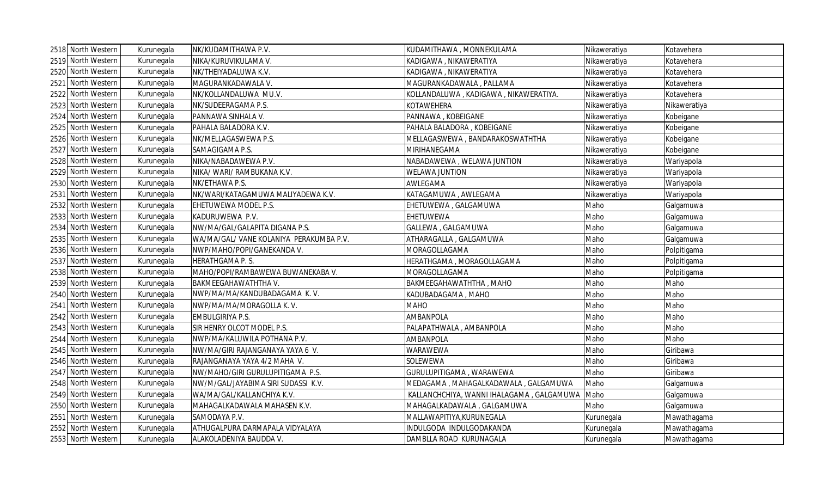|      | 2518 North Western | Kurunegala | NK/KUDAMITHAWA P.V.                     | KUDAMITHAWA, MONNEKULAMA                  | Nikaweratiya | Kotavehera   |
|------|--------------------|------------|-----------------------------------------|-------------------------------------------|--------------|--------------|
|      | 2519 North Western | Kurunegala | NIKA/KURUVIKULAMA V.                    | KADIGAWA , NIKAWERATIYA                   | Nikaweratiya | Kotavehera   |
|      | 2520 North Western | Kurunegala | NK/THEIYADALUWA K.V.                    | KADIGAWA , NIKAWERATIYA                   | Nikaweratiya | Kotavehera   |
|      | 2521 North Western | Kurunegala | MAGURANKADAWALA V.                      | MAGURANKADAWALA, PALLAMA                  | Nikaweratiya | Kotavehera   |
|      | 2522 North Western | Kurunegala | NK/KOLLANDALUWA MU.V.                   | KOLLANDALUWA , KADIGAWA , NIKAWERATIYA.   | Nikaweratiya | Kotavehera   |
|      | 2523 North Western | Kurunegala | NK/SUDEERAGAMA P.S.                     | KOTAWEHERA                                | Nikaweratiya | Nikaweratiya |
|      | 2524 North Western | Kurunegala | PANNAWA SINHALA V.                      | PANNAWA, KOBEIGANE                        | Nikaweratiya | Kobeigane    |
|      | 2525 North Western | Kurunegala | PAHALA BALADORA K.V.                    | PAHALA BALADORA, KOBEIGANE                | Nikaweratiya | Kobeigane    |
|      | 2526 North Western | Kurunegala | NK/MELLAGASWEWA P.S.                    | MELLAGASWEWA, BANDARAKOSWATHTHA           | Nikaweratiya | Kobeigane    |
|      | 2527 North Western | Kurunegala | SAMAGIGAMA P.S.                         | MIRIHANEGAMA                              | Nikaweratiya | Kobeigane    |
|      | 2528 North Western | Kurunegala | NIKA/NABADAWEWA P.V.                    | NABADAWEWA, WELAWA JUNTION                | Nikaweratiya | Wariyapola   |
|      | 2529 North Western | Kurunegala | NIKA/ WARI/ RAMBUKANA K.V.              | <b>WELAWA JUNTION</b>                     | Nikaweratiya | Wariyapola   |
|      | 2530 North Western | Kurunegala | NK/ETHAWA P.S.                          | AWLEGAMA                                  | Nikaweratiya | Wariyapola   |
|      | 2531 North Western | Kurunegala | NK/WARI/KATAGAMUWA MALIYADEWA K.V.      | KATAGAMUWA, AWLEGAMA                      | Nikaweratiya | Wariyapola   |
|      | 2532 North Western | Kurunegala | EHETUWEWA MODEL P.S.                    | EHETUWEWA, GALGAMUWA                      | Maho         | Galgamuwa    |
|      | 2533 North Western | Kurunegala | KADURUWEWA P.V.                         | EHETUWEWA                                 | Maho         | Galgamuwa    |
| 2534 | North Western      | Kurunegala | NW/MA/GAL/GALAPITA DIGANA P.S.          | GALLEWA, GALGAMUWA                        | Maho         | Galgamuwa    |
|      | 2535 North Western | Kurunegala | WA/MA/GAL/ VANE KOLANIYA PERAKUMBA P.V. | ATHARAGALLA, GALGAMUWA                    | Maho         | Galgamuwa    |
|      | 2536 North Western | Kurunegala | NWP/MAHO/POPI/GANEKANDA V.              | MORAGOLLAGAMA                             | Maho         | Polpitigama  |
|      | 2537 North Western | Kurunegala | <b>HERATHGAMA P.S.</b>                  | HERATHGAMA, MORAGOLLAGAMA                 | Maho         | Polpitigama  |
|      | 2538 North Western | Kurunegala | MAHO/POPI/RAMBAWEWA BUWANEKABA V.       | MORAGOLLAGAMA                             | Maho         | Polpitigama  |
|      | 2539 North Western | Kurunegala | BAKMEEGAHAWATHTHA V.                    | BAKMEEGAHAWATHTHA, MAHO                   | Maho         | Maho         |
|      | 2540 North Western | Kurunegala | NWP/MA/MA/KANDUBADAGAMA K.V.            | KADUBADAGAMA, MAHO                        | Maho         | Maho         |
|      | 2541 North Western | Kurunegala | NWP/MA/MA/MORAGOLLA K.V.                | <b>MAHO</b>                               | Maho         | Maho         |
|      | 2542 North Western | Kurunegala | <b>EMBULGIRIYA P.S.</b>                 | AMBANPOLA                                 | Maho         | Maho         |
|      | 2543 North Western | Kurunegala | SIR HENRY OLCOT MODEL P.S.              | PALAPATHWALA, AMBANPOLA                   | Maho         | Maho         |
|      | 2544 North Western | Kurunegala | NWP/MA/KALUWILA POTHANA P.V.            | AMBANPOLA                                 | Maho         | Maho         |
|      | 2545 North Western | Kurunegala | NW/MA/GIRI RAJANGANAYA YAYA 6 V.        | WARAWEWA                                  | Maho         | Giribawa     |
|      | 2546 North Western | Kurunegala | RAJANGANAYA YAYA 4/2 MAHA V.            | SOLEWEWA                                  | Maho         | Giribawa     |
|      | 2547 North Western | Kurunegala | NW/MAHO/GIRI GURULUPITIGAMA P.S.        | GURULUPITIGAMA, WARAWEWA                  | Maho         | Giribawa     |
|      | 2548 North Western | Kurunegala | NW/M/GAL/JAYABIMA SIRI SUDASSI K.V.     | MEDAGAMA, MAHAGALKADAWALA, GALGAMUWA      | Maho         | Galgamuwa    |
|      | 2549 North Western | Kurunegala | WA/MA/GAL/KALLANCHIYA K.V.              | KALLANCHCHIYA, WANNI IHALAGAMA, GALGAMUWA | Maho         | Galgamuwa    |
|      | 2550 North Western | Kurunegala | MAHAGALKADAWALA MAHASEN K.V.            | MAHAGALKADAWALA, GALGAMUWA                | Maho         | Galgamuwa    |
|      | 2551 North Western | Kurunegala | SAMODAYA P.V.                           | MALLAWAPITIYA, KURUNEGALA                 | Kurunegala   | Mawathagama  |
|      | 2552 North Western | Kurunegala | ATHUGALPURA DARMAPALA VIDYALAYA         | INDULGODA INDULGODAKANDA                  | Kurunegala   | Mawathagama  |
|      | 2553 North Western | Kurunegala | ALAKOLADENIYA BAUDDA V.                 | DAMBLLA ROAD KURUNAGALA                   | Kurunegala   | Mawathagama  |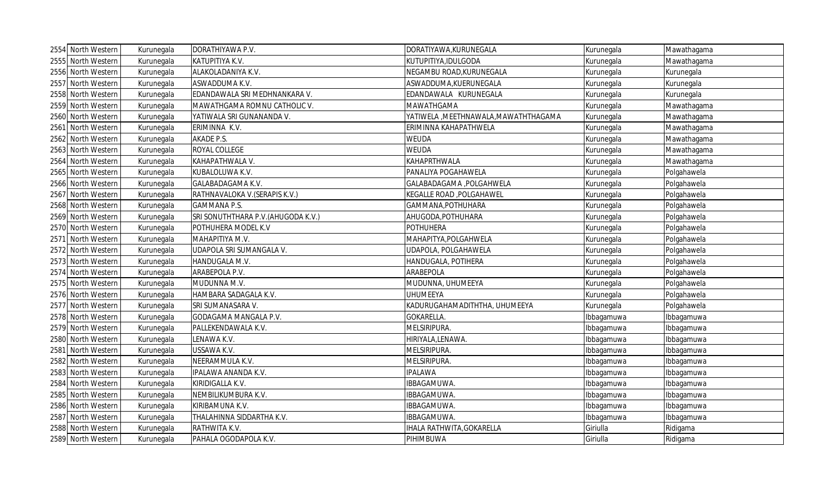|      | 2554 North Western | Kurunegala | DORATHIYAWA P.V.                    | DORATIYAWA, KURUNEGALA                | Kurunegala | Mawathagama |
|------|--------------------|------------|-------------------------------------|---------------------------------------|------------|-------------|
|      | 2555 North Western | Kurunegala | KATUPITIYA K.V.                     | KUTUPITIYA, IDULGODA                  | Kurunegala | Mawathagama |
|      | 2556 North Western | Kurunegala | ALAKOLADANIYA K.V.                  | NEGAMBU ROAD, KURUNEGALA              | Kurunegala | Kurunegala  |
|      | 2557 North Western | Kurunegala | ASWADDUMA K.V.                      | ASWADDUMA, KUERUNEGALA                | Kurunegala | Kurunegala  |
|      | 2558 North Western | Kurunegala | EDANDAWALA SRI MEDHNANKARA V.       | EDANDAWALA KURUNEGALA                 | Kurunegala | Kurunegala  |
|      | 2559 North Western | Kurunegala | MAWATHGAMA ROMNU CATHOLIC V.        | <b>MAWATHGAMA</b>                     | Kurunegala | Mawathagama |
|      | 2560 North Western | Kurunegala | YATIWALA SRI GUNANANDA V.           | YATIWELA , MEETHNAWALA, MAWATHTHAGAMA | Kurunegala | Mawathagama |
|      | 2561 North Western | Kurunegala | ERIMINNA K.V.                       | ERIMINNA KAHAPATHWELA                 | Kurunegala | Mawathagama |
| 2562 | North Western      | Kurunegala | AKADE P.S.                          | <b>WEUDA</b>                          | Kurunegala | Mawathagama |
|      | 2563 North Western | Kurunegala | ROYAL COLLEGE                       | <b>WEUDA</b>                          | Kurunegala | Mawathagama |
|      | 2564 North Western | Kurunegala | KAHAPATHWALA V.                     | <b>KAHAPRTHWALA</b>                   | Kurunegala | Mawathagama |
|      | 2565 North Western | Kurunegala | KUBALOLUWA K.V.                     | PANALIYA POGAHAWELA                   | Kurunegala | Polgahawela |
|      | 2566 North Western | Kurunegala | GALABADAGAMA K.V.                   | GALABADAGAMA , POLGAHWELA             | Kurunegala | Polgahawela |
|      | 2567 North Western | Kurunegala | RATHNAVALOKA V. (SERAPIS K.V.)      | KEGALLE ROAD, POLGAHAWEL              | Kurunegala | Polgahawela |
|      | 2568 North Western | Kurunegala | GAMMANA P.S.                        | GAMMANA, POTHUHARA                    | Kurunegala | Polgahawela |
|      | 2569 North Western | Kurunegala | SRI SONUTHTHARA P.V. (AHUGODA K.V.) | AHUGODA, POTHUHARA                    | Kurunegala | Polgahawela |
|      | 2570 North Western | Kurunegala | POTHUHERA MODEL K.V                 | <b>POTHUHERA</b>                      | Kurunegala | Polgahawela |
|      | 2571 North Western | Kurunegala | MAHAPITIYA M.V.                     | MAHAPITYA, POLGAHWELA                 | Kurunegala | Polgahawela |
|      | 2572 North Western | Kurunegala | UDAPOLA SRI SUMANGALA V.            | UDAPOLA, POLGAHAWELA                  | Kurunegala | Polgahawela |
|      | 2573 North Western | Kurunegala | HANDUGALA M.V.                      | HANDUGALA, POTIHERA                   | Kurunegala | Polgahawela |
|      | 2574 North Western | Kurunegala | ARABEPOLA P.V.                      | <b>ARABEPOLA</b>                      | Kurunegala | Polgahawela |
|      | 2575 North Western | Kurunegala | MUDUNNA M.V.                        | MUDUNNA, UHUMEEYA                     | Kurunegala | Polgahawela |
|      | 2576 North Western | Kurunegala | HAMBARA SADAGALA K.V.               | <b>UHUMEEYA</b>                       | Kurunegala | Polgahawela |
|      | 2577 North Western | Kurunegala | SRI SUMANASARA V.                   | KADURUGAHAMADITHTHA, UHUMEEYA         | Kurunegala | Polgahawela |
|      | 2578 North Western | Kurunegala | GODAGAMA MANGALA P.V.               | GOKARELLA.                            | Ibbagamuwa | Ibbagamuwa  |
|      | 2579 North Western | Kurunegala | PALLEKENDAWALA K.V.                 | MELSIRIPURA.                          | Ibbagamuwa | Ibbagamuwa  |
|      | 2580 North Western | Kurunegala | LENAWA K.V.                         | HIRIYALA, LENAWA.                     | Ibbagamuwa | Ibbagamuwa  |
|      | 2581 North Western | Kurunegala | USSAWA K.V.                         | MELSIRIPURA.                          | Ibbagamuwa | Ibbagamuwa  |
| 2582 | North Western      | Kurunegala | NEERAMMULA K.V.                     | MELSIRIPURA.                          | Ibbagamuwa | Ibbagamuwa  |
| 2583 | North Western      | Kurunegala | IPALAWA ANANDA K.V.                 | <b>IPALAWA</b>                        | Ibbagamuwa | bbagamuwa   |
| 2584 | North Western      | Kurunegala | KIRIDIGALLA K.V.                    | IBBAGAMUWA.                           | Ibbagamuwa | Ibbagamuwa  |
| 2585 | North Western      | Kurunegala | NEMBILIKUMBURA K.V.                 | IBBAGAMUWA.                           | Ibbagamuwa | Ibbagamuwa  |
|      | 2586 North Western | Kurunegala | KIRIBAMUNA K.V.                     | IBBAGAMUWA.                           | Ibbagamuwa | Ibbagamuwa  |
|      | 2587 North Western | Kurunegala | THALAHINNA SIDDARTHA K.V.           | IBBAGAMUWA.                           | Ibbagamuwa | Ibbagamuwa  |
|      | 2588 North Western | Kurunegala | RATHWITA K.V.                       | IHALA RATHWITA, GOKARELLA             | Giriulla   | Ridigama    |
|      | 2589 North Western | Kurunegala | PAHALA OGODAPOLA K.V.               | PIHIMBUWA                             | Giriulla   | Ridigama    |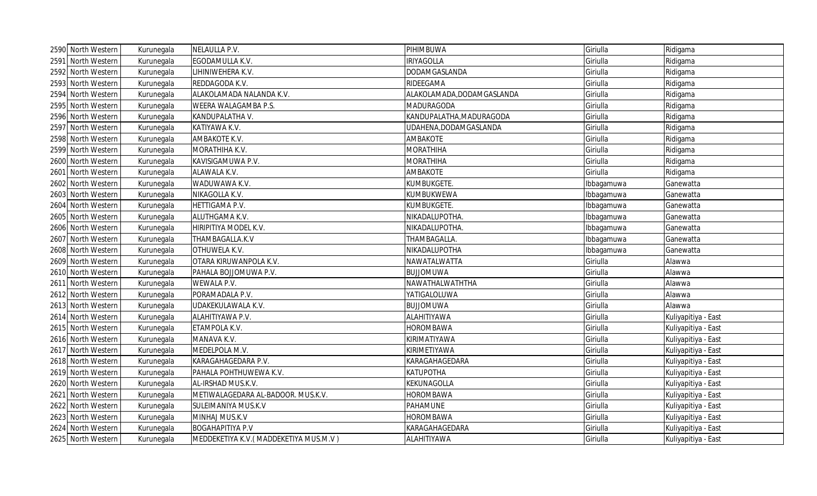|      | 2590 North Western | Kurunegala | NELAULLA P.V.                          | PIHIMBUWA                  | Giriulla   | Ridigama            |
|------|--------------------|------------|----------------------------------------|----------------------------|------------|---------------------|
|      | 2591 North Western | Kurunegala | EGODAMULLA K.V.                        | <b>IRIYAGOLLA</b>          | Giriulla   | Ridigama            |
| 2592 | North Western      | Kurunegala | LIHINIWEHERA K.V.                      | DODAMGASLANDA              | Giriulla   | Ridigama            |
|      | 2593 North Western | Kurunegala | REDDAGODA K.V.                         | RIDEEGAMA                  | Giriulla   | Ridigama            |
|      | 2594 North Western | Kurunegala | ALAKOLAMADA NALANDA K.V.               | ALAKOLAMADA, DODAMGASLANDA | Giriulla   | Ridigama            |
|      | 2595 North Western | Kurunegala | WEERA WALAGAMBA P.S.                   | MADURAGODA                 | Giriulla   | Ridigama            |
|      | 2596 North Western | Kurunegala | KANDUPALATHA V.                        | KANDUPALATHA, MADURAGODA   | Giriulla   | Ridigama            |
|      | 2597 North Western | Kurunegala | KATIYAWA K.V.                          | UDAHENA, DODAMGASLANDA     | Giriulla   | Ridigama            |
|      | 2598 North Western | Kurunegala | AMBAKOTE K.V.                          | AMBAKOTE                   | Giriulla   | Ridigama            |
|      | 2599 North Western | Kurunegala | MORATHIHA K.V.                         | <b>MORATHIHA</b>           | Giriulla   | Ridigama            |
|      | 2600 North Western | Kurunegala | KAVISIGAMUWA P.V.                      | <b>MORATHIHA</b>           | Giriulla   | Ridigama            |
|      | 2601 North Western | Kurunegala | ALAWALA K.V.                           | AMBAKOTE                   | Giriulla   | Ridigama            |
|      | 2602 North Western | Kurunegala | WADUWAWA K.V.                          | KUMBUKGETE.                | Ibbagamuwa | Ganewatta           |
|      | 2603 North Western | Kurunegala | NIKAGOLLA K.V.                         | KUMBUKWEWA                 | Ibbagamuwa | Ganewatta           |
|      | 2604 North Western | Kurunegala | HETTIGAMA P.V.                         | KUMBUKGETE.                | Ibbagamuwa | Ganewatta           |
|      | 2605 North Western | Kurunegala | ALUTHGAMA K.V.                         | NIKADALUPOTHA.             | Ibbagamuwa | Ganewatta           |
|      | 2606 North Western | Kurunegala | HIRIPITIYA MODEL K.V.                  | NIKADALUPOTHA.             | Ibbagamuwa | Ganewatta           |
|      | 2607 North Western | Kurunegala | THAMBAGALLA.K.V                        | THAMBAGALLA.               | Ibbagamuwa | Ganewatta           |
|      | 2608 North Western | Kurunegala | OTHUWELA K.V.                          | NIKADALUPOTHA              | Ibbagamuwa | Ganewatta           |
|      | 2609 North Western | Kurunegala | OTARA KIRUWANPOLA K.V.                 | NAWATALWATTA               | Giriulla   | Alawwa              |
|      | 2610 North Western | Kurunegala | PAHALA BOJJOMUWA P.V.                  | <b>BUJJOMUWA</b>           | Giriulla   | Alawwa              |
|      | 2611 North Western | Kurunegala | WEWALA P.V.                            | NAWATHALWATHTHA            | Giriulla   | Alawwa              |
|      | 2612 North Western | Kurunegala | PORAMADALA P.V.                        | YATIGALOLUWA               | Giriulla   | Alawwa              |
|      | 2613 North Western | Kurunegala | UDAKEKULAWALA K.V.                     | <b>BUJJOMUWA</b>           | Giriulla   | Alawwa              |
|      | 2614 North Western | Kurunegala | ALAHITIYAWA P.V.                       | ALAHITIYAWA                | Giriulla   | Kuliyapitiya - East |
|      | 2615 North Western | Kurunegala | ETAMPOLA K.V.                          | <b>HOROMBAWA</b>           | Giriulla   | Kuliyapitiya - East |
|      | 2616 North Western | Kurunegala | MANAVA K.V.                            | KIRIMATIYAWA               | Giriulla   | Kuliyapitiya - East |
|      | 2617 North Western | Kurunegala | MEDELPOLA M.V.                         | KIRIMETIYAWA               | Giriulla   | Kuliyapitiya - East |
|      | 2618 North Western | Kurunegala | KARAGAHAGEDARA P.V.                    | KARAGAHAGEDARA             | Giriulla   | Kuliyapitiya - East |
|      | 2619 North Western | Kurunegala | PAHALA POHTHUWEWA K.V.                 | KATUPOTHA                  | Giriulla   | Kuliyapitiya - East |
| 2620 | North Western      | Kurunegala | AL-IRSHAD MUS.K.V.                     | KEKUNAGOLLA                | Giriulla   | Kuliyapitiya - East |
|      | 2621 North Western | Kurunegala | METIWALAGEDARA AL-BADOOR. MUS.K.V.     | <b>HOROMBAWA</b>           | Giriulla   | Kuliyapitiya - East |
|      | 2622 North Western | Kurunegala | SULEIMANIYA MUS.K.V                    | PAHAMUNE                   | Giriulla   | Kuliyapitiya - East |
|      | 2623 North Western | Kurunegala | MINHAJ MUS.K.V                         | HOROMBAWA                  | Giriulla   | Kuliyapitiya - East |
|      | 2624 North Western | Kurunegala | <b>BOGAHAPITIYA P.V</b>                | KARAGAHAGEDARA             | Giriulla   | Kuliyapitiya - East |
|      | 2625 North Western | Kurunegala | MEDDEKETIYA K.V. (MADDEKETIYA MUS.M.V) | ALAHITIYAWA                | Giriulla   | Kuliyapitiya - East |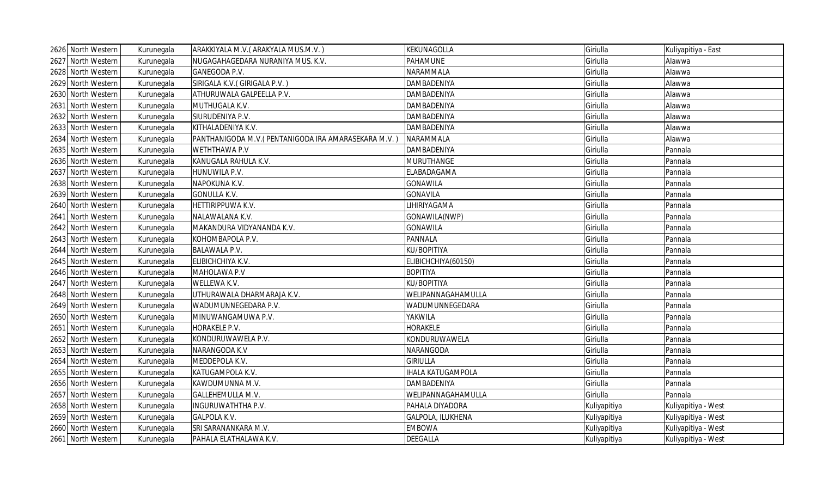| 2626 North Western | Kurunegala | ARAKKIYALA M.V. (ARAKYALA MUS.M.V.)                  | KEKUNAGOLLA              | Giriulla     | Kuliyapitiya - East |
|--------------------|------------|------------------------------------------------------|--------------------------|--------------|---------------------|
| 2627 North Western | Kurunegala | NUGAGAHAGEDARA NURANIYA MUS. K.V.                    | PAHAMUNE                 | Giriulla     | Alawwa              |
| 2628 North Western | Kurunegala | GANEGODA P.V.                                        | NARAMMALA                | Giriulla     | Alawwa              |
| 2629 North Western | Kurunegala | SIRIGALA K.V. (GIRIGALA P.V.)                        | <b>DAMBADENIYA</b>       | Giriulla     | Alawwa              |
| 2630 North Western | Kurunegala | ATHURUWALA GALPEELLA P.V.                            | <b>DAMBADENIYA</b>       | Giriulla     | Alawwa              |
| 2631 North Western | Kurunegala | MUTHUGALA K.V.                                       | DAMBADENIYA              | Giriulla     | Alawwa              |
| 2632 North Western | Kurunegala | SIURUDENIYA P.V.                                     | <b>DAMBADENIYA</b>       | Giriulla     | Alawwa              |
| 2633 North Western | Kurunegala | KITHALADENIYA K.V.                                   | <b>DAMBADENIYA</b>       | Giriulla     | Alawwa              |
| 2634 North Western | Kurunegala | PANTHANIGODA M.V. (PENTANIGODA IRA AMARASEKARA M.V.) | NARAMMALA                | Giriulla     | Alawwa              |
| 2635 North Western | Kurunegala | <b>WETHTHAWA P.V</b>                                 | <b>DAMBADENIYA</b>       | Giriulla     | Pannala             |
| 2636 North Western | Kurunegala | KANUGALA RAHULA K.V.                                 | <b>MURUTHANGE</b>        | Giriulla     | Pannala             |
| 2637 North Western | Kurunegala | HUNUWILA P.V.                                        | ELABADAGAMA              | Giriulla     | Pannala             |
| 2638 North Western | Kurunegala | NAPOKUNA K.V.                                        | <b>GONAWILA</b>          | Giriulla     | Pannala             |
| 2639 North Western | Kurunegala | <b>GONULLA K.V.</b>                                  | <b>GONAVILA</b>          | Giriulla     | Pannala             |
| 2640 North Western | Kurunegala | HETTIRIPPUWA K.V.                                    | LIHIRIYAGAMA             | Giriulla     | Pannala             |
| 2641 North Western | Kurunegala | NALAWALANA K.V.                                      | GONAWILA(NWP)            | Giriulla     | Pannala             |
| 2642 North Western | Kurunegala | MAKANDURA VIDYANANDA K.V.                            | <b>GONAWILA</b>          | Giriulla     | Pannala             |
| 2643 North Western | Kurunegala | KOHOMBAPOLA P.V.                                     | PANNALA                  | Giriulla     | Pannala             |
| 2644 North Western | Kurunegala | <b>BALAWALA P.V.</b>                                 | KU/BOPITIYA              | Giriulla     | Pannala             |
| 2645 North Western | Kurunegala | ELIBICHCHIYA K.V.                                    | ELIBICHCHIYA(60150)      | Giriulla     | Pannala             |
| 2646 North Western | Kurunegala | MAHOLAWA P.V                                         | <b>BOPITIYA</b>          | Giriulla     | Pannala             |
| 2647 North Western | Kurunegala | WELLEWA K.V.                                         | KU/BOPITIYA              | Giriulla     | Pannala             |
| 2648 North Western | Kurunegala | UTHURAWALA DHARMARAJA K.V.                           | WELIPANNAGAHAMULLA       | Giriulla     | Pannala             |
| 2649 North Western | Kurunegala | WADUMUNNEGEDARA P.V.                                 | WADUMUNNEGEDARA          | Giriulla     | Pannala             |
| 2650 North Western | Kurunegala | MINUWANGAMUWA P.V.                                   | <b>YAKWILA</b>           | Giriulla     | Pannala             |
| 2651 North Western | Kurunegala | HORAKELE P.V.                                        | <b>HORAKELE</b>          | Giriulla     | Pannala             |
| 2652 North Western | Kurunegala | KONDURUWAWELA P.V.                                   | KONDURUWAWELA            | Giriulla     | Pannala             |
| 2653 North Western | Kurunegala | NARANGODA K.V                                        | <b>NARANGODA</b>         | Giriulla     | Pannala             |
| 2654 North Western | Kurunegala | MEDDEPOLA K.V.                                       | <b>GIRIULLA</b>          | Giriulla     | Pannala             |
| 2655 North Western | Kurunegala | KATUGAMPOLA K.V.                                     | <b>IHALA KATUGAMPOLA</b> | Giriulla     | Pannala             |
| 2656 North Western | Kurunegala | KAWDUMUNNA M.V.                                      | <b>DAMBADENIYA</b>       | Giriulla     | Pannala             |
| 2657 North Western | Kurunegala | GALLEHEMULLA M.V.                                    | WELIPANNAGAHAMULLA       | Giriulla     | Pannala             |
| 2658 North Western | Kurunegala | INGURUWATHTHA P.V.                                   | PAHALA DIYADORA          | Kuliyapitiya | Kuliyapitiya - West |
| 2659 North Western | Kurunegala | <b>GALPOLA K.V.</b>                                  | GALPOLA, ILUKHENA        | Kuliyapitiya | Kuliyapitiya - West |
| 2660 North Western | Kurunegala | SRI SARANANKARA M.V.                                 | <b>EMBOWA</b>            | Kuliyapitiya | Kuliyapitiya - West |
| 2661 North Western | Kurunegala | PAHALA ELATHALAWA K.V.                               | <b>DEEGALLA</b>          | Kuliyapitiya | Kuliyapitiya - West |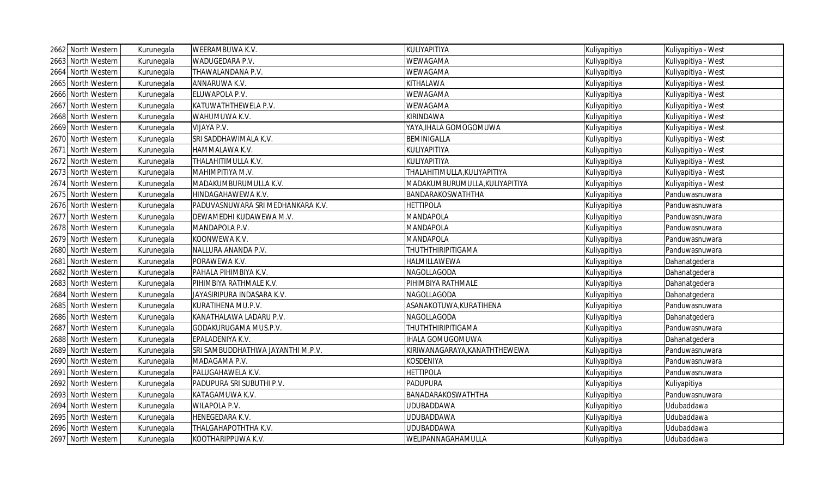| 2662 North Western | Kurunegala | WEERAMBUWA K.V.                   | KULIYAPITIYA                   | Kuliyapitiya | Kuliyapitiya - West |
|--------------------|------------|-----------------------------------|--------------------------------|--------------|---------------------|
| 2663 North Western | Kurunegala | WADUGEDARA P.V.                   | WEWAGAMA                       | Kuliyapitiya | Kuliyapitiya - West |
| 2664 North Western | Kurunegala | THAWALANDANA P.V.                 | WEWAGAMA                       | Kuliyapitiya | Kuliyapitiya - West |
| 2665 North Western | Kurunegala | ANNARUWA K.V.                     | KITHALAWA                      | Kuliyapitiya | Kuliyapitiya - West |
| 2666 North Western | Kurunegala | ELUWAPOLA P.V.                    | WEWAGAMA                       | Kuliyapitiya | Kuliyapitiya - West |
| 2667 North Western | Kurunegala | KATUWATHTHEWELA P.V.              | WEWAGAMA                       | Kuliyapitiya | Kuliyapitiya - West |
| 2668 North Western | Kurunegala | WAHUMUWA K.V.                     | KIRINDAWA                      | Kuliyapitiya | Kuliyapitiya - West |
| 2669 North Western | Kurunegala | VIJAYA P.V.                       | YAYA, IHALA GOMOGOMUWA         | Kuliyapitiya | Kuliyapitiya - West |
| 2670 North Western | Kurunegala | SRI SADDHAWIMALA K.V.             | <b>BEMINIGALLA</b>             | Kuliyapitiya | Kuliyapitiya - West |
| 2671 North Western | Kurunegala | HAMMALAWA K.V.                    | KULIYAPITIYA                   | Kuliyapitiya | Kuliyapitiya - West |
| 2672 North Western | Kurunegala | THALAHITIMULLA K.V.               | KULIYAPITIYA                   | Kuliyapitiya | Kuliyapitiya - West |
| 2673 North Western | Kurunegala | ΜΑΗΙΜΡΙΤΙΥΑ Μ.V.                  | THALAHITIMULLA, KULIYAPITIYA   | Kuliyapitiya | Kuliyapitiya - West |
| 2674 North Western | Kurunegala | MADAKUMBURUMULLA K.V.             | MADAKUMBURUMULLA, KULIYAPITIYA | Kuliyapitiya | Kuliyapitiya - West |
| 2675 North Western | Kurunegala | HINDAGAHAWEWA K.V.                | BANDARAKOSWATHTHA              | Kuliyapitiya | Panduwasnuwara      |
| 2676 North Western | Kurunegala | PADUVASNUWARA SRI MEDHANKARA K.V. | <b>HETTIPOLA</b>               | Kuliyapitiya | Panduwasnuwara      |
| 2677 North Western | Kurunegala | DEWAMEDHI KUDAWEWA M.V.           | MANDAPOLA                      | Kuliyapitiya | Panduwasnuwara      |
| 2678 North Western | Kurunegala | MANDAPOLA P.V.                    | MANDAPOLA                      | Kuliyapitiya | Panduwasnuwara      |
| 2679 North Western | Kurunegala | KOONWEWA K.V.                     | MANDAPOLA                      | Kuliyapitiya | Panduwasnuwara      |
| 2680 North Western | Kurunegala | NALLURA ANANDA P.V.               | <b>THUTHTHIRIPITIGAMA</b>      | Kuliyapitiya | Panduwasnuwara      |
| 2681 North Western | Kurunegala | PORAWEWA K.V.                     | HALMILLAWEWA                   | Kuliyapitiya | Dahanatgedera       |
| 2682 North Western | Kurunegala | PAHALA PIHIMBIYA K.V.             | NAGOLLAGODA                    | Kuliyapitiya | Dahanatgedera       |
| 2683 North Western | Kurunegala | PIHIMBIYA RATHMALE K.V.           | PIHIMBIYA RATHMALE             | Kuliyapitiya | Dahanatgedera       |
| 2684 North Western | Kurunegala | JAYASIRIPURA INDASARA K.V.        | NAGOLLAGODA                    | Kuliyapitiya | Dahanatgedera       |
| 2685 North Western | Kurunegala | KURATIHENA MU.P.V.                | ASANAKOTUWA, KURATIHENA        | Kuliyapitiya | Panduwasnuwara      |
| 2686 North Western | Kurunegala | KANATHALAWA LADARU P.V.           | NAGOLLAGODA                    | Kuliyapitiya | Dahanatgedera       |
| 2687 North Western | Kurunegala | GODAKURUGAMA MUS.P.V.             | <b>THUTHTHIRIPITIGAMA</b>      | Kuliyapitiya | Panduwasnuwara      |
| 2688 North Western | Kurunegala | EPALADENIYA K.V.                  | <b>IHALA GOMUGOMUWA</b>        | Kuliyapitiya | Dahanatgedera       |
| 2689 North Western | Kurunegala | SRI SAMBUDDHATHWA JAYANTHI M.P.V. | KIRIWANAGARAYA, KANATHTHEWEWA  | Kuliyapitiya | Panduwasnuwara      |
| 2690 North Western | Kurunegala | MADAGAMA P.V.                     | KOSDENIYA                      | Kuliyapitiya | Panduwasnuwara      |
| 2691 North Western | Kurunegala | PALUGAHAWELA K.V.                 | <b>HETTIPOLA</b>               | Kuliyapitiya | Panduwasnuwara      |
| 2692 North Western | Kurunegala | PADUPURA SRI SUBUTHI P.V.         | <b>PADUPURA</b>                | Kuliyapitiya | Kuliyapitiya        |
| 2693 North Western | Kurunegala | KATAGAMUWA K.V.                   | BANADARAKOSWATHTHA             | Kuliyapitiya | Panduwasnuwara      |
| 2694 North Western | Kurunegala | WILAPOLA P.V.                     | <b>UDUBADDAWA</b>              | Kuliyapitiya | Udubaddawa          |
| 2695 North Western | Kurunegala | HENEGEDARA K.V.                   | <b>UDUBADDAWA</b>              | Kuliyapitiya | Udubaddawa          |
| 2696 North Western | Kurunegala | THALGAHAPOTHTHA K.V.              | <b>UDUBADDAWA</b>              | Kuliyapitiya | Udubaddawa          |
| 2697 North Western | Kurunegala | KOOTHARIPPUWA K.V.                | WELIPANNAGAHAMULLA             | Kuliyapitiya | Udubaddawa          |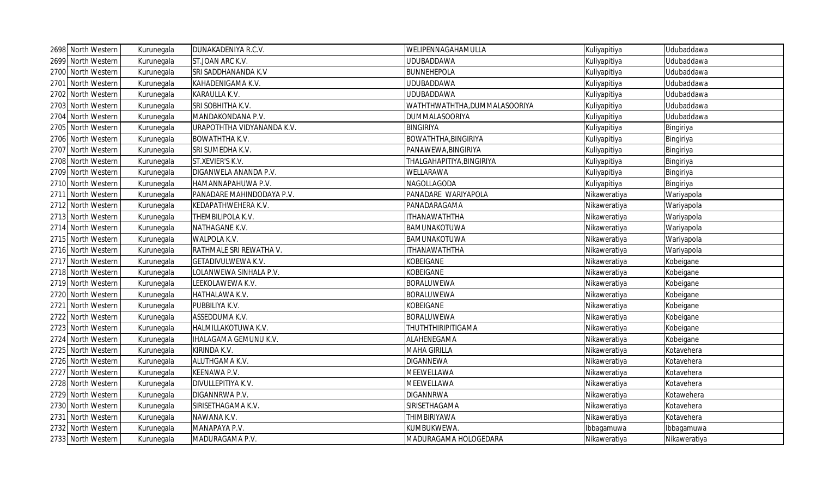| 2698 North Western | Kurunegala | DUNAKADENIYA R.C.V.          | WELIPENNAGAHAMULLA           | Kuliyapitiya | Udubaddawa   |
|--------------------|------------|------------------------------|------------------------------|--------------|--------------|
| 2699 North Western | Kurunegala | ST.JOAN ARC K.V.             | <b>UDUBADDAWA</b>            | Kuliyapitiya | Udubaddawa   |
| 2700 North Western | Kurunegala | SRI SADDHANANDA K.V          | <b>BUNNEHEPOLA</b>           | Kuliyapitiya | Udubaddawa   |
| 2701 North Western | Kurunegala | KAHADENIGAMA K.V.            | <b>UDUBADDAWA</b>            | Kuliyapitiya | Udubaddawa   |
| 2702 North Western | Kurunegala | KARAULLA K.V.                | <b>UDUBADDAWA</b>            | Kuliyapitiya | Udubaddawa   |
| 2703 North Western | Kurunegala | SRI SOBHITHA K.V.            | WATHTHWATHTHA,DUMMALASOORIYA | Kuliyapitiya | Udubaddawa   |
| 2704 North Western | Kurunegala | MANDAKONDANA P.V.            | DUMMALASOORIYA               | Kuliyapitiya | Udubaddawa   |
| 2705 North Western | Kurunegala | URAPOTHTHA VIDYANANDA K.V.   | <b>BINGIRIYA</b>             | Kuliyapitiya | Bingiriya    |
| 2706 North Western | Kurunegala | <b>BOWATHTHA K.V.</b>        | <b>BOWATHTHA, BINGIRIYA</b>  | Kuliyapitiya | Bingiriya    |
| 2707 North Western | Kurunegala | SRI SUMEDHA K.V.             | PANAWEWA, BINGIRIYA          | Kuliyapitiya | Bingiriya    |
| 2708 North Western | Kurunegala | ST.XEVIER'S K.V.             | THALGAHAPITIYA, BINGIRIYA    | Kuliyapitiya | Bingiriya    |
| 2709 North Western | Kurunegala | DIGANWELA ANANDA P.V.        | WELLARAWA                    | Kuliyapitiya | Bingiriya    |
| 2710 North Western | Kurunegala | HAMANNAPAHUWA P.V.           | NAGOLLAGODA                  | Kuliyapitiya | Bingiriya    |
| 2711 North Western | Kurunegala | PANADARE MAHINDODAYA P.V.    | PANADARE WARIYAPOLA          | Nikaweratiya | Wariyapola   |
| 2712 North Western | Kurunegala | KEDAPATHWEHERA K.V.          | PANADARAGAMA                 | Nikaweratiya | Wariyapola   |
| 2713 North Western | Kurunegala | THEMBILIPOLA K.V.            | <b>ITHANAWATHTHA</b>         | Nikaweratiya | Wariyapola   |
| 2714 North Western | Kurunegala | NATHAGANE K.V.               | BAMUNAKOTUWA                 | Nikaweratiya | Wariyapola   |
| 2715 North Western | Kurunegala | WALPOLA K.V.                 | BAMUNAKOTUWA                 | Nikaweratiya | Wariyapola   |
| 2716 North Western | Kurunegala | RATHMALE SRI REWATHA V.      | <b>ITHANAWATHTHA</b>         | Nikaweratiya | Wariyapola   |
| 2717 North Western | Kurunegala | GETADIVULWEWA K.V.           | <b>KOBEIGANE</b>             | Nikaweratiya | Kobeigane    |
| 2718 North Western | Kurunegala | LOLANWEWA SINHALA P.V.       | <b>KOBEIGANE</b>             | Nikaweratiya | Kobeigane    |
| 2719 North Western | Kurunegala | LEEKOLAWEWA K.V.             | <b>BORALUWEWA</b>            | Nikaweratiya | Kobeigane    |
| 2720 North Western | Kurunegala | HATHALAWA K.V.               | <b>BORALUWEWA</b>            | Nikaweratiya | Kobeigane    |
| 2721 North Western | Kurunegala | PUBBILIYA K.V.               | <b>KOBEIGANE</b>             | Nikaweratiya | Kobeigane    |
| 2722 North Western | Kurunegala | ASSEDDUMA K.V.               | <b>BORALUWEWA</b>            | Nikaweratiya | Kobeigane    |
| 2723 North Western | Kurunegala | HALMILLAKOTUWA K.V.          | THUTHTHIRIPITIGAMA           | Nikaweratiya | Kobeigane    |
| 2724 North Western | Kurunegala | <b>IHALAGAMA GEMUNU K.V.</b> | ALAHENEGAMA                  | Nikaweratiya | Kobeigane    |
| 2725 North Western | Kurunegala | KIRINDA K.V.                 | <b>MAHA GIRILLA</b>          | Nikaweratiya | Kotavehera   |
| 2726 North Western | Kurunegala | ALUTHGAMA K.V.               | DIGANNEWA                    | Nikaweratiya | Kotavehera   |
| 2727 North Western | Kurunegala | KEENAWA P.V.                 | <b>MEEWELLAWA</b>            | Nikaweratiya | Kotavehera   |
| 2728 North Western | Kurunegala | DIVULLEPITIYA K.V.           | MEEWELLAWA                   | Nikaweratiya | Kotavehera   |
| 2729 North Western | Kurunegala | DIGANNRWA P.V.               | <b>DIGANNRWA</b>             | Nikaweratiya | Kotawehera   |
| 2730 North Western | Kurunegala | SIRISETHAGAMA K.V.           | SIRISETHAGAMA                | Nikaweratiya | Kotavehera   |
| 2731 North Western | Kurunegala | NAWANA K.V.                  | THIMBIRIYAWA                 | Nikaweratiya | Kotavehera   |
| 2732 North Western | Kurunegala | MANAPAYA P.V.                | KUMBUKWEWA.                  | Ibbagamuwa   | Ibbagamuwa   |
| 2733 North Western | Kurunegala | MADURAGAMA P.V.              | MADURAGAMA HOLOGEDARA        | Nikaweratiya | Nikaweratiya |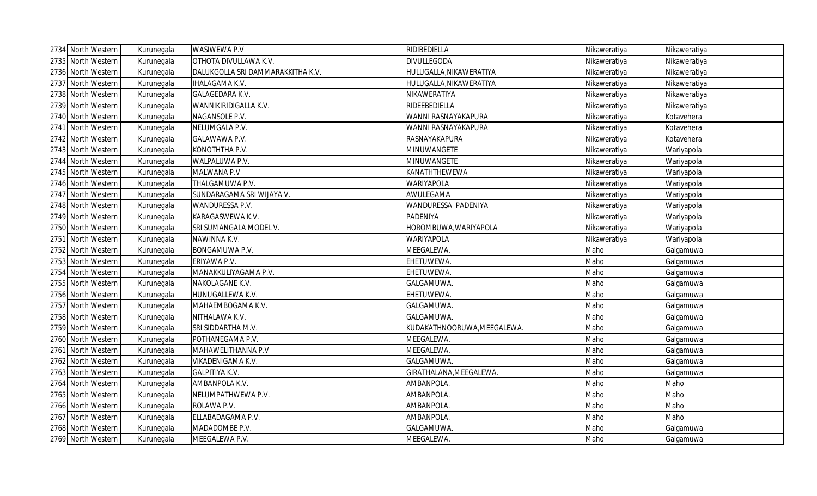| 2734 North Western | Kurunegala | WASIWEWA P.V                      | RIDIBEDIELLA                | Nikaweratiya | Nikaweratiya |
|--------------------|------------|-----------------------------------|-----------------------------|--------------|--------------|
| 2735 North Western | Kurunegala | OTHOTA DIVULLAWA K.V.             | DIVULLEGODA                 | Nikaweratiya | Nikaweratiya |
| 2736 North Western | Kurunegala | DALUKGOLLA SRI DAMMARAKKITHA K.V. | HULUGALLA, NIKAWERATIYA     | Nikaweratiya | Nikaweratiya |
| 2737 North Western | Kurunegala | <b>IHALAGAMA K.V.</b>             | HULUGALLA, NIKAWERATIYA     | Nikaweratiya | Nikaweratiya |
| 2738 North Western | Kurunegala | GALAGEDARA K.V.                   | NIKAWERATIYA                | Nikaweratiya | Nikaweratiya |
| 2739 North Western | Kurunegala | WANNIKIRIDIGALLA K.V.             | RIDEEBEDIELLA               | Nikaweratiya | Nikaweratiya |
| 2740 North Western | Kurunegala | NAGANSOLE P.V.                    | WANNI RASNAYAKAPURA         | Nikaweratiya | Kotavehera   |
| 2741 North Western | Kurunegala | NELUMGALA P.V.                    | WANNI RASNAYAKAPURA         | Nikaweratiya | Kotavehera   |
| 2742 North Western | Kurunegala | GALAWAWA P.V.                     | RASNAYAKAPURA               | Nikaweratiya | Kotavehera   |
| 2743 North Western | Kurunegala | KONOTHTHA P.V.                    | MINUWANGETE                 | Nikaweratiya | Wariyapola   |
| 2744 North Western | Kurunegala | WALPALUWA P.V.                    | MINUWANGETE                 | Nikaweratiya | Wariyapola   |
| 2745 North Western | Kurunegala | MALWANA P.V                       | KANATHTHEWEWA               | Nikaweratiya | Wariyapola   |
| 2746 North Western | Kurunegala | THALGAMUWA P.V.                   | <b>WARIYAPOLA</b>           | Nikaweratiya | Wariyapola   |
| 2747 North Western | Kurunegala | SUNDARAGAMA SRI WIJAYA V.         | AWULEGAMA                   | Nikaweratiya | Wariyapola   |
| 2748 North Western | Kurunegala | WANDURESSA P.V.                   | WANDURESSA PADENIYA         | Nikaweratiya | Wariyapola   |
| 2749 North Western | Kurunegala | KARAGASWEWA K.V.                  | PADENIYA                    | Nikaweratiya | Wariyapola   |
| 2750 North Western | Kurunegala | SRI SUMANGALA MODEL V.            | HOROMBUWA, WARIYAPOLA       | Nikaweratiya | Wariyapola   |
| 2751 North Western | Kurunegala | NAWINNA K.V.                      | WARIYAPOLA                  | Nikaweratiya | Wariyapola   |
| 2752 North Western | Kurunegala | BONGAMUWA P.V.                    | MEEGALEWA.                  | Maho         | Galgamuwa    |
| 2753 North Western | Kurunegala | ERIYAWA P.V.                      | EHETUWEWA.                  | Maho         | Galgamuwa    |
| 2754 North Western | Kurunegala | MANAKKULIYAGAMA P.V.              | EHETUWEWA.                  | Maho         | Galgamuwa    |
| 2755 North Western | Kurunegala | NAKOLAGANE K.V.                   | GALGAMUWA.                  | Maho         | Galgamuwa    |
| 2756 North Western | Kurunegala | HUNUGALLEWA K.V.                  | EHETUWEWA.                  | Maho         | Galgamuwa    |
| 2757 North Western | Kurunegala | MAHAEMBOGAMA K.V.                 | GALGAMUWA.                  | Maho         | Galgamuwa    |
| 2758 North Western | Kurunegala | NITHALAWA K.V.                    | GALGAMUWA.                  | Maho         | Galgamuwa    |
| 2759 North Western | Kurunegala | SRI SIDDARTHA M.V.                | KUDAKATHNOORUWA, MEEGALEWA. | Maho         | Galgamuwa    |
| 2760 North Western | Kurunegala | POTHANEGAMA P.V.                  | MEEGALEWA.                  | Maho         | Galgamuwa    |
| 2761 North Western | Kurunegala | MAHAWELITHANNA P.V                | MEEGALEWA.                  | Maho         | Galgamuwa    |
| 2762 North Western | Kurunegala | VIKADENIGAMA K.V.                 | GALGAMUWA.                  | Maho         | Galgamuwa    |
| 2763 North Western | Kurunegala | GALPITIYA K.V.                    | GIRATHALANA, MEEGALEWA.     | Maho         | Galgamuwa    |
| 2764 North Western | Kurunegala | AMBANPOLA K.V.                    | AMBANPOLA.                  | Maho         | Maho         |
| 2765 North Western | Kurunegala | NELUMPATHWEWA P.V.                | AMBANPOLA.                  | Maho         | Maho         |
| 2766 North Western | Kurunegala | ROLAWA P.V.                       | AMBANPOLA.                  | Maho         | Maho         |
| 2767 North Western | Kurunegala | ELLABADAGAMA P.V.                 | AMBANPOLA.                  | Maho         | Maho         |
| 2768 North Western | Kurunegala | MADADOMBE P.V.                    | GALGAMUWA.                  | Maho         | Galgamuwa    |
| 2769 North Western | Kurunegala | MEEGALEWA P.V.                    | MEEGALEWA.                  | Maho         | Galgamuwa    |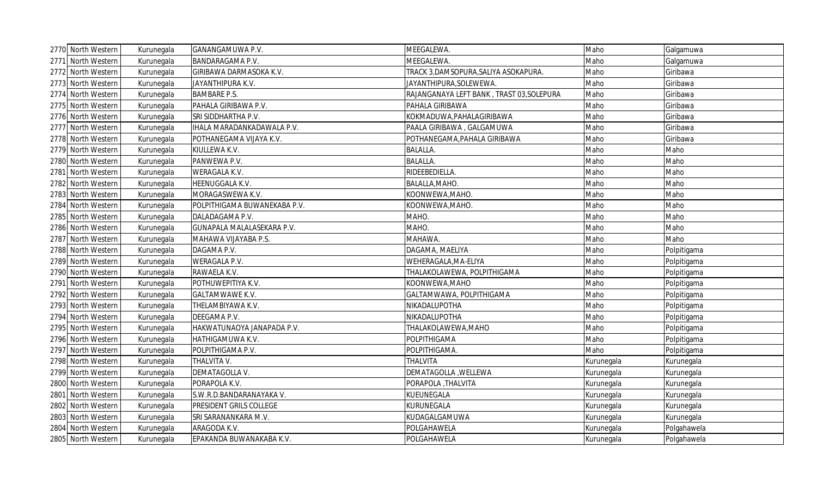|      | 2770 North Western | Kurunegala | GANANGAMUWA P.V.               | MEEGALEWA.                                | Maho       | Galgamuwa   |
|------|--------------------|------------|--------------------------------|-------------------------------------------|------------|-------------|
|      | 2771 North Western | Kurunegala | <b>BANDARAGAMA P.V.</b>        | MEEGALEWA.                                | Maho       | Galgamuwa   |
|      | 2772 North Western | Kurunegala | GIRIBAWA DARMASOKA K.V.        | TRACK 3,DAMSOPURA,SALIYA ASOKAPURA.       | Maho       | Giribawa    |
|      | 2773 North Western | Kurunegala | JAYANTHIPURA K.V.              | JAYANTHIPURA, SOLEWEWA.                   | Maho       | Giribawa    |
|      | 2774 North Western | Kurunegala | <b>BAMBARE P.S.</b>            | RAJANGANAYA LEFT BANK, TRAST 03, SOLEPURA | Maho       | Giribawa    |
|      | 2775 North Western | Kurunegala | PAHALA GIRIBAWA P.V.           | PAHALA GIRIBAWA                           | Maho       | Giribawa    |
|      | 2776 North Western | Kurunegala | SRI SIDDHARTHA P.V.            | KOKMADUWA, PAHALAGIRIBAWA                 | Maho       | Giribawa    |
|      | 2777 North Western | Kurunegala | IHALA MARADANKADAWALA P.V.     | PAALA GIRIBAWA, GALGAMUWA                 | Maho       | Giribawa    |
|      | 2778 North Western | Kurunegala | POTHANEGAMA VIJAYA K.V.        | POTHANEGAMA, PAHALA GIRIBAWA              | Maho       | Giribawa    |
|      | 2779 North Western | Kurunegala | KIULLEWA K.V.                  | <b>BALALLA.</b>                           | Maho       | Maho        |
|      | 2780 North Western | Kurunegala | PANWEWA P.V.                   | <b>BALALLA.</b>                           | Maho       | Maho        |
|      | 2781 North Western | Kurunegala | WERAGALA K.V.                  | RIDEEBEDIELLA.                            | Maho       | Maho        |
|      | 2782 North Western | Kurunegala | HEENUGGALA K.V.                | BALALLA, MAHO.                            | Maho       | Maho        |
|      | 2783 North Western | Kurunegala | MORAGASWEWA K.V.               | KOONWEWA, MAHO.                           | Maho       | Maho        |
|      | 2784 North Western | Kurunegala | POLPITHIGAMA BUWANEKABA P.V.   | KOONWEWA, MAHO.                           | Maho       | Maho        |
|      | 2785 North Western | Kurunegala | DALADAGAMA P.V.                | MAHO.                                     | Maho       | Maho        |
|      | 2786 North Western | Kurunegala | GUNAPALA MALALASEKARA P.V.     | MAHO.                                     | Maho       | Maho        |
|      | 2787 North Western | Kurunegala | MAHAWA VIJAYABA P.S.           | MAHAWA.                                   | Maho       | Maho        |
|      | 2788 North Western | Kurunegala | DAGAMA P.V.                    | DAGAMA, MAELIYA                           | Maho       | Polpitigama |
|      | 2789 North Western | Kurunegala | <b>WERAGALA P.V.</b>           | WEHERAGALA, MA-ELIYA                      | Maho       | Polpitigama |
|      | 2790 North Western | Kurunegala | RAWAELA K.V.                   | THALAKOLAWEWA, POLPITHIGAMA               | Maho       | Polpitigama |
|      | 2791 North Western | Kurunegala | POTHUWEPITIYA K.V.             | KOONWEWA, MAHO                            | Maho       | Polpitigama |
|      | 2792 North Western | Kurunegala | <b>GALTAMWAWE K.V.</b>         | GALTAMWAWA, POLPITHIGAMA                  | Maho       | Polpitigama |
|      | 2793 North Western | Kurunegala | THELAMBIYAWA K.V.              | NIKADALUPOTHA                             | Maho       | Polpitigama |
|      | 2794 North Western | Kurunegala | DEEGAMA P.V.                   | NIKADALUPOTHA                             | Maho       | Polpitigama |
|      | 2795 North Western | Kurunegala | HAKWATUNAOYA JANAPADA P.V.     | THALAKOLAWEWA, MAHO                       | Maho       | Polpitigama |
|      | 2796 North Western | Kurunegala | HATHIGAMUWA K.V.               | POLPITHIGAMA                              | Maho       | Polpitigama |
|      | 2797 North Western | Kurunegala | POLPITHIGAMA P.V.              | POLPITHIGAMA.                             | Maho       | Polpitigama |
|      | 2798 North Western | Kurunegala | THALVITA V.                    | THALVITA                                  | Kurunegala | Kurunegala  |
|      | 2799 North Western | Kurunegala | DEMATAGOLLA V.                 | DEMATAGOLLA , WELLEWA                     | Kurunegala | Kurunegala  |
|      | 2800 North Western | Kurunegala | PORAPOLA K.V.                  | PORAPOLA , THALVITA                       | Kurunegala | Kurunegala  |
|      | 2801 North Western | Kurunegala | S.W.R.D.BANDARANAYAKA V.       | KUEUNEGALA                                | Kurunegala | Kurunegala  |
| 2802 | North Western      | Kurunegala | <b>PRESIDENT GRILS COLLEGE</b> | KURUNEGALA                                | Kurunegala | Kurunegala  |
|      | 2803 North Western | Kurunegala | SRI SARANANKARA M.V.           | KUDAGALGAMUWA                             | Kurunegala | Kurunegala  |
|      | 2804 North Western | Kurunegala | ARAGODA K.V.                   | POLGAHAWELA                               | Kurunegala | Polgahawela |
|      | 2805 North Western | Kurunegala | EPAKANDA BUWANAKABA K.V.       | POLGAHAWELA                               | Kurunegala | Polgahawela |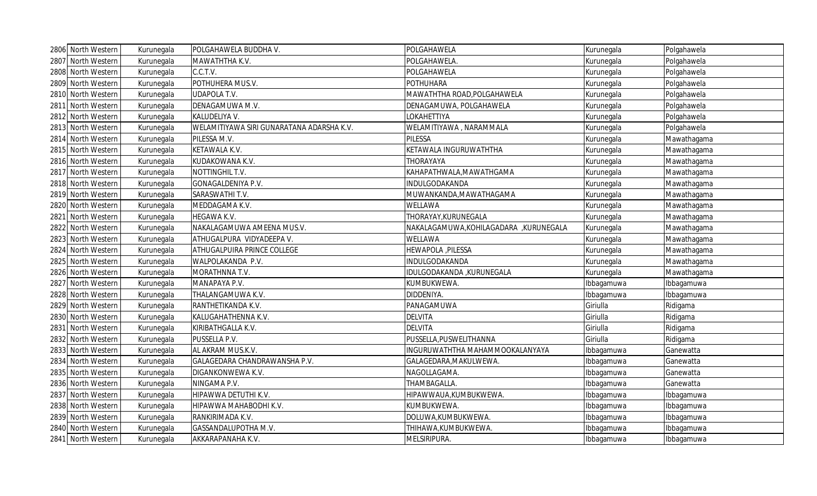| 2806 North Western | Kurunegala | POLGAHAWELA BUDDHA V.                     | POLGAHAWELA                           | Kurunegala | Polgahawela |
|--------------------|------------|-------------------------------------------|---------------------------------------|------------|-------------|
| 2807 North Western | Kurunegala | MAWATHTHA K.V.                            | POLGAHAWELA.                          | Kurunegala | Polgahawela |
| 2808 North Western | Kurunegala | C.C.T.V.                                  | POLGAHAWELA                           | Kurunegala | Polgahawela |
| 2809 North Western | Kurunegala | POTHUHERA MUS.V.                          | <b>POTHUHARA</b>                      | Kurunegala | Polgahawela |
| 2810 North Western | Kurunegala | <b>UDAPOLA T.V.</b>                       | MAWATHTHA ROAD, POLGAHAWELA           | Kurunegala | Polgahawela |
| 2811 North Western | Kurunegala | DENAGAMUWA M.V.                           | DENAGAMUWA, POLGAHAWELA               | Kurunegala | Polgahawela |
| 2812 North Western | Kurunegala | KALUDELIYA V.                             | LOKAHETTIYA                           | Kurunegala | Polgahawela |
| 2813 North Western | Kurunegala | WELAMITIYAWA SIRI GUNARATANA ADARSHA K.V. | WELAMITIYAWA, NARAMMALA               | Kurunegala | Polgahawela |
| 2814 North Western | Kurunegala | PILESSA M.V.                              | PILESSA                               | Kurunegala | Mawathagama |
| 2815 North Western | Kurunegala | KETAWALA K.V.                             | KETAWALA INGURUWATHTHA                | Kurunegala | Mawathagama |
| 2816 North Western | Kurunegala | KUDAKOWANA K.V.                           | THORAYAYA                             | Kurunegala | Mawathagama |
| 2817 North Western | Kurunegala | NOTTINGHIL T.V.                           | KAHAPATHWALA, MAWATHGAMA              | Kurunegala | Mawathagama |
| 2818 North Western | Kurunegala | GONAGALDENIYA P.V.                        | INDULGODAKANDA                        | Kurunegala | Mawathagama |
| 2819 North Western | Kurunegala | SARASWATHI T.V.                           | MUWANKANDA, MAWATHAGAMA               | Kurunegala | Mawathagama |
| 2820 North Western | Kurunegala | MEDDAGAMA K.V.                            | WELLAWA                               | Kurunegala | Mawathagama |
| 2821 North Western | Kurunegala | HEGAWA K.V.                               | THORAYAY, KURUNEGALA                  | Kurunegala | Mawathagama |
| 2822 North Western | Kurunegala | NAKALAGAMUWA AMEENA MUS.V.                | NAKALAGAMUWA,KOHILAGADARA ,KURUNEGALA | Kurunegala | Mawathagama |
| 2823 North Western | Kurunegala | ATHUGALPURA VIDYADEEPA V.                 | WELLAWA                               | Kurunegala | Mawathagama |
| 2824 North Western | Kurunegala | ATHUGALPUIRA PRINCE COLLEGE               | HEWAPOLA, PILESSA                     | Kurunegala | Mawathagama |
| 2825 North Western | Kurunegala | WALPOLAKANDA P.V.                         | INDULGODAKANDA                        | Kurunegala | Mawathagama |
| 2826 North Western | Kurunegala | MORATHNNA T.V.                            | IDULGODAKANDA , KURUNEGALA            | Kurunegala | Mawathagama |
| 2827 North Western | Kurunegala | MANAPAYA P.V.                             | KUMBUKWEWA.                           | Ibbagamuwa | Ibbagamuwa  |
| 2828 North Western | Kurunegala | THALANGAMUWA K.V.                         | DIDDENIYA.                            | Ibbagamuwa | Ibbagamuwa  |
| 2829 North Western | Kurunegala | RANTHETIKANDA K.V.                        | PANAGAMUWA                            | Giriulla   | Ridigama    |
| 2830 North Western | Kurunegala | KALUGAHATHENNA K.V.                       | <b>DELVITA</b>                        | Giriulla   | Ridigama    |
| 2831 North Western | Kurunegala | KIRIBATHGALLA K.V.                        | <b>DELVITA</b>                        | Giriulla   | Ridigama    |
| 2832 North Western | Kurunegala | PUSSELLA P.V.                             | PUSSELLA, PUSWELITHANNA               | Giriulla   | Ridigama    |
| 2833 North Western | Kurunegala | AL AKRAM MUS.K.V.                         | INGURUWATHTHA MAHAMMOOKALANYAYA       | Ibbagamuwa | Ganewatta   |
| 2834 North Western | Kurunegala | GALAGEDARA CHANDRAWANSHA P.V.             | GALAGEDARA, MAKULWEWA.                | Ibbagamuwa | Ganewatta   |
| 2835 North Western | Kurunegala | DIGANKONWEWA K.V.                         | NAGOLLAGAMA.                          | Ibbagamuwa | Ganewatta   |
| 2836 North Western | Kurunegala | NINGAMA P.V.                              | THAMBAGALLA.                          | Ibbagamuwa | Ganewatta   |
| 2837 North Western | Kurunegala | HIPAWWA DETUTHI K.V.                      | HIPAWWAUA,KUMBUKWEWA.                 | Ibbagamuwa | Ibbagamuwa  |
| 2838 North Western | Kurunegala | HIPAWWA MAHABODHI K.V.                    | KUMBUKWEWA.                           | Ibbagamuwa | Ibbagamuwa  |
| 2839 North Western | Kurunegala | RANKIRIMADA K.V.                          | DOLUWA, KUMBUKWEWA.                   | Ibbagamuwa | Ibbagamuwa  |
| 2840 North Western | Kurunegala | GASSANDALUPOTHA M.V.                      | THIHAWA, KUMBUKWEWA.                  | Ibbagamuwa | Ibbagamuwa  |
| 2841 North Western | Kurunegala | AKKARAPANAHA K.V.                         | MELSIRIPURA.                          | Ibbagamuwa | Ibbagamuwa  |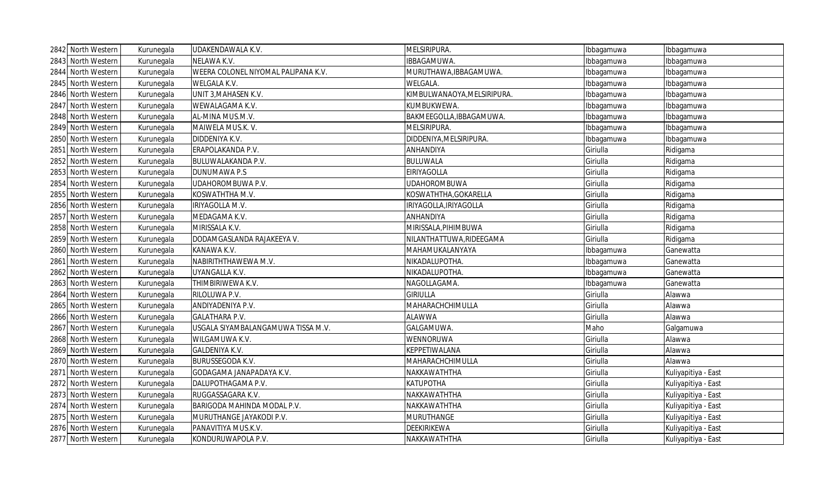|       | 2842 North Western | Kurunegala | UDAKENDAWALA K.V.                   | MELSIRIPURA.                | Ibbagamuwa | Ibbagamuwa          |
|-------|--------------------|------------|-------------------------------------|-----------------------------|------------|---------------------|
|       | 2843 North Western | Kurunegala | NELAWA K.V.                         | IBBAGAMUWA.                 | Ibbagamuwa | Ibbagamuwa          |
|       | 2844 North Western | Kurunegala | WEERA COLONEL NIYOMAL PALIPANA K.V. | MURUTHAWA, IBBAGAMUWA.      | Ibbagamuwa | bbagamuwa           |
| 2845  | North Western      | Kurunegala | WELGALA K.V.                        | WELGALA.                    | Ibbagamuwa | Ibbagamuwa          |
| 2846  | North Western      | Kurunegala | UNIT 3, MAHASEN K.V.                | KIMBULWANAOYA, MELSIRIPURA. | Ibbagamuwa | Ibbagamuwa          |
|       | 2847 North Western | Kurunegala | WEWALAGAMA K.V.                     | KUMBUKWEWA.                 | Ibbagamuwa | bbagamuwa           |
|       | 2848 North Western | Kurunegala | AL-MINA MUS.M.V.                    | BAKMEEGOLLA, IBBAGAMUWA.    | Ibbagamuwa | Ibbagamuwa          |
|       | 2849 North Western | Kurunegala | MAIWELA MUS.K. V.                   | MELSIRIPURA.                | Ibbagamuwa | Ibbagamuwa          |
| 2850  | North Western      | Kurunegala | DIDDENIYA K.V.                      | DIDDENIYA, MELSIRIPURA.     | Ibbagamuwa | Ibbagamuwa          |
|       | 2851 North Western | Kurunegala | ERAPOLAKANDA P.V.                   | ANHANDIYA                   | Giriulla   | Ridigama            |
|       | 2852 North Western | Kurunegala | BULUWALAKANDA P.V.                  | <b>BULUWALA</b>             | Giriulla   | Ridigama            |
|       | 2853 North Western | Kurunegala | DUNUMAWA P.S                        | <b>EIRIYAGOLLA</b>          | Giriulla   | Ridigama            |
|       | 2854 North Western | Kurunegala | UDAHOROMBUWA P.V.                   | <b>UDAHOROMBUWA</b>         | Giriulla   | Ridigama            |
|       | 2855 North Western | Kurunegala | KOSWATHTHA M.V.                     | KOSWATHTHA, GOKARELLA       | Giriulla   | Ridigama            |
|       | 2856 North Western | Kurunegala | IRIYAGOLLA M.V.                     | IRIYAGOLLA, IRIYAGOLLA      | Giriulla   | Ridigama            |
|       | 2857 North Western | Kurunegala | MEDAGAMA K.V.                       | <b>ANHANDIYA</b>            | Giriulla   | Ridigama            |
|       | 2858 North Western | Kurunegala | MIRISSALA K.V.                      | MIRISSALA, PIHIMBUWA        | Giriulla   | Ridigama            |
|       | 2859 North Western | Kurunegala | DODAMGASLANDA RAJAKEEYA V.          | NILANTHATTUWA, RIDEEGAMA    | Giriulla   | Ridigama            |
|       | 2860 North Western | Kurunegala | KANAWA K.V.                         | MAHAMUKALANYAYA             | Ibbagamuwa | Ganewatta           |
|       | 2861 North Western | Kurunegala | NABIRITHTHAWEWA M.V.                | NIKADALUPOTHA.              | Ibbagamuwa | Ganewatta           |
|       | 2862 North Western | Kurunegala | UYANGALLA K.V.                      | NIKADALUPOTHA.              | Ibbagamuwa | Ganewatta           |
|       | 2863 North Western | Kurunegala | THIMBIRIWEWA K.V.                   | NAGOLLAGAMA.                | Ibbagamuwa | Ganewatta           |
|       | 2864 North Western | Kurunegala | RILOLUWA P.V.                       | <b>GIRIULLA</b>             | Giriulla   | Alawwa              |
|       | 2865 North Western | Kurunegala | ANDIYADENIYA P.V.                   | MAHARACHCHIMULLA            | Giriulla   | Alawwa              |
|       | 2866 North Western | Kurunegala | <b>GALATHARA P.V.</b>               | ALAWWA                      | Giriulla   | Alawwa              |
|       | 2867 North Western | Kurunegala | USGALA SIYAMBALANGAMUWA TISSA M.V.  | GALGAMUWA.                  | Maho       | Galgamuwa           |
|       | 2868 North Western | Kurunegala | WILGAMUWA K.V.                      | <b>WENNORUWA</b>            | Giriulla   | Alawwa              |
|       | 2869 North Western | Kurunegala | GALDENIYA K.V.                      | KEPPETIWALANA               | Giriulla   | Alawwa              |
| 2870  | North Western      | Kurunegala | <b>BURUSSEGODA K.V.</b>             | MAHARACHCHIMULLA            | Giriulla   | Alawwa              |
| 28711 | North Western      | Kurunegala | GODAGAMA JANAPADAYA K.V.            | NAKKAWATHTHA                | Giriulla   | Kuliyapitiya - East |
| 2872  | North Western      | Kurunegala | DALUPOTHAGAMA P.V.                  | <b>KATUPOTHA</b>            | Giriulla   | Kuliyapitiya - East |
|       | 2873 North Western | Kurunegala | RUGGASSAGARA K.V.                   | NAKKAWATHTHA                | Giriulla   | Kuliyapitiya - East |
|       | 2874 North Western | Kurunegala | BARIGODA MAHINDA MODAL P.V.         | NAKKAWATHTHA                | Giriulla   | Kuliyapitiya - East |
|       | 2875 North Western | Kurunegala | MURUTHANGE JAYAKODI P.V.            | <b>MURUTHANGE</b>           | Giriulla   | Kuliyapitiya - East |
|       | 2876 North Western | Kurunegala | PANAVITIYA MUS.K.V.                 | DEEKIRIKEWA                 | Giriulla   | Kuliyapitiya - East |
|       | 2877 North Western | Kurunegala | KONDURUWAPOLA P.V.                  | NAKKAWATHTHA                | Giriulla   | Kuliyapitiya - East |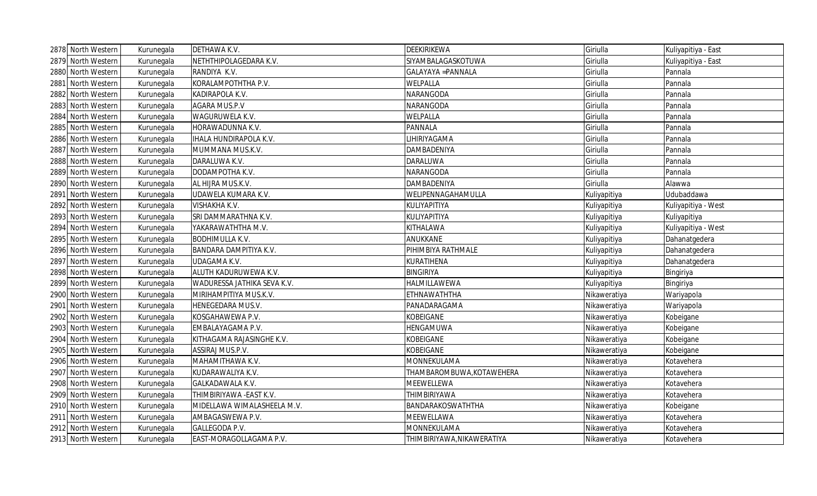|      | 2878 North Western | Kurunegala | DETHAWA K.V.                  | <b>DEEKIRIKEWA</b>         | Giriulla     | Kuliyapitiya - East |
|------|--------------------|------------|-------------------------------|----------------------------|--------------|---------------------|
|      | 2879 North Western | Kurunegala | NETHTHIPOLAGEDARA K.V.        | SIYAMBALAGASKOTUWA         | Giriulla     | Kuliyapitiya - East |
|      | 2880 North Western | Kurunegala | RANDIYA K.V.                  | <b>GALAYAYA = PANNALA</b>  | Giriulla     | Pannala             |
|      | 2881 North Western | Kurunegala | KORALAMPOTHTHA P.V.           | WELPALLA                   | Giriulla     | Pannala             |
|      | 2882 North Western | Kurunegala | KADIRAPOLA K.V.               | NARANGODA                  | Giriulla     | Pannala             |
|      | 2883 North Western | Kurunegala | AGARA MUS.P.V                 | <b>NARANGODA</b>           | Giriulla     | Pannala             |
|      | 2884 North Western | Kurunegala | WAGURUWELA K.V.               | <b>WELPALLA</b>            | Giriulla     | Pannala             |
| 2885 | North Western      | Kurunegala | HORAWADUNNA K.V.              | <b>PANNALA</b>             | Giriulla     | Pannala             |
| 2886 | North Western      | Kurunegala | <b>IHALA HUNDIRAPOLA K.V.</b> | LIHIRIYAGAMA               | Giriulla     | Pannala             |
|      | 2887 North Western | Kurunegala | MUMMANA MUS.K.V.              | <b>DAMBADENIYA</b>         | Giriulla     | Pannala             |
|      | 2888 North Western | Kurunegala | DARALUWA K.V.                 | DARALUWA                   | Giriulla     | Pannala             |
|      | 2889 North Western | Kurunegala | DODAMPOTHA K.V.               | NARANGODA                  | Giriulla     | Pannala             |
|      | 2890 North Western | Kurunegala | AL HIJRA MUS.K.V.             | <b>DAMBADENIYA</b>         | Giriulla     | Alawwa              |
|      | 2891 North Western | Kurunegala | UDAWELA KUMARA K.V.           | WELIPENNAGAHAMULLA         | Kuliyapitiya | Udubaddawa          |
| 2892 | North Western      | Kurunegala | VISHAKHA K.V.                 | KULIYAPITIYA               | Kuliyapitiya | Kuliyapitiya - West |
| 2893 | North Western      | Kurunegala | SRI DAMMARATHNA K.V.          | KULIYAPITIYA               | Kuliyapitiya | Kuliyapitiya        |
|      | 2894 North Western | Kurunegala | YAKARAWATHTHA M.V.            | KITHALAWA                  | Kuliyapitiya | Kuliyapitiya - West |
| 2895 | North Western      | Kurunegala | <b>BODHIMULLA K.V.</b>        | ANUKKANE                   | Kuliyapitiya | Dahanatgedera       |
| 2896 | North Western      | Kurunegala | BANDARA DAMPITIYA K.V.        | PIHIMBIYA RATHMALE         | Kuliyapitiya | Dahanatgedera       |
|      | 2897 North Western | Kurunegala | UDAGAMA K.V.                  | KURATIHENA                 | Kuliyapitiya | Dahanatgedera       |
| 2898 | North Western      | Kurunegala | ALUTH KADURUWEWA K.V.         | <b>BINGIRIYA</b>           | Kuliyapitiya | Bingiriya           |
|      | 2899 North Western | Kurunegala | WADURESSA JATHIKA SEVA K.V.   | HALMILLAWEWA               | Kuliyapitiya | Bingiriya           |
|      | 2900 North Western | Kurunegala | MIRIHAMPITIYA MUS.K.V.        | ETHNAWATHTHA               | Nikaweratiya | Wariyapola          |
|      | 2901 North Western | Kurunegala | HENEGEDARA MUS.V.             | PANADARAGAMA               | Nikaweratiya | Wariyapola          |
|      | 2902 North Western | Kurunegala | KOSGAHAWEWA P.V.              | <b>KOBEIGANE</b>           | Nikaweratiya | Kobeigane           |
|      | 2903 North Western | Kurunegala | EMBALAYAGAMA P.V.             | HENGAMUWA                  | Nikaweratiya | Kobeigane           |
|      | 2904 North Western | Kurunegala | KITHAGAMA RAJASINGHE K.V.     | <b>KOBEIGANE</b>           | Nikaweratiya | Kobeigane           |
|      | 2905 North Western | Kurunegala | ASSIRAJ MUS.P.V.              | <b>KOBEIGANE</b>           | Nikaweratiya | Kobeigane           |
| 2906 | North Western      | Kurunegala | MAHAMITHAWA K.V.              | MONNEKULAMA                | Nikaweratiya | Kotavehera          |
|      | 2907 North Western | Kurunegala | KUDARAWALIYA K.V.             | THAMBAROMBUWA, KOTAWEHERA  | Nikaweratiya | Kotavehera          |
|      | 2908 North Western | Kurunegala | GALKADAWALA K.V.              | <b>MEEWELLEWA</b>          | Nikaweratiya | Kotavehera          |
|      | 2909 North Western | Kurunegala | THIMBIRIYAWA - EAST K.V.      | <b>THIMBIRIYAWA</b>        | Nikaweratiya | Kotavehera          |
|      | 2910 North Western | Kurunegala | MIDELLAWA WIMALASHEELA M.V.   | BANDARAKOSWATHTHA          | Nikaweratiya | Kobeigane           |
|      | 2911 North Western | Kurunegala | AMBAGASWEWA P.V.              | MEEWELLAWA                 | Nikaweratiya | Kotavehera          |
|      | 2912 North Western | Kurunegala | GALLEGODA P.V.                | MONNEKULAMA                | Nikaweratiya | Kotavehera          |
|      | 2913 North Western | Kurunegala | EAST-MORAGOLLAGAMA P.V.       | THIMBIRIYAWA, NIKAWERATIYA | Nikaweratiya | Kotavehera          |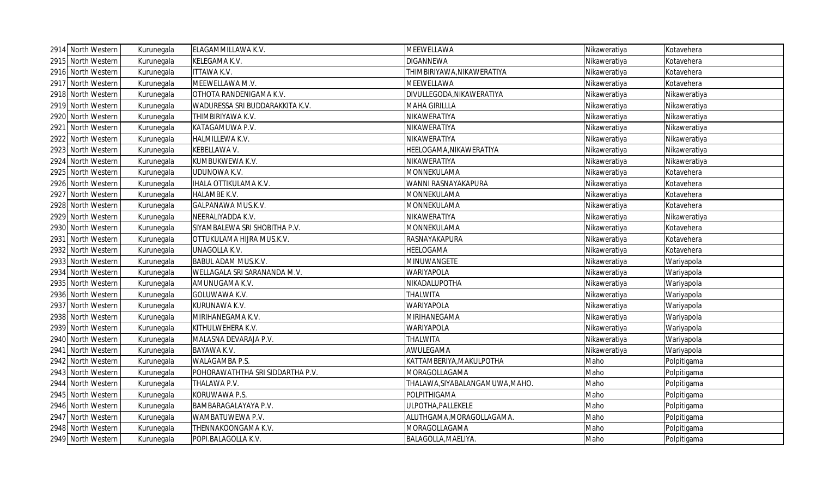|      | 2914 North Western | Kurunegala | ELAGAMMILLAWA K.V.               | MEEWELLAWA                      | Nikaweratiya | Kotavehera   |
|------|--------------------|------------|----------------------------------|---------------------------------|--------------|--------------|
|      | 2915 North Western | Kurunegala | KELEGAMA K.V.                    | <b>DIGANNEWA</b>                | Nikaweratiya | Kotavehera   |
| 2916 | North Western      | Kurunegala | <b>ITTAWA K.V.</b>               | THIMBIRIYAWA,NIKAWERATIYA       | Nikaweratiya | Kotavehera   |
| 2917 | North Western      | Kurunegala | MEEWELLAWA M.V.                  | MEEWELLAWA                      | Nikaweratiya | Kotavehera   |
|      | 2918 North Western | Kurunegala | OTHOTA RANDENIGAMA K.V.          | DIVULLEGODA, NIKAWERATIYA       | Nikaweratiya | Nikaweratiya |
|      | 2919 North Western | Kurunegala | WADURESSA SRI BUDDARAKKITA K.V.  | MAHA GIRILLLA                   | Nikaweratiya | Nikaweratiya |
| 2920 | North Western      | Kurunegala | THIMBIRIYAWA K.V.                | NIKAWERATIYA                    | Nikaweratiya | Nikaweratiya |
| 2921 | North Western      | Kurunegala | KATAGAMUWA P.V.                  | NIKAWERATIYA                    | Nikaweratiya | Nikaweratiya |
|      | 2922 North Western | Kurunegala | HALMILLEWA K.V.                  | NIKAWERATIYA                    | Nikaweratiya | Nikaweratiya |
|      | 2923 North Western | Kurunegala | KEBELLAWA V.                     | HEELOGAMA, NIKAWERATIYA         | Nikaweratiya | Nikaweratiya |
|      | 2924 North Western | Kurunegala | KUMBUKWEWA K.V.                  | NIKAWERATIYA                    | Nikaweratiya | Nikaweratiya |
|      | 2925 North Western | Kurunegala | UDUNOWA K.V.                     | MONNEKULAMA                     | Nikaweratiya | Kotavehera   |
|      | 2926 North Western | Kurunegala | IHALA OTTIKULAMA K.V.            | WANNI RASNAYAKAPURA             | Nikaweratiya | Kotavehera   |
|      | 2927 North Western | Kurunegala | HALAMBE K.V.                     | MONNEKULAMA                     | Nikaweratiya | Kotavehera   |
|      | 2928 North Western | Kurunegala | GALPANAWA MUS.K.V.               | MONNEKULAMA                     | Nikaweratiya | Kotavehera   |
| 2929 | North Western      | Kurunegala | NEERALIYADDA K.V.                | NIKAWERATIYA                    | Nikaweratiya | Nikaweratiya |
| 2930 | North Western      | Kurunegala | SIYAMBALEWA SRI SHOBITHA P.V.    | MONNEKULAMA                     | Nikaweratiya | Kotavehera   |
| 2931 | North Western      | Kurunegala | OTTUKULAMA HIJRA MUS.K.V.        | RASNAYAKAPURA                   | Nikaweratiya | Kotavehera   |
|      | 2932 North Western | Kurunegala | UNAGOLLA K.V.                    | HEELOGAMA                       | Nikaweratiya | Kotavehera   |
|      | 2933 North Western | Kurunegala | <b>BABUL ADAM MUS.K.V.</b>       | MINUWANGETE                     | Nikaweratiya | Wariyapola   |
|      | 2934 North Western | Kurunegala | WELLAGALA SRI SARANANDA M.V.     | <b>WARIYAPOLA</b>               | Nikaweratiya | Wariyapola   |
|      | 2935 North Western | Kurunegala | AMUNUGAMA K.V.                   | NIKADALUPOTHA                   | Nikaweratiya | Wariyapola   |
|      | 2936 North Western | Kurunegala | GOLUWAWA K.V.                    | THALWITA                        | Nikaweratiya | Wariyapola   |
|      | 2937 North Western | Kurunegala | KURUNAWA K.V.                    | <b>WARIYAPOLA</b>               | Nikaweratiya | Wariyapola   |
|      | 2938 North Western | Kurunegala | MIRIHANEGAMA K.V.                | MIRIHANEGAMA                    | Nikaweratiya | Wariyapola   |
|      | 2939 North Western | Kurunegala | KITHULWEHERA K.V.                | WARIYAPOLA                      | Nikaweratiya | Wariyapola   |
|      | 2940 North Western | Kurunegala | MALASNA DEVARAJA P.V.            | THALWITA                        | Nikaweratiya | Wariyapola   |
|      | 2941 North Western | Kurunegala | BAYAWA K.V.                      | AWULEGAMA                       | Nikaweratiya | Wariyapola   |
| 2942 | North Western      | Kurunegala | WALAGAMBA P.S.                   | KATTAMBERIYA, MAKULPOTHA        | Maho         | Polpitigama  |
| 2943 | North Western      | Kurunegala | POHORAWATHTHA SRI SIDDARTHA P.V. | MORAGOLLAGAMA                   | Maho         | Polpitigama  |
| 2944 | North Western      | Kurunegala | THALAWA P.V.                     | THALAWA, SIYABALANGAMUWA, MAHO. | Maho         | Polpitigama  |
|      | 2945 North Western | Kurunegala | KORUWAWA P.S.                    | POLPITHIGAMA                    | Maho         | Polpitigama  |
|      | 2946 North Western | Kurunegala | BAMBARAGALAYAYA P.V.             | ULPOTHA, PALLEKELE              | Maho         | Polpitigama  |
| 2947 | North Western      | Kurunegala | WAMBATUWEWA P.V.                 | ALUTHGAMA, MORAGOLLAGAMA.       | Maho         | Polpitigama  |
|      | 2948 North Western | Kurunegala | THENNAKOONGAMA K.V.              | MORAGOLLAGAMA                   | Maho         | Polpitigama  |
|      | 2949 North Western | Kurunegala | POPI.BALAGOLLA K.V.              | BALAGOLLA, MAELIYA.             | Maho         | Polpitigama  |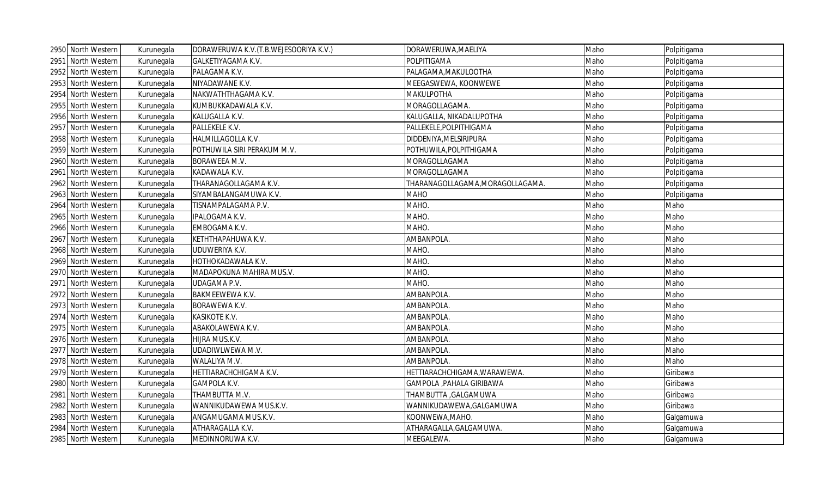|      | 2950 North Western | Kurunegala | DORAWERUWA K.V. (T.B.WEJESOORIYA K.V.) | DORAWERUWA, MAELIYA              | Maho | Polpitigama |
|------|--------------------|------------|----------------------------------------|----------------------------------|------|-------------|
|      | 2951 North Western | Kurunegala | GALKETIYAGAMA K.V.                     | POLPITIGAMA                      | Maho | Polpitigama |
|      | 2952 North Western | Kurunegala | PALAGAMA K.V.                          | PALAGAMA, MAKULOOTHA             | Maho | Polpitigama |
|      | 2953 North Western | Kurunegala | NIYADAWANE K.V.                        | MEEGASWEWA, KOONWEWE             | Maho | Polpitigama |
| 2954 | North Western      | Kurunegala | NAKWATHTHAGAMA K.V.                    | <b>MAKULPOTHA</b>                | Maho | Polpitigama |
| 2955 | North Western      | Kurunegala | KUMBUKKADAWALA K.V.                    | MORAGOLLAGAMA.                   | Maho | Polpitigama |
|      | 2956 North Western | Kurunegala | KALUGALLA K.V.                         | KALUGALLA, NIKADALUPOTHA         | Maho | Polpitigama |
|      | 2957 North Western | Kurunegala | PALLEKELE K.V.                         | PALLEKELE, POLPITHIGAMA          | Maho | Polpitigama |
|      | 2958 North Western | Kurunegala | HALMILLAGOLLA K.V.                     | DIDDENIYA, MELSIRIPURA           | Maho | Polpitigama |
|      | 2959 North Western | Kurunegala | POTHUWILA SIRI PERAKUM M.V.            | POTHUWILA, POLPITHIGAMA          | Maho | Polpitigama |
|      | 2960 North Western | Kurunegala | BORAWEEA M.V.                          | MORAGOLLAGAMA                    | Maho | Polpitigama |
|      | 2961 North Western | Kurunegala | KADAWALA K.V.                          | MORAGOLLAGAMA                    | Maho | Polpitigama |
|      | 2962 North Western | Kurunegala | THARANAGOLLAGAMA K.V.                  | THARANAGOLLAGAMA, MORAGOLLAGAMA. | Maho | Polpitigama |
|      | 2963 North Western | Kurunegala | SIYAMBALANGAMUWA K.V.                  | <b>MAHO</b>                      | Maho | Polpitigama |
|      | 2964 North Western | Kurunegala | TISNAMPALAGAMA P.V.                    | MAHO.                            | Maho | Maho        |
|      | 2965 North Western | Kurunegala | IPALOGAMA K.V.                         | MAHO.                            | Maho | Maho        |
| 2966 | North Western      | Kurunegala | EMBOGAMA K.V.                          | MAHO.                            | Maho | Maho        |
|      | 2967 North Western | Kurunegala | KETHTHAPAHUWA K.V.                     | AMBANPOLA.                       | Maho | Maho        |
|      | 2968 North Western | Kurunegala | UDUWERIYA K.V.                         | MAHO.                            | Maho | Maho        |
|      | 2969 North Western | Kurunegala | HOTHOKADAWALA K.V.                     | MAHO.                            | Maho | Maho        |
|      | 2970 North Western | Kurunegala | MADAPOKUNA MAHIRA MUS.V.               | MAHO.                            | Maho | Maho        |
|      | 2971 North Western | Kurunegala | <b>UDAGAMA P.V.</b>                    | MAHO.                            | Maho | Maho        |
|      | 2972 North Western | Kurunegala | <b>BAKMEEWEWA K.V.</b>                 | AMBANPOLA.                       | Maho | Maho        |
|      | 2973 North Western | Kurunegala | BORAWEWA K.V.                          | AMBANPOLA.                       | Maho | Maho        |
|      | 2974 North Western | Kurunegala | <b>KASIKOTE K.V.</b>                   | AMBANPOLA.                       | Maho | Maho        |
|      | 2975 North Western | Kurunegala | ABAKOLAWEWA K.V.                       | AMBANPOLA.                       | Maho | Maho        |
|      | 2976 North Western | Kurunegala | HIJRA MUS.K.V.                         | AMBANPOLA.                       | Maho | Maho        |
|      | 2977 North Western | Kurunegala | UDADIWLWEWA M.V.                       | AMBANPOLA.                       | Maho | Maho        |
| 2978 | North Western      | Kurunegala | WALALIYA M.V.                          | AMBANPOLA.                       | Maho | Maho        |
|      | 2979 North Western | Kurunegala | HETTIARACHCHIGAMA K.V.                 | HETTIARACHCHIGAMA, WARAWEWA.     | Maho | Giribawa    |
| 2980 | North Western      | Kurunegala | GAMPOLA K.V.                           | GAMPOLA , PAHALA GIRIBAWA        | Maho | Giribawa    |
|      | 2981 North Western | Kurunegala | THAMBUTTA M.V.                         | THAMBUTTA , GALGAMUWA            | Maho | Giribawa    |
|      | 2982 North Western | Kurunegala | WANNIKUDAWEWA MUS.K.V.                 | WANNIKUDAWEWA, GALGAMUWA         | Maho | Giribawa    |
|      | 2983 North Western | Kurunegala | ANGAMUGAMA MUS.K.V.                    | KOONWEWA, MAHO.                  | Maho | Galgamuwa   |
|      | 2984 North Western | Kurunegala | ATHARAGALLA K.V.                       | ATHARAGALLA, GALGAMUWA.          | Maho | Galgamuwa   |
|      | 2985 North Western | Kurunegala | MEDINNORUWA K.V.                       | MEEGALEWA.                       | Maho | Galgamuwa   |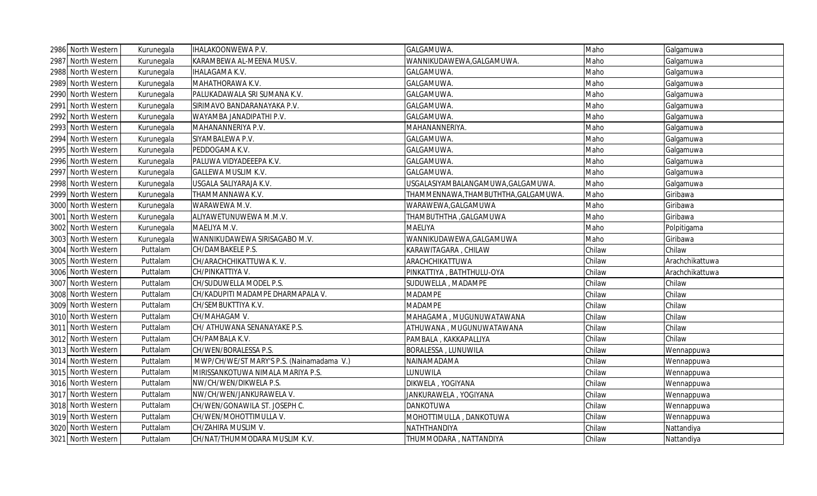| 2986 North Western | Kurunegala | <b>IHALAKOONWEWA P.V.</b>                 | GALGAMUWA.                         | Maho   | Galgamuwa       |
|--------------------|------------|-------------------------------------------|------------------------------------|--------|-----------------|
| 2987 North Western | Kurunegala | KARAMBEWA AL-MEENA MUS.V.                 | WANNIKUDAWEWA,GALGAMUWA.           | Maho   | Galgamuwa       |
| 2988 North Western | Kurunegala | <b>IHALAGAMA K.V.</b>                     | GALGAMUWA.                         | Maho   | Galgamuwa       |
| 2989 North Western | Kurunegala | MAHATHORAWA K.V.                          | GALGAMUWA.                         | Maho   | Galgamuwa       |
| 2990 North Western | Kurunegala | PALUKADAWALA SRI SUMANA K.V.              | GALGAMUWA.                         | Maho   | Galgamuwa       |
| 2991 North Western | Kurunegala | SIRIMAVO BANDARANAYAKA P.V.               | GALGAMUWA.                         | Maho   | Galgamuwa       |
| 2992 North Western | Kurunegala | WAYAMBA JANADIPATHI P.V.                  | GALGAMUWA.                         | Maho   | Galgamuwa       |
| 2993 North Western | Kurunegala | MAHANANNERIYA P.V.                        | MAHANANNERIYA.                     | Maho   | Galgamuwa       |
| 2994 North Western | Kurunegala | SIYAMBALEWA P.V.                          | GALGAMUWA.                         | Maho   | Galgamuwa       |
| 2995 North Western | Kurunegala | PEDDOGAMA K.V.                            | GALGAMUWA.                         | Maho   | Galgamuwa       |
| 2996 North Western | Kurunegala | PALUWA VIDYADEEEPA K.V.                   | GALGAMUWA.                         | Maho   | Galgamuwa       |
| 2997 North Western | Kurunegala | <b>GALLEWA MUSLIM K.V.</b>                | GALGAMUWA.                         | Maho   | Galgamuwa       |
| 2998 North Western | Kurunegala | USGALA SALIYARAJA K.V.                    | USGALASIYAMBALANGAMUWA,GALGAMUWA.  | Maho   | Galgamuwa       |
| 2999 North Western | Kurunegala | THAMMANNAWA K.V.                          | THAMMENNAWA,THAMBUTHTHA,GALGAMUWA. | Maho   | Giribawa        |
| 3000 North Western | Kurunegala | WARAWEWA M.V.                             | WARAWEWA, GALGAMUWA                | Maho   | Giribawa        |
| 3001 North Western | Kurunegala | ALIYAWETUNUWEWA M.M.V.                    | THAMBUTHTHA , GALGAMUWA            | Maho   | Giribawa        |
| 3002 North Western | Kurunegala | MAELIYA M.V.                              | MAELIYA                            | Maho   | Polpitigama     |
| 3003 North Western | Kurunegala | WANNIKUDAWEWA SIRISAGABO M.V.             | WANNIKUDAWEWA, GALGAMUWA           | Maho   | Giribawa        |
| 3004 North Western | Puttalam   | CH/DAMBAKELE P.S.                         | KARAWITAGARA, CHILAW               | Chilaw | Chilaw          |
| 3005 North Western | Puttalam   | CH/ARACHCHIKATTUWA K.V.                   | ARACHCHIKATTUWA                    | Chilaw | Arachchikattuwa |
| 3006 North Western | Puttalam   | CH/PINKATTIYA V.                          | PINKATTIYA, BATHTHULU-OYA          | Chilaw | Arachchikattuwa |
| 3007 North Western | Puttalam   | CH/SUDUWELLA MODEL P.S.                   | SUDUWELLA, MADAMPE                 | Chilaw | Chilaw          |
| 3008 North Western | Puttalam   | CH/KADUPITI MADAMPE DHARMAPALA V.         | <b>MADAMPE</b>                     | Chilaw | Chilaw          |
| 3009 North Western | Puttalam   | CH/SEMBUKTTIYA K.V.                       | <b>MADAMPE</b>                     | Chilaw | Chilaw          |
| 3010 North Western | Puttalam   | CH/MAHAGAM V.                             | MAHAGAMA, MUGUNUWATAWANA           | Chilaw | Chilaw          |
| 3011 North Western | Puttalam   | CH/ ATHUWANA SENANAYAKE P.S.              | ATHUWANA , MUGUNUWATAWANA          | Chilaw | Chilaw          |
| 3012 North Western | Puttalam   | CH/PAMBALA K.V.                           | PAMBALA, KAKKAPALLIYA              | Chilaw | Chilaw          |
| 3013 North Western | Puttalam   | CH/WEN/BORALESSA P.S.                     | BORALESSA, LUNUWILA                | Chilaw | Wennappuwa      |
| 3014 North Western | Puttalam   | MWP/CH/WE/ST MARY'S P.S. (Nainamadama V.) | NAINAMADAMA                        | Chilaw | Wennappuwa      |
| 3015 North Western | Puttalam   | MIRISSANKOTUWA NIMALA MARIYA P.S.         | LUNUWILA                           | Chilaw | Wennappuwa      |
| 3016 North Western | Puttalam   | NW/CH/WEN/DIKWELA P.S.                    | DIKWELA, YOGIYANA                  | Chilaw | Wennappuwa      |
| 3017 North Western | Puttalam   | NW/CH/WEN/JANKURAWELA V.                  | JANKURAWELA, YOGIYANA              | Chilaw | Wennappuwa      |
| 3018 North Western | Puttalam   | CH/WEN/GONAWILA ST. JOSEPH C.             | <b>DANKOTUWA</b>                   | Chilaw | Wennappuwa      |
| 3019 North Western | Puttalam   | CH/WEN/MOHOTTIMULLA V.                    | MOHOTTIMULLA, DANKOTUWA            | Chilaw | Wennappuwa      |
| 3020 North Western | Puttalam   | CH/ZAHIRA MUSLIM V.                       | NATHTHANDIYA                       | Chilaw | Nattandiya      |
| 3021 North Western | Puttalam   | CH/NAT/THUMMODARA MUSLIM K.V.             | THUMMODARA, NATTANDIYA             | Chilaw | Nattandiya      |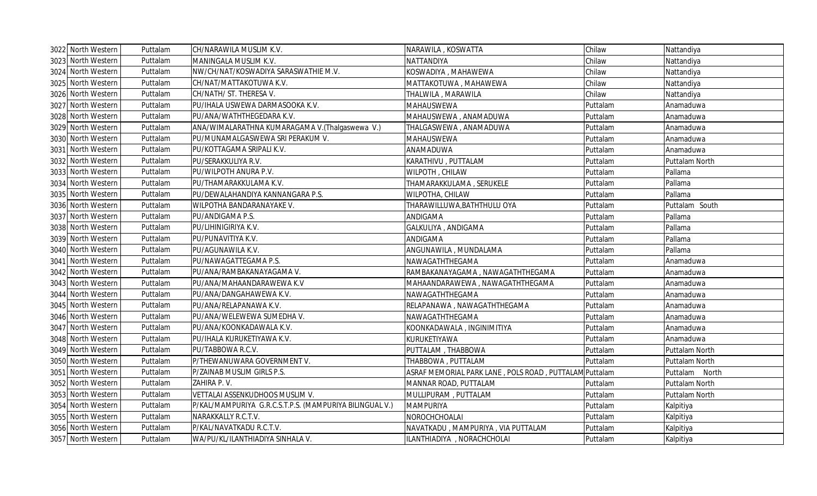| 3022 North Western | Puttalam | CH/NARAWILA MUSLIM K.V.                                 | NARAWILA, KOSWATTA                                     | Chilaw   | Nattandiya     |
|--------------------|----------|---------------------------------------------------------|--------------------------------------------------------|----------|----------------|
| 3023 North Western | Puttalam | MANINGALA MUSLIM K.V.                                   | NATTANDIYA                                             | Chilaw   | Nattandiya     |
| 3024 North Western | Puttalam | NW/CH/NAT/KOSWADIYA SARASWATHIE M.V.                    | KOSWADIYA, MAHAWEWA                                    | Chilaw   | Nattandiya     |
| 3025 North Western | Puttalam | CH/NAT/MATTAKOTUWA K.V.                                 | MATTAKOTUWA, MAHAWEWA                                  | Chilaw   | Nattandiya     |
| 3026 North Western | Puttalam | CH/NATH/ ST. THERESA V.                                 | THALWILA, MARAWILA                                     | Chilaw   | Nattandiya     |
| 3027 North Western | Puttalam | PU/IHALA USWEWA DARMASOOKA K.V.                         | <b>MAHAUSWEWA</b>                                      | Puttalam | Anamaduwa      |
| 3028 North Western | Puttalam | PU/ANA/WATHTHEGEDARA K.V.                               | MAHAUSWEWA, ANAMADUWA                                  | Puttalam | Anamaduwa      |
| 3029 North Western | Puttalam | ANA/WIMALARATHNA KUMARAGAMA V.(Thalgaswewa V.)          | THALGASWEWA, ANAMADUWA                                 | Puttalam | Anamaduwa      |
| 3030 North Western | Puttalam | PU/MUNAMALGASWEWA SRI PERAKUM V.                        | <b>MAHAUSWEWA</b>                                      | Puttalam | Anamaduwa      |
| 3031 North Western | Puttalam | PU/KOTTAGAMA SRIPALI K.V.                               | ANAMADUWA                                              | Puttalam | Anamaduwa      |
| 3032 North Western | Puttalam | PU/SERAKKULIYA R.V.                                     | KARATHIVU, PUTTALAM                                    | Puttalam | Puttalam North |
| 3033 North Western | Puttalam | PU/WILPOTH ANURA P.V.                                   | WILPOTH, CHILAW                                        | Puttalam | Pallama        |
| 3034 North Western | Puttalam | PU/THAMARAKKULAMA K.V.                                  | THAMARAKKULAMA, SERUKELE                               | Puttalam | Pallama        |
| 3035 North Western | Puttalam | PU/DEWALAHANDIYA KANNANGARA P.S.                        | WILPOTHA, CHILAW                                       | Puttalam | Pallama        |
| 3036 North Western | Puttalam | WILPOTHA BANDARANAYAKE V.                               | THARAWILLUWA, BATHTHULU OYA                            | Puttalam | Puttalam South |
| 3037 North Western | Puttalam | PU/ANDIGAMA P.S.                                        | ANDIGAMA                                               | Puttalam | Pallama        |
| 3038 North Western | Puttalam | PU/LIHINIGIRIYA K.V.                                    | GALKULIYA, ANDIGAMA                                    | Puttalam | Pallama        |
| 3039 North Western | Puttalam | PU/PUNAVITIYA K.V.                                      | ANDIGAMA                                               | Puttalam | Pallama        |
| 3040 North Western | Puttalam | PU/AGUNAWILA K.V.                                       | ANGUNAWILA, MUNDALAMA                                  | Puttalam | Pallama        |
| 3041 North Western | Puttalam | PU/NAWAGATTEGAMA P.S.                                   | NAWAGATHTHEGAMA                                        | Puttalam | Anamaduwa      |
| 3042 North Western | Puttalam | PU/ANA/RAMBAKANAYAGAMA V.                               | RAMBAKANAYAGAMA, NAWAGATHTHEGAMA                       | Puttalam | Anamaduwa      |
| 3043 North Western | Puttalam | PU/ANA/MAHAANDARAWEWA K.V                               | MAHAANDARAWEWA, NAWAGATHTHEGAMA                        | Puttalam | Anamaduwa      |
| 3044 North Western | Puttalam | PU/ANA/DANGAHAWEWA K.V.                                 | NAWAGATHTHEGAMA                                        | Puttalam | Anamaduwa      |
| 3045 North Western | Puttalam | PU/ANA/RELAPANAWA K.V.                                  | RELAPANAWA, NAWAGATHTHEGAMA                            | Puttalam | Anamaduwa      |
| 3046 North Western | Puttalam | PU/ANA/WELEWEWA SUMEDHA V.                              | NAWAGATHTHEGAMA                                        | Puttalam | Anamaduwa      |
| 3047 North Western | Puttalam | PU/ANA/KOONKADAWALA K.V.                                | KOONKADAWALA, INGINIMITIYA                             | Puttalam | Anamaduwa      |
| 3048 North Western | Puttalam | PU/IHALA KURUKETIYAWA K.V.                              | KURUKETIYAWA                                           | Puttalam | Anamaduwa      |
| 3049 North Western | Puttalam | PU/TABBOWA R.C.V.                                       | PUTTALAM, THABBOWA                                     | Puttalam | Puttalam North |
| 3050 North Western | Puttalam | P/THEWANUWARA GOVERNMENT V.                             | THABBOWA, PUTTALAM                                     | Puttalam | Puttalam North |
| 3051 North Western | Puttalam | P/ZAINAB MUSLIM GIRLS P.S.                              | ASRAF MEMORIAL PARK LANE, POLS ROAD, PUTTALAM Puttalam |          | Puttalam North |
| 3052 North Western | Puttalam | ZAHIRA P.V.                                             | MANNAR ROAD, PUTTALAM                                  | Puttalam | Puttalam North |
| 3053 North Western | Puttalam | VETTALAI ASSENKUDHOOS MUSLIM V.                         | MULLIPURAM, PUTTALAM                                   | Puttalam | Puttalam North |
| 3054 North Western | Puttalam | P/KAL/MAMPURIYA G.R.C.S.T.P.S. (MAMPURIYA BILINGUAL V.) | <b>MAMPURIYA</b>                                       | Puttalam | Kalpitiya      |
| 3055 North Western | Puttalam | NARAKKALLY R.C.T.V.                                     | NOROCHCHOALAI                                          | Puttalam | Kalpitiya      |
| 3056 North Western | Puttalam | P/KAL/NAVATKADU R.C.T.V.                                | NAVATKADU, MAMPURIYA, VIA PUTTALAM                     | Puttalam | Kalpitiya      |
| 3057 North Western | Puttalam | WA/PU/KL/ILANTHIADIYA SINHALA V.                        | ILANTHIADIYA, NORACHCHOLAI                             | Puttalam | Kalpitiya      |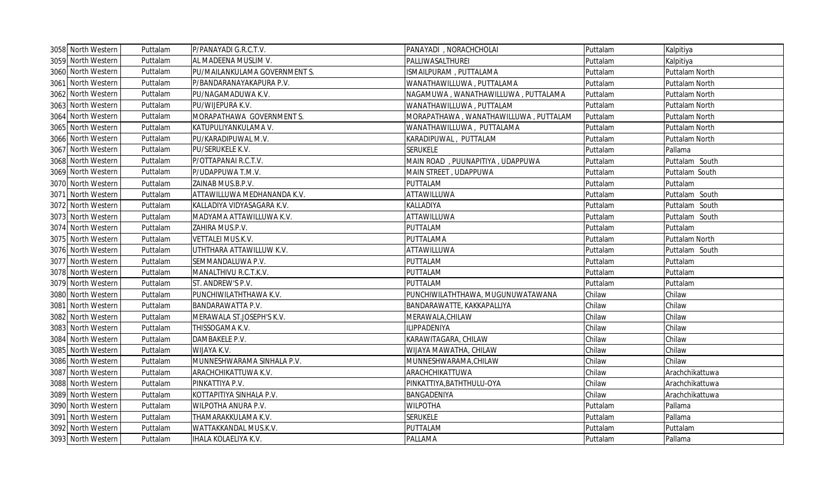|      | 3058 North Western | Puttalam | P/PANAYADI G.R.C.T.V.         | PANAYADI, NORACHCHOLAI                | Puttalam | Kalpitiya       |
|------|--------------------|----------|-------------------------------|---------------------------------------|----------|-----------------|
|      | 3059 North Western | Puttalam | AL MADEENA MUSLIM V.          | PALLIWASALTHUREI                      | Puttalam | Kalpitiya       |
|      | 3060 North Western | Puttalam | PU/MAILANKULAMA GOVERNMENT S. | ISMAILPURAM, PUTTALAMA                | Puttalam | Puttalam North  |
|      | 3061 North Western | Puttalam | P/BANDARANAYAKAPURA P.V.      | WANATHAWILLUWA, PUTTALAMA             | Puttalam | Puttalam North  |
|      | 3062 North Western | Puttalam | PU/NAGAMADUWA K.V.            | NAGAMUWA, WANATHAWILLUWA, PUTTALAMA   | Puttalam | Puttalam North  |
|      | 3063 North Western | Puttalam | PU/WIJEPURA K.V.              | WANATHAWILLUWA, PUTTALAM              | Puttalam | Puttalam North  |
|      | 3064 North Western | Puttalam | MORAPATHAWA GOVERNMENT S.     | MORAPATHAWA, WANATHAWILLUWA, PUTTALAM | Puttalam | Puttalam North  |
|      | 3065 North Western | Puttalam | KATUPULIYANKULAMA V.          | WANATHAWILLUWA, PUTTALAMA             | Puttalam | Puttalam North  |
|      | 3066 North Western | Puttalam | PU/KARADIPUWAL M.V.           | KARADIPUWAL, PUTTALAM                 | Puttalam | Puttalam North  |
|      | 3067 North Western | Puttalam | PU/SERUKELE K.V.              | <b>SERUKELE</b>                       | Puttalam | Pallama         |
|      | 3068 North Western | Puttalam | P/OTTAPANAI R.C.T.V.          | MAIN ROAD, PUUNAPITIYA, UDAPPUWA      | Puttalam | Puttalam South  |
|      | 3069 North Western | Puttalam | P/UDAPPUWA T.M.V.             | MAIN STREET, UDAPPUWA                 | Puttalam | Puttalam South  |
|      | 3070 North Western | Puttalam | ZAINAB MUS.B.P.V.             | PUTTALAM                              | Puttalam | Puttalam        |
|      | 3071 North Western | Puttalam | ATTAWILLUWA MEDHANANDA K.V.   | ATTAWILLUWA                           | Puttalam | Puttalam South  |
|      | 3072 North Western | Puttalam | KALLADIYA VIDYASAGARA K.V.    | KALLADIYA                             | Puttalam | Puttalam South  |
|      | 3073 North Western | Puttalam | MADYAMA ATTAWILLUWA K.V.      | ATTAWILLUWA                           | Puttalam | Puttalam South  |
|      | 3074 North Western | Puttalam | ZAHIRA MUS.P.V.               | PUTTALAM                              | Puttalam | Puttalam        |
|      | 3075 North Western | Puttalam | VETTALEI MUS.K.V.             | PUTTALAMA                             | Puttalam | Puttalam North  |
|      | 3076 North Western | Puttalam | UTHTHARA ATTAWILLUW K.V.      | ATTAWILLUWA                           | Puttalam | Puttalam South  |
|      | 3077 North Western | Puttalam | SEMMANDALUWA P.V.             | PUTTALAM                              | Puttalam | Puttalam        |
|      | 3078 North Western | Puttalam | MANALTHIVU R.C.T.K.V.         | PUTTALAM                              | Puttalam | Puttalam        |
|      | 3079 North Western | Puttalam | ST. ANDREW'S P.V.             | PUTTALAM                              | Puttalam | Puttalam        |
|      | 3080 North Western | Puttalam | PUNCHIWILATHTHAWA K.V.        | PUNCHIWILATHTHAWA, MUGUNUWATAWANA     | Chilaw   | Chilaw          |
|      | 3081 North Western | Puttalam | BANDARAWATTA P.V.             | BANDARAWATTE, KAKKAPALLIYA            | Chilaw   | Chilaw          |
|      | 3082 North Western | Puttalam | MERAWALA ST.JOSEPH'S K.V.     | MERAWALA, CHILAW                      | Chilaw   | Chilaw          |
|      | 3083 North Western | Puttalam | THISSOGAMA K.V.               | ILIPPADENIYA                          | Chilaw   | Chilaw          |
|      | 3084 North Western | Puttalam | DAMBAKELE P.V.                | KARAWITAGARA, CHILAW                  | Chilaw   | Chilaw          |
|      | 3085 North Western | Puttalam | WIJAYA K.V.                   | WIJAYA MAWATHA, CHILAW                | Chilaw   | Chilaw          |
| 3086 | North Western      | Puttalam | MUNNESHWARAMA SINHALA P.V.    | MUNNESHWARAMA, CHILAW                 | Chilaw   | Chilaw          |
|      | 3087 North Western | Puttalam | ARACHCHIKATTUWA K.V.          | ARACHCHIKATTUWA                       | Chilaw   | Arachchikattuwa |
|      | 3088 North Western | Puttalam | PINKATTIYA P.V.               | PINKATTIYA, BATHTHULU-OYA             | Chilaw   | Arachchikattuwa |
|      | 3089 North Western | Puttalam | KOTTAPITIYA SINHALA P.V.      | BANGADENIYA                           | Chilaw   | Arachchikattuwa |
|      | 3090 North Western | Puttalam | WILPOTHA ANURA P.V.           | <b>WILPOTHA</b>                       | Puttalam | Pallama         |
|      | 3091 North Western | Puttalam | THAMARAKKULAMA K.V.           | <b>SERUKELE</b>                       | Puttalam | Pallama         |
|      | 3092 North Western | Puttalam | WATTAKKANDAL MUS.K.V.         | PUTTALAM                              | Puttalam | Puttalam        |
|      | 3093 North Western | Puttalam | IHALA KOLAELIYA K.V.          | PALLAMA                               | Puttalam | Pallama         |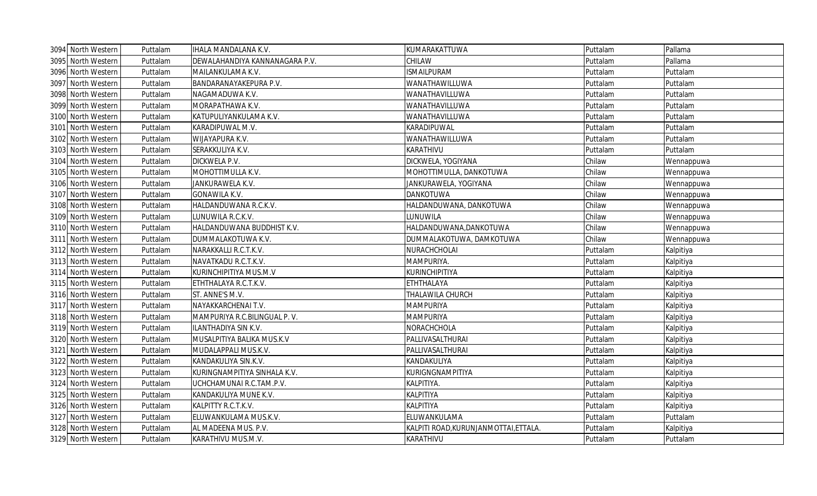| 3094 North Western | Puttalam | <b>IHALA MANDALANA K.V.</b>    | KUMARAKATTUWA                         | Puttalam | Pallama    |
|--------------------|----------|--------------------------------|---------------------------------------|----------|------------|
| 3095 North Western | Puttalam | DEWALAHANDIYA KANNANAGARA P.V. | CHILAW                                | Puttalam | Pallama    |
| 3096 North Western | Puttalam | MAILANKULAMA K.V.              | <b>ISMAILPURAM</b>                    | Puttalam | Puttalam   |
| 3097 North Western | Puttalam | BANDARANAYAKEPURA P.V.         | WANATHAWILLUWA                        | Puttalam | Puttalam   |
| 3098 North Western | Puttalam | NAGAMADUWA K.V.                | WANATHAVILLUWA                        | Puttalam | Puttalam   |
| 3099 North Western | Puttalam | MORAPATHAWA K.V.               | WANATHAVILLUWA                        | Puttalam | Puttalam   |
| 3100 North Western | Puttalam | KATUPULIYANKULAMA K.V.         | WANATHAVILLUWA                        | Puttalam | Puttalam   |
| 3101 North Western | Puttalam | KARADIPUWAL M.V.               | KARADIPUWAL                           | Puttalam | Puttalam   |
| 3102 North Western | Puttalam | WIJAYAPURA K.V.                | WANATHAWILLUWA                        | Puttalam | Puttalam   |
| 3103 North Western | Puttalam | SERAKKULIYA K.V.               | KARATHIVU                             | Puttalam | Puttalam   |
| 3104 North Western | Puttalam | DICKWELA P.V.                  | DICKWELA, YOGIYANA                    | Chilaw   | Wennappuwa |
| 3105 North Western | Puttalam | MOHOTTIMULLA K.V.              | MOHOTTIMULLA, DANKOTUWA               | Chilaw   | Wennappuwa |
| 3106 North Western | Puttalam | JANKURAWELA K.V.               | JANKURAWELA, YOGIYANA                 | Chilaw   | Wennappuwa |
| 3107 North Western | Puttalam | GONAWILA K.V.                  | <b>DANKOTUWA</b>                      | Chilaw   | Wennappuwa |
| 3108 North Western | Puttalam | HALDANDUWANA R.C.K.V.          | HALDANDUWANA, DANKOTUWA               | Chilaw   | Wennappuwa |
| 3109 North Western | Puttalam | UNUWILA R.C.K.V.               | LUNUWILA                              | Chilaw   | Wennappuwa |
| 3110 North Western | Puttalam | HALDANDUWANA BUDDHIST K.V.     | HALDANDUWANA,DANKOTUWA                | Chilaw   | Wennappuwa |
| 3111 North Western | Puttalam | DUMMALAKOTUWA K.V.             | DUMMALAKOTUWA, DAMKOTUWA              | Chilaw   | Wennappuwa |
| 3112 North Western | Puttalam | NARAKKALLI R.C.T.K.V.          | NURACHCHOLAI                          | Puttalam | Kalpitiya  |
| 3113 North Western | Puttalam | NAVATKADU R.C.T.K.V.           | MAMPURIYA.                            | Puttalam | Kalpitiya  |
| 3114 North Western | Puttalam | KURINCHIPITIYA MUS.M.V         | KURINCHIPITIYA                        | Puttalam | Kalpitiya  |
| 3115 North Western | Puttalam | ETHTHALAYA R.C.T.K.V.          | ETHTHALAYA                            | Puttalam | Kalpitiya  |
| 3116 North Western | Puttalam | ST. ANNE'S M.V.                | THALAWILA CHURCH                      | Puttalam | Kalpitiya  |
| 3117 North Western | Puttalam | NAYAKKARCHENAI T.V.            | <b>MAMPURIYA</b>                      | Puttalam | Kalpitiya  |
| 3118 North Western | Puttalam | MAMPURIYA R.C.BILINGUAL P.V.   | <b>MAMPURIYA</b>                      | Puttalam | Kalpitiya  |
| 3119 North Western | Puttalam | ILANTHADIYA SIN K.V.           | NORACHCHOLA                           | Puttalam | Kalpitiya  |
| 3120 North Western | Puttalam | MUSALPITIYA BALIKA MUS.K.V     | PALLIVASALTHURAI                      | Puttalam | Kalpitiya  |
| 3121 North Western | Puttalam | MUDALAPPALI MUS.K.V.           | PALLIVASALTHURAI                      | Puttalam | Kalpitiya  |
| 3122 North Western | Puttalam | KANDAKULIYA SIN.K.V.           | KANDAKULIYA                           | Puttalam | Kalpitiya  |
| 3123 North Western | Puttalam | KURINGNAMPITIYA SINHALA K.V.   | KURIGNGNAMPITIYA                      | Puttalam | Kalpitiya  |
| 3124 North Western | Puttalam | UCHCHAMUNAI R.C.TAM.P.V.       | KALPITIYA.                            | Puttalam | Kalpitiya  |
| 3125 North Western | Puttalam | KANDAKULIYA MUNE K.V.          | ΚΑΙΡΙΤΙΥΑ                             | Puttalam | Kalpitiya  |
| 3126 North Western | Puttalam | KALPITTY R.C.T.K.V.            | ΚΑΙΡΙΤΙΥΑ                             | Puttalam | Kalpitiya  |
| 3127 North Western | Puttalam | ELUWANKULAMA MUS.K.V.          | ELUWANKULAMA                          | Puttalam | Puttalam   |
| 3128 North Western | Puttalam | AL MADEENA MUS. P.V.           | KALPITI ROAD, KURUNJANMOTTAI, ETTALA. | Puttalam | Kalpitiya  |
| 3129 North Western | Puttalam | KARATHIVU MUS.M.V.             | KARATHIVU                             | Puttalam | Puttalam   |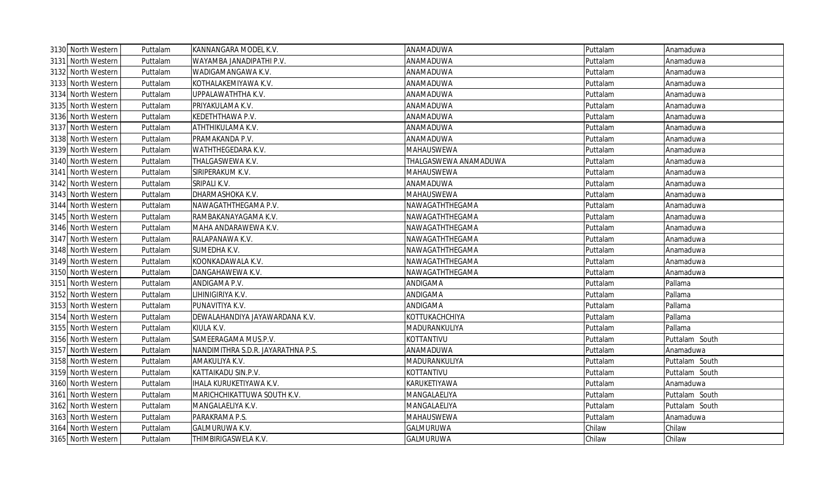| 3130 North Western | Puttalam | KANNANGARA MODEL K.V.              | ANAMADUWA             | Puttalam | Anamaduwa      |
|--------------------|----------|------------------------------------|-----------------------|----------|----------------|
| 3131 North Western | Puttalam | WAYAMBA JANADIPATHI P.V.           | ANAMADUWA             | Puttalam | Anamaduwa      |
| 3132 North Western | Puttalam | WADIGAMANGAWA K.V.                 | ANAMADUWA             | Puttalam | Anamaduwa      |
| 3133 North Western | Puttalam | KOTHALAKEMIYAWA K.V.               | ANAMADUWA             | Puttalam | Anamaduwa      |
| 3134 North Western | Puttalam | UPPALAWATHTHA K.V.                 | ANAMADUWA             | Puttalam | Anamaduwa      |
| 3135 North Western | Puttalam | PRIYAKULAMA K.V.                   | ANAMADUWA             | Puttalam | Anamaduwa      |
| 3136 North Western | Puttalam | KEDETHTHAWA P.V.                   | ANAMADUWA             | Puttalam | Anamaduwa      |
| 3137 North Western | Puttalam | ATHTHIKULAMA K.V.                  | ANAMADUWA             | Puttalam | Anamaduwa      |
| 3138 North Western | Puttalam | PRAMAKANDA P.V.                    | ANAMADUWA             | Puttalam | Anamaduwa      |
| 3139 North Western | Puttalam | WATHTHEGEDARA K.V.                 | MAHAUSWEWA            | Puttalam | Anamaduwa      |
| 3140 North Western | Puttalam | THALGASWEWA K.V.                   | THALGASWEWA ANAMADUWA | Puttalam | Anamaduwa      |
| 3141 North Western | Puttalam | SIRIPERAKUM K.V.                   | MAHAUSWEWA            | Puttalam | Anamaduwa      |
| 3142 North Western | Puttalam | SRIPALI K.V.                       | ANAMADUWA             | Puttalam | Anamaduwa      |
| 3143 North Western | Puttalam | DHARMASHOKA K.V.                   | MAHAUSWEWA            | Puttalam | Anamaduwa      |
| 3144 North Western | Puttalam | NAWAGATHTHEGAMA P.V.               | NAWAGATHTHEGAMA       | Puttalam | Anamaduwa      |
| 3145 North Western | Puttalam | RAMBAKANAYAGAMA K.V.               | NAWAGATHTHEGAMA       | Puttalam | Anamaduwa      |
| 3146 North Western | Puttalam | MAHA ANDARAWEWA K.V.               | NAWAGATHTHEGAMA       | Puttalam | Anamaduwa      |
| 3147 North Western | Puttalam | RALAPANAWA K.V.                    | NAWAGATHTHEGAMA       | Puttalam | Anamaduwa      |
| 3148 North Western | Puttalam | SUMEDHA K.V.                       | NAWAGATHTHEGAMA       | Puttalam | Anamaduwa      |
| 3149 North Western | Puttalam | KOONKADAWALA K.V.                  | NAWAGATHTHEGAMA       | Puttalam | Anamaduwa      |
| 3150 North Western | Puttalam | DANGAHAWEWA K.V.                   | NAWAGATHTHEGAMA       | Puttalam | Anamaduwa      |
| 3151 North Western | Puttalam | ANDIGAMA P.V.                      | ANDIGAMA              | Puttalam | Pallama        |
| 3152 North Western | Puttalam | LIHINIGIRIYA K.V.                  | ANDIGAMA              | Puttalam | Pallama        |
| 3153 North Western | Puttalam | PUNAVITIYA K.V.                    | ANDIGAMA              | Puttalam | Pallama        |
| 3154 North Western | Puttalam | DEWALAHANDIYA JAYAWARDANA K.V.     | KOTTUKACHCHIYA        | Puttalam | Pallama        |
| 3155 North Western | Puttalam | KIULA K.V.                         | MADURANKULIYA         | Puttalam | Pallama        |
| 3156 North Western | Puttalam | SAMEERAGAMA MUS.P.V.               | KOTTANTIVU            | Puttalam | Puttalam South |
| 3157 North Western | Puttalam | NANDIMITHRA S.D.R. JAYARATHNA P.S. | ANAMADUWA             | Puttalam | Anamaduwa      |
| 3158 North Western | Puttalam | AMAKULIYA K.V.                     | MADURANKULIYA         | Puttalam | Puttalam South |
| 3159 North Western | Puttalam | KATTAIKADU SIN.P.V.                | KOTTANTIVU            | Puttalam | Puttalam South |
| 3160 North Western | Puttalam | IHALA KURUKETIYAWA K.V.            | KARUKETIYAWA          | Puttalam | Anamaduwa      |
| 3161 North Western | Puttalam | MARICHCHIKATTUWA SOUTH K.V.        | MANGALAELIYA          | Puttalam | Puttalam South |
| 3162 North Western | Puttalam | MANGALAELIYA K.V.                  | MANGALAELIYA          | Puttalam | Puttalam South |
| 3163 North Western | Puttalam | PARAKRAMA P.S.                     | MAHAUSWEWA            | Puttalam | Anamaduwa      |
| 3164 North Western | Puttalam | GALMURUWA K.V.                     | GALMURUWA             | Chilaw   | Chilaw         |
| 3165 North Western | Puttalam | THIMBIRIGASWELA K.V.               | GALMURUWA             | Chilaw   | Chilaw         |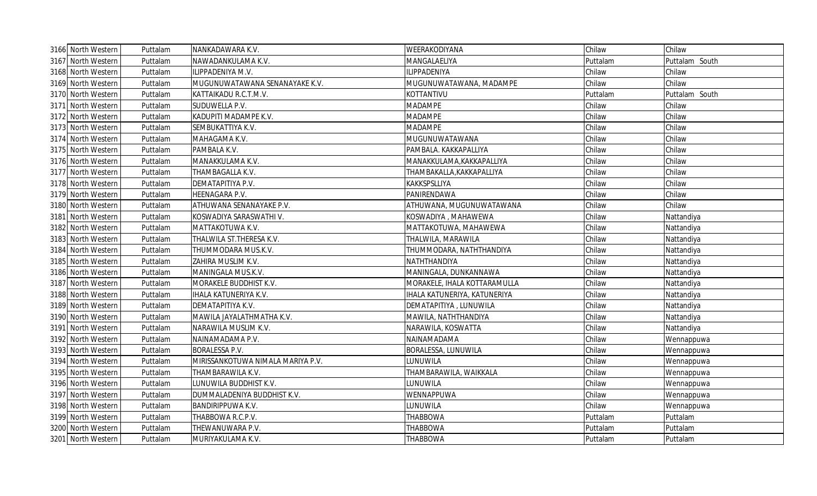| 3166 North Western | Puttalam | NANKADAWARA K.V.                  | WEERAKODIYANA                | Chilaw   | Chilaw         |
|--------------------|----------|-----------------------------------|------------------------------|----------|----------------|
| 3167 North Western | Puttalam | NAWADANKULAMA K.V.                | MANGALAELIYA                 | Puttalam | Puttalam South |
| 3168 North Western | Puttalam | LIPPADENIYA M.V.                  | <b>ILIPPADENIYA</b>          | Chilaw   | Chilaw         |
| 3169 North Western | Puttalam | MUGUNUWATAWANA SENANAYAKE K.V.    | MUGUNUWATAWANA, MADAMPE      | Chilaw   | Chilaw         |
| 3170 North Western | Puttalam | KATTAIKADU R.C.T.M.V.             | KOTTANTIVU                   | Puttalam | Puttalam South |
| 3171 North Western | Puttalam | SUDUWELLA P.V.                    | <b>MADAMPE</b>               | Chilaw   | Chilaw         |
| 3172 North Western | Puttalam | KADUPITI MADAMPE K.V.             | <b>MADAMPE</b>               | Chilaw   | Chilaw         |
| 3173 North Western | Puttalam | SEMBUKATTIYA K.V.                 | <b>MADAMPE</b>               | Chilaw   | Chilaw         |
| 3174 North Western | Puttalam | MAHAGAMA K.V.                     | MUGUNUWATAWANA               | Chilaw   | Chilaw         |
| 3175 North Western | Puttalam | PAMBALA K.V.                      | PAMBALA. KAKKAPALLIYA        | Chilaw   | Chilaw         |
| 3176 North Western | Puttalam | MANAKKULAMA K.V.                  | MANAKKULAMA, KAKKAPALLIYA    | Chilaw   | Chilaw         |
| 3177 North Western | Puttalam | THAMBAGALLA K.V.                  | THAMBAKALLA, KAKKAPALLIYA    | Chilaw   | Chilaw         |
| 3178 North Western | Puttalam | DEMATAPITIYA P.V.                 | KAKKSPSLLIYA                 | Chilaw   | Chilaw         |
| 3179 North Western | Puttalam | HEENAGARA P.V.                    | PANIRENDAWA                  | Chilaw   | Chilaw         |
| 3180 North Western | Puttalam | ATHUWANA SENANAYAKE P.V.          | ATHUWANA, MUGUNUWATAWANA     | Chilaw   | Chilaw         |
| 3181 North Western | Puttalam | KOSWADIYA SARASWATHI V.           | KOSWADIYA , MAHAWEWA         | Chilaw   | Nattandiya     |
| 3182 North Western | Puttalam | MATTAKOTUWA K.V.                  | MATTAKOTUWA, MAHAWEWA        | Chilaw   | Nattandiya     |
| 3183 North Western | Puttalam | THALWILA ST. THERESA K.V.         | THALWILA, MARAWILA           | Chilaw   | Nattandiya     |
| 3184 North Western | Puttalam | THUMMODARA MUS.K.V.               | THUMMODARA, NATHTHANDIYA     | Chilaw   | Nattandiya     |
| 3185 North Western | Puttalam | ZAHIRA MUSLIM K.V.                | NATHTHANDIYA                 | Chilaw   | Nattandiya     |
| 3186 North Western | Puttalam | MANINGALA MUS.K.V.                | MANINGALA, DUNKANNAWA        | Chilaw   | Nattandiya     |
| 3187 North Western | Puttalam | MORAKELE BUDDHIST K.V.            | MORAKELE, IHALA KOTTARAMULLA | Chilaw   | Nattandiya     |
| 3188 North Western | Puttalam | IHALA KATUNERIYA K.V.             | IHALA KATUNERIYA, KATUNERIYA | Chilaw   | Nattandiya     |
| 3189 North Western | Puttalam | DEMATAPITIYA K.V.                 | DEMATAPITIYA, LUNUWILA       | Chilaw   | Nattandiya     |
| 3190 North Western | Puttalam | MAWILA JAYALATHMATHA K.V.         | MAWILA, NATHTHANDIYA         | Chilaw   | Nattandiya     |
| 3191 North Western | Puttalam | NARAWILA MUSLIM K.V.              | NARAWILA, KOSWATTA           | Chilaw   | Nattandiya     |
| 3192 North Western | Puttalam | NAINAMADAMA P.V.                  | NAINAMADAMA                  | Chilaw   | Wennappuwa     |
| 3193 North Western | Puttalam | <b>BORALESSA P.V.</b>             | BORALESSA, LUNUWILA          | Chilaw   | Wennappuwa     |
| 3194 North Western | Puttalam | MIRISSANKOTUWA NIMALA MARIYA P.V. | LUNUWILA                     | Chilaw   | Wennappuwa     |
| 3195 North Western | Puttalam | THAMBARAWILA K.V.                 | THAMBARAWILA, WAIKKALA       | Chilaw   | Wennappuwa     |
| 3196 North Western | Puttalam | LUNUWILA BUDDHIST K.V.            | LUNUWILA                     | Chilaw   | Wennappuwa     |
| 3197 North Western | Puttalam | DUMMALADENIYA BUDDHIST K.V.       | WENNAPPUWA                   | Chilaw   | Wennappuwa     |
| 3198 North Western | Puttalam | BANDIRIPPUWA K.V.                 | LUNUWILA                     | Chilaw   | Wennappuwa     |
| 3199 North Western | Puttalam | THABBOWA R.C.P.V.                 | <b>THABBOWA</b>              | Puttalam | Puttalam       |
| 3200 North Western | Puttalam | THEWANUWARA P.V.                  | <b>THABBOWA</b>              | Puttalam | Puttalam       |
| 3201 North Western | Puttalam | MURIYAKULAMA K.V.                 | <b>THABBOWA</b>              | Puttalam | Puttalam       |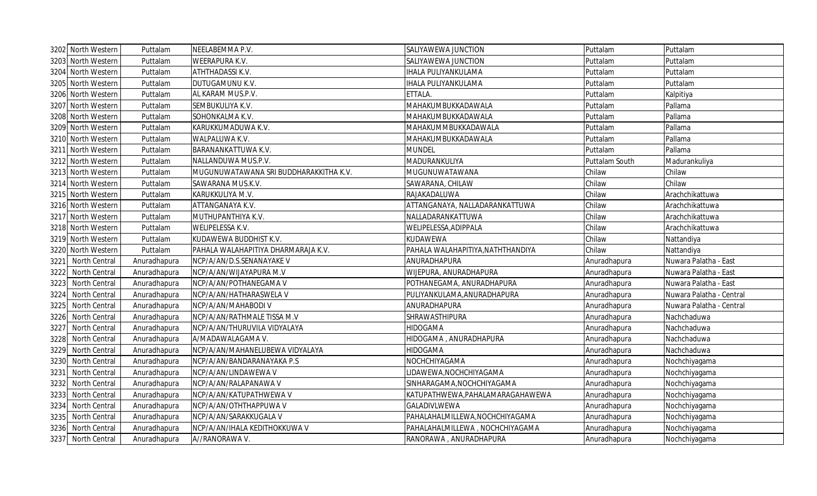|      | 3202 North Western | Puttalam     | NEELABEMMA P.V.                        | SALIYAWEWA JUNCTION               | Puttalam       | Puttalam                 |
|------|--------------------|--------------|----------------------------------------|-----------------------------------|----------------|--------------------------|
| 3203 | North Western      | Puttalam     | WEERAPURA K.V.                         | SALIYAWEWA JUNCTION               | Puttalam       | Puttalam                 |
| 3204 | North Western      | Puttalam     | ATHTHADASSI K.V.                       | <b>IHALA PULIYANKULAMA</b>        | Puttalam       | Puttalam                 |
| 3205 | North Western      | Puttalam     | DUTUGAMUNU K.V.                        | <b>IHALA PULIYANKULAMA</b>        | Puttalam       | Puttalam                 |
| 3206 | North Western      | Puttalam     | AL KARAM MUS.P.V.                      | ETTALA.                           | Puttalam       | Kalpitiya                |
| 3207 | North Western      | Puttalam     | SEMBUKULIYA K.V.                       | MAHAKUMBUKKADAWALA                | Puttalam       | Pallama                  |
| 3208 | North Western      | Puttalam     | SOHONKALMA K.V.                        | MAHAKUMBUKKADAWALA                | Puttalam       | Pallama                  |
| 3209 | North Western      | Puttalam     | KARUKKUMADUWA K.V.                     | MAHAKUMMBUKKADAWALA               | Puttalam       | Pallama                  |
|      | 3210 North Western | Puttalam     | WALPALUWA K.V.                         | MAHAKUMBUKKADAWALA                | Puttalam       | Pallama                  |
|      | 3211 North Western | Puttalam     | BARANANKATTUWA K.V.                    | <b>MUNDEL</b>                     | Puttalam       | Pallama                  |
|      | 3212 North Western | Puttalam     | NALLANDUWA MUS.P.V.                    | MADURANKULIYA                     | Puttalam South | Madurankuliya            |
|      | 3213 North Western | Puttalam     | MUGUNUWATAWANA SRI BUDDHARAKKITHA K.V. | MUGUNUWATAWANA                    | Chilaw         | Chilaw                   |
|      | 3214 North Western | Puttalam     | SAWARANA MUS.K.V.                      | SAWARANA, CHILAW                  | Chilaw         | Chilaw                   |
|      | 3215 North Western | Puttalam     | KARUKKULIYA M.V.                       | RAJAKADALUWA                      | Chilaw         | Arachchikattuwa          |
| 3216 | North Western      | Puttalam     | ATTANGANAYA K.V.                       | ATTANGANAYA, NALLADARANKATTUWA    | Chilaw         | Arachchikattuwa          |
|      | 3217 North Western | Puttalam     | MUTHUPANTHIYA K.V.                     | NALLADARANKATTUWA                 | Chilaw         | Arachchikattuwa          |
|      | 3218 North Western | Puttalam     | WELIPELESSA K.V.                       | WELIPELESSA, ADIPPALA             | Chilaw         | Arachchikattuwa          |
|      | 3219 North Western | Puttalam     | KUDAWEWA BUDDHIST K.V.                 | <b>KUDAWEWA</b>                   | Chilaw         | Nattandiya               |
| 3220 | North Western      | Puttalam     | PAHALA WALAHAPITIYA DHARMARAJA K.V.    | PAHALA WALAHAPITIYA, NATHTHANDIYA | Chilaw         | Nattandiya               |
| 3221 | North Central      | Anuradhapura | NCP/A/AN/D.S.SENANAYAKE V              | ANURADHAPURA                      | Anuradhapura   | Nuwara Palatha - East    |
| 3222 | North Central      | Anuradhapura | NCP/A/AN/WIJAYAPURA M.V                | WIJEPURA, ANURADHAPURA            | Anuradhapura   | Nuwara Palatha - East    |
| 3223 | North Central      | Anuradhapura | NCP/A/AN/POTHANEGAMA V                 | POTHANEGAMA, ANURADHAPURA         | Anuradhapura   | Nuwara Palatha - East    |
| 3224 | North Central      | Anuradhapura | NCP/A/AN/HATHARASWELA V                | PULIYANKULAMA, ANURADHAPURA       | Anuradhapura   | Nuwara Palatha - Central |
| 3225 | North Central      | Anuradhapura | NCP/A/AN/MAHABODI V                    | ANURADHAPURA                      | Anuradhapura   | Nuwara Palatha - Central |
| 3226 | North Central      | Anuradhapura | NCP/A/AN/RATHMALE TISSA M.V            | SHRAWASTHIPURA                    | Anuradhapura   | Nachchaduwa              |
| 3227 | North Central      | Anuradhapura | NCP/A/AN/THURUVILA VIDYALAYA           | <b>HIDOGAMA</b>                   | Anuradhapura   | Nachchaduwa              |
| 3228 | North Central      | Anuradhapura | A/MADAWALAGAMA V.                      | HIDOGAMA, ANURADHAPURA            | Anuradhapura   | Nachchaduwa              |
| 3229 | North Central      | Anuradhapura | NCP/A/AN/MAHANELUBEWA VIDYALAYA        | HIDOGAMA                          | Anuradhapura   | Nachchaduwa              |
| 3230 | North Central      | Anuradhapura | NCP/A/AN/BANDARANAYAKA P.S             | NOCHCHIYAGAMA                     | Anuradhapura   | Nochchiyagama            |
| 3231 | North Central      | Anuradhapura | NCP/A/AN/LINDAWEWA V                   | LIDAWEWA, NOCHCHIYAGAMA           | Anuradhapura   | Nochchiyagama            |
| 3232 | North Central      | Anuradhapura | NCP/A/AN/RALAPANAWA V                  | SINHARAGAMA, NOCHCHIYAGAMA        | Anuradhapura   | Nochchiyagama            |
| 3233 | North Central      | Anuradhapura | NCP/A/AN/KATUPATHWEWA V                | KATUPATHWEWA, PAHALAMARAGAHAWEWA  | Anuradhapura   | Nochchiyagama            |
| 3234 | North Central      | Anuradhapura | NCP/A/AN/OTHTHAPPUWA V                 | GALADIVLWEWA                      | Anuradhapura   | Nochchiyagama            |
| 3235 | North Central      | Anuradhapura | NCP/A/AN/SARAKKUGALA V                 | PAHALAHALMILLEWA, NOCHCHIYAGAMA   | Anuradhapura   | Nochchiyagama            |
| 3236 | North Central      | Anuradhapura | NCP/A/AN/IHALA KEDITHOKKUWA V          | PAHALAHALMILLEWA, NOCHCHIYAGAMA   | Anuradhapura   | Nochchiyagama            |
|      | 3237 North Central | Anuradhapura | A//RANORAWA V.                         | RANORAWA, ANURADHAPURA            | Anuradhapura   | Nochchiyagama            |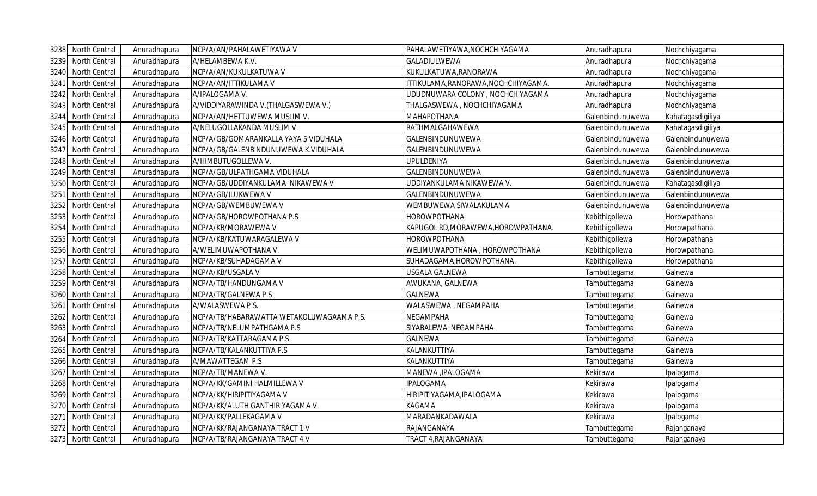| 3238 | North Central        | Anuradhapura | NCP/A/AN/PAHALAWETIYAWA V                 | PAHALAWETIYAWA, NOCHCHIYAGAMA       | Anuradhapura     | Nochchiyagama     |
|------|----------------------|--------------|-------------------------------------------|-------------------------------------|------------------|-------------------|
| 3239 | North Central        | Anuradhapura | A/HELAMBEWA K.V.                          | GALADIULWEWA                        | Anuradhapura     | Nochchiyagama     |
| 3240 | North Central        | Anuradhapura | NCP/A/AN/KUKULKATUWA V                    | KUKULKATUWA,RANORAWA                | Anuradhapura     | Nochchiyagama     |
| 3241 | <b>North Central</b> | Anuradhapura | NCP/A/AN/ITTIKULAMA V                     | TTIKULAMA, RANORAWA, NOCHCHIYAGAMA. | Anuradhapura     | Nochchiyagama     |
| 3242 | North Central        | Anuradhapura | A/IPALOGAMA V.                            | UDUDNUWARA COLONY, NOCHCHIYAGAMA    | Anuradhapura     | Nochchiyagama     |
| 3243 | North Central        | Anuradhapura | A/VIDDIYARAWINDA V.(THALGASWEWA V.)       | THALGASWEWA, NOCHCHIYAGAMA          | Anuradhapura     | Nochchiyagama     |
| 3244 | North Central        | Anuradhapura | NCP/A/AN/HETTUWEWA MUSLIM V.              | <b>MAHAPOTHANA</b>                  | Galenbindunuwewa | Kahatagasdigiliya |
| 3245 | North Central        | Anuradhapura | A/NELUGOLLAKANDA MUSLIM V.                | RATHMALGAHAWEWA                     | Galenbindunuwewa | Kahatagasdigiliya |
| 3246 | North Central        | Anuradhapura | NCP/A/GB/GOMARANKALLA YAYA 5 VIDUHALA     | GALENBINDUNUWEWA                    | Galenbindunuwewa | Galenbindunuwewa  |
| 3247 | North Central        | Anuradhapura | NCP/A/GB/GALENBINDUNUWEWA K.VIDUHALA      | GALENBINDUNUWEWA                    | Galenbindunuwewa | Galenbindunuwewa  |
| 3248 | North Central        | Anuradhapura | A/HIMBUTUGOLLEWA V.                       | <b>UPULDENIYA</b>                   | Galenbindunuwewa | Galenbindunuwewa  |
|      | 3249 North Central   | Anuradhapura | NCP/A/GB/ULPATHGAMA VIDUHALA              | GALENBINDUNUWEWA                    | Galenbindunuwewa | Galenbindunuwewa  |
| 3250 | North Central        | Anuradhapura | NCP/A/GB/UDDIYANKULAMA NIKAWEWA V         | UDDIYANKULAMA NIKAWEWA V.           | Galenbindunuwewa | Kahatagasdigiliya |
| 3251 | North Central        | Anuradhapura | NCP/A/GB/ILUKWEWA V                       | GALENBINDUNUWEWA                    | Galenbindunuwewa | Galenbindunuwewa  |
| 3252 | North Central        | Anuradhapura | NCP/A/GB/WEMBUWEWA V                      | WEMBUWEWA SIWALAKULAMA              | Galenbindunuwewa | Galenbindunuwewa  |
| 3253 | North Central        | Anuradhapura | NCP/A/GB/HOROWPOTHANA P.S                 | HOROWPOTHANA                        | Kebithigollewa   | Horowpathana      |
| 3254 | North Central        | Anuradhapura | NCP/A/KB/MORAWEWA V                       | KAPUGOL RD, MORAWEWA, HOROWPATHANA. | Kebithigollewa   | Horowpathana      |
| 3255 | North Central        | Anuradhapura | NCP/A/KB/KATUWARAGALEWA V                 | <b>HOROWPOTHANA</b>                 | Kebithigollewa   | Horowpathana      |
| 3256 | North Central        | Anuradhapura | A/WELIMUWAPOTHANA V.                      | WELIMUWAPOTHANA, HOROWPOTHANA       | Kebithigollewa   | Horowpathana      |
| 3257 | North Central        | Anuradhapura | NCP/A/KB/SUHADAGAMA V                     | SUHADAGAMA, HOROWPOTHANA            | Kebithigollewa   | Horowpathana      |
| 3258 | North Central        | Anuradhapura | NCP/A/KB/USGALA V                         | <b>USGALA GALNEWA</b>               | Tambuttegama     | Galnewa           |
| 3259 | North Central        | Anuradhapura | NCP/A/TB/HANDUNGAMA V                     | AWUKANA, GALNEWA                    | Tambuttegama     | Galnewa           |
| 3260 | North Central        | Anuradhapura | NCP/A/TB/GALNEWA P.S                      | <b>GALNEWA</b>                      | Tambuttegama     | Galnewa           |
| 3261 | North Central        | Anuradhapura | A/WALASWEWA P.S.                          | WALASWEWA, NEGAMPAHA                | Tambuttegama     | Galnewa           |
| 3262 | North Central        | Anuradhapura | NCP/A/TB/HABARAWATTA WETAKOLUWAGAAMA P.S. | NEGAMPAHA                           | Tambuttegama     | Galnewa           |
| 3263 | North Central        | Anuradhapura | NCP/A/TB/NELUMPATHGAMA P.S                | SIYABALEWA NEGAMPAHA                | Tambuttegama     | Galnewa           |
| 3264 | North Central        | Anuradhapura | NCP/A/TB/KATTARAGAMA P.S                  | GALNEWA                             | Tambuttegama     | Galnewa           |
| 3265 | North Central        | Anuradhapura | NCP/A/TB/KALANKUTTIYA P.S                 | KALANKUTTIYA                        | Tambuttegama     | Galnewa           |
| 3266 | North Central        | Anuradhapura | A/MAWATTEGAM P.S                          | KALANKUTTIYA                        | Tambuttegama     | Galnewa           |
| 3267 | North Central        | Anuradhapura | NCP/A/TB/MANEWA V.                        | MANEWA , IPALOGAMA                  | Kekirawa         | Ipalogama         |
| 3268 | North Central        | Anuradhapura | NCP/A/KK/GAMINI HALMILLEWA V              | <b>IPALOGAMA</b>                    | Kekirawa         | Ipalogama         |
| 3269 | North Central        | Anuradhapura | NCP/A/KK/HIRIPITIYAGAMA V                 | HIRIPITIYAGAMA, IPALOGAMA           | Kekirawa         | Ipalogama         |
| 3270 | North Central        | Anuradhapura | NCP/A/KK/ALUTH GANTHIRIYAGAMA V.          | <b>KAGAMA</b>                       | Kekirawa         | Ipalogama         |
| 3271 | North Central        | Anuradhapura | NCP/A/KK/PALLEKAGAMA V                    | MARADANKADAWALA                     | Kekirawa         | Ipalogama         |
| 3272 | North Central        | Anuradhapura | NCP/A/KK/RAJANGANAYA TRACT 1 V            | RAJANGANAYA                         | Tambuttegama     | Rajanganaya       |
|      | 3273 North Central   | Anuradhapura | NCP/A/TB/RAJANGANAYA TRACT 4 V            | TRACT 4, RAJANGANAYA                | Tambuttegama     | Rajanganaya       |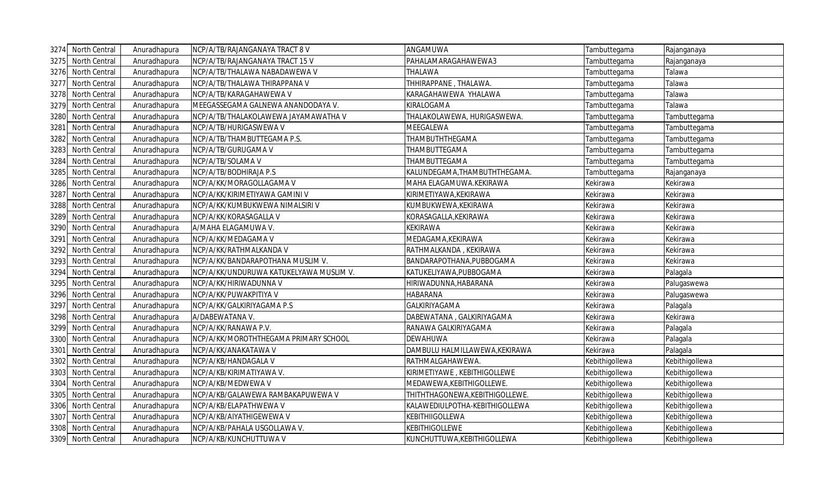| 3274 | North Central | Anuradhapura | NCP/A/TB/RAJANGANAYA TRACT 8 V          | ANGAMUWA                        | Tambuttegama   | Rajanganaya    |
|------|---------------|--------------|-----------------------------------------|---------------------------------|----------------|----------------|
| 3275 | North Central | Anuradhapura | NCP/A/TB/RAJANGANAYA TRACT 15 V         | PAHALAMARAGAHAWEWA3             | Tambuttegama   | Rajanganaya    |
| 3276 | North Central | Anuradhapura | NCP/A/TB/THALAWA NABADAWEWA V           | THALAWA                         | Tambuttegama   | Talawa         |
| 3277 | North Central | Anuradhapura | NCP/A/TB/THALAWA THIRAPPANA V           | THHIRAPPANE, THALAWA.           | Tambuttegama   | Talawa         |
| 3278 | North Central | Anuradhapura | NCP/A/TB/KARAGAHAWEWA V                 | KARAGAHAWEWA YHALAWA            | Tambuttegama   | Talawa         |
| 3279 | North Central | Anuradhapura | MEEGASSEGAMA GALNEWA ANANDODAYA V.      | KIRALOGAMA                      | Tambuttegama   | Talawa         |
| 3280 | North Central | Anuradhapura | NCP/A/TB/THALAKOLAWEWA JAYAMAWATHA V    | THALAKOLAWEWA, HURIGASWEWA      | Tambuttegama   | Tambuttegama   |
| 3281 | North Central | Anuradhapura | NCP/A/TB/HURIGASWEWA V                  | <b>MEEGALEWA</b>                | Tambuttegama   | Tambuttegama   |
| 3282 | North Central | Anuradhapura | NCP/A/TB/THAMBUTTEGAMA P.S.             | THAMBUTHTHEGAMA                 | Tambuttegama   | Tambuttegama   |
| 3283 | North Central | Anuradhapura | NCP/A/TB/GURUGAMA V                     | THAMBUTTEGAMA                   | Tambuttegama   | Tambuttegama   |
| 3284 | North Central | Anuradhapura | NCP/A/TB/SOLAMA V                       | THAMBUTTEGAMA                   | Tambuttegama   | Tambuttegama   |
| 3285 | North Central | Anuradhapura | NCP/A/TB/BODHIRAJA P.S                  | KALUNDEGAMA, THAMBUTHTHEGAMA.   | Tambuttegama   | Rajanganaya    |
| 3286 | North Central | Anuradhapura | NCP/A/KK/MORAGOLLAGAMA V                | MAHA ELAGAMUWA.KEKIRAWA         | Kekirawa       | Kekirawa       |
| 3287 | North Central | Anuradhapura | NCP/A/KK/KIRIMETIYAWA GAMINI V          | KIRIMETIYAWA, KEKIRAWA          | Kekirawa       | Kekirawa       |
| 3288 | North Central | Anuradhapura | NCP/A/KK/KUMBUKWEWA NIMALSIRI V         | KUMBUKWEWA, KEKIRAWA            | Kekirawa       | Kekirawa       |
| 3289 | North Central | Anuradhapura | NCP/A/KK/KORASAGALLA V                  | KORASAGALLA, KEKIRAWA           | Kekirawa       | Kekirawa       |
| 3290 | North Central | Anuradhapura | A/MAHA ELAGAMUWA V.                     | <b>KEKIRAWA</b>                 | Kekirawa       | Kekirawa       |
| 3291 | North Central | Anuradhapura | NCP/A/KK/MEDAGAMA V                     | MEDAGAMA, KEKIRAWA              | Kekirawa       | Kekirawa       |
| 3292 | North Central | Anuradhapura | NCP/A/KK/RATHMALKANDA V                 | RATHMALKANDA, KEKIRAWA          | Kekirawa       | Kekirawa       |
| 3293 | North Central | Anuradhapura | NCP/A/KK/BANDARAPOTHANA MUSLIM V.       | BANDARAPOTHANA, PUBBOGAMA       | Kekirawa       | Kekirawa       |
| 3294 | North Central | Anuradhapura | NCP/A/KK/UNDURUWA KATUKELYAWA MUSLIM V. | KATUKELIYAWA, PUBBOGAMA         | Kekirawa       | Palagala       |
| 3295 | North Central | Anuradhapura | NCP/A/KK/HIRIWADUNNA V                  | HIRIWADUNNA, HABARANA           | Kekirawa       | Palugaswewa    |
| 3296 | North Central | Anuradhapura | NCP/A/KK/PUWAKPITIYA V                  | <b>HABARANA</b>                 | Kekirawa       | Palugaswewa    |
| 3297 | North Central | Anuradhapura | NCP/A/KK/GALKIRIYAGAMA P.S              | <b>GALKIRIYAGAMA</b>            | Kekirawa       | Palagala       |
| 3298 | North Central | Anuradhapura | A/DABEWATANA V                          | DABEWATANA, GALKIRIYAGAMA       | Kekirawa       | Kekirawa       |
| 3299 | North Central | Anuradhapura | NCP/A/KK/RANAWA P.V.                    | RANAWA GALKIRIYAGAMA            | Kekirawa       | Palagala       |
| 3300 | North Central | Anuradhapura | NCP/A/KK/MOROTHTHEGAMA PRIMARY SCHOOL   | <b>DEWAHUWA</b>                 | Kekirawa       | Palagala       |
| 3301 | North Central | Anuradhapura | NCP/A/KK/ANAKATAWA V                    | DAMBULU HALMILLAWEWA, KEKIRAWA  | Kekirawa       | Palagala       |
| 3302 | North Central | Anuradhapura | NCP/A/KB/HANDAGALA V                    | RATHMALGAHAWEWA.                | Kebithigollewa | Kebithigollewa |
| 3303 | North Central | Anuradhapura | NCP/A/KB/KIRIMATIYAWA V.                | KIRIMETIYAWE, KEBITHIGOLLEWE    | Kebithigollewa | Kebithigollewa |
| 3304 | North Central | Anuradhapura | NCP/A/KB/MEDWEWA V                      | MEDAWEWA, KEBITHIGOLLEWE.       | Kebithigollewa | Kebithigollewa |
| 3305 | North Central | Anuradhapura | NCP/A/KB/GALAWEWA RAMBAKAPUWEWA V       | THITHTHAGONEWA, KEBITHIGOLLEWE. | Kebithigollewa | Kebithigollewa |
| 3306 | North Central | Anuradhapura | NCP/A/KB/ELAPATHWEWA V                  | KALAWEDIULPOTHA-KEBITHIGOLLEWA  | Kebithigollewa | Kebithigollewa |
| 3307 | North Central | Anuradhapura | NCP/A/KB/AIYATHIGEWEWA V                | <b>KEBITHIIGOLLEWA</b>          | Kebithigollewa | Kebithigollewa |
| 3308 | North Central | Anuradhapura | NCP/A/KB/PAHALA USGOLLAWA V.            | <b>KEBITHIGOLLEWE</b>           | Kebithigollewa | Kebithigollewa |
| 3309 | North Central | Anuradhapura | NCP/A/KB/KUNCHUTTUWA V                  | KUNCHUTTUWA, KEBITHIGOLLEWA     | Kebithigollewa | Kebithigollewa |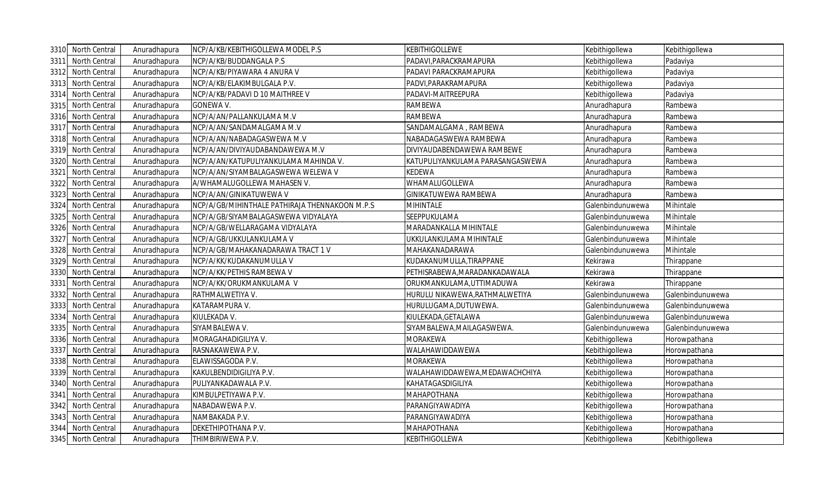|      | 3310 North Central   | Anuradhapura | NCP/A/KB/KEBITHIGOLLEWA MODEL P.S              | <b>KEBITHIGOLLEWE</b>            | Kebithigollewa   | Kebithigollewa   |
|------|----------------------|--------------|------------------------------------------------|----------------------------------|------------------|------------------|
| 3311 | North Central        | Anuradhapura | NCP/A/KB/BUDDANGALA P.S                        | PADAVI, PARACKRAMAPURA           | Kebithigollewa   | Padaviya         |
| 3312 | North Central        | Anuradhapura | NCP/A/KB/PIYAWARA 4 ANURA V                    | PADAVI PARACKRAMAPURA            | Kebithigollewa   | Padaviya         |
| 3313 | North Central        | Anuradhapura | NCP/A/KB/ELAKIMBULGALA P.V.                    | PADVI, PARAKRAMAPURA             | Kebithigollewa   | Padaviya         |
| 3314 | North Central        | Anuradhapura | NCP/A/KB/PADAVI D 10 MAITHREE V                | PADAVI-MAITREEPURA               | Kebithigollewa   | Padaviya         |
| 3315 | North Central        | Anuradhapura | <b>GONEWA V.</b>                               | <b>RAMBEWA</b>                   | Anuradhapura     | Rambewa          |
| 3316 | North Central        | Anuradhapura | NCP/A/AN/PALLANKULAMA M.V                      | <b>RAMBEWA</b>                   | Anuradhapura     | Rambewa          |
| 3317 | North Central        | Anuradhapura | NCP/A/AN/SANDAMALGAMA M.V                      | SANDAMALGAMA, RAMBEWA            | Anuradhapura     | Rambewa          |
| 3318 | North Central        | Anuradhapura | NCP/A/AN/NABADAGASWEWA M.V                     | NABADAGASWEWA RAMBEWA            | Anuradhapura     | Rambewa          |
| 3319 | North Central        | Anuradhapura | NCP/A/AN/DIVIYAUDABANDAWEWA M.V                | DIVIYAUDABENDAWEWA RAMBEWE       | Anuradhapura     | Rambewa          |
| 3320 | North Central        | Anuradhapura | NCP/A/AN/KATUPULIYANKULAMA MAHINDA V.          | KATUPULIYANKULAMA PARASANGASWEWA | Anuradhapura     | Rambewa          |
|      | 3321 North Central   | Anuradhapura | NCP/A/AN/SIYAMBALAGASWEWA WELEWA V             | <b>KEDEWA</b>                    | Anuradhapura     | Rambewa          |
| 3322 | North Central        | Anuradhapura | A/WHAMALUGOLLEWA MAHASEN V.                    | WHAMALUGOLLEWA                   | Anuradhapura     | Rambewa          |
| 3323 | North Central        | Anuradhapura | NCP/A/AN/GINIKATUWEWA V                        | GINIKATUWEWA RAMBEWA             | Anuradhapura     | Rambewa          |
| 3324 | North Central        | Anuradhapura | NCP/A/GB/MIHINTHALE PATHIRAJA THENNAKOON M.P.S | MIHINTALE                        | Galenbindunuwewa | Mihintale        |
| 3325 | North Central        | Anuradhapura | NCP/A/GB/SIYAMBALAGASWEWA VIDYALAYA            | SEEPPUKULAMA                     | Galenbindunuwewa | Mihintale        |
| 3326 | North Central        | Anuradhapura | NCP/A/GB/WELLARAGAMA VIDYALAYA                 | MARADANKALLA MIHINTALE           | Galenbindunuwewa | Mihintale        |
| 3327 | North Central        | Anuradhapura | NCP/A/GB/UKKULANKULAMA V                       | UKKULANKULAMA MIHINTALE          | Galenbindunuwewa | Mihintale        |
| 3328 | North Central        | Anuradhapura | NCP/A/GB/MAHAKANADARAWA TRACT 1 V              | MAHAKANADARAWA                   | Galenbindunuwewa | Mihintale        |
| 3329 | North Central        | Anuradhapura | NCP/A/KK/KUDAKANUMULLA V                       | KUDAKANUMULLA, TIRAPPANE         | Kekirawa         | Thirappane       |
| 3330 | North Central        | Anuradhapura | NCP/A/KK/PETHIS RAMBEWA V                      | PETHISRABEWA, MARADANKADAWALA    | Kekirawa         | Thirappane       |
| 3331 | North Central        | Anuradhapura | NCP/A/KK/ORUKMANKULAMA V                       | ORUKMANKULAMA,UTTIMADUWA         | Kekirawa         | Thirappane       |
| 3332 | North Central        | Anuradhapura | RATHMALWETIYA V.                               | HURULU NIKAWEWA, RATHMALWETIYA   | Galenbindunuwewa | Galenbindunuwewa |
| 3333 | North Central        | Anuradhapura | KATARAMPURA V.                                 | HURULUGAMA, DUTUWEWA.            | Galenbindunuwewa | Galenbindunuwewa |
|      | 3334 North Central   | Anuradhapura | KIULEKADA V.                                   | KIULEKADA, GETALAWA              | Galenbindunuwewa | Galenbindunuwewa |
| 3335 | North Central        | Anuradhapura | SIYAMBALEWA V.                                 | SIYAMBALEWA, MAILAGASWEWA.       | Galenbindunuwewa | Galenbindunuwewa |
| 3336 | North Central        | Anuradhapura | MORAGAHADIGILIYA V.                            | MORAKEWA                         | Kebithigollewa   | Horowpathana     |
| 3337 | North Central        | Anuradhapura | RASNAKAWEWA P.V.                               | WALAHAWIDDAWEWA                  | Kebithigollewa   | Horowpathana     |
| 3338 | <b>North Central</b> | Anuradhapura | ELAWISSAGODA P.V.                              | MORAKEWA                         | Kebithigollewa   | Horowpathana     |
| 3339 | North Central        | Anuradhapura | KAKULBENDIDIGILIYA P.V.                        | WALAHAWIDDAWEWA,MEDAWACHCHIYA    | Kebithigollewa   | Horowpathana     |
| 3340 | North Central        | Anuradhapura | PULIYANKADAWALA P.V.                           | KAHATAGASDIGILIYA                | Kebithigollewa   | Horowpathana     |
| 3341 | North Central        | Anuradhapura | KIMBULPETIYAWA P.V.                            | <b>MAHAPOTHANA</b>               | Kebithigollewa   | Horowpathana     |
| 3342 | North Central        | Anuradhapura | NABADAWEWA P.V.                                | PARANGIYAWADIYA                  | Kebithigollewa   | Horowpathana     |
| 3343 | North Central        | Anuradhapura | NAMBAKADA P.V.                                 | PARANGIYAWADIYA                  | Kebithigollewa   | Horowpathana     |
| 3344 | North Central        | Anuradhapura | DEKETHIPOTHANA P.V.                            | MAHAPOTHANA                      | Kebithigollewa   | Horowpathana     |
|      | 3345 North Central   | Anuradhapura | THIMBIRIWEWA P.V.                              | <b>KEBITHIGOLLEWA</b>            | Kebithigollewa   | Kebithigollewa   |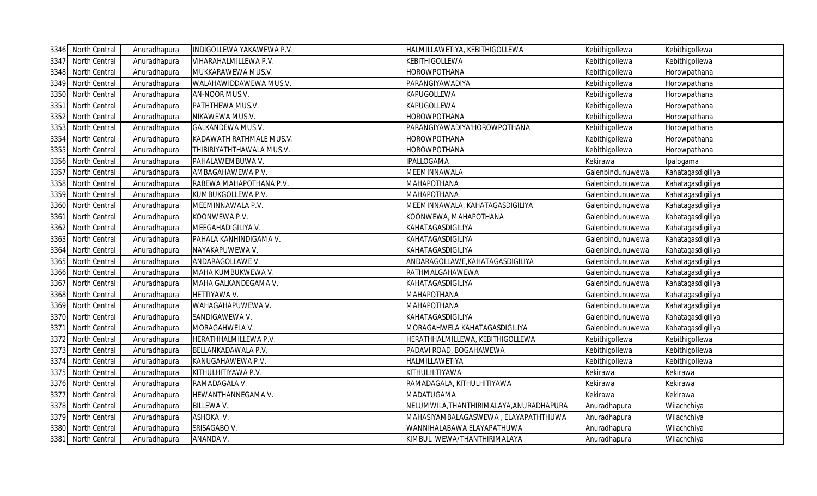|      | 3346 North Central | Anuradhapura | INDIGOLLEWA YAKAWEWA P.V. | HALMILLAWETIYA, KEBITHIGOLLEWA           | Kebithigollewa   | Kebithigollewa    |
|------|--------------------|--------------|---------------------------|------------------------------------------|------------------|-------------------|
| 3347 | North Central      | Anuradhapura | VIHARAHALMILLEWA P.V.     | KEBITHIGOLLEWA                           | Kebithigollewa   | Kebithigollewa    |
| 3348 | North Central      | Anuradhapura | MUKKARAWEWA MUS.V.        | HOROWPOTHANA                             | Kebithigollewa   | Horowpathana      |
| 3349 | North Central      | Anuradhapura | WALAHAWIDDAWEWA MUS.V.    | PARANGIYAWADIYA                          | Kebithigollewa   | Horowpathana      |
| 3350 | North Central      | Anuradhapura | AN-NOOR MUS.V.            | KAPUGOLLEWA                              | Kebithigollewa   | Horowpathana      |
| 3351 | North Central      | Anuradhapura | PATHTHEWA MUS.V.          | KAPUGOLLEWA                              | Kebithigollewa   | Horowpathana      |
| 3352 | North Central      | Anuradhapura | NIKAWEWA MUS.V.           | HOROWPOTHANA                             | Kebithigollewa   | Horowpathana      |
| 3353 | North Central      | Anuradhapura | GALKANDEWA MUS.V.         | PARANGIYAWADIYA'HOROWPOTHANA             | Kebithigollewa   | Horowpathana      |
| 3354 | North Central      | Anuradhapura | KADAWATH RATHMALE MUS.V.  | <b>HOROWPOTHANA</b>                      | Kebithigollewa   | Horowpathana      |
| 3355 | North Central      | Anuradhapura | THIBIRIYATHTHAWALA MUS.V. | <b>HOROWPOTHANA</b>                      | Kebithigollewa   | Horowpathana      |
| 3356 | North Central      | Anuradhapura | PAHALAWEMBUWA V.          | <b>IPALLOGAMA</b>                        | Kekirawa         | Ipalogama         |
| 3357 | North Central      | Anuradhapura | AMBAGAHAWEWA P.V.         | MEEMINNAWALA                             | Galenbindunuwewa | Kahatagasdigiliya |
| 3358 | North Central      | Anuradhapura | RABEWA MAHAPOTHANA P.V.   | MAHAPOTHANA                              | Galenbindunuwewa | Kahatagasdigiliya |
| 3359 | North Central      | Anuradhapura | KUMBUKGOLLEWA P.V.        | ΜΑΗΑΡΟΤΗΑΝΑ                              | Galenbindunuwewa | Kahatagasdigiliya |
| 3360 | North Central      | Anuradhapura | MEEMINNAWALA P.V.         | MEEMINNAWALA, KAHATAGASDIGILIYA          | Galenbindunuwewa | Kahatagasdigiliya |
| 3361 | North Central      | Anuradhapura | KOONWEWA P.V.             | KOONWEWA, MAHAPOTHANA                    | Galenbindunuwewa | Kahatagasdigiliya |
| 3362 | North Central      | Anuradhapura | MEEGAHADIGILIYA V.        | KAHATAGASDIGILIYA                        | Galenbindunuwewa | Kahatagasdigiliya |
| 3363 | North Central      | Anuradhapura | PAHALA KANHINDIGAMA V.    | KAHATAGASDIGILIYA                        | Galenbindunuwewa | Kahatagasdigiliya |
| 3364 | North Central      | Anuradhapura | NAYAKAPUWEWA V.           | KAHATAGASDIGILIYA                        | Galenbindunuwewa | Kahatagasdigiliya |
| 3365 | North Central      | Anuradhapura | ANDARAGOLLAWE V.          | ANDARAGOLLAWE, KAHATAGASDIGILIYA         | Galenbindunuwewa | Kahatagasdigiliya |
| 3366 | North Central      | Anuradhapura | MAHA KUMBUKWEWA V.        | RATHMALGAHAWEWA                          | Galenbindunuwewa | Kahatagasdigiliya |
| 3367 | North Central      | Anuradhapura | MAHA GALKANDEGAMA V.      | KAHATAGASDIGILIYA                        | Galenbindunuwewa | Kahatagasdigiliya |
| 3368 | North Central      | Anuradhapura | HETTIYAWA V.              | <b>MAHAPOTHANA</b>                       | Galenbindunuwewa | Kahatagasdigiliya |
| 3369 | North Central      | Anuradhapura | WAHAGAHAPUWEWA V.         | <b>MAHAPOTHANA</b>                       | Galenbindunuwewa | Kahatagasdigiliya |
| 3370 | North Central      | Anuradhapura | SANDIGAWEWA V.            | KAHATAGASDIGILIYA                        | Galenbindunuwewa | Kahatagasdigiliya |
| 3371 | North Central      | Anuradhapura | MORAGAHWELA V.            | MORAGAHWELA KAHATAGASDIGILIYA            | Galenbindunuwewa | Kahatagasdigiliya |
| 3372 | North Central      | Anuradhapura | HERATHHALMILLEWA P.V.     | HERATHHALMILLEWA, KEBITHIGOLLEWA         | Kebithigollewa   | Kebithigollewa    |
| 3373 | North Central      | Anuradhapura | BELLANKADAWALA P.V.       | PADAVI ROAD, BOGAHAWEWA                  | Kebithigollewa   | Kebithigollewa    |
| 3374 | North Central      | Anuradhapura | KANUGAHAWEWA P.V.         | HALMILLAWETIYA                           | Kebithigollewa   | Kebithigollewa    |
| 3375 | North Central      | Anuradhapura | KITHULHITIYAWA P.V.       | KITHULHITIYAWA                           | Kekirawa         | Kekirawa          |
| 3376 | North Central      | Anuradhapura | RAMADAGALA V.             | RAMADAGALA, KITHULHITIYAWA               | Kekirawa         | Kekirawa          |
| 3377 | North Central      | Anuradhapura | HEWANTHANNEGAMA V.        | MADATUGAMA                               | Kekirawa         | Kekirawa          |
| 3378 | North Central      | Anuradhapura | <b>BILLEWA V.</b>         | NELUMWILA, THANTHIRIMALAYA, ANURADHAPURA | Anuradhapura     | Wilachchiya       |
| 3379 | North Central      | Anuradhapura | ASHOKA V.                 | MAHASIYAMBALAGASWEWA, ELAYAPATHTHUWA     | Anuradhapura     | Wilachchiya       |
| 3380 | North Central      | Anuradhapura | SRISAGABO V.              | WANNIHALABAWA ELAYAPATHUWA               | Anuradhapura     | Wilachchiya       |
|      | 3381 North Central | Anuradhapura | ANANDA V.                 | KIMBUL WEWA/THANTHIRIMALAYA              | Anuradhapura     | Wilachchiya       |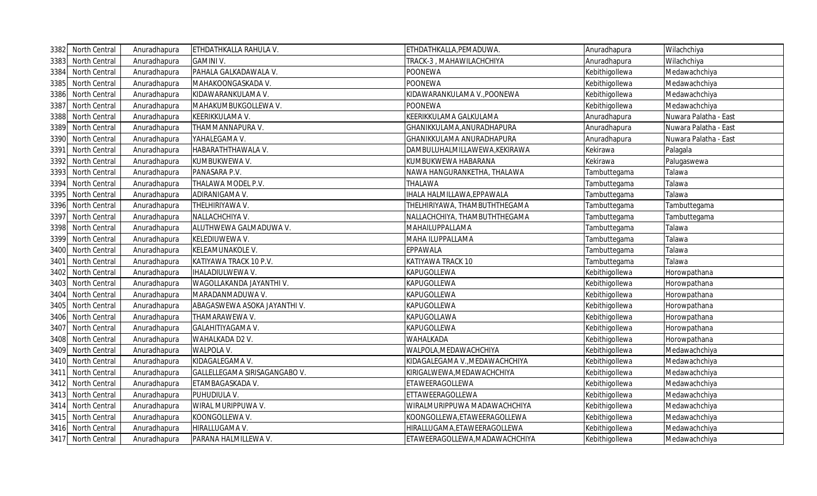|      | 3382 North Central | Anuradhapura | ETHDATHKALLA RAHULA V.        | ETHDATHKALLA,PEMADUWA.          | Anuradhapura   | Wilachchiya           |
|------|--------------------|--------------|-------------------------------|---------------------------------|----------------|-----------------------|
| 3383 | North Central      | Anuradhapura | <b>GAMINI V.</b>              | <b>FRACK-3, MAHAWILACHCHIYA</b> | Anuradhapura   | Wilachchiya           |
| 3384 | North Central      | Anuradhapura | PAHALA GALKADAWALA V.         | POONEWA                         | Kebithigollewa | Medawachchiya         |
| 3385 | North Central      | Anuradhapura | MAHAKOONGASKADA V.            | POONEWA                         | Kebithigollewa | Medawachchiya         |
| 3386 | North Central      | Anuradhapura | KIDAWARANKULAMA V.            | (IDAWARANKULAMA V.,POONEWA      | Kebithigollewa | Medawachchiya         |
| 3387 | North Central      | Anuradhapura | MAHAKUMBUKGOLLEWA V.          | POONEWA                         | Kebithigollewa | Medawachchiya         |
| 3388 | North Central      | Anuradhapura | KEERIKKULAMA V.               | KEERIKKULAMA GALKULAMA          | Anuradhapura   | Nuwara Palatha - East |
| 3389 | North Central      | Anuradhapura | THAMMANNAPURA V.              | GHANIKKULAMA,ANURADHAPURA       | Anuradhapura   | Nuwara Palatha - East |
| 3390 | North Central      | Anuradhapura | YAHALEGAMA V.                 | GHANIKKULAMA ANURADHAPURA       | Anuradhapura   | Nuwara Palatha - East |
| 3391 | North Central      | Anuradhapura | HABARATHTHAWALA V.            | DAMBULUHALMILLAWEWA,KEKIRAWA    | Kekirawa       | Palagala              |
| 3392 | North Central      | Anuradhapura | KUMBUKWEWA V.                 | KUMBUKWEWA HABARANA             | Kekirawa       | Palugaswewa           |
| 3393 | North Central      | Anuradhapura | PANASARA P.V.                 | NAWA HANGURANKETHA, THALAWA     | Tambuttegama   | Talawa                |
| 3394 | North Central      | Anuradhapura | THALAWA MODEL P.V.            | THALAWA                         | Tambuttegama   | Talawa                |
| 3395 | North Central      | Anuradhapura | ADIRANIGAMA V.                | HALA HALMILLAWA, EPPAWALA       | Tambuttegama   | Talawa                |
| 3396 | North Central      | Anuradhapura | THELHIRIYAWA V.               | THELHIRIYAWA, THAMBUTHTHEGAMA   | Tambuttegama   | Tambuttegama          |
| 3397 | North Central      | Anuradhapura | NALLACHCHIYA V.               | NALLACHCHIYA, THAMBUTHTHEGAMA   | Tambuttegama   | Tambuttegama          |
| 3398 | North Central      | Anuradhapura | ALUTHWEWA GALMADUWA V.        | MAHAILUPPALLAMA                 | Tambuttegama   | Talawa                |
| 3399 | North Central      | Anuradhapura | KELEDIUWEWA V.                | MAHA ILUPPALLAMA                | Tambuttegama   | Talawa                |
| 3400 | North Central      | Anuradhapura | KELEAMUNAKOLE V.              | EPPAWALA                        | Tambuttegama   | Talawa                |
| 3401 | North Central      | Anuradhapura | KATIYAWA TRACK 10 P.V.        | KATIYAWA TRACK 10               | Tambuttegama   | Talawa                |
| 3402 | North Central      | Anuradhapura | <b>IHALADIULWEWA V</b>        | KAPUGOLLEWA                     | Kebithigollewa | Horowpathana          |
| 3403 | North Central      | Anuradhapura | WAGOLLAKANDA JAYANTHI V.      | KAPUGOLLEWA                     | Kebithigollewa | Horowpathana          |
| 3404 | North Central      | Anuradhapura | MARADANMADUWA V.              | KAPUGOLLEWA                     | Kebithigollewa | Horowpathana          |
| 3405 | North Central      | Anuradhapura | ABAGASWEWA ASOKA JAYANTHI V.  | KAPUGOLLEWA                     | Kebithigollewa | Horowpathana          |
| 3406 | North Central      | Anuradhapura | THAMARAWEWA V.                | KAPUGOLLAWA                     | Kebithigollewa | Horowpathana          |
| 3407 | North Central      | Anuradhapura | GALAHITIYAGAMA V.             | KAPUGOLLEWA                     | Kebithigollewa | Horowpathana          |
| 3408 | North Central      | Anuradhapura | WAHALKADA D2 V.               | WAHALKADA                       | Kebithigollewa | Horowpathana          |
| 3409 | North Central      | Anuradhapura | WALPOLA V.                    | WALPOLA, MEDAWACHCHIYA          | Kebithigollewa | Medawachchiya         |
| 3410 | North Central      | Anuradhapura | KIDAGALEGAMA V.               | (IDAGALEGAMA V.,MEDAWACHCHIYA   | Kebithigollewa | Medawachchiya         |
| 3411 | North Central      | Anuradhapura | GALLELLEGAMA SIRISAGANGABO V. | (IRIGALWEWA,MEDAWACHCHIYA       | Kebithigollewa | Medawachchiya         |
| 3412 | North Central      | Anuradhapura | ETAMBAGASKADA V.              | ETAWEERAGOLLEWA                 | Kebithigollewa | Medawachchiya         |
| 3413 | North Central      | Anuradhapura | PUHUDIULA V.                  | ETTAWEERAGOLLEWA                | Kebithigollewa | Medawachchiya         |
| 3414 | North Central      | Anuradhapura | WIRAL MURIPPUWA V.            | WIRALMURIPPUWA MADAWACHCHIYA    | Kebithigollewa | Medawachchiya         |
| 3415 | North Central      | Anuradhapura | KOONGOLLEWA V.                | KOONGOLLEWA,ETAWEERAGOLLEWA     | Kebithigollewa | Medawachchiya         |
| 3416 | North Central      | Anuradhapura | HIRALLUGAMA V.                | HIRALLUGAMA, ETAWEERAGOLLEWA    | Kebithigollewa | Medawachchiya         |
|      | 3417 North Central | Anuradhapura | PARANA HALMILLEWA V.          | ETAWEERAGOLLEWA,MADAWACHCHIYA   | Kebithigollewa | Medawachchiya         |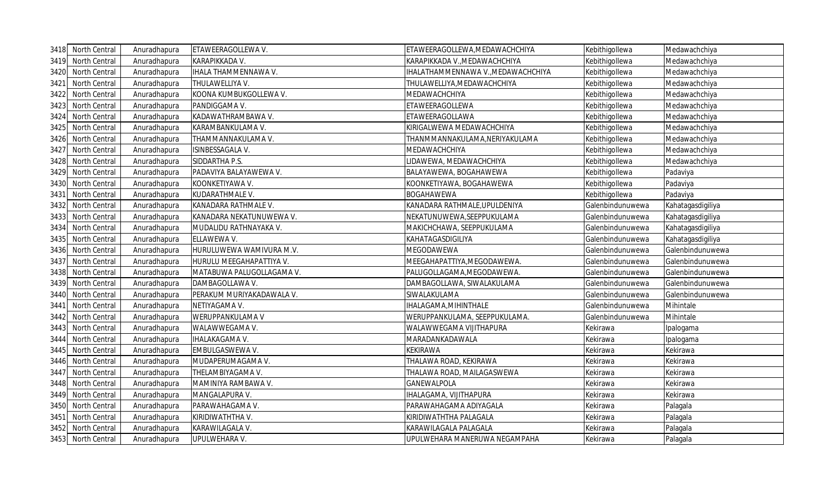|      | 3418 North Central | Anuradhapura | ETAWEERAGOLLEWA V.          | ETAWEERAGOLLEWA, MEDAWACHCHIYA                                                                    | Kebithigollewa   | Medawachchiya     |
|------|--------------------|--------------|-----------------------------|---------------------------------------------------------------------------------------------------|------------------|-------------------|
| 3419 | North Central      | Anuradhapura | KARAPIKKADA V.              | <arapikkada td="" v.,medawachchiya<=""><td>Kebithigollewa</td><td>Medawachchiya</td></arapikkada> | Kebithigollewa   | Medawachchiya     |
| 3420 | North Central      | Anuradhapura | <b>IHALA THAMMENNAWA V.</b> | IHALATHAMMENNAWA V.,MEDAWACHCHIYA                                                                 | Kebithigollewa   | Medawachchiya     |
| 3421 | North Central      | Anuradhapura | THULAWELLIYA V.             | <b>THULAWELLIYA,MEDAWACHCHIYA</b>                                                                 | Kebithigollewa   | Medawachchiya     |
| 3422 | North Central      | Anuradhapura | KOONA KUMBUKGOLLEWA V.      | MEDAWACHCHIYA                                                                                     | Kebithigollewa   | Medawachchiya     |
| 3423 | North Central      | Anuradhapura | PANDIGGAMA V.               | ETAWEERAGOLLEWA                                                                                   | Kebithigollewa   | Medawachchiya     |
| 3424 | North Central      | Anuradhapura | KADAWATHRAMBAWA V.          | ETAWEERAGOLLAWA                                                                                   | Kebithigollewa   | Medawachchiya     |
| 3425 | North Central      | Anuradhapura | KARAMBANKULAMA V.           | KIRIGALWEWA MEDAWACHCHIYA                                                                         | Kebithigollewa   | Medawachchiya     |
| 3426 | North Central      | Anuradhapura | THAMMANNAKULAMA V.          | THANMMANNAKULAMA,NERIYAKULAMA                                                                     | Kebithigollewa   | Medawachchiya     |
| 3427 | North Central      | Anuradhapura | ISINBESSAGALA V.            | MEDAWACHCHIYA                                                                                     | Kebithigollewa   | Medawachchiya     |
| 3428 | North Central      | Anuradhapura | SIDDARTHA P.S.              | IDAWEWA, MEDAWACHCHIYA                                                                            | Kebithigollewa   | Medawachchiya     |
| 3429 | North Central      | Anuradhapura | PADAVIYA BALAYAWEWA V.      | BALAYAWEWA, BOGAHAWEWA                                                                            | Kebithigollewa   | Padaviya          |
| 3430 | North Central      | Anuradhapura | KOONKETIYAWA V.             | KOONKETIYAWA, BOGAHAWEWA                                                                          | Kebithigollewa   | Padaviya          |
| 3431 | North Central      | Anuradhapura | KUDARATHMALE V.             | BOGAHAWEWA                                                                                        | Kebithigollewa   | Padaviya          |
| 3432 | North Central      | Anuradhapura | KANADARA RATHMALE V.        | KANADARA RATHMALE,UPULDENIYA                                                                      | Galenbindunuwewa | Kahatagasdigiliya |
| 3433 | North Central      | Anuradhapura | KANADARA NEKATUNUWEWA V.    | NEKATUNUWEWA,SEEPPUKULAMA                                                                         | Galenbindunuwewa | Kahatagasdigiliya |
| 3434 | North Central      | Anuradhapura | MUDALIDU RATHNAYAKA V.      | MAKICHCHAWA, SEEPPUKULAMA                                                                         | Galenbindunuwewa | Kahatagasdigiliya |
| 3435 | North Central      | Anuradhapura | ELLAWEWA V.                 | KAHATAGASDIGILIYA                                                                                 | Galenbindunuwewa | Kahatagasdigiliya |
| 3436 | North Central      | Anuradhapura | HURULUWEWA WAMIVURA M.V.    | MEGODAWEWA                                                                                        | Galenbindunuwewa | Galenbindunuwewa  |
| 3437 | North Central      | Anuradhapura | HURULU MEEGAHAPATTIYA V.    | MEEGAHAPATTIYA,MEGODAWEWA.                                                                        | Galenbindunuwewa | Galenbindunuwewa  |
| 3438 | North Central      | Anuradhapura | MATABUWA PALUGOLLAGAMA V.   | PALUGOLLAGAMA,MEGODAWEWA.                                                                         | Galenbindunuwewa | Galenbindunuwewa  |
| 3439 | North Central      | Anuradhapura | DAMBAGOLLAWA V.             | DAMBAGOLLAWA, SIWALAKULAMA                                                                        | Galenbindunuwewa | Galenbindunuwewa  |
| 3440 | North Central      | Anuradhapura | PERAKUM MURIYAKADAWALA V.   | SIWALAKULAMA                                                                                      | Galenbindunuwewa | Galenbindunuwewa  |
| 3441 | North Central      | Anuradhapura | NETIYAGAMA V.               | HALAGAMA, MIHINTHALE                                                                              | Galenbindunuwewa | Mihintale         |
| 3442 | North Central      | Anuradhapura | WERUPPANKULAMA V            | WERUPPANKULAMA, SEEPPUKULAMA.                                                                     | Galenbindunuwewa | Mihintale         |
| 3443 | North Central      | Anuradhapura | WALAWWEGAMA V.              | WALAWWEGAMA VIJITHAPURA                                                                           | Kekirawa         | Ipalogama         |
| 3444 | North Central      | Anuradhapura | IHALAKAGAMA V.              | MARADANKADAWALA                                                                                   | Kekirawa         | Ipalogama         |
| 3445 | North Central      | Anuradhapura | EMBULGASWEWA V.             | KEKIRAWA                                                                                          | Kekirawa         | Kekirawa          |
| 3446 | North Central      | Anuradhapura | MUDAPERUMAGAMA V.           | THALAWA ROAD, KEKIRAWA                                                                            | Kekirawa         | Kekirawa          |
| 3447 | North Central      | Anuradhapura | THELAMBIYAGAMA V.           | THALAWA ROAD, MAILAGASWEWA                                                                        | Kekirawa         | Kekirawa          |
| 3448 | North Central      | Anuradhapura | MAMINIYA RAMBAWA V.         | GANEWALPOLA                                                                                       | Kekirawa         | Kekirawa          |
| 3449 | North Central      | Anuradhapura | MANGALAPURA V.              | <b>HALAGAMA, VIJITHAPURA</b>                                                                      | Kekirawa         | Kekirawa          |
| 3450 | North Central      | Anuradhapura | PARAWAHAGAMA V.             | PARAWAHAGAMA ADIYAGALA                                                                            | Kekirawa         | Palagala          |
| 3451 | North Central      | Anuradhapura | KIRIDIWATHTHA V.            | KIRIDIWATHTHA PALAGALA                                                                            | Kekirawa         | Palagala          |
| 3452 | North Central      | Anuradhapura | KARAWILAGALA V.             | KARAWILAGALA PALAGALA                                                                             | Kekirawa         | Palagala          |
|      | 3453 North Central | Anuradhapura | UPULWEHARA V.               | UPULWEHARA MANERUWA NEGAMPAHA                                                                     | Kekirawa         | Palagala          |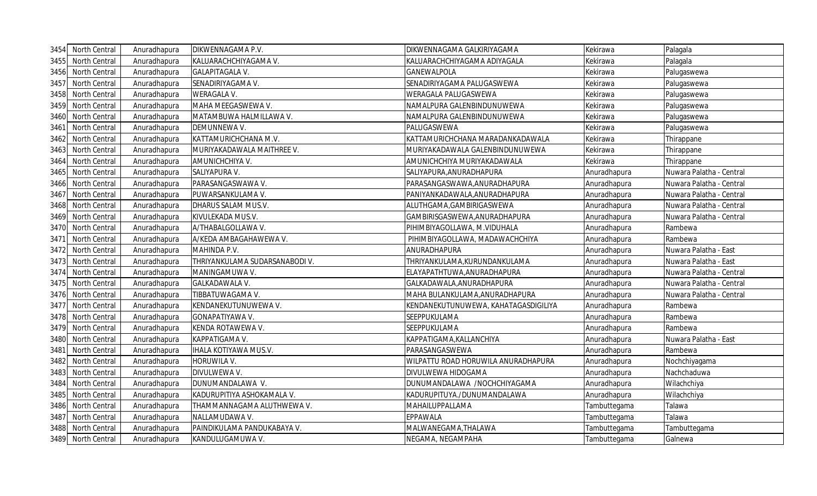|      | 3454 North Central   | Anuradhapura | DIKWENNAGAMA P.V.              | DIKWENNAGAMA GALKIRIYAGAMA           | Kekirawa     | Palagala                 |
|------|----------------------|--------------|--------------------------------|--------------------------------------|--------------|--------------------------|
| 3455 | North Central        | Anuradhapura | KALUARACHCHIYAGAMA V.          | KALUARACHCHIYAGAMA ADIYAGALA         | Kekirawa     | Palagala                 |
| 3456 | North Central        | Anuradhapura | <b>GALAPITAGALA V.</b>         | GANEWALPOLA                          | Kekirawa     | Palugaswewa              |
| 3457 | North Central        | Anuradhapura | SENADIRIYAGAMA V.              | SENADIRIYAGAMA PALUGASWEWA           | Kekirawa     | Palugaswewa              |
| 3458 | North Central        | Anuradhapura | <b>WERAGALA V.</b>             | WERAGALA PALUGASWEWA                 | Kekirawa     | Palugaswewa              |
| 3459 | North Central        | Anuradhapura | MAHA MEEGASWEWA V.             | NAMALPURA GALENBINDUNUWEWA           | Kekirawa     | Palugaswewa              |
| 3460 | North Central        | Anuradhapura | MATAMBUWA HALMILLAWA V.        | NAMALPURA GALENBINDUNUWEWA           | Kekirawa     | Palugaswewa              |
| 3461 | North Central        | Anuradhapura | DEMUNNEWA V.                   | PALUGASWEWA                          | Kekirawa     | Palugaswewa              |
| 3462 | North Central        | Anuradhapura | KATTAMURICHCHANA M.V.          | KATTAMURICHCHANA MARADANKADAWALA     | Kekirawa     | Thirappane               |
| 3463 | North Central        | Anuradhapura | MURIYAKADAWALA MAITHREE V.     | MURIYAKADAWALA GALENBINDUNUWEWA      | Kekirawa     | Thirappane               |
| 3464 | North Central        | Anuradhapura | AMUNICHCHIYA V.                | AMUNICHCHIYA MURIYAKADAWALA          | Kekirawa     | Thirappane               |
| 3465 | North Central        | Anuradhapura | SALIYAPURA V.                  | SALIYAPURA, ANURADHAPURA             | Anuradhapura | Nuwara Palatha - Central |
| 3466 | North Central        | Anuradhapura | PARASANGASWAWA V.              | PARASANGASWAWA,ANURADHAPURA          | Anuradhapura | Nuwara Palatha - Central |
| 3467 | North Central        | Anuradhapura | PUWARSANKULAMA V.              | PANIYANKADAWALA, ANURADHAPURA        | Anuradhapura | Nuwara Palatha - Central |
| 3468 | North Central        | Anuradhapura | DHARUS SALAM MUS.V.            | ALUTHGAMA, GAMBIRIGASWEWA            | Anuradhapura | Nuwara Palatha - Central |
| 3469 | North Central        | Anuradhapura | KIVULEKADA MUS.V.              | GAMBIRISGASWEWA, ANURADHAPURA        | Anuradhapura | Nuwara Palatha - Central |
| 3470 | <b>North Central</b> | Anuradhapura | A/THABALGOLLAWA V.             | PIHIMBIYAGOLLAWA, M.VIDUHALA         | Anuradhapura | Rambewa                  |
| 3471 | North Central        | Anuradhapura | A/KEDA AMBAGAHAWEWA V.         | PIHIMBIYAGOLLAWA, MADAWACHCHIYA      | Anuradhapura | Rambewa                  |
| 3472 | North Central        | Anuradhapura | MAHINDA P.V.                   | ANURADHAPURA                         | Anuradhapura | Nuwara Palatha - East    |
| 3473 | North Central        | Anuradhapura | THRIYANKULAMA SUDARSANABODI V. | THRIYANKULAMA,KURUNDANKULAMA         | Anuradhapura | Nuwara Palatha - East    |
| 3474 | North Central        | Anuradhapura | MANINGAMUWA V.                 | ELAYAPATHTUWA,ANURADHAPURA           | Anuradhapura | Nuwara Palatha - Central |
| 3475 | North Central        | Anuradhapura | GALKADAWALA V.                 | GALKADAWALA,ANURADHAPURA             | Anuradhapura | Nuwara Palatha - Central |
| 3476 | North Central        | Anuradhapura | TIBBATUWAGAMA V.               | MAHA BULANKULAMA,ANURADHAPURA        | Anuradhapura | Nuwara Palatha - Central |
| 3477 | North Central        | Anuradhapura | KENDANEKUTUNUWEWA V.           | KENDANEKUTUNUWEWA, KAHATAGASDIGILIYA | Anuradhapura | Rambewa                  |
| 3478 | North Central        | Anuradhapura | GONAPATIYAWA V.                | SEEPPUKULAMA                         | Anuradhapura | Rambewa                  |
| 3479 | North Central        | Anuradhapura | KENDA ROTAWEWA V.              | SEEPPUKULAMA                         | Anuradhapura | Rambewa                  |
| 3480 | North Central        | Anuradhapura | KAPPATIGAMA V.                 | KAPPATIGAMA, KALLANCHIYA             | Anuradhapura | Nuwara Palatha - East    |
| 3481 | North Central        | Anuradhapura | <b>IHALA KOTIYAWA MUS.V.</b>   | PARASANGASWEWA                       | Anuradhapura | Rambewa                  |
| 3482 | North Central        | Anuradhapura | HORUWILA V.                    | WILPATTU ROAD HORUWILA ANURADHAPURA  | Anuradhapura | Nochchiyagama            |
| 3483 | North Central        | Anuradhapura | DIVULWEWA V.                   | DIVULWEWA HIDOGAMA                   | Anuradhapura | Nachchaduwa              |
| 3484 | North Central        | Anuradhapura | DUNUMANDALAWA V.               | DUNUMANDALAWA /NOCHCHIYAGAMA         | Anuradhapura | Wilachchiya              |
| 3485 | North Central        | Anuradhapura | KADURUPITIYA ASHOKAMALA V.     | KADURUPITUYA./DUNUMANDALAWA          | Anuradhapura | Wilachchiya              |
| 3486 | North Central        | Anuradhapura | THAMMANNAGAMA ALUTHWEWA V.     | MAHAILUPPALLAMA                      | Tambuttegama | Talawa                   |
| 3487 | North Central        | Anuradhapura | NALLAMUDAWA V.                 | EPPAWALA                             | Tambuttegama | Talawa                   |
| 3488 | North Central        | Anuradhapura | PAINDIKULAMA PANDUKABAYA V.    | MALWANEGAMA,THALAWA                  | Tambuttegama | Tambuttegama             |
|      | 3489 North Central   | Anuradhapura | KANDULUGAMUWA V.               | NEGAMA, NEGAMPAHA                    | Tambuttegama | Galnewa                  |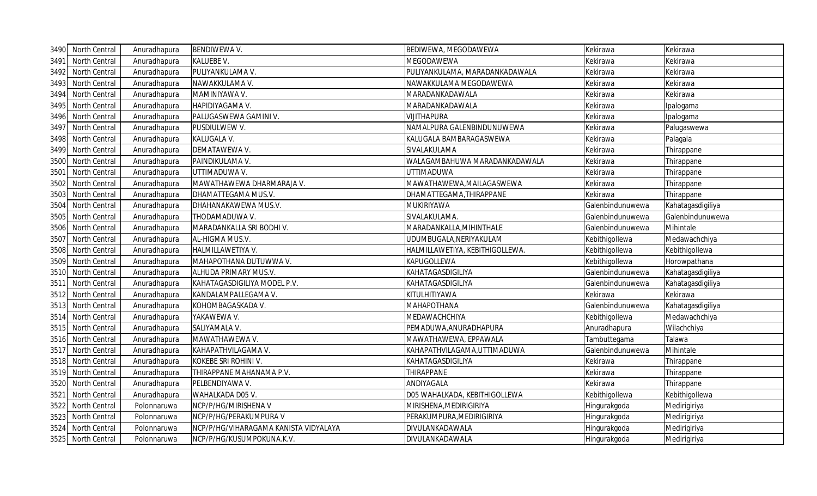| 3490 | North Central | Anuradhapura | <b>BENDIWEWA V.</b>                   | BEDIWEWA, MEGODAWEWA            | Kekirawa         | Kekirawa          |
|------|---------------|--------------|---------------------------------------|---------------------------------|------------------|-------------------|
| 3491 | North Central | Anuradhapura | KALUEBE V.                            | MEGODAWEWA                      | Kekirawa         | Kekirawa          |
| 3492 | North Central | Anuradhapura | PULIYANKULAMA V.                      | PULIYANKULAMA, MARADANKADAWALA  | Kekirawa         | Kekirawa          |
| 3493 | North Central | Anuradhapura | NAWAKKULAMA V.                        | NAWAKKULAMA MEGODAWEWA          | Kekirawa         | Kekirawa          |
| 3494 | North Central | Anuradhapura | MAMINIYAWA V.                         | MARADANKADAWALA                 | Kekirawa         | Kekirawa          |
| 3495 | North Central | Anuradhapura | HAPIDIYAGAMA V.                       | MARADANKADAWALA                 | Kekirawa         | Ipalogama         |
| 3496 | North Central | Anuradhapura | PALUGASWEWA GAMINI V.                 | <b>VIJITHAPURA</b>              | Kekirawa         | Ipalogama         |
| 3497 | North Central | Anuradhapura | PUSDIULWEW V.                         | NAMALPURA GALENBINDUNUWEWA      | Kekirawa         | Palugaswewa       |
| 3498 | North Central | Anuradhapura | KALUGALA V.                           | KALUGALA BAMBARAGASWEWA         | Kekirawa         | Palagala          |
| 3499 | North Central | Anuradhapura | DEMATAWEWA V.                         | SIVALAKULAMA                    | Kekirawa         | Thirappane        |
| 3500 | North Central | Anuradhapura | PAINDIKULAMA V.                       | WALAGAMBAHUWA MARADANKADAWALA   | Kekirawa         | Thirappane        |
| 3501 | North Central | Anuradhapura | UTTIMADUWA V.                         | <b>UTTIMADUWA</b>               | Kekirawa         | Thirappane        |
| 3502 | North Central | Anuradhapura | MAWATHAWEWA DHARMARAJA V.             | MAWATHAWEWA, MAILAGASWEWA       | Kekirawa         | Thirappane        |
| 3503 | North Central | Anuradhapura | DHAMATTEGAMA MUS.V.                   | DHAMATTEGAMA, THIRAPPANE        | Kekirawa         | Thirappane        |
| 3504 | North Central | Anuradhapura | DHAHANAKAWEWA MUS.V.                  | MUKIRIYAWA                      | Galenbindunuwewa | Kahatagasdigiliya |
| 3505 | North Central | Anuradhapura | THODAMADUWA V.                        | SIVALAKULAMA.                   | Galenbindunuwewa | Galenbindunuwewa  |
| 3506 | North Central | Anuradhapura | MARADANKALLA SRI BODHI V.             | MARADANKALLA, MIHINTHALE        | Galenbindunuwewa | Mihintale         |
| 3507 | North Central | Anuradhapura | AL-HIGMA MUS.V.                       | UDUMBUGALA, NERIYAKULAM         | Kebithigollewa   | Medawachchiya     |
| 3508 | North Central | Anuradhapura | HALMILLAWETIYA V.                     | HALMILLAWETIYA, KEBITHIGOLLEWA. | Kebithigollewa   | Kebithigollewa    |
| 3509 | North Central | Anuradhapura | MAHAPOTHANA DUTUWWA V.                | <b>KAPUGOLLEWA</b>              | Kebithigollewa   | Horowpathana      |
| 3510 | North Central | Anuradhapura | ALHUDA PRIMARY MUS.V.                 | KAHATAGASDIGILIYA               | Galenbindunuwewa | Kahatagasdigiliya |
| 3511 | North Central | Anuradhapura | KAHATAGASDIGILIYA MODEL P.V.          | KAHATAGASDIGILIYA               | Galenbindunuwewa | Kahatagasdigiliya |
| 3512 | North Central | Anuradhapura | KANDALAMPALLEGAMA V.                  | KITULHITIYAWA                   | Kekirawa         | Kekirawa          |
| 3513 | North Central | Anuradhapura | KOHOMBAGASKADA V.                     | <b>MAHAPOTHANA</b>              | Galenbindunuwewa | Kahatagasdigiliya |
| 3514 | North Central | Anuradhapura | YAKAWEWA V.                           | MEDAWACHCHIYA                   | Kebithigollewa   | Medawachchiya     |
| 3515 | North Central | Anuradhapura | SALIYAMALA V.                         | PEMADUWA, ANURADHAPURA          | Anuradhapura     | Wilachchiya       |
| 3516 | North Central | Anuradhapura | MAWATHAWEWA V.                        | MAWATHAWEWA, EPPAWALA           | Tambuttegama     | Talawa            |
| 3517 | North Central | Anuradhapura | KAHAPATHVILAGAMA V.                   | KAHAPATHVILAGAMA,UTTIMADUWA     | Galenbindunuwewa | Mihintale         |
| 3518 | North Central | Anuradhapura | KOKEBE SRI ROHINI V.                  | KAHATAGASDIGILIYA               | Kekirawa         | Thirappane        |
| 3519 | North Central | Anuradhapura | THIRAPPANE MAHANAMA P.V.              | <b>THIRAPPANE</b>               | Kekirawa         | Thirappane        |
| 3520 | North Central | Anuradhapura | PELBENDIYAWA V.                       | ANDIYAGALA                      | Kekirawa         | Thirappane        |
| 3521 | North Central | Anuradhapura | WAHALKADA D05 V.                      | D05 WAHALKADA, KEBITHIGOLLEWA   | Kebithigollewa   | Kebithigollewa    |
| 3522 | North Central | Polonnaruwa  | NCP/P/HG/MIRISHENA V                  | MIRISHENA, MEDIRIGIRIYA         | Hingurakgoda     | Medirigiriya      |
| 3523 | North Central | Polonnaruwa  | NCP/P/HG/PERAKUMPURA V                | PERAKUMPURA, MEDIRIGIRIYA       | Hingurakgoda     | Medirigiriya      |
| 3524 | North Central | Polonnaruwa  | NCP/P/HG/VIHARAGAMA KANISTA VIDYALAYA | DIVULANKADAWALA                 | Hingurakgoda     | Medirigiriya      |
| 3525 | North Central | Polonnaruwa  | NCP/P/HG/KUSUMPOKUNA.K.V.             | DIVULANKADAWALA                 | Hingurakgoda     | Medirigiriya      |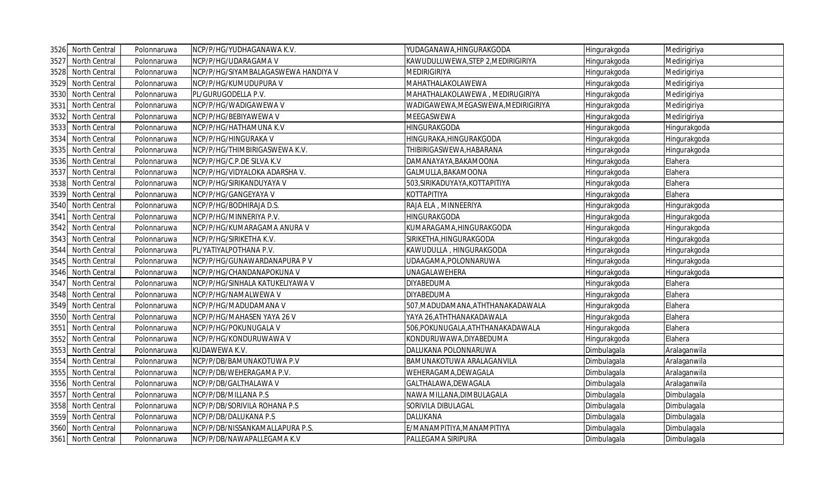| 3526 | North Central        | Polonnaruwa | NCP/P/HG/YUDHAGANAWA K.V.           | YUDAGANAWA, HINGURAKGODA            | Hingurakgoda | Medirigiriya |
|------|----------------------|-------------|-------------------------------------|-------------------------------------|--------------|--------------|
| 3527 | North Central        | Polonnaruwa | NCP/P/HG/UDARAGAMA V                | KAWUDULUWEWA, STEP 2, MEDIRIGIRIYA  | Hingurakgoda | Medirigiriya |
| 3528 | North Central        | Polonnaruwa | NCP/P/HG/SIYAMBALAGASWEWA HANDIYA V | <b>MEDIRIGIRIYA</b>                 | Hingurakgoda | Medirigiriya |
| 3529 | North Central        | Polonnaruwa | NCP/P/HG/KUMUDUPURA V               | MAHATHALAKOLAWEWA                   | Hingurakgoda | Medirigiriya |
| 3530 | North Central        | Polonnaruwa | PL/GURUGODELLA P.V.                 | MAHATHALAKOLAWEWA, MEDIRUGIRIYA     | Hingurakgoda | Medirigiriya |
| 3531 | North Central        | Polonnaruwa | NCP/P/HG/WADIGAWEWA V               | WADIGAWEWA, MEGASWEWA, MEDIRIGIRIYA | Hingurakgoda | Medirigiriya |
| 3532 | North Central        | Polonnaruwa | NCP/P/HG/BEBIYAWEWA V               | <b>MEEGASWEWA</b>                   | Hingurakgoda | Medirigiriya |
| 3533 | North Central        | Polonnaruwa | NCP/P/HG/HATHAMUNA K.V              | HINGURAKGODA                        | Hingurakgoda | Hingurakgoda |
| 3534 | North Central        | Polonnaruwa | NCP/P/HG/HINGURAKA V                | HINGURAKA, HINGURAKGODA             | Hingurakgoda | Hingurakgoda |
| 3535 | North Central        | Polonnaruwa | NCP/P/HG/THIMBIRIGASWEWA K.V.       | THIBIRIGASWEWA, HABARANA            | Hingurakgoda | Hingurakgoda |
| 3536 | North Central        | Polonnaruwa | NCP/P/HG/C.P.DE SILVA K.V           | DAMANAYAYA, BAKAMOONA               | Hingurakgoda | Elahera      |
| 3537 | North Central        | Polonnaruwa | NCP/P/HG/VIDYALOKA ADARSHA V.       | GALMULLA, BAKAMOONA                 | Hingurakgoda | Elahera      |
| 3538 | North Central        | Polonnaruwa | NCP/P/HG/SIRIKANDUYAYA V            | 503, SIRIKADUYAYA, KOTTAPITIYA      | Hingurakgoda | Elahera      |
| 3539 | North Central        | Polonnaruwa | NCP/P/HG/GANGEYAYA V                | ΚΟΤΤΑΡΙΤΙΥΑ                         | Hingurakgoda | Elahera      |
| 3540 | North Central        | Polonnaruwa | NCP/P/HG/BODHIRAJA D.S.             | RAJA ELA, MINNEERIYA                | Hingurakgoda | Hingurakgoda |
| 3541 | <b>North Central</b> | Polonnaruwa | NCP/P/HG/MINNERIYA P.V.             | HINGURAKGODA                        | Hingurakgoda | Hingurakgoda |
| 3542 | North Central        | Polonnaruwa | NCP/P/HG/KUMARAGAMA ANURA V         | KUMARAGAMA, HINGURAKGODA            | Hingurakgoda | Hingurakgoda |
| 3543 | North Central        | Polonnaruwa | NCP/P/HG/SIRIKETHA K.V.             | SIRIKETHA, HINGURAKGODA             | Hingurakgoda | Hingurakgoda |
| 3544 | North Central        | Polonnaruwa | PL/YATIYALPOTHANA P.V.              | KAWUDULLA, HINGURAKGODA             | Hingurakgoda | Hingurakgoda |
| 3545 | North Central        | Polonnaruwa | NCP/P/HG/GUNAWARDANAPURA PV         | UDAAGAMA, POLONNARUWA               | Hingurakgoda | Hingurakgoda |
| 3546 | North Central        | Polonnaruwa | NCP/P/HG/CHANDANAPOKUNA V           | UNAGALAWEHERA                       | Hingurakgoda | Hingurakgoda |
| 3547 | North Central        | Polonnaruwa | NCP/P/HG/SINHALA KATUKELIYAWA V     | <b>DIYABEDUMA</b>                   | Hingurakgoda | Elahera      |
| 3548 | North Central        | Polonnaruwa | NCP/P/HG/NAMALWEWA V                | <b>DIYABEDUMA</b>                   | Hingurakgoda | Elahera      |
| 3549 | North Central        | Polonnaruwa | NCP/P/HG/MADUDAMANA V               | 507, MADUDAMANA, ATHTHANAKADAWALA   | Hingurakgoda | Elahera      |
| 3550 | North Central        | Polonnaruwa | NCP/P/HG/MAHASEN YAYA 26 V          | YAYA 26, ATHTHANAKADAWALA           | Hingurakgoda | Elahera      |
| 3551 | North Central        | Polonnaruwa | NCP/P/HG/POKUNUGALA V               | 506, POKUNUGALA, ATHTHANAKADAWALA   | Hingurakgoda | Elahera      |
| 3552 | North Central        | Polonnaruwa | NCP/P/HG/KONDURUWAWA V              | KONDURUWAWA, DIYABEDUMA             | Hingurakgoda | Elahera      |
| 3553 | North Central        | Polonnaruwa | KUDAWEWA K.V.                       | DALUKANA POLONNARUWA                | Dimbulagala  | Aralaganwila |
| 3554 | North Central        | Polonnaruwa | NCP/P/DB/BAMUNAKOTUWA P.V           | <b>BAMUNAKOTUWA ARALAGANVILA</b>    | Dimbulagala  | Aralaganwila |
| 3555 | North Central        | Polonnaruwa | NCP/P/DB/WEHERAGAMA P.V.            | WEHERAGAMA, DEWAGALA                | Dimbulagala  | Aralaganwila |
| 3556 | North Central        | Polonnaruwa | NCP/P/DB/GALTHALAWA V               | GALTHALAWA, DEWAGALA                | Dimbulagala  | Aralaganwila |
| 3557 | North Central        | Polonnaruwa | NCP/P/DB/MILLANA P.S                | NAWA MILLANA, DIMBULAGALA           | Dimbulagala  | Dimbulagala  |
| 3558 | North Central        | Polonnaruwa | NCP/P/DB/SORIVILA ROHANA P.S        | SORIVILA DIBULAGAL                  | Dimbulagala  | Dimbulagala  |
| 3559 | North Central        | Polonnaruwa | NCP/P/DB/DALUKANA P.S               | DALUKANA                            | Dimbulagala  | Dimbulagala  |
| 3560 | North Central        | Polonnaruwa | NCP/P/DB/NISSANKAMALLAPURA P.S.     | Ε/ΜΑΝΑΜΡΙΤΙΥΑ, ΜΑΝΑΜΡΙΤΙΥΑ          | Dimbulagala  | Dimbulagala  |
|      | 3561 North Central   | Polonnaruwa | NCP/P/DB/NAWAPALLEGAMA K.V          | PALLEGAMA SIRIPURA                  | Dimbulagala  | Dimbulagala  |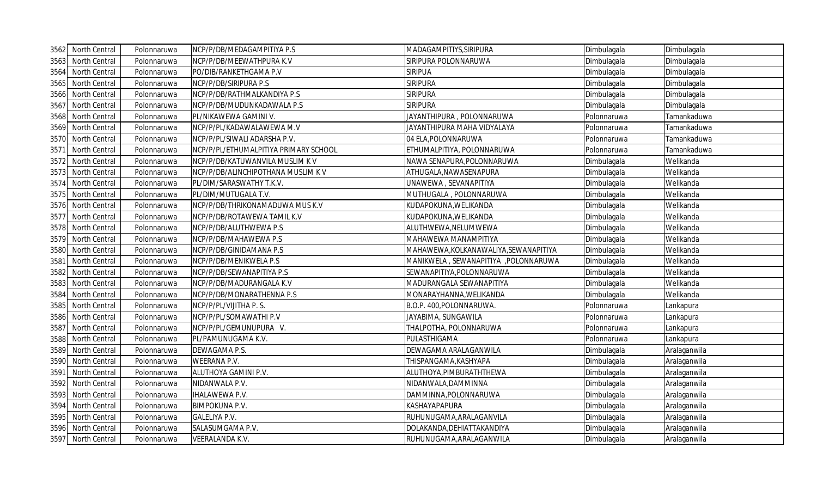| 3562 | North Central | Polonnaruwa | NCP/P/DB/MEDAGAMPITIYA P.S            | MADAGAMPITIYS, SIRIPURA               | Dimbulagala | Dimbulagala  |
|------|---------------|-------------|---------------------------------------|---------------------------------------|-------------|--------------|
| 3563 | North Central | Polonnaruwa | NCP/P/DB/MEEWATHPURA K.V              | SIRIPURA POLONNARUWA                  | Dimbulagala | Dimbulagala  |
| 3564 | North Central | Polonnaruwa | PO/DIB/RANKETHGAMA P.V                | <b>SIRIPUA</b>                        | Dimbulagala | Dimbulagala  |
| 3565 | North Central | Polonnaruwa | NCP/P/DB/SIRIPURA P.S                 | <b>SIRIPURA</b>                       | Dimbulagala | Dimbulagala  |
| 3566 | North Central | Polonnaruwa | NCP/P/DB/RATHMALKANDIYA P.S           | <b>SIRIPURA</b>                       | Dimbulagala | Dimbulagala  |
| 3567 | North Central | Polonnaruwa | NCP/P/DB/MUDUNKADAWALA P.S            | <b>SIRIPURA</b>                       | Dimbulagala | Dimbulagala  |
| 3568 | North Central | Polonnaruwa | PL/NIKAWEWA GAMINI V.                 | JAYANTHIPURA, POLONNARUWA             | Polonnaruwa | Tamankaduwa  |
| 3569 | North Central | Polonnaruwa | NCP/P/PL/KADAWALAWEWA M.V             | JAYANTHIPURA MAHA VIDYALAYA           | Polonnaruwa | Tamankaduwa  |
| 3570 | North Central | Polonnaruwa | NCP/P/PL/SIWALI ADARSHA P.V.          | 04 ELA, POLONNARUWA                   | Polonnaruwa | Tamankaduwa  |
| 3571 | North Central | Polonnaruwa | NCP/P/PL/ETHUMALPITIYA PRIMARY SCHOOL | ETHUMALPITIYA, POLONNARUWA            | Polonnaruwa | Tamankaduwa  |
| 3572 | North Central | Polonnaruwa | NCP/P/DB/KATUWANVILA MUSLIM KV        | NAWA SENAPURA, POLONNARUWA            | Dimbulagala | Welikanda    |
| 3573 | North Central | Polonnaruwa | NCP/P/DB/ALINCHIPOTHANA MUSLIM K V    | ATHUGALA, NAWASENAPURA                | Dimbulagala | Welikanda    |
| 3574 | North Central | Polonnaruwa | PL/DIM/SARASWATHY T.K.V.              | UNAWEWA, SEVANAPITIYA                 | Dimbulagala | Welikanda    |
| 3575 | North Central | Polonnaruwa | PL/DIM/MUTUGALA T.V.                  | MUTHUGALA, POLONNARUWA                | Dimbulagala | Welikanda    |
| 3576 | North Central | Polonnaruwa | NCP/P/DB/THRIKONAMADUWA MUS K.V       | KUDAPOKUNA, WELIKANDA                 | Dimbulagala | Welikanda    |
| 3577 | North Central | Polonnaruwa | NCP/P/DB/ROTAWEWA TAMIL K.V           | KUDAPOKUNA, WELIKANDA                 | Dimbulagala | Welikanda    |
| 3578 | North Central | Polonnaruwa | NCP/P/DB/ALUTHWEWA P.S                | ALUTHWEWA, NELUMWEWA                  | Dimbulagala | Welikanda    |
| 3579 | North Central | Polonnaruwa | NCP/P/DB/MAHAWEWA P.S                 | MAHAWEWA MANAMPITIYA                  | Dimbulagala | Welikanda    |
| 3580 | North Central | Polonnaruwa | NCP/P/DB/GINIDAMANA P.S               | MAHAWEWA, KOLKANAWALIYA, SEWANAPITIYA | Dimbulagala | Welikanda    |
| 3581 | North Central | Polonnaruwa | NCP/P/DB/MENIKWELA P.S                | MANIKWELA, SEWANAPITIYA, POLONNARUWA  | Dimbulagala | Welikanda    |
| 3582 | North Central | Polonnaruwa | NCP/P/DB/SEWANAPITIYA P.S             | SEWANAPITIYA, POLONNARUWA             | Dimbulagala | Welikanda    |
| 3583 | North Central | Polonnaruwa | NCP/P/DB/MADURANGALA K.V              | MADURANGALA SEWANAPITIYA              | Dimbulagala | Welikanda    |
| 3584 | North Central | Polonnaruwa | NCP/P/DB/MONARATHENNA P.S             | MONARAYHANNA, WELIKANDA               | Dimbulagala | Welikanda    |
| 3585 | North Central | Polonnaruwa | NCP/P/PL/VIJITHA P.S.                 | B.O.P. 400, POLONNARUWA.              | Polonnaruwa | Lankapura    |
| 3586 | North Central | Polonnaruwa | NCP/P/PL/SOMAWATHI P.V                | JAYABIMA, SUNGAWILA                   | Polonnaruwa | Lankapura    |
| 3587 | North Central | Polonnaruwa | NCP/P/PL/GEMUNUPURA V.                | THALPOTHA, POLONNARUWA                | Polonnaruwa | Lankapura    |
| 3588 | North Central | Polonnaruwa | PL/PAMUNUGAMA K.V.                    | PULASTHIGAMA                          | Polonnaruwa | Lankapura    |
| 3589 | North Central | Polonnaruwa | DEWAGAMA P.S.                         | DEWAGAMA ARALAGANWILA                 | Dimbulagala | Aralaganwila |
| 3590 | North Central | Polonnaruwa | WEERANA P.V.                          | THISPANGAMA, KASHYAPA                 | Dimbulagala | Aralaganwila |
| 3591 | North Central | Polonnaruwa | ALUTHOYA GAMINI P.V.                  | ALUTHOYA, PIMBURATHTHEWA              | Dimbulagala | Aralaganwila |
| 3592 | North Central | Polonnaruwa | NIDANWALA P.V.                        | NIDANWALA, DAMMINNA                   | Dimbulagala | Aralaganwila |
| 3593 | North Central | Polonnaruwa | IHALAWEWA P.V.                        | DAMMINNA, POLONNARUWA                 | Dimbulagala | Aralaganwila |
| 3594 | North Central | Polonnaruwa | <b>BIMPOKUNA P.V.</b>                 | KASHAYAPAPURA                         | Dimbulagala | Aralaganwila |
| 3595 | North Central | Polonnaruwa | GALELIYA P.V.                         | RUHUNUGAMA, ARALAGANVILA              | Dimbulagala | Aralaganwila |
| 3596 | North Central | Polonnaruwa | SALASUMGAMA P.V.                      | DOLAKANDA, DEHIATTAKANDIYA            | Dimbulagala | Aralaganwila |
| 3597 | North Central | Polonnaruwa | <b>VEERALANDA K.V.</b>                | RUHUNUGAMA, ARALAGANWILA              | Dimbulagala | Aralaganwila |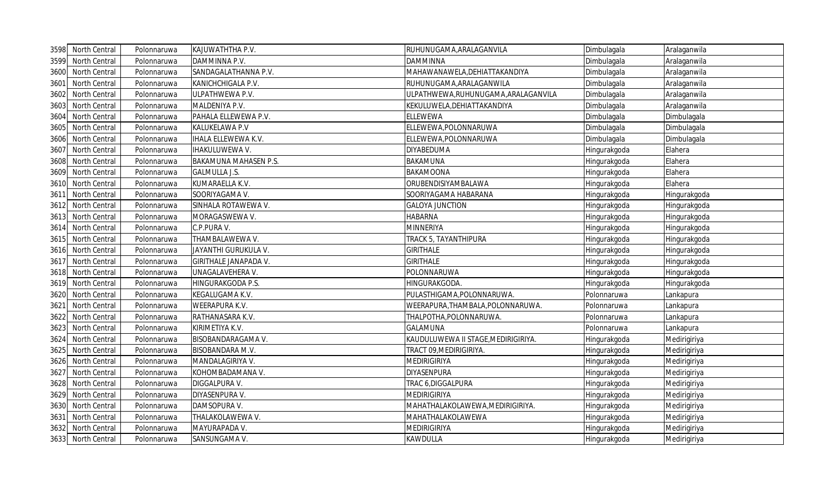| 3598 | North Central        | Polonnaruwa | KAJUWATHTHA P.V.             | RUHUNUGAMA, ARALAGANVILA             | Dimbulagala  | Aralaganwila |
|------|----------------------|-------------|------------------------------|--------------------------------------|--------------|--------------|
| 3599 | North Central        | Polonnaruwa | DAMMINNA P.V.                | <b>DAMMINNA</b>                      | Dimbulagala  | Aralaganwila |
| 3600 | North Central        | Polonnaruwa | SANDAGALATHANNA P.V.         | MAHAWANAWELA, DEHIATTAKANDIYA        | Dimbulagala  | Aralaganwila |
| 3601 | North Central        | Polonnaruwa | KANICHCHIGALA P.V.           | RUHUNUGAMA, ARALAGANWILA             | Dimbulagala  | Aralaganwila |
| 3602 | North Central        | Polonnaruwa | ULPATHWEWA P.V.              | ULPATHWEWA, RUHUNUGAMA, ARALAGANVILA | Dimbulagala  | Aralaganwila |
| 3603 | North Central        | Polonnaruwa | MALDENIYA P.V.               | KEKULUWELA, DEHIATTAKANDIYA          | Dimbulagala  | Aralaganwila |
| 3604 | North Central        | Polonnaruwa | PAHALA ELLEWEWA P.V.         | <b>ELLEWEWA</b>                      | Dimbulagala  | Dimbulagala  |
| 3605 | North Central        | Polonnaruwa | KALUKELAWA P.V               | ELLEWEWA, POLONNARUWA                | Dimbulagala  | Dimbulagala  |
| 3606 | North Central        | Polonnaruwa | IHALA ELLEWEWA K.V.          | ELLEWEWA, POLONNARUWA                | Dimbulagala  | Dimbulagala  |
| 3607 | <b>North Central</b> | Polonnaruwa | IHAKULUWEWA V.               | <b>DIYABEDUMA</b>                    | Hingurakgoda | Elahera      |
| 3608 | North Central        | Polonnaruwa | <b>BAKAMUNA MAHASEN P.S.</b> | <b>BAKAMUNA</b>                      | Hingurakgoda | Elahera      |
| 3609 | North Central        | Polonnaruwa | <b>GALMULLA J.S.</b>         | <b>BAKAMOONA</b>                     | Hingurakgoda | Elahera      |
| 3610 | North Central        | Polonnaruwa | KUMARAELLA K.V.              | ORUBENDISIYAMBALAWA                  | Hingurakgoda | Elahera      |
| 3611 | North Central        | Polonnaruwa | SOORIYAGAMA V.               | SOORIYAGAMA HABARANA                 | Hingurakgoda | Hingurakgoda |
| 3612 | North Central        | Polonnaruwa | SINHALA ROTAWEWA V.          | <b>GALOYA JUNCTION</b>               | Hingurakgoda | Hingurakgoda |
| 3613 | North Central        | Polonnaruwa | MORAGASWEWA V.               | <b>HABARNA</b>                       | Hingurakgoda | Hingurakgoda |
| 3614 | North Central        | Polonnaruwa | C.P.PURA V.                  | <b>MINNERIYA</b>                     | Hingurakgoda | Hingurakgoda |
| 3615 | North Central        | Polonnaruwa | THAMBALAWEWA V.              | TRACK 5, TAYANTHIPURA                | Hingurakgoda | Hingurakgoda |
| 3616 | North Central        | Polonnaruwa | JAYANTHI GURUKULA V.         | <b>GIRITHALE</b>                     | Hingurakgoda | Hingurakgoda |
| 3617 | North Central        | Polonnaruwa | GIRITHALE JANAPADA V.        | <b>GIRITHALE</b>                     | Hingurakgoda | Hingurakgoda |
| 3618 | North Central        | Polonnaruwa | UNAGALAVEHERA V.             | POLONNARUWA                          | Hingurakgoda | Hingurakgoda |
| 3619 | North Central        | Polonnaruwa | HINGURAKGODA P.S.            | HINGURAKGODA.                        | Hingurakgoda | Hingurakgoda |
| 3620 | North Central        | Polonnaruwa | KEGALUGAMA K.V.              | PULASTHIGAMA, POLONNARUWA.           | Polonnaruwa  | Lankapura    |
| 3621 | North Central        | Polonnaruwa | <b>WEERAPURA K.V.</b>        | WEERAPURA, THAMBALA, POLONNARUWA.    | Polonnaruwa  | Lankapura    |
| 3622 | North Central        | Polonnaruwa | RATHANASARA K.V.             | THALPOTHA, POLONNARUWA.              | Polonnaruwa  | Lankapura    |
| 3623 | North Central        | Polonnaruwa | KIRIMETIYA K.V.              | <b>GALAMUNA</b>                      | Polonnaruwa  | Lankapura    |
| 3624 | North Central        | Polonnaruwa | BISOBANDARAGAMA V.           | KAUDULUWEWA II STAGE, MEDIRIGIRIYA.  | Hingurakgoda | Medirigiriya |
| 3625 | North Central        | Polonnaruwa | BISOBANDARA M.V.             | TRACT 09, MEDIRIGIRIYA.              | Hingurakgoda | Medirigiriya |
| 3626 | North Central        | Polonnaruwa | MANDALAGIRIYA V.             | <b>MEDIRIGIRIYA</b>                  | Hingurakgoda | Medirigiriya |
| 3627 | North Central        | Polonnaruwa | KOHOMBADAMANA V.             | <b>DIYASENPURA</b>                   | Hingurakgoda | Medirigiriya |
| 3628 | North Central        | Polonnaruwa | DIGGALPURA V.                | TRAC 6, DIGGALPURA                   | Hingurakgoda | Medirigiriya |
| 3629 | North Central        | Polonnaruwa | DIYASENPURA V.               | <b>MEDIRIGIRIYA</b>                  | Hingurakgoda | Medirigiriya |
| 3630 | North Central        | Polonnaruwa | DAMSOPURA V.                 | MAHATHALAKOLAWEWA, MEDIRIGIRIYA.     | Hingurakgoda | Medirigiriya |
| 3631 | North Central        | Polonnaruwa | THALAKOLAWEWA V.             | MAHATHALAKOLAWEWA                    | Hingurakgoda | Medirigiriya |
| 3632 | North Central        | Polonnaruwa | MAYURAPADA V.                | <b>MEDIRIGIRIYA</b>                  | Hingurakgoda | Medirigiriya |
| 3633 | North Central        | Polonnaruwa | SANSUNGAMA V.                | <b>KAWDULLA</b>                      | Hingurakgoda | Medirigiriya |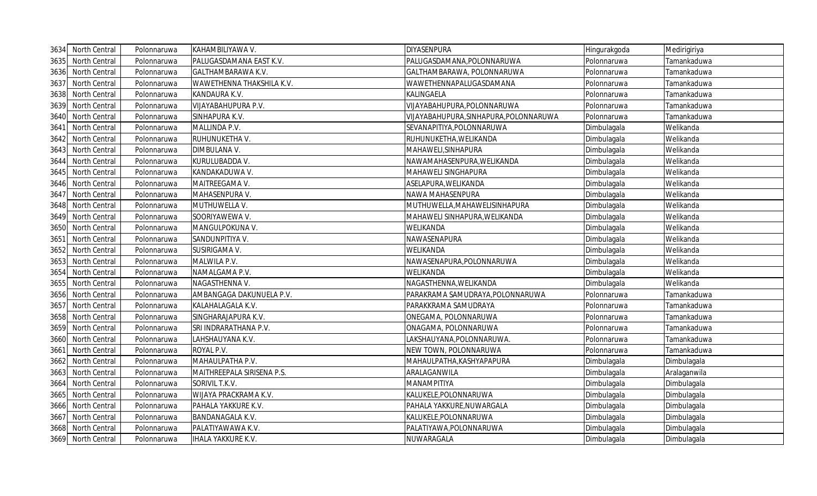| 3634 | North Central | Polonnaruwa | KAHAMBILIYAWA V.           | <b>DIYASENPURA</b>                     | Hingurakgoda | Medirigiriya |
|------|---------------|-------------|----------------------------|----------------------------------------|--------------|--------------|
| 3635 | North Central | Polonnaruwa | PALUGASDAMANA EAST K.V.    | PALUGASDAMANA, POLONNARUWA             | Polonnaruwa  | Tamankaduwa  |
| 3636 | North Central | Polonnaruwa | GALTHAMBARAWA K.V.         | GALTHAMBARAWA, POLONNARUWA             | Polonnaruwa  | Tamankaduwa  |
| 3637 | North Central | Polonnaruwa | WAWETHENNA THAKSHILA K.V.  | WAWETHENNAPALUGASDAMANA                | Polonnaruwa  | Tamankaduwa  |
| 3638 | North Central | Polonnaruwa | KANDAURA K.V.              | KALINGAELA                             | Polonnaruwa  | Tamankaduwa  |
| 3639 | North Central | Polonnaruwa | VIJAYABAHUPURA P.V.        | VIJAYABAHUPURA, POLONNARUWA            | Polonnaruwa  | Tamankaduwa  |
| 3640 | North Central | Polonnaruwa | SINHAPURA K.V.             | VIJAYABAHUPURA, SINHAPURA, POLONNARUWA | Polonnaruwa  | Tamankaduwa  |
| 3641 | North Central | Polonnaruwa | MALLINDA P.V.              | SEVANAPITIYA, POLONNARUWA              | Dimbulagala  | Welikanda    |
| 3642 | North Central | Polonnaruwa | RUHUNUKETHA V.             | RUHUNUKETHA, WELIKANDA                 | Dimbulagala  | Welikanda    |
| 3643 | North Central | Polonnaruwa | DIMBULANA V.               | MAHAWELI, SINHAPURA                    | Dimbulagala  | Welikanda    |
| 3644 | North Central | Polonnaruwa | KURULUBADDA V.             | NAWAMAHASENPURA, WELIKANDA             | Dimbulagala  | Welikanda    |
| 3645 | North Central | Polonnaruwa | KANDAKADUWA V.             | MAHAWELI SINGHAPURA                    | Dimbulagala  | Welikanda    |
| 3646 | North Central | Polonnaruwa | MAITREEGAMA V.             | ASELAPURA, WELIKANDA                   | Dimbulagala  | Welikanda    |
| 3647 | North Central | Polonnaruwa | MAHASENPURA V.             | NAWA MAHASENPURA                       | Dimbulagala  | Welikanda    |
| 3648 | North Central | Polonnaruwa | MUTHUWELLA V.              | MUTHUWELLA, MAHAWELISINHAPURA          | Dimbulagala  | Welikanda    |
| 3649 | North Central | Polonnaruwa | SOORIYAWEWA V.             | MAHAWELI SINHAPURA, WELIKANDA          | Dimbulagala  | Welikanda    |
| 3650 | North Central | Polonnaruwa | MANGULPOKUNA V.            | WELIKANDA                              | Dimbulagala  | Welikanda    |
| 3651 | North Central | Polonnaruwa | SANDUNPITIYA V.            | NAWASENAPURA                           | Dimbulagala  | Welikanda    |
| 3652 | North Central | Polonnaruwa | SUSIRIGAMA V.              | WELIKANDA                              | Dimbulagala  | Welikanda    |
| 3653 | North Central | Polonnaruwa | MALWILA P.V.               | NAWASENAPURA, POLONNARUWA              | Dimbulagala  | Welikanda    |
| 3654 | North Central | Polonnaruwa | NAMALGAMA P.V.             | WELIKANDA                              | Dimbulagala  | Welikanda    |
| 3655 | North Central | Polonnaruwa | NAGASTHENNA V.             | NAGASTHENNA, WELIKANDA                 | Dimbulagala  | Welikanda    |
| 3656 | North Central | Polonnaruwa | AMBANGAGA DAKUNUELA P.V.   | PARAKRAMA SAMUDRAYA, POLONNARUWA       | Polonnaruwa  | Tamankaduwa  |
| 3657 | North Central | Polonnaruwa | KALAHALAGALA K.V.          | PARAKKRAMA SAMUDRAYA                   | Polonnaruwa  | Tamankaduwa  |
| 3658 | North Central | Polonnaruwa | SINGHARAJAPURA K.V.        | ONEGAMA, POLONNARUWA                   | Polonnaruwa  | Tamankaduwa  |
| 3659 | North Central | Polonnaruwa | SRI INDRARATHANA P.V.      | ONAGAMA, POLONNARUWA                   | Polonnaruwa  | Tamankaduwa  |
| 3660 | North Central | Polonnaruwa | LAHSHAUYANA K.V.           | LAKSHAUYANA, POLONNARUWA.              | Polonnaruwa  | Tamankaduwa  |
| 3661 | North Central | Polonnaruwa | ROYAL P.V.                 | NEW TOWN, POLONNARUWA                  | Polonnaruwa  | Tamankaduwa  |
| 3662 | North Central | Polonnaruwa | MAHAULPATHA P.V.           | MAHAULPATHA, KASHYAPAPURA              | Dimbulagala  | Dimbulagala  |
| 3663 | North Central | Polonnaruwa | MAITHREEPALA SIRISENA P.S. | ARALAGANWILA                           | Dimbulagala  | Aralaganwila |
| 3664 | North Central | Polonnaruwa | SORIVIL T.K.V.             | MANAMPITIYA                            | Dimbulagala  | Dimbulagala  |
| 3665 | North Central | Polonnaruwa | WIJAYA PRACKRAMA K.V.      | KALUKELE, POLONNARUWA                  | Dimbulagala  | Dimbulagala  |
| 3666 | North Central | Polonnaruwa | PAHALA YAKKURE K.V.        | PAHALA YAKKURE, NUWARGALA              | Dimbulagala  | Dimbulagala  |
| 3667 | North Central | Polonnaruwa | <b>BANDANAGALA K.V.</b>    | KALUKELE, POLONNARUWA                  | Dimbulagala  | Dimbulagala  |
| 3668 | North Central | Polonnaruwa | PALATIYAWAWA K.V.          | PALATIYAWA, POLONNARUWA                | Dimbulagala  | Dimbulagala  |
| 3669 | North Central | Polonnaruwa | <b>IHALA YAKKURE K.V.</b>  | NUWARAGALA                             | Dimbulagala  | Dimbulagala  |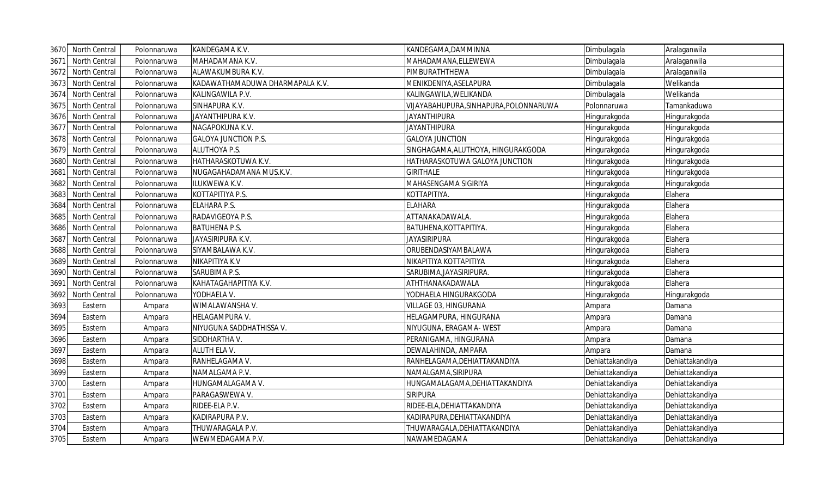| 3670 | North Central        | Polonnaruwa | KANDEGAMA K.V.                  | KANDEGAMA, DAMMINNA                    | Dimbulagala     | Aralaganwila    |
|------|----------------------|-------------|---------------------------------|----------------------------------------|-----------------|-----------------|
| 3671 | North Central        | Polonnaruwa | MAHADAMANA K.V.                 | MAHADAMANA, ELLEWEWA                   | Dimbulagala     | Aralaganwila    |
| 3672 | North Central        | Polonnaruwa | ALAWAKUMBURA K.V.               | PIMBURATHTHEWA                         | Dimbulagala     | Aralaganwila    |
| 3673 | North Central        | Polonnaruwa | KADAWATHAMADUWA DHARMAPALA K.V. | MENIKDENIYA, ASELAPURA                 | Dimbulagala     | Welikanda       |
| 3674 | North Central        | Polonnaruwa | KALINGAWILA P.V.                | KALINGAWILA, WELIKANDA                 | Dimbulagala     | Welikanda       |
| 3675 | North Central        | Polonnaruwa | SINHAPURA K.V.                  | VIJAYABAHUPURA, SINHAPURA, POLONNARUWA | Polonnaruwa     | Tamankaduwa     |
| 3676 | North Central        | Polonnaruwa | JAYANTHIPURA K.V.               | <b>JAYANTHIPURA</b>                    | Hingurakgoda    | Hingurakgoda    |
| 3677 | North Central        | Polonnaruwa | NAGAPOKUNA K.V.                 | <b>JAYANTHIPURA</b>                    | Hingurakgoda    | Hingurakgoda    |
| 3678 | North Central        | Polonnaruwa | <b>GALOYA JUNCTION P.S.</b>     | <b>GALOYA JUNCTION</b>                 | Hingurakgoda    | Hingurakgoda    |
| 3679 | North Central        | Polonnaruwa | ALUTHOYA P.S.                   | SINGHAGAMA, ALUTHOYA, HINGURAKGODA     | Hingurakgoda    | Hingurakgoda    |
| 3680 | North Central        | Polonnaruwa | HATHARASKOTUWA K.V.             | HATHARASKOTUWA GALOYA JUNCTION         | Hingurakgoda    | Hingurakgoda    |
| 3681 | North Central        | Polonnaruwa | NUGAGAHADAMANA MUS.K.V.         | <b>GIRITHALE</b>                       | Hingurakgoda    | Hingurakgoda    |
| 3682 | North Central        | Polonnaruwa | ILUKWEWA K.V.                   | MAHASENGAMA SIGIRIYA                   | Hingurakgoda    | Hingurakgoda    |
| 3683 | North Central        | Polonnaruwa | KOTTAPITIYA P.S.                | ΚΟΤΤΑΡΙΤΙΥΑ.                           | Hingurakgoda    | Elahera         |
| 3684 | North Central        | Polonnaruwa | ELAHARA P.S.                    | <b>ELAHARA</b>                         | Hingurakgoda    | Elahera         |
| 3685 | North Central        | Polonnaruwa | RADAVIGEOYA P.S.                | ATTANAKADAWALA.                        | Hingurakgoda    | Elahera         |
| 3686 | North Central        | Polonnaruwa | <b>BATUHENA P.S.</b>            | BATUHENA, KOTTAPITIYA.                 | Hingurakgoda    | Elahera         |
| 3687 | North Central        | Polonnaruwa | JAYASIRIPURA K.V.               | <b>JAYASIRIPURA</b>                    | Hingurakgoda    | Elahera         |
| 3688 | North Central        | Polonnaruwa | SIYAMBALAWA K.V.                | ORUBENDASIYAMBALAWA                    | Hingurakgoda    | Elahera         |
| 3689 | North Central        | Polonnaruwa | NIKAPITIYA K.V                  | ΝΙΚΑΡΙΤΙΥΑ ΚΟΤΤΑΡΙΤΙΥΑ                 | Hingurakgoda    | Elahera         |
| 3690 | North Central        | Polonnaruwa | SARUBIMA P.S.                   | SARUBIMA, JAYASIRIPURA.                | Hingurakgoda    | Elahera         |
| 3691 | <b>North Central</b> | Polonnaruwa | KAHATAGAHAPITIYA K.V.           | ATHTHANAKADAWALA                       | Hingurakgoda    | Elahera         |
| 3692 | North Central        | Polonnaruwa | YODHAELA V.                     | YODHAELA HINGURAKGODA                  | Hingurakgoda    | Hingurakgoda    |
| 3693 | Eastern              | Ampara      | WIMALAWANSHA V.                 | VILLAGE 03, HINGURANA                  | Ampara          | Damana          |
| 3694 | Eastern              | Ampara      | HELAGAMPURA V.                  | HELAGAMPURA, HINGURANA                 | Ampara          | Damana          |
| 3695 | Eastern              | Ampara      | NIYUGUNA SADDHATHISSA V.        | NIYUGUNA, ERAGAMA- WEST                | Ampara          | Damana          |
| 3696 | Eastern              | Ampara      | SIDDHARTHA V.                   | PERANIGAMA, HINGURANA                  | Ampara          | Damana          |
| 3697 | Eastern              | Ampara      | ALUTH ELA V.                    | DEWALAHINDA, AMPARA                    | Ampara          | Damana          |
| 3698 | Eastern              | Ampara      | RANHELAGAMA V.                  | RANHELAGAMA, DEHIATTAKANDIYA           | Dehiattakandiya | Dehiattakandiya |
| 3699 | Eastern              | Ampara      | NAMALGAMA P.V.                  | NAMALGAMA, SIRIPURA                    | Dehiattakandiya | Dehiattakandiya |
| 3700 | Eastern              | Ampara      | HUNGAMALAGAMA V.                | HUNGAMALAGAMA, DEHIATTAKANDIYA         | Dehiattakandiya | Dehiattakandiya |
| 3701 | Eastern              | Ampara      | PARAGASWEWA V.                  | <b>SIRIPURA</b>                        | Dehiattakandiya | Dehiattakandiya |
| 3702 | Eastern              | Ampara      | RIDEE-ELA P.V.                  | RIDEE-ELA, DEHIATTAKANDIYA             | Dehiattakandiya | Dehiattakandiya |
| 3703 | Eastern              | Ampara      | KADIRAPURA P.V.                 | KADIRAPURA, DEHIATTAKANDIYA            | Dehiattakandiya | Dehiattakandiya |
| 3704 | Eastern              | Ampara      | THUWARAGALA P.V.                | THUWARAGALA, DEHIATTAKANDIYA           | Dehiattakandiya | Dehiattakandiya |
| 3705 | Eastern              | Ampara      | WEWMEDAGAMA P.V.                | NAWAMEDAGAMA                           | Dehiattakandiya | Dehiattakandiya |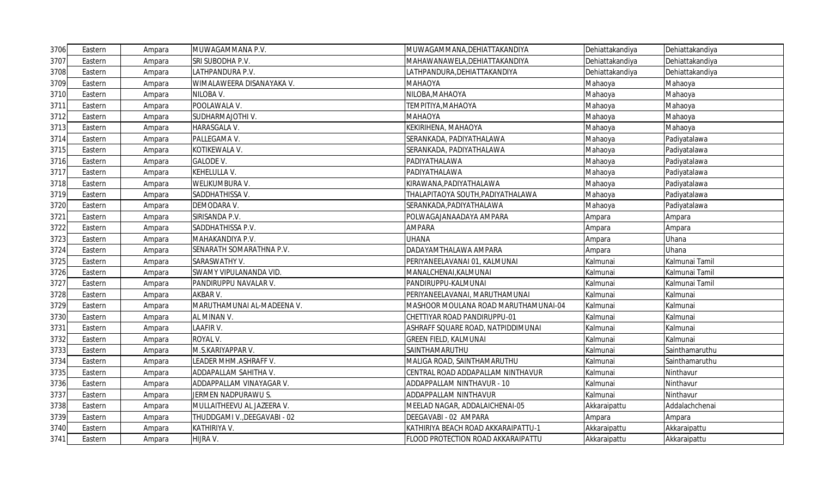| 3706 | Eastern | Ampara | MUWAGAMMANA P.V.             | MUWAGAMMANA, DEHIATTAKANDIYA         | Dehiattakandiya | Dehiattakandiya |
|------|---------|--------|------------------------------|--------------------------------------|-----------------|-----------------|
| 3707 | Eastern | Ampara | SRI SUBODHA P.V.             | MAHAWANAWELA, DEHIATTAKANDIYA        | Dehiattakandiya | Dehiattakandiya |
| 3708 | Eastern | Ampara | LATHPANDURA P.V.             | LATHPANDURA, DEHIATTAKANDIYA         | Dehiattakandiya | Dehiattakandiya |
| 3709 | Eastern | Ampara | WIMALAWEERA DISANAYAKA V.    | ΜΑΗΑΟΥΑ                              | Mahaoya         | Mahaoya         |
| 3710 | Eastern | Ampara | NILOBA V.                    | NILOBA, MAHAOYA                      | Mahaoya         | Mahaoya         |
| 3711 | Eastern | Ampara | POOLAWALA V.                 | ΤΕΜΡΙΤΙΥΑ, ΜΑΗΑΟΥΑ                   | Mahaoya         | Mahaoya         |
| 3712 | Eastern | Ampara | SUDHARMAJOTHI V.             | MAHAOYA                              | Mahaoya         | Mahaoya         |
| 3713 | Eastern | Ampara | HARASGALA V.                 | KEKIRIHENA, MAHAOYA                  | Mahaoya         | Mahaoya         |
| 3714 | Eastern | Ampara | PALLEGAMA V.                 | SERANKADA, PADIYATHALAWA             | Mahaoya         | Padiyatalawa    |
| 3715 | Eastern | Ampara | KOTIKEWALA V.                | SERANKADA, PADIYATHALAWA             | Mahaoya         | Padiyatalawa    |
| 3716 | Eastern | Ampara | <b>GALODE V.</b>             | PADIYATHALAWA                        | Mahaoya         | Padiyatalawa    |
| 3717 | Eastern | Ampara | KEHELULLA V.                 | PADIYATHALAWA                        | Mahaoya         | Padiyatalawa    |
| 3718 | Eastern | Ampara | WELIKUMBURA V.               | KIRAWANA, PADIYATHALAWA              | Mahaoya         | Padiyatalawa    |
| 3719 | Eastern | Ampara | SADDHATHISSA V.              | THALAPITAOYA SOUTH, PADIYATHALAWA    | Mahaoya         | Padiyatalawa    |
| 3720 | Eastern | Ampara | DEMODARA V.                  | SERANKADA, PADIYATHALAWA             | Mahaoya         | Padiyatalawa    |
| 3721 | Eastern | Ampara | SIRISANDA P.V.               | POLWAGAJANAADAYA AMPARA              | Ampara          | Ampara          |
| 3722 | Eastern | Ampara | SADDHATHISSA P.V.            | <b>AMPARA</b>                        | Ampara          | Ampara          |
| 3723 | Eastern | Ampara | MAHAKANDIYA P.V.             | <b>UHANA</b>                         | Ampara          | Uhana           |
| 3724 | Eastern | Ampara | SENARATH SOMARATHNA P.V.     | DADAYAMTHALAWA AMPARA                | Ampara          | Uhana           |
| 3725 | Eastern | Ampara | SARASWATHY V.                | PERIYANEELAVANAI 01, KALMUNAI        | Kalmunai        | Kalmunai Tamil  |
| 3726 | Eastern | Ampara | SWAMY VIPULANANDA VID.       | MANALCHENAI, KALMUNAI                | Kalmunai        | Kalmunai Tamil  |
| 3727 | Eastern | Ampara | PANDIRUPPU NAVALAR V.        | PANDIRUPPU-KALMUNAI                  | Kalmunai        | Kalmunai Tamil  |
| 3728 | Eastern | Ampara | AKBAR V.                     | PERIYANEELAVANAI, MARUTHAMUNAI       | Kalmunai        | Kalmunai        |
| 3729 | Eastern | Ampara | MARUTHAMUNAI AL-MADEENA V.   | MASHOOR MOULANA ROAD MARUTHAMUNAI-04 | Kalmunai        | Kalmunai        |
| 3730 | Eastern | Ampara | AL MINAN V.                  | CHETTIYAR ROAD PANDIRUPPU-01         | Kalmunai        | Kalmunai        |
| 3731 | Eastern | Ampara | LAAFIR V.                    | ASHRAFF SQUARE ROAD, NATPIDDIMUNAI   | Kalmunai        | Kalmunai        |
| 3732 | Eastern | Ampara | ROYAL V.                     | <b>GREEN FIELD, KALMUNAI</b>         | Kalmunai        | Kalmunai        |
| 3733 | Eastern | Ampara | M.S.KARIYAPPAR V.            | SAINTHAMARUTHU                       | Kalmunai        | Sainthamaruthu  |
| 3734 | Eastern | Ampara | EADER MHM.ASHRAFF V.         | MALIGA ROAD, SAINTHAMARUTHU          | Kalmunai        | Sainthamaruthu  |
| 3735 | Eastern | Ampara | ADDAPALLAM SAHITHA V.        | CENTRAL ROAD ADDAPALLAM NINTHAVUR    | Kalmunai        | Ninthavur       |
| 3736 | Eastern | Ampara | ADDAPPALLAM VINAYAGAR V.     | ADDAPPALLAM NINTHAVUR - 10           | Kalmunai        | Ninthavur       |
| 3737 | Eastern | Ampara | JERMEN NADPURAWU S.          | ADDAPPALLAM NINTHAVUR                | Kalmunai        | Ninthavur       |
| 3738 | Eastern | Ampara | MULLAITHEEVU AL JAZEERA V.   | MEELAD NAGAR, ADDALAICHENAI-05       | Akkaraipattu    | Addalachchenai  |
| 3739 | Eastern | Ampara | THUDDGAMI V., DEEGAVABI - 02 | DEEGAVABI - 02 AMPARA                | Ampara          | Ampara          |
| 3740 | Eastern | Ampara | KATHIRIYA V.                 | KATHIRIYA BEACH ROAD AKKARAIPATTU-1  | Akkaraipattu    | Akkaraipattu    |
| 3741 | Eastern | Ampara | HIJRA V.                     | FLOOD PROTECTION ROAD AKKARAIPATTU   | Akkaraipattu    | Akkaraipattu    |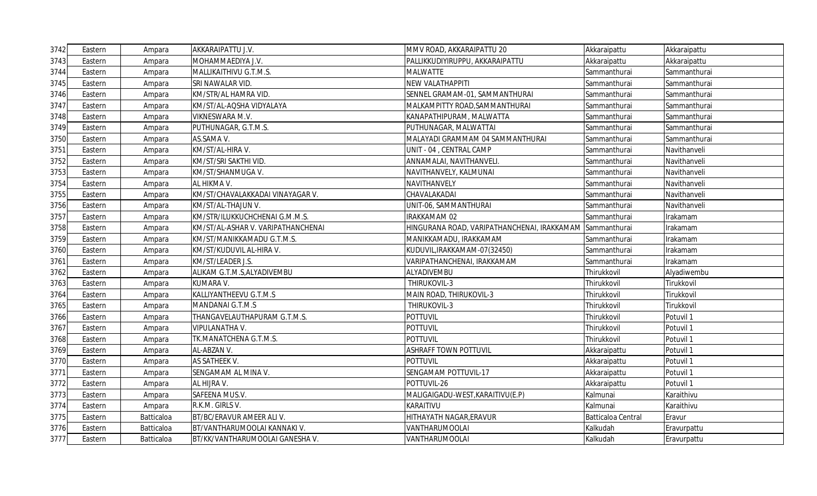| 3742 | Eastern | Ampara     | AKKARAIPATTU J.V.                  | MMV ROAD, AKKARAIPATTU 20                   | Akkaraipattu       | Akkaraipattu |
|------|---------|------------|------------------------------------|---------------------------------------------|--------------------|--------------|
| 3743 | Eastern | Ampara     | MOHAMMAEDIYA J.V.                  | PALLIKKUDIYIRUPPU, AKKARAIPATTU             | Akkaraipattu       | Akkaraipattu |
| 3744 | Eastern | Ampara     | MALLIKAITHIVU G.T.M.S.             | <b>MALWATTE</b>                             | Sammanthurai       | Sammanthurai |
| 3745 | Eastern | Ampara     | SRI NAWALAR VID.                   | <b>NEW VALATHAPPITI</b>                     | Sammanthurai       | Sammanthurai |
| 3746 | Eastern | Ampara     | KM/STR/AL HAMRA VID.               | SENNEL GRAMAM-01, SAMMANTHURAI              | Sammanthurai       | Sammanthurai |
| 3747 | Eastern | Ampara     | KM/ST/AL-AQSHA VIDYALAYA           | MALKAMPITTY ROAD, SAMMANTHURAI              | Sammanthurai       | Sammanthurai |
| 3748 | Eastern | Ampara     | VIKNESWARA M.V.                    | KANAPATHIPURAM, MALWATTA                    | Sammanthurai       | Sammanthurai |
| 3749 | Eastern | Ampara     | PUTHUNAGAR, G.T.M.S.               | PUTHUNAGAR, MALWATTAI                       | Sammanthurai       | Sammanthurai |
| 3750 | Eastern | Ampara     | AS.SAMA V.                         | MALAYADI GRAMMAM 04 SAMMANTHURAI            | Sammanthurai       | Sammanthurai |
| 3751 | Eastern | Ampara     | KM/ST/AL-HIRA V.                   | UNIT - 04, CENTRAL CAMP                     | Sammanthurai       | Navithanveli |
| 3752 | Eastern | Ampara     | KM/ST/SRI SAKTHI VID.              | ANNAMALAI, NAVITHANVELI.                    | Sammanthurai       | Navithanveli |
| 3753 | Eastern | Ampara     | KM/ST/SHANMUGA V.                  | NAVITHANVELY, KALMUNAI                      | Sammanthurai       | Navithanveli |
| 3754 | Eastern | Ampara     | AL HIKMA V.                        | NAVITHANVELY                                | Sammanthurai       | Navithanveli |
| 3755 | Eastern | Ampara     | KM/ST/CHAVALAKKADAI VINAYAGAR V.   | CHAVALAKADAI                                | Sammanthurai       | Navithanveli |
| 3756 | Eastern | Ampara     | KM/ST/AL-THAJUN V.                 | UNIT-06, SAMMANTHURAI                       | Sammanthurai       | Navithanveli |
| 3757 | Eastern | Ampara     | KM/STR/ILUKKUCHCHENAI G.M.M.S.     | IRAKKAMAM 02                                | Sammanthurai       | rakamam      |
| 3758 | Eastern | Ampara     | KM/ST/AL-ASHAR V. VARIPATHANCHENAI | HINGURANA ROAD, VARIPATHANCHENAI, IRAKKAMAM | Sammanthurai       | Irakamam     |
| 3759 | Eastern | Ampara     | KM/ST/MANIKKAMADU G.T.M.S.         | MANIKKAMADU, IRAKKAMAM                      | Sammanthurai       | Irakamam     |
| 3760 | Eastern | Ampara     | KM/ST/KUDUVIL AL-HIRA V.           | KUDUVIL, IRAKKAMAM-07(32450)                | Sammanthurai       | rakamam      |
| 3761 | Eastern | Ampara     | KM/ST/LEADER J.S.                  | VARIPATHANCHENAI, IRAKKAMAM                 | Sammanthurai       | Irakamam     |
| 3762 | Eastern | Ampara     | ALIKAM G.T.M.S, ALYADIVEMBU        | ALYADIVEMBU                                 | Thirukkovil        | Alyadiwembu  |
| 3763 | Eastern | Ampara     | KUMARA V.                          | THIRUKOVIL-3                                | Thirukkovil        | Tirukkovil   |
| 3764 | Eastern | Ampara     | KALLIYANTHEEVU G.T.M.S             | MAIN ROAD, THIRUKOVIL-3                     | Thirukkovil        | Tirukkovil   |
| 3765 | Eastern | Ampara     | MANDANAI G.T.M.S                   | THIRUKOVIL-3                                | Thirukkovil        | Tirukkovil   |
| 3766 | Eastern | Ampara     | THANGAVELAUTHAPURAM G.T.M.S.       | <b>POTTUVIL</b>                             | Thirukkovil        | Potuvil 1    |
| 3767 | Eastern | Ampara     | VIPULANATHA V.                     | <b>POTTUVIL</b>                             | Thirukkovil        | Potuvil 1    |
| 3768 | Eastern | Ampara     | TK.MANATCHENA G.T.M.S.             | <b>POTTUVIL</b>                             | Thirukkovil        | Potuvil 1    |
| 3769 | Eastern | Ampara     | AL-ABZAN V.                        | <b>ASHRAFF TOWN POTTUVIL</b>                | Akkaraipattu       | Potuvil 1    |
| 3770 | Eastern | Ampara     | AS SATHEEK V.                      | <b>POTTUVIL</b>                             | Akkaraipattu       | Potuvil 1    |
| 3771 | Eastern | Ampara     | SENGAMAM AL MINA V.                | SENGAMAM POTTUVIL-17                        | Akkaraipattu       | Potuvil 1    |
| 3772 | Eastern | Ampara     | AL HIJRA V.                        | POTTUVIL-26                                 | Akkaraipattu       | Potuvil 1    |
| 3773 | Eastern | Ampara     | SAFEENA MUS.V.                     | MALIGAIGADU-WEST, KARAITIVU(E.P)            | Kalmunai           | Karaithivu   |
| 3774 | Eastern | Ampara     | R.K.M. GIRLS V.                    | KARAITIVU                                   | Kalmunai           | Karaithivu   |
| 3775 | Eastern | Batticaloa | BT/BC/ERAVUR AMEER ALI V.          | HITHAYATH NAGAR, ERAVUR                     | Batticaloa Central | Eravur       |
| 3776 | Eastern | Batticaloa | BT/VANTHARUMOOLAI KANNAKI V.       | VANTHARUMOOLAI                              | Kalkudah           | Eravurpattu  |
| 3777 | Eastern | Batticaloa | BT/KK/VANTHARUMOOLAI GANESHA V.    | VANTHARUMOOLAI                              | Kalkudah           | Eravurpattu  |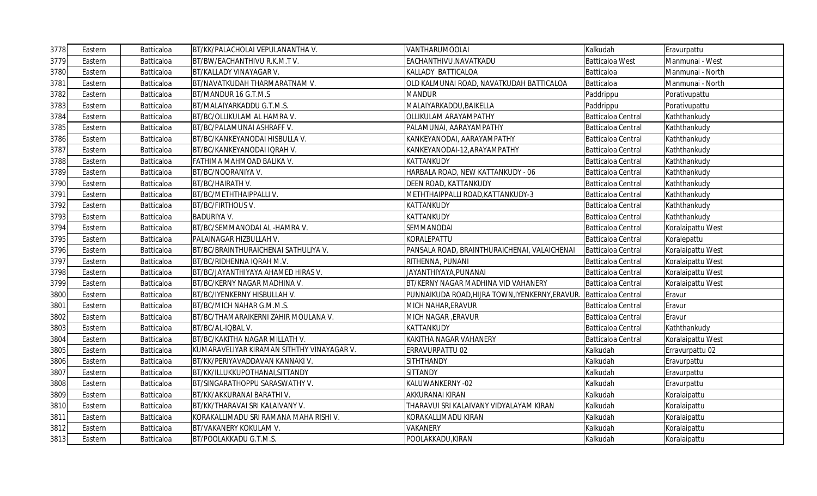| 3778 | Eastern | Batticaloa        | BT/KK/PALACHOLAI VEPULANANTHA V.           | VANTHARUMOOLAI                                  | Kalkudah                  | Eravurpattu       |
|------|---------|-------------------|--------------------------------------------|-------------------------------------------------|---------------------------|-------------------|
| 3779 | Eastern | Batticaloa        | BT/BW/EACHANTHIVU R.K.M.T V.               | EACHANTHIVU, NAVATKADU                          | <b>Batticaloa West</b>    | Manmunai - West   |
| 3780 | Eastern | Batticaloa        | BT/KALLADY VINAYAGAR V.                    | KALLADY BATTICALOA                              | Batticaloa                | Manmunai - North  |
| 3781 | Eastern | Batticaloa        | BT/NAVATKUDAH THARMARATNAM V.              | OLD KALMUNAI ROAD, NAVATKUDAH BATTICALOA        | Batticaloa                | Manmunai - North  |
| 3782 | Eastern | Batticaloa        | BT/MANDUR 16 G.T.M.S                       | <b>MANDUR</b>                                   | Paddrippu                 | Porativupattu     |
| 3783 | Eastern | Batticaloa        | BT/MALAIYARKADDU G.T.M.S.                  | MALAIYARKADDU, BAIKELLA                         | Paddrippu                 | Porativupattu     |
| 3784 | Eastern | Batticaloa        | BT/BC/OLLIKULAM AL HAMRA V.                | <b>OLLIKULAM ARAYAMPATHY</b>                    | <b>Batticaloa Central</b> | Kaththankudy      |
| 3785 | Eastern | Batticaloa        | BT/BC/PALAMUNAI ASHRAFF V.                 | PALAMUNAI, AARAYAMPATHY                         | <b>Batticaloa Central</b> | Kaththankudy      |
| 3786 | Eastern | Batticaloa        | BT/BC/KANKEYANODAI HISBULLA V.             | KANKEYANODAI, AARAYAMPATHY                      | <b>Batticaloa Central</b> | Kaththankudy      |
| 3787 | Eastern | <b>Batticaloa</b> | BT/BC/KANKEYANODAI IQRAH V.                | KANKEYANODAI-12, ARAYAMPATHY                    | <b>Batticaloa Central</b> | Kaththankudy      |
| 3788 | Eastern | Batticaloa        | FATHIMA MAHMOAD BALIKA V.                  | KATTANKUDY                                      | Batticaloa Central        | Kaththankudy      |
| 3789 | Eastern | Batticaloa        | BT/BC/NOORANIYA V.                         | HARBALA ROAD, NEW KATTANKUDY - 06               | <b>Batticaloa Central</b> | Kaththankudy      |
| 3790 | Eastern | Batticaloa        | BT/BC/HAIRATH V.                           | DEEN ROAD, KATTANKUDY                           | Batticaloa Central        | Kaththankudy      |
| 3791 | Eastern | Batticaloa        | BT/BC/METHTHAIPPALLIV.                     | METHTHAIPPALLI ROAD, KATTANKUDY-3               | <b>Batticaloa Central</b> | Kaththankudy      |
| 3792 | Eastern | Batticaloa        | BT/BC/FIRTHOUS V.                          | KATTANKUDY                                      | Batticaloa Central        | Kaththankudy      |
| 3793 | Eastern | Batticaloa        | <b>BADURIYA V.</b>                         | KATTANKUDY                                      | <b>Batticaloa Central</b> | Kaththankudy      |
| 3794 | Eastern | <b>Batticaloa</b> | BT/BC/SEMMANODAI AL -HAMRA V.              | SEMMANODAI                                      | Batticaloa Central        | Koralaipattu West |
| 3795 | Eastern | Batticaloa        | PALAINAGAR HIZBULLAH V.                    | KORALEPATTU                                     | <b>Batticaloa Central</b> | Koralepattu       |
| 3796 | Eastern | Batticaloa        | BT/BC/BRAINTHURAICHENAI SATHULIYA V.       | PANSALA ROAD, BRAINTHURAICHENAI, VALAICHENAI    | Batticaloa Central        | Koralaipattu West |
| 3797 | Eastern | Batticaloa        | BT/BC/RIDHENNA IQRAH M.V.                  | RITHENNA, PUNANI                                | Batticaloa Central        | Koralaipattu West |
| 3798 | Eastern | Batticaloa        | BT/BC/JAYANTHIYAYA AHAMED HIRAS V.         | JAYANTHIYAYA, PUNANAI                           | <b>Batticaloa Central</b> | Koralaipattu West |
| 3799 | Eastern | Batticaloa        | BT/BC/KERNY NAGAR MADHINA V.               | BT/KERNY NAGAR MADHINA VID VAHANERY             | Batticaloa Central        | Koralaipattu West |
| 3800 | Eastern | Batticaloa        | BT/BC/IYENKERNY HISBULLAH V.               | PUNNAIKUDA ROAD, HIJRA TOWN, IYENKERNY, ERAVUR. | Batticaloa Central        | Eravur            |
| 3801 | Eastern | Batticaloa        | BT/BC/MICH NAHAR G.M.M.S.                  | MICH NAHAR, ERAVUR                              | <b>Batticaloa Central</b> | Eravur            |
| 3802 | Eastern | Batticaloa        | BT/BC/THAMARAIKERNI ZAHIR MOULANA V.       | MICH NAGAR , ERAVUR                             | Batticaloa Central        | Eravur            |
| 3803 | Eastern | Batticaloa        | BT/BC/AL-IQBAL V.                          | KATTANKUDY                                      | <b>Batticaloa Central</b> | Kaththankudy      |
| 3804 | Eastern | Batticaloa        | BT/BC/KAKITHA NAGAR MILLATH V.             | KAKITHA NAGAR VAHANERY                          | <b>Batticaloa Central</b> | Koralaipattu West |
| 3805 | Eastern | Batticaloa        | KUMARAVELIYAR KIRAMAN SITHTHY VINAYAGAR V. | ERRAVURPATTU 02                                 | Kalkudah                  | Erravurpattu 02   |
| 3806 | Eastern | Batticaloa        | BT/KK/PERIYAVADDAVAN KANNAKI V.            | <b>SITHTHANDY</b>                               | Kalkudah                  | Eravurpattu       |
| 3807 | Eastern | Batticaloa        | BT/KK/ILLUKKUPOTHANAI, SITTANDY            | <b>SITTANDY</b>                                 | Kalkudah                  | Eravurpattu       |
| 3808 | Eastern | Batticaloa        | BT/SINGARATHOPPU SARASWATHY V.             | KALUWANKERNY - 02                               | Kalkudah                  | Eravurpattu       |
| 3809 | Eastern | Batticaloa        | BT/KK/AKKURANAI BARATHI V.                 | <b>AKKURANAI KIRAN</b>                          | Kalkudah                  | Koralaipattu      |
| 3810 | Eastern | Batticaloa        | BT/KK/THARAVAI SRI KALAIVANY V.            | THARAVUI SRI KALAIVANY VIDYALAYAM KIRAN         | Kalkudah                  | Koralaipattu      |
| 3811 | Eastern | Batticaloa        | KORAKALLIMADU SRI RAMANA MAHA RISHI V.     | KORAKALLIMADU KIRAN                             | Kalkudah                  | Koralaipattu      |
| 3812 | Eastern | Batticaloa        | BT/VAKANERY KOKULAM V.                     | VAKANERY                                        | Kalkudah                  | Koralaipattu      |
| 3813 | Eastern | <b>Batticaloa</b> | BT/POOLAKKADU G.T.M.S.                     | POOLAKKADU, KIRAN                               | Kalkudah                  | Koralaipattu      |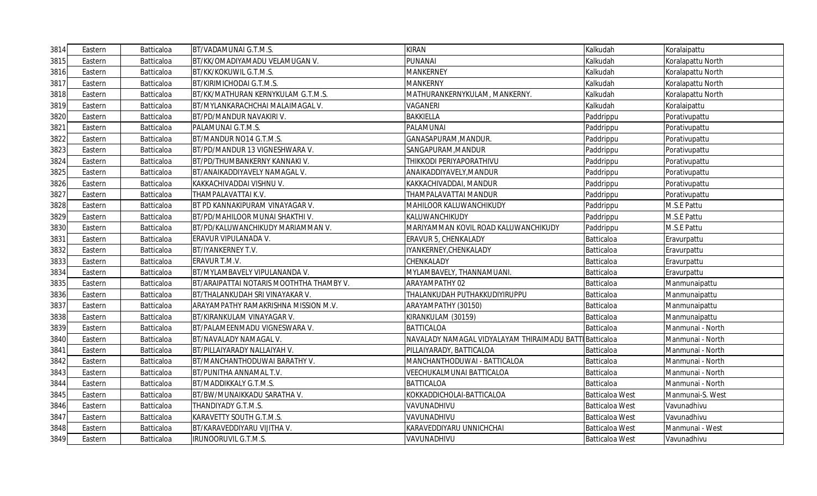| 3814 | Eastern | Batticaloa | BT/VADAMUNAI G.T.M.S.                    | <b>KIRAN</b>                                | Kalkudah               | Koralaipattu      |
|------|---------|------------|------------------------------------------|---------------------------------------------|------------------------|-------------------|
| 3815 | Eastern | Batticaloa | BT/KK/OMADIYAMADU VELAMUGAN V.           | PUNANAI                                     | Kalkudah               | Koralapattu North |
| 3816 | Eastern | Batticaloa | BT/KK/KOKUWIL G.T.M.S.                   | <b>MANKERNEY</b>                            | Kalkudah               | Koralapattu North |
| 3817 | Eastern | Batticaloa | BT/KIRIMICHODAI G.T.M.S.                 | <b>MANKERNY</b>                             | Kalkudah               | Koralapattu North |
| 3818 | Eastern | Batticaloa | BT/KK/MATHURAN KERNYKULAM G.T.M.S.       | MATHURANKERNYKULAM, MANKERNY.               | Kalkudah               | Koralapattu North |
| 3819 | Eastern | Batticaloa | BT/MYLANKARACHCHAI MALAIMAGAL V.         | <b>VAGANERI</b>                             | Kalkudah               | Koralaipattu      |
| 3820 | Eastern | Batticaloa | BT/PD/MANDUR NAVAKIRI V.                 | <b>BAKKIELLA</b>                            | Paddrippu              | Porativupattu     |
| 3821 | Eastern | Batticaloa | PALAMUNAI G.T.M.S.                       | PALAMUNAI                                   | Paddrippu              | Porativupattu     |
| 3822 | Eastern | Batticaloa | BT/MANDUR NO14 G.T.M.S.                  | GANASAPURAM, MANDUR.                        | Paddrippu              | Porativupattu     |
| 3823 | Eastern | Batticaloa | BT/PD/MANDUR 13 VIGNESHWARA V.           | SANGAPURAM, MANDUR                          | Paddrippu              | Porativupattu     |
| 3824 | Eastern | Batticaloa | BT/PD/THUMBANKERNY KANNAKI V.            | THIKKODI PERIYAPORATHIVU                    | Paddrippu              | Porativupattu     |
| 3825 | Eastern | Batticaloa | BT/ANAIKADDIYAVELY NAMAGAL V.            | ANAIKADDIYAVELY, MANDUR                     | Paddrippu              | Porativupattu     |
| 3826 | Eastern | Batticaloa | KAKKACHIVADDAI VISHNU V.                 | KAKKACHIVADDAI, MANDUR                      | Paddrippu              | Porativupattu     |
| 3827 | Eastern | Batticaloa | THAMPALAVATTAI K.V.                      | THAMPALAVATTAI MANDUR                       | Paddrippu              | Porativupattu     |
| 3828 | Eastern | Batticaloa | BT PD KANNAKIPURAM VINAYAGAR V.          | MAHILOOR KALUWANCHIKUDY                     | Paddrippu              | M.S.E Pattu       |
| 3829 | Eastern | Batticaloa | BT/PD/MAHILOOR MUNAI SHAKTHI V.          | KALUWANCHIKUDY                              | Paddrippu              | M.S.E Pattu       |
| 3830 | Eastern | Batticaloa | BT/PD/KALUWANCHIKUDY MARIAMMAN V.        | MARIYAMMAN KOVIL ROAD KALUWANCHIKUDY        | Paddrippu              | M.S.E Pattu       |
| 3831 | Eastern | Batticaloa | ERAVUR VIPULANADA V.                     | ERAVUR 5, CHENKALADY                        | Batticaloa             | Eravurpattu       |
| 3832 | Eastern | Batticaloa | BT/IYANKERNEY T.V.                       | IYANKERNEY, CHENKALADY                      | Batticaloa             | Eravurpattu       |
| 3833 | Eastern | Batticaloa | ERAVUR T.M.V.                            | CHENKALADY                                  | Batticaloa             | Eravurpattu       |
| 3834 | Eastern | Batticaloa | BT/MYLAMBAVELY VIPULANANDA V.            | MYLAMBAVELY, THANNAMUANI.                   | Batticaloa             | Eravurpattu       |
| 3835 | Eastern | Batticaloa | BT/ARAIPATTAI NOTARIS MOOTHTHA THAMBY V. | ARAYAMPATHY 02                              | Batticaloa             | Manmunaipattu     |
| 3836 | Eastern | Batticaloa | BT/THALANKUDAH SRI VINAYAKAR V.          | THALANKUDAH PUTHAKKUDIYIRUPPU               | Batticaloa             | Manmunaipattu     |
| 3837 | Eastern | Batticaloa | ARAYAMPATHY RAMAKRISHNA MISSION M.V.     | ARAYAMPATHY (30150)                         | Batticaloa             | Manmunaipattu     |
| 3838 | Eastern | Batticaloa | BT/KIRANKULAM VINAYAGAR V.               | KIRANKULAM (30159)                          | Batticaloa             | Manmunaipattu     |
| 3839 | Eastern | Batticaloa | BT/PALAMEENMADU VIGNESWARA V.            | <b>BATTICALOA</b>                           | Batticaloa             | Manmunai - North  |
| 3840 | Eastern | Batticaloa | BT/NAVALADY NAMAGAL V.                   | NAVALADY NAMAGAL VIDYALAYAM THIRAIMADU BATT | Batticaloa             | Manmunai - North  |
| 384  | Eastern | Batticaloa | BT/PILLAIYARADY NALLAIYAH V.             | PILLAIYARADY, BATTICALOA                    | Batticaloa             | Manmunai - North  |
| 3842 | Eastern | Batticaloa | BT/MANCHANTHODUWAI BARATHY V.            | MANCHANTHODUWAI - BATTICALOA                | Batticaloa             | Manmunai - North  |
| 3843 | Eastern | Batticaloa | BT/PUNITHA ANNAMAL T.V.                  | <b>VEECHUKALMUNAI BATTICALOA</b>            | Batticaloa             | Manmunai - North  |
| 3844 | Eastern | Batticaloa | BT/MADDIKKALY G.T.M.S.                   | <b>BATTICALOA</b>                           | Batticaloa             | Manmunai - North  |
| 3845 | Eastern | Batticaloa | BT/BW/MUNAIKKADU SARATHA V.              | KOKKADDICHOLAI-BATTICALOA                   | <b>Batticaloa West</b> | Manmunai-S. West  |
| 3846 | Eastern | Batticaloa | THANDIYADY G.T.M.S.                      | VAVUNADHIVU                                 | <b>Batticaloa West</b> | Vavunadhivu       |
| 3847 | Eastern | Batticaloa | KARAVETTY SOUTH G.T.M.S.                 | VAVUNADHIVU                                 | <b>Batticaloa West</b> | Vavunadhivu       |
| 3848 | Eastern | Batticaloa | BT/KARAVEDDIYARU VIJITHA V.              | KARAVEDDIYARU UNNICHCHAI                    | <b>Batticaloa West</b> | Manmunai - West   |
| 3849 | Eastern | Batticaloa | IRUNOORUVIL G.T.M.S.                     | VAVUNADHIVU                                 | <b>Batticaloa West</b> | Vavunadhivu       |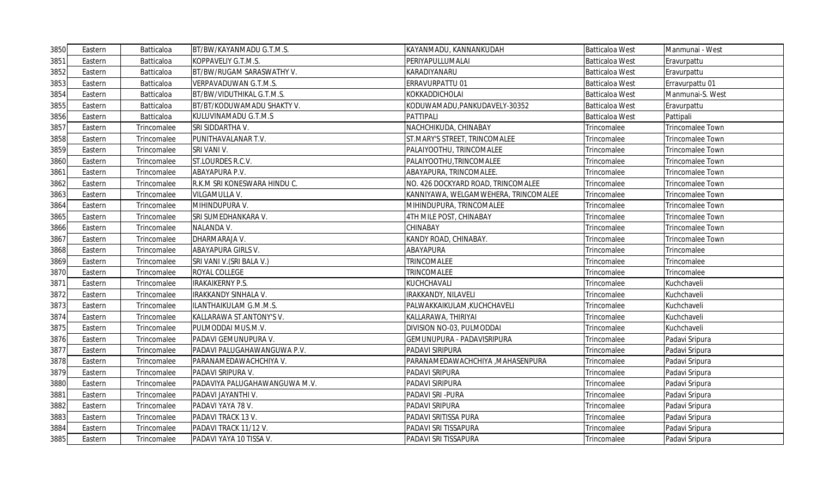| 3850 | Eastern | Batticaloa  | BT/BW/KAYANMADU G.T.M.S.      | KAYANMADU, KANNANKUDAH               | <b>Batticaloa West</b> | Manmunai - West         |
|------|---------|-------------|-------------------------------|--------------------------------------|------------------------|-------------------------|
| 3851 | Eastern | Batticaloa  | KOPPAVELIY G.T.M.S.           | PERIYAPULLUMALAI                     | <b>Batticaloa West</b> | Eravurpattu             |
| 3852 | Eastern | Batticaloa  | BT/BW/RUGAM SARASWATHY V.     | KARADIYANARU                         | <b>Batticaloa West</b> | Eravurpattu             |
| 3853 | Eastern | Batticaloa  | VERPAVADUWAN G.T.M.S.         | ERRAVURPATTU 01                      | <b>Batticaloa West</b> | Erravurpattu 01         |
| 3854 | Eastern | Batticaloa  | BT/BW/VIDUTHIKAL G.T.M.S.     | KOKKADDICHOLAI                       | <b>Batticaloa West</b> | Manmunai-S. West        |
| 3855 | Eastern | Batticaloa  | BT/BT/KODUWAMADU SHAKTY V.    | KODUWAMADU, PANKUDAVELY-30352        | <b>Batticaloa West</b> | Eravurpattu             |
| 3856 | Eastern | Batticaloa  | KULUVINAMADU G.T.M.S          | PATTIPALI                            | <b>Batticaloa West</b> | Pattipali               |
| 3857 | Eastern | Trincomalee | SRI SIDDARTHA V.              | NACHCHIKUDA, CHINABAY                | Trincomalee            | Trincomalee Town        |
| 3858 | Eastern | Trincomalee | PUNITHAVALANAR T.V.           | ST.MARY'S STREET, TRINCOMALEE        | Trincomalee            | Trincomalee Town        |
| 3859 | Eastern | Trincomalee | SRI VANI V.                   | PALAIYOOTHU, TRINCOMALEE             | Trincomalee            | <b>Trincomalee Town</b> |
| 3860 | Eastern | Trincomalee | ST.LOURDES R.C.V.             | PALAIYOOTHU, TRINCOMALEE             | Trincomalee            | Trincomalee Town        |
| 3861 | Eastern | Trincomalee | ABAYAPURA P.V.                | ABAYAPURA, TRINCOMALEE.              | Trincomalee            | Trincomalee Town        |
| 3862 | Eastern | Trincomalee | R.K.M SRI KONESWARA HINDU C.  | NO. 426 DOCKYARD ROAD, TRINCOMALEE   | Trincomalee            | <b>Trincomalee Town</b> |
| 3863 | Eastern | Trincomalee | VILGAMULLA V.                 | KANNIYAWA, WELGAMWEHERA, TRINCOMALEE | Trincomalee            | Trincomalee Town        |
| 3864 | Eastern | Trincomalee | MIHINDUPURA V.                | MIHINDUPURA, TRINCOMALEE             | Trincomalee            | Trincomalee Town        |
| 3865 | Eastern | Trincomalee | SRI SUMEDHANKARA V.           | 4TH MILE POST, CHINABAY              | Trincomalee            | Trincomalee Town        |
| 3866 | Eastern | Trincomalee | NALANDA V.                    | CHINABAY                             | Trincomalee            | Trincomalee Town        |
| 3867 | Eastern | Trincomalee | DHARMARAJA V.                 | KANDY ROAD, CHINABAY.                | Trincomalee            | <b>Trincomalee Town</b> |
| 3868 | Eastern | Trincomalee | ABAYAPURA GIRLS V.            | ABAYAPURA                            | Trincomalee            | Trincomalee             |
| 3869 | Eastern | Trincomalee | SRI VANI V.(SRI BALA V.)      | <b>TRINCOMALEE</b>                   | Trincomalee            | Trincomalee             |
| 3870 | Eastern | Trincomalee | ROYAL COLLEGE                 | TRINCOMALEE                          | Trincomalee            | Trincomalee             |
| 3871 | Eastern | Trincomalee | <b>IRAKAIKERNY P.S.</b>       | KUCHCHAVALI                          | Trincomalee            | Kuchchaveli             |
| 3872 | Eastern | Trincomalee | IRAKKANDY SINHALA V.          | IRAKKANDY, NILAVELI                  | Trincomalee            | Kuchchaveli             |
| 3873 | Eastern | Trincomalee | ILANTHAIKULAM G.M.M.S.        | PALWAKKAIKULAM, KUCHCHAVELI          | Trincomalee            | Kuchchaveli             |
| 3874 | Eastern | Trincomalee | KALLARAWA ST.ANTONY'S V.      | KALLARAWA, THIRIYAI                  | Trincomalee            | Kuchchaveli             |
| 3875 | Eastern | Trincomalee | PULMODDAI MUS.M.V.            | DIVISION NO-03, PULMODDAI            | Trincomalee            | Kuchchaveli             |
| 3876 | Eastern | Trincomalee | PADAVI GEMUNUPURA V.          | <b>GEMUNUPURA - PADAVISRIPURA</b>    | Trincomalee            | Padavi Sripura          |
| 3877 | Eastern | Trincomalee | PADAVI PALUGAHAWANGUWA P.V.   | PADAVI SIRIPURA                      | Trincomalee            | Padavi Sripura          |
| 3878 | Eastern | Trincomalee | PARANAMEDAWACHCHIYA V.        | PARANAMEDAWACHCHIYA , MAHASENPURA    | Trincomalee            | Padavi Sripura          |
| 3879 | Eastern | Trincomalee | PADAVI SRIPURA V.             | PADAVI SRIPURA                       | Trincomalee            | Padavi Sripura          |
| 3880 | Eastern | Trincomalee | PADAVIYA PALUGAHAWANGUWA M.V. | PADAVI SIRIPURA                      | Trincomalee            | Padavi Sripura          |
| 3881 | Eastern | Trincomalee | PADAVI JAYANTHI V.            | PADAVI SRI-PURA                      | Trincomalee            | Padavi Sripura          |
| 3882 | Eastern | Trincomalee | PADAVI YAYA 78 V.             | PADAVI SRIPURA                       | Trincomalee            | Padavi Sripura          |
| 3883 | Eastern | Trincomalee | PADAVI TRACK 13 V.            | PADAVI SRITISSA PURA                 | Trincomalee            | Padavi Sripura          |
| 3884 | Eastern | Trincomalee | PADAVI TRACK 11/12 V.         | PADAVI SRI TISSAPURA                 | Trincomalee            | Padavi Sripura          |
| 3885 | Eastern | Trincomalee | PADAVI YAYA 10 TISSA V.       | PADAVI SRI TISSAPURA                 | Trincomalee            | Padavi Sripura          |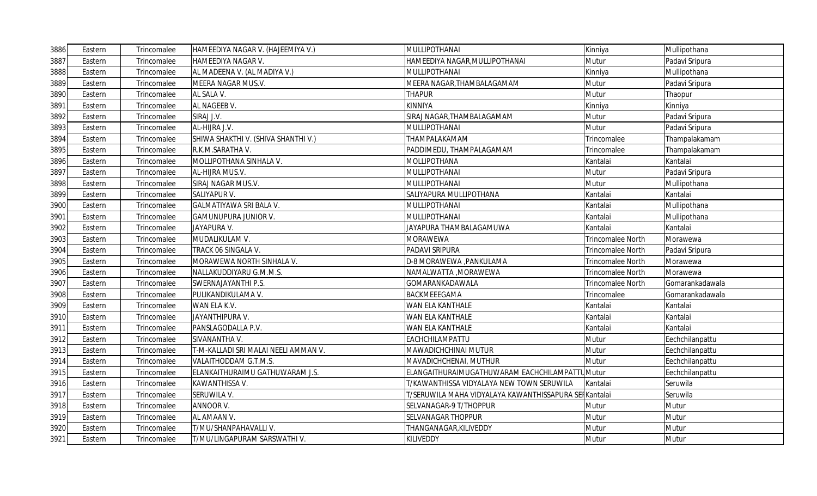| 3886 | Eastern | Trincomalee | HAMEEDIYA NAGAR V. (HAJEEMIYA V.)    | MULLIPOTHANAI                                         | Kinniya                  | Mullipothana    |
|------|---------|-------------|--------------------------------------|-------------------------------------------------------|--------------------------|-----------------|
| 3887 | Eastern | Trincomalee | HAMEEDIYA NAGAR V.                   | HAMEEDIYA NAGAR,MULLIPOTHANAI                         | Mutur                    | Padavi Sripura  |
| 3888 | Eastern | Trincomalee | AL MADEENA V. (AL MADIYA V.)         | MULLIPOTHANAI                                         | Kinniya                  | Mullipothana    |
| 3889 | Eastern | Trincomalee | MEERA NAGAR MUS.V.                   | MEERA NAGAR, THAMBALAGAMAM                            | Mutur                    | Padavi Sripura  |
| 3890 | Eastern | Trincomalee | AL SALA V.                           | THAPUR                                                | Mutur                    | Thaopur         |
| 3891 | Eastern | Trincomalee | AL NAGEEB V.                         | KINNIYA                                               | Kinniya                  | Kinniya         |
| 3892 | Eastern | Trincomalee | SIRAJ J.V.                           | SIRAJ NAGAR, THAMBALAGAMAM                            | Mutur                    | Padavi Sripura  |
| 3893 | Eastern | Trincomalee | AL-HIJRA J.V.                        | MULLIPOTHANAI                                         | Mutur                    | Padavi Sripura  |
| 3894 | Eastern | Trincomalee | SHIWA SHAKTHI V. (SHIVA SHANTHI V.)  | THAMPALAKAMAM                                         | Trincomalee              | Thampalakamam   |
| 3895 | Eastern | Trincomalee | R.K.M.SARATHA V.                     | PADDIMEDU, THAMPALAGAMAM                              | Trincomalee              | Thampalakamam   |
| 3896 | Eastern | Trincomalee | MOLLIPOTHANA SINHALA V.              | <b>MOLLIPOTHANA</b>                                   | Kantalai                 | Kantalai        |
| 3897 | Eastern | Trincomalee | AL-HIJRA MUS.V.                      | MULLIPOTHANAI                                         | Mutur                    | Padavi Sripura  |
| 3898 | Eastern | Trincomalee | SIRAJ NAGAR MUS.V.                   | MULLIPOTHANAI                                         | Mutur                    | Mullipothana    |
| 3899 | Eastern | Trincomalee | SALIYAPUR V.                         | SALIYAPURA MULLIPOTHANA                               | Kantalai                 | Kantalai        |
| 3900 | Eastern | Trincomalee | GALMATIYAWA SRI BALA V.              | MULLIPOTHANAI                                         | Kantalai                 | Mullipothana    |
| 3901 | Eastern | Trincomalee | <b>GAMUNUPURA JUNIOR V.</b>          | MULLIPOTHANAI                                         | Kantalai                 | Mullipothana    |
| 3902 | Eastern | Trincomalee | JAYAPURA V.                          | JAYAPURA THAMBALAGAMUWA                               | Kantalai                 | Kantalai        |
| 3903 | Eastern | Trincomalee | MUDALIKULAM V.                       | <b>MORAWEWA</b>                                       | Trincomalee North        | Morawewa        |
| 3904 | Eastern | Trincomalee | TRACK 06 SINGALA V.                  | PADAVI SRIPURA                                        | Trincomalee North        | Padavi Sripura  |
| 3905 | Eastern | Trincomalee | MORAWEWA NORTH SINHALA V.            | D-8 MORAWEWA , PANKULAMA                              | Trincomalee North        | Morawewa        |
| 3906 | Eastern | Trincomalee | NALLAKUDDIYARU G.M.M.S.              | NAMALWATTA , MORAWEWA                                 | Trincomalee North        | Morawewa        |
| 3907 | Eastern | Trincomalee | SWERNAJAYANTHI P.S.                  | GOMARANKADAWALA                                       | <b>Trincomalee North</b> | Gomarankadawala |
| 3908 | Eastern | Trincomalee | PULIKANDIKULAMA V.                   | BACKMEEEGAMA                                          | Trincomalee              | Gomarankadawala |
| 3909 | Eastern | Trincomalee | WAN ELA K.V.                         | WAN ELA KANTHALE                                      | Kantalai                 | Kantalai        |
| 3910 | Eastern | Trincomalee | JAYANTHIPURA V.                      | WAN ELA KANTHALE                                      | Kantalai                 | Kantalai        |
| 3911 | Eastern | Trincomalee | PANSLAGODALLA P.V.                   | WAN ELA KANTHALE                                      | Kantalai                 | Kantalai        |
| 3912 | Eastern | Trincomalee | SIVANANTHA V.                        | EACHCHILAMPATTU                                       | Mutur                    | Eechchilanpattu |
| 3913 | Eastern | Trincomalee | T-M-KALLADI SRI MALAI NEELI AMMAN V. | MAWADICHCHINAI MUTUR                                  | Mutur                    | Eechchilanpattu |
| 3914 | Eastern | Trincomalee | VALAITHODDAM G.T.M.S.                | MAVADICHCHENAI, MUTHUR                                | Mutur                    | Eechchilanpattu |
| 3915 | Eastern | Trincomalee | ELANKAITHURAIMU GATHUWARAM J.S.      | ELANGAITHURAIMUGATHUWARAM EACHCHILAMPATTUMutur        |                          | Eechchilanpattu |
| 3916 | Eastern | Trincomalee | KAWANTHISSA V.                       | T/KAWANTHISSA VIDYALAYA NEW TOWN SERUWILA             | Kantalai                 | Seruwila        |
| 3917 | Eastern | Trincomalee | SERUWILA V.                          | T/SERUWILA MAHA VIDYALAYA KAWANTHISSAPURA SEIKantalai |                          | Seruwila        |
| 3918 | Eastern | Trincomalee | ANNOOR V.                            | SELVANAGAR-9 T/THOPPUR                                | Mutur                    | Mutur           |
| 3919 | Eastern | Trincomalee | AL AMAAN V.                          | SELVANAGAR THOPPUR                                    | Mutur                    | Mutur           |
| 3920 | Eastern | Trincomalee | T/MU/SHANPAHAVALLI V.                | THANGANAGAR, KILIVEDDY                                | Mutur                    | Mutur           |
| 3921 | Eastern | Trincomalee | T/MU/LINGAPURAM SARSWATHI V.         | KILIVEDDY                                             | Mutur                    | Mutur           |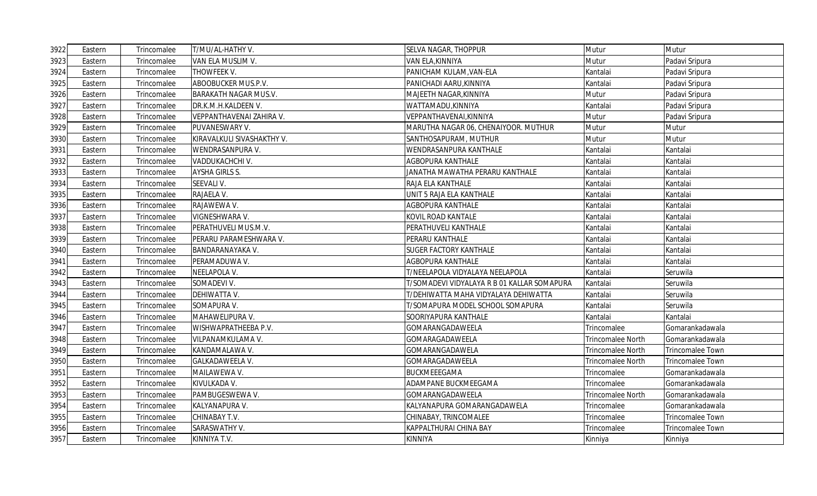| 3922 | Eastern | Trincomalee | T/MU/AL-HATHY V.           | <b>SELVA NAGAR, THOPPUR</b>                 | Mutur             | Mutur                   |
|------|---------|-------------|----------------------------|---------------------------------------------|-------------------|-------------------------|
| 3923 | Eastern | Trincomalee | VAN ELA MUSLIM V.          | VAN ELA, KINNIYA                            | Mutur             | Padavi Sripura          |
| 3924 | Eastern | Trincomalee | THOWFEEK V.                | PANICHAM KULAM, VAN-ELA                     | Kantalai          | Padavi Sripura          |
| 3925 | Eastern | Trincomalee | ABOOBUCKER MUS.P.V.        | PANICHADI AARU, KINNIYA                     | Kantalai          | Padavi Sripura          |
| 3926 | Eastern | Trincomalee | BARAKATH NAGAR MUS.V.      | MAJEETH NAGAR, KINNIYA                      | Mutur             | Padavi Sripura          |
| 3927 | Eastern | Trincomalee | DR.K.M.H.KALDEEN V.        | WATTAMADU, KINNIYA                          | Kantalai          | Padavi Sripura          |
| 3928 | Eastern | Trincomalee | VEPPANTHAVENAI ZAHIRA V.   | VEPPANTHAVENAI, KINNIYA                     | Mutur             | Padavi Sripura          |
| 3929 | Eastern | Trincomalee | PUVANESWARY V.             | MARUTHA NAGAR 06, CHENAIYOOR. MUTHUR        | Mutur             | Mutur                   |
| 3930 | Eastern | Trincomalee | KIRAVALKULI SIVASHAKTHY V. | SANTHOSAPURAM, MUTHUR                       | Mutur             | Mutur                   |
| 3931 | Eastern | Trincomalee | WENDRASANPURA V.           | WENDRASANPURA KANTHALE                      | Kantalai          | Kantalai                |
| 3932 | Eastern | Trincomalee | VADDUKACHCHI V.            | <b>AGBOPURA KANTHALE</b>                    | Kantalai          | Kantalai                |
| 3933 | Eastern | Trincomalee | AYSHA GIRLS S.             | JANATHA MAWATHA PERARU KANTHALE             | Kantalai          | Kantalai                |
| 3934 | Eastern | Trincomalee | SEEVALI V.                 | RAJA ELA KANTHALE                           | Kantalai          | Kantalai                |
| 3935 | Eastern | Trincomalee | RAJAELA V.                 | UNIT 5 RAJA ELA KANTHALE                    | Kantalai          | Kantalai                |
| 3936 | Eastern | Trincomalee | RAJAWEWA V.                | AGBOPURA KANTHALE                           | Kantalai          | Kantalai                |
| 3937 | Eastern | Trincomalee | VIGNESHWARA V.             | KOVIL ROAD KANTALE                          | Kantalai          | Kantalai                |
| 3938 | Eastern | Trincomalee | PERATHUVELI MUS.M.V.       | PERATHUVELI KANTHALE                        | Kantalai          | Kantalai                |
| 3939 | Eastern | Trincomalee | PERARU PARAMESHWARA V.     | PERARU KANTHALE                             | Kantalai          | Kantalai                |
| 3940 | Eastern | Trincomalee | BANDARANAYAKA V.           | <b>SUGER FACTORY KANTHALE</b>               | Kantalai          | Kantalai                |
| 3941 | Eastern | Trincomalee | PERAMADUWA V.              | AGBOPURA KANTHALE                           | Kantalai          | Kantalai                |
| 3942 | Eastern | Trincomalee | NEELAPOLA V.               | T/NEELAPOLA VIDYALAYA NEELAPOLA             | Kantalai          | Seruwila                |
| 3943 | Eastern | Trincomalee | SOMADEVI V.                | T/SOMADEVI VIDYALAYA R B 01 KALLAR SOMAPURA | Kantalai          | Seruwila                |
| 3944 | Eastern | Trincomalee | DEHIWATTA V.               | T/DEHIWATTA MAHA VIDYALAYA DEHIWATTA        | Kantalai          | Seruwila                |
| 3945 | Eastern | Trincomalee | SOMAPURA V.                | T/SOMAPURA MODEL SCHOOL SOMAPURA            | Kantalai          | Seruwila                |
| 3946 | Eastern | Trincomalee | MAHAWELIPURA V.            | SOORIYAPURA KANTHALE                        | Kantalai          | Kantalai                |
| 3947 | Eastern | Trincomalee | WISHWAPRATHEEBA P.V.       | GOMARANGADAWEELA                            | Trincomalee       | Gomarankadawala         |
| 3948 | Eastern | Trincomalee | VILPANAMKULAMA V.          | GOMARAGADAWEELA                             | Trincomalee North | Gomarankadawala         |
| 3949 | Eastern | Trincomalee | KANDAMALAWA V.             | GOMARANGADAWELA                             | Trincomalee North | Trincomalee Town        |
| 3950 | Eastern | Trincomalee | GALKADAWEELA V.            | GOMARAGADAWEELA                             | Trincomalee North | Trincomalee Town        |
| 3951 | Eastern | Trincomalee | MAILAWEWA V.               | <b>BUCKMEEEGAMA</b>                         | Trincomalee       | Gomarankadawala         |
| 3952 | Eastern | Trincomalee | KIVULKADA V.               | ADAMPANE BUCKMEEGAMA                        | Trincomalee       | Gomarankadawala         |
| 3953 | Eastern | Trincomalee | PAMBUGESWEWA V.            | GOMARANGADAWEELA                            | Trincomalee North | Gomarankadawala         |
| 3954 | Eastern | Trincomalee | KALYANAPURA V.             | KALYANAPURA GOMARANGADAWELA                 | Trincomalee       | Gomarankadawala         |
| 3955 | Eastern | Trincomalee | CHINABAY T.V.              | CHINABAY, TRINCOMALEE                       | Trincomalee       | Trincomalee Town        |
| 3956 | Eastern | Trincomalee | SARASWATHY V.              | KAPPALTHURAI CHINA BAY                      | Trincomalee       | <b>Trincomalee Town</b> |
| 3957 | Eastern | Trincomalee | KINNIYA T.V.               | <b>KINNIYA</b>                              | Kinniya           | Kinniya                 |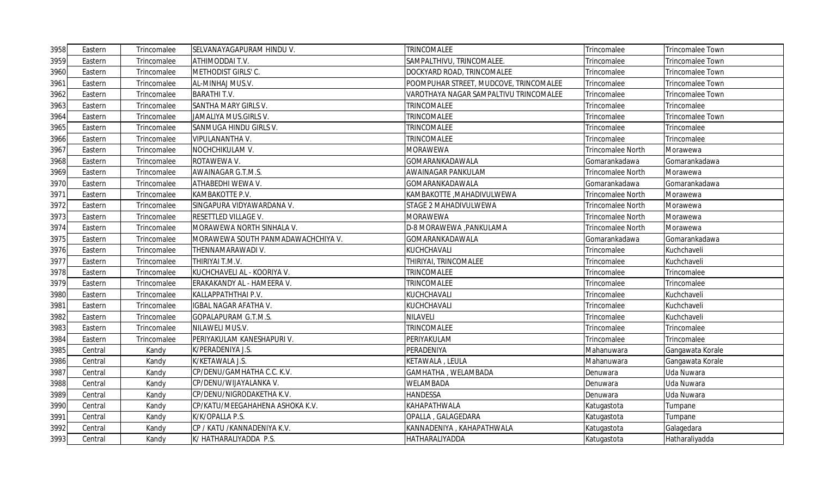| 3958 | Eastern | Trincomalee | SELVANAYAGAPURAM HINDU V.          | TRINCOMALEE                            | Trincomalee              | <b>Trincomalee Town</b> |
|------|---------|-------------|------------------------------------|----------------------------------------|--------------------------|-------------------------|
| 3959 | Eastern | Trincomalee | ATHIMODDAI T.V.                    | SAMPALTHIVU, TRINCOMALEE.              | Trincomalee              | Trincomalee Town        |
| 3960 | Eastern | Trincomalee | METHODIST GIRLS' C.                | DOCKYARD ROAD, TRINCOMALEE             | Trincomalee              | Trincomalee Town        |
| 3961 | Eastern | Trincomalee | AL-MINHAJ MUS.V.                   | POOMPUHAR STREET, MUDCOVE, TRINCOMALEE | Trincomalee              | Trincomalee Town        |
| 3962 | Eastern | Trincomalee | <b>BARATHIT.V.</b>                 | VAROTHAYA NAGAR SAMPALTIVU TRINCOMALEE | Trincomalee              | Trincomalee Town        |
| 3963 | Eastern | Trincomalee | SANTHA MARY GIRLS V.               | <b>TRINCOMALEE</b>                     | Trincomalee              | Trincomalee             |
| 3964 | Eastern | Trincomalee | JAMALIYA MUS.GIRLS V.              | TRINCOMALEE                            | Trincomalee              | <b>Trincomalee Town</b> |
| 3965 | Eastern | Trincomalee | SANMUGA HINDU GIRLS V.             | TRINCOMALEE                            | Trincomalee              | Trincomalee             |
| 3966 | Eastern | Trincomalee | VIPULANANTHA V.                    | TRINCOMALEE                            | Trincomalee              | Trincomalee             |
| 3967 | Eastern | Trincomalee | NOCHCHIKULAM V.                    | <b>MORAWEWA</b>                        | Trincomalee North        | Morawewa                |
| 3968 | Eastern | Trincomalee | ROTAWEWA V.                        | GOMARANKADAWALA                        | Gomarankadawa            | Gomarankadawa           |
| 3969 | Eastern | Trincomalee | AWAINAGAR G.T.M.S.                 | AWAINAGAR PANKULAM                     | <b>Trincomalee North</b> | Morawewa                |
| 3970 | Eastern | Trincomalee | ATHABEDHI WEWA V.                  | GOMARANKADAWALA                        | Gomarankadawa            | Gomarankadawa           |
| 3971 | Eastern | Trincomalee | KAMBAKOTTE P.V.                    | KAMBAKOTTE ,MAHADIVULWEWA              | Trincomalee North        | Morawewa                |
| 3972 | Eastern | Trincomalee | SINGAPURA VIDYAWARDANA V.          | STAGE 2 MAHADIVULWEWA                  | Trincomalee North        | Morawewa                |
| 3973 | Eastern | Trincomalee | RESETTLED VILLAGE V.               | <b>MORAWEWA</b>                        | Trincomalee North        | Morawewa                |
| 3974 | Eastern | Trincomalee | MORAWEWA NORTH SINHALA V.          | D-8 MORAWEWA ,PANKULAMA                | Trincomalee North        | Morawewa                |
| 3975 | Eastern | Trincomalee | MORAWEWA SOUTH PANMADAWACHCHIYA V. | GOMARANKADAWALA                        | Gomarankadawa            | Gomarankadawa           |
| 3976 | Eastern | Trincomalee | THENNAMARAWADI V.                  | KUCHCHAVALI                            | Trincomalee              | Kuchchaveli             |
| 3977 | Eastern | Trincomalee | THIRIYAI T.M.V.                    | THIRIYAI, TRINCOMALEE                  | Trincomalee              | Kuchchaveli             |
| 3978 | Eastern | Trincomalee | KUCHCHAVELI AL - KOORIYA V.        | TRINCOMALEE                            | Trincomalee              | Trincomalee             |
| 3979 | Eastern | Trincomalee | ERAKAKANDY AL - HAMEERA V.         | TRINCOMALEE                            | Trincomalee              | Trincomalee             |
| 3980 | Eastern | Trincomalee | KALLAPPATHTHAI P.V.                | KUCHCHAVALI                            | Trincomalee              | Kuchchaveli             |
| 3981 | Eastern | Trincomalee | <b>IGBAL NAGAR AFATHA V.</b>       | KUCHCHAVALI                            | Trincomalee              | Kuchchaveli             |
| 3982 | Eastern | Trincomalee | GOPALAPURAM G.T.M.S.               | NILAVELI                               | Trincomalee              | Kuchchaveli             |
| 3983 | Eastern | Trincomalee | NILAWELI MUS.V.                    | TRINCOMALEE                            | Trincomalee              | Trincomalee             |
| 3984 | Eastern | Trincomalee | PERIYAKULAM KANESHAPURI V.         | PERIYAKULAM                            | Trincomalee              | Trincomalee             |
| 3985 | Central | Kandy       | K/PERADENIYA J.S.                  | PERADENIYA                             | Mahanuwara               | Gangawata Korale        |
| 3986 | Central | Kandy       | K/KETAWALA J.S.                    | KETAWALA, LEULA                        | Mahanuwara               | Gangawata Korale        |
| 3987 | Central | Kandy       | CP/DENU/GAMHATHA C.C. K.V.         | GAMHATHA, WELAMBADA                    | Denuwara                 | Uda Nuwara              |
| 3988 | Central | Kandy       | CP/DENU/WIJAYALANKA V.             | WELAMBADA                              | Denuwara                 | Uda Nuwara              |
| 3989 | Central | Kandy       | CP/DENU/NIGRODAKETHA K.V.          | <b>HANDESSA</b>                        | Denuwara                 | Uda Nuwara              |
| 3990 | Central | Kandy       | CP/KATU/MEEGAHAHENA ASHOKA K.V.    | KAHAPATHWALA                           | Katugastota              | Tumpane                 |
| 3991 | Central | Kandy       | K/K/OPALLA P.S.                    | OPALLA, GALAGEDARA                     | Katugastota              | Tumpane                 |
| 3992 | Central | Kandy       | CP / KATU / KANNADENIYA K.V.       | KANNADENIYA, KAHAPATHWALA              | Katugastota              | Galagedara              |
| 3993 | Central | Kandy       | K/ HATHARALIYADDA P.S.             | HATHARALIYADDA                         | Katugastota              | Hatharaliyadda          |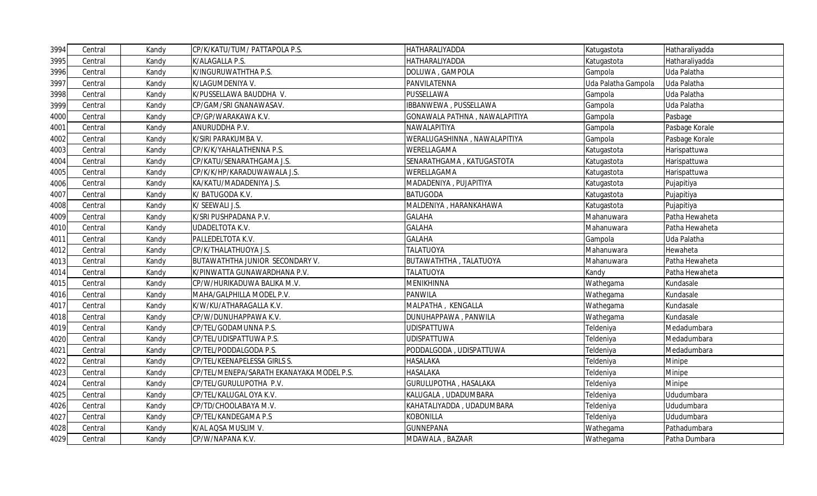| 3994 | Central | Kandy | CP/K/KATU/TUM/ PATTAPOLA P.S.             | HATHARALIYADDA                | Katugastota         | Hatharaliyadda |
|------|---------|-------|-------------------------------------------|-------------------------------|---------------------|----------------|
| 3995 | Central | Kandy | K/ALAGALLA P.S.                           | HATHARALIYADDA                | Katugastota         | Hatharaliyadda |
| 3996 | Central | Kandy | K/INGURUWATHTHA P.S.                      | DOLUWA, GAMPOLA               | Gampola             | Uda Palatha    |
| 3997 | Central | Kandy | K/LAGUMDENIYA V.                          | PANVILATENNA                  | Uda Palatha Gampola | Uda Palatha    |
| 3998 | Central | Kandy | K/PUSSELLAWA BAUDDHA V.                   | PUSSELLAWA                    | Gampola             | Uda Palatha    |
| 3999 | Central | Kandy | CP/GAM/SRI GNANAWASAV.                    | IBBANWEWA, PUSSELLAWA         | Gampola             | Uda Palatha    |
| 4000 | Central | Kandy | CP/GP/WARAKAWA K.V.                       | GONAWALA PATHNA, NAWALAPITIYA | Gampola             | Pasbage        |
| 4001 | Central | Kandy | ANURUDDHA P.V.                            | NAWALAPITIYA                  | Gampola             | Pasbage Korale |
| 4002 | Central | Kandy | K/SIRI PARAKUMBA V.                       | WERALUGASHINNA, NAWALAPITIYA  | Gampola             | Pasbage Korale |
| 4003 | Central | Kandy | CP/K/K/YAHALATHENNA P.S.                  | WERELLAGAMA                   | Katugastota         | Harispattuwa   |
| 4004 | Central | Kandy | CP/KATU/SENARATHGAMA J.S.                 | SENARATHGAMA, KATUGASTOTA     | Katugastota         | Harispattuwa   |
| 4005 | Central | Kandy | CP/K/K/HP/KARADUWAWALA J.S.               | WERELLAGAMA                   | Katugastota         | Harispattuwa   |
| 4006 | Central | Kandy | KA/KATU/MADADENIYA J.S.                   | MADADENIYA, PUJAPITIYA        | Katugastota         | Pujapitiya     |
| 4007 | Central | Kandy | K/BATUGODA K.V.                           | <b>BATUGODA</b>               | Katugastota         | Pujapitiya     |
| 4008 | Central | Kandy | K/ SEEWALI J.S.                           | MALDENIYA, HARANKAHAWA        | Katugastota         | Pujapitiya     |
| 4009 | Central | Kandy | K/SRI PUSHPADANA P.V.                     | <b>GALAHA</b>                 | Mahanuwara          | Patha Hewaheta |
| 4010 | Central | Kandy | <b>UDADELTOTA K.V.</b>                    | <b>GALAHA</b>                 | Mahanuwara          | Patha Hewaheta |
| 4011 | Central | Kandy | PALLEDELTOTA K.V.                         | <b>GALAHA</b>                 | Gampola             | Uda Palatha    |
| 4012 | Central | Kandy | CP/K/THALATHUOYA J.S.                     | <b>TALATUOYA</b>              | Mahanuwara          | Hewaheta       |
| 4013 | Central | Kandy | BUTAWATHTHA JUNIOR SECONDARY V.           | BUTAWATHTHA, TALATUOYA        | Mahanuwara          | Patha Hewaheta |
| 4014 | Central | Kandy | K/PINWATTA GUNAWARDHANA P.V.              | <b>TALATUOYA</b>              | Kandy               | Patha Hewaheta |
| 4015 | Central | Kandy | CP/W/HURIKADUWA BALIKA M.V.               | MENIKHINNA                    | Wathegama           | Kundasale      |
| 4016 | Central | Kandy | MAHA/GALPHILLA MODEL P.V.                 | <b>PANWILA</b>                | Wathegama           | Kundasale      |
| 4017 | Central | Kandy | K/W/KU/ATHARAGALLA K.V.                   | MALPATHA, KENGALLA            | Wathegama           | Kundasale      |
| 4018 | Central | Kandy | CP/W/DUNUHAPPAWA K.V.                     | DUNUHAPPAWA, PANWILA          | Wathegama           | Kundasale      |
| 4019 | Central | Kandy | CP/TEL/GODAMUNNA P.S.                     | <b>UDISPATTUWA</b>            | Teldeniya           | Medadumbara    |
| 4020 | Central | Kandy | CP/TEL/UDISPATTUWA P.S.                   | <b>UDISPATTUWA</b>            | Teldeniya           | Medadumbara    |
| 4021 | Central | Kandy | CP/TEL/PODDALGODA P.S.                    | PODDALGODA, UDISPATTUWA       | Teldeniya           | Medadumbara    |
| 4022 | Central | Kandy | CP/TEL/KEENAPELESSA GIRLS S.              | <b>HASALAKA</b>               | Teldeniya           | Minipe         |
| 4023 | Central | Kandy | CP/TEL/MENEPA/SARATH EKANAYAKA MODEL P.S. | <b>HASALAKA</b>               | Teldeniya           | Minipe         |
| 4024 | Central | Kandy | CP/TEL/GURULUPOTHA P.V.                   | GURULUPOTHA, HASALAKA         | Teldeniya           | Minipe         |
| 4025 | Central | Kandy | CP/TEL/KALUGAL OYA K.V.                   | KALUGALA, UDADUMBARA          | Teldeniya           | Ududumbara     |
| 4026 | Central | Kandy | CP/TD/CHOOLABAYA M.V.                     | KAHATALIYADDA, UDADUMBARA     | Teldeniya           | Ududumbara     |
| 4027 | Central | Kandy | CP/TEL/KANDEGAMA P.S                      | <b>KOBONILLA</b>              | Teldeniya           | Ududumbara     |
| 4028 | Central | Kandy | K/AL AQSA MUSLIM V.                       | <b>GUNNEPANA</b>              | Wathegama           | Pathadumbara   |
| 4029 | Central | Kandy | CP/W/NAPANA K.V.                          | MDAWALA, BAZAAR               | Wathegama           | Patha Dumbara  |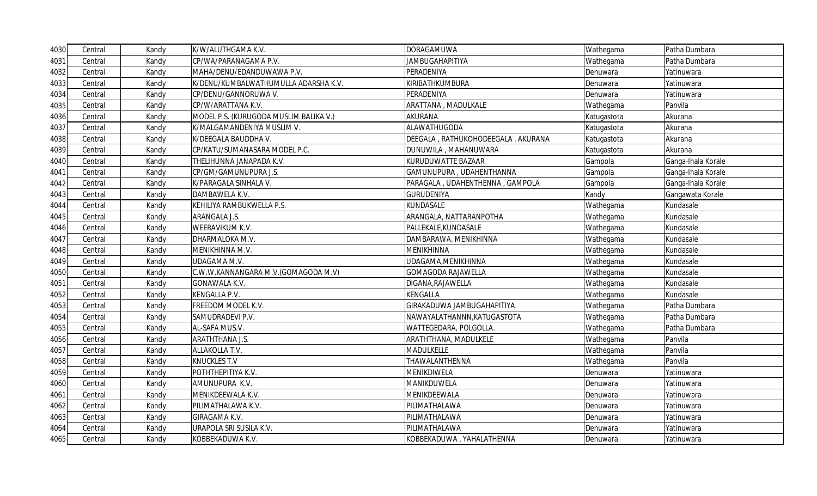| 4030 | Central | Kandy | K/W/ALUTHGAMA K.V.                     | <b>DORAGAMUWA</b>                  | Wathegama   | Patha Dumbara      |
|------|---------|-------|----------------------------------------|------------------------------------|-------------|--------------------|
| 4031 | Central | Kandy | CP/WA/PARANAGAMA P.V.                  | <b>JAMBUGAHAPITIYA</b>             | Wathegama   | Patha Dumbara      |
| 4032 | Central | Kandy | MAHA/DENU/EDANDUWAWA P.V.              | PERADENIYA                         | Denuwara    | Yatinuwara         |
| 4033 | Central | Kandy | K/DENU/KUMBALWATHUMULLA ADARSHA K.V.   | KIRIBATHKUMBURA                    | Denuwara    | Yatinuwara         |
| 4034 | Central | Kandy | CP/DENU/GANNORUWA V.                   | PERADENIYA                         | Denuwara    | Yatinuwara         |
| 4035 | Central | Kandy | CP/W/ARATTANA K.V.                     | ARATTANA, MADULKALE                | Wathegama   | Panvila            |
| 4036 | Central | Kandy | MODEL P.S. (KURUGODA MUSLIM BALIKA V.) | <b>AKURANA</b>                     | Katugastota | Akurana            |
| 4037 | Central | Kandy | K/MALGAMANDENIYA MUSLIM V.             | ALAWATHUGODA                       | Katugastota | Akurana            |
| 4038 | Central | Kandy | K/DEEGALA BAUDDHA V.                   | DEEGALA, RATHUKOHODEEGALA, AKURANA | Katugastota | Akurana            |
| 4039 | Central | Kandy | CP/KATU/SUMANASARA MODEL P.C.          | DUNUWILA, MAHANUWARA               | Katugastota | Akurana            |
| 4040 | Central | Kandy | THELIHUNNA JANAPADA K.V.               | KURUDUWATTE BAZAAR                 | Gampola     | Ganga-Ihala Korale |
| 4041 | Central | Kandy | CP/GM/GAMUNUPURA J.S.                  | GAMUNUPURA, UDAHENTHANNA           | Gampola     | Ganga-Ihala Korale |
| 4042 | Central | Kandy | K/PARAGALA SINHALA V.                  | PARAGALA, UDAHENTHENNA, GAMPOLA    | Gampola     | Ganga-Ihala Korale |
| 4043 | Central | Kandy | DAMBAWELA K.V.                         | <b>GURUDENIYA</b>                  | Kandy       | Gangawata Korale   |
| 4044 | Central | Kandy | KEHILIYA RAMBUKWELLA P.S.              | KUNDASALE                          | Wathegama   | Kundasale          |
| 4045 | Central | Kandy | ARANGALA J.S.                          | ARANGALA, NATTARANPOTHA            | Wathegama   | Kundasale          |
| 4046 | Central | Kandy | WEERAVIKUM K.V.                        | PALLEKALE, KUNDASALE               | Wathegama   | Kundasale          |
| 4047 | Central | Kandy | DHARMALOKA M.V.                        | DAMBARAWA, MENIKHINNA              | Wathegama   | Kundasale          |
| 4048 | Central | Kandy | MENIKHINNA M.V.                        | <b>MENIKHINNA</b>                  | Wathegama   | Kundasale          |
| 4049 | Central | Kandy | UDAGAMA M.V.                           | UDAGAMA, MENIKHINNA                | Wathegama   | Kundasale          |
| 4050 | Central | Kandy | C.W.W.KANNANGARA M.V.(GOMAGODA M.V)    | <b>GOMAGODA RAJAWELLA</b>          | Wathegama   | Kundasale          |
| 4051 | Central | Kandy | <b>GONAWALA K.V.</b>                   | DIGANA, RAJAWELLA                  | Wathegama   | Kundasale          |
| 4052 | Central | Kandy | KENGALLA P.V.                          | KENGALLA                           | Wathegama   | Kundasale          |
| 4053 | Central | Kandy | FREEDOM MODEL K.V.                     | GIRAKADUWA JAMBUGAHAPITIYA         | Wathegama   | Patha Dumbara      |
| 4054 | Central | Kandy | SAMUDRADEVI P.V.                       | NAWAYALATHANNN, KATUGASTOTA        | Wathegama   | Patha Dumbara      |
| 4055 | Central | Kandy | AL-SAFA MUS.V.                         | WATTEGEDARA, POLGOLLA.             | Wathegama   | Patha Dumbara      |
| 4056 | Central | Kandy | ARATHTHANA J.S.                        | ARATHTHANA, MADULKELE              | Wathegama   | Panvila            |
| 4057 | Central | Kandy | ALLAKOLLA T.V.                         | MADULKELLE                         | Wathegama   | Panvila            |
| 4058 | Central | Kandy | <b>KNUCKLES T.V</b>                    | THAWALANTHENNA                     | Wathegama   | Panvila            |
| 4059 | Central | Kandy | POTHTHEPITIYA K.V.                     | MENIKDIWELA                        | Denuwara    | Yatinuwara         |
| 4060 | Central | Kandy | AMUNUPURA K.V.                         | MANIKDUWELA                        | Denuwara    | Yatinuwara         |
| 4061 | Central | Kandy | MENIKDEEWALA K.V.                      | MENIKDEEWALA                       | Denuwara    | Yatinuwara         |
| 4062 | Central | Kandy | PILIMATHALAWA K.V.                     | PILIMATHALAWA                      | Denuwara    | Yatinuwara         |
| 4063 | Central | Kandy | GIRAGAMA K.V.                          | PILIMATHALAWA                      | Denuwara    | Yatinuwara         |
| 4064 | Central | Kandy | URAPOLA SRI SUSILA K.V.                | PILIMATHALAWA                      | Denuwara    | Yatinuwara         |
| 4065 | Central | Kandy | KOBBEKADUWA K.V.                       | KOBBEKADUWA, YAHALATHENNA          | Denuwara    | Yatinuwara         |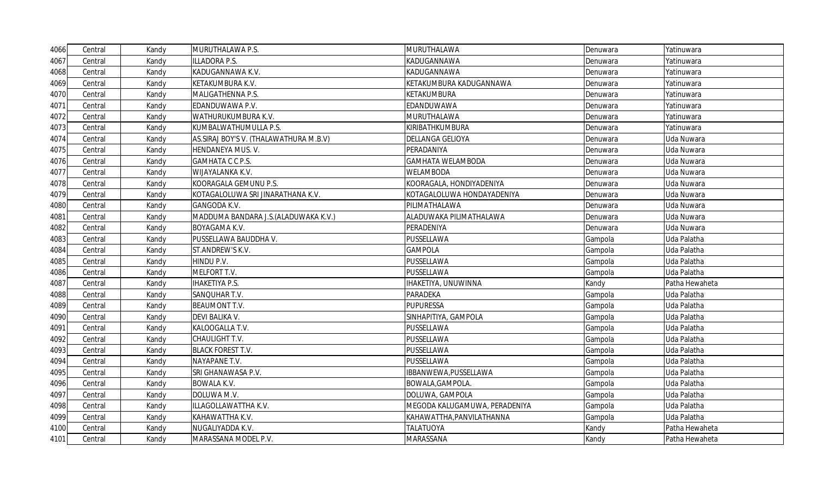| 4066 | Central | Kandy | MURUTHALAWA P.S.                        | <b>MURUTHALAWA</b>            | Denuwara | Yatinuwara     |
|------|---------|-------|-----------------------------------------|-------------------------------|----------|----------------|
| 4067 | Central | Kandy | ILLADORA P.S.                           | KADUGANNAWA                   | Denuwara | Yatinuwara     |
| 4068 | Central | Kandy | KADUGANNAWA K.V.                        | KADUGANNAWA                   | Denuwara | Yatinuwara     |
| 4069 | Central | Kandy | KETAKUMBURA K.V.                        | KETAKUMBURA KADUGANNAWA       | Denuwara | Yatinuwara     |
| 4070 | Central | Kandy | MALIGATHENNA P.S.                       | KETAKUMBURA                   | Denuwara | Yatinuwara     |
| 4071 | Central | Kandy | EDANDUWAWA P.V.                         | EDANDUWAWA                    | Denuwara | Yatinuwara     |
| 4072 | Central | Kandy | WATHURUKUMBURA K.V.                     | <b>MURUTHALAWA</b>            | Denuwara | Yatinuwara     |
| 4073 | Central | Kandy | KUMBALWATHUMULLA P.S.                   | KIRIBATHKUMBURA               | Denuwara | Yatinuwara     |
| 4074 | Central | Kandy | AS. SIRAJ BOY'S V. (THALAWATHURA M.B.V) | <b>DELLANGA GELIOYA</b>       | Denuwara | Uda Nuwara     |
| 4075 | Central | Kandy | HENDANEYA MUS. V.                       | PERADANIYA                    | Denuwara | Uda Nuwara     |
| 4076 | Central | Kandy | GAMHATA C C P.S.                        | <b>GAMHATA WELAMBODA</b>      | Denuwara | Uda Nuwara     |
| 4077 | Central | Kandy | WIJAYALANKA K.V.                        | <b>WELAMBODA</b>              | Denuwara | Uda Nuwara     |
| 4078 | Central | Kandy | KOORAGALA GEMUNU P.S.                   | KOORAGALA, HONDIYADENIYA      | Denuwara | Uda Nuwara     |
| 4079 | Central | Kandy | KOTAGALOLUWA SRI JINARATHANA K.V.       | KOTAGALOLUWA HONDAYADENIYA    | Denuwara | Uda Nuwara     |
| 4080 | Central | Kandy | GANGODA K.V.                            | PILIMATHALAWA                 | Denuwara | Uda Nuwara     |
| 4081 | Central | Kandy | MADDUMA BANDARA J.S.(ALADUWAKA K.V.)    | ALADUWAKA PILIMATHALAWA       | Denuwara | Uda Nuwara     |
| 4082 | Central | Kandy | BOYAGAMA K.V.                           | PERADENIYA                    | Denuwara | Uda Nuwara     |
| 4083 | Central | Kandy | PUSSELLAWA BAUDDHA V.                   | PUSSELLAWA                    | Gampola  | Uda Palatha    |
| 4084 | Central | Kandy | ST.ANDREW'S K.V.                        | <b>GAMPOLA</b>                | Gampola  | Uda Palatha    |
| 4085 | Central | Kandy | HINDU P.V.                              | PUSSELLAWA                    | Gampola  | Uda Palatha    |
| 4086 | Central | Kandy | MELFORT T.V.                            | PUSSELLAWA                    | Gampola  | Uda Palatha    |
| 4087 | Central | Kandy | <b>IHAKETIYA P.S.</b>                   | IHAKETIYA, UNUWINNA           | Kandy    | Patha Hewaheta |
| 4088 | Central | Kandy | SANQUHAR T.V.                           | PARADEKA                      | Gampola  | Uda Palatha    |
| 4089 | Central | Kandy | <b>BEAUMONT T.V.</b>                    | <b>PUPURESSA</b>              | Gampola  | Uda Palatha    |
| 4090 | Central | Kandy | DEVI BALIKA V.                          | SINHAPITIYA, GAMPOLA          | Gampola  | Uda Palatha    |
| 4091 | Central | Kandy | KALOOGALLA T.V.                         | PUSSELLAWA                    | Gampola  | Uda Palatha    |
| 4092 | Central | Kandy | CHAULIGHT T.V.                          | PUSSELLAWA                    | Gampola  | Uda Palatha    |
| 4093 | Central | Kandy | <b>BLACK FOREST T.V.</b>                | PUSSELLAWA                    | Gampola  | Uda Palatha    |
| 4094 | Central | Kandy | NAYAPANE T.V.                           | PUSSELLAWA                    | Gampola  | Uda Palatha    |
| 4095 | Central | Kandy | SRI GHANAWASA P.V.                      | IBBANWEWA, PUSSELLAWA         | Gampola  | Uda Palatha    |
| 4096 | Central | Kandy | <b>BOWALA K.V.</b>                      | BOWALA, GAMPOLA.              | Gampola  | Uda Palatha    |
| 4097 | Central | Kandy | DOLUWA M.V.                             | DOLUWA, GAMPOLA               | Gampola  | Uda Palatha    |
| 4098 | Central | Kandy | ILLAGOLLAWATTHA K.V.                    | MEGODA KALUGAMUWA, PERADENIYA | Gampola  | Uda Palatha    |
| 4099 | Central | Kandy | KAHAWATTHA K.V.                         | KAHAWATTHA, PANVILATHANNA     | Gampola  | Uda Palatha    |
| 4100 | Central | Kandy | NUGALIYADDA K.V.                        | <b>TALATUOYA</b>              | Kandy    | Patha Hewaheta |
| 4101 | Central | Kandy | MARASSANA MODEL P.V.                    | MARASSANA                     | Kandy    | Patha Hewaheta |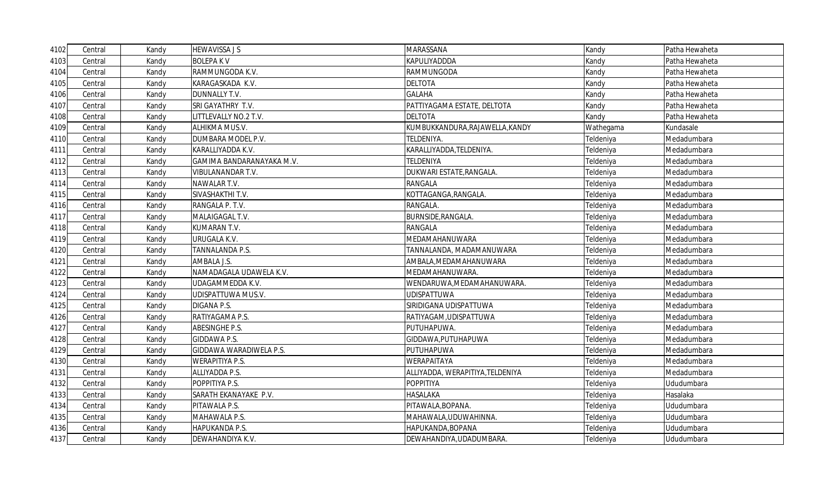| 4102 | Central | Kandy | <b>HEWAVISSA JS</b>       | MARASSANA                        | Kandy     | Patha Hewaheta |
|------|---------|-------|---------------------------|----------------------------------|-----------|----------------|
| 4103 | Central | Kandy | <b>BOLEPAKV</b>           | KAPULIYADDDA                     | Kandy     | Patha Hewaheta |
| 4104 | Central | Kandy | RAMMUNGODA K.V.           | RAMMUNGODA                       | Kandy     | Patha Hewaheta |
| 4105 | Central | Kandy | KARAGASKADA K.V.          | <b>DELTOTA</b>                   | Kandy     | Patha Hewaheta |
| 4106 | Central | Kandy | DUNNALLY T.V.             | <b>GALAHA</b>                    | Kandy     | Patha Hewaheta |
| 4107 | Central | Kandy | SRI GAYATHRY T.V.         | PATTIYAGAMA ESTATE, DELTOTA      | Kandy     | Patha Hewaheta |
| 4108 | Central | Kandy | LITTLEVALLY NO.2 T.V.     | <b>DELTOTA</b>                   | Kandy     | Patha Hewaheta |
| 4109 | Central | Kandy | ALHIKMA MUS.V.            | KUMBUKKANDURA, RAJAWELLA, KANDY  | Wathegama | Kundasale      |
| 4110 | Central | Kandy | DUMBARA MODEL P.V.        | TELDENIYA.                       | Teldeniya | Medadumbara    |
| 4111 | Central | Kandy | KARALLIYADDA K.V.         | KARALLIYADDA, TELDENIYA.         | Teldeniya | Medadumbara    |
| 4112 | Central | Kandy | GAMIMA BANDARANAYAKA M.V. | <b>TELDENIYA</b>                 | Teldeniya | Medadumbara    |
| 4113 | Central | Kandy | VIBULANANDAR T.V.         | DUKWARI ESTATE, RANGALA.         | Teldeniya | Medadumbara    |
| 4114 | Central | Kandy | NAWALAR T.V.              | <b>RANGALA</b>                   | Teldeniya | Medadumbara    |
| 4115 | Central | Kandy | SIVASHAKTHI T.V.          | KOTTAGANGA, RANGALA.             | Teldeniya | Medadumbara    |
| 4116 | Central | Kandy | RANGALA P. T.V.           | RANGALA.                         | Teldeniya | Medadumbara    |
| 4117 | Central | Kandy | MALAIGAGAL T.V.           | BURNSIDE, RANGALA.               | Teldeniya | Medadumbara    |
| 4118 | Central | Kandy | KUMARAN T.V.              | <b>RANGALA</b>                   | Teldeniya | Medadumbara    |
| 4119 | Central | Kandy | URUGALA K.V.              | MEDAMAHANUWARA                   | Teldeniya | Medadumbara    |
| 4120 | Central | Kandy | TANNALANDA P.S.           | TANNALANDA, MADAMANUWARA         | Teldeniya | Medadumbara    |
| 4121 | Central | Kandy | AMBALA J.S.               | AMBALA, MEDAMAHANUWARA           | Teldeniya | Medadumbara    |
| 4122 | Central | Kandy | NAMADAGALA UDAWELA K.V.   | MEDAMAHANUWARA.                  | Teldeniya | Medadumbara    |
| 4123 | Central | Kandy | UDAGAMMEDDA K.V.          | WENDARUWA, MEDAMAHANUWARA.       | Teldeniya | Medadumbara    |
| 4124 | Central | Kandy | UDISPATTUWA MUS.V.        | <b>UDISPATTUWA</b>               | Teldeniya | Medadumbara    |
| 4125 | Central | Kandy | DIGANA P.S.               | SIRIDIGANA UDISPATTUWA           | Teldeniya | Medadumbara    |
| 4126 | Central | Kandy | RATIYAGAMA P.S.           | RATIYAGAM, UDISPATTUWA           | Teldeniya | Medadumbara    |
| 4127 | Central | Kandy | ABESINGHE P.S.            | PUTUHAPUWA.                      | Teldeniya | Medadumbara    |
| 4128 | Central | Kandy | GIDDAWA P.S.              | GIDDAWA, PUTUHAPUWA              | Teldeniya | Medadumbara    |
| 4129 | Central | Kandy | GIDDAWA WARADIWELA P.S.   | PUTUHAPUWA                       | Teldeniya | Medadumbara    |
| 4130 | Central | Kandy | <b>WERAPITIYA P.S.</b>    | WERAPAITAYA                      | Teldeniya | Medadumbara    |
| 4131 | Central | Kandy | ALLIYADDA P.S.            | ALLIYADDA, WERAPITIYA, TELDENIYA | Teldeniya | Medadumbara    |
| 4132 | Central | Kandy | POPPITIYA P.S.            | POPPITIYA                        | Teldeniya | Ududumbara     |
| 4133 | Central | Kandy | SARATH EKANAYAKE P.V.     | <b>HASALAKA</b>                  | Teldeniya | Hasalaka       |
| 4134 | Central | Kandy | PITAWALA P.S.             | PITAWALA, BOPANA.                | Teldeniya | Ududumbara     |
| 4135 | Central | Kandy | MAHAWALA P.S.             | MAHAWALA, UDUWAHINNA.            | Teldeniya | Ududumbara     |
| 4136 | Central | Kandy | HAPUKANDA P.S.            | HAPUKANDA, BOPANA                | Teldeniya | Ududumbara     |
| 4137 | Central | Kandy | DEWAHANDIYA K.V.          | DEWAHANDIYA, UDADUMBARA.         | Teldeniya | Ududumbara     |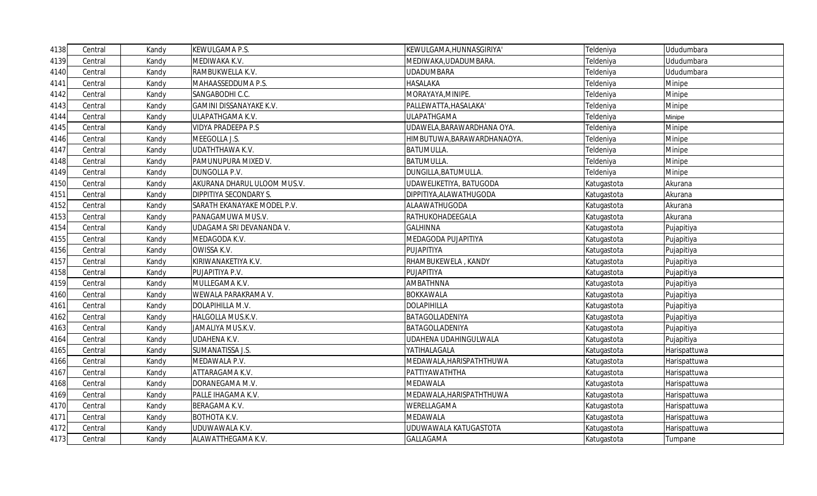| 4138 | Central | Kandy | KEWULGAMA P.S.              | KEWULGAMA, HUNNASGIRIYA'    | Teldeniya   | Ududumbara   |
|------|---------|-------|-----------------------------|-----------------------------|-------------|--------------|
| 4139 | Central | Kandy | MEDIWAKA K.V.               | MEDIWAKA, UDADUMBARA.       | Teldeniya   | Ududumbara   |
| 4140 | Central | Kandy | RAMBUKWELLA K.V.            | <b>UDADUMBARA</b>           | Teldeniya   | Ududumbara   |
| 4141 | Central | Kandy | MAHAASSEDDUMA P.S.          | <b>HASALAKA</b>             | Teldeniya   | Minipe       |
| 4142 | Central | Kandy | SANGABODHI C.C.             | MORAYAYA, MINIPE.           | Teldeniya   | Minipe       |
| 4143 | Central | Kandy | GAMINI DISSANAYAKE K.V.     | PALLEWATTA, HASALAKA'       | Teldeniya   | Minipe       |
| 4144 | Central | Kandy | ULAPATHGAMA K.V.            | <b>ULAPATHGAMA</b>          | Teldeniya   | Minipe       |
| 4145 | Central | Kandy | <b>VIDYA PRADEEPA P.S</b>   | UDAWELA, BARAWARDHANA OYA.  | Teldeniya   | Minipe       |
| 4146 | Central | Kandy | MEEGOLLA J.S.               | HIMBUTUWA, BARAWARDHANAOYA. | Teldeniya   | Minipe       |
| 4147 | Central | Kandy | UDATHTHAWA K.V.             | <b>BATUMULLA.</b>           | Teldeniya   | Minipe       |
| 4148 | Central | Kandy | PAMUNUPURA MIXED V.         | <b>BATUMULLA.</b>           | Teldeniya   | Minipe       |
| 4149 | Central | Kandy | DUNGOLLA P.V.               | DUNGILLA, BATUMULLA         | Teldeniya   | Minipe       |
| 4150 | Central | Kandy | AKURANA DHARUL ULOOM MUS.V. | UDAWELIKETIYA, BATUGODA     | Katugastota | Akurana      |
| 4151 | Central | Kandy | DIPPITIYA SECONDARY S.      | DIPPITIYA, ALAWATHUGODA     | Katugastota | Akurana      |
| 4152 | Central | Kandy | SARATH EKANAYAKE MODEL P.V. | ALAAWATHUGODA               | Katugastota | Akurana      |
| 4153 | Central | Kandy | PANAGAMUWA MUS.V.           | RATHUKOHADEEGALA            | Katugastota | Akurana      |
| 4154 | Central | Kandy | UDAGAMA SRI DEVANANDA V.    | <b>GALHINNA</b>             | Katugastota | Pujapitiya   |
| 4155 | Central | Kandy | MEDAGODA K.V.               | MEDAGODA PUJAPITIYA         | Katugastota | Pujapitiya   |
| 4156 | Central | Kandy | OWISSA K.V.                 | PUJAPITIYA                  | Katugastota | Pujapitiya   |
| 4157 | Central | Kandy | KIRIWANAKETIYA K.V.         | RHAMBUKEWELA, KANDY         | Katugastota | Pujapitiya   |
| 4158 | Central | Kandy | PUJAPITIYA P.V.             | PUJAPITIYA                  | Katugastota | Pujapitiya   |
| 4159 | Central | Kandy | MULLEGAMA K.V.              | AMBATHNNA                   | Katugastota | Pujapitiya   |
| 4160 | Central | Kandy | WEWALA PARAKRAMA V.         | <b>BOKKAWALA</b>            | Katugastota | Pujapitiya   |
| 4161 | Central | Kandy | DOLAPIHILLA M.V.            | <b>DOLAPIHILLA</b>          | Katugastota | Pujapitiya   |
| 4162 | Central | Kandy | HALGOLLA MUS.K.V.           | BATAGOLLADENIYA             | Katugastota | Pujapitiya   |
| 4163 | Central | Kandy | JAMALIYA MUS.K.V.           | BATAGOLLADENIYA             | Katugastota | Pujapitiya   |
| 4164 | Central | Kandy | <b>UDAHENA K.V.</b>         | UDAHENA UDAHINGULWALA       | Katugastota | Pujapitiya   |
| 4165 | Central | Kandy | SUMANATISSA J.S.            | YATIHALAGALA                | Katugastota | Harispattuwa |
| 4166 | Central | Kandy | MEDAWALA P.V.               | MEDAWALA, HARISPATHTHUWA    | Katugastota | Harispattuwa |
| 4167 | Central | Kandy | ATTARAGAMA K.V.             | PATTIYAWATHTHA              | Katugastota | Harispattuwa |
| 4168 | Central | Kandy | DORANEGAMA M.V.             | <b>MEDAWALA</b>             | Katugastota | Harispattuwa |
| 4169 | Central | Kandy | PALLE IHAGAMA K.V.          | MEDAWALA, HARISPATHTHUWA    | Katugastota | Harispattuwa |
| 4170 | Central | Kandy | BERAGAMA K.V.               | WERELLAGAMA                 | Katugastota | Harispattuwa |
| 4171 | Central | Kandy | <b>BOTHOTA K.V.</b>         | <b>MEDAWALA</b>             | Katugastota | Harispattuwa |
| 4172 | Central | Kandy | UDUWAWALA K.V.              | UDUWAWALA KATUGASTOTA       | Katugastota | Harispattuwa |
| 4173 | Central | Kandy | ALAWATTHEGAMA K.V.          | <b>GALLAGAMA</b>            | Katugastota | Tumpane      |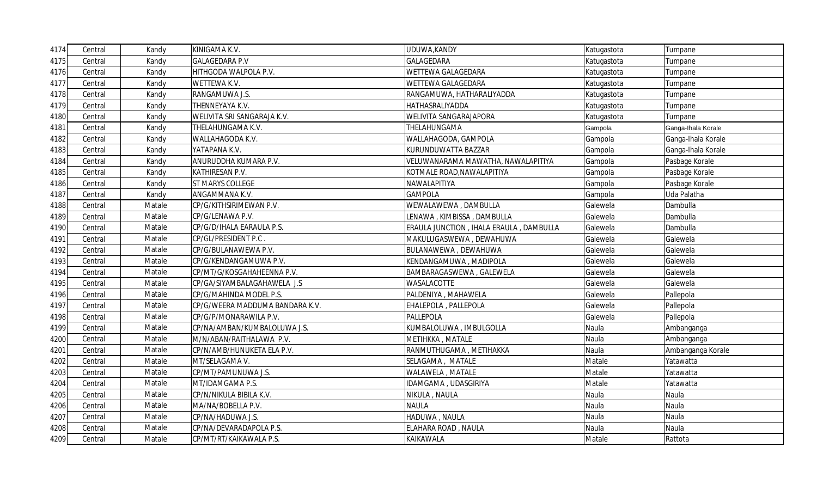| 4174 | Central | Kandy  | KINIGAMA K.V.                   | UDUWA, KANDY                            | Katugastota | Tumpane            |
|------|---------|--------|---------------------------------|-----------------------------------------|-------------|--------------------|
| 4175 | Central | Kandy  | <b>GALAGEDARA P.V</b>           | GALAGEDARA                              | Katugastota | Tumpane            |
| 4176 | Central | Kandy  | HITHGODA WALPOLA P.V.           | WETTEWA GALAGEDARA                      | Katugastota | Tumpane            |
| 4177 | Central | Kandy  | WETTEWA K.V.                    | WETTEWA GALAGEDARA                      | Katugastota | Tumpane            |
| 4178 | Central | Kandy  | RANGAMUWA J.S.                  | RANGAMUWA, HATHARALIYADDA               | Katugastota | Tumpane            |
| 4179 | Central | Kandy  | THENNEYAYA K.V.                 | HATHASRALIYADDA                         | Katugastota | Tumpane            |
| 4180 | Central | Kandy  | WELIVITA SRI SANGARAJA K.V.     | WELIVITA SANGARAJAPORA                  | Katugastota | Tumpane            |
| 4181 | Central | Kandy  | THELAHUNGAMA K.V.               | THELAHUNGAMA                            | Gampola     | Ganga-Ihala Korale |
| 4182 | Central | Kandy  | WALLAHAGODA K.V.                | WALLAHAGODA, GAMPOLA                    | Gampola     | Ganga-Ihala Korale |
| 4183 | Central | Kandy  | YATAPANA K.V.                   | KURUNDUWATTA BAZZAR                     | Gampola     | Ganga-Ihala Korale |
| 4184 | Central | Kandy  | ANURUDDHA KUMARA P.V.           | VELUWANARAMA MAWATHA, NAWALAPITIYA      | Gampola     | Pasbage Korale     |
| 4185 | Central | Kandy  | KATHIRESAN P.V.                 | KOTMALE ROAD, NAWALAPITIYA              | Gampola     | Pasbage Korale     |
| 4186 | Central | Kandy  | ST MARYS COLLEGE                | NAWALAPITIYA                            | Gampola     | Pasbage Korale     |
| 4187 | Central | Kandy  | ANGAMMANA K.V.                  | <b>GAMPOLA</b>                          | Gampola     | Uda Palatha        |
| 4188 | Central | Matale | CP/G/KITHSIRIMEWAN P.V.         | WEWALAWEWA, DAMBULLA                    | Galewela    | Dambulla           |
| 4189 | Central | Matale | CP/G/LENAWA P.V.                | LENAWA , KIMBISSA , DAMBULLA            | Galewela    | Dambulla           |
| 4190 | Central | Matale | CP/G/D/IHALA EARAULA P.S.       | ERAULA JUNCTION, IHALA ERAULA, DAMBULLA | Galewela    | Dambulla           |
| 4191 | Central | Matale | CP/GL/PRESIDENT P.C.            | MAKULUGASWEWA, DEWAHUWA                 | Galewela    | Galewela           |
| 4192 | Central | Matale | CP/G/BULANAWEWA P.V.            | BULANAWEWA, DEWAHUWA                    | Galewela    | Galewela           |
| 4193 | Central | Matale | CP/G/KENDANGAMUWA P.V.          | KENDANGAMUWA, MADIPOLA                  | Galewela    | Galewela           |
| 4194 | Central | Matale | CP/MT/G/KOSGAHAHEENNA P.V.      | BAMBARAGASWEWA, GALEWELA                | Galewela    | Galewela           |
| 4195 | Central | Matale | CP/GA/SIYAMBALAGAHAWELA J.S     | WASALACOTTE                             | Galewela    | Galewela           |
| 4196 | Central | Matale | CP/G/MAHINDA MODEL P.S.         | PALDENIYA, MAHAWELA                     | Galewela    | Pallepola          |
| 4197 | Central | Matale | CP/G/WEERA MADDUMA BANDARA K.V. | EHALEPOLA, PALLEPOLA                    | Galewela    | Pallepola          |
| 4198 | Central | Matale | CP/G/P/MONARAWILA P.V.          | PALLEPOLA                               | Galewela    | Pallepola          |
| 4199 | Central | Matale | CP/NA/AMBAN/KUMBALOLUWA J.S.    | KUMBALOLUWA, IMBULGOLLA                 | Naula       | Ambanganga         |
| 4200 | Central | Matale | M/N/ABAN/RAITHALAWA P.V.        | METIHKKA, MATALE                        | Naula       | Ambanganga         |
| 4201 | Central | Matale | CP/N/AMB/HUNUKETA ELA P.V.      | RANMUTHUGAMA, METIHAKKA                 | Naula       | Ambanganga Korale  |
| 4202 | Central | Matale | MT/SELAGAMA V.                  | SELAGAMA, MATALE                        | Matale      | Yatawatta          |
| 4203 | Central | Matale | CP/MT/PAMUNUWA J.S.             | WALAWELA, MATALE                        | Matale      | Yatawatta          |
| 4204 | Central | Matale | MT/IDAMGAMA P.S.                | IDAMGAMA, UDASGIRIYA                    | Matale      | Yatawatta          |
| 4205 | Central | Matale | CP/N/NIKULA BIBILA K.V.         | NIKULA, NAULA                           | Naula       | Naula              |
| 4206 | Central | Matale | MA/NA/BOBELLA P.V.              | <b>NAULA</b>                            | Naula       | Naula              |
| 4207 | Central | Matale | CP/NA/HADUWA J.S.               | HADUWA, NAULA                           | Naula       | Naula              |
| 4208 | Central | Matale | CP/NA/DEVARADAPOLA P.S.         | ELAHARA ROAD, NAULA                     | Naula       | Naula              |
| 4209 | Central | Matale | CP/MT/RT/KAIKAWALA P.S.         | KAIKAWALA                               | Matale      | Rattota            |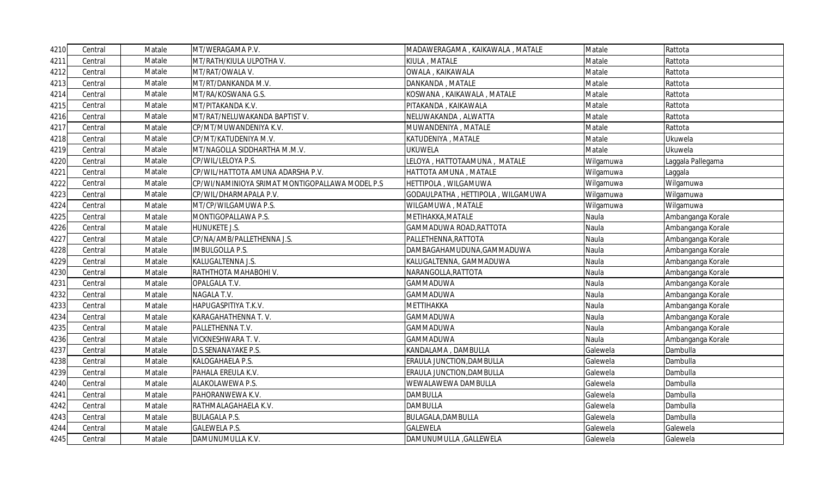| 4210 | Central | Matale | MT/WERAGAMA P.V.                                | MADAWERAGAMA, KAIKAWALA, MATALE   | Matale    | Rattota           |
|------|---------|--------|-------------------------------------------------|-----------------------------------|-----------|-------------------|
| 4211 | Central | Matale | MT/RATH/KIULA ULPOTHA V.                        | KIULA, MATALE                     | Matale    | Rattota           |
| 4212 | Central | Matale | MT/RAT/OWALA V.                                 | OWALA, KAIKAWALA                  | Matale    | Rattota           |
| 4213 | Central | Matale | MT/RT/DANKANDA M.V.                             | DANKANDA, MATALE                  | Matale    | Rattota           |
| 4214 | Central | Matale | MT/RA/KOSWANA G.S.                              | KOSWANA, KAIKAWALA, MATALE        | Matale    | Rattota           |
| 4215 | Central | Matale | MT/PITAKANDA K.V.                               | PITAKANDA, KAIKAWALA              | Matale    | Rattota           |
| 4216 | Central | Matale | MT/RAT/NELUWAKANDA BAPTIST V.                   | NELUWAKANDA, ALWATTA              | Matale    | Rattota           |
| 4217 | Central | Matale | CP/MT/MUWANDENIYA K.V.                          | MUWANDENIYA, MATALE               | Matale    | Rattota           |
| 4218 | Central | Matale | CP/MT/KATUDENIYA M.V.                           | KATUDENIYA, MATALE                | Matale    | Ukuwela           |
| 4219 | Central | Matale | MT/NAGOLLA SIDDHARTHA M.M.V.                    | <b>UKUWELA</b>                    | Matale    | Ukuwela           |
| 4220 | Central | Matale | CP/WIL/LELOYA P.S.                              | LELOYA, HATTOTAAMUNA, MATALE      | Wilgamuwa | Laggala Pallegama |
| 4221 | Central | Matale | CP/WIL/HATTOTA AMUNA ADARSHA P.V.               | HATTOTA AMUNA, MATALE             | Wilgamuwa | Laggala           |
| 4222 | Central | Matale | CP/WI/NAMINIOYA SRIMAT MONTIGOPALLAWA MODEL P.S | HETTIPOLA, WILGAMUWA              | Wilgamuwa | Wilgamuwa         |
| 4223 | Central | Matale | CP/WIL/DHARMAPALA P.V.                          | GODAULPATHA, HETTIPOLA, WILGAMUWA | Wilgamuwa | Wilgamuwa         |
| 4224 | Central | Matale | MT/CP/WILGAMUWA P.S.                            | WILGAMUWA, MATALE                 | Wilgamuwa | Wilgamuwa         |
| 4225 | Central | Matale | MONTIGOPALLAWA P.S.                             | METIHAKKA, MATALE                 | Naula     | Ambanganga Korale |
| 4226 | Central | Matale | HUNUKETE J.S.                                   | GAMMADUWA ROAD, RATTOTA           | Naula     | Ambanganga Korale |
| 4227 | Central | Matale | CP/NA/AMB/PALLETHENNA J.S.                      | PALLETHENNA, RATTOTA              | Naula     | Ambanganga Korale |
| 4228 | Central | Matale | <b>IMBULGOLLA P.S.</b>                          | DAMBAGAHAMUDUNA, GAMMADUWA        | Naula     | Ambanganga Korale |
| 4229 | Central | Matale | KALUGALTENNA J.S.                               | KALUGALTENNA, GAMMADUWA           | Naula     | Ambanganga Korale |
| 4230 | Central | Matale | <b>RATHTHOTA MAHABOHI V.</b>                    | NARANGOLLA, RATTOTA               | Naula     | Ambanganga Korale |
| 4231 | Central | Matale | OPALGALA T.V.                                   | <b>GAMMADUWA</b>                  | Naula     | Ambanganga Korale |
| 4232 | Central | Matale | NAGALA T.V.                                     | <b>GAMMADUWA</b>                  | Naula     | Ambanganga Korale |
| 4233 | Central | Matale | HAPUGASPITIYA T.K.V.                            | METTIHAKKA                        | Naula     | Ambanganga Korale |
| 4234 | Central | Matale | KARAGAHATHENNA T.V.                             | <b>GAMMADUWA</b>                  | Naula     | Ambanganga Korale |
| 4235 | Central | Matale | PALLETHENNA T.V.                                | <b>GAMMADUWA</b>                  | Naula     | Ambanganga Korale |
| 4236 | Central | Matale | VICKNESHWARA T.V.                               | GAMMADUWA                         | Naula     | Ambanganga Korale |
| 4237 | Central | Matale | D.S.SENANAYAKE P.S.                             | KANDALAMA, DAMBULLA               | Galewela  | Dambulla          |
| 4238 | Central | Matale | KALOGAHAELA P.S.                                | ERAULA JUNCTION, DAMBULLA         | Galewela  | Dambulla          |
| 4239 | Central | Matale | PAHALA EREULA K.V.                              | <b>ERAULA JUNCTION, DAMBULLA</b>  | Galewela  | Dambulla          |
| 4240 | Central | Matale | ALAKOLAWEWA P.S.                                | WEWALAWEWA DAMBULLA               | Galewela  | Dambulla          |
| 4241 | Central | Matale | PAHORANWEWA K.V.                                | <b>DAMBULLA</b>                   | Galewela  | Dambulla          |
| 4242 | Central | Matale | RATHMALAGAHAELA K.V.                            | <b>DAMBULLA</b>                   | Galewela  | Dambulla          |
| 4243 | Central | Matale | <b>BULAGALA P.S.</b>                            | BULAGALA, DAMBULLA                | Galewela  | Dambulla          |
| 4244 | Central | Matale | <b>GALEWELA P.S.</b>                            | <b>GALEWELA</b>                   | Galewela  | Galewela          |
| 4245 | Central | Matale | DAMUNUMULLA K.V.                                | DAMUNUMULLA , GALLEWELA           | Galewela  | Galewela          |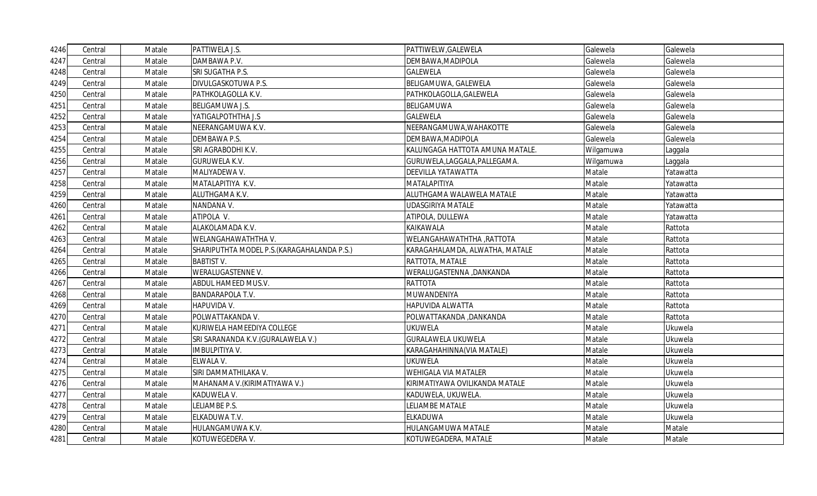| 4246 | Central | Matale | PATTIWELA J.S.                              | PATTIWELW, GALEWELA             | Galewela  | Galewela  |
|------|---------|--------|---------------------------------------------|---------------------------------|-----------|-----------|
| 4247 | Central | Matale | DAMBAWA P.V.                                | DEMBAWA, MADIPOLA               | Galewela  | Galewela  |
| 4248 | Central | Matale | SRI SUGATHA P.S.                            | <b>GALEWELA</b>                 | Galewela  | Galewela  |
| 4249 | Central | Matale | DIVULGASKOTUWA P.S.                         | BELIGAMUWA, GALEWELA            | Galewela  | Galewela  |
| 4250 | Central | Matale | PATHKOLAGOLLA K.V.                          | PATHKOLAGOLLA, GALEWELA         | Galewela  | Galewela  |
| 4251 | Central | Matale | <b>BELIGAMUWA J.S.</b>                      | BELIGAMUWA                      | Galewela  | Galewela  |
| 4252 | Central | Matale | YATIGALPOTHTHA J.S                          | <b>GALEWELA</b>                 | Galewela  | Galewela  |
| 4253 | Central | Matale | NEERANGAMUWA K.V.                           | NEERANGAMUWA, WAHAKOTTE         | Galewela  | Galewela  |
| 4254 | Central | Matale | DEMBAWA P.S.                                | DEMBAWA, MADIPOLA               | Galewela  | Galewela  |
| 4255 | Central | Matale | SRI AGRABODHI K.V.                          | KALUNGAGA HATTOTA AMUNA MATALE. | Wilgamuwa | Laggala   |
| 4256 | Central | Matale | <b>GURUWELA K.V.</b>                        | GURUWELA,LAGGALA,PALLEGAMA.     | Wilgamuwa | Laggala   |
| 4257 | Central | Matale | MALIYADEWA V.                               | <b>DEEVILLA YATAWATTA</b>       | Matale    | Yatawatta |
| 4258 | Central | Matale | MATALAPITIYA K.V.                           | MATALAPITIYA                    | Matale    | Yatawatta |
| 4259 | Central | Matale | ALUTHGAMA K.V.                              | ALUTHGAMA WALAWELA MATALE       | Matale    | Yatawatta |
| 4260 | Central | Matale | NANDANA V.                                  | <b>UDASGIRIYA MATALE</b>        | Matale    | Yatawatta |
| 4261 | Central | Matale | ATIPOLA V.                                  | ATIPOLA, DULLEWA                | Matale    | Yatawatta |
| 4262 | Central | Matale | ALAKOLAMADA K.V.                            | <b>KAIKAWALA</b>                | Matale    | Rattota   |
| 4263 | Central | Matale | WELANGAHAWATHTHA V.                         | WELANGAHAWATHTHA , RATTOTA      | Matale    | Rattota   |
| 4264 | Central | Matale | SHARIPUTHTA MODEL P.S. (KARAGAHALANDA P.S.) | KARAGAHALAMDA, ALWATHA, MATALE  | Matale    | Rattota   |
| 4265 | Central | Matale | <b>BABTIST V.</b>                           | RATTOTA, MATALE                 | Matale    | Rattota   |
| 4266 | Central | Matale | <b>WERALUGASTENNE V.</b>                    | WERALUGASTENNA ,DANKANDA        | Matale    | Rattota   |
| 4267 | Central | Matale | ABDUL HAMEED MUS.V.                         | <b>RATTOTA</b>                  | Matale    | Rattota   |
| 4268 | Central | Matale | <b>BANDARAPOLA T.V.</b>                     | MUWANDENIYA                     | Matale    | Rattota   |
| 4269 | Central | Matale | HAPUVIDA V.                                 | <b>HAPUVIDA ALWATTA</b>         | Matale    | Rattota   |
| 4270 | Central | Matale | POLWATTAKANDA V.                            | POLWATTAKANDA, DANKANDA         | Matale    | Rattota   |
| 4271 | Central | Matale | KURIWELA HAMEEDIYA COLLEGE                  | <b>UKUWELA</b>                  | Matale    | Ukuwela   |
| 4272 | Central | Matale | SRI SARANANDA K.V. (GURALAWELA V.)          | <b>GURALAWELA UKUWELA</b>       | Matale    | Ukuwela   |
| 4273 | Central | Matale | IMBULPITIYA V.                              | KARAGAHAHINNA(VIA MATALE)       | Matale    | Ukuwela   |
| 4274 | Central | Matale | ELWALA V.                                   | <b>UKUWELA</b>                  | Matale    | Ukuwela   |
| 4275 | Central | Matale | SIRI DAMMATHILAKA V.                        | <b>WEHIGALA VIA MATALER</b>     | Matale    | Ukuwela   |
| 4276 | Central | Matale | MAHANAMA V. (KIRIMATIYAWA V.)               | KIRIMATIYAWA OVILIKANDA MATALE  | Matale    | Ukuwela   |
| 4277 | Central | Matale | KADUWELA V.                                 | KADUWELA, UKUWELA.              | Matale    | Ukuwela   |
| 4278 | Central | Matale | LELIAMBE P.S.                               | LELIAMBE MATALE                 | Matale    | Ukuwela   |
| 4279 | Central | Matale | ELKADUWA T.V.                               | <b>ELKADUWA</b>                 | Matale    | Ukuwela   |
| 4280 | Central | Matale | HULANGAMUWA K.V.                            | HULANGAMUWA MATALE              | Matale    | Matale    |
| 4281 | Central | Matale | KOTUWEGEDERA V.                             | KOTUWEGADERA, MATALE            | Matale    | Matale    |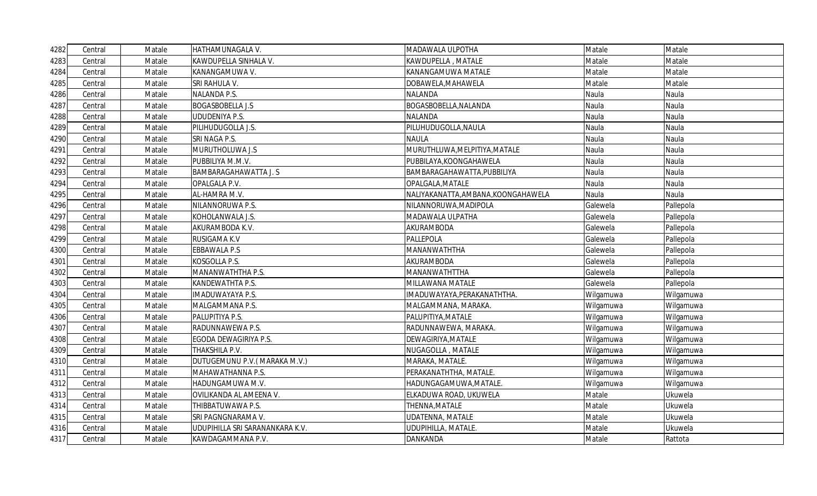| 4282 | Central | Matale | HATHAMUNAGALA V.                | MADAWALA ULPOTHA                    | Matale    | Matale    |
|------|---------|--------|---------------------------------|-------------------------------------|-----------|-----------|
| 4283 | Central | Matale | KAWDUPELLA SINHALA V.           | KAWDUPELLA, MATALE                  | Matale    | Matale    |
| 4284 | Central | Matale | KANANGAMUWA V.                  | KANANGAMUWA MATALE                  | Matale    | Matale    |
| 4285 | Central | Matale | SRI RAHULA V.                   | DOBAWELA, MAHAWELA                  | Matale    | Matale    |
| 4286 | Central | Matale | NALANDA P.S.                    | <b>NALANDA</b>                      | Naula     | Naula     |
| 4287 | Central | Matale | <b>BOGASBOBELLA J.S</b>         | BOGASBOBELLA, NALANDA               | Naula     | Naula     |
| 4288 | Central | Matale | <b>UDUDENIYA P.S.</b>           | <b>NALANDA</b>                      | Naula     | Naula     |
| 4289 | Central | Matale | PILIHUDUGOLLA J.S.              | PILUHUDUGOLLA, NAULA                | Naula     | Naula     |
| 4290 | Central | Matale | SRI NAGA P.S.                   | <b>NAULA</b>                        | Naula     | Naula     |
| 4291 | Central | Matale | MURUTHOLUWA J.S                 | MURUTHLUWA, MELPITIYA, MATALE       | Naula     | Naula     |
| 4292 | Central | Matale | PUBBILIYA M.M.V.                | PUBBILAYA, KOONGAHAWELA             | Naula     | Naula     |
| 4293 | Central | Matale | <b>BAMBARAGAHAWATTA J. S</b>    | BAMBARAGAHAWATTA, PUBBILIYA         | Naula     | Naula     |
| 4294 | Central | Matale | OPALGALA P.V.                   | OPALGALA, MATALE                    | Naula     | Naula     |
| 4295 | Central | Matale | AL-HAMRA M.V.                   | NALIYAKANATTA, AMBANA, KOONGAHAWELA | Naula     | Naula     |
| 4296 | Central | Matale | NILANNORUWA P.S.                | NILANNORUWA, MADIPOLA               | Galewela  | Pallepola |
| 4297 | Central | Matale | KOHOLANWALA J.S.                | MADAWALA ULPATHA                    | Galewela  | Pallepola |
| 4298 | Central | Matale | AKURAMBODA K.V.                 | AKURAMBODA                          | Galewela  | Pallepola |
| 4299 | Central | Matale | RUSIGAMA K.V                    | PALLEPOLA                           | Galewela  | Pallepola |
| 4300 | Central | Matale | <b>EBBAWALA P.S</b>             | MANANWATHTHA                        | Galewela  | Pallepola |
| 4301 | Central | Matale | KOSGOLLA P.S.                   | AKURAMBODA                          | Galewela  | Pallepola |
| 4302 | Central | Matale | MANANWATHTHA P.S.               | MANANWATHTTHA                       | Galewela  | Pallepola |
| 4303 | Central | Matale | KANDEWATHTA P.S.                | MILLAWANA MATALE                    | Galewela  | Pallepola |
| 4304 | Central | Matale | IMADUWAYAYA P.S.                | IMADUWAYAYA, PERAKANATHTHA.         | Wilgamuwa | Wilgamuwa |
| 4305 | Central | Matale | MALGAMMANA P.S.                 | MALGAMMANA, MARAKA.                 | Wilgamuwa | Wilgamuwa |
| 4306 | Central | Matale | PALUPITIYA P.S.                 | PALUPITIYA, MATALE                  | Wilgamuwa | Wilgamuwa |
| 4307 | Central | Matale | RADUNNAWEWA P.S.                | RADUNNAWEWA, MARAKA.                | Wilgamuwa | Wilgamuwa |
| 4308 | Central | Matale | EGODA DEWAGIRIYA P.S.           | DEWAGIRIYA, MATALE                  | Wilgamuwa | Wilgamuwa |
| 4309 | Central | Matale | THAKSHILA P.V.                  | NUGAGOLLA, MATALE                   | Wilgamuwa | Wilgamuwa |
| 4310 | Central | Matale | DUTUGEMUNU P.V. (MARAKA M.V.)   | MARAKA, MATALE.                     | Wilgamuwa | Wilgamuwa |
| 4311 | Central | Matale | MAHAWATHANNA P.S.               | PERAKANATHTHA, MATALE.              | Wilgamuwa | Wilgamuwa |
| 4312 | Central | Matale | HADUNGAMUWA M.V.                | HADUNGAGAMUWA, MATALE.              | Wilgamuwa | Wilgamuwa |
| 4313 | Central | Matale | OVILIKANDA AL AMEENA V.         | ELKADUWA ROAD, UKUWELA              | Matale    | Ukuwela   |
| 4314 | Central | Matale | THIBBATUWAWA P.S.               | THENNA, MATALE                      | Matale    | Ukuwela   |
| 4315 | Central | Matale | SRI PAGNGNARAMA V.              | <b>UDATENNA, MATALE</b>             | Matale    | Ukuwela   |
| 4316 | Central | Matale | UDUPIHILLA SRI SARANANKARA K.V. | UDUPIHILLA, MATALE.                 | Matale    | Ukuwela   |
| 4317 | Central | Matale | KAWDAGAMMANA P.V.               | DANKANDA                            | Matale    | Rattota   |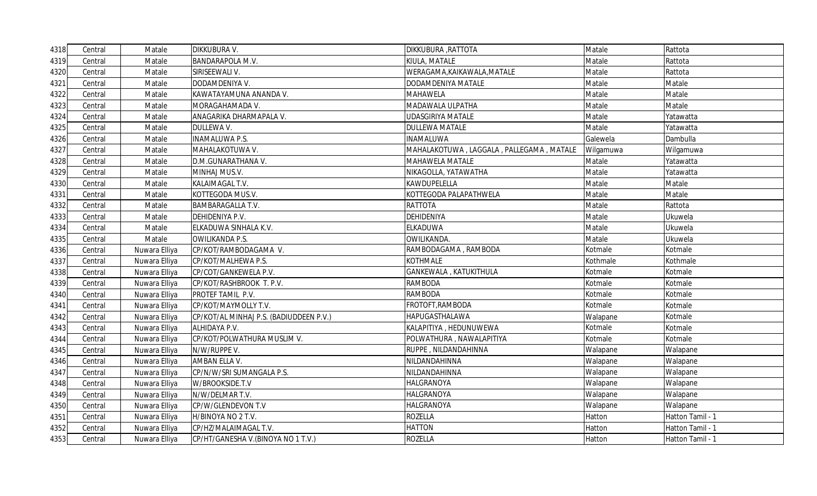| 4318 | Central | Matale        | DIKKUBURA V.                            | DIKKUBURA , RATTOTA                      | Matale    | Rattota          |
|------|---------|---------------|-----------------------------------------|------------------------------------------|-----------|------------------|
| 4319 | Central | Matale        | BANDARAPOLA M.V.                        | KIULA, MATALE                            | Matale    | Rattota          |
| 4320 | Central | Matale        | SIRISEEWALI V.                          | WERAGAMA, KAIKAWALA, MATALE              | Matale    | Rattota          |
| 4321 | Central | Matale        | DODAMDENIYA V.                          | DODAMDENIYA MATALE                       | Matale    | Matale           |
| 4322 | Central | Matale        | KAWATAYAMUNA ANANDA V.                  | <b>MAHAWELA</b>                          | Matale    | Matale           |
| 4323 | Central | Matale        | MORAGAHAMADA V.                         | MADAWALA ULPATHA                         | Matale    | Matale           |
| 4324 | Central | Matale        | ANAGARIKA DHARMAPALA V.                 | <b>UDASGIRIYA MATALE</b>                 | Matale    | Yatawatta        |
| 4325 | Central | Matale        | DULLEWA V.                              | <b>DULLEWA MATALE</b>                    | Matale    | Yatawatta        |
| 4326 | Central | Matale        | INAMALUWA P.S.                          | <b>INAMALUWA</b>                         | Galewela  | Dambulla         |
| 4327 | Central | Matale        | MAHALAKOTUWA V.                         | MAHALAKOTUWA, LAGGALA, PALLEGAMA, MATALE | Wilgamuwa | Wilgamuwa        |
| 4328 | Central | Matale        | D.M.GUNARATHANA V.                      | MAHAWELA MATALE                          | Matale    | Yatawatta        |
| 4329 | Central | Matale        | MINHAJ MUS.V.                           | NIKAGOLLA, YATAWATHA                     | Matale    | Yatawatta        |
| 4330 | Central | Matale        | KALAIMAGAL T.V.                         | KAWDUPELELLA                             | Matale    | Matale           |
| 4331 | Central | Matale        | KOTTEGODA MUS.V.                        | KOTTEGODA PALAPATHWELA                   | Matale    | Matale           |
| 4332 | Central | Matale        | BAMBARAGALLA T.V.                       | <b>RATTOTA</b>                           | Matale    | Rattota          |
| 4333 | Central | Matale        | DEHIDENIYA P.V.                         | <b>DEHIDENIYA</b>                        | Matale    | Ukuwela          |
| 4334 | Central | Matale        | ELKADUWA SINHALA K.V.                   | <b>ELKADUWA</b>                          | Matale    | Ukuwela          |
| 4335 | Central | Matale        | <b>OWILIKANDA P.S.</b>                  | OWILIKANDA.                              | Matale    | Ukuwela          |
| 4336 | Central | Nuwara Elliya | CP/KOT/RAMBODAGAMA V.                   | RAMBODAGAMA, RAMBODA                     | Kotmale   | Kotmale          |
| 4337 | Central | Nuwara Elliya | CP/KOT/MALHEWA P.S.                     | <b>KOTHMALE</b>                          | Kothmale  | Kothmale         |
| 4338 | Central | Nuwara Elliya | CP/COT/GANKEWELA P.V.                   | GANKEWALA, KATUKITHULA                   | Kotmale   | Kotmale          |
| 4339 | Central | Nuwara Elliya | CP/KOT/RASHBROOK T. P.V.                | <b>RAMBODA</b>                           | Kotmale   | Kotmale          |
| 4340 | Central | Nuwara Elliya | PROTEF TAMIL P.V.                       | <b>RAMBODA</b>                           | Kotmale   | Kotmale          |
| 4341 | Central | Nuwara Elliya | CP/KOT/MAYMOLLY T.V.                    | FROTOFT, RAMBODA                         | Kotmale   | Kotmale          |
| 4342 | Central | Nuwara Elliya | CP/KOT/AL MINHAJ P.S. (BADIUDDEEN P.V.) | HAPUGASTHALAWA                           | Walapane  | Kotmale          |
| 4343 | Central | Nuwara Elliya | ALHIDAYA P.V.                           | KALAPITIYA, HEDUNUWEWA                   | Kotmale   | Kotmale          |
| 4344 | Central | Nuwara Elliya | CP/KOT/POLWATHURA MUSLIM V.             | POLWATHURA, NAWALAPITIYA                 | Kotmale   | Kotmale          |
| 4345 | Central | Nuwara Elliya | N/W/RUPPE V.                            | RUPPE, NILDANDAHINNA                     | Walapane  | Walapane         |
| 4346 | Central | Nuwara Elliya | AMBAN ELLA V.                           | NILDANDAHINNA                            | Walapane  | Walapane         |
| 4347 | Central | Nuwara Elliya | CP/N/W/SRI SUMANGALA P.S.               | NILDANDAHINNA                            | Walapane  | Walapane         |
| 4348 | Central | Nuwara Elliya | W/BROOKSIDE.T.V                         | <b>HALGRANOYA</b>                        | Walapane  | Walapane         |
| 4349 | Central | Nuwara Elliya | N/W/DELMAR T.V.                         | <b>HALGRANOYA</b>                        | Walapane  | Walapane         |
| 4350 | Central | Nuwara Elliya | CP/W/GLENDEVON T.V                      | <b>HALGRANOYA</b>                        | Walapane  | Walapane         |
| 4351 | Central | Nuwara Elliya | H/BINOYA NO 2 T.V.                      | <b>ROZELLA</b>                           | Hatton    | Hatton Tamil - 1 |
| 4352 | Central | Nuwara Elliya | CP/HZ/MALAIMAGAL T.V.                   | <b>HATTON</b>                            | Hatton    | Hatton Tamil - 1 |
| 4353 | Central | Nuwara Elliya | CP/HT/GANESHA V. (BINOYA NO 1 T.V.)     | <b>ROZELLA</b>                           | Hatton    | Hatton Tamil - 1 |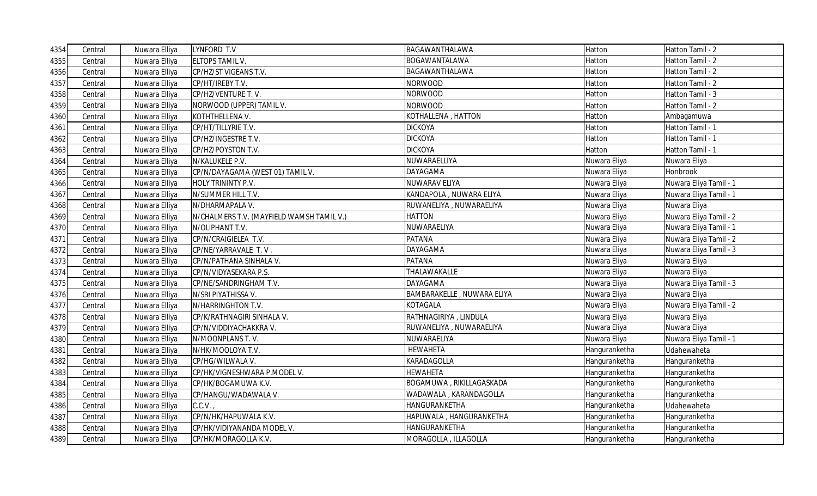| 4354 | Central | Nuwara Elliya | LYNFORD T.V                               | BAGAWANTHALAWA             | Hatton        | Hatton Tamil - 2       |
|------|---------|---------------|-------------------------------------------|----------------------------|---------------|------------------------|
| 4355 | Central | Nuwara Elliya | ELTOPS TAMIL V.                           | BOGAWANTALAWA              | Hatton        | Hatton Tamil - 2       |
| 4356 | Central | Nuwara Elliya | CP/HZ/ST VIGEANS T.V.                     | BAGAWANTHALAWA             | Hatton        | Hatton Tamil - 2       |
| 4357 | Central | Nuwara Elliya | CP/HT/IREBY T.V.                          | NORWOOD                    | Hatton        | Hatton Tamil - 2       |
| 4358 | Central | Nuwara Elliya | CP/HZ/VENTURE T.V.                        | NORWOOD                    | Hatton        | Hatton Tamil - 3       |
| 4359 | Central | Nuwara Elliya | NORWOOD (UPPER) TAMIL V.                  | NORWOOD                    | Hatton        | Hatton Tamil - 2       |
| 4360 | Central | Nuwara Elliya | KOTHTHELLENA V.                           | KOTHALLENA, HATTON         | Hatton        | Ambagamuwa             |
| 4361 | Central | Nuwara Elliya | CP/HT/TILLYRIE T.V.                       | <b>DICKOYA</b>             | Hatton        | Hatton Tamil - 1       |
| 4362 | Central | Nuwara Elliya | CP/HZ/INGESTRE T.V.                       | <b>DICKOYA</b>             | Hatton        | Hatton Tamil - 1       |
| 4363 | Central | Nuwara Elliya | CP/HZ/POYSTON T.V.                        | <b>DICKOYA</b>             | Hatton        | Hatton Tamil - 1       |
| 4364 | Central | Nuwara Elliya | N/KALUKELE P.V.                           | NUWARAELLIYA               | Nuwara Eliya  | Nuwara Eliya           |
| 4365 | Central | Nuwara Elliya | CP/N/DAYAGAMA (WEST 01) TAMIL V.          | DAYAGAMA                   | Nuwara Eliya  | Honbrook               |
| 4366 | Central | Nuwara Elliya | HOLY TRININTY P.V.                        | NUWARAV ELIYA              | Nuwara Eliya  | Nuwara Eliya Tamil - 1 |
| 4367 | Central | Nuwara Elliya | N/SUMMER HILL T.V.                        | KANDAPOLA, NUWARA ELIYA    | Nuwara Eliya  | Nuwara Eliya Tamil - 1 |
| 4368 | Central | Nuwara Elliya | N/DHARMAPALA V.                           | RUWANELIYA , NUWARAELIYA   | Nuwara Eliya  | Nuwara Eliya           |
| 4369 | Central | Nuwara Elliya | N/CHALMERS T.V. (MAYFIELD WAMSH TAMIL V.) | HATTON                     | Nuwara Eliya  | Nuwara Eliya Tamil - 2 |
| 4370 | Central | Nuwara Elliya | N/OLIPHANT T.V.                           | NUWARAELIYA                | Nuwara Eliya  | Nuwara Eliya Tamil - 1 |
| 4371 | Central | Nuwara Elliya | CP/N/CRAIGIELEA T.V.                      | PATANA                     | Nuwara Eliya  | Nuwara Eliya Tamil - 2 |
| 4372 | Central | Nuwara Elliya | CP/NE/YARRAVALE T.V.                      | DAYAGAMA                   | Nuwara Eliya  | Nuwara Eliya Tamil - 3 |
| 4373 | Central | Nuwara Elliya | CP/N/PATHANA SINHALA V.                   | PATANA                     | Nuwara Eliya  | Nuwara Eliya           |
| 4374 | Central | Nuwara Elliya | CP/N/VIDYASEKARA P.S.                     | THALAWAKALLE               | Nuwara Eliya  | Nuwara Eliya           |
| 4375 | Central | Nuwara Elliya | CP/NE/SANDRINGHAM T.V.                    | DAYAGAMA                   | Nuwara Eliya  | Nuwara Eliya Tamil - 3 |
| 4376 | Central | Nuwara Elliya | N/SRI PIYATHISSA V.                       | BAMBARAKELLE, NUWARA ELIYA | Nuwara Eliya  | Nuwara Eliya           |
| 4377 | Central | Nuwara Elliya | N/HARRINGHTON T.V.                        | KOTAGALA                   | Nuwara Eliya  | Nuwara Eliya Tamil - 2 |
| 4378 | Central | Nuwara Elliya | CP/K/RATHNAGIRI SINHALA V.                | RATHNAGIRIYA, LINDULA      | Nuwara Eliya  | Nuwara Eliya           |
| 4379 | Central | Nuwara Elliya | CP/N/VIDDIYACHAKKRA V.                    | RUWANELIYA , NUWARAELIYA   | Nuwara Eliya  | Nuwara Eliya           |
| 4380 | Central | Nuwara Elliya | N/MOONPLANS T.V.                          | NUWARAELIYA                | Nuwara Eliya  | Nuwara Eliya Tamil - 1 |
| 4381 | Central | Nuwara Elliya | N/HK/MOOLOYA T.V.                         | <b>HEWAHETA</b>            | Hanguranketha | Udahewaheta            |
| 4382 | Central | Nuwara Elliya | CP/HG/WILWALA V.                          | KARADAGOLLA                | Hanguranketha | Hanguranketha          |
| 4383 | Central | Nuwara Elliya | CP/HK/VIGNESHWARA P.MODEL V.              | <b>HEWAHETA</b>            | Hanguranketha | Hanguranketha          |
| 4384 | Central | Nuwara Elliya | CP/HK/BOGAMUWA K.V.                       | BOGAMUWA, RIKILLAGASKADA   | Hanguranketha | Hanguranketha          |
| 4385 | Central | Nuwara Elliya | CP/HANGU/WADAWALA V.                      | WADAWALA, KARANDAGOLLA     | Hanguranketha | Hanguranketha          |
| 4386 | Central | Nuwara Elliya | C.C.V.                                    | HANGURANKETHA              | Hanguranketha | Udahewaheta            |
| 4387 | Central | Nuwara Elliya | CP/N/HK/HAPUWALA K.V.                     | HAPUWALA, HANGURANKETHA    | Hanguranketha | Hanguranketha          |
| 4388 | Central | Nuwara Elliya | CP/HK/VIDIYANANDA MODEL V.                | HANGURANKETHA              | Hanguranketha | Hanguranketha          |
| 4389 | Central | Nuwara Elliya | CP/HK/MORAGOLLA K.V.                      | MORAGOLLA, ILLAGOLLA       | Hanguranketha | Hanguranketha          |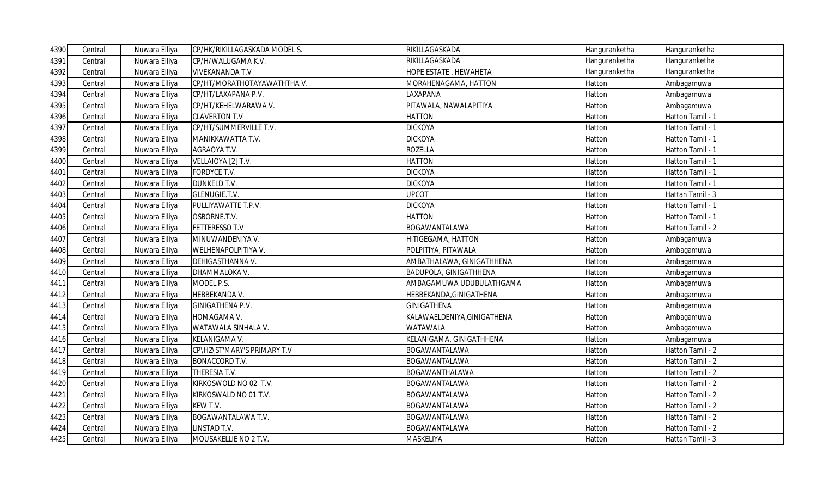| 4390 | Central | Nuwara Elliya | CP/HK/RIKILLAGASKADA MODEL S. | RIKILLAGASKADA                | Hanguranketha | Hanguranketha    |
|------|---------|---------------|-------------------------------|-------------------------------|---------------|------------------|
| 4391 | Central | Nuwara Elliya | CP/H/WALUGAMA K.V.            | RIKILLAGASKADA                | Hanguranketha | Hanguranketha    |
| 4392 | Central | Nuwara Elliya | <b>VIVEKANANDA T.V</b>        | HOPE ESTATE, HEWAHETA         | Hanguranketha | Hanguranketha    |
| 4393 | Central | Nuwara Elliya | CP/HT/MORATHOTAYAWATHTHA V.   | MORAHENAGAMA, HATTON          | Hatton        | Ambagamuwa       |
| 4394 | Central | Nuwara Elliya | CP/HT/LAXAPANA P.V.           | LAXAPANA                      | Hatton        | Ambagamuwa       |
| 4395 | Central | Nuwara Elliya | CP/HT/KEHELWARAWA V.          | PITAWALA, NAWALAPITIYA        | Hatton        | Ambagamuwa       |
| 4396 | Central | Nuwara Elliya | <b>CLAVERTON T.V</b>          | HATTON                        | Hatton        | Hatton Tamil - 1 |
| 4397 | Central | Nuwara Elliya | CP/HT/SUMMERVILLE T.V.        | <b>DICKOYA</b>                | Hatton        | Hatton Tamil - 1 |
| 4398 | Central | Nuwara Elliya | MANIKKAWATTA T.V.             | <b>DICKOYA</b>                | Hatton        | Hatton Tamil - 1 |
| 4399 | Central | Nuwara Elliya | AGRAOYA T.V.                  | ROZELLA                       | Hatton        | Hatton Tamil - 1 |
| 4400 | Central | Nuwara Elliya | VELLAIOYA [2] T.V.            | HATTON                        | Hatton        | Hatton Tamil - 1 |
| 4401 | Central | Nuwara Elliya | FORDYCE T.V.                  | <b>DICKOYA</b>                | Hatton        | Hatton Tamil - 1 |
| 4402 | Central | Nuwara Elliya | <b>DUNKELD T.V.</b>           | <b>DICKOYA</b>                | Hatton        | Hatton Tamil - 1 |
| 4403 | Central | Nuwara Elliya | GLENUGIE.T.V.                 | <b>UPCOT</b>                  | Hatton        | Hattan Tamil - 3 |
| 4404 | Central | Nuwara Elliya | PULLIYAWATTE T.P.V.           | <b>DICKOYA</b>                | Hatton        | Hatton Tamil - 1 |
| 4405 | Central | Nuwara Elliya | OSBORNE.T.V.                  | HATTON                        | Hatton        | Hatton Tamil - 1 |
| 4406 | Central | Nuwara Elliya | <b>FETTERESSO T.V</b>         | BOGAWANTALAWA                 | Hatton        | Hatton Tamil - 2 |
| 4407 | Central | Nuwara Elliya | MINUWANDENIYA V.              | HITIGEGAMA, HATTON            | Hatton        | Ambagamuwa       |
| 4408 | Central | Nuwara Elliya | WELHENAPOLPITIYA V.           | POLPITIYA, PITAWALA           | Hatton        | Ambagamuwa       |
| 4409 | Central | Nuwara Elliya | DEHIGASTHANNA V.              | AMBATHALAWA, GINIGATHHENA     | Hatton        | Ambagamuwa       |
| 4410 | Central | Nuwara Elliya | DHAMMALOKA V.                 | <b>BADUPOLA, GINIGATHHENA</b> | Hatton        | Ambagamuwa       |
| 4411 | Central | Nuwara Elliya | MODEL P.S.                    | AMBAGAMUWA UDUBULATHGAMA      | Hatton        | Ambagamuwa       |
| 4412 | Central | Nuwara Elliya | HEBBEKANDA V.                 | HEBBEKANDA, GINIGATHENA       | Hatton        | Ambagamuwa       |
| 4413 | Central | Nuwara Elliya | GINIGATHENA P.V.              | <b>GINIGATHENA</b>            | Hatton        | Ambagamuwa       |
| 4414 | Central | Nuwara Elliya | HOMAGAMA V.                   | KALAWAELDENIYA, GINIGATHENA   | Hatton        | Ambagamuwa       |
| 4415 | Central | Nuwara Elliya | WATAWALA SINHALA V.           | WATAWALA                      | Hatton        | Ambagamuwa       |
| 4416 | Central | Nuwara Elliya | KELANIGAMA V.                 | KELANIGAMA, GINIGATHHENA      | Hatton        | Ambagamuwa       |
| 4417 | Central | Nuwara Elliya | CP\HZ\ST'MARY'S PRIMARY T.V   | BOGAWANTALAWA                 | Hatton        | Hatton Tamil - 2 |
| 4418 | Central | Nuwara Elliya | <b>BONACCORD T.V.</b>         | BOGAWANTALAWA                 | Hatton        | Hatton Tamil - 2 |
| 4419 | Central | Nuwara Elliya | THERESIA T.V.                 | BOGAWANTHALAWA                | Hatton        | Hatton Tamil - 2 |
| 4420 | Central | Nuwara Elliya | KIRKOSWOLD NO 02 T.V.         | BOGAWANTALAWA                 | Hatton        | Hatton Tamil - 2 |
| 4421 | Central | Nuwara Elliya | KIRKOSWALD NO 01 T.V.         | BOGAWANTALAWA                 | Hatton        | Hatton Tamil - 2 |
| 4422 | Central | Nuwara Elliya | KEW T.V.                      | BOGAWANTALAWA                 | Hatton        | Hatton Tamil - 2 |
| 4423 | Central | Nuwara Elliya | BOGAWANTALAWA T.V.            | BOGAWANTALAWA                 | Hatton        | Hatton Tamil - 2 |
| 4424 | Central | Nuwara Elliya | LINSTAD T.V.                  | BOGAWANTALAWA                 | Hatton        | Hatton Tamil - 2 |
| 4425 | Central | Nuwara Elliya | MOUSAKELLIE NO 2 T.V.         | MASKELIYA                     | Hatton        | Hattan Tamil - 3 |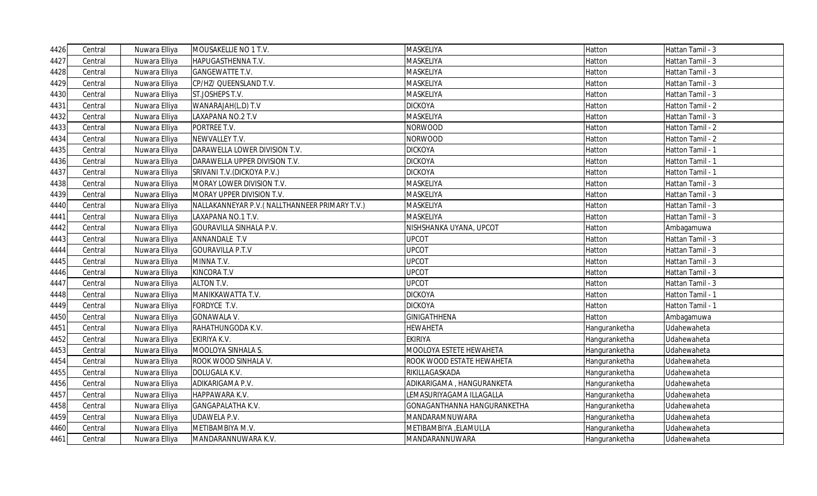| 4426 | Central | Nuwara Elliya | MOUSAKELLIE NO 1 T.V.                          | MASKELIYA                   | Hatton        | Hattan Tamil - 3 |
|------|---------|---------------|------------------------------------------------|-----------------------------|---------------|------------------|
| 4427 | Central | Nuwara Elliya | HAPUGASTHENNA T.V.                             | MASKELIYA                   | Hatton        | Hattan Tamil - 3 |
| 4428 | Central | Nuwara Elliya | <b>GANGEWATTE T.V.</b>                         | <b>MASKELIYA</b>            | Hatton        | Hattan Tamil - 3 |
| 4429 | Central | Nuwara Elliya | CP/HZ/ QUEENSLAND T.V.                         | <b>MASKELIYA</b>            | Hatton        | Hattan Tamil - 3 |
| 4430 | Central | Nuwara Elliya | ST.JOSHEPS T.V.                                | MASKELIYA                   | Hatton        | Hattan Tamil - 3 |
| 4431 | Central | Nuwara Elliya | WANARAJAH(L.D) T.V                             | <b>DICKOYA</b>              | Hatton        | Hatton Tamil - 2 |
| 4432 | Central | Nuwara Elliya | LAXAPANA NO.2 T.V                              | MASKELIYA                   | Hatton        | Hattan Tamil - 3 |
| 4433 | Central | Nuwara Elliya | PORTREE T.V.                                   | <b>NORWOOD</b>              | Hatton        | Hatton Tamil - 2 |
| 4434 | Central | Nuwara Elliya | NEWVALLEY T.V.                                 | <b>NORWOOD</b>              | Hatton        | Hatton Tamil - 2 |
| 4435 | Central | Nuwara Elliya | DARAWELLA LOWER DIVISION T.V.                  | <b>DICKOYA</b>              | Hatton        | Hatton Tamil - 1 |
| 4436 | Central | Nuwara Elliya | DARAWELLA UPPER DIVISION T.V.                  | <b>DICKOYA</b>              | Hatton        | Hatton Tamil - 1 |
| 4437 | Central | Nuwara Elliya | SRIVANI T.V. (DICKOYA P.V.)                    | <b>DICKOYA</b>              | Hatton        | Hatton Tamil - 1 |
| 4438 | Central | Nuwara Elliya | MORAY LOWER DIVISION T.V.                      | MASKELIYA                   | Hatton        | Hattan Tamil - 3 |
| 4439 | Central | Nuwara Elliya | MORAY UPPER DIVISION T.V.                      | MASKELIYA                   | Hatton        | Hattan Tamil - 3 |
| 4440 | Central | Nuwara Elliya | NALLAKANNEYAR P.V. (NALLTHANNEER PRIMARY T.V.) | MASKELIYA                   | Hatton        | Hattan Tamil - 3 |
| 4441 | Central | Nuwara Elliya | LAXAPANA NO.1 T.V.                             | MASKELIYA                   | Hatton        | Hattan Tamil - 3 |
| 4442 | Central | Nuwara Elliya | <b>GOURAVILLA SINHALA P.V.</b>                 | NISHSHANKA UYANA, UPCOT     | Hatton        | Ambagamuwa       |
| 4443 | Central | Nuwara Elliya | ANNANDALE T.V                                  | <b>UPCOT</b>                | Hatton        | Hattan Tamil - 3 |
| 4444 | Central | Nuwara Elliya | <b>GOURAVILLA P.T.V</b>                        | <b>UPCOT</b>                | Hatton        | Hattan Tamil - 3 |
| 4445 | Central | Nuwara Elliya | MINNA T.V.                                     | <b>UPCOT</b>                | Hatton        | Hattan Tamil - 3 |
| 4446 | Central | Nuwara Elliya | <b>KINCORA T.V</b>                             | <b>UPCOT</b>                | Hatton        | Hattan Tamil - 3 |
| 4447 | Central | Nuwara Elliya | <b>ALTON T.V.</b>                              | <b>UPCOT</b>                | Hatton        | Hattan Tamil - 3 |
| 4448 | Central | Nuwara Elliya | MANIKKAWATTA T.V.                              | <b>DICKOYA</b>              | Hatton        | Hatton Tamil - 1 |
| 4449 | Central | Nuwara Elliya | FORDYCE T.V.                                   | <b>DICKOYA</b>              | Hatton        | Hatton Tamil - 1 |
| 4450 | Central | Nuwara Elliya | <b>GONAWALA V.</b>                             | <b>GINIGATHHENA</b>         | Hatton        | Ambagamuwa       |
| 4451 | Central | Nuwara Elliya | RAHATHUNGODA K.V.                              | <b>HEWAHETA</b>             | Hanguranketha | Udahewaheta      |
| 4452 | Central | Nuwara Elliya | EKIRIYA K.V.                                   | <b>EKIRIYA</b>              | Hanguranketha | Udahewaheta      |
| 4453 | Central | Nuwara Elliya | MOOLOYA SINHALA S.                             | MOOLOYA ESTETE HEWAHETA     | Hanguranketha | Udahewaheta      |
| 4454 | Central | Nuwara Elliya | ROOK WOOD SINHALA V.                           | ROOK WOOD ESTATE HEWAHETA   | Hanguranketha | Udahewaheta      |
| 4455 | Central | Nuwara Elliya | DOLUGALA K.V.                                  | RIKILLAGASKADA              | Hanguranketha | Udahewaheta      |
| 4456 | Central | Nuwara Elliya | ADIKARIGAMA P.V.                               | ADIKARIGAMA, HANGURANKETA   | Hanguranketha | Udahewaheta      |
| 4457 | Central | Nuwara Elliya | HAPPAWARA K.V.                                 | LEMASURIYAGAMA ILLAGALLA    | Hanguranketha | Udahewaheta      |
| 4458 | Central | Nuwara Elliya | GANGAPALATHA K.V.                              | GONAGANTHANNA HANGURANKETHA | Hanguranketha | Udahewaheta      |
| 4459 | Central | Nuwara Elliya | <b>UDAWELA P.V.</b>                            | MANDARAMNUWARA              | Hanguranketha | Udahewaheta      |
| 4460 | Central | Nuwara Elliya | METIBAMBIYA M.V.                               | METIBAMBIYA , ELAMULLA      | Hanguranketha | Udahewaheta      |
| 4461 | Central | Nuwara Elliya | MANDARANNUWARA K.V.                            | MANDARANNUWARA              | Hanguranketha | Udahewaheta      |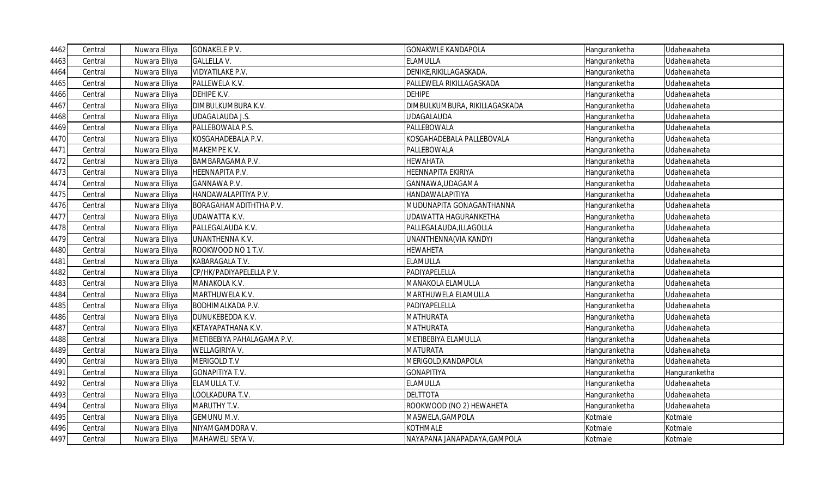| 4462 | Central | Nuwara Elliya | <b>GONAKELE P.V.</b>       | <b>GONAKWLE KANDAPOLA</b>     | Hanguranketha | Udahewaheta   |
|------|---------|---------------|----------------------------|-------------------------------|---------------|---------------|
| 4463 | Central | Nuwara Elliya | <b>GALLELLA V.</b>         | <b>ELAMULLA</b>               | Hanguranketha | Udahewaheta   |
| 4464 | Central | Nuwara Elliya | VIDYATILAKE P.V.           | DENIKE, RIKILLAGASKADA.       | Hanguranketha | Udahewaheta   |
| 4465 | Central | Nuwara Elliya | PALLEWELA K.V.             | PALLEWELA RIKILLAGASKADA      | Hanguranketha | Udahewaheta   |
| 4466 | Central | Nuwara Elliya | DEHIPE K.V.                | <b>DEHIPE</b>                 | Hanguranketha | Udahewaheta   |
| 4467 | Central | Nuwara Elliya | DIMBULKUMBURA K.V.         | DIMBULKUMBURA, RIKILLAGASKADA | Hanguranketha | Udahewaheta   |
| 4468 | Central | Nuwara Elliya | <b>UDAGALAUDA J.S.</b>     | <b>UDAGALAUDA</b>             | Hanguranketha | Udahewaheta   |
| 4469 | Central | Nuwara Elliya | PALLEBOWALA P.S.           | PALLEBOWALA                   | Hanguranketha | Udahewaheta   |
| 4470 | Central | Nuwara Elliya | KOSGAHADEBALA P.V.         | KOSGAHADEBALA PALLEBOVALA     | Hanguranketha | Udahewaheta   |
| 4471 | Central | Nuwara Elliya | MAKEMPE K.V.               | PALLEBOWALA                   | Hanguranketha | Udahewaheta   |
| 4472 | Central | Nuwara Elliya | BAMBARAGAMA P.V.           | <b>HEWAHATA</b>               | Hanguranketha | Udahewaheta   |
| 4473 | Central | Nuwara Elliya | HEENNAPITA P.V.            | HEENNAPITA EKIRIYA            | Hanguranketha | Udahewaheta   |
| 4474 | Central | Nuwara Elliya | <b>GANNAWA P.V.</b>        | GANNAWA, UDAGAMA              | Hanguranketha | Udahewaheta   |
| 4475 | Central | Nuwara Elliya | HANDAWALAPITIYA P.V.       | HANDAWALAPITIYA               | Hanguranketha | Udahewaheta   |
| 4476 | Central | Nuwara Elliya | BORAGAHAMADITHTHA P.V.     | MUDUNAPITA GONAGANTHANNA      | Hanguranketha | Udahewaheta   |
| 4477 | Central | Nuwara Elliya | UDAWATTA K.V.              | UDAWATTA HAGURANKETHA         | Hanguranketha | Udahewaheta   |
| 4478 | Central | Nuwara Elliya | PALLEGALAUDA K.V.          | PALLEGALAUDA, ILLAGOLLA       | Hanguranketha | Udahewaheta   |
| 4479 | Central | Nuwara Elliya | UNANTHENNA K.V.            | UNANTHENNA(VIA KANDY)         | Hanguranketha | Udahewaheta   |
| 4480 | Central | Nuwara Elliya | ROOKWOOD NO 1 T.V.         | <b>HEWAHETA</b>               | Hanguranketha | Udahewaheta   |
| 4481 | Central | Nuwara Elliya | KABARAGALA T.V.            | <b>ELAMULLA</b>               | Hanguranketha | Udahewaheta   |
| 4482 | Central | Nuwara Elliya | CP/HK/PADIYAPELELLA P.V.   | PADIYAPELELLA                 | Hanguranketha | Udahewaheta   |
| 4483 | Central | Nuwara Elliya | MANAKOLA K.V.              | MANAKOLA ELAMULLA             | Hanguranketha | Udahewaheta   |
| 4484 | Central | Nuwara Elliya | MARTHUWELA K.V.            | MARTHUWELA ELAMULLA           | Hanguranketha | Udahewaheta   |
| 4485 | Central | Nuwara Elliya | <b>BODHIMALKADA P.V.</b>   | PADIYAPELELLA                 | Hanguranketha | Udahewaheta   |
| 4486 | Central | Nuwara Elliya | DUNUKEBEDDA K.V.           | <b>MATHURATA</b>              | Hanguranketha | Udahewaheta   |
| 4487 | Central | Nuwara Elliya | KETAYAPATHANA K.V.         | <b>MATHURATA</b>              | Hanguranketha | Udahewaheta   |
| 4488 | Central | Nuwara Elliya | METIBEBIYA PAHALAGAMA P.V. | METIBEBIYA ELAMULLA           | Hanguranketha | Udahewaheta   |
| 4489 | Central | Nuwara Elliya | WELLAGIRIYA V.             | <b>MATURATA</b>               | Hanguranketha | Udahewaheta   |
| 4490 | Central | Nuwara Elliya | MERIGOLD T.V               | MERIGOLD, KANDAPOLA           | Hanguranketha | Udahewaheta   |
| 4491 | Central | Nuwara Elliya | GONAPITIYA T.V.            | <b>GONAPITIYA</b>             | Hanguranketha | Hanguranketha |
| 4492 | Central | Nuwara Elliya | ELAMULLA T.V.              | <b>ELAMULLA</b>               | Hanguranketha | Udahewaheta   |
| 4493 | Central | Nuwara Elliya | LOOLKADURA T.V.            | <b>DELTTOTA</b>               | Hanguranketha | Udahewaheta   |
| 4494 | Central | Nuwara Elliya | MARUTHY T.V.               | ROOKWOOD (NO 2) HEWAHETA      | Hanguranketha | Udahewaheta   |
| 4495 | Central | Nuwara Elliya | <b>GEMUNU M.V.</b>         | MASWELA, GAMPOLA              | Kotmale       | Kotmale       |
| 4496 | Central | Nuwara Elliya | NIYAMGAMDORA V.            | <b>KOTHMALE</b>               | Kotmale       | Kotmale       |
| 4497 | Central | Nuwara Elliya | MAHAWELI SEYA V.           | NAYAPANA JANAPADAYA, GAMPOLA  | Kotmale       | Kotmale       |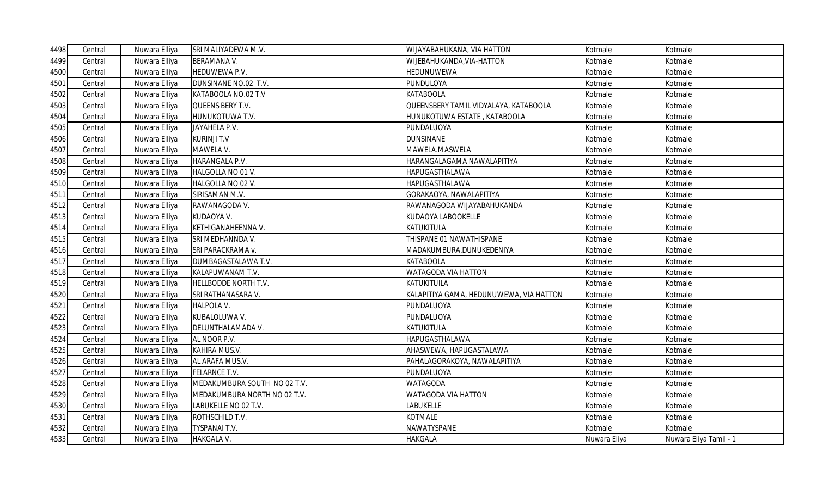| 4498 | Central | Nuwara Elliya | SRI MALIYADEWA M.V.          | WIJAYABAHUKANA, VIA HATTON              | Kotmale      | Kotmale                |
|------|---------|---------------|------------------------------|-----------------------------------------|--------------|------------------------|
| 4499 | Central | Nuwara Elliya | <b>BERAMANA V.</b>           | WIJEBAHUKANDA, VIA-HATTON               | Kotmale      | Kotmale                |
| 4500 | Central | Nuwara Elliya | <b>HEDUWEWA P.V.</b>         | HEDUNUWEWA                              | Kotmale      | Kotmale                |
| 4501 | Central | Nuwara Elliya | DUNSINANE NO.02 T.V.         | PUNDULOYA                               | Kotmale      | Kotmale                |
| 4502 | Central | Nuwara Elliya | KATABOOLA NO.02 T.V          | <b>KATABOOLA</b>                        | Kotmale      | Kotmale                |
| 4503 | Central | Nuwara Elliya | QUEENS BERY T.V.             | QUEENSBERY TAMIL VIDYALAYA, KATABOOLA   | Kotmale      | Kotmale                |
| 4504 | Central | Nuwara Elliya | HUNUKOTUWA T.V.              | HUNUKOTUWA ESTATE , KATABOOLA           | Kotmale      | Kotmale                |
| 4505 | Central | Nuwara Elliya | JAYAHELA P.V.                | PUNDALUOYA                              | Kotmale      | Kotmale                |
| 4506 | Central | Nuwara Elliya | <b>KURINJI T.V</b>           | <b>DUNSINANE</b>                        | Kotmale      | Kotmale                |
| 4507 | Central | Nuwara Elliya | MAWELA V.                    | MAWELA.MASWELA                          | Kotmale      | Kotmale                |
| 4508 | Central | Nuwara Elliya | HARANGALA P.V.               | HARANGALAGAMA NAWALAPITIYA              | Kotmale      | Kotmale                |
| 4509 | Central | Nuwara Elliya | HALGOLLA NO 01 V.            | HAPUGASTHALAWA                          | Kotmale      | Kotmale                |
| 4510 | Central | Nuwara Elliya | HALGOLLA NO 02 V.            | HAPUGASTHALAWA                          | Kotmale      | Kotmale                |
| 4511 | Central | Nuwara Elliya | SIRISAMAN M.V.               | GORAKAOYA, NAWALAPITIYA                 | Kotmale      | Kotmale                |
| 4512 | Central | Nuwara Elliya | RAWANAGODA V.                | RAWANAGODA WIJAYABAHUKANDA              | Kotmale      | Kotmale                |
| 4513 | Central | Nuwara Elliya | KUDAOYA V.                   | KUDAOYA LABOOKELLE                      | Kotmale      | Kotmale                |
| 4514 | Central | Nuwara Elliya | KETHIGANAHEENNA V.           | KATUKITULA                              | Kotmale      | Kotmale                |
| 4515 | Central | Nuwara Elliya | SRI MEDHANNDA V.             | THISPANE 01 NAWATHISPANE                | Kotmale      | Kotmale                |
| 4516 | Central | Nuwara Elliya | SRI PARACKRAMA v.            | MADAKUMBURA,DUNUKEDENIYA                | Kotmale      | Kotmale                |
| 4517 | Central | Nuwara Elliya | DUMBAGASTALAWA T.V.          | <b>KATABOOLA</b>                        | Kotmale      | Kotmale                |
| 4518 | Central | Nuwara Elliya | KALAPUWANAM T.V.             | WATAGODA VIA HATTON                     | Kotmale      | Kotmale                |
| 4519 | Central | Nuwara Elliya | HELLBODDE NORTH T.V.         | KATUKITUILA                             | Kotmale      | Kotmale                |
| 4520 | Central | Nuwara Elliya | SRI RATHANASARA V.           | KALAPITIYA GAMA, HEDUNUWEWA, VIA HATTON | Kotmale      | Kotmale                |
| 4521 | Central | Nuwara Elliya | <b>HALPOLA V.</b>            | PUNDALUOYA                              | Kotmale      | Kotmale                |
| 4522 | Central | Nuwara Elliya | KUBALOLUWA V.                | PUNDALUOYA                              | Kotmale      | Kotmale                |
| 4523 | Central | Nuwara Elliya | DELUNTHALAMADA V.            | KATUKITULA                              | Kotmale      | Kotmale                |
| 4524 | Central | Nuwara Elliya | AL NOOR P.V.                 | HAPUGASTHALAWA                          | Kotmale      | Kotmale                |
| 4525 | Central | Nuwara Elliya | KAHIRA MUS.V.                | AHASWEWA, HAPUGASTALAWA                 | Kotmale      | Kotmale                |
| 4526 | Central | Nuwara Elliya | AL ARAFA MUS.V.              | PAHALAGORAKOYA, NAWALAPITIYA            | Kotmale      | Kotmale                |
| 4527 | Central | Nuwara Elliya | <b>FELARNCE T.V.</b>         | PUNDALUOYA                              | Kotmale      | Kotmale                |
| 4528 | Central | Nuwara Elliya | MEDAKUMBURA SOUTH NO 02 T.V. | WATAGODA                                | Kotmale      | Kotmale                |
| 4529 | Central | Nuwara Elliya | MEDAKUMBURA NORTH NO 02 T.V. | WATAGODA VIA HATTON                     | Kotmale      | Kotmale                |
| 4530 | Central | Nuwara Elliya | LABUKELLE NO 02 T.V.         | LABUKELLE                               | Kotmale      | Kotmale                |
| 4531 | Central | Nuwara Elliya | ROTHSCHILD T.V.              | KOTMALE                                 | Kotmale      | Kotmale                |
| 4532 | Central | Nuwara Elliya | TYSPANAI T.V.                | NAWATYSPANE                             | Kotmale      | Kotmale                |
| 4533 | Central | Nuwara Elliya | <b>HAKGALA V.</b>            | <b>HAKGALA</b>                          | Nuwara Eliya | Nuwara Eliya Tamil - 1 |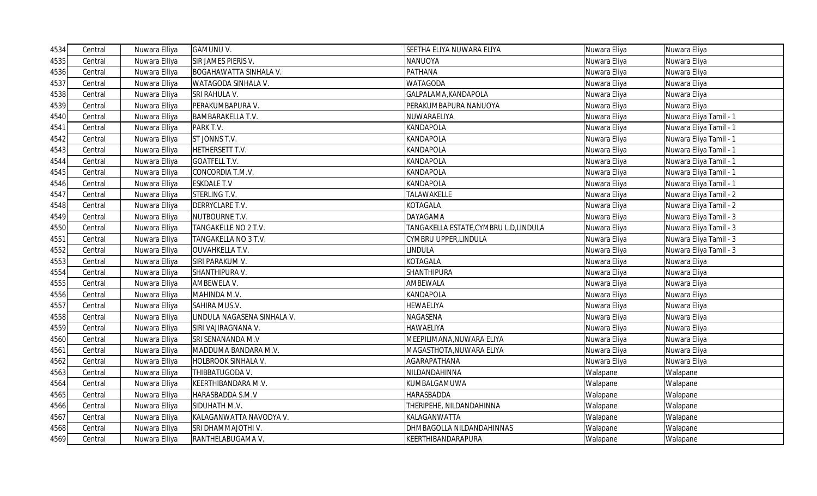| 4534 | Central | Nuwara Elliya | <b>GAMUNU V.</b>              | SEETHA ELIYA NUWARA ELIYA              | Nuwara Eliya | Nuwara Eliya           |
|------|---------|---------------|-------------------------------|----------------------------------------|--------------|------------------------|
| 4535 | Central | Nuwara Elliya | SIR JAMES PIERIS V.           | NANUOYA                                | Nuwara Eliya | Nuwara Eliya           |
| 4536 | Central | Nuwara Elliya | <b>BOGAHAWATTA SINHALA V.</b> | PATHANA                                | Nuwara Eliya | Nuwara Eliya           |
| 4537 | Central | Nuwara Elliya | WATAGODA SINHALA V.           | WATAGODA                               | Nuwara Eliya | Nuwara Eliya           |
| 4538 | Central | Nuwara Elliya | SRI RAHULA V.                 | GALPALAMA, KANDAPOLA                   | Nuwara Eliya | Nuwara Eliya           |
| 4539 | Central | Nuwara Elliya | PERAKUMBAPURA V.              | PERAKUMBAPURA NANUOYA                  | Nuwara Eliya | Nuwara Eliya           |
| 4540 | Central | Nuwara Elliya | <b>BAMBARAKELLA T.V.</b>      | NUWARAELIYA                            | Nuwara Eliya | Nuwara Eliya Tamil - 1 |
| 4541 | Central | Nuwara Elliya | PARK T.V.                     | KANDAPOLA                              | Nuwara Eliya | Nuwara Eliya Tamil - 1 |
| 4542 | Central | Nuwara Elliya | ST JONNS T.V.                 | KANDAPOLA                              | Nuwara Eliya | Nuwara Eliya Tamil - 1 |
| 4543 | Central | Nuwara Elliya | HETHERSETT T.V.               | KANDAPOLA                              | Nuwara Eliya | Nuwara Eliya Tamil - 1 |
| 4544 | Central | Nuwara Elliya | <b>GOATFELL T.V.</b>          | KANDAPOLA                              | Nuwara Eliya | Nuwara Eliya Tamil - 1 |
| 4545 | Central | Nuwara Elliya | CONCORDIA T.M.V.              | KANDAPOLA                              | Nuwara Eliya | Nuwara Eliya Tamil - 1 |
| 4546 | Central | Nuwara Elliya | <b>ESKDALE T.V</b>            | KANDAPOLA                              | Nuwara Eliya | Nuwara Eliya Tamil - 1 |
| 4547 | Central | Nuwara Elliya | STERLING T.V.                 | TALAWAKELLE                            | Nuwara Eliya | Nuwara Eliya Tamil - 2 |
| 4548 | Central | Nuwara Elliya | DERRYCLARE T.V.               | KOTAGALA                               | Nuwara Eliya | Nuwara Eliya Tamil - 2 |
| 4549 | Central | Nuwara Elliya | NUTBOURNE T.V.                | DAYAGAMA                               | Nuwara Eliya | Nuwara Eliya Tamil - 3 |
| 4550 | Central | Nuwara Elliya | TANGAKELLE NO 2 T.V.          | TANGAKELLA ESTATE, CYMBRU L.D, LINDULA | Nuwara Eliya | Nuwara Eliya Tamil - 3 |
| 4551 | Central | Nuwara Elliya | TANGAKELLA NO 3 T.V.          | CYMBRU UPPER,LINDULA                   | Nuwara Eliya | Nuwara Eliya Tamil - 3 |
| 4552 | Central | Nuwara Elliya | <b>OUVAHKELLA T.V.</b>        | LINDULA                                | Nuwara Eliya | Nuwara Eliya Tamil - 3 |
| 4553 | Central | Nuwara Elliya | SIRI PARAKUM V.               | KOTAGALA                               | Nuwara Eliya | Nuwara Eliya           |
| 4554 | Central | Nuwara Elliya | SHANTHIPURA V.                | <b>SHANTHIPURA</b>                     | Nuwara Eliya | Nuwara Eliya           |
| 4555 | Central | Nuwara Elliya | AMBEWELA V.                   | AMBEWALA                               | Nuwara Eliya | Nuwara Eliya           |
| 4556 | Central | Nuwara Elliya | MAHINDA M.V.                  | KANDAPOLA                              | Nuwara Eliya | Nuwara Eliya           |
| 4557 | Central | Nuwara Elliya | SAHIRA MUS.V.                 | HEWAELIYA                              | Nuwara Eliya | Nuwara Eliya           |
| 4558 | Central | Nuwara Elliya | LINDULA NAGASENA SINHALA V.   | NAGASENA                               | Nuwara Eliya | Nuwara Eliya           |
| 4559 | Central | Nuwara Elliya | SIRI VAJIRAGNANA V.           | HAWAELIYA                              | Nuwara Eliya | Nuwara Eliya           |
| 4560 | Central | Nuwara Elliya | SRI SENANANDA M.V             | MEEPILIMANA, NUWARA ELIYA              | Nuwara Eliya | Nuwara Eliya           |
| 4561 | Central | Nuwara Elliya | MADDUMA BANDARA M.V.          | MAGASTHOTA,NUWARA ELIYA                | Nuwara Eliya | Nuwara Eliya           |
| 4562 | Central | Nuwara Elliya | HOLBROOK SINHALA V.           | AGARAPATHANA                           | Nuwara Eliya | Nuwara Eliya           |
| 4563 | Central | Nuwara Elliya | THIBBATUGODA V.               | NILDANDAHINNA                          | Walapane     | Walapane               |
| 4564 | Central | Nuwara Elliya | KEERTHIBANDARA M.V.           | KUMBALGAMUWA                           | Walapane     | Walapane               |
| 4565 | Central | Nuwara Elliya | HARASBADDA S.M.V              | HARASBADDA                             | Walapane     | Walapane               |
| 4566 | Central | Nuwara Elliya | SIDUHATH M.V.                 | THERIPEHE, NILDANDAHINNA               | Walapane     | Walapane               |
| 4567 | Central | Nuwara Elliya | KALAGANWATTA NAVODYA V.       | KALAGANWATTA                           | Walapane     | Walapane               |
| 4568 | Central | Nuwara Elliya | SRI DHAMMAJOTHI V.            | DHMBAGOLLA NILDANDAHINNAS              | Walapane     | Walapane               |
| 4569 | Central | Nuwara Elliya | RANTHELABUGAMA V.             | KEERTHIBANDARAPURA                     | Walapane     | Walapane               |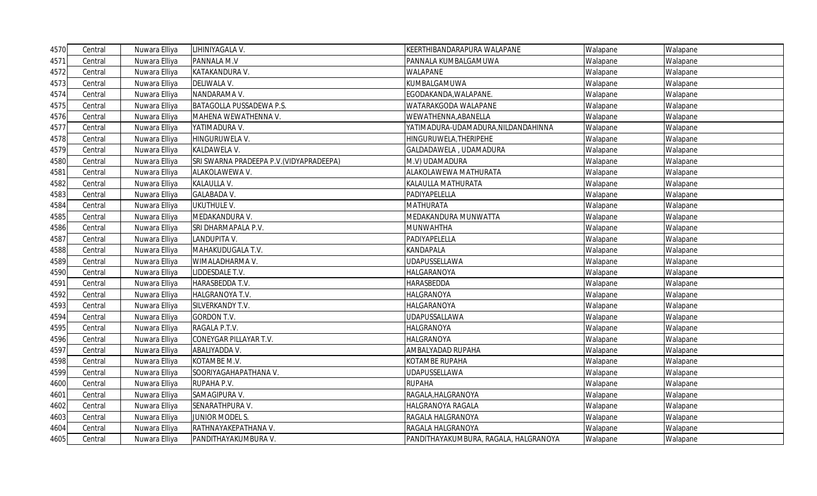| 4570 | Central | Nuwara Elliya | LIHINIYAGALA V.                          | KEERTHIBANDARAPURA WALAPANE           | Walapane | Walapane |
|------|---------|---------------|------------------------------------------|---------------------------------------|----------|----------|
| 4571 | Central | Nuwara Elliya | PANNALA M.V                              | PANNALA KUMBALGAMUWA                  | Walapane | Walapane |
| 4572 | Central | Nuwara Elliya | KATAKANDURA V.                           | WALAPANE                              | Walapane | Walapane |
| 4573 | Central | Nuwara Elliya | DELIWALA V.                              | KUMBALGAMUWA                          | Walapane | Walapane |
| 4574 | Central | Nuwara Elliya | NANDARAMA V.                             | EGODAKANDA, WALAPANE.                 | Walapane | Walapane |
| 4575 | Central | Nuwara Elliya | BATAGOLLA PUSSADEWA P.S.                 | WATARAKGODA WALAPANE                  | Walapane | Walapane |
| 4576 | Central | Nuwara Elliya | MAHENA WEWATHENNA V.                     | WEWATHENNA, ABANELLA                  | Walapane | Walapane |
| 4577 | Central | Nuwara Elliya | YATIMADURA V.                            | YATIMADURA-UDAMADURA, NILDANDAHINNA   | Walapane | Walapane |
| 4578 | Central | Nuwara Elliya | HINGURUWELA V.                           | HINGURUWELA, THERIPEHE                | Walapane | Walapane |
| 4579 | Central | Nuwara Elliya | KALDAWELA V.                             | GALDADAWELA, UDAMADURA                | Walapane | Walapane |
| 4580 | Central | Nuwara Elliya | SRI SWARNA PRADEEPA P.V. (VIDYAPRADEEPA) | M.V) UDAMADURA                        | Walapane | Walapane |
| 4581 | Central | Nuwara Elliya | ALAKOLAWEWA V.                           | ALAKOLAWEWA MATHURATA                 | Walapane | Walapane |
| 4582 | Central | Nuwara Elliya | KALAULLA V.                              | KALAULLA MATHURATA                    | Walapane | Walapane |
| 4583 | Central | Nuwara Elliya | <b>GALABADA V.</b>                       | PADIYAPELELLA                         | Walapane | Walapane |
| 4584 | Central | Nuwara Elliya | <b>UKUTHULE V.</b>                       | MATHURATA                             | Walapane | Walapane |
| 4585 | Central | Nuwara Elliya | MEDAKANDURA V.                           | MEDAKANDURA MUNWATTA                  | Walapane | Walapane |
| 4586 | Central | Nuwara Elliya | SRI DHARMAPALA P.V.                      | MUNWAHTHA                             | Walapane | Walapane |
| 4587 | Central | Nuwara Elliya | LANDUPITA V.                             | PADIYAPELELLA                         | Walapane | Walapane |
| 4588 | Central | Nuwara Elliya | MAHAKUDUGALA T.V.                        | KANDAPALA                             | Walapane | Walapane |
| 4589 | Central | Nuwara Elliya | WIMALADHARMA V.                          | <b>UDAPUSSELLAWA</b>                  | Walapane | Walapane |
| 4590 | Central | Nuwara Elliya | LIDDESDALE T.V.                          | HALGARANOYA                           | Walapane | Walapane |
| 4591 | Central | Nuwara Elliya | HARASBEDDA T.V.                          | HARASBEDDA                            | Walapane | Walapane |
| 4592 | Central | Nuwara Elliya | HALGRANOYA T.V.                          | HALGRANOYA                            | Walapane | Walapane |
| 4593 | Central | Nuwara Elliya | SILVERKANDY T.V.                         | HALGARANOYA                           | Walapane | Walapane |
| 4594 | Central | Nuwara Elliya | <b>GORDON T.V.</b>                       | UDAPUSSALLAWA                         | Walapane | Walapane |
| 4595 | Central | Nuwara Elliya | RAGALA P.T.V.                            | HALGRANOYA                            | Walapane | Walapane |
| 4596 | Central | Nuwara Elliya | CONEYGAR PILLAYAR T.V.                   | HALGRANOYA                            | Walapane | Walapane |
| 4597 | Central | Nuwara Elliya | ABALIYADDA V.                            | AMBALYADAD RUPAHA                     | Walapane | Walapane |
| 4598 | Central | Nuwara Elliya | KOTAMBE M.V.                             | KOTAMBE RUPAHA                        | Walapane | Walapane |
| 4599 | Central | Nuwara Elliya | SOORIYAGAHAPATHANA V.                    | UDAPUSSELLAWA                         | Walapane | Walapane |
| 4600 | Central | Nuwara Elliya | RUPAHA P.V.                              | <b>RUPAHA</b>                         | Walapane | Walapane |
| 4601 | Central | Nuwara Elliya | SAMAGIPURA V.                            | RAGALA, HALGRANOYA                    | Walapane | Walapane |
| 4602 | Central | Nuwara Elliya | SENARATHPURA V.                          | HALGRANOYA RAGALA                     | Walapane | Walapane |
| 4603 | Central | Nuwara Elliya | JUNIOR MODEL S.                          | RAGALA HALGRANOYA                     | Walapane | Walapane |
| 4604 | Central | Nuwara Elliya | RATHNAYAKEPATHANA V.                     | RAGALA HALGRANOYA                     | Walapane | Walapane |
| 4605 | Central | Nuwara Elliya | PANDITHAYAKUMBURA V.                     | PANDITHAYAKUMBURA, RAGALA, HALGRANOYA | Walapane | Walapane |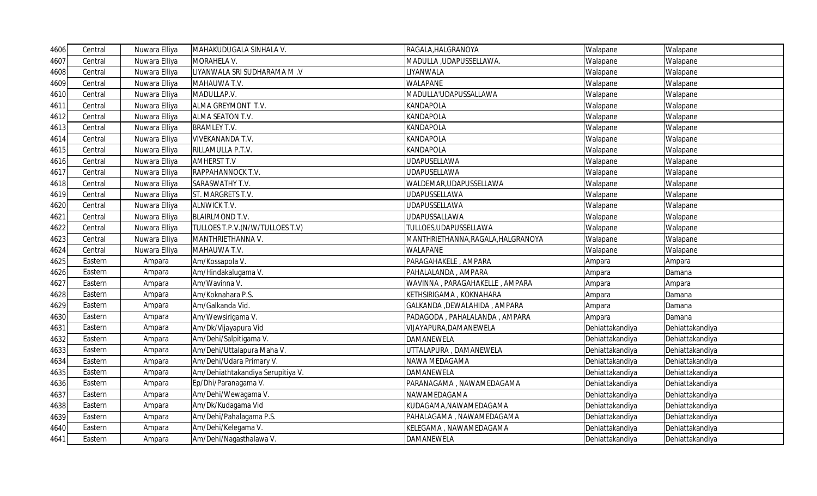| 4606 | Central | Nuwara Elliya | MAHAKUDUGALA SINHALA V.           | RAGALA, HALGRANOYA                 | Walapane        | Walapane        |
|------|---------|---------------|-----------------------------------|------------------------------------|-----------------|-----------------|
| 4607 | Central | Nuwara Elliya | MORAHELA V.                       | MADULLA , UDAPUSSELLAWA.           | Walapane        | Walapane        |
| 4608 | Central | Nuwara Elliya | LIYANWALA SRI SUDHARAMA M.V       | LIYANWALA                          | Walapane        | Walapane        |
| 4609 | Central | Nuwara Elliya | MAHAUWA T.V.                      | WALAPANE                           | Walapane        | Walapane        |
| 4610 | Central | Nuwara Elliya | MADULLAP.V.                       | MADULLA'UDAPUSSALLAWA              | Walapane        | Walapane        |
| 4611 | Central | Nuwara Elliya | ALMA GREYMONT T.V.                | <b>KANDAPOLA</b>                   | Walapane        | Walapane        |
| 4612 | Central | Nuwara Elliya | ALMA SEATON T.V.                  | <b>KANDAPOLA</b>                   | Walapane        | Walapane        |
| 4613 | Central | Nuwara Elliya | <b>BRAMLEY T.V.</b>               | <b>KANDAPOLA</b>                   | Walapane        | Walapane        |
| 4614 | Central | Nuwara Elliya | <b>VIVEKANANDA T.V.</b>           | <b>KANDAPOLA</b>                   | Walapane        | Walapane        |
| 4615 | Central | Nuwara Elliya | RILLAMULLA P.T.V.                 | <b>KANDAPOLA</b>                   | Walapane        | Walapane        |
| 4616 | Central | Nuwara Elliya | <b>AMHERST T.V</b>                | <b>UDAPUSELLAWA</b>                | Walapane        | Walapane        |
| 4617 | Central | Nuwara Elliya | RAPPAHANNOCK T.V.                 | <b>UDAPUSELLAWA</b>                | Walapane        | Walapane        |
| 4618 | Central | Nuwara Elliya | SARASWATHY T.V.                   | WALDEMAR, UDAPUSSELLAWA            | Walapane        | Walapane        |
| 4619 | Central | Nuwara Elliya | ST. MARGRETS T.V.                 | <b>UDAPUSSELLAWA</b>               | Walapane        | Walapane        |
| 4620 | Central | Nuwara Elliya | <b>ALNWICK T.V.</b>               | <b>UDAPUSSELLAWA</b>               | Walapane        | Walapane        |
| 4621 | Central | Nuwara Elliya | <b>BLAIRLMOND T.V.</b>            | UDAPUSSALLAWA                      | Walapane        | Walapane        |
| 4622 | Central | Nuwara Elliya | TULLOES T.P.V.(N/W/TULLOES T.V)   | TULLOES, UDAPUSSELLAWA             | Walapane        | Walapane        |
| 4623 | Central | Nuwara Elliya | MANTHRIETHANNA V.                 | MANTHRIETHANNA, RAGALA, HALGRANOYA | Walapane        | Walapane        |
| 4624 | Central | Nuwara Elliya | MAHAUWA T.V.                      | <b>WALAPANE</b>                    | Walapane        | Walapane        |
| 4625 | Eastern | Ampara        | Am/Kossapola V.                   | PARAGAHAKELE, AMPARA               | Ampara          | Ampara          |
| 4626 | Eastern | Ampara        | Am/Hindakalugama V.               | PAHALALANDA, AMPARA                | Ampara          | Damana          |
| 4627 | Eastern | Ampara        | Am/Wavinna V.                     | WAVINNA, PARAGAHAKELLE, AMPARA     | Ampara          | Ampara          |
| 4628 | Eastern | Ampara        | Am/Koknahara P.S.                 | KETHSIRIGAMA, KOKNAHARA            | Ampara          | Damana          |
| 4629 | Eastern | Ampara        | Am/Galkanda Vid.                  | GALKANDA , DEWALAHIDA , AMPARA     | Ampara          | Damana          |
| 4630 | Eastern | Ampara        | Am/Wewsirigama V.                 | PADAGODA, PAHALALANDA, AMPARA      | Ampara          | Damana          |
| 4631 | Eastern | Ampara        | Am/Dk/Vijayapura Vid              | VIJAYAPURA, DAMANEWELA             | Dehiattakandiya | Dehiattakandiya |
| 4632 | Eastern | Ampara        | Am/Dehi/Salpitigama V.            | <b>DAMANEWELA</b>                  | Dehiattakandiya | Dehiattakandiya |
| 4633 | Eastern | Ampara        | Am/Dehi/Uttalapura Maha V.        | UTTALAPURA, DAMANEWELA             | Dehiattakandiya | Dehiattakandiya |
| 4634 | Eastern | Ampara        | Am/Dehi/Udara Primary V.          | NAWA MEDAGAMA                      | Dehiattakandiya | Dehiattakandiya |
| 4635 | Eastern | Ampara        | Am/Dehiathtakandiya Serupitiya V. | <b>DAMANEWELA</b>                  | Dehiattakandiya | Dehiattakandiya |
| 4636 | Eastern | Ampara        | Ep/Dhi/Paranagama V.              | PARANAGAMA, NAWAMEDAGAMA           | Dehiattakandiya | Dehiattakandiya |
| 4637 | Eastern | Ampara        | Am/Dehi/Wewagama V.               | NAWAMEDAGAMA                       | Dehiattakandiya | Dehiattakandiya |
| 4638 | Eastern | Ampara        | Am/Dk/Kudagama Vid                | KUDAGAMA, NAWAMEDAGAMA             | Dehiattakandiya | Dehiattakandiya |
| 4639 | Eastern | Ampara        | Am/Dehi/Pahalagama P.S.           | PAHALAGAMA, NAWAMEDAGAMA           | Dehiattakandiya | Dehiattakandiya |
| 4640 | Eastern | Ampara        | Am/Dehi/Kelegama V.               | KELEGAMA, NAWAMEDAGAMA             | Dehiattakandiya | Dehiattakandiya |
| 4641 | Eastern | Ampara        | Am/Dehi/Nagasthalawa V.           | DAMANEWELA                         | Dehiattakandiya | Dehiattakandiya |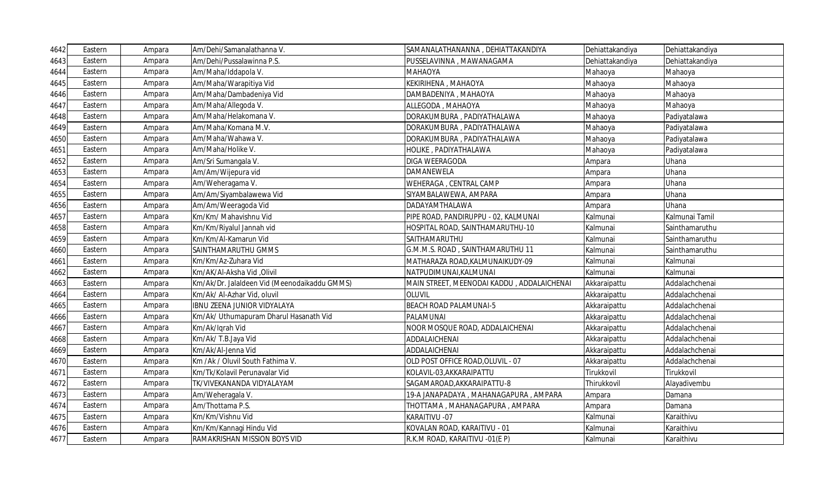| 4642 | Eastern | Ampara | Am/Dehi/Samanalathanna V.                    | SAMANALATHANANNA, DEHIATTAKANDIYA          | Dehiattakandiya | Dehiattakandiya |
|------|---------|--------|----------------------------------------------|--------------------------------------------|-----------------|-----------------|
| 4643 | Eastern | Ampara | Am/Dehi/Pussalawinna P.S.                    | PUSSELAVINNA, MAWANAGAMA                   | Dehiattakandiya | Dehiattakandiya |
| 4644 | Eastern | Ampara | Am/Maha/Iddapola V.                          | ΜΑΗΑΟΥΑ                                    | Mahaoya         | Mahaoya         |
| 4645 | Eastern | Ampara | Am/Maha/Warapitiya Vid                       | KEKIRIHENA, MAHAOYA                        | Mahaoya         | Mahaoya         |
| 4646 | Eastern | Ampara | Am/Maha/Dambadeniya Vid                      | DAMBADENIYA, MAHAOYA                       | Mahaoya         | Mahaoya         |
| 4647 | Eastern | Ampara | Am/Maha/Allegoda V.                          | ALLEGODA, MAHAOYA                          | Mahaoya         | Mahaoya         |
| 4648 | Eastern | Ampara | Am/Maha/Helakomana V.                        | DORAKUMBURA, PADIYATHALAWA                 | Mahaoya         | Padiyatalawa    |
| 4649 | Eastern | Ampara | Am/Maha/Komana M.V.                          | DORAKUMBURA, PADIYATHALAWA                 | Mahaoya         | Padiyatalawa    |
| 4650 | Eastern | Ampara | Am/Maha/Wahawa V.                            | DORAKUMBURA, PADIYATHALAWA                 | Mahaoya         | Padiyatalawa    |
| 4651 | Eastern | Ampara | Am/Maha/Holike V.                            | HOLIKE, PADIYATHALAWA                      | Mahaoya         | Padiyatalawa    |
| 4652 | Eastern | Ampara | Am/Sri Sumangala V.                          | DIGA WEERAGODA                             | Ampara          | Uhana           |
| 4653 | Eastern | Ampara | Am/Am/Wijepura vid                           | DAMANEWELA                                 | Ampara          | Uhana           |
| 4654 | Eastern | Ampara | Am/Weheragama V.                             | WEHERAGA, CENTRAL CAMP                     | Ampara          | Uhana           |
| 4655 | Eastern | Ampara | Am/Am/Siyambalawewa Vid                      | SIYAMBALAWEWA, AMPARA                      | Ampara          | Uhana           |
| 4656 | Eastern | Ampara | Am/Am/Weeragoda Vid                          | DADAYAMTHALAWA                             | Ampara          | Uhana           |
| 4657 | Eastern | Ampara | Km/Km/ Mahavishnu Vid                        | PIPE ROAD, PANDIRUPPU - 02, KALMUNAI       | Kalmunai        | Kalmunai Tamil  |
| 4658 | Eastern | Ampara | Km/Km/Riyalul Jannah vid                     | HOSPITAL ROAD, SAINTHAMARUTHU-10           | Kalmunai        | Sainthamaruthu  |
| 4659 | Eastern | Ampara | Km/Km/Al-Kamarun Vid                         | SAITHAMARUTHU                              | Kalmunai        | Sainthamaruthu  |
| 4660 | Eastern | Ampara | SAINTHAMARUTHU GMMS                          | G.M.M.S. ROAD, SAINTHAMARUTHU 11           | Kalmunai        | Sainthamaruthu  |
| 4661 | Eastern | Ampara | Km/Km/Az-Zuhara Vid                          | MATHARAZA ROAD, KALMUNAIKUDY-09            | Kalmunai        | Kalmunai        |
| 4662 | Eastern | Ampara | Km/AK/Al-Aksha Vid, Olivil                   | NATPUDIMUNAI, KALMUNAI                     | Kalmunai        | Kalmunai        |
| 4663 | Eastern | Ampara | Km/Ak/Dr. Jalaldeen Vid (Meenodaikaddu GMMS) | MAIN STREET, MEENODAI KADDU, ADDALAICHENAI | Akkaraipattu    | Addalachchenai  |
| 4664 | Eastern | Ampara | Km/Ak/ Al-Azhar Vid, oluvil                  | <b>OLUVIL</b>                              | Akkaraipattu    | Addalachchenai  |
| 4665 | Eastern | Ampara | IBNU ZEENA JUNIOR VIDYALAYA                  | <b>BEACH ROAD PALAMUNAI-5</b>              | Akkaraipattu    | Addalachchenai  |
| 4666 | Eastern | Ampara | Km/Ak/ Uthumapuram Dharul Hasanath Vid       | PALAMUNAI                                  | Akkaraipattu    | Addalachchenai  |
| 4667 | Eastern | Ampara | Km/Ak/Iqrah Vid                              | NOOR MOSQUE ROAD, ADDALAICHENAI            | Akkaraipattu    | Addalachchenai  |
| 4668 | Eastern | Ampara | Km/Ak/T.B.Jaya Vid                           | ADDALAICHENAI                              | Akkaraipattu    | Addalachchenai  |
| 4669 | Eastern | Ampara | Km/Ak/Al-Jenna Vid                           | ADDALAICHENAI                              | Akkaraipattu    | Addalachchenai  |
| 4670 | Eastern | Ampara | Km /Ak / Oluvil South Fathima V.             | OLD POST OFFICE ROAD, OLUVIL - 07          | Akkaraipattu    | Addalachchenai  |
| 4671 | Eastern | Ampara | Km/Tk/Kolavil Perunavalar Vid                | KOLAVIL-03, AKKARAIPATTU                   | Tirukkovil      | Tirukkovil      |
| 4672 | Eastern | Ampara | TK/VIVEKANANDA VIDYALAYAM                    | SAGAMAROAD, AKKARAIPATTU-8                 | Thirukkovil     | Alayadivembu    |
| 4673 | Eastern | Ampara | Am/Weheragala V.                             | 19-A JANAPADAYA , MAHANAGAPURA , AMPARA    | Ampara          | Damana          |
| 4674 | Eastern | Ampara | Am/Thottama P.S.                             | THOTTAMA, MAHANAGAPURA, AMPARA             | Ampara          | Damana          |
| 4675 | Eastern | Ampara | Km/Km/Vishnu Vid                             | KARAITIVU - 07                             | Kalmunai        | Karaithivu      |
| 4676 | Eastern | Ampara | Km/Km/Kannagi Hindu Vid                      | KOVALAN ROAD, KARAITIVU - 01               | Kalmunai        | Karaithivu      |
| 4677 | Eastern | Ampara | RAMAKRISHAN MISSION BOYS VID                 | R.K.M ROAD, KARAITIVU -01(E P)             | Kalmunai        | Karaithivu      |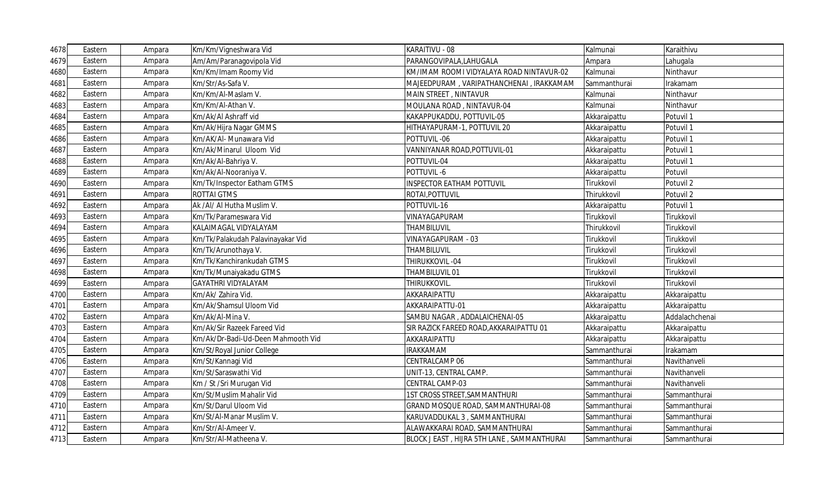| 4678 | Eastern | Ampara | Km/Km/Vigneshwara Vid              | KARAITIVU - 08                             | Kalmunai     | Karaithivu     |
|------|---------|--------|------------------------------------|--------------------------------------------|--------------|----------------|
| 4679 | Eastern | Ampara | Am/Am/Paranagovipola Vid           | PARANGOVIPALA,LAHUGALA                     | Ampara       | Lahugala       |
| 4680 | Eastern | Ampara | Km/Km/Imam Roomy Vid               | KM/IMAM ROOMI VIDYALAYA ROAD NINTAVUR-02   | Kalmunai     | Ninthavur      |
| 4681 | Eastern | Ampara | Km/Str/As-Safa V.                  | MAJEEDPURAM , VARIPATHANCHENAI , IRAKKAMAM | Sammanthurai | Irakamam       |
| 4682 | Eastern | Ampara | Km/Km/Al-Maslam V.                 | MAIN STREET, NINTAVUR                      | Kalmunai     | Ninthavur      |
| 4683 | Eastern | Ampara | Km/Km/Al-Athan V.                  | MOULANA ROAD, NINTAVUR-04                  | Kalmunai     | Ninthavur      |
| 4684 | Eastern | Ampara | Km/Ak/Al Ashraff vid               | KAKAPPUKADDU, POTTUVIL-05                  | Akkaraipattu | Potuvil 1      |
| 4685 | Eastern | Ampara | Km/Ak/Hijra Nagar GMMS             | HITHAYAPURAM-1, POTTUVIL 20                | Akkaraipattu | Potuvil 1      |
| 4686 | Eastern | Ampara | Km/AK/AI- Munawara Vid             | POTTUVIL-06                                | Akkaraipattu | Potuvil 1      |
| 4687 | Eastern | Ampara | Km/Ak/Minarul Uloom Vid            | VANNIYANAR ROAD, POTTUVIL-01               | Akkaraipattu | Potuvil 1      |
| 4688 | Eastern | Ampara | Km/Ak/Al-Bahriya V.                | POTTUVIL-04                                | Akkaraipattu | Potuvil 1      |
| 4689 | Eastern | Ampara | Km/Ak/Al-Nooraniya V.              | POTTUVIL-6                                 | Akkaraipattu | Potuvil        |
| 4690 | Eastern | Ampara | Km/Tk/Inspector Eatham GTMS        | <b>INSPECTOR EATHAM POTTUVIL</b>           | Tirukkovil   | Potuvil 2      |
| 4691 | Eastern | Ampara | <b>ROTTAI GTMS</b>                 | ROTAI, POTTUVIL                            | Thirukkovil  | Potuvil 2      |
| 4692 | Eastern | Ampara | Ak /Al/ Al Hutha Muslim V.         | POTTUVIL-16                                | Akkaraipattu | Potuvil 1      |
| 4693 | Eastern | Ampara | Km/Tk/Parameswara Vid              | VINAYAGAPURAM                              | Tirukkovil   | Tirukkovil     |
| 4694 | Eastern | Ampara | KALAIMAGAL VIDYALAYAM              | THAMBILUVIL                                | Thirukkovil  | Tirukkovil     |
| 4695 | Eastern | Ampara | Km/Tk/Palakudah Palavinayakar Vid  | VINAYAGAPURAM - 03                         | Tirukkovil   | Tirukkovil     |
| 4696 | Eastern | Ampara | Km/Tk/Arunothaya V.                | THAMBILUVIL                                | Tirukkovil   | Tirukkovil     |
| 4697 | Eastern | Ampara | Km/Tk/Kanchirankudah GTMS          | THIRUKKOVIL-04                             | Tirukkovil   | Tirukkovil     |
| 4698 | Eastern | Ampara | Km/Tk/Munaiyakadu GTMS             | THAMBILUVIL 01                             | Tirukkovil   | Tirukkovil     |
| 4699 | Eastern | Ampara | <b>GAYATHRI VIDYALAYAM</b>         | THIRUKKOVIL.                               | Tirukkovil   | Tirukkovil     |
| 4700 | Eastern | Ampara | Km/Ak/ Zahira Vid.                 | AKKARAIPATTU                               | Akkaraipattu | Akkaraipattu   |
| 4701 | Eastern | Ampara | Km/Ak/Shamsul Uloom Vid            | AKKARAIPATTU-01                            | Akkaraipattu | Akkaraipattu   |
| 4702 | Eastern | Ampara | Km/Ak/Al-Mina V.                   | SAMBU NAGAR, ADDALAICHENAI-05              | Akkaraipattu | Addalachchenai |
| 4703 | Eastern | Ampara | Km/Ak/Sir Razeek Fareed Vid        | SIR RAZICK FAREED ROAD, AKKARAIPATTU 01    | Akkaraipattu | Akkaraipattu   |
| 4704 | Eastern | Ampara | Km/Ak/Dr-Badi-Ud-Deen Mahmooth Vid | AKKARAIPATTU                               | Akkaraipattu | Akkaraipattu   |
| 4705 | Eastern | Ampara | Km/St/Royal Junior College         | <b>IRAKKAMAM</b>                           | Sammanthurai | Irakamam       |
| 4706 | Eastern | Ampara | Km/St/Kannagi Vid                  | CENTRALCAMP 06                             | Sammanthurai | Navithanveli   |
| 4707 | Eastern | Ampara | Km/St/Saraswathi Vid               | UNIT-13, CENTRAL CAMP.                     | Sammanthurai | Navithanveli   |
| 4708 | Eastern | Ampara | Km / St /Sri Murugan Vid           | CENTRAL CAMP-03                            | Sammanthurai | Navithanveli   |
| 4709 | Eastern | Ampara | Km/St/Muslim Mahalir Vid           | 1ST CROSS STREET, SAMMANTHURI              | Sammanthurai | Sammanthurai   |
| 4710 | Eastern | Ampara | Km/St/Darul Uloom Vid              | GRAND MOSQUE ROAD, SAMMANTHURAI-08         | Sammanthurai | Sammanthurai   |
| 4711 | Eastern | Ampara | Km/St/Al-Manar Muslim V.           | KARUVADDUKAL 3, SAMMANTHURAI               | Sammanthurai | Sammanthurai   |
| 4712 | Eastern | Ampara | Km/Str/Al-Ameer V.                 | ALAWAKKARAI ROAD, SAMMANTHURAI             | Sammanthurai | Sammanthurai   |
| 4713 | Eastern | Ampara | Km/Str/Al-Matheena V.              | BLOCK J EAST, HIJRA 5TH LANE, SAMMANTHURAI | Sammanthurai | Sammanthurai   |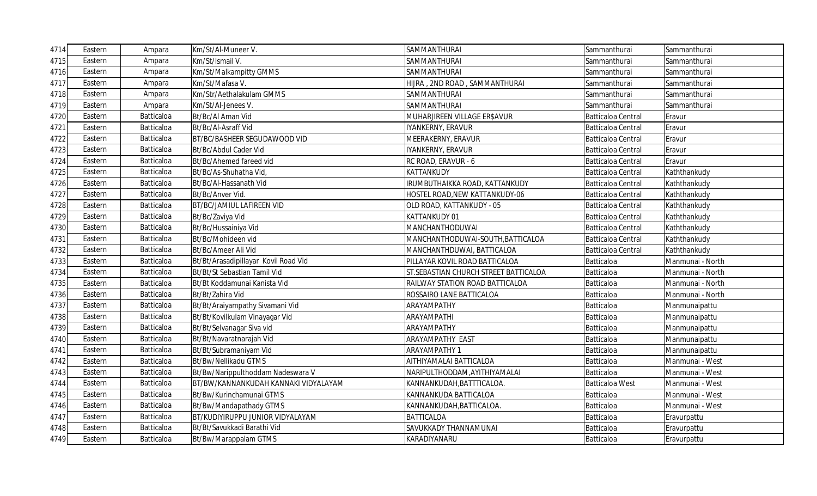| 4714 | Eastern | Ampara            | Km/St/Al-Muneer V.                   | SAMMANTHURAI                           | Sammanthurai              | Sammanthurai     |
|------|---------|-------------------|--------------------------------------|----------------------------------------|---------------------------|------------------|
| 4715 | Eastern | Ampara            | Km/St/Ismail V.                      | SAMMANTHURAI                           | Sammanthurai              | Sammanthurai     |
| 4716 | Eastern | Ampara            | Km/St/Malkampitty GMMS               | SAMMANTHURAI                           | Sammanthurai              | Sammanthurai     |
| 4717 | Eastern | Ampara            | Km/St/Mafasa V.                      | HIJRA, 2ND ROAD, SAMMANTHURAI          | Sammanthurai              | Sammanthurai     |
| 4718 | Eastern | Ampara            | Km/Str/Aethalakulam GMMS             | SAMMANTHURAI                           | Sammanthurai              | Sammanthurai     |
| 4719 | Eastern | Ampara            | Km/St/Al-Jenees V.                   | SAMMANTHURAI                           | Sammanthurai              | Sammanthurai     |
| 4720 | Eastern | Batticaloa        | Bt/Bc/Al Aman Vid                    | MUHARJIREEN VILLAGE ER\$AVUR           | Batticaloa Central        | Eravur           |
| 4721 | Eastern | Batticaloa        | Bt/Bc/Al-Asraff Vid                  | IYANKERNY, ERAVUR                      | Batticaloa Central        | Eravur           |
| 4722 | Eastern | Batticaloa        | BT/BC/BASHEER SEGUDAWOOD VID         | MEERAKERNY, ERAVUR                     | Batticaloa Central        | Eravur           |
| 4723 | Eastern | Batticaloa        | Bt/Bc/Abdul Cader Vid                | IYANKERNY, ERAVUR                      | <b>Batticaloa Central</b> | Eravur           |
| 4724 | Eastern | Batticaloa        | Bt/Bc/Ahemed fareed vid              | RC ROAD, ERAVUR - 6                    | Batticaloa Central        | Eravur           |
| 4725 | Eastern | Batticaloa        | Bt/Bc/As-Shuhatha Vid                | KATTANKUDY                             | <b>Batticaloa Central</b> | Kaththankudy     |
| 4726 | Eastern | Batticaloa        | Bt/Bc/Al-Hassanath Vid               | RUMBUTHAIKKA ROAD, KATTANKUDY          | <b>Batticaloa Central</b> | Kaththankudy     |
| 4727 | Eastern | Batticaloa        | Bt/Bc/Anver Vid.                     | HOSTEL ROAD, NEW KATTANKUDY-06         | <b>Batticaloa Central</b> | Kaththankudy     |
| 4728 | Eastern | Batticaloa        | BT/BC/JAMIUL LAFIREEN VID            | OLD ROAD, KATTANKUDY - 05              | <b>Batticaloa Central</b> | Kaththankudy     |
| 4729 | Eastern | Batticaloa        | Bt/Bc/Zaviya Vid                     | KATTANKUDY 01                          | Batticaloa Central        | Kaththankudy     |
| 4730 | Eastern | Batticaloa        | Bt/Bc/Hussainiya Vid                 | MANCHANTHODUWAI                        | Batticaloa Central        | Kaththankudy     |
| 4731 | Eastern | Batticaloa        | Bt/Bc/Mohideen vid                   | MANCHANTHODUWAI-SOUTH, BATTICALOA      | Batticaloa Central        | Kaththankudy     |
| 4732 | Eastern | Batticaloa        | Bt/Bc/Ameer Ali Vid                  | MANCHANTHDUWAI, BATTICALOA             | Batticaloa Central        | Kaththankudy     |
| 4733 | Eastern | Batticaloa        | Bt/Bt/Arasadipillayar Kovil Road Vid | PILLAYAR KOVIL ROAD BATTICALOA         | Batticaloa                | Manmunai - North |
| 4734 | Eastern | Batticaloa        | Bt/Bt/St Sebastian Tamil Vid         | ST. SEBASTIAN CHURCH STREET BATTICALOA | Batticaloa                | Manmunai - North |
| 4735 | Eastern | Batticaloa        | Bt/Bt Koddamunai Kanista Vid         | RAILWAY STATION ROAD BATTICALOA        | Batticaloa                | Manmunai - North |
| 4736 | Eastern | Batticaloa        | Bt/Bt/Zahira Vid                     | ROSSAIRO LANE BATTICALOA               | Batticaloa                | Manmunai - North |
| 4737 | Eastern | Batticaloa        | Bt/Bt/Araiyampathy Sivamani Vid      | ARAYAMPATHY                            | Batticaloa                | Manmunaipattu    |
| 4738 | Eastern | Batticaloa        | Bt/Bt/Kovilkulam Vinayagar Vid       | ARAYAMPATHI                            | Batticaloa                | Manmunaipattu    |
| 4739 | Eastern | Batticaloa        | Bt/Bt/Selvanagar Siva vid            | ARAYAMPATHY                            | Batticaloa                | Manmunaipattu    |
| 4740 | Eastern | Batticaloa        | Bt/Bt/Navaratnarajah Vid             | ARAYAMPATHY EAST                       | Batticaloa                | Manmunaipattu    |
| 4741 | Eastern | Batticaloa        | Bt/Bt/Subramaniyam Vid               | ARAYAMPATHY 1                          | Batticaloa                | Manmunaipattu    |
| 4742 | Eastern | Batticaloa        | Bt/Bw/Nellikadu GTMS                 | AITHIYAMALAI BATTICALOA                | Batticaloa                | Manmunai - West  |
| 4743 | Eastern | Batticaloa        | Bt/Bw/Narippulthoddam Nadeswara V    | NARIPULTHODDAM,AYITHIYAMALAI           | Batticaloa                | Manmunai - West  |
| 4744 | Eastern | <b>Batticaloa</b> | BT/BW/KANNANKUDAH KANNAKI VIDYALAYAM | KANNANKUDAH,BATTTICALOA.               | <b>Batticaloa West</b>    | Manmunai - West  |
| 4745 | Eastern | Batticaloa        | Bt/Bw/Kurinchamunai GTMS             | KANNANKUDA BATTICALOA                  | Batticaloa                | Manmunai - West  |
| 4746 | Eastern | Batticaloa        | Bt/Bw/Mandapathady GTMS              | KANNANKUDAH, BATTICALOA.               | Batticaloa                | Manmunai - West  |
| 4747 | Eastern | Batticaloa        | BT/KUDIYIRUPPU JUNIOR VIDYALAYAM     | <b>BATTICALOA</b>                      | Batticaloa                | Eravurpattu      |
| 4748 | Eastern | Batticaloa        | Bt/Bt/Savukkadi Barathi Vid          | SAVUKKADY THANNAMUNAI                  | Batticaloa                | Eravurpattu      |
| 4749 | Eastern | <b>Batticaloa</b> | Bt/Bw/Marappalam GTMS                | KARADIYANARU                           | Batticaloa                | Eravurpattu      |